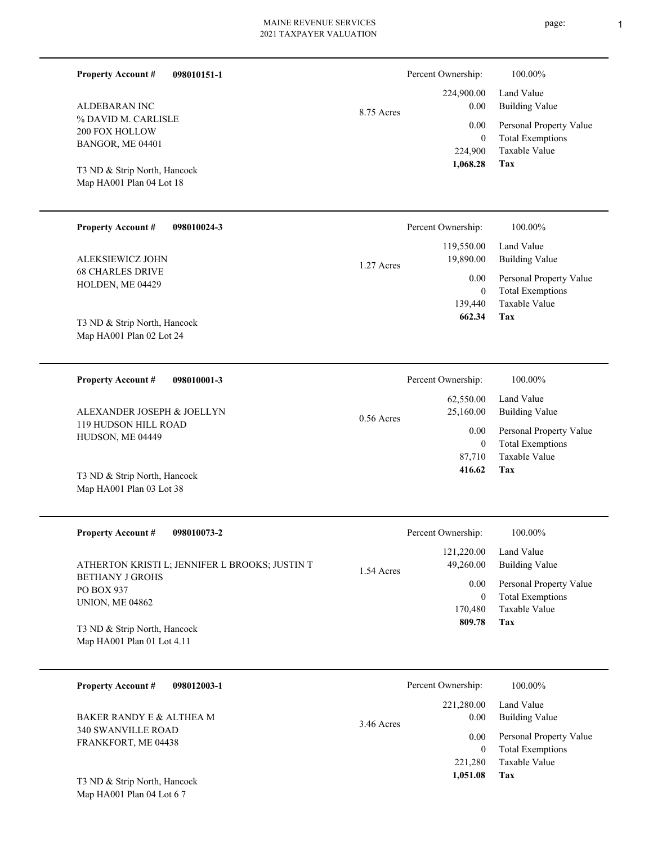| <b>Property Account #</b><br>ALDEBARAN INC<br>% DAVID M. CARLISLE<br>200 FOX HOLLOW<br>BANGOR, ME 04401<br>T3 ND & Strip North, Hancock<br>Map HA001 Plan 04 Lot 18 | 098010151-1                                                   | 8.75 Acres   | Percent Ownership:<br>224,900.00<br>0.00<br>0.00<br>$\overline{0}$<br>224,900<br>1,068.28         | 100.00%<br>Land Value<br><b>Building Value</b><br>Personal Property Value<br><b>Total Exemptions</b><br>Taxable Value<br><b>Tax</b> |
|---------------------------------------------------------------------------------------------------------------------------------------------------------------------|---------------------------------------------------------------|--------------|---------------------------------------------------------------------------------------------------|-------------------------------------------------------------------------------------------------------------------------------------|
| <b>Property Account #</b><br>ALEKSIEWICZ JOHN<br><b>68 CHARLES DRIVE</b><br>HOLDEN, ME 04429<br>T3 ND & Strip North, Hancock<br>Map HA001 Plan 02 Lot 24            | 098010024-3                                                   | 1.27 Acres   | Percent Ownership:<br>119,550.00<br>19,890.00<br>$0.00\,$<br>$\overline{0}$<br>139,440<br>662.34  | 100.00%<br>Land Value<br><b>Building Value</b><br>Personal Property Value<br><b>Total Exemptions</b><br>Taxable Value<br>Tax        |
| <b>Property Account #</b><br>ALEXANDER JOSEPH & JOELLYN<br>119 HUDSON HILL ROAD<br>HUDSON, ME 04449<br>T3 ND & Strip North, Hancock<br>Map HA001 Plan 03 Lot 38     | 098010001-3                                                   | $0.56$ Acres | Percent Ownership:<br>62,550.00<br>25,160.00<br>0.00<br>$\overline{0}$<br>87,710<br>416.62        | 100.00%<br>Land Value<br><b>Building Value</b><br>Personal Property Value<br><b>Total Exemptions</b><br>Taxable Value<br>Tax        |
| <b>Property Account #</b><br><b>BETHANY J GROHS</b><br>PO BOX 937<br><b>UNION, ME 04862</b><br>T3 ND & Strip North, Hancock<br>Map HA001 Plan 01 Lot 4.11           | 098010073-2<br>ATHERTON KRISTI L; JENNIFER L BROOKS; JUSTIN T | 1.54 Acres   | Percent Ownership:<br>121,220.00<br>49,260.00<br>0.00<br>$\overline{0}$<br>170,480<br>809.78      | 100.00%<br>Land Value<br><b>Building Value</b><br>Personal Property Value<br><b>Total Exemptions</b><br>Taxable Value<br>Tax        |
| <b>Property Account #</b><br>BAKER RANDY E & ALTHEA M<br>340 SWANVILLE ROAD<br>FRANKFORT, ME 04438<br>T3 ND & Strip North, Hancock<br>Map HA001 Plan 04 Lot 6 7     | 098012003-1                                                   | 3.46 Acres   | Percent Ownership:<br>221,280.00<br>$0.00\,$<br>$0.00\,$<br>$\overline{0}$<br>221,280<br>1,051.08 | 100.00%<br>Land Value<br><b>Building Value</b><br>Personal Property Value<br><b>Total Exemptions</b><br>Taxable Value<br><b>Tax</b> |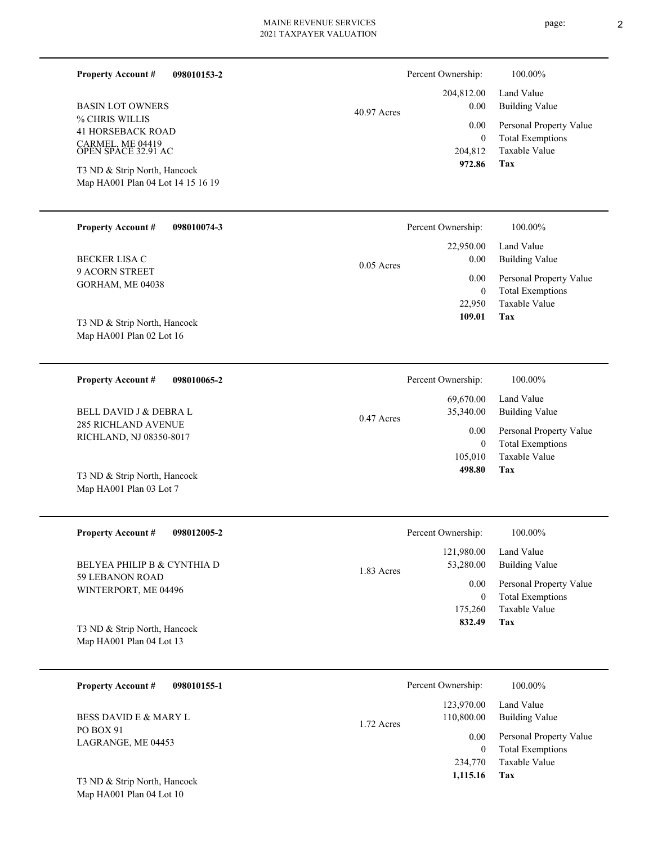| <b>Property Account #</b><br>098010153-2                                              |               | Percent Ownership:               | 100.00%                                                             |
|---------------------------------------------------------------------------------------|---------------|----------------------------------|---------------------------------------------------------------------|
| <b>BASIN LOT OWNERS</b>                                                               | $40.97$ Acres | 204,812.00<br>0.00               | Land Value<br><b>Building Value</b>                                 |
| % CHRIS WILLIS<br><b>41 HORSEBACK ROAD</b><br>CARMEL, ME 04419<br>OPEN SPACE 32.91 AC |               | 0.00<br>$\mathbf{0}$<br>204,812  | Personal Property Value<br><b>Total Exemptions</b><br>Taxable Value |
| T3 ND & Strip North, Hancock<br>Map HA001 Plan 04 Lot 14 15 16 19                     |               | 972.86                           | Tax                                                                 |
|                                                                                       |               |                                  |                                                                     |
| <b>Property Account #</b><br>098010074-3                                              |               | Percent Ownership:               | 100.00%                                                             |
| <b>BECKER LISA C</b>                                                                  | $0.05$ Acres  | 22,950.00<br>0.00                | Land Value<br><b>Building Value</b>                                 |
| 9 ACORN STREET<br>GORHAM, ME 04038                                                    |               | 0.00                             | Personal Property Value                                             |
| T3 ND & Strip North, Hancock                                                          |               | $\mathbf{0}$<br>22,950<br>109.01 | <b>Total Exemptions</b><br>Taxable Value<br>Tax                     |
| Map HA001 Plan 02 Lot 16                                                              |               |                                  |                                                                     |
| <b>Property Account #</b><br>098010065-2                                              |               | Percent Ownership:               | 100.00%                                                             |
| <b>BELL DAVID J &amp; DEBRA L</b>                                                     | $0.47$ Acres  | 69,670.00<br>35,340.00           | Land Value<br><b>Building Value</b>                                 |
| <b>285 RICHLAND AVENUE</b><br>RICHLAND, NJ 08350-8017                                 |               | 0.00<br>$\overline{0}$           | Personal Property Value<br><b>Total Exemptions</b>                  |
| T3 ND & Strip North, Hancock<br>Map HA001 Plan 03 Lot 7                               |               | 105,010<br>498.80                | Taxable Value<br>Tax                                                |
|                                                                                       |               |                                  |                                                                     |
| <b>Property Account #</b><br>098012005-2                                              |               | Percent Ownership:               | $100.00\%$                                                          |
| BELYEA PHILIP B & CYNTHIA D                                                           |               | 121,980.00<br>53,280.00          | Land Value<br><b>Building Value</b>                                 |
| 59 LEBANON ROAD                                                                       | 1.83 Acres    |                                  |                                                                     |
| WINTERPORT, ME 04496                                                                  |               | 0.00<br>$\bf{0}$                 | Personal Property Value<br><b>Total Exemptions</b>                  |
|                                                                                       |               | 175,260                          | Taxable Value                                                       |
| T3 ND & Strip North, Hancock<br>Map HA001 Plan 04 Lot 13                              |               | 832.49                           | Tax                                                                 |
| <b>Property Account #</b><br>098010155-1                                              |               | Percent Ownership:               | 100.00%                                                             |

PO BOX 91 LAGRANGE, ME 04453 BESS DAVID E & MARY L

Map HA001 Plan 04 Lot 10 T3 ND & Strip North, Hancock page: 2

**Tax**

123,970.00 Land Value

 234,770  $\boldsymbol{0}$ 

0.00

110,800.00

1.72 Acres

 **1,115.16**

Taxable Value Total Exemptions Personal Property Value

Building Value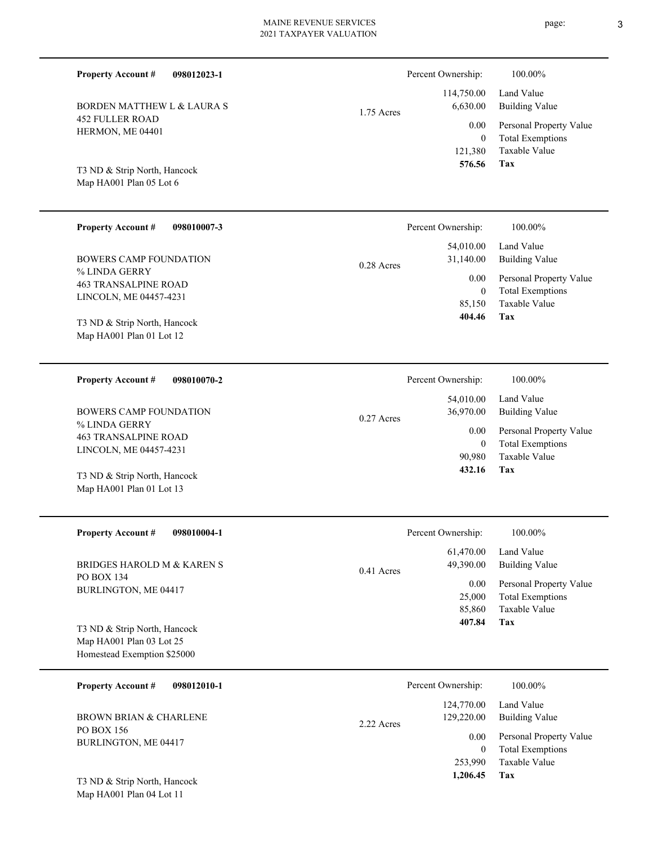| <b>Property Account #</b><br>098012023-1                 |              | Percent Ownership:                | 100.00%                                                             |
|----------------------------------------------------------|--------------|-----------------------------------|---------------------------------------------------------------------|
| <b>BORDEN MATTHEW L &amp; LAURA S</b>                    | 1.75 Acres   | 114,750.00<br>6,630.00            | Land Value<br><b>Building Value</b>                                 |
| <b>452 FULLER ROAD</b><br>HERMON, ME 04401               |              | 0.00<br>$\overline{0}$<br>121,380 | Personal Property Value<br><b>Total Exemptions</b><br>Taxable Value |
| T3 ND & Strip North, Hancock<br>Map HA001 Plan 05 Lot 6  |              | 576.56                            | Tax                                                                 |
| <b>Property Account #</b><br>098010007-3                 |              | Percent Ownership:                | 100.00%                                                             |
| <b>BOWERS CAMP FOUNDATION</b>                            | $0.28$ Acres | 54,010.00<br>31,140.00            | Land Value<br><b>Building Value</b>                                 |
| % LINDA GERRY<br><b>463 TRANSALPINE ROAD</b>             |              | 0.00<br>$\overline{0}$            | Personal Property Value<br><b>Total Exemptions</b>                  |
| LINCOLN, ME 04457-4231<br>T3 ND & Strip North, Hancock   |              | 85,150<br>404.46                  | Taxable Value<br>Tax                                                |
| Map HA001 Plan 01 Lot 12                                 |              |                                   |                                                                     |
| <b>Property Account #</b><br>098010070-2                 |              | Percent Ownership:                | 100.00%                                                             |
| <b>BOWERS CAMP FOUNDATION</b>                            | $0.27$ Acres | 54,010.00<br>36,970.00            | Land Value<br><b>Building Value</b>                                 |
| % LINDA GERRY<br><b>463 TRANSALPINE ROAD</b>             |              | 0.00<br>$\overline{0}$            | Personal Property Value<br><b>Total Exemptions</b>                  |
| LINCOLN, ME 04457-4231                                   |              | 90,980<br>432.16                  | Taxable Value<br>Tax                                                |
| T3 ND & Strip North, Hancock<br>Map HA001 Plan 01 Lot 13 |              |                                   |                                                                     |
| <b>Property Account #</b><br>098010004-1                 |              | Percent Ownership:                | 100.00%                                                             |
| BRIDGES HAROLD M & KAREN S                               | 0.41 Acres   | 61,470.00<br>49,390.00            | Land Value<br><b>Building Value</b>                                 |
| PO BOX 134<br>BURLINGTON, ME 04417                       |              | 0.00<br>25,000<br>85,860          | Personal Property Value<br><b>Total Exemptions</b><br>Taxable Value |
| T3 ND & Strip North, Hancock                             |              | 407.84                            | Tax                                                                 |
| Map HA001 Plan 03 Lot 25<br>Homestead Exemption \$25000  |              |                                   |                                                                     |
| <b>Property Account #</b><br>098012010-1                 |              | Percent Ownership:                | 100.00%                                                             |
| <b>BROWN BRIAN &amp; CHARLENE</b>                        | 2.22 Acres   | 124,770.00<br>129,220.00          | Land Value<br><b>Building Value</b>                                 |
| PO BOX 156<br>BURLINGTON, ME 04417                       |              | 0.00<br>$\overline{0}$            | Personal Property Value<br><b>Total Exemptions</b>                  |

**Tax 1,206.45**

253,990

Taxable Value

Map HA001 Plan 04 Lot 11 T3 ND & Strip North, Hancock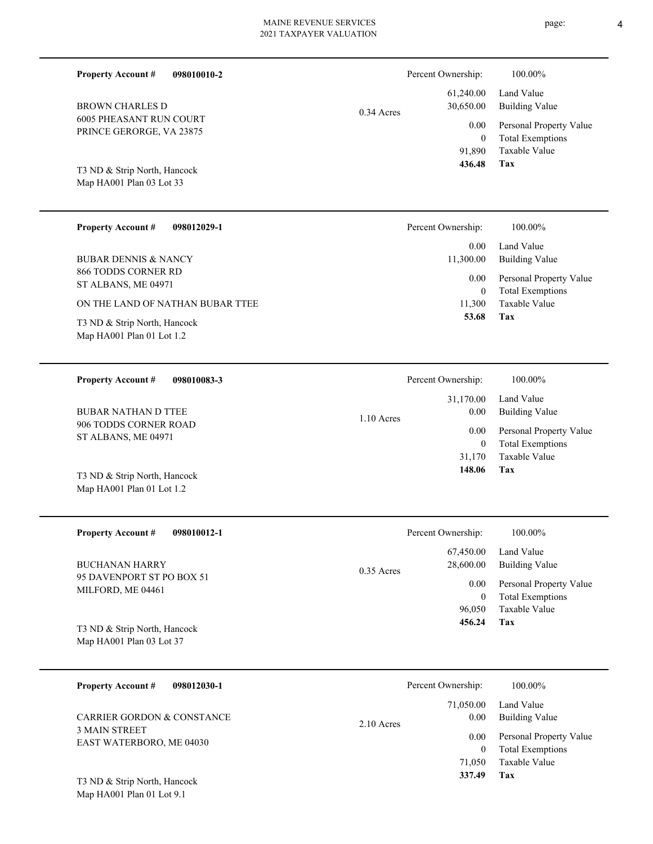| <b>Property Account #</b><br>098010010-2                   |              | Percent Ownership:                 | 100.00%                                                |
|------------------------------------------------------------|--------------|------------------------------------|--------------------------------------------------------|
| <b>BROWN CHARLES D</b>                                     | $0.34$ Acres | 61,240.00<br>30,650.00             | Land Value<br><b>Building Value</b>                    |
| <b>6005 PHEASANT RUN COURT</b><br>PRINCE GERORGE, VA 23875 |              | 0.00                               | Personal Property Value                                |
| T3 ND & Strip North, Hancock<br>Map HA001 Plan 03 Lot 33   |              | $\overline{0}$<br>91,890<br>436.48 | <b>Total Exemptions</b><br>Taxable Value<br><b>Tax</b> |
| <b>Property Account #</b><br>098012029-1                   |              | Percent Ownership:                 | 100.00%                                                |
| <b>BUBAR DENNIS &amp; NANCY</b>                            |              | 0.00<br>11,300.00                  | Land Value<br><b>Building Value</b>                    |
| 866 TODDS CORNER RD<br>ST ALBANS, ME 04971                 |              | 0.00                               | Personal Property Value                                |
| ON THE LAND OF NATHAN BUBAR TTEE                           |              | $\theta$<br>11,300                 | <b>Total Exemptions</b><br><b>Taxable Value</b>        |
| T3 ND & Strip North, Hancock<br>Map HA001 Plan 01 Lot 1.2  |              | 53.68                              | Tax                                                    |
|                                                            |              |                                    |                                                        |
| <b>Property Account #</b><br>098010083-3                   |              | Percent Ownership:                 | 100.00%                                                |
| <b>BUBAR NATHAN D TTEE</b>                                 |              | 31,170.00<br>0.00                  | Land Value<br><b>Building Value</b>                    |
| 906 TODDS CORNER ROAD<br>ST ALBANS, ME 04971               | $1.10$ Acres | 0.00                               | Personal Property Value                                |
|                                                            |              | $\mathbf{0}$<br>31,170             | <b>Total Exemptions</b><br>Taxable Value               |
| T3 ND & Strip North, Hancock<br>Map HA001 Plan 01 Lot 1.2  |              | 148.06                             | Tax                                                    |
| <b>Property Account #</b><br>098010012-1                   |              | Percent Ownership:                 | 100.00%                                                |
| <b>BUCHANAN HARRY</b>                                      | 0.35 Acres   | 67,450.00<br>28,600.00             | Land Value<br><b>Building Value</b>                    |
| 95 DAVENPORT ST PO BOX 51<br>MILFORD, ME 04461             |              | 0.00<br>$\boldsymbol{0}$           | Personal Property Value                                |
|                                                            |              | 96,050                             | <b>Total Exemptions</b><br>Taxable Value               |
| T3 ND & Strip North, Hancock<br>Map HA001 Plan 03 Lot 37   |              | 456.24                             | Tax                                                    |
|                                                            |              |                                    |                                                        |
| <b>Property Account #</b><br>098012030-1                   |              | Percent Ownership:                 | 100.00%                                                |
| CARRIER GORDON & CONSTANCE                                 | 2.10 Acres   | 71,050.00<br>0.00                  | Land Value<br><b>Building Value</b>                    |
| <b>3 MAIN STREET</b><br>EAST WATERBORO, ME 04030           |              | 0.00                               | Personal Property Value                                |
|                                                            |              | $\overline{0}$<br>71,050           | <b>Total Exemptions</b><br>Taxable Value               |

**Tax 337.49**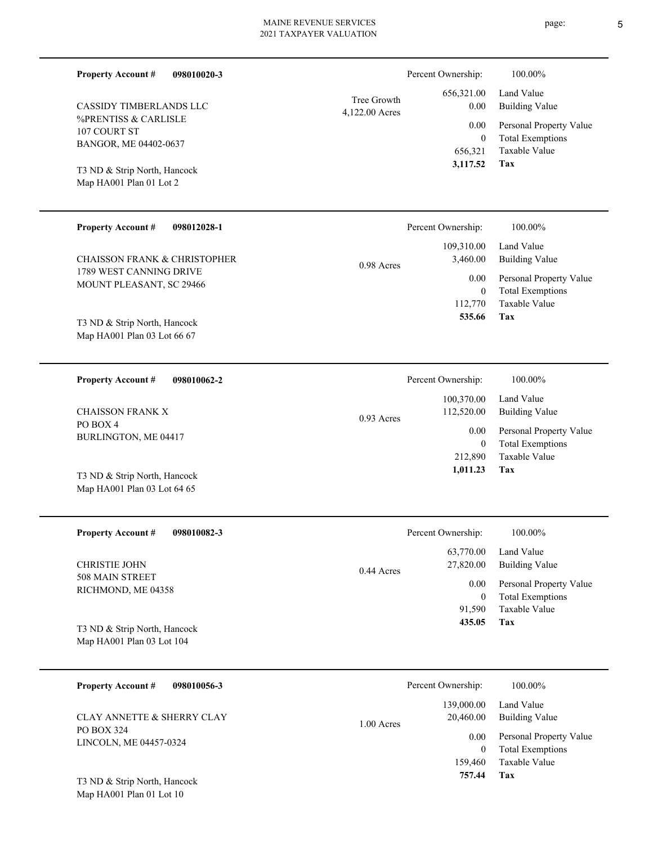| <b>Property Account #</b><br>098010020-3 |                               | Percent Ownership:              | 100.00%                                         |
|------------------------------------------|-------------------------------|---------------------------------|-------------------------------------------------|
| <b>CASSIDY TIMBERLANDS LLC</b>           | Tree Growth<br>4,122.00 Acres | 656,321.00<br>0.00              | Land Value<br><b>Building Value</b>             |
| %PRENTISS & CARLISLE<br>107 COURT ST     |                               | 0.00                            | Personal Property Value                         |
| BANGOR, ME 04402-0637                    |                               | $\mathbf{0}$<br>656,321         | <b>Total Exemptions</b><br><b>Taxable Value</b> |
| T3 ND & Strip North, Hancock             |                               | 3,117.52                        | Tax                                             |
| Map HA001 Plan 01 Lot 2                  |                               |                                 |                                                 |
| <b>Property Account #</b><br>098012028-1 |                               | Percent Ownership:              | 100.00%                                         |
| <b>CHAISSON FRANK &amp; CHRISTOPHER</b>  |                               | 109,310.00<br>3,460.00          | Land Value<br><b>Building Value</b>             |
| 1789 WEST CANNING DRIVE                  | 0.98 Acres                    | 0.00                            | Personal Property Value                         |
| MOUNT PLEASANT, SC 29466                 |                               | $\mathbf{0}$                    | <b>Total Exemptions</b>                         |
| T3 ND & Strip North, Hancock             |                               | 112,770<br>535.66               | <b>Taxable Value</b><br>Tax                     |
| Map HA001 Plan 03 Lot 66 67              |                               |                                 |                                                 |
|                                          |                               |                                 |                                                 |
| <b>Property Account #</b><br>098010062-2 |                               | Percent Ownership:              | 100.00%                                         |
| <b>CHAISSON FRANK X</b>                  |                               | 100,370.00<br>112,520.00        | Land Value<br><b>Building Value</b>             |
| PO BOX 4                                 | $0.93$ Acres                  | 0.00                            | Personal Property Value                         |
| BURLINGTON, ME 04417                     |                               | $\mathbf{0}$<br>212,890         | <b>Total Exemptions</b><br>Taxable Value        |
| T3 ND & Strip North, Hancock             |                               | 1,011.23                        | Tax                                             |
| Map HA001 Plan 03 Lot 64 65              |                               |                                 |                                                 |
|                                          |                               |                                 |                                                 |
| <b>Property Account #</b><br>098010082-3 |                               | Percent Ownership:<br>63,770.00 | 100.00%<br>Land Value                           |
| <b>CHRISTIE JOHN</b>                     | 0.44 Acres                    | 27,820.00                       | <b>Building Value</b>                           |
| 508 MAIN STREET<br>RICHMOND, ME 04358    |                               | 0.00                            | Personal Property Value                         |
|                                          |                               | $\mathbf{0}$<br>91,590          | <b>Total Exemptions</b><br>Taxable Value        |
| T3 ND & Strip North, Hancock             |                               | 435.05                          | Tax                                             |
| Map HA001 Plan 03 Lot 104                |                               |                                 |                                                 |
| <b>Property Account #</b><br>098010056-3 |                               | Percent Ownership:              | 100.00%                                         |
| CLAY ANNETTE & SHERRY CLAY               |                               | 139,000.00<br>20,460.00         | Land Value<br><b>Building Value</b>             |
| PO BOX 324<br>LINCOLN, ME 04457-0324     | 1.00 Acres                    | 0.00                            | Personal Property Value                         |
|                                          |                               | $\mathbf{0}$<br>159,460         | <b>Total Exemptions</b><br>Taxable Value        |
|                                          |                               | 757.44                          | <b>Tax</b>                                      |

Map HA001 Plan 01 Lot 10 T3 ND & Strip North, Hancock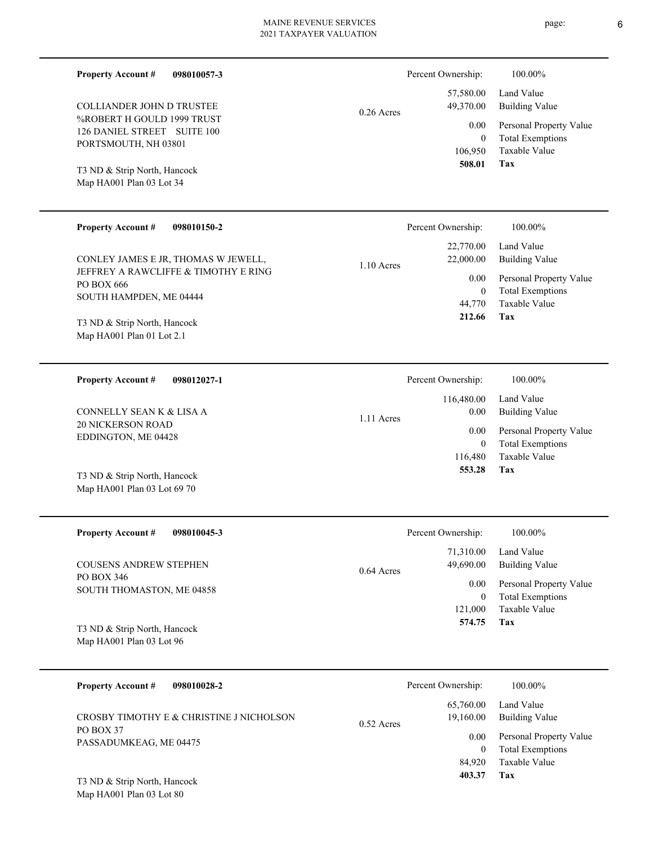| <b>Property Account #</b><br>098010057-3                                                                                                                                          |              | Percent Ownership:                                                  | 100.00%                                                                                                           |
|-----------------------------------------------------------------------------------------------------------------------------------------------------------------------------------|--------------|---------------------------------------------------------------------|-------------------------------------------------------------------------------------------------------------------|
| <b>COLLIANDER JOHN D TRUSTEE</b><br>%ROBERT H GOULD 1999 TRUST<br>126 DANIEL STREET SUITE 100<br>PORTSMOUTH, NH 03801<br>T3 ND & Strip North, Hancock<br>Map HA001 Plan 03 Lot 34 | $0.26$ Acres | 57,580.00<br>49,370.00<br>0.00<br>$\mathbf{0}$<br>106,950<br>508.01 | Land Value<br><b>Building Value</b><br>Personal Property Value<br><b>Total Exemptions</b><br>Taxable Value<br>Tax |
| <b>Property Account #</b><br>098010150-2                                                                                                                                          |              | Percent Ownership:                                                  | 100.00%                                                                                                           |
| CONLEY JAMES E JR, THOMAS W JEWELL,                                                                                                                                               | $1.10$ Acres | 22,770.00<br>22,000.00                                              | Land Value<br><b>Building Value</b>                                                                               |
| JEFFREY A RAWCLIFFE & TIMOTHY E RING                                                                                                                                              |              |                                                                     | $0.00$ Demand Drawarty Value                                                                                      |

PO BOX 666 SOUTH HAMPDEN, ME 04444 T3 ND & Strip North, Hancock

Map HA001 Plan 01 Lot 2.1

**098012027-1 Property Account #**

20 NICKERSON ROAD EDDINGTON, ME 04428 CONNELLY SEAN K & LISA A

Map HA001 Plan 03 Lot 69 70 T3 ND & Strip North, Hancock

| <b>Property Account #</b><br>098010045-3 | Percent Ownership:        | 100.00%                 |
|------------------------------------------|---------------------------|-------------------------|
|                                          | 71,310.00                 | Land Value              |
| <b>COUSENS ANDREW STEPHEN</b>            | 49,690.00<br>$0.64$ Acres | <b>Building Value</b>   |
| PO BOX 346                               | 0.00                      | Personal Property Value |
| SOUTH THOMASTON, ME 04858                | $\theta$                  | <b>Total Exemptions</b> |
|                                          | 121,000                   | Taxable Value           |
| T3 ND & Strip North, Hancock             | 574.75                    | Tax                     |
| Map HA001 Plan 03 Lot 96                 |                           |                         |

1.11 Acres

| 098010028-2<br><b>Property Account #</b> | Percent Ownership:                     | 100.00%                                            |
|------------------------------------------|----------------------------------------|----------------------------------------------------|
| CROSBY TIMOTHY E & CHRISTINE J NICHOLSON | 65,760.00<br>19,160.00<br>$0.52$ Acres | Land Value<br><b>Building Value</b>                |
| PO BOX 37<br>PASSADUMKEAG, ME 04475      | 0.00<br>$\theta$                       | Personal Property Value<br><b>Total Exemptions</b> |
|                                          | 84,920                                 | Taxable Value                                      |
| T3 ND & Strip North, Hancock             | 403.37                                 | Tax                                                |

Map HA001 Plan 03 Lot 80

**Tax**

**Tax**

Taxable Value Total Exemptions Personal Property Value

Building Value Land Value

 44,770 0

0.00

 **212.66**

 116,480 0

 116,480.00 0.00 0.00

Percent Ownership:  $100.00\%$ 

 **553.28**

Taxable Value Total Exemptions Personal Property Value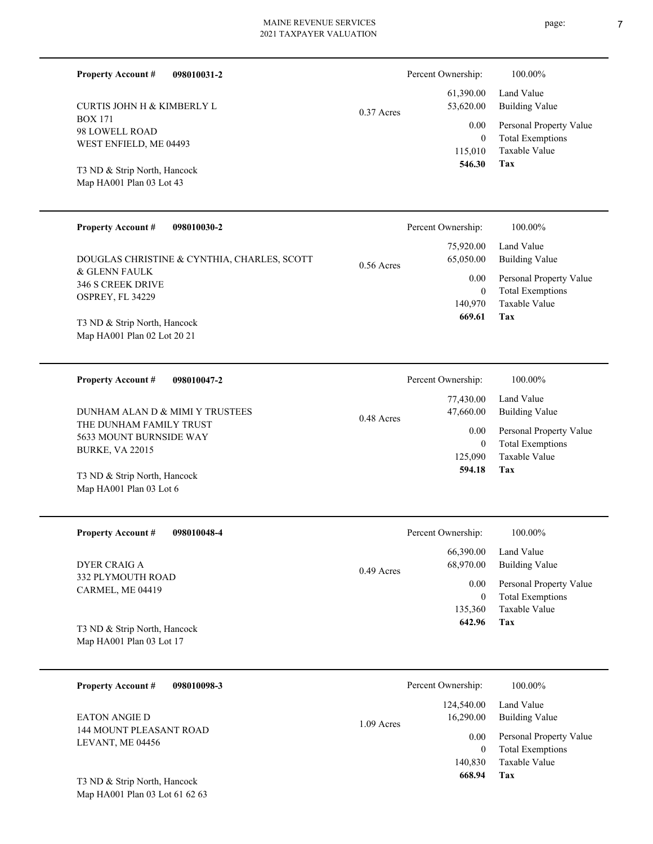| <b>Property Account #</b><br>098010031-2 | Percent Ownership:        | 100.00%                 |
|------------------------------------------|---------------------------|-------------------------|
|                                          | 61,390.00                 | Land Value              |
| <b>CURTIS JOHN H &amp; KIMBERLY L</b>    | 53,620.00<br>$0.37$ Acres | <b>Building Value</b>   |
| <b>BOX 171</b>                           | 0.00                      | Personal Property Value |
| 98 LOWELL ROAD<br>WEST ENFIELD, ME 04493 | $\boldsymbol{0}$          | <b>Total Exemptions</b> |
|                                          | 115,010                   | Taxable Value           |
| T3 ND & Strip North, Hancock             | 546.30                    | Tax                     |
| Map HA001 Plan 03 Lot 43                 |                           |                         |

| <b>Property Account #</b><br>098010030-2                    | Percent Ownership:                     | 100.00%                                            |
|-------------------------------------------------------------|----------------------------------------|----------------------------------------------------|
| DOUGLAS CHRISTINE & CYNTHIA, CHARLES, SCOTT                 | 75,920.00<br>65,050.00<br>$0.56$ Acres | Land Value<br>Building Value                       |
| & GLENN FAULK<br>346 S CREEK DRIVE<br>OSPREY, FL 34229      | 0.00<br>$\bf{0}$                       | Personal Property Value<br><b>Total Exemptions</b> |
| T3 ND & Strip North, Hancock<br>Map HA001 Plan 02 Lot 20 21 | 140,970<br>669.61                      | Taxable Value<br>Tax                               |

| 098010047-2<br><b>Property Account #</b>                                                                        | Percent Ownership:                                                  | 100.00%                                                                                                    |
|-----------------------------------------------------------------------------------------------------------------|---------------------------------------------------------------------|------------------------------------------------------------------------------------------------------------|
| DUNHAM ALAN D & MIMI Y TRUSTEES<br>THE DUNHAM FAMILY TRUST<br>5633 MOUNT BURNSIDE WAY<br><b>BURKE, VA 22015</b> | 77,430.00<br>47,660.00<br>$0.48$ Acres<br>0.00<br>125,090<br>594.18 | Land Value<br>Building Value<br>Personal Property Value<br><b>Total Exemptions</b><br>Taxable Value<br>Tax |
| T3 ND & Strip North, Hancock                                                                                    |                                                                     |                                                                                                            |

| <b>Property Account #</b><br>098010048-4 | Percent Ownership:        | 100.00%                 |
|------------------------------------------|---------------------------|-------------------------|
|                                          | 66,390.00                 | Land Value              |
| DYER CRAIG A                             | 68,970.00<br>$0.49$ Acres | Building Value          |
| <b>332 PLYMOUTH ROAD</b>                 | 0.00                      | Personal Property Value |
| CARMEL, ME 04419                         | $\bf{0}$                  | <b>Total Exemptions</b> |
|                                          | 135,360                   | Taxable Value           |
| T3 ND & Strip North, Hancock             | 642.96                    | Tax                     |
| Map HA001 Plan 03 Lot 17                 |                           |                         |

| 098010098-3<br><b>Property Account #</b>        | Percent Ownership:                      | 100.00%                                                             |
|-------------------------------------------------|-----------------------------------------|---------------------------------------------------------------------|
| <b>EATON ANGIE D</b><br>144 MOUNT PLEASANT ROAD | 124,540.00<br>16,290.00<br>$1.09$ Acres | Land Value<br><b>Building Value</b>                                 |
| LEVANT, ME 04456                                | 0.00<br>140,830                         | Personal Property Value<br><b>Total Exemptions</b><br>Taxable Value |
| T3 ND & Strip North, Hancock                    | 668.94                                  | Tax                                                                 |

Map HA001 Plan 03 Lot 61 62 63

Map HA001 Plan 03 Lot 6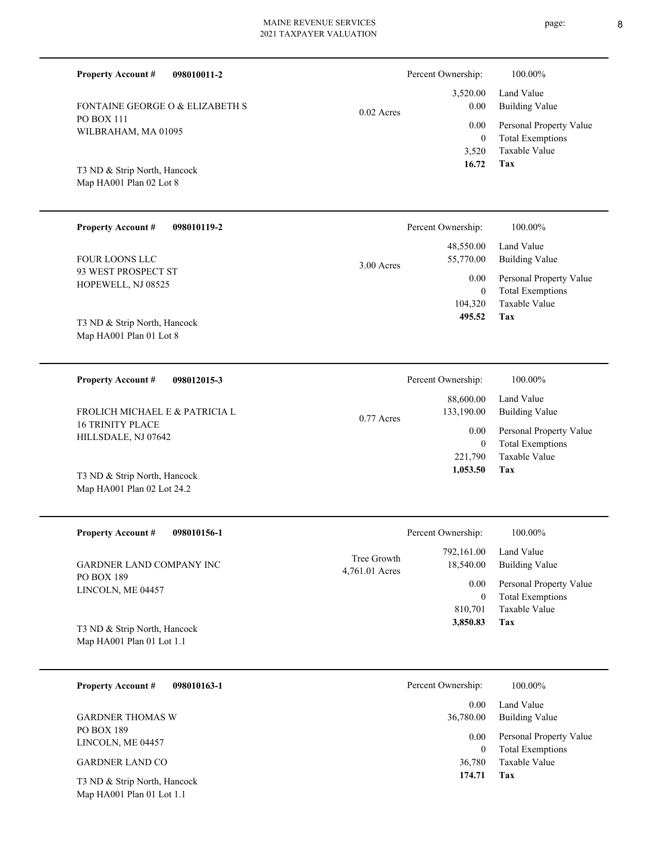| <b>Property Account #</b><br>098010011-2   |              | Percent Ownership: | 100.00%                 |
|--------------------------------------------|--------------|--------------------|-------------------------|
|                                            |              | 3,520.00           | Land Value              |
| <b>FONTAINE GEORGE O &amp; ELIZABETH S</b> | $0.02$ Acres | 0.00               | <b>Building Value</b>   |
| <b>PO BOX 111</b>                          |              | 0.00               | Personal Property Value |
| WILBRAHAM, MA 01095                        |              | $\theta$           | <b>Total Exemptions</b> |
|                                            |              | 3,520              | Taxable Value           |
| T3 ND & Strip North, Hancock               |              | 16.72              | Tax                     |
| Map HA001 Plan 02 Lot 8                    |              |                    |                         |
| <b>Property Account #</b><br>098010119-2   |              | Percent Ownership: | 100.00%                 |
|                                            |              | 48,550.00          | Land Value              |
| <b>FOUR LOONS LLC</b>                      | 3.00 Acres   | 55,770.00          | <b>Building Value</b>   |
| 93 WEST PROSPECT ST                        |              | 0.00               | Personal Property Value |
| HOPEWELL, NJ 08525                         |              | $\mathbf{0}$       | <b>Total Exemptions</b> |

Map HA001 Plan 01 Lot 8 T3 ND & Strip North, Hancock

Map HA001 Plan 02 Lot 24.2

**098012015-3 Tax** Taxable Value Total Exemptions Personal Property Value Building Value Land Value 16 TRINITY PLACE HILLSDALE, NJ 07642 **Property Account #** T3 ND & Strip North, Hancock FROLICH MICHAEL E & PATRICIA L 221,790 0  **1,053.50** 88,600.00 133,190.00 0.00 0.77 Acres Percent Ownership:  $100.00\%$ 

| <b>Property Account #</b><br>098010156-1                  | Percent Ownership:            |                         | 100.00%                      |
|-----------------------------------------------------------|-------------------------------|-------------------------|------------------------------|
| <b>GARDNER LAND COMPANY INC</b>                           | Tree Growth<br>4,761.01 Acres | 792,161.00<br>18,540.00 | Land Value<br>Building Value |
| <b>PO BOX 189</b><br>LINCOLN, ME 04457                    |                               | 0.00                    | Personal Property Value      |
|                                                           |                               |                         | <b>Total Exemptions</b>      |
|                                                           |                               | 810.701                 | Taxable Value                |
| T3 ND & Strip North, Hancock<br>Map HA001 Plan 01 Lot 1.1 |                               | 3,850.83                | Tax                          |

| 098010163-1<br><b>Property Account #</b>                  | Percent Ownership:<br>100.00%                                   |
|-----------------------------------------------------------|-----------------------------------------------------------------|
| <b>GARDNER THOMAS W</b>                                   | Land Value<br>0.00<br>Building Value<br>36,780.00               |
| PO BOX 189<br>LINCOLN, ME 04457                           | Personal Property Value<br>0.00<br><b>Total Exemptions</b><br>0 |
| <b>GARDNER LAND CO</b>                                    | Taxable Value<br>36,780                                         |
| T3 ND & Strip North, Hancock<br>Map HA001 Plan 01 Lot 1.1 | 174.71<br>Tax                                                   |

**Tax**

104,320

 **495.52**

Taxable Value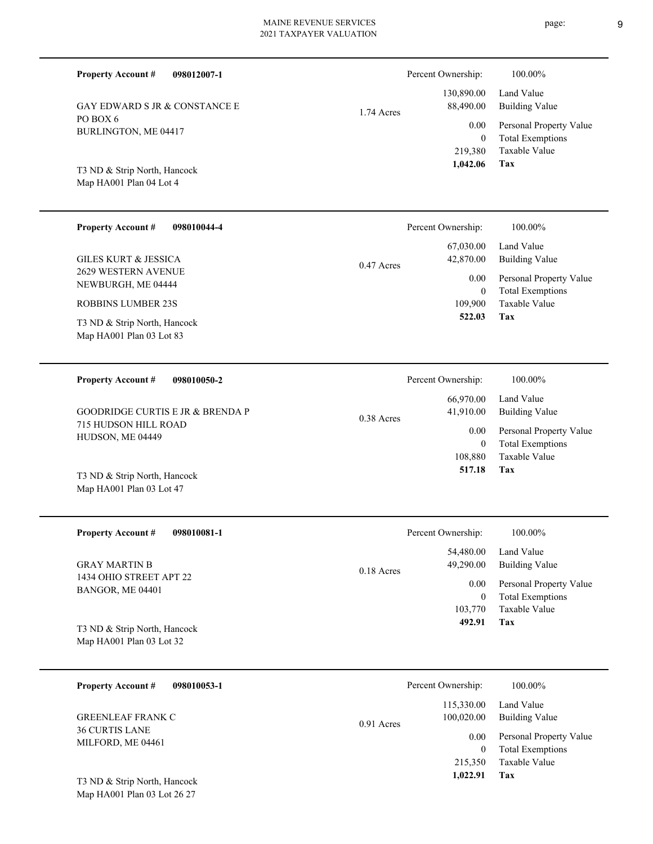GAY EDWARD S JR & CONSTANCE E 1.74 Acres

Map HA001 Plan 04 Lot 4 T3 ND & Strip North, Hancock

BURLINGTON, ME 04417

**Property Account #**

PO BOX 6

**098012007-1**

| <b>Property Account #</b><br>098010044-4                 | Percent Ownership:        | 100.00%                 |
|----------------------------------------------------------|---------------------------|-------------------------|
|                                                          | 67,030.00                 | Land Value              |
| GILES KURT & JESSICA                                     | 42,870.00<br>$0.47$ Acres | Building Value          |
| 2629 WESTERN AVENUE<br>NEWBURGH, ME 04444                | 0.00                      | Personal Property Value |
|                                                          | $\overline{0}$            | <b>Total Exemptions</b> |
| ROBBINS LUMBER 23S                                       | 109.900                   | Taxable Value           |
| T3 ND & Strip North, Hancock<br>Map HA001 Plan 03 Lot 83 | 522.03                    | Tax                     |

| 098010050-2<br><b>Property Account #</b> | Percent Ownership:        | 100.00%                 |
|------------------------------------------|---------------------------|-------------------------|
|                                          | 66,970.00                 | Land Value              |
| GOODRIDGE CURTIS E JR & BRENDA P         | 41.910.00<br>$0.38$ Acres | Building Value          |
| 715 HUDSON HILL ROAD                     | 0.00                      | Personal Property Value |
| HUDSON, ME 04449                         | 0                         | <b>Total Exemptions</b> |
|                                          | 108,880                   | Taxable Value           |
| T3 ND & Strip North, Hancock             | 517.18                    | Tax                     |

| <b>Property Account #</b><br>098010081-1        | Percent Ownership:                     | 100.00%                      |
|-------------------------------------------------|----------------------------------------|------------------------------|
| <b>GRAY MARTIN B</b><br>1434 OHIO STREET APT 22 | 54,480.00<br>49,290.00<br>$0.18$ Acres | Land Value<br>Building Value |
| BANGOR, ME 04401                                | 0.00                                   | Personal Property Value      |
|                                                 |                                        | <b>Total Exemptions</b>      |
|                                                 | 103,770                                | Taxable Value                |
| T3 ND & Strip North, Hancock                    | 492.91                                 | Tax                          |
| Map HA001 Plan 03 Lot 32                        |                                        |                              |

| 098010053-1<br><b>Property Account #</b>          | Percent Ownership:                       | 100.00%                                            |
|---------------------------------------------------|------------------------------------------|----------------------------------------------------|
| <b>GREENLEAF FRANK C</b><br><b>36 CURTIS LANE</b> | 115,330.00<br>100,020.00<br>$0.91$ Acres | Land Value<br>Building Value                       |
| MILFORD, ME 04461                                 | 0.00<br>$\theta$                         | Personal Property Value<br><b>Total Exemptions</b> |
|                                                   | 215,350                                  | Taxable Value                                      |
| T3 ND & Strip North, Hancock                      | 1,022.91                                 | Tax                                                |

Map HA001 Plan 03 Lot 26 27

Map HA001 Plan 03 Lot 47

**Tax**

 219,380 0

0.00

Percent Ownership:  $100.00\%$ 

 130,890.00 88,490.00

 **1,042.06**

Taxable Value Total Exemptions Personal Property Value

Building Value Land Value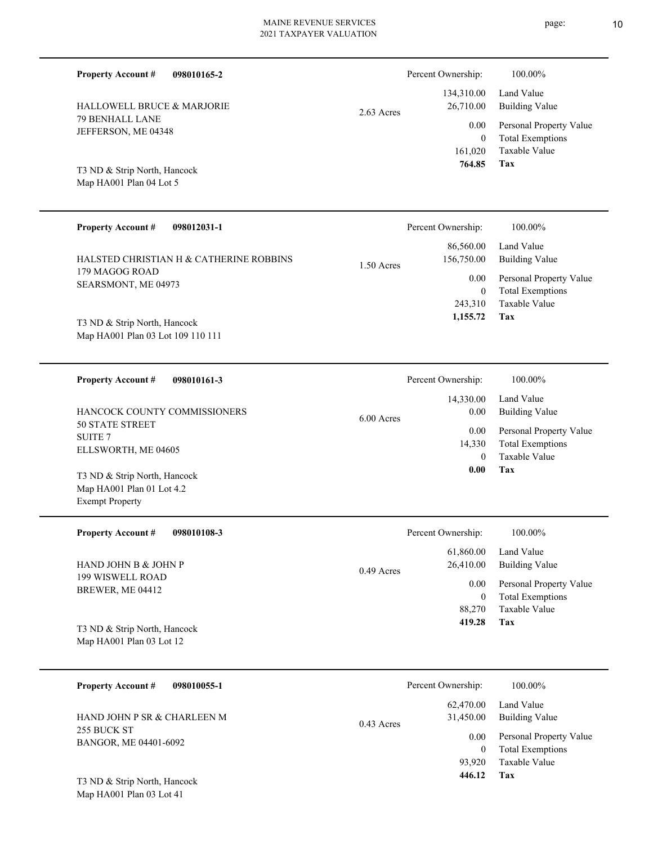| <b>Property Account #</b><br>098010165-2                                            |            | Percent Ownership:                | 100.00%                                                                                      |
|-------------------------------------------------------------------------------------|------------|-----------------------------------|----------------------------------------------------------------------------------------------|
| HALLOWELL BRUCE & MARJORIE                                                          |            | 134,310.00<br>26,710.00           | Land Value                                                                                   |
| 79 BENHALL LANE<br>JEFFERSON, ME 04348                                              | 2.63 Acres | 0.00<br>$\overline{0}$<br>161,020 | <b>Building Value</b><br>Personal Property Value<br><b>Total Exemptions</b><br>Taxable Value |
| T3 ND & Strip North, Hancock<br>Map HA001 Plan 04 Lot 5                             |            | 764.85                            | Tax                                                                                          |
| <b>Property Account #</b><br>098012031-1                                            |            | Percent Ownership:                | 100.00%                                                                                      |
| HALSTED CHRISTIAN H & CATHERINE ROBBINS                                             | 1.50 Acres | 86,560.00<br>156,750.00           | Land Value<br><b>Building Value</b>                                                          |
| 179 MAGOG ROAD<br>SEARSMONT, ME 04973                                               |            | 0.00<br>$\overline{0}$<br>243,310 | Personal Property Value<br><b>Total Exemptions</b><br><b>Taxable Value</b>                   |
| T3 ND & Strip North, Hancock<br>Map HA001 Plan 03 Lot 109 110 111                   |            | 1,155.72                          | Tax                                                                                          |
| <b>Property Account #</b><br>098010161-3                                            |            | Percent Ownership:                | 100.00%                                                                                      |
| HANCOCK COUNTY COMMISSIONERS                                                        | 6.00 Acres | 14,330.00<br>0.00                 | Land Value<br><b>Building Value</b>                                                          |
| <b>50 STATE STREET</b><br><b>SUITE 7</b><br>ELLSWORTH, ME 04605                     |            | 0.00<br>14,330<br>$\theta$        | Personal Property Value<br><b>Total Exemptions</b><br><b>Taxable Value</b>                   |
| T3 ND & Strip North, Hancock<br>Map HA001 Plan 01 Lot 4.2<br><b>Exempt Property</b> |            | 0.00                              | Tax                                                                                          |
| <b>Property Account #</b><br>098010108-3                                            |            | Percent Ownership:                | 100.00%                                                                                      |
| HAND JOHN B & JOHN P                                                                | 0.49 Acres | 61,860.00<br>26,410.00            | Land Value<br><b>Building Value</b>                                                          |
| 199 WISWELL ROAD<br>BREWER, ME 04412                                                |            | 0.00<br>$\bf{0}$                  | Personal Property Value<br><b>Total Exemptions</b><br>Taxable Value                          |
| T3 ND & Strip North, Hancock<br>Map HA001 Plan 03 Lot 12                            |            | 88,270<br>419.28                  | <b>Tax</b>                                                                                   |

| <b>Property Account #</b><br>098010055-1 | Percent Ownership:                     | 100.00%                                            |
|------------------------------------------|----------------------------------------|----------------------------------------------------|
| HAND JOHN P SR & CHARLEEN M              | 62,470.00<br>31,450.00<br>$0.43$ Acres | Land Value<br>Building Value                       |
| 255 BUCK ST<br>BANGOR, ME 04401-6092     | 0.00<br>0                              | Personal Property Value<br><b>Total Exemptions</b> |
|                                          | 93.920                                 | Taxable Value                                      |
| T3 ND & Strip North, Hancock             | 446.12                                 | Tax                                                |

Map HA001 Plan 03 Lot 41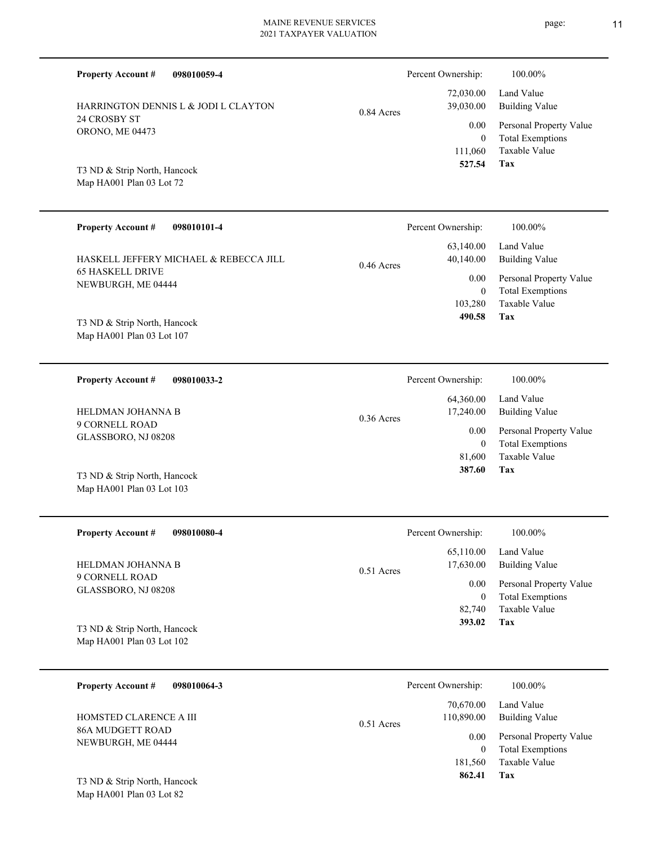| <b>Property Account #</b><br>098010059-4                  | Percent Ownership:                           | 100.00%                                                                    |
|-----------------------------------------------------------|----------------------------------------------|----------------------------------------------------------------------------|
| HARRINGTON DENNIS L & JODI L CLAYTON                      | 72,030.00<br>39,030.00<br>0.84 Acres         | Land Value<br><b>Building Value</b>                                        |
| 24 CROSBY ST<br>ORONO, ME 04473                           | 0.00<br>$\boldsymbol{0}$<br>111,060          | Personal Property Value<br><b>Total Exemptions</b><br>Taxable Value        |
| T3 ND & Strip North, Hancock<br>Map HA001 Plan 03 Lot 72  | 527.54                                       | Tax                                                                        |
| <b>Property Account #</b><br>098010101-4                  | Percent Ownership:                           | 100.00%                                                                    |
| HASKELL JEFFERY MICHAEL & REBECCA JILL                    | 63,140.00<br>40,140.00<br>$0.46$ Acres       | Land Value<br><b>Building Value</b>                                        |
| <b>65 HASKELL DRIVE</b><br>NEWBURGH, ME 04444             | 0.00<br>$\boldsymbol{0}$<br>103,280          | Personal Property Value<br><b>Total Exemptions</b><br>Taxable Value        |
| T3 ND & Strip North, Hancock<br>Map HA001 Plan 03 Lot 107 | 490.58                                       | <b>Tax</b>                                                                 |
| <b>Property Account #</b><br>098010033-2                  | Percent Ownership:                           | 100.00%                                                                    |
| HELDMAN JOHANNA B                                         | 64,360.00<br>17,240.00<br>$0.36$ Acres       | Land Value<br><b>Building Value</b>                                        |
| 9 CORNELL ROAD<br>GLASSBORO, NJ 08208                     | 0.00<br>$\boldsymbol{0}$<br>81,600           | Personal Property Value<br><b>Total Exemptions</b><br>Taxable Value        |
| T3 ND & Strip North, Hancock<br>Map HA001 Plan 03 Lot 103 | 387.60                                       | <b>Tax</b>                                                                 |
| <b>Property Account #</b><br>098010080-4                  | Percent Ownership:                           | 100.00%                                                                    |
| HELDMAN JOHANNA B                                         | 65,110.00<br>17,630.00<br>0.51 Acres         | Land Value<br><b>Building Value</b>                                        |
| 9 CORNELL ROAD<br>GLASSBORO, NJ 08208                     | 0.00<br>$\boldsymbol{0}$<br>82,740<br>393.02 | Personal Property Value<br><b>Total Exemptions</b><br>Taxable Value<br>Tax |
| T3 ND & Strip North, Hancock<br>Map HA001 Plan 03 Lot 102 |                                              |                                                                            |

| 098010064-3<br><b>Property Account #</b> | Percent Ownership:                      | 100.00%                                            |
|------------------------------------------|-----------------------------------------|----------------------------------------------------|
| HOMSTED CLARENCE A III                   | 70,670.00<br>110,890.00<br>$0.51$ Acres | Land Value<br>Building Value                       |
| 86A MUDGETT ROAD<br>NEWBURGH, ME 04444   | 0.00<br>$\theta$                        | Personal Property Value<br><b>Total Exemptions</b> |
| T3 ND & Strip North, Hancock             | 181.560<br>862.41                       | Taxable Value<br>Tax                               |

Map HA001 Plan 03 Lot 82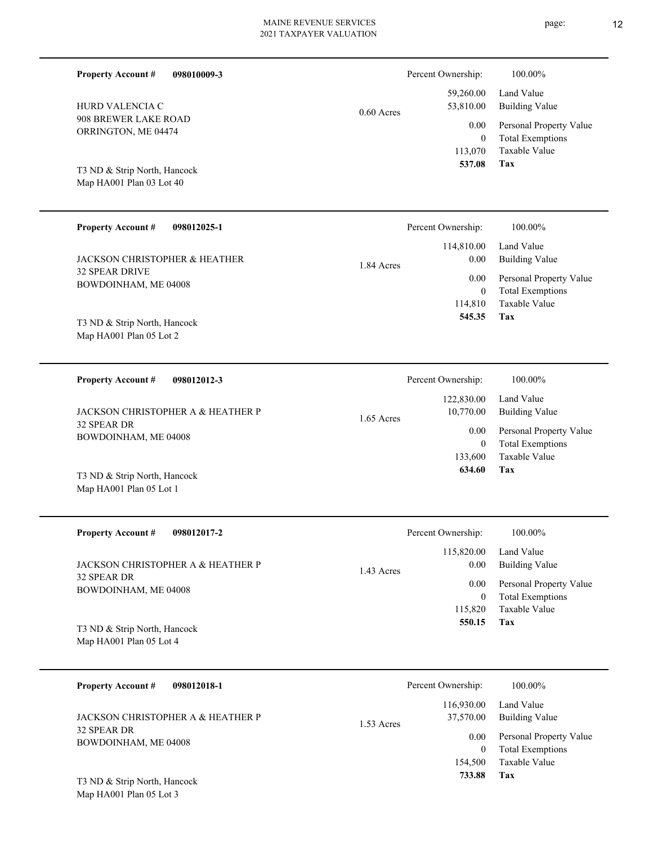| <b>Property Account #</b><br>098010009-3                 |              | Percent Ownership:                          | 100.00%                                                                    |
|----------------------------------------------------------|--------------|---------------------------------------------|----------------------------------------------------------------------------|
| HURD VALENCIA C                                          | $0.60$ Acres | 59,260.00<br>53,810.00                      | Land Value<br><b>Building Value</b>                                        |
| 908 BREWER LAKE ROAD<br>ORRINGTON, ME 04474              |              | 0.00<br>$\overline{0}$<br>113,070<br>537.08 | Personal Property Value<br><b>Total Exemptions</b><br>Taxable Value<br>Tax |
| T3 ND & Strip North, Hancock<br>Map HA001 Plan 03 Lot 40 |              |                                             |                                                                            |
| <b>Property Account #</b><br>098012025-1                 |              | Percent Ownership:                          | 100.00%                                                                    |
| <b>JACKSON CHRISTOPHER &amp; HEATHER</b>                 | 1.84 Acres   | 114,810.00<br>$0.00\,$                      | Land Value<br><b>Building Value</b>                                        |
| <b>32 SPEAR DRIVE</b><br>BOWDOINHAM, ME 04008            |              | 0.00<br>$\mathbf{0}$                        | Personal Property Value<br><b>Total Exemptions</b>                         |
| T3 ND & Strip North, Hancock                             |              | 114,810<br>545.35                           | Taxable Value<br>Tax                                                       |
| Map HA001 Plan 05 Lot 2                                  |              |                                             |                                                                            |
| <b>Property Account #</b><br>098012012-3                 |              | Percent Ownership:                          | 100.00%                                                                    |
| JACKSON CHRISTOPHER A & HEATHER P                        | 1.65 Acres   | 122,830.00<br>10,770.00                     | Land Value<br><b>Building Value</b>                                        |
| 32 SPEAR DR<br>BOWDOINHAM, ME 04008                      |              | 0.00<br>$\overline{0}$<br>133,600           | Personal Property Value<br><b>Total Exemptions</b><br>Taxable Value        |
| T3 ND & Strip North, Hancock<br>Map HA001 Plan 05 Lot 1  |              | 634.60                                      | Tax                                                                        |
| <b>Property Account #</b><br>098012017-2                 |              | Percent Ownership:                          | 100.00%                                                                    |
| JACKSON CHRISTOPHER A & HEATHER P                        | 1.43 Acres   | 115,820.00<br>0.00                          | Land Value<br><b>Building Value</b>                                        |
| 32 SPEAR DR<br>BOWDOINHAM, ME 04008                      |              | 0.00<br>$\overline{0}$                      | Personal Property Value<br><b>Total Exemptions</b>                         |
| T3 ND & Strip North, Hancock<br>Map HA001 Plan 05 Lot 4  |              | 115,820<br>550.15                           | Taxable Value<br>Tax                                                       |
| <b>Property Account #</b><br>098012018-1                 |              | Percent Ownership:                          | 100.00%                                                                    |
| JACKSON CHRISTOPHER A & HEATHER P                        |              | 116,930.00<br>37,570.00                     | Land Value<br><b>Building Value</b>                                        |

 $1.53$ 

BOWDOINHAM, ME 04008

32 SPEAR DR

|       | Percent Ownership: | 100.00%                 |
|-------|--------------------|-------------------------|
|       | 116,930.00         | Land Value              |
| Acres | 37,570.00          | Building Value          |
|       | 0.00               | Personal Property Value |
|       | 0                  | <b>Total Exemptions</b> |
|       | 154,500            | Taxable Value           |
|       | 733.88             | Tax                     |
|       |                    |                         |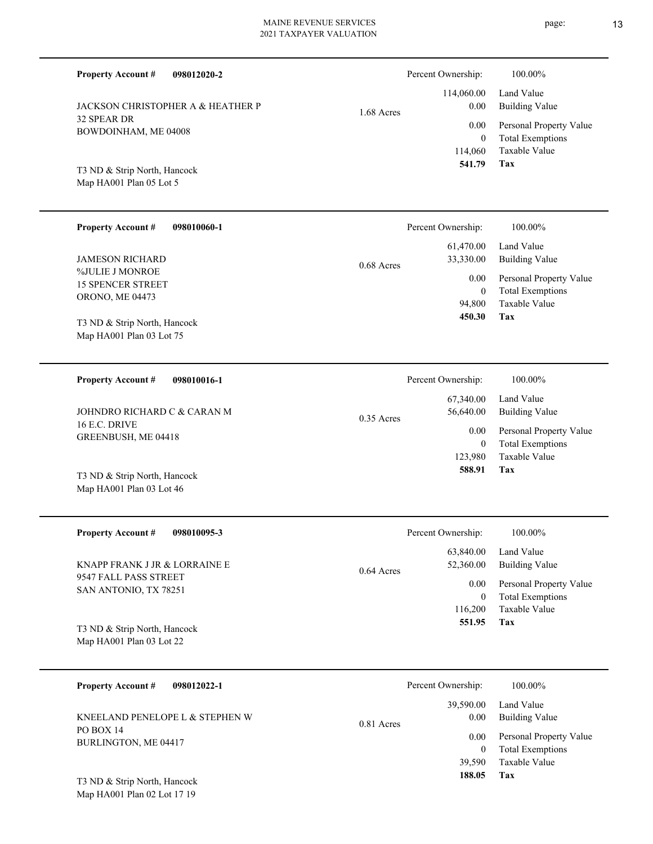| 2021 TAXPAYER VALUATION                                                  |              |                                       |                                                                     |
|--------------------------------------------------------------------------|--------------|---------------------------------------|---------------------------------------------------------------------|
| 098012020-2<br><b>Property Account #</b>                                 |              | Percent Ownership:                    | 100.00%                                                             |
| JACKSON CHRISTOPHER A & HEATHER P<br>32 SPEAR DR<br>BOWDOINHAM, ME 04008 | 1.68 Acres   | 114,060.00<br>0.00<br>0.00            | Land Value<br><b>Building Value</b><br>Personal Property Value      |
| T3 ND & Strip North, Hancock<br>Map HA001 Plan 05 Lot 5                  |              | $\boldsymbol{0}$<br>114,060<br>541.79 | <b>Total Exemptions</b><br>Taxable Value<br>Tax                     |
| <b>Property Account #</b><br>098010060-1                                 |              | Percent Ownership:                    | 100.00%                                                             |
| <b>JAMESON RICHARD</b>                                                   | 0.68 Acres   | 61,470.00<br>33,330.00                | Land Value<br><b>Building Value</b>                                 |
| %JULIE J MONROE<br><b>15 SPENCER STREET</b><br>ORONO, ME 04473           |              | 0.00<br>$\overline{0}$<br>94,800      | Personal Property Value<br><b>Total Exemptions</b><br>Taxable Value |
| T3 ND & Strip North, Hancock<br>Map HA001 Plan 03 Lot 75                 |              | 450.30                                | Tax                                                                 |
| <b>Property Account #</b><br>098010016-1                                 |              | Percent Ownership:                    | 100.00%                                                             |
| JOHNDRO RICHARD C & CARAN M                                              | $0.35$ Acres | 67,340.00<br>56,640.00                | Land Value<br><b>Building Value</b>                                 |
| 16 E.C. DRIVE<br>GREENBUSH, ME 04418                                     |              | 0.00<br>$\overline{0}$<br>123,980     | Personal Property Value<br><b>Total Exemptions</b><br>Taxable Value |
| T3 ND & Strip North, Hancock<br>Map HA001 Plan 03 Lot 46                 |              | 588.91                                | Tax                                                                 |
| <b>Property Account #</b><br>098010095-3                                 |              | Percent Ownership:                    | 100.00%                                                             |
| KNAPP FRANK J JR & LORRAINE E                                            | 0.64 Acres   | 63,840.00<br>52,360.00                | Land Value<br><b>Building Value</b>                                 |
| 9547 FALL PASS STREET<br>SAN ANTONIO, TX 78251                           |              | 0.00<br>$\overline{0}$<br>116,200     | Personal Property Value<br><b>Total Exemptions</b><br>Taxable Value |

Map HA001 Plan 03 Lot 22 T3 ND & Strip North, Hancock

| 098012022-1<br><b>Property Account #</b> | Percent Ownership:                | 100.00%                                            |
|------------------------------------------|-----------------------------------|----------------------------------------------------|
| KNEELAND PENELOPE L & STEPHEN W          | 39,590.00<br>0.00<br>$0.81$ Acres | Land Value<br>Building Value                       |
| <b>PO BOX 14</b><br>BURLINGTON, ME 04417 | 0.00<br>0                         | Personal Property Value<br><b>Total Exemptions</b> |
| T3 ND & Strip North, Hancock             | 39,590<br>188.05                  | Taxable Value<br>Tax                               |

Map HA001 Plan 02 Lot 17 19

page: 13

**Tax**

 **551.95**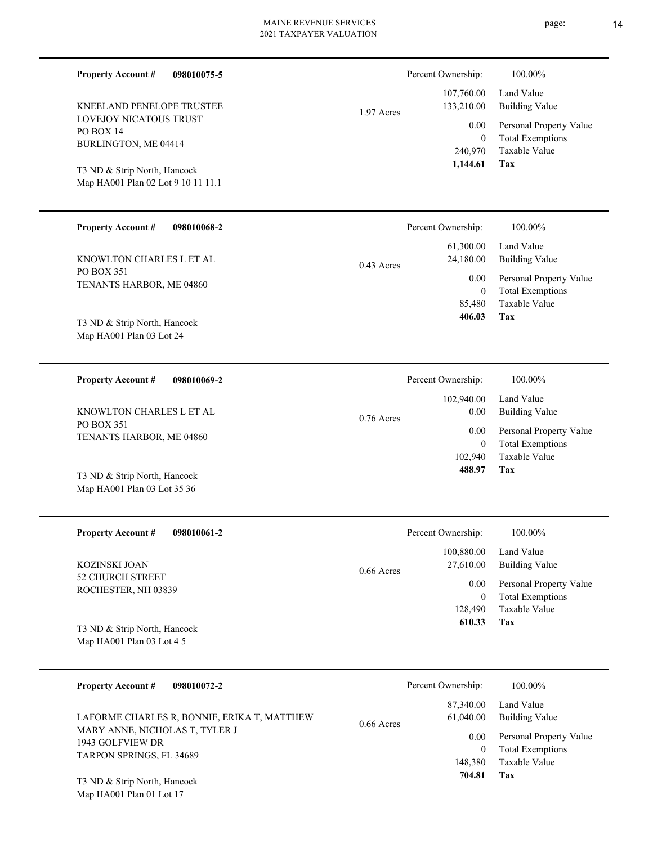| <b>Property Account #</b><br>098010075-5<br>KNEELAND PENELOPE TRUSTEE<br><b>LOVEJOY NICATOUS TRUST</b><br>PO BOX 14<br>BURLINGTON, ME 04414<br>T3 ND & Strip North, Hancock<br>Map HA001 Plan 02 Lot 9 10 11 11.1 | Percent Ownership:<br>100.00%<br>Land Value<br>107,760.00<br>133,210.00<br><b>Building Value</b><br>1.97 Acres<br>Personal Property Value<br>0.00<br><b>Total Exemptions</b><br>$\overline{0}$<br><b>Taxable Value</b><br>240,970<br>1,144.61<br>Tax |
|-------------------------------------------------------------------------------------------------------------------------------------------------------------------------------------------------------------------|------------------------------------------------------------------------------------------------------------------------------------------------------------------------------------------------------------------------------------------------------|
| <b>Property Account #</b><br>098010068-2<br>KNOWLTON CHARLES L ET AL<br>PO BOX 351<br>TENANTS HARBOR, ME 04860<br>T3 ND & Strip North, Hancock<br>Map HA001 Plan 03 Lot 24                                        | Percent Ownership:<br>100.00%<br>61,300.00<br>Land Value<br>24,180.00<br><b>Building Value</b><br>0.43 Acres<br>Personal Property Value<br>0.00<br><b>Total Exemptions</b><br>$\overline{0}$<br>Taxable Value<br>85,480<br>406.03<br>Tax             |
| <b>Property Account #</b><br>098010069-2<br>KNOWLTON CHARLES L ET AL<br><b>PO BOX 351</b><br>TENANTS HARBOR, ME 04860<br>T3 ND & Strip North, Hancock<br>Map HA001 Plan 03 Lot 35 36                              | Percent Ownership:<br>100.00%<br>102,940.00<br>Land Value<br><b>Building Value</b><br>0.00<br>$0.76$ Acres<br>0.00<br>Personal Property Value<br><b>Total Exemptions</b><br>$\theta$<br>Taxable Value<br>102,940<br>488.97<br>Tax                    |
| <b>Property Account#</b><br>098010061-2<br><b>KOZINSKI JOAN</b><br>52 CHURCH STREET<br>ROCHESTER, NH 03839<br>T3 ND & Strip North, Hancock<br>Map HA001 Plan 03 Lot 4 5                                           | 100.00%<br>Percent Ownership:<br>100,880.00<br>Land Value<br>27,610.00<br><b>Building Value</b><br>$0.66$ Acres<br>Personal Property Value<br>0.00<br><b>Total Exemptions</b><br>$\mathbf{0}$<br>Taxable Value<br>128,490<br>Tax<br>610.33           |
| <b>Property Account #</b><br>098010072-2<br>LAFORME CHARLES R, BONNIE, ERIKA T, MATTHEW<br>MARY ANNE, NICHOLAS T, TYLER J<br>$COT$ EUTEV DD                                                                       | Percent Ownership:<br>100.00%<br>Land Value<br>87,340.00<br><b>Building Value</b><br>61,040.00<br>0.66 Acres<br>Personal Property Value<br>0.00                                                                                                      |

TARPON SPRINGS, FL 34689 T3 ND & Strip North, Hancock

Map HA001 Plan 01 Lot 17

1943 GOLFVIEW DR

**Tax**

 148,380 0

 **704.81**

Taxable Value Total Exemptions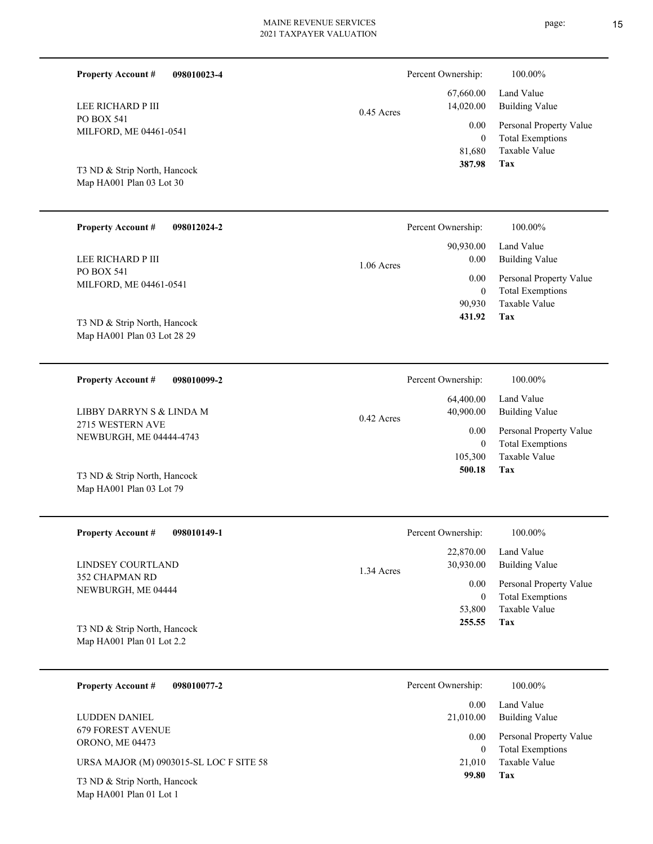| <b>Property Account #</b><br>098010023-4                    |              | Percent Ownership:                 | 100.00%                                                                    |
|-------------------------------------------------------------|--------------|------------------------------------|----------------------------------------------------------------------------|
| LEE RICHARD P III                                           | $0.45$ Acres | 67,660.00<br>14,020.00             | Land Value<br><b>Building Value</b>                                        |
| PO BOX 541<br>MILFORD, ME 04461-0541                        |              | 0.00<br>$\overline{0}$<br>81,680   | Personal Property Value<br><b>Total Exemptions</b><br>Taxable Value        |
| T3 ND & Strip North, Hancock<br>Map HA001 Plan 03 Lot 30    |              | 387.98                             | Tax                                                                        |
| <b>Property Account #</b><br>098012024-2                    |              | Percent Ownership:                 | 100.00%                                                                    |
| LEE RICHARD P III                                           | $1.06$ Acres | 90,930.00<br>0.00                  | Land Value<br><b>Building Value</b>                                        |
| PO BOX 541<br>MILFORD, ME 04461-0541                        |              | 0.00<br>$\overline{0}$<br>90,930   | Personal Property Value<br><b>Total Exemptions</b><br><b>Taxable Value</b> |
| T3 ND & Strip North, Hancock<br>Map HA001 Plan 03 Lot 28 29 |              | 431.92                             | Tax                                                                        |
| 098010099-2<br><b>Property Account #</b>                    |              | Percent Ownership:                 | 100.00%                                                                    |
| LIBBY DARRYN S & LINDA M                                    | $0.42$ Acres | 64,400.00<br>40,900.00             | Land Value<br><b>Building Value</b>                                        |
| 2715 WESTERN AVE<br>NEWBURGH, ME 04444-4743                 |              | 0.00<br>$\overline{0}$<br>105,300  | Personal Property Value<br><b>Total Exemptions</b><br><b>Taxable Value</b> |
| T3 ND & Strip North, Hancock<br>Map HA001 Plan 03 Lot 79    |              | 500.18                             | Tax                                                                        |
| <b>Property Account #</b><br>098010149-1                    |              | Percent Ownership:                 | $100.00\%$                                                                 |
| LINDSEY COURTLAND                                           | 1.34 Acres   | 22,870.00<br>30,930.00             | Land Value<br><b>Building Value</b>                                        |
| 352 CHAPMAN RD<br>NEWBURGH, ME 04444                        |              | 0.00<br>$\boldsymbol{0}$<br>53,800 | Personal Property Value<br><b>Total Exemptions</b><br>Taxable Value        |
| T3 ND & Strip North, Hancock<br>Map HA001 Plan 01 Lot 2.2   |              | 255.55                             | Tax                                                                        |
| <b>Property Account #</b><br>098010077-2                    |              | Percent Ownership:                 | 100.00%                                                                    |
| LUDDEN DANIEL                                               |              | 0.00<br>21,010.00                  | Land Value<br><b>Building Value</b>                                        |

| <b>ORONO, ME 04473</b> |  |  |  |
|------------------------|--|--|--|
|                        |  |  |  |

URSA MAJOR (M) 0903015-SL LOC F SITE 58

Map HA001 Plan 01 Lot 1 T3 ND & Strip North, Hancock

679 FOREST AVENUE

**Tax**

 21,010 0

0.00

 **99.80**

Taxable Value Total Exemptions Personal Property Value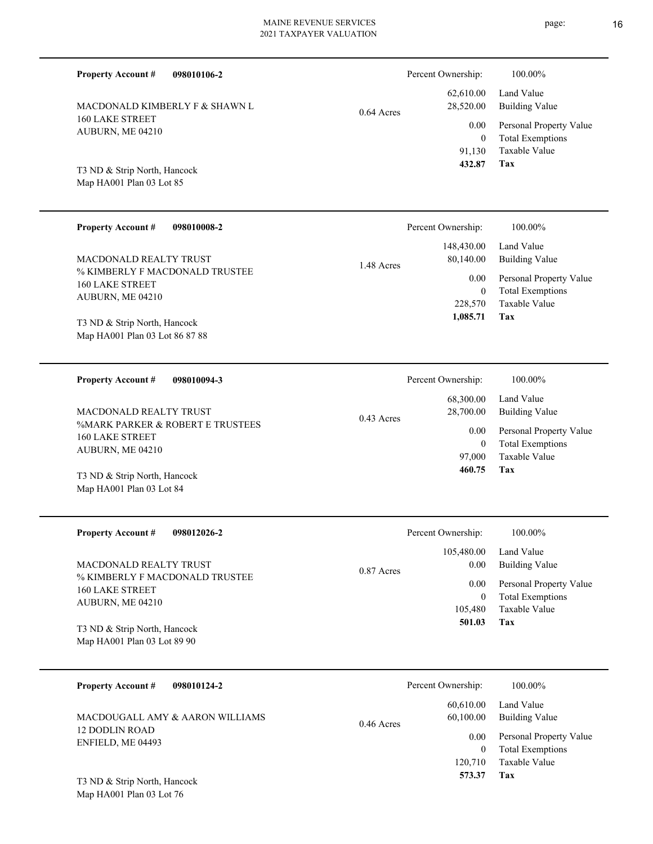| <b>Property Account #</b><br>098010106-2                                     |              | Percent Ownership:                                         | 100.00%                                                                                                    |
|------------------------------------------------------------------------------|--------------|------------------------------------------------------------|------------------------------------------------------------------------------------------------------------|
| MACDONALD KIMBERLY F & SHAWN L<br><b>160 LAKE STREET</b><br>AUBURN, ME 04210 | $0.64$ Acres | 62,610.00<br>28,520.00<br>0.00<br>$\overline{0}$<br>91,130 | Land Value<br><b>Building Value</b><br>Personal Property Value<br><b>Total Exemptions</b><br>Taxable Value |
| T3 ND & Strip North, Hancock<br>Map HA001 Plan 03 Lot 85                     |              | 432.87                                                     | Tax                                                                                                        |
| <b>Property Account #</b><br>098010008-2                                     |              | Percent Ownership:                                         | 100.00%                                                                                                    |
| MACDONALD REALTY TRUST                                                       | 1.48 Acres   | 148,430.00<br>80,140.00                                    | Land Value<br><b>Building Value</b>                                                                        |
| % KIMBERLY F MACDONALD TRUSTEE<br><b>160 LAKE STREET</b>                     |              | 0.00<br>$\overline{0}$                                     | Personal Property Value<br><b>Total Exemptions</b>                                                         |
| AUBURN, ME 04210                                                             |              | 228,570<br>1,085.71                                        | Taxable Value<br>Tax                                                                                       |
| T3 ND & Strip North, Hancock<br>Map HA001 Plan 03 Lot 86 87 88               |              |                                                            |                                                                                                            |
| <b>Property Account #</b><br>098010094-3                                     |              | Percent Ownership:                                         | 100.00%                                                                                                    |
| MACDONALD REALTY TRUST                                                       |              | 68,300.00<br>28,700.00                                     | Land Value<br><b>Building Value</b>                                                                        |
| %MARK PARKER & ROBERT E TRUSTEES<br><b>160 LAKE STREET</b>                   | $0.43$ Acres | 0.00                                                       | Personal Property Value                                                                                    |
| AUBURN, ME 04210                                                             |              | $\overline{0}$<br>97,000                                   | <b>Total Exemptions</b><br><b>Taxable Value</b>                                                            |
| T3 ND & Strip North, Hancock<br>Map HA001 Plan 03 Lot 84                     |              | 460.75                                                     | Tax                                                                                                        |
|                                                                              |              |                                                            |                                                                                                            |
| <b>Property Account #</b><br>098012026-2                                     |              | Percent Ownership:                                         | 100.00%                                                                                                    |
| MACDONALD REALTY TRUST                                                       | 0.87 Acres   | 105,480.00<br>0.00                                         | Land Value<br><b>Building Value</b>                                                                        |
| % KIMBERLY F MACDONALD TRUSTEE<br><b>160 LAKE STREET</b>                     |              | 0.00<br>$\boldsymbol{0}$                                   | Personal Property Value<br><b>Total Exemptions</b>                                                         |
| AUBURN, ME 04210                                                             |              | 105,480                                                    | Taxable Value                                                                                              |
| T3 ND & Strip North, Hancock<br>Map HA001 Plan 03 Lot 89 90                  |              | 501.03                                                     | Tax                                                                                                        |
| <b>Property Account #</b><br>098010124-2                                     |              | Percent Ownership:                                         | 100.00%                                                                                                    |
| MACDOUGALL AMY & AARON WILLIAMS                                              | 0.46 Acres   | 60,610.00<br>60,100.00                                     | Land Value<br><b>Building Value</b>                                                                        |
| 12 DODLIN ROAD                                                               |              |                                                            | 1 <sub>D</sub><br>T <sub>1</sub>                                                                           |

Map HA001 Plan 03 Lot 76 T3 ND & Strip North, Hancock

ENFIELD, ME 04493

**Tax**

 120,710  **573.37**

Taxable Value 0 Total Exemptions 0.00 Personal Property Value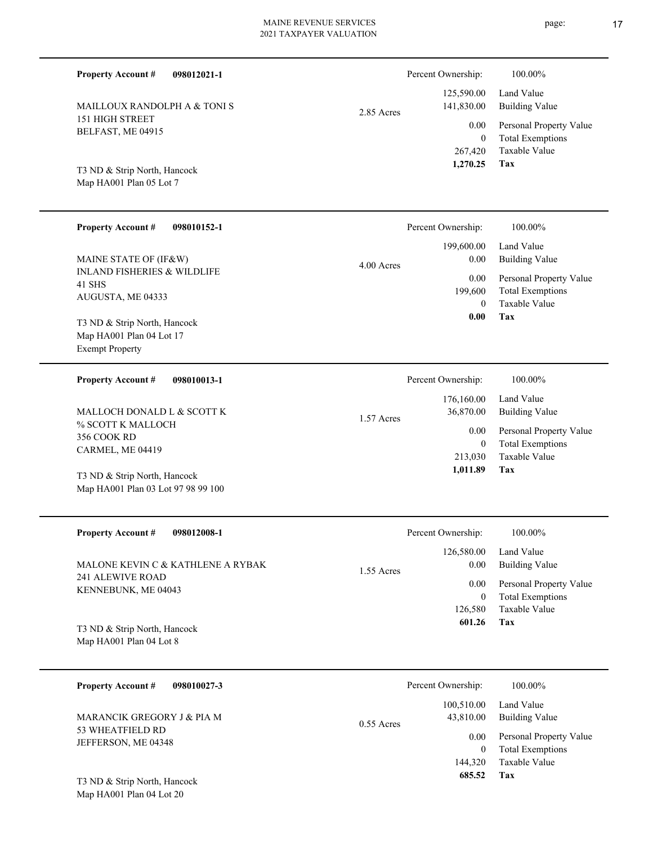| <b>Property Account #</b><br>098012021-1                           |            | Percent Ownership:       | 100.00%                                            |
|--------------------------------------------------------------------|------------|--------------------------|----------------------------------------------------|
| MAILLOUX RANDOLPH A & TONI S                                       | 2.85 Acres | 125,590.00<br>141,830.00 | Land Value<br><b>Building Value</b>                |
| 151 HIGH STREET<br>BELFAST, ME 04915                               |            | 0.00<br>$\mathbf{0}$     | Personal Property Value<br><b>Total Exemptions</b> |
|                                                                    |            | 267,420<br>1,270.25      | Taxable Value<br>Tax                               |
| T3 ND & Strip North, Hancock<br>Map HA001 Plan 05 Lot 7            |            |                          |                                                    |
|                                                                    |            |                          |                                                    |
| <b>Property Account #</b><br>098010152-1                           |            | Percent Ownership:       | 100.00%                                            |
| MAINE STATE OF (IF&W)                                              | 4.00 Acres | 199,600.00<br>0.00       | Land Value<br><b>Building Value</b>                |
| <b>INLAND FISHERIES &amp; WILDLIFE</b><br>41 SHS                   |            | 0.00<br>199,600          | Personal Property Value<br><b>Total Exemptions</b> |
| AUGUSTA, ME 04333                                                  |            | $\mathbf{0}$<br>0.00     | Taxable Value<br>Tax                               |
| T3 ND & Strip North, Hancock<br>Map HA001 Plan 04 Lot 17           |            |                          |                                                    |
| <b>Exempt Property</b>                                             |            |                          |                                                    |
| <b>Property Account #</b><br>098010013-1                           |            | Percent Ownership:       | 100.00%                                            |
| MALLOCH DONALD L & SCOTT K                                         | 1.57 Acres | 176,160.00<br>36,870.00  | Land Value<br><b>Building Value</b>                |
| % SCOTT K MALLOCH<br>356 COOK RD                                   |            | 0.00                     | Personal Property Value                            |
| CARMEL, ME 04419                                                   |            | $\mathbf{0}$<br>213,030  | <b>Total Exemptions</b><br>Taxable Value           |
| T3 ND & Strip North, Hancock<br>Map HA001 Plan 03 Lot 97 98 99 100 |            | 1,011.89                 | <b>Tax</b>                                         |
|                                                                    |            |                          |                                                    |
| <b>Property Account #</b><br>098012008-1                           |            |                          |                                                    |
|                                                                    |            | Percent Ownership:       | 100.00%                                            |
|                                                                    |            | 126,580.00               | Land Value                                         |
| MALONE KEVIN C & KATHLENE A RYBAK<br>241 ALEWIVE ROAD              | 1.55 Acres | 0.00<br>0.00             | <b>Building Value</b><br>Personal Property Value   |
| KENNEBUNK, ME 04043                                                |            | $\mathbf{0}$             | <b>Total Exemptions</b>                            |
| T3 ND & Strip North, Hancock                                       |            | 126,580<br>601.26        | Taxable Value<br>Tax                               |
| Map HA001 Plan 04 Lot 8                                            |            |                          |                                                    |
| <b>Property Account #</b><br>098010027-3                           |            | Percent Ownership:       | 100.00%                                            |
| MARANCIK GREGORY J & PIA M                                         |            | 100,510.00<br>43,810.00  | Land Value<br><b>Building Value</b>                |

**Tax 685.52**

144,320

Taxable Value 0 Total Exemptions 0.00 Personal Property Value

T3 ND & Strip North, Hancock

Map HA001 Plan 04 Lot 20

53 WHEATFIELD RD JEFFERSON, ME 04348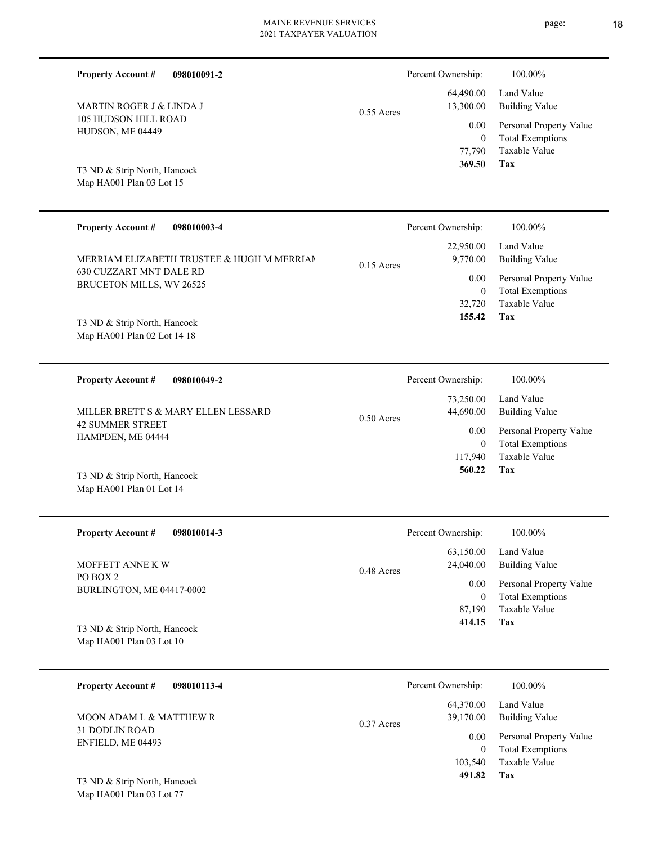| <b>Building Value</b>   |
|-------------------------|
| Personal Property Value |
| <b>Total Exemptions</b> |
| Taxable Value           |
|                         |
| 100.00%<br>Land Value   |

| <b>Property Account #</b><br>098010003-4                                                          |              | Percent Ownership:            | 100.00%                                                                            |
|---------------------------------------------------------------------------------------------------|--------------|-------------------------------|------------------------------------------------------------------------------------|
| MERRIAM ELIZABETH TRUSTEE & HUGH M MERRIAN<br>630 CUZZART MNT DALE RD<br>BRUCETON MILLS, WV 26525 | $0.15$ Acres | 22,950.00<br>9,770.00<br>0.00 | Land Value<br>Building Value<br>Personal Property Value<br><b>Total Exemptions</b> |
| T3 ND & Strip North, Hancock<br>Map HA001 Plan 02 Lot 14 18                                       |              | 32,720<br>155.42              | Taxable Value<br>Tax                                                               |

| <b>Property Account #</b><br>098010049-2                                            | Percent Ownership:                             | 100.00%                                                 |
|-------------------------------------------------------------------------------------|------------------------------------------------|---------------------------------------------------------|
| MILLER BRETT S & MARY ELLEN LESSARD<br><b>42 SUMMER STREET</b><br>HAMPDEN, ME 04444 | 73,250.00<br>44,690.00<br>$0.50$ Acres<br>0.00 | Land Value<br>Building Value<br>Personal Property Value |
|                                                                                     |                                                | <b>Total Exemptions</b>                                 |
|                                                                                     | 117,940                                        | Taxable Value                                           |
| T3 ND & Strip North, Hancock                                                        | 560.22                                         | Tax                                                     |

| <b>Property Account #</b><br>098010014-3 | Percent Ownership:                     | 100.00%                                            |
|------------------------------------------|----------------------------------------|----------------------------------------------------|
| MOFFETT ANNE K W                         | 63,150.00<br>24,040.00<br>$0.48$ Acres | Land Value<br>Building Value                       |
| PO BOX 2<br>BURLINGTON, ME 04417-0002    | 0.00<br>0                              | Personal Property Value<br><b>Total Exemptions</b> |
|                                          | 87,190                                 | Taxable Value                                      |
| T3 ND & Strip North, Hancock             | 414.15                                 | Tax                                                |
| Map HA001 Plan 03 Lot 10                 |                                        |                                                    |

| 098010113-4<br><b>Property Account #</b> | Percent Ownership:                     | 100.00%                                            |
|------------------------------------------|----------------------------------------|----------------------------------------------------|
| MOON ADAM L & MATTHEW R                  | 64,370.00<br>39,170.00<br>$0.37$ Acres | Land Value<br><b>Building Value</b>                |
| 31 DODLIN ROAD<br>ENFIELD, ME 04493      | 0.00                                   | Personal Property Value<br><b>Total Exemptions</b> |
|                                          | 103,540                                | Taxable Value                                      |
| T3 ND & Strip North, Hancock             | 491.82                                 | Tax                                                |

Map HA001 Plan 03 Lot 77

Map HA001 Plan 01 Lot 14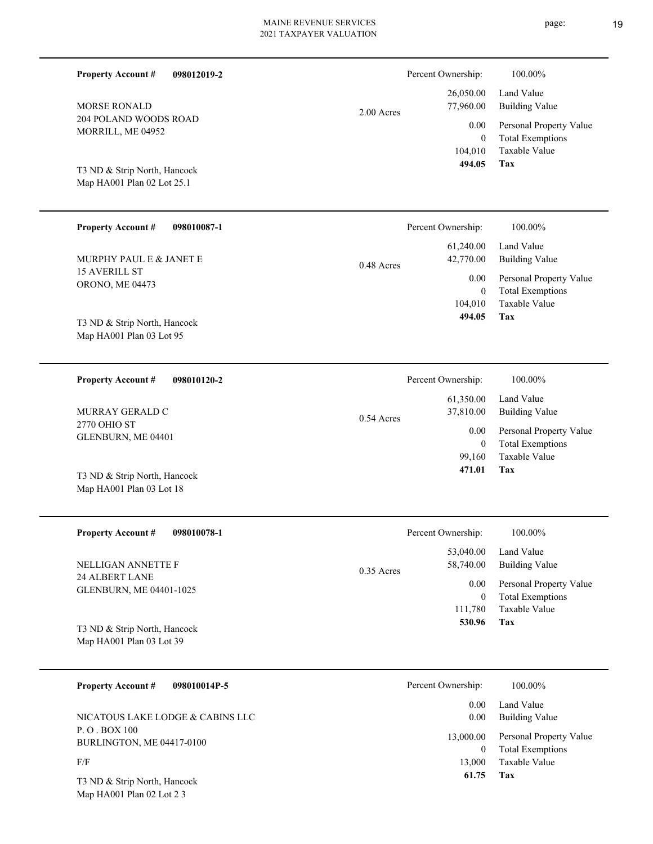| <b>Property Account #</b><br>098012019-2                   |              | Percent Ownership:        | 100.00%                                            |
|------------------------------------------------------------|--------------|---------------------------|----------------------------------------------------|
| <b>MORSE RONALD</b>                                        | 2.00 Acres   | 26,050.00<br>77,960.00    | Land Value<br><b>Building Value</b>                |
| 204 POLAND WOODS ROAD<br>MORRILL, ME 04952                 |              | 0.00<br>$\overline{0}$    | Personal Property Value<br><b>Total Exemptions</b> |
|                                                            |              | 104,010<br>494.05         | Taxable Value<br>Tax                               |
| T3 ND & Strip North, Hancock<br>Map HA001 Plan 02 Lot 25.1 |              |                           |                                                    |
|                                                            |              |                           |                                                    |
| <b>Property Account #</b><br>098010087-1                   |              | Percent Ownership:        | 100.00%                                            |
| MURPHY PAUL E & JANET E                                    | 0.48 Acres   | 61,240.00<br>42,770.00    | Land Value<br><b>Building Value</b>                |
| <b>15 AVERILL ST</b><br>ORONO, ME 04473                    |              | 0.00<br>$\overline{0}$    | Personal Property Value<br><b>Total Exemptions</b> |
|                                                            |              | 104,010<br>494.05         | Taxable Value<br>Tax                               |
| T3 ND & Strip North, Hancock<br>Map HA001 Plan 03 Lot 95   |              |                           |                                                    |
|                                                            |              |                           |                                                    |
| 098010120-2<br><b>Property Account #</b>                   |              | Percent Ownership:        | 100.00%                                            |
| MURRAY GERALD C                                            |              | 61,350.00<br>37,810.00    | Land Value<br><b>Building Value</b>                |
| 2770 OHIO ST<br>GLENBURN, ME 04401                         | $0.54$ Acres | 0.00                      | Personal Property Value                            |
|                                                            |              | $\overline{0}$<br>99,160  | <b>Total Exemptions</b><br>Taxable Value           |
| T3 ND & Strip North, Hancock<br>Map HA001 Plan 03 Lot 18   |              | 471.01                    | Tax                                                |
|                                                            |              |                           |                                                    |
| <b>Property Account #</b><br>098010078-1                   |              | Percent Ownership:        | 100.00%                                            |
| NELLIGAN ANNETTE F                                         |              | 53,040.00<br>58,740.00    | Land Value<br><b>Building Value</b>                |
| 24 ALBERT LANE                                             | 0.35 Acres   | 0.00                      | Personal Property Value                            |
| GLENBURN, ME 04401-1025                                    |              | $\overline{0}$<br>111,780 | <b>Total Exemptions</b><br>Taxable Value           |
| T3 ND & Strip North, Hancock                               |              | 530.96                    | <b>Tax</b>                                         |
| Map HA001 Plan 03 Lot 39                                   |              |                           |                                                    |
| <b>Property Account #</b><br>098010014P-5                  |              | Percent Ownership:        | 100.00%                                            |
|                                                            |              | 0.00                      | Land Value                                         |

P. O . BOX 100 BURLINGTON, ME 04417-0100 NICATOUS LAKE LODGE & CABINS LLC

F/F

Map HA001 Plan 02 Lot 2 3 T3 ND & Strip North, Hancock

| $0.00\,$  | Building Value          |
|-----------|-------------------------|
| 13,000.00 | Personal Property Value |
| 0         | <b>Total Exemptions</b> |
| 13,000    | Taxable Value           |
| 61.75     | Tax                     |
|           |                         |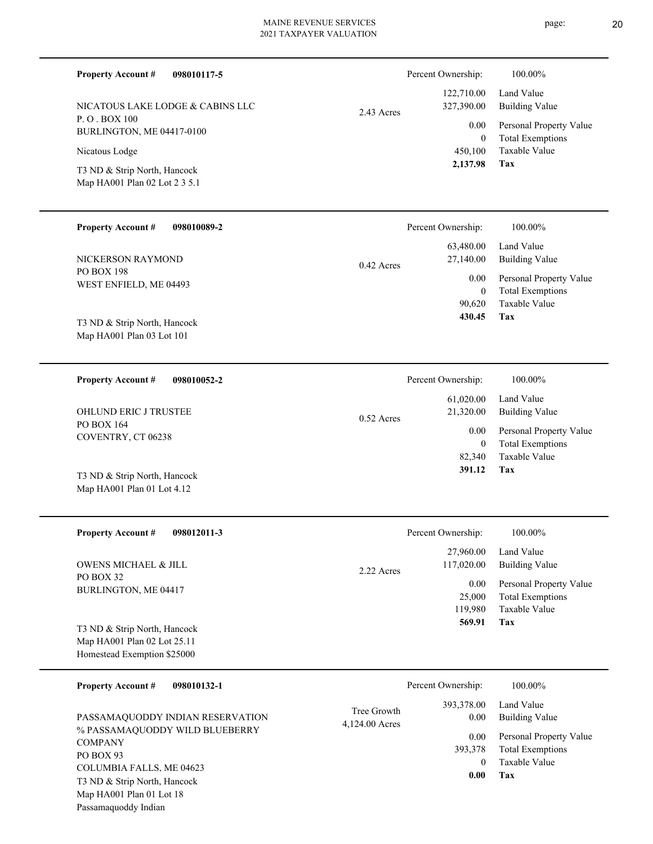| <b>Property Account #</b><br>098010117-5                                        |                               | Percent Ownership:                         | 100.00%                                                                    |
|---------------------------------------------------------------------------------|-------------------------------|--------------------------------------------|----------------------------------------------------------------------------|
| NICATOUS LAKE LODGE & CABINS LLC<br>P.O.BOX 100<br>BURLINGTON, ME 04417-0100    | $2.43$ Acres                  | 122,710.00<br>327,390.00<br>0.00           | Land Value<br><b>Building Value</b><br>Personal Property Value             |
| Nicatous Lodge<br>T3 ND & Strip North, Hancock<br>Map HA001 Plan 02 Lot 2 3 5.1 |                               | $\overline{0}$<br>450,100<br>2,137.98      | <b>Total Exemptions</b><br><b>Taxable Value</b><br>Tax                     |
| <b>Property Account #</b><br>098010089-2                                        |                               | Percent Ownership:                         | 100.00%                                                                    |
| NICKERSON RAYMOND                                                               | 0.42 Acres                    | 63,480.00<br>27,140.00                     | Land Value<br><b>Building Value</b>                                        |
| PO BOX 198<br>WEST ENFIELD, ME 04493<br>T3 ND & Strip North, Hancock            |                               | 0.00<br>$\overline{0}$<br>90,620<br>430.45 | Personal Property Value<br><b>Total Exemptions</b><br>Taxable Value<br>Tax |
| Map HA001 Plan 03 Lot 101                                                       |                               |                                            |                                                                            |
| <b>Property Account #</b><br>098010052-2                                        |                               | Percent Ownership:                         | 100.00%                                                                    |
| OHLUND ERIC J TRUSTEE<br>PO BOX 164                                             | $0.52$ Acres                  | 61,020.00<br>21,320.00                     | Land Value<br><b>Building Value</b>                                        |
| COVENTRY, CT 06238                                                              |                               | 0.00<br>$\overline{0}$<br>82,340           | Personal Property Value<br><b>Total Exemptions</b><br><b>Taxable Value</b> |
| T3 ND & Strip North, Hancock<br>Map HA001 Plan 01 Lot 4.12                      |                               | 391.12                                     | Tax                                                                        |
| <b>Property Account #</b><br>098012011-3                                        |                               | Percent Ownership:                         | 100.00%                                                                    |
| <b>OWENS MICHAEL &amp; JILL</b>                                                 | 2.22 Acres                    | 27,960.00<br>117,020.00                    | Land Value<br><b>Building Value</b>                                        |
| PO BOX 32<br>BURLINGTON, ME 04417                                               |                               | 0.00<br>25,000<br>119,980                  | Personal Property Value<br><b>Total Exemptions</b><br>Taxable Value        |
| T3 ND & Strip North, Hancock<br>Map HA001 Plan 02 Lot 25.11                     |                               | 569.91                                     | Tax                                                                        |
| Homestead Exemption \$25000                                                     |                               |                                            |                                                                            |
| 098010132-1<br><b>Property Account #</b>                                        |                               | Percent Ownership:                         | 100.00%                                                                    |
| PASSAMAQUODDY INDIAN RESERVATION                                                | Tree Growth<br>4,124.00 Acres | 393,378.00<br>0.00                         | Land Value<br><b>Building Value</b>                                        |
| % PASSAMAQUODDY WILD BLUEBERRY<br><b>COMPANY</b><br>$DO$ $D$ $O$ $V$ $O$ $2$    |                               | 0.00<br>393,378                            | Personal Property Value<br><b>Total Exemptions</b>                         |

PO BOX 93 COLUMBIA FALLS, ME 04623 Map HA001 Plan 01 Lot 18 Passamaquoddy Indian T3 ND & Strip North, Hancock

**Tax 0.00**

0

Taxable Value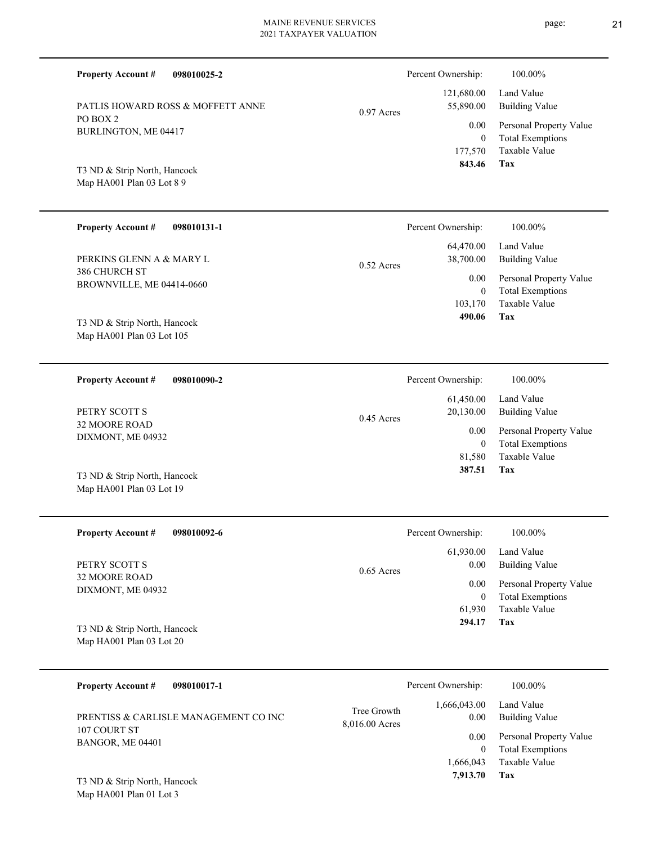| <b>Property Account #</b><br>098010025-2                  |              | Percent Ownership:                | 100.00%                                                             |
|-----------------------------------------------------------|--------------|-----------------------------------|---------------------------------------------------------------------|
| PATLIS HOWARD ROSS & MOFFETT ANNE                         | $0.97$ Acres | 121,680.00<br>55,890.00           | Land Value<br><b>Building Value</b>                                 |
| PO BOX 2<br>BURLINGTON, ME 04417                          |              | 0.00<br>$\mathbf{0}$<br>177,570   | Personal Property Value<br><b>Total Exemptions</b><br>Taxable Value |
| T3 ND & Strip North, Hancock<br>Map HA001 Plan 03 Lot 8 9 |              | 843.46                            | Tax                                                                 |
| <b>Property Account #</b><br>098010131-1                  |              | Percent Ownership:                | 100.00%                                                             |
| PERKINS GLENN A & MARY L                                  | $0.52$ Acres | 64,470.00<br>38,700.00            | Land Value<br><b>Building Value</b>                                 |
| 386 CHURCH ST<br>BROWNVILLE, ME 04414-0660                |              | 0.00<br>$\overline{0}$<br>103,170 | Personal Property Value<br><b>Total Exemptions</b><br>Taxable Value |
| T3 ND & Strip North, Hancock<br>Map HA001 Plan 03 Lot 105 |              | 490.06                            | Tax                                                                 |
| 098010090-2<br><b>Property Account #</b>                  |              | Percent Ownership:                | 100.00%                                                             |
| PETRY SCOTT S                                             | $0.45$ Acres | 61,450.00<br>20,130.00            | Land Value<br><b>Building Value</b>                                 |
| 32 MOORE ROAD<br>DIXMONT, ME 04932                        |              | 0.00<br>$\overline{0}$<br>81,580  | Personal Property Value<br><b>Total Exemptions</b><br>Taxable Value |
| T3 ND & Strip North, Hancock<br>Map HA001 Plan 03 Lot 19  |              | 387.51                            | Tax                                                                 |
|                                                           |              |                                   |                                                                     |
| <b>Property Account #</b><br>098010092-6                  |              | Percent Ownership:                | 100.00%                                                             |
| PETRY SCOTT S                                             | 0.65 Acres   | 61,930.00<br>0.00                 | Land Value<br><b>Building Value</b>                                 |
| 32 MOORE ROAD<br>DIXMONT, ME 04932                        |              | 0.00<br>$\bf{0}$<br>61,930        | Personal Property Value<br><b>Total Exemptions</b><br>Taxable Value |
| T3 ND & Strip North, Hancock<br>Map HA001 Plan 03 Lot 20  |              | 294.17                            | <b>Tax</b>                                                          |

| PRENTISS & CARLISLE MANAGEMENT CO INC<br>107 COURT ST<br>BANGOR, ME 04401 | Tree Growth<br>8,016.00 Acres | 1.666.043.00<br>0.00 | Land Value<br>Building Value                       |
|---------------------------------------------------------------------------|-------------------------------|----------------------|----------------------------------------------------|
|                                                                           |                               | 0.00 <sub>1</sub>    | Personal Property Value<br><b>Total Exemptions</b> |
|                                                                           |                               | 1.666.043            | Taxable Value                                      |
| T3 ND & Strin North Hancock                                               |                               | 7,913.70             | Tax                                                |

Map HA001 Plan 01 Lot 3 T3 ND & Strip North, Hancock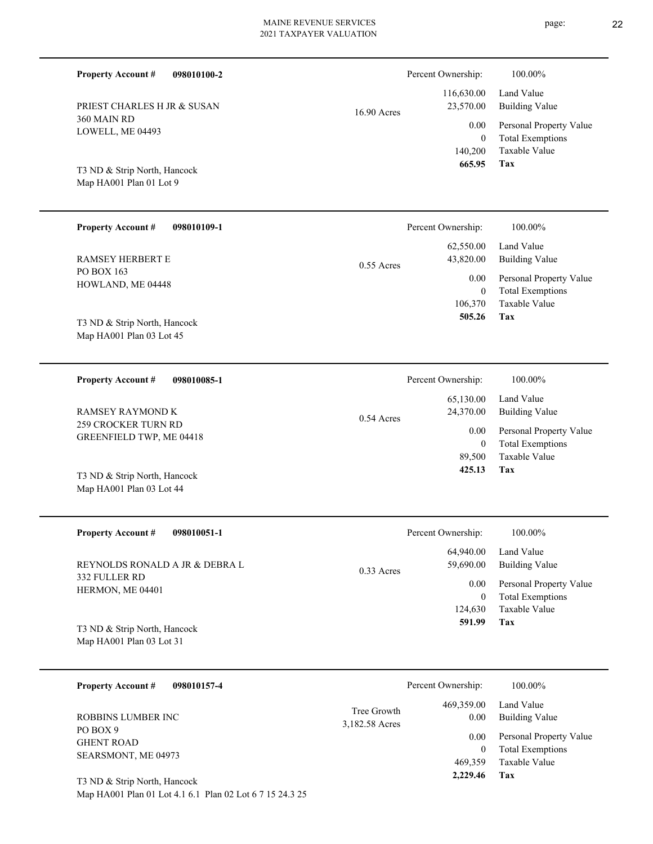| <b>Property Account #</b><br>098010100-2                |                               | Percent Ownership:       | 100.00%                                            |
|---------------------------------------------------------|-------------------------------|--------------------------|----------------------------------------------------|
| PRIEST CHARLES H JR & SUSAN                             | 16.90 Acres                   | 116,630.00<br>23,570.00  | Land Value<br><b>Building Value</b>                |
| 360 MAIN RD<br>LOWELL, ME 04493                         |                               | 0.00                     | Personal Property Value                            |
|                                                         |                               | $\overline{0}$           | <b>Total Exemptions</b>                            |
|                                                         |                               | 140,200<br>665.95        | Taxable Value<br>Tax                               |
| T3 ND & Strip North, Hancock<br>Map HA001 Plan 01 Lot 9 |                               |                          |                                                    |
|                                                         |                               |                          |                                                    |
| <b>Property Account #</b><br>098010109-1                |                               | Percent Ownership:       | 100.00%                                            |
|                                                         |                               | 62,550.00                | Land Value                                         |
| <b>RAMSEY HERBERT E</b><br>PO BOX 163                   | $0.55$ Acres                  | 43,820.00                | <b>Building Value</b>                              |
| HOWLAND, ME 04448                                       |                               | 0.00                     | Personal Property Value                            |
|                                                         |                               | $\mathbf{0}$<br>106,370  | <b>Total Exemptions</b><br>Taxable Value           |
| T3 ND & Strip North, Hancock                            |                               | 505.26                   | Tax                                                |
| Map HA001 Plan 03 Lot 45                                |                               |                          |                                                    |
|                                                         |                               |                          |                                                    |
| <b>Property Account #</b><br>098010085-1                |                               | Percent Ownership:       | 100.00%                                            |
|                                                         |                               | 65,130.00                | Land Value                                         |
| <b>RAMSEY RAYMOND K</b><br>259 CROCKER TURN RD          | 0.54 Acres                    | 24,370.00                | <b>Building Value</b>                              |
| GREENFIELD TWP, ME 04418                                |                               | 0.00<br>$\mathbf{0}$     | Personal Property Value<br><b>Total Exemptions</b> |
|                                                         |                               | 89,500                   | Taxable Value                                      |
| T3 ND & Strip North, Hancock                            |                               | 425.13                   | Tax                                                |
| Map HA001 Plan 03 Lot 44                                |                               |                          |                                                    |
|                                                         |                               |                          |                                                    |
| <b>Property Account #</b><br>098010051-1                |                               | Percent Ownership:       | 100.00%                                            |
|                                                         |                               | 64,940.00<br>59,690.00   | Land Value                                         |
| REYNOLDS RONALD A JR & DEBRA L<br>332 FULLER RD         | $0.33$ Acres                  |                          | <b>Building Value</b>                              |
| HERMON, ME 04401                                        |                               | 0.00<br>$\boldsymbol{0}$ | Personal Property Value<br><b>Total Exemptions</b> |
|                                                         |                               | 124,630                  | Taxable Value                                      |
| T3 ND & Strip North, Hancock                            |                               | 591.99                   | Tax                                                |
| Map HA001 Plan 03 Lot 31                                |                               |                          |                                                    |
| <b>Property Account #</b><br>098010157-4                |                               | Percent Ownership:       | 100.00%                                            |
|                                                         |                               | 469,359.00               | Land Value                                         |
| ROBBINS LUMBER INC                                      | Tree Growth<br>3,182.58 Acres | 0.00                     | <b>Building Value</b>                              |
| PO BOX 9<br><b>GHENT ROAD</b>                           |                               | 0.00                     | Personal Property Value                            |
|                                                         |                               |                          |                                                    |

Map HA001 Plan 01 Lot 4.1 6.1 Plan 02 Lot 6 7 15 24.3 25 T3 ND & Strip North, Hancock

SEARSMONT, ME 04973

**Tax**

 469,359  **2,229.46**

Taxable Value 0 Total Exemptions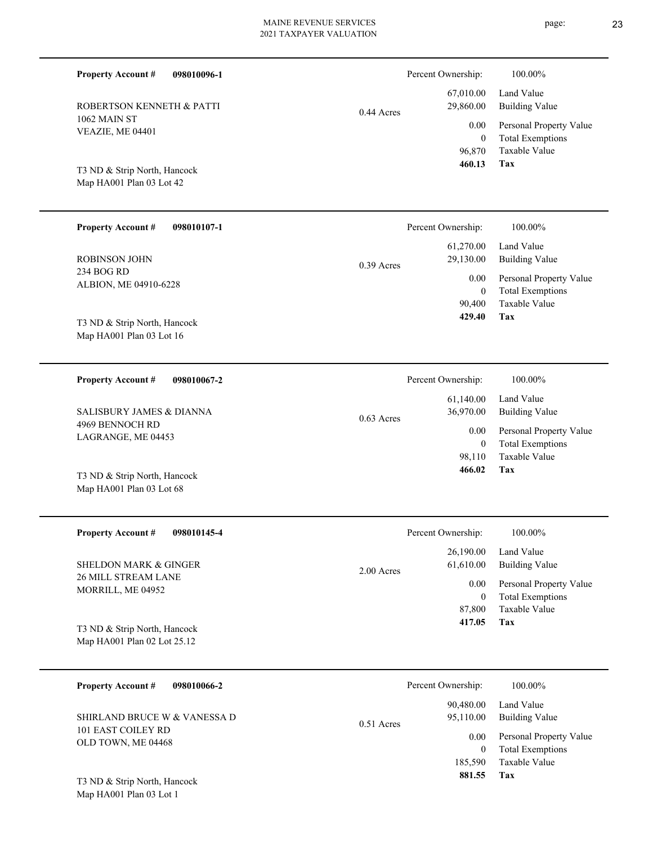| <b>Property Account #</b><br>098010096-1                 |              | Percent Ownership:         | 100.00%                                            |
|----------------------------------------------------------|--------------|----------------------------|----------------------------------------------------|
| ROBERTSON KENNETH & PATTI                                | $0.44$ Acres | 67,010.00<br>29,860.00     | Land Value<br><b>Building Value</b>                |
| 1062 MAIN ST                                             |              | 0.00                       | Personal Property Value                            |
| VEAZIE, ME 04401                                         |              | $\mathbf{0}$               | <b>Total Exemptions</b>                            |
|                                                          |              | 96,870<br>460.13           | <b>Taxable Value</b><br><b>Tax</b>                 |
| T3 ND & Strip North, Hancock<br>Map HA001 Plan 03 Lot 42 |              |                            |                                                    |
|                                                          |              |                            |                                                    |
| <b>Property Account #</b><br>098010107-1                 |              | Percent Ownership:         | 100.00%                                            |
|                                                          |              | 61,270.00                  | Land Value                                         |
| <b>ROBINSON JOHN</b><br>234 BOG RD                       | $0.39$ Acres | 29,130.00                  | <b>Building Value</b>                              |
| ALBION, ME 04910-6228                                    |              | 0.00<br>$\mathbf{0}$       | Personal Property Value<br><b>Total Exemptions</b> |
|                                                          |              | 90,400                     | Taxable Value                                      |
| T3 ND & Strip North, Hancock                             |              | 429.40                     | Tax                                                |
| Map HA001 Plan 03 Lot 16                                 |              |                            |                                                    |
| <b>Property Account #</b><br>098010067-2                 |              | Percent Ownership:         | 100.00%                                            |
|                                                          |              | 61,140.00                  | Land Value                                         |
| SALISBURY JAMES & DIANNA                                 | $0.63$ Acres | 36,970.00                  | <b>Building Value</b>                              |
| 4969 BENNOCH RD<br>LAGRANGE, ME 04453                    |              | 0.00                       | Personal Property Value                            |
|                                                          |              | $\boldsymbol{0}$<br>98,110 | <b>Total Exemptions</b><br>Taxable Value           |
| T3 ND & Strip North, Hancock                             |              | 466.02                     | Tax                                                |
| Map HA001 Plan 03 Lot 68                                 |              |                            |                                                    |
|                                                          |              |                            |                                                    |
| <b>Property Account #</b><br>098010145-4                 |              | Percent Ownership:         | $100.00\%$                                         |
|                                                          |              | 26,190.00                  | Land Value                                         |
| <b>SHELDON MARK &amp; GINGER</b><br>26 MILL STREAM LANE  | 2.00 Acres   | 61,610.00                  | <b>Building Value</b>                              |
| MORRILL, ME 04952                                        |              | 0.00<br>$\boldsymbol{0}$   | Personal Property Value<br><b>Total Exemptions</b> |
|                                                          |              | 87,800                     | Taxable Value                                      |
| T3 ND & Strip North, Hancock                             |              | 417.05                     | Tax                                                |
| Map HA001 Plan 02 Lot 25.12                              |              |                            |                                                    |
|                                                          |              |                            |                                                    |
| 098010066-2<br><b>Property Account #</b>                 |              | Percent Ownership:         | 100.00%                                            |
| SHIRLAND BRUCE W & VANESSA D                             |              | 90,480.00<br>95,110.00     | Land Value<br><b>Building Value</b>                |
| 101 EAST COILEY RD                                       | 0.51 Acres   | 0.00                       | Personal Property Value                            |
| OLD TOWN, ME 04468                                       |              | $\overline{0}$             | <b>Total Exemptions</b>                            |

**Tax 881.55**

185,590 Taxable Value

Map HA001 Plan 03 Lot 1 T3 ND & Strip North, Hancock page: 23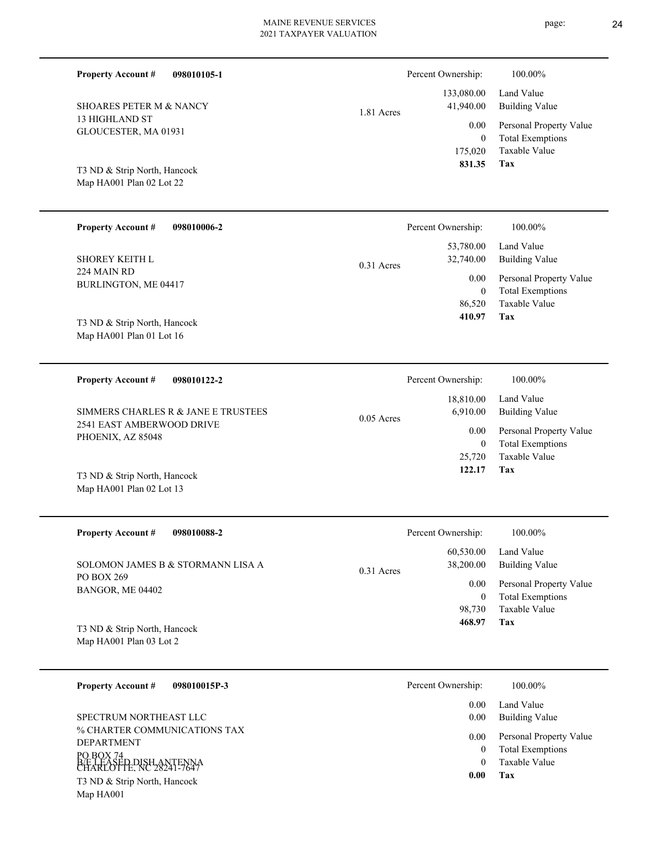| <b>Property Account #</b><br>098010105-1                 |              | Percent Ownership:                 | 100.00%                                                                    |
|----------------------------------------------------------|--------------|------------------------------------|----------------------------------------------------------------------------|
| <b>SHOARES PETER M &amp; NANCY</b>                       | 1.81 Acres   | 133,080.00<br>41,940.00            | Land Value<br><b>Building Value</b>                                        |
| 13 HIGHLAND ST<br>GLOUCESTER, MA 01931                   |              | 0.00<br>$\boldsymbol{0}$           | Personal Property Value<br><b>Total Exemptions</b>                         |
| T3 ND & Strip North, Hancock<br>Map HA001 Plan 02 Lot 22 |              | 175,020<br>831.35                  | Taxable Value<br>Tax                                                       |
| <b>Property Account #</b><br>098010006-2                 |              | Percent Ownership:                 | 100.00%                                                                    |
| <b>SHOREY KEITH L</b>                                    | $0.31$ Acres | 53,780.00<br>32,740.00             | Land Value<br><b>Building Value</b>                                        |
| 224 MAIN RD<br>BURLINGTON, ME 04417                      |              | 0.00<br>$\overline{0}$<br>86,520   | Personal Property Value<br><b>Total Exemptions</b><br>Taxable Value        |
| T3 ND & Strip North, Hancock<br>Map HA001 Plan 01 Lot 16 |              | 410.97                             | Tax                                                                        |
| <b>Property Account #</b><br>098010122-2                 |              | Percent Ownership:                 | 100.00%                                                                    |
|                                                          |              | 18,810.00                          | Land Value                                                                 |
| SIMMERS CHARLES R & JANE E TRUSTEES                      |              | 6,910.00                           | <b>Building Value</b>                                                      |
| 2541 EAST AMBERWOOD DRIVE<br>PHOENIX, AZ 85048           | $0.05$ Acres | 0.00<br>$\overline{0}$             | Personal Property Value<br><b>Total Exemptions</b><br>Taxable Value        |
| T3 ND & Strip North, Hancock<br>Map HA001 Plan 02 Lot 13 |              | 25,720<br>122.17                   | Tax                                                                        |
| <b>Property Account #</b><br>098010088-2                 |              | Percent Ownership:                 | 100.00%                                                                    |
| SOLOMON JAMES B & STORMANN LISA A                        |              | 60,530.00<br>38,200.00             | Land Value<br><b>Building Value</b>                                        |
| PO BOX 269<br>BANGOR, ME 04402                           | 0.31 Acres   | 0.00<br>$\boldsymbol{0}$<br>98,730 | Personal Property Value<br><b>Total Exemptions</b><br><b>Taxable Value</b> |
| T3 ND & Strip North, Hancock<br>Map HA001 Plan 03 Lot 2  |              | 468.97                             | Tax                                                                        |

|                                                                                                                       | 0.00 | Land Value                                                          |
|-----------------------------------------------------------------------------------------------------------------------|------|---------------------------------------------------------------------|
| SPECTRUM NORTHEAST LLC                                                                                                | 0.00 | Building Value                                                      |
| % CHARTER COMMUNICATIONS TAX<br><b>DEPARTMENT</b><br>PO BOX 74<br>B/E LEASED DISH ANTENNA<br>CHARLOTTE, NC 28241-7647 | 0.00 | Personal Property Value<br><b>Total Exemptions</b><br>Taxable Value |
| T3 ND & Strip North, Hancock                                                                                          | 0.00 | Tax                                                                 |
| Map HA001                                                                                                             |      |                                                                     |
|                                                                                                                       |      |                                                                     |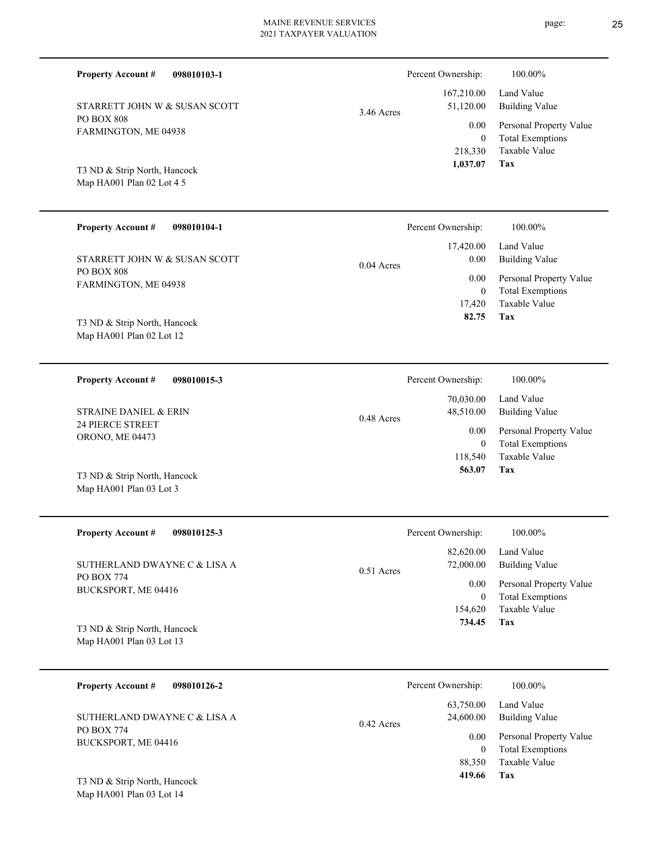| <b>Property Account #</b><br>098010103-1                  |              | Percent Ownership:              | 100.00%                                                                    |
|-----------------------------------------------------------|--------------|---------------------------------|----------------------------------------------------------------------------|
| STARRETT JOHN W & SUSAN SCOTT                             | 3.46 Acres   | 167,210.00<br>51,120.00         | Land Value<br><b>Building Value</b>                                        |
| <b>PO BOX 808</b><br>FARMINGTON, ME 04938                 |              | 0.00<br>$\theta$<br>218,330     | Personal Property Value<br><b>Total Exemptions</b><br>Taxable Value        |
| T3 ND & Strip North, Hancock<br>Map HA001 Plan 02 Lot 4 5 |              | 1,037.07                        | <b>Tax</b>                                                                 |
| <b>Property Account #</b><br>098010104-1                  |              | Percent Ownership:              | 100.00%                                                                    |
| STARRETT JOHN W & SUSAN SCOTT                             | $0.04$ Acres | 17,420.00<br>0.00               | Land Value<br><b>Building Value</b>                                        |
| PO BOX 808<br>FARMINGTON, ME 04938                        |              | 0.00<br>$\mathbf{0}$<br>17,420  | Personal Property Value<br><b>Total Exemptions</b><br><b>Taxable Value</b> |
| T3 ND & Strip North, Hancock<br>Map HA001 Plan 02 Lot 12  |              | 82.75                           | Tax                                                                        |
| <b>Property Account #</b><br>098010015-3                  |              | Percent Ownership:              | 100.00%                                                                    |
| <b>STRAINE DANIEL &amp; ERIN</b>                          | 0.48 Acres   | 70,030.00<br>48,510.00          | Land Value<br><b>Building Value</b>                                        |
| <b>24 PIERCE STREET</b><br>ORONO, ME 04473                |              | 0.00<br>$\mathbf{0}$<br>118,540 | Personal Property Value<br><b>Total Exemptions</b><br>Taxable Value        |
| T3 ND & Strip North, Hancock<br>Map HA001 Plan 03 Lot 3   |              | 563.07                          | Tax                                                                        |
| <b>Property Account #</b><br>098010125-3                  |              | Percent Ownership:              | 100.00%                                                                    |
| SUTHERLAND DWAYNE C & LISA A                              | 0.51 Acres   | 82,620.00<br>72,000.00          | Land Value<br><b>Building Value</b>                                        |
| PO BOX 774<br>BUCKSPORT, ME 04416                         |              | 0.00<br>$\mathbf{0}$<br>154,620 | Personal Property Value<br><b>Total Exemptions</b><br>Taxable Value        |
| T3 ND & Strip North, Hancock<br>Map HA001 Plan 03 Lot 13  |              | 734.45                          | Tax                                                                        |
| <b>Property Account #</b><br>098010126-2                  |              | Percent Ownership:              | 100.00%                                                                    |
| SUTHERLAND DWAYNE C & LISA A                              | 0.42 Acres   | 63,750.00<br>24,600.00          | Land Value<br><b>Building Value</b>                                        |
| PO BOX 774<br>BUCKSPORT, ME 04416                         |              | 0.00                            | Personal Property Value                                                    |

**Tax**

 88,350  **419.66**

Taxable Value 0 Total Exemptions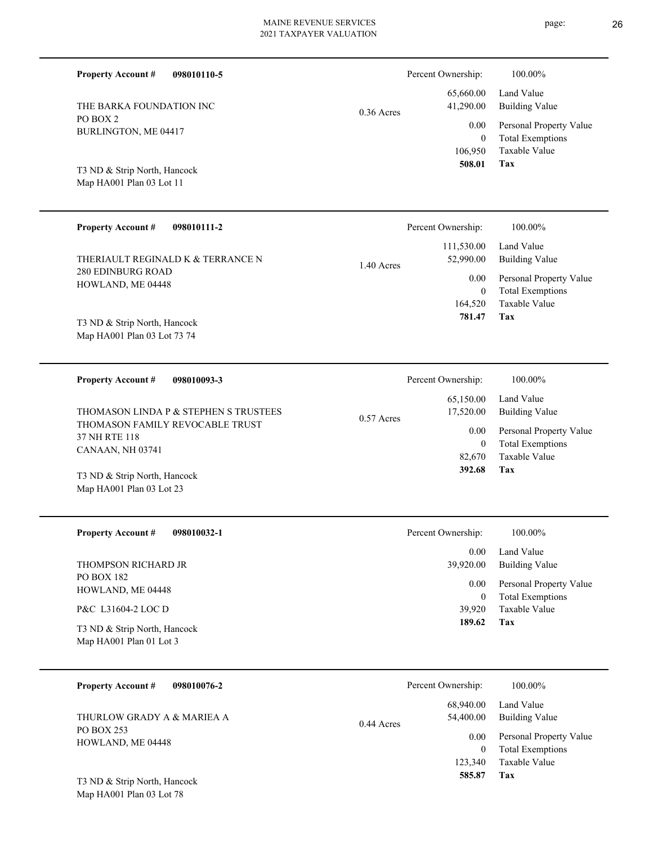| <b>Property Account #</b><br>098010110-5                 |              | Percent Ownership:        | 100.00%                                            |
|----------------------------------------------------------|--------------|---------------------------|----------------------------------------------------|
| THE BARKA FOUNDATION INC                                 | $0.36$ Acres | 65,660.00<br>41,290.00    | Land Value<br><b>Building Value</b>                |
| PO BOX 2<br>BURLINGTON, ME 04417                         |              | 0.00                      | Personal Property Value                            |
|                                                          |              | $\overline{0}$<br>106,950 | <b>Total Exemptions</b><br><b>Taxable Value</b>    |
| T3 ND & Strip North, Hancock<br>Map HA001 Plan 03 Lot 11 |              | 508.01                    | Tax                                                |
|                                                          |              |                           |                                                    |
| <b>Property Account #</b><br>098010111-2                 |              | Percent Ownership:        | 100.00%                                            |
| THERIAULT REGINALD K & TERRANCE N                        |              | 111,530.00<br>52,990.00   | Land Value<br><b>Building Value</b>                |
| <b>280 EDINBURG ROAD</b><br>HOWLAND, ME 04448            | 1.40 Acres   | 0.00                      | Personal Property Value                            |
|                                                          |              | $\overline{0}$<br>164,520 | <b>Total Exemptions</b><br><b>Taxable Value</b>    |
| T3 ND & Strip North, Hancock                             |              | 781.47                    | Tax                                                |
| Map HA001 Plan 03 Lot 73 74                              |              |                           |                                                    |
| <b>Property Account #</b><br>098010093-3                 |              | Percent Ownership:        | 100.00%                                            |
| THOMASON LINDA P & STEPHEN S TRUSTEES                    |              | 65,150.00<br>17,520.00    | Land Value<br><b>Building Value</b>                |
| THOMASON FAMILY REVOCABLE TRUST<br>37 NH RTE 118         | $0.57$ Acres | 0.00                      | Personal Property Value                            |
| CANAAN, NH 03741                                         |              | $\overline{0}$<br>82,670  | <b>Total Exemptions</b><br><b>Taxable Value</b>    |
| T3 ND & Strip North, Hancock                             |              | 392.68                    | Tax                                                |
| Map HA001 Plan 03 Lot 23                                 |              |                           |                                                    |
| <b>Property Account #</b><br>098010032-1                 |              | Percent Ownership:        | 100.00%                                            |
|                                                          |              | 0.00                      | Land Value                                         |
| THOMPSON RICHARD JR<br><b>PO BOX 182</b>                 |              | 39,920.00                 | <b>Building Value</b>                              |
| HOWLAND, ME 04448                                        |              | 0.00<br>$\mathbf{0}$      | Personal Property Value<br><b>Total Exemptions</b> |
| P&C L31604-2 LOC D                                       |              | 39,920<br>189.62          | Taxable Value<br><b>Tax</b>                        |
| T3 ND & Strip North, Hancock<br>Map HA001 Plan 01 Lot 3  |              |                           |                                                    |
| <b>Property Account #</b><br>098010076-2                 |              | Percent Ownership:        | 100.00%                                            |
| THURLOW GRADY A & MARIEA A                               | 0.44A        | 68,940.00<br>54,400.00    | Land Value<br><b>Building Value</b>                |

| THURLOW GRADY A & MARIEA A |
|----------------------------|
| PO BOX 253                 |
| HOWLAND, ME 04448          |

**Tax**

 123,340  $\boldsymbol{0}$ 

0.44 Acres

0.00

 **585.87**

Taxable Value Total Exemptions Personal Property Value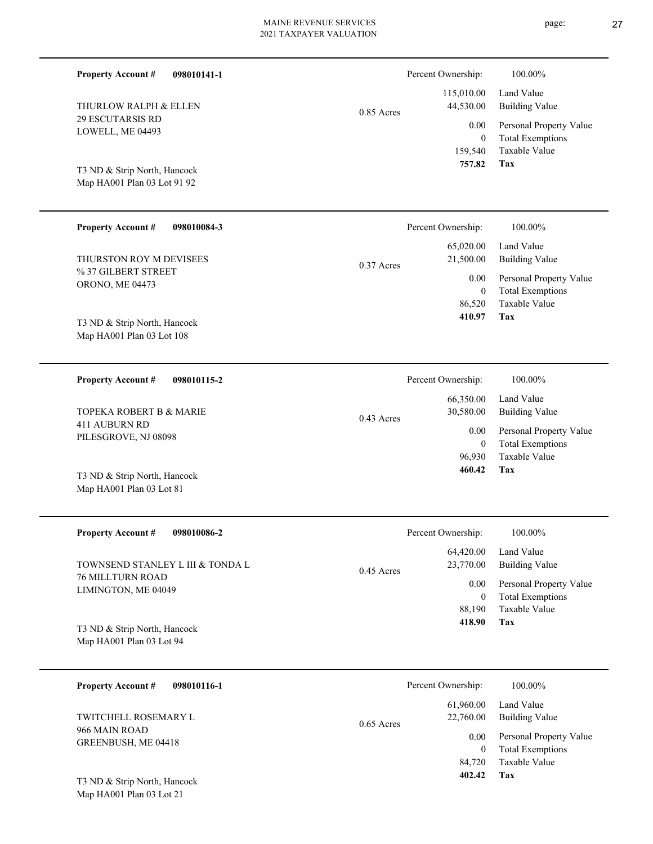| 098010141-1<br><b>Property Account #</b>                               |              | Percent Ownership:                           | 100.00%                                                                    |
|------------------------------------------------------------------------|--------------|----------------------------------------------|----------------------------------------------------------------------------|
| THURLOW RALPH & ELLEN                                                  | $0.85$ Acres | 115,010.00<br>44,530.00                      | Land Value<br><b>Building Value</b>                                        |
| <b>29 ESCUTARSIS RD</b><br>LOWELL, ME 04493                            |              | 0.00                                         | Personal Property Value<br><b>Total Exemptions</b>                         |
| T3 ND & Strip North, Hancock<br>Map HA001 Plan 03 Lot 91 92            |              | $\overline{0}$<br>159,540<br>757.82          | Taxable Value<br>Tax                                                       |
| <b>Property Account #</b><br>098010084-3                               |              | Percent Ownership:                           | 100.00%                                                                    |
| THURSTON ROY M DEVISEES                                                |              | 65,020.00<br>21,500.00                       | Land Value<br><b>Building Value</b>                                        |
| % 37 GILBERT STREET<br>ORONO, ME 04473<br>T3 ND & Strip North, Hancock | $0.37$ Acres | 0.00<br>$\overline{0}$<br>86,520<br>410.97   | Personal Property Value<br><b>Total Exemptions</b><br>Taxable Value<br>Tax |
| Map HA001 Plan 03 Lot 108                                              |              |                                              |                                                                            |
| <b>Property Account #</b><br>098010115-2                               |              | Percent Ownership:                           | 100.00%                                                                    |
| <b>TOPEKA ROBERT B &amp; MARIE</b>                                     |              | 66,350.00<br>30,580.00                       | Land Value<br><b>Building Value</b>                                        |
| 411 AUBURN RD<br>PILESGROVE, NJ 08098                                  | $0.43$ Acres | 0.00<br>$\overline{0}$<br>96,930             | Personal Property Value<br><b>Total Exemptions</b><br><b>Taxable Value</b> |
| T3 ND & Strip North, Hancock<br>Map HA001 Plan 03 Lot 81               |              | 460.42                                       | Tax                                                                        |
| <b>Property Account #</b><br>098010086-2                               |              | Percent Ownership:                           | 100.00%                                                                    |
| TOWNSEND STANLEY L III & TONDA L                                       | $0.45$ Acres | 64,420.00<br>23,770.00                       | Land Value<br><b>Building Value</b>                                        |
| <b>76 MILLTURN ROAD</b><br>LIMINGTON, ME 04049                         |              | 0.00<br>$\boldsymbol{0}$<br>88,190<br>418.90 | Personal Property Value<br><b>Total Exemptions</b><br>Taxable Value<br>Tax |
| T3 ND & Strip North, Hancock<br>Map HA001 Plan 03 Lot 94               |              |                                              |                                                                            |
| <b>Property Account #</b><br>098010116-1                               |              | Percent Ownership:                           | 100.00%                                                                    |
| TWITCHELL ROSEMARY L                                                   | $0.65$ Acres | 61,960.00<br>22,760.00                       | Land Value<br><b>Building Value</b>                                        |
| 966 MAIN ROAD<br>GREENBUSH, ME 04418                                   |              | 0.00<br>$\overline{0}$<br>84,720             | Personal Property Value<br><b>Total Exemptions</b><br>Taxable Value        |

**Tax 402.42**

Map HA001 Plan 03 Lot 21 T3 ND & Strip North, Hancock page: 27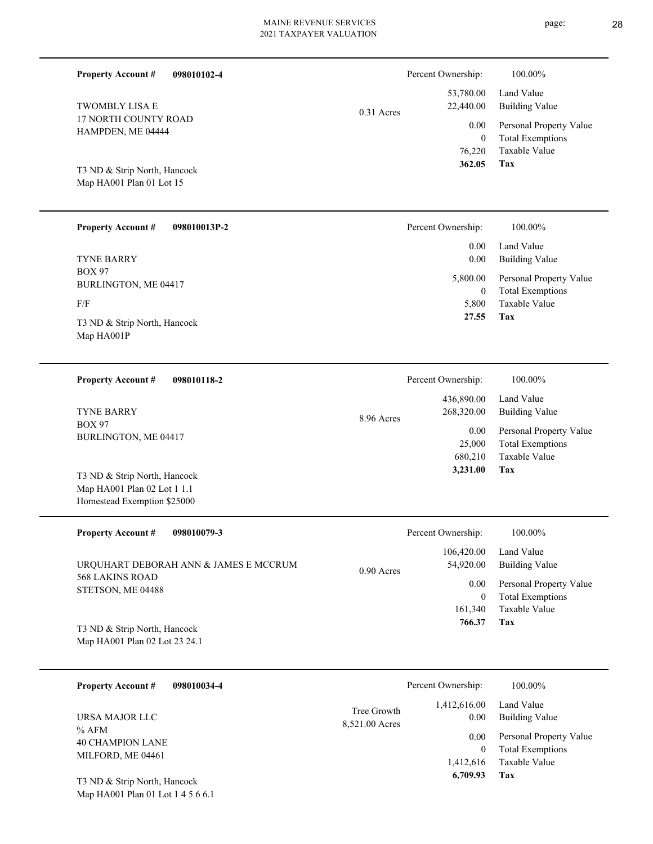| <b>Property Account #</b><br>098010102-4                                                   |                               | Percent Ownership:               | 100.00%                                                             |
|--------------------------------------------------------------------------------------------|-------------------------------|----------------------------------|---------------------------------------------------------------------|
| <b>TWOMBLY LISA E</b>                                                                      | $0.31$ Acres                  | 53,780.00<br>22,440.00           | Land Value<br><b>Building Value</b>                                 |
| 17 NORTH COUNTY ROAD<br>HAMPDEN, ME 04444                                                  |                               | 0.00<br>$\overline{0}$<br>76,220 | Personal Property Value<br><b>Total Exemptions</b><br>Taxable Value |
| T3 ND & Strip North, Hancock<br>Map HA001 Plan 01 Lot 15                                   |                               | 362.05                           | Tax                                                                 |
| <b>Property Account #</b><br>098010013P-2                                                  |                               | Percent Ownership:               | 100.00%                                                             |
| <b>TYNE BARRY</b>                                                                          |                               | 0.00<br>0.00                     | Land Value<br><b>Building Value</b>                                 |
| <b>BOX 97</b><br>BURLINGTON, ME 04417                                                      |                               | 5,800.00<br>$\boldsymbol{0}$     | Personal Property Value<br><b>Total Exemptions</b>                  |
| F/F                                                                                        |                               | 5,800<br>27.55                   | <b>Taxable Value</b><br><b>Tax</b>                                  |
| T3 ND & Strip North, Hancock<br>Map HA001P                                                 |                               |                                  |                                                                     |
| <b>Property Account #</b><br>098010118-2                                                   |                               | Percent Ownership:               | 100.00%                                                             |
| <b>TYNE BARRY</b>                                                                          | 8.96 Acres                    | 436,890.00<br>268,320.00         | Land Value<br><b>Building Value</b>                                 |
| <b>BOX 97</b><br>BURLINGTON, ME 04417                                                      |                               | 0.00<br>25,000<br>680,210        | Personal Property Value<br><b>Total Exemptions</b><br>Taxable Value |
| T3 ND & Strip North, Hancock<br>Map HA001 Plan 02 Lot 1 1.1<br>Homestead Exemption \$25000 |                               | 3,231.00                         | <b>Tax</b>                                                          |
| <b>Property Account #</b><br>098010079-3                                                   |                               | Percent Ownership:               | 100.00%                                                             |
| URQUHART DEBORAH ANN & JAMES E MCCRUM                                                      | 0.90 Acres                    | 106,420.00<br>54,920.00          | Land Value<br><b>Building Value</b>                                 |
| 568 LAKINS ROAD<br>STETSON, ME 04488                                                       |                               | 0.00<br>$\boldsymbol{0}$         | Personal Property Value<br><b>Total Exemptions</b>                  |
| T3 ND & Strip North, Hancock<br>Map HA001 Plan 02 Lot 23 24.1                              |                               | 161,340<br>766.37                | Taxable Value<br>Tax                                                |
| 098010034-4<br><b>Property Account #</b>                                                   |                               | Percent Ownership:               | 100.00%                                                             |
| URSA MAJOR LLC                                                                             | Tree Growth<br>8,521.00 Acres | 1,412,616.00<br>0.00             | Land Value<br><b>Building Value</b>                                 |
| $%$ AFM<br>C[1]                                                                            |                               | 0.00                             | Personal Property Value                                             |

Map HA001 Plan 01 Lot 1 4 5 6 6.1 T3 ND & Strip North, Hancock

40 CHAMPION LANE MILFORD, ME 04461

page: 28

**Tax**

 1,412,616  $\boldsymbol{0}$ 

 **6,709.93**

Taxable Value Total Exemptions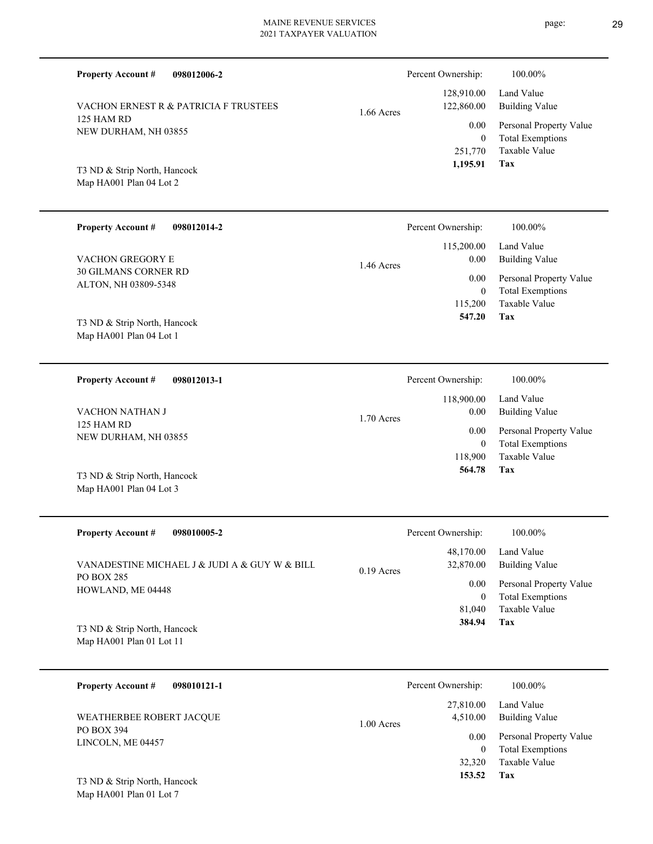| <b>Property Account #</b><br>098012006-2                 |              | Percent Ownership:                              | 100.00%                                                                    |
|----------------------------------------------------------|--------------|-------------------------------------------------|----------------------------------------------------------------------------|
| VACHON ERNEST R & PATRICIA F TRUSTEES                    | $1.66$ Acres | 128,910.00<br>122,860.00                        | Land Value<br><b>Building Value</b>                                        |
| 125 HAM RD<br>NEW DURHAM, NH 03855                       |              | 0.00<br>$\boldsymbol{0}$<br>251,770<br>1,195.91 | Personal Property Value<br><b>Total Exemptions</b><br>Taxable Value<br>Tax |
| T3 ND & Strip North, Hancock<br>Map HA001 Plan 04 Lot 2  |              |                                                 |                                                                            |
| <b>Property Account #</b><br>098012014-2                 |              | Percent Ownership:                              | 100.00%                                                                    |
| VACHON GREGORY E                                         | 1.46 Acres   | 115,200.00<br>0.00                              | Land Value<br><b>Building Value</b>                                        |
| 30 GILMANS CORNER RD<br>ALTON, NH 03809-5348             |              | 0.00<br>$\boldsymbol{0}$<br>115,200<br>547.20   | Personal Property Value<br><b>Total Exemptions</b><br>Taxable Value<br>Tax |
| T3 ND & Strip North, Hancock<br>Map HA001 Plan 04 Lot 1  |              |                                                 |                                                                            |
| <b>Property Account #</b><br>098012013-1                 |              | Percent Ownership:                              | 100.00%                                                                    |
| VACHON NATHAN J                                          | 1.70 Acres   | 118,900.00<br>0.00                              | Land Value<br><b>Building Value</b>                                        |
| 125 HAM RD<br>NEW DURHAM, NH 03855                       |              | 0.00<br>$\boldsymbol{0}$<br>118,900             | Personal Property Value<br><b>Total Exemptions</b><br>Taxable Value        |
| T3 ND & Strip North, Hancock<br>Map HA001 Plan 04 Lot 3  |              | 564.78                                          | Tax                                                                        |
| <b>Property Account #</b><br>098010005-2                 |              | Percent Ownership:                              | 100.00%                                                                    |
| VANADESTINE MICHAEL J & JUDI A & GUY W & BILL            | $0.19$ Acres | 48,170.00<br>32,870.00                          | Land Value<br><b>Building Value</b>                                        |
| PO BOX 285<br>HOWLAND, ME 04448                          |              | 0.00<br>$\overline{0}$<br>81,040<br>384.94      | Personal Property Value<br><b>Total Exemptions</b><br>Taxable Value<br>Tax |
| T3 ND & Strip North, Hancock<br>Map HA001 Plan 01 Lot 11 |              |                                                 |                                                                            |
| <b>Property Account #</b><br>098010121-1                 |              | Percent Ownership:                              | 100.00%                                                                    |
| WEATHERBEE ROBERT JACQUE                                 | 1.00 Acres   | 27,810.00<br>4,510.00                           | Land Value<br><b>Building Value</b>                                        |
| PO BOX 394<br>LINCOLN, ME 04457                          |              | 0.00<br>$\overline{0}$<br>32,320                | Personal Property Value<br><b>Total Exemptions</b><br>Taxable Value        |

**Tax 153.52**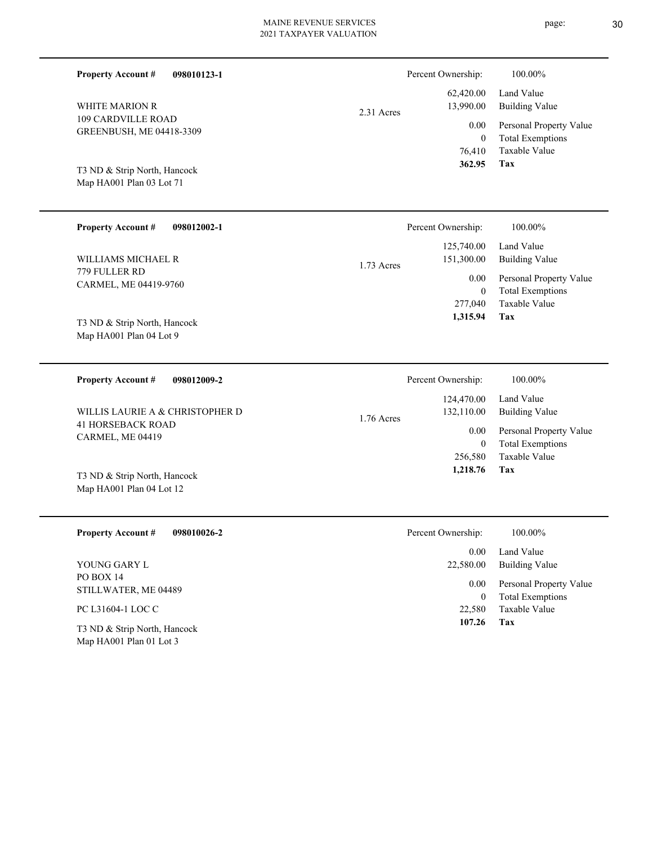| <b>Property Account #</b><br>098010123-1<br><b>WHITE MARION R</b><br>109 CARDVILLE ROAD<br>GREENBUSH, ME 04418-3309 | 2.31 Acres | Percent Ownership:<br>62,420.00<br>13,990.00<br>0.00<br>$\mathbf{0}$<br>76,410 | 100.00%<br>Land Value<br><b>Building Value</b><br>Personal Property Value<br><b>Total Exemptions</b><br>Taxable Value |
|---------------------------------------------------------------------------------------------------------------------|------------|--------------------------------------------------------------------------------|-----------------------------------------------------------------------------------------------------------------------|
| T3 ND & Strip North, Hancock<br>Map HA001 Plan 03 Lot 71                                                            |            | 362.95                                                                         | Tax                                                                                                                   |
| <b>Property Account #</b><br>098012002-1                                                                            |            | Percent Ownership:                                                             | 100.00%                                                                                                               |
| WILLIAMS MICHAEL R                                                                                                  | 1.73 Acres | 125,740.00<br>151,300.00                                                       | Land Value<br><b>Building Value</b>                                                                                   |
| 779 FULLER RD<br>CARMEL, ME 04419-9760                                                                              |            | 0.00<br>$\overline{0}$<br>277,040                                              | Personal Property Value<br><b>Total Exemptions</b><br>Taxable Value                                                   |
| T3 ND & Strip North, Hancock<br>Map HA001 Plan 04 Lot 9                                                             |            | 1,315.94                                                                       | Tax                                                                                                                   |
| <b>Property Account #</b><br>098012009-2                                                                            |            | Percent Ownership:                                                             | 100.00%                                                                                                               |
| WILLIS LAURIE A & CHRISTOPHER D                                                                                     | 1.76 Acres | 124,470.00<br>132,110.00                                                       | Land Value<br><b>Building Value</b>                                                                                   |
| <b>41 HORSEBACK ROAD</b><br>CARMEL, ME 04419                                                                        |            | 0.00<br>$\mathbf{0}$<br>256,580                                                | Personal Property Value<br><b>Total Exemptions</b><br>Taxable Value                                                   |
| T3 ND & Strip North, Hancock<br>Map HA001 Plan 04 Lot 12                                                            |            | 1,218.76                                                                       | Tax                                                                                                                   |
| <b>Property Account #</b><br>098010026-2                                                                            |            | Percent Ownership:                                                             | 100.00%                                                                                                               |
| YOUNG GARY L                                                                                                        |            | 0.00<br>22,580.00                                                              | Land Value<br><b>Building Value</b>                                                                                   |
| PO BOX 14<br>STILLWATER, ME 04489                                                                                   |            | 0.00                                                                           | Personal Property Value                                                                                               |
| PC L31604-1 LOC C                                                                                                   |            | $\mathbf{0}$<br>22,580                                                         | <b>Total Exemptions</b><br>Taxable Value                                                                              |
| T3 ND & Strip North, Hancock<br>Map HA001 Plan 01 Lot 3                                                             |            | 107.26                                                                         | Tax                                                                                                                   |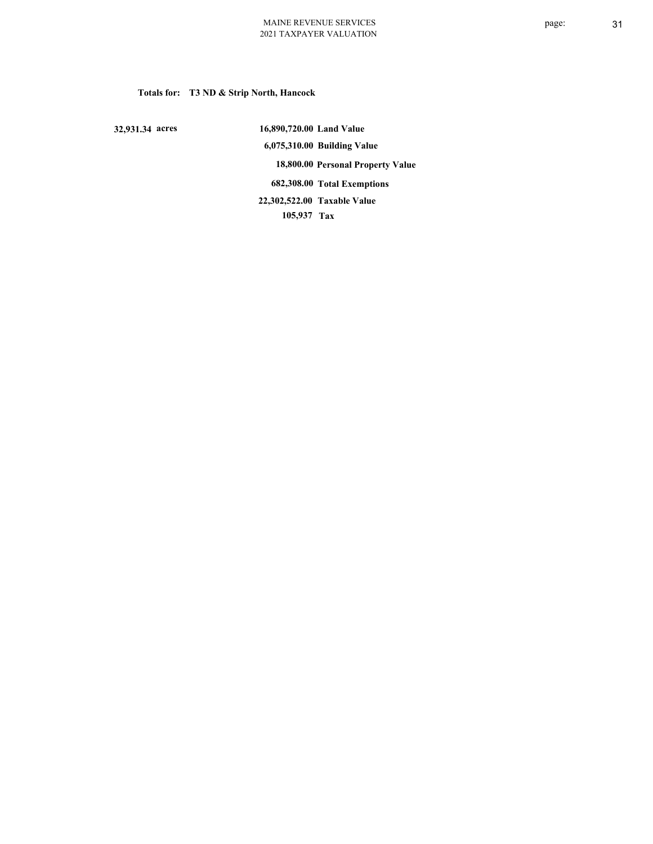**Totals for: T3 ND & Strip North, Hancock**

 **32,931.34 acres**

 **16,890,720.00 Land Value 6,075,310.00 Building Value 18,800.00 Personal Property Value 682,308.00 Total Exemptions 105,937 Tax Taxable Value 22,302,522.00**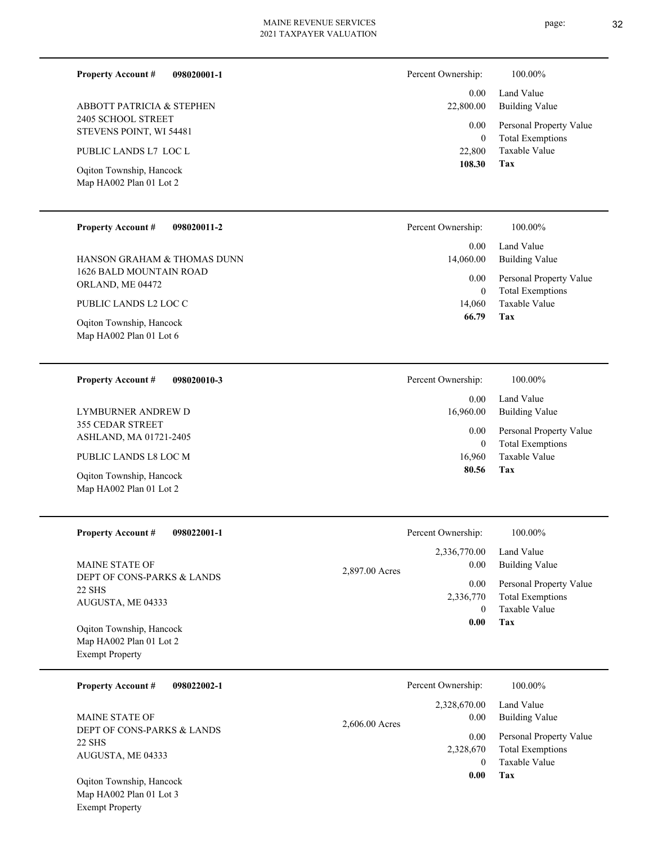**098020001-1**

**Property Account #**

page: 32

Percent Ownership:  $100.00\%$ 

| <b>ABBOTT PATRICIA &amp; STEPHEN</b><br>2405 SCHOOL STREET<br>STEVENS POINT, WI 54481<br>PUBLIC LANDS L7 LOC L<br>Oqiton Township, Hancock<br>Map HA002 Plan 01 Lot 2<br><b>Property Account #</b><br>098020011-2<br>HANSON GRAHAM & THOMAS DUNN<br>1626 BALD MOUNTAIN ROAD<br>ORLAND, ME 04472<br>PUBLIC LANDS L2 LOC C |                | 0.00<br>22,800.00<br>0.00<br>$\theta$<br>22,800<br>108.30<br>Percent Ownership:<br>0.00<br>14,060.00<br>0.00<br>$\boldsymbol{0}$<br>14,060 | Land Value<br><b>Building Value</b><br>Personal Property Value<br><b>Total Exemptions</b><br>Taxable Value<br>Tax<br>100.00%<br>Land Value<br><b>Building Value</b><br>Personal Property Value<br><b>Total Exemptions</b><br>Taxable Value |
|--------------------------------------------------------------------------------------------------------------------------------------------------------------------------------------------------------------------------------------------------------------------------------------------------------------------------|----------------|--------------------------------------------------------------------------------------------------------------------------------------------|--------------------------------------------------------------------------------------------------------------------------------------------------------------------------------------------------------------------------------------------|
| Oqiton Township, Hancock<br>Map HA002 Plan 01 Lot 6                                                                                                                                                                                                                                                                      |                | 66.79                                                                                                                                      | Tax                                                                                                                                                                                                                                        |
| <b>Property Account #</b><br>098020010-3                                                                                                                                                                                                                                                                                 |                | Percent Ownership:                                                                                                                         | 100.00%                                                                                                                                                                                                                                    |
| LYMBURNER ANDREW D                                                                                                                                                                                                                                                                                                       |                | 0.00<br>16,960.00                                                                                                                          | Land Value<br><b>Building Value</b>                                                                                                                                                                                                        |
| 355 CEDAR STREET<br>ASHLAND, MA 01721-2405                                                                                                                                                                                                                                                                               |                | 0.00                                                                                                                                       | Personal Property Value                                                                                                                                                                                                                    |
| PUBLIC LANDS L8 LOC M                                                                                                                                                                                                                                                                                                    |                | $\boldsymbol{0}$<br>16,960                                                                                                                 | <b>Total Exemptions</b><br>Taxable Value                                                                                                                                                                                                   |
| Oqiton Township, Hancock<br>Map HA002 Plan 01 Lot 2                                                                                                                                                                                                                                                                      |                | 80.56                                                                                                                                      | Tax                                                                                                                                                                                                                                        |
| <b>Property Account #</b><br>098022001-1                                                                                                                                                                                                                                                                                 |                | Percent Ownership:                                                                                                                         | 100.00%                                                                                                                                                                                                                                    |
| MAINE STATE OF                                                                                                                                                                                                                                                                                                           | 2,897.00 Acres | 2,336,770.00<br>$0.00\,$                                                                                                                   | Land Value<br><b>Building Value</b>                                                                                                                                                                                                        |
| DEPT OF CONS-PARKS & LANDS<br>22 SHS<br>AUGUSTA, ME 04333                                                                                                                                                                                                                                                                |                | 0.00<br>2,336,770<br>$\overline{0}$<br>$0.00\,$                                                                                            | Personal Property Value<br><b>Total Exemptions</b><br>Taxable Value<br><b>Tax</b>                                                                                                                                                          |
| Oqiton Township, Hancock<br>Map HA002 Plan 01 Lot 2<br><b>Exempt Property</b>                                                                                                                                                                                                                                            |                |                                                                                                                                            |                                                                                                                                                                                                                                            |
| <b>Property Account #</b><br>098022002-1                                                                                                                                                                                                                                                                                 |                | Percent Ownership:                                                                                                                         | 100.00%                                                                                                                                                                                                                                    |
| MAINE STATE OF                                                                                                                                                                                                                                                                                                           | 2,606.00 Acres | 2,328,670.00<br>0.00                                                                                                                       | Land Value<br><b>Building Value</b>                                                                                                                                                                                                        |
| DEPT OF CONS-PARKS & LANDS<br>22 SHS<br>AUGUSTA, ME 04333                                                                                                                                                                                                                                                                |                | 0.00<br>2,328,670<br>$\overline{0}$<br>0.00                                                                                                | Personal Property Value<br><b>Total Exemptions</b><br>Taxable Value<br><b>Tax</b>                                                                                                                                                          |
| Oqiton Township, Hancock<br>Map HA002 Plan 01 Lot 3                                                                                                                                                                                                                                                                      |                |                                                                                                                                            |                                                                                                                                                                                                                                            |
| <b>Exempt Property</b>                                                                                                                                                                                                                                                                                                   |                |                                                                                                                                            |                                                                                                                                                                                                                                            |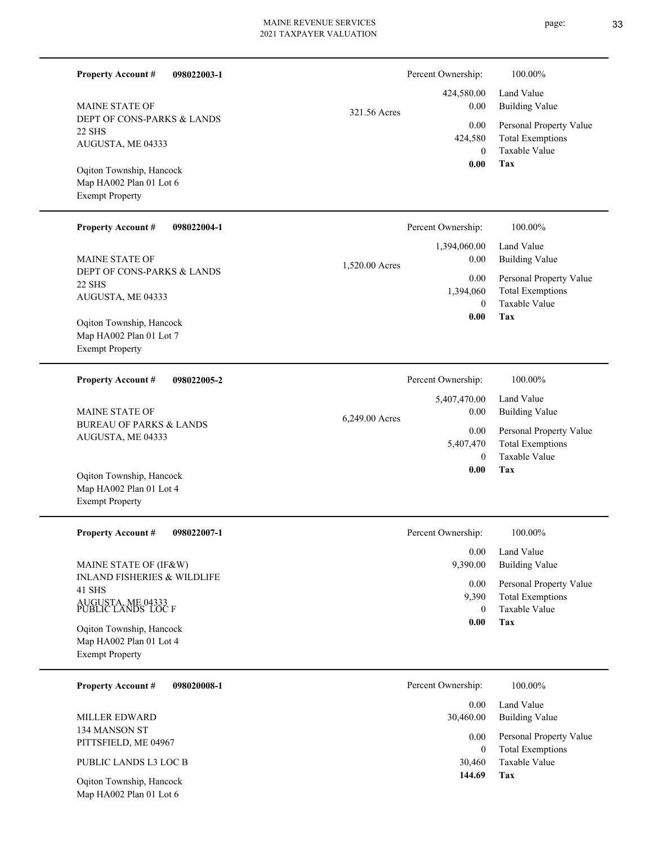| <b>Property Account #</b><br>098022003-1                                                                                                                            |                | Percent Ownership:                            | 100.00%                                                                                             |
|---------------------------------------------------------------------------------------------------------------------------------------------------------------------|----------------|-----------------------------------------------|-----------------------------------------------------------------------------------------------------|
| <b>MAINE STATE OF</b><br>DEPT OF CONS-PARKS & LANDS<br>22 SHS                                                                                                       | 321.56 Acres   | 424,580.00<br>0.00<br>0.00<br>424,580         | Land Value<br><b>Building Value</b><br>Personal Property Value<br><b>Total Exemptions</b>           |
| AUGUSTA, ME 04333<br>Oqiton Township, Hancock<br>Map HA002 Plan 01 Lot 6<br><b>Exempt Property</b>                                                                  |                | $\theta$<br>0.00                              | Taxable Value<br>Tax                                                                                |
| <b>Property Account #</b><br>098022004-1                                                                                                                            |                | Percent Ownership:<br>1,394,060.00            | 100.00%<br>Land Value                                                                               |
| <b>MAINE STATE OF</b><br>DEPT OF CONS-PARKS & LANDS<br>22 SHS<br>AUGUSTA, ME 04333<br>Oqiton Township, Hancock<br>Map HA002 Plan 01 Lot 7<br><b>Exempt Property</b> | 1,520.00 Acres | 0.00<br>0.00<br>1,394,060<br>$\theta$<br>0.00 | <b>Building Value</b><br>Personal Property Value<br><b>Total Exemptions</b><br>Taxable Value<br>Tax |
|                                                                                                                                                                     |                |                                               |                                                                                                     |
| <b>Property Account #</b><br>098022005-2<br><b>MAINE STATE OF</b>                                                                                                   |                | Percent Ownership:<br>5,407,470.00<br>0.00    | 100.00%<br>Land Value<br><b>Building Value</b>                                                      |
| <b>BUREAU OF PARKS &amp; LANDS</b><br>AUGUSTA, ME 04333                                                                                                             | 6,249.00 Acres | 0.00<br>5,407,470<br>$\theta$                 | Personal Property Value<br><b>Total Exemptions</b><br>Taxable Value                                 |
| Oqiton Township, Hancock<br>Map HA002 Plan 01 Lot 4<br><b>Exempt Property</b>                                                                                       |                | 0.00                                          | Tax                                                                                                 |
| <b>Property Account #</b><br>098022007-1                                                                                                                            |                | Percent Ownership:                            | 100.00%                                                                                             |
| MAINE STATE OF (IF&W)                                                                                                                                               |                | 0.00<br>9,390.00                              | Land Value<br><b>Building Value</b>                                                                 |
| <b>INLAND FISHERIES &amp; WILDLIFE</b><br>41 SHS<br>AUGUSTA, ME 04333<br>PUBLIC LANDS LOC F                                                                         |                | 0.00<br>9,390<br>$\theta$                     | Personal Property Value<br><b>Total Exemptions</b><br>Taxable Value                                 |
| Oqiton Township, Hancock<br>Map HA002 Plan 01 Lot 4<br><b>Exempt Property</b>                                                                                       |                | 0.00                                          | Tax                                                                                                 |
| <b>Property Account #</b><br>098020008-1                                                                                                                            |                | Percent Ownership:                            | 100.00%                                                                                             |
| <b>MILLER EDWARD</b>                                                                                                                                                |                | 0.00<br>30,460.00                             | Land Value<br><b>Building Value</b>                                                                 |
| 134 MANSON ST<br>PITTSFIELD, ME 04967                                                                                                                               |                | 0.00<br>$\theta$                              | Personal Property Value<br><b>Total Exemptions</b>                                                  |
| PUBLIC LANDS L3 LOC B                                                                                                                                               |                | 30,460                                        | Taxable Value                                                                                       |
| Oqiton Township, Hancock<br>Map HA002 Plan 01 Lot 6                                                                                                                 |                | 144.69                                        | Tax                                                                                                 |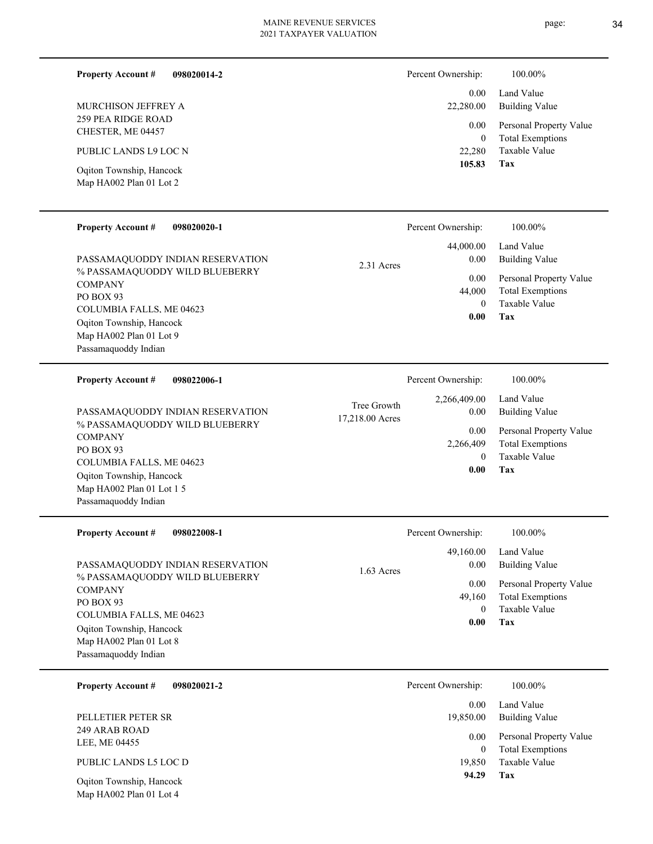#### **098020014-2 Property Account #**

259 PEA RIDGE ROAD CHESTER, ME 04457 MURCHISON JEFFREY A

PUBLIC LANDS L9 LOC N

Map HA002 Plan 01 Lot 2 Oqiton Township, Hancock

#### Personal Property Value Building Value Land Value 0.00 22,280.00 0.00 Percent Ownership: 100.00%

| v.vv         | T ALOQUIAL TROPALLY THE |  |
|--------------|-------------------------|--|
| $\mathbf{0}$ | Total Exemptions        |  |
| 22,280       | Taxable Value           |  |
| 105.83       | Tax                     |  |
|              |                         |  |

| <b>Property Account #</b><br>098020020-1                                                                                                                                                                            | Percent Ownership:                                        | 100.00%                                                                                                                |
|---------------------------------------------------------------------------------------------------------------------------------------------------------------------------------------------------------------------|-----------------------------------------------------------|------------------------------------------------------------------------------------------------------------------------|
| PASSAMAQUODDY INDIAN RESERVATION<br>% PASSAMAQUODDY WILD BLUEBERRY<br><b>COMPANY</b><br>PO BOX 93<br><b>COLUMBIA FALLS, ME 04623</b><br>Oqiton Township, Hancock<br>Map HA002 Plan 01 Lot 9<br>Passamaquoddy Indian | 44,000.00<br>0.00<br>2.31 Acres<br>0.00<br>44,000<br>0.00 | Land Value<br>Building Value<br>Personal Property Value<br><b>Total Exemptions</b><br>Taxable Value<br>$\Omega$<br>Tax |
| 098022006-1<br><b>Property Account #</b>                                                                                                                                                                            | Percent Ownership:<br>2,266,409.00<br>Tree Growth         | 100.00%<br>Land Value                                                                                                  |
| PASSAMAOUODDY INDIAN RESERVATION                                                                                                                                                                                    | 0.00<br>$\cdots$                                          | Building Value                                                                                                         |

% PASSAMAQUODDY WILD BLUEBERRY **COMPANY** PO BOX 93 COLUMBIA FALLS, ME 04623 Map HA002 Plan 01 Lot 1 5 Passamaquoddy Indian Oqiton Township, Hancock PASSAMAQUODDY INDIAN RESERVATION

| COLONIDIA LALLO, INL 0702J<br>Oqiton Township, Hancock<br>Map HA002 Plan 01 Lot 1 5<br>Passamaquoddy Indian |            | 0.00               | Tax                                                |
|-------------------------------------------------------------------------------------------------------------|------------|--------------------|----------------------------------------------------|
| <b>Property Account #</b><br>098022008-1                                                                    |            | Percent Ownership: | 100.00%                                            |
|                                                                                                             |            | 49,160.00          | Land Value                                         |
| PASSAMAQUODDY INDIAN RESERVATION                                                                            | 1.63 Acres | 0.00               | <b>Building Value</b>                              |
| % PASSAMAQUODDY WILD BLUEBERRY<br><b>COMPANY</b><br>PO BOX 93                                               |            | 0.00<br>49,160     | Personal Property Value<br><b>Total Exemptions</b> |
| COLUMBLA EALLE ME 04622                                                                                     |            | $\theta$           | Taxable Value                                      |

PO BOX 93 COLUMBIA FALLS, ME 04623 Map HA002 Plan 01 Lot 8 Passamaquoddy Indian Oqiton Township, Hancock

| Percent Ownership: | 100.00%    |  |
|--------------------|------------|--|
| 0.00               | Land Value |  |

| 0.00      | Land Value              |
|-----------|-------------------------|
| 19,850.00 | <b>Building Value</b>   |
| 0.00      | Personal Property Value |
|           |                         |
| 0         | <b>Total Exemptions</b> |
| 19,850    | Taxable Value           |
| 94.29     | Tax                     |
|           |                         |

**Tax**

 **0.00**

Taxable Value Total Exemptions Personal Property Value

 0 2,266,409

0.00

**098020021-2 Property Account #**

249 ARAB ROAD LEE, ME 04455 PELLETIER PETER SR

PUBLIC LANDS L5 LOC D

Map HA002 Plan 01 Lot 4 Oqiton Township, Hancock 17,218.00 Acres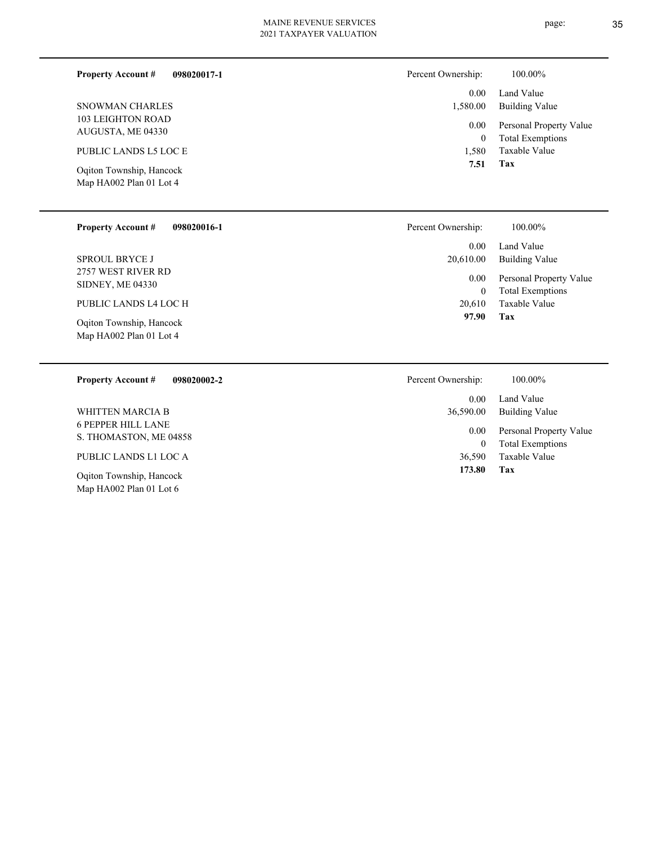| <b>Property Account #</b><br>098020017-1            | Percent Ownership:   | 100.00%                                            |
|-----------------------------------------------------|----------------------|----------------------------------------------------|
|                                                     | 0.00                 | Land Value                                         |
| SNOWMAN CHARLES                                     | 1,580.00             | <b>Building Value</b>                              |
| 103 LEIGHTON ROAD<br>AUGUSTA, ME 04330              | 0.00<br>$\mathbf{0}$ | Personal Property Value<br><b>Total Exemptions</b> |
| PUBLIC LANDS L5 LOC E                               | 1.580                | Taxable Value                                      |
| Oqiton Township, Hancock<br>Map HA002 Plan 01 Lot 4 | 7.51                 | Tax                                                |
| <b>Property Account #</b><br>098020016-1            | Percent Ownership:   | 100.00%                                            |

2757 WEST RIVER RD SIDNEY, ME 04330 SPROUL BRYCE J

PUBLIC LANDS L4 LOC H

Map HA002 Plan 01 Lot 4 Oqiton Township, Hancock

#### **098020002-2 Property Account #**

6 PEPPER HILL LANE S. THOMASTON, ME 04858 WHITTEN MARCIA B

PUBLIC LANDS L1 LOC A

Map HA002 Plan 01 Lot 6 Oqiton Township, Hancock

| whership.             | 100.00%                             |
|-----------------------|-------------------------------------|
| $0.00 -$<br>20,610.00 | Land Value<br><b>Building Value</b> |
| $0.00\,$              | Personal Property Value             |
| 0                     | <b>Total Exemptions</b>             |
| 20,610                | Taxable Value                       |
| 97.90                 | Tax                                 |

| Percent Ownership:     | 100.00%                                            |
|------------------------|----------------------------------------------------|
| $0.00 -$<br>36,590.00  | Land Value<br>Building Value                       |
| 0.00 <sub>1</sub><br>0 | Personal Property Value<br><b>Total Exemptions</b> |
| 36,590                 | Taxable Value                                      |
| 173.80                 | Tax                                                |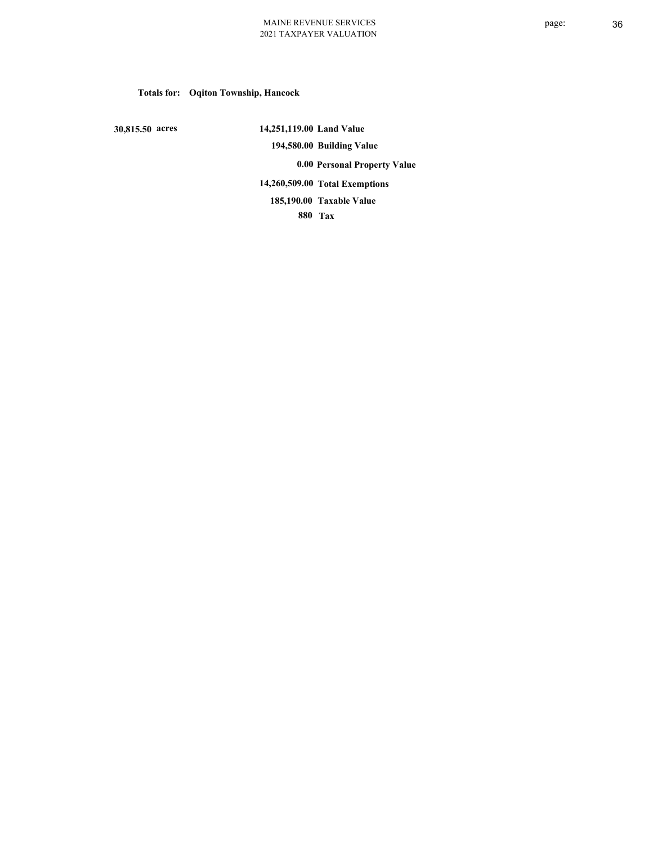# **Totals for: Oqiton Township, Hancock**

 **30,815.50 acres**

 **14,251,119.00 Land Value 194,580.00 Building Value 0.00 Personal Property Value 14,260,509.00 Total Exemptions 880 Tax Taxable Value 185,190.00**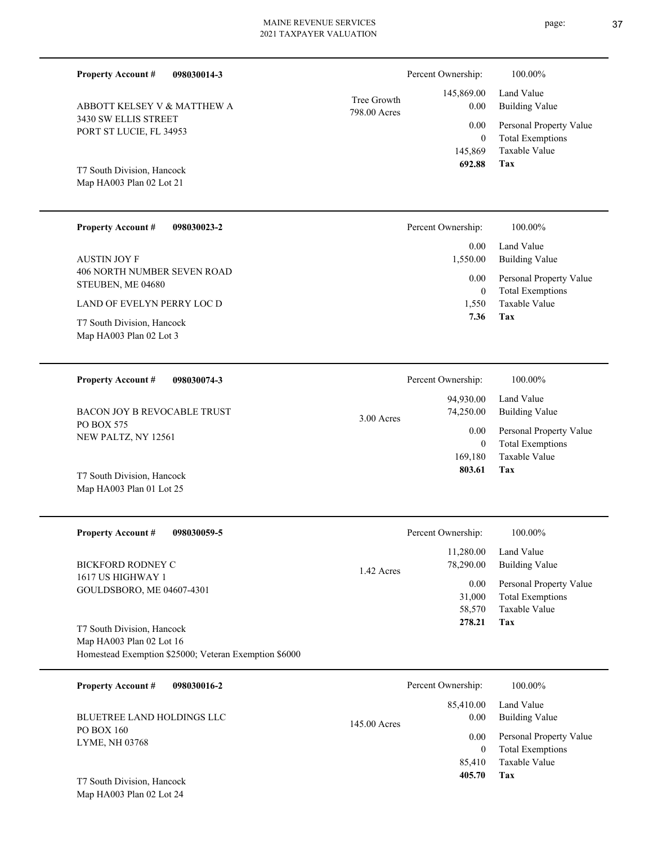| <b>Property Account #</b><br>098030014-3               |                             | Percent Ownership:        | 100.00%                                            |
|--------------------------------------------------------|-----------------------------|---------------------------|----------------------------------------------------|
| ABBOTT KELSEY V & MATTHEW A                            | Tree Growth<br>798.00 Acres | 145,869.00<br>0.00        | Land Value<br><b>Building Value</b>                |
| 3430 SW ELLIS STREET<br>PORT ST LUCIE, FL 34953        |                             | 0.00<br>$\overline{0}$    | Personal Property Value<br><b>Total Exemptions</b> |
| T7 South Division, Hancock<br>Map HA003 Plan 02 Lot 21 |                             | 145,869<br>692.88         | Taxable Value<br>Tax                               |
| <b>Property Account #</b><br>098030023-2               |                             | Percent Ownership:        | 100.00%                                            |
| <b>AUSTIN JOY F</b>                                    |                             | 0.00<br>1,550.00          | Land Value<br><b>Building Value</b>                |
| 406 NORTH NUMBER SEVEN ROAD<br>STEUBEN, ME 04680       |                             | 0.00<br>$\overline{0}$    | Personal Property Value<br><b>Total Exemptions</b> |
| LAND OF EVELYN PERRY LOC D                             |                             | 1,550<br>7.36             | Taxable Value<br><b>Tax</b>                        |
| T7 South Division, Hancock<br>Map HA003 Plan 02 Lot 3  |                             |                           |                                                    |
| <b>Property Account #</b><br>098030074-3               |                             | Percent Ownership:        | 100.00%                                            |
| <b>BACON JOY B REVOCABLE TRUST</b>                     |                             | 94,930.00<br>74,250.00    | Land Value<br><b>Building Value</b>                |
| PO BOX 575<br>NEW PALTZ, NY 12561                      | 3.00 Acres                  | 0.00                      | Personal Property Value                            |
|                                                        |                             | $\overline{0}$<br>169,180 | <b>Total Exemptions</b><br><b>Taxable Value</b>    |
| T7 South Division, Hancock<br>Map HA003 Plan 01 Lot 25 |                             | 803.61                    | Tax                                                |
| <b>Property Account #</b><br>098030059-5               |                             | Percent Ownership:        | 100.00%                                            |
| <b>BICKFORD RODNEY C</b>                               |                             | 11,280.00<br>78,290.00    | Land Value<br><b>Building Value</b>                |
| 1617 US HIGHWAY 1<br>GOULDSBORO, ME 04607-4301         | 1.42 Acres                  | 0.00                      | Personal Property Value                            |
|                                                        |                             | 31,000<br>58,570          | <b>Total Exemptions</b><br>Taxable Value           |
| T7 South Division, Hancock<br>Map HA003 Plan 02 Lot 16 |                             | 278.21                    | Tax                                                |
| Homestead Exemption \$25000; Veteran Exemption \$6000  |                             |                           |                                                    |
| Property Account #<br>098030016-2                      |                             | Percent Ownership:        | 100.00%                                            |
| BLUETREE LAND HOLDINGS LLC                             | 145.00 Acres                | 85,410.00<br>0.00         | Land Value<br><b>Building Value</b>                |
| PO BOX 160<br>LYME, NH 03768                           |                             | 0.00<br>$\mathbf{0}$      | Personal Property Value<br><b>Total Exemptions</b> |

**Tax 405.70**

85,410 Taxable Value

Map HA003 Plan 02 Lot 24 T7 South Division, Hancock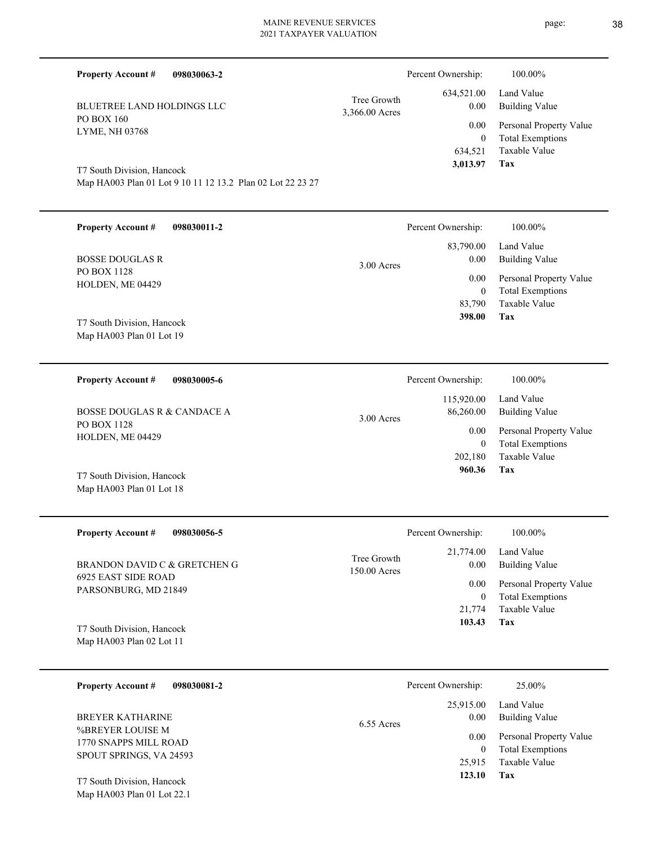| <b>Property Account #</b><br>098030063-2                          |                               | Percent Ownership: | 100.00%                                            |
|-------------------------------------------------------------------|-------------------------------|--------------------|----------------------------------------------------|
| <b>BLUETREE LAND HOLDINGS LLC</b><br>PO BOX 160<br>LYME, NH 03768 | Tree Growth<br>3,366.00 Acres | 634,521.00<br>0.00 | Land Value<br>Building Value                       |
|                                                                   |                               | 0.00               | Personal Property Value<br><b>Total Exemptions</b> |

Map HA003 Plan 01 Lot 9 10 11 12 13.2 Plan 02 Lot 22 23 27 T7 South Division, Hancock

Map HA003 Plan 01 Lot 18

| <b>Property Account #</b><br>098030011-2 | Percent Ownership:                | 100.00%                      |
|------------------------------------------|-----------------------------------|------------------------------|
| <b>BOSSE DOUGLAS R</b><br>PO BOX 1128    | 83,790.00<br>0.00<br>$3.00$ Acres | Land Value<br>Building Value |
| HOLDEN, ME 04429                         | 0.00                              | Personal Property Value      |
|                                          | $\left($                          | <b>Total Exemptions</b>      |
|                                          | 83,790                            | Taxable Value                |
| T7 South Division, Hancock               | 398.00                            | Tax                          |
| Map $HA003$ Plan 01 Lot 19               |                                   |                              |

| 098030005-6<br><b>Property Account #</b>   | Percent Ownership:                      | 100.00%                                            |
|--------------------------------------------|-----------------------------------------|----------------------------------------------------|
| BOSSE DOUGLAS R & CANDACE A<br>PO BOX 1128 | 115,920.00<br>86,260.00<br>$3.00$ Acres | Land Value<br>Building Value                       |
| HOLDEN, ME 04429                           | 0.00<br>$_{0}$                          | Personal Property Value<br><b>Total Exemptions</b> |
|                                            | 202,180                                 | Taxable Value                                      |
| T7 South Division, Hancock                 | 960.36                                  | Tax                                                |

| <b>Property Account #</b><br>098030056-5    | Percent Ownership:                                 | 100.00%                      |
|---------------------------------------------|----------------------------------------------------|------------------------------|
| BRANDON DAVID C & GRETCHEN G                | 21,774.00<br>Tree Growth<br>0.00<br>$150.00$ Acres | Land Value<br>Building Value |
| 6925 EAST SIDE ROAD<br>PARSONBURG, MD 21849 | 0.00                                               | Personal Property Value      |
|                                             | 0                                                  | <b>Total Exemptions</b>      |
|                                             | 21,774                                             | Taxable Value                |
| T7 South Division, Hancock                  | 103.43                                             | Tax                          |
| Map HA003 Plan 02 Lot 11                    |                                                    |                              |

| 098030081-2<br><b>Property Account #</b>                             | Percent Ownership:                | 25.00%                                                              |
|----------------------------------------------------------------------|-----------------------------------|---------------------------------------------------------------------|
| BREYER KATHARINE                                                     | 25,915.00<br>0.00<br>$6.55$ Acres | Land Value<br>Building Value                                        |
| %BREYER LOUISE M<br>1770 SNAPPS MILL ROAD<br>SPOUT SPRINGS, VA 24593 | 0.00<br>25,915                    | Personal Property Value<br><b>Total Exemptions</b><br>Taxable Value |
| T7 South Division, Hancock<br>Map HA003 Plan 01 Lot 22.1             | 123.10                            | Tax                                                                 |

**Tax**

 634,521  **3,013.97** Taxable Value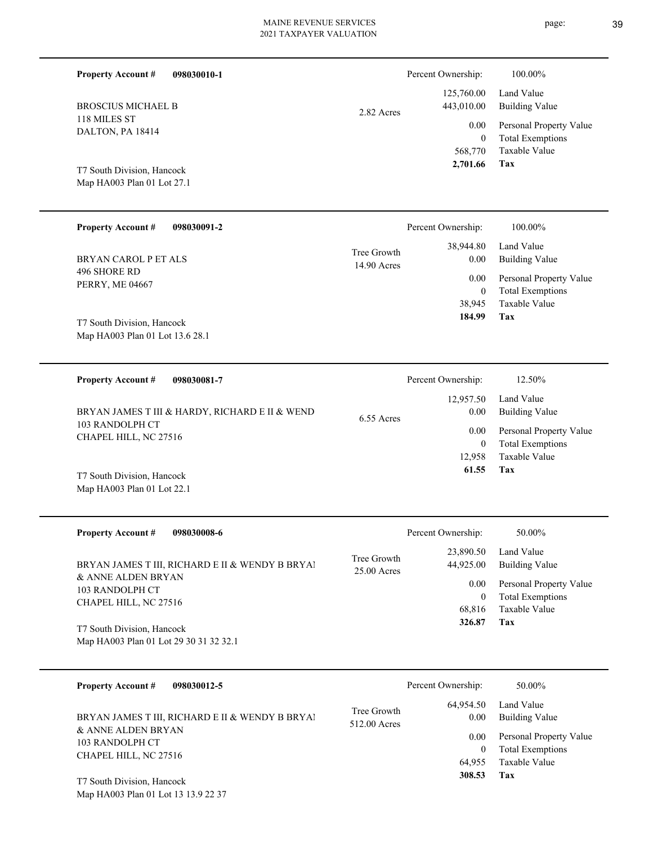| <b>Property Account #</b><br>098030010-1                 |                              | Percent Ownership:                  | 100.00%                                                             |
|----------------------------------------------------------|------------------------------|-------------------------------------|---------------------------------------------------------------------|
| <b>BROSCIUS MICHAEL B</b>                                | 2.82 Acres                   | 125,760.00<br>443,010.00            | Land Value<br><b>Building Value</b>                                 |
| 118 MILES ST<br>DALTON, PA 18414                         |                              | 0.00<br>$\boldsymbol{0}$<br>568,770 | Personal Property Value<br><b>Total Exemptions</b><br>Taxable Value |
| T7 South Division, Hancock<br>Map HA003 Plan 01 Lot 27.1 |                              | 2,701.66                            | <b>Tax</b>                                                          |
| <b>Property Account #</b><br>098030091-2                 |                              | Percent Ownership:                  | 100.00%                                                             |
| <b>BRYAN CAROL P ET ALS</b>                              | Tree Growth<br>14.90 Acres   | 38,944.80<br>0.00                   | Land Value<br><b>Building Value</b>                                 |
| 496 SHORE RD<br><b>PERRY, ME 04667</b>                   |                              | 0.00<br>$\mathbf{0}$                | Personal Property Value<br><b>Total Exemptions</b>                  |
| T7 South Division, Hancock                               |                              | 38,945<br>184.99                    | Taxable Value<br><b>Tax</b>                                         |
| Map HA003 Plan 01 Lot 13.6 28.1                          |                              |                                     |                                                                     |
| <b>Property Account #</b><br>098030081-7                 |                              | Percent Ownership:                  | 12.50%                                                              |
| BRYAN JAMES T III & HARDY, RICHARD E II & WEND           | 6.55 Acres                   | 12,957.50<br>0.00                   | Land Value<br><b>Building Value</b>                                 |
| 103 RANDOLPH CT<br>CHAPEL HILL, NC 27516                 |                              | 0.00<br>$\mathbf{0}$                | Personal Property Value<br><b>Total Exemptions</b>                  |
| T7 South Division, Hancock<br>Map HA003 Plan 01 Lot 22.1 |                              | 12,958<br>61.55                     | Taxable Value<br>Tax                                                |
| <b>Property Account #</b><br>098030008-6                 |                              | Percent Ownership:                  | 50.00%                                                              |
| BRYAN JAMES T III, RICHARD E II & WENDY B BRYA!          | Tree Growth<br>$25.00$ Acres | 23,890.50<br>44,925.00              | Land Value<br><b>Building Value</b>                                 |

& ANNE ALDEN BRYAN 103 RANDOLPH CT CHAPEL HILL, NC 27516

Map HA003 Plan 01 Lot 29 30 31 32 32.1 T7 South Division, Hancock

| <b>Property Account #</b><br>098030012-5        | Percent Ownership:                               | 50.00%                                             |
|-------------------------------------------------|--------------------------------------------------|----------------------------------------------------|
| BRYAN JAMES T III, RICHARD E II & WENDY B BRYAI | 64,954.50<br>Tree Growth<br>0.00<br>512.00 Acres | Land Value<br>Building Value                       |
| & ANNE ALDEN BRYAN<br>103 RANDOLPH CT           | 0.00<br>0                                        | Personal Property Value<br><b>Total Exemptions</b> |
| CHAPEL HILL, NC 27516                           | 64.955                                           | Taxable Value                                      |
| T7 South Division, Hancock                      | 308.53                                           | Tax                                                |

**Tax 326.87**

 68,816 0

Taxable Value Total Exemptions 0.00 Personal Property Value

Map HA003 Plan 01 Lot 13 13.9 22 37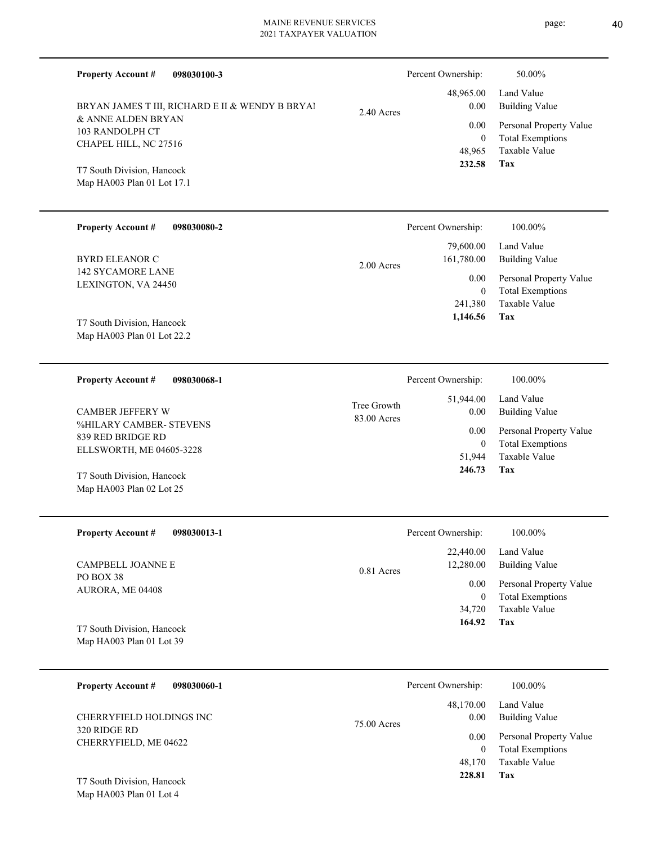| <b>Property Account #</b><br>098030100-3                                                                                                                                      |                            | Percent Ownership:       | 50.00%                                             |
|-------------------------------------------------------------------------------------------------------------------------------------------------------------------------------|----------------------------|--------------------------|----------------------------------------------------|
| BRYAN JAMES T III, RICHARD E II & WENDY B BRYAI<br>& ANNE ALDEN BRYAN<br>103 RANDOLPH CT<br>CHAPEL HILL, NC 27516<br>T7 South Division, Hancock<br>Map HA003 Plan 01 Lot 17.1 | 2.40 Acres                 | 48,965.00<br>0.00        | Land Value<br><b>Building Value</b>                |
|                                                                                                                                                                               |                            | 0.00<br>$\overline{0}$   | Personal Property Value<br><b>Total Exemptions</b> |
|                                                                                                                                                                               |                            | 48,965<br>232.58         | Taxable Value<br>Tax                               |
| <b>Property Account #</b><br>098030080-2                                                                                                                                      |                            | Percent Ownership:       | 100.00%                                            |
| <b>BYRD ELEANOR C</b>                                                                                                                                                         | $2.00$ Acres               | 79,600.00<br>161,780.00  | Land Value<br><b>Building Value</b>                |
| 142 SYCAMORE LANE<br>LEXINGTON, VA 24450                                                                                                                                      |                            | 0.00<br>$\overline{0}$   | Personal Property Value<br><b>Total Exemptions</b> |
| T7 South Division, Hancock<br>Map HA003 Plan 01 Lot 22.2                                                                                                                      |                            | 241,380<br>1,146.56      | <b>Taxable Value</b><br>Tax                        |
| <b>Property Account #</b><br>098030068-1                                                                                                                                      |                            | Percent Ownership:       | 100.00%                                            |
| <b>CAMBER JEFFERY W</b>                                                                                                                                                       | Tree Growth<br>83.00 Acres | 51,944.00<br>0.00        | Land Value<br><b>Building Value</b>                |
| %HILARY CAMBER- STEVENS<br>839 RED BRIDGE RD                                                                                                                                  |                            | 0.00<br>$\overline{0}$   | Personal Property Value<br><b>Total Exemptions</b> |
| ELLSWORTH, ME 04605-3228<br>T7 South Division, Hancock<br>Map HA003 Plan 02 Lot 25                                                                                            |                            | 51,944<br>246.73         | <b>Taxable Value</b><br>Tax                        |
| <b>Property Account #</b><br>098030013-1                                                                                                                                      |                            | Percent Ownership:       | 100.00%                                            |
| CAMPBELL JOANNE E                                                                                                                                                             | 0.81 Acres                 | 22,440.00<br>12,280.00   | Land Value<br><b>Building Value</b>                |
| PO BOX 38<br>AURORA, ME 04408                                                                                                                                                 |                            | 0.00<br>$\boldsymbol{0}$ | Personal Property Value<br><b>Total Exemptions</b> |
| T7 South Division, Hancock<br>Map HA003 Plan 01 Lot 39                                                                                                                        |                            | 34,720<br>164.92         | Taxable Value<br>Tax                               |
| <b>Property Account #</b><br>098030060-1                                                                                                                                      |                            | Percent Ownership:       | 100.00%                                            |
| CHERRYFIELD HOLDINGS INC                                                                                                                                                      |                            | 48,170.00<br>0.00        | Land Value<br><b>Building Value</b>                |
| 320 RIDGE RD<br>CHERRYFIELD, ME 04622                                                                                                                                         | 75.00 Acres                | 0.00<br>$\mathbf{0}$     | Personal Property Value<br><b>Total Exemptions</b> |
| T7 South Division Hancock                                                                                                                                                     |                            | 48,170<br>228.81         | Taxable Value<br>Tax                               |

Map HA003 Plan 01 Lot 4 T7 South Division, Hancock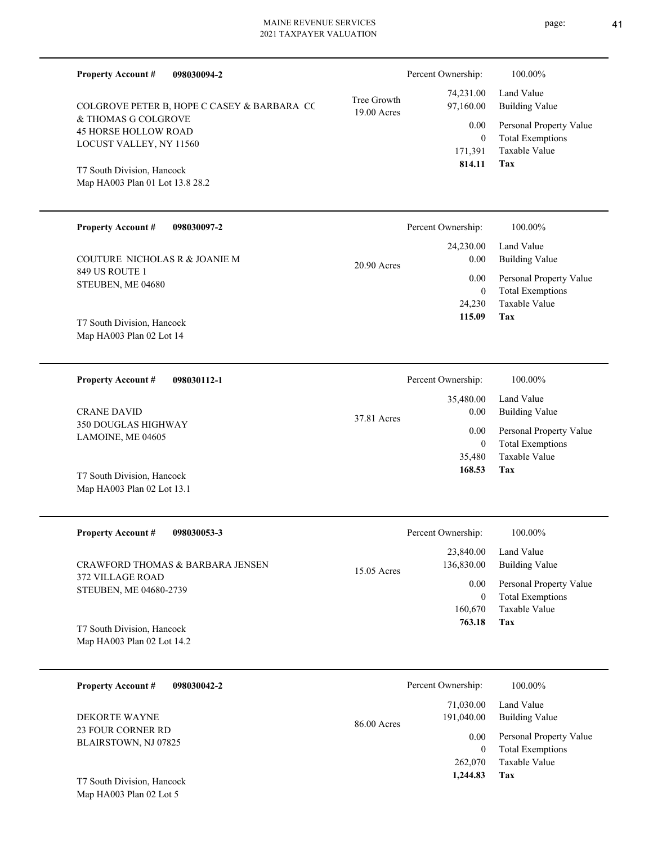| <b>Property Account #</b><br>098030094-2                                      |                            | Percent Ownership:      | 100.00%                                            |
|-------------------------------------------------------------------------------|----------------------------|-------------------------|----------------------------------------------------|
| COLGROVE PETER B, HOPE C CASEY & BARBARA CC                                   | Tree Growth<br>19.00 Acres | 74,231.00<br>97,160.00  | Land Value<br><b>Building Value</b>                |
| & THOMAS G COLGROVE<br><b>45 HORSE HOLLOW ROAD</b><br>LOCUST VALLEY, NY 11560 |                            | 0.00<br>$\overline{0}$  | Personal Property Value<br><b>Total Exemptions</b> |
| T7 South Division, Hancock                                                    |                            | 171,391<br>814.11       | <b>Taxable Value</b><br>Tax                        |
| Map HA003 Plan 01 Lot 13.8 28.2                                               |                            |                         |                                                    |
| <b>Property Account #</b><br>098030097-2                                      |                            | Percent Ownership:      | 100.00%                                            |
| COUTURE NICHOLAS R & JOANIE M                                                 | 20.90 Acres                | 24,230.00<br>0.00       | Land Value<br><b>Building Value</b>                |
| 849 US ROUTE 1<br>STEUBEN, ME 04680                                           |                            | 0.00<br>$\overline{0}$  | Personal Property Value<br><b>Total Exemptions</b> |
| T7 South Division, Hancock                                                    |                            | 24,230<br>115.09        | Taxable Value<br>Tax                               |
| Map HA003 Plan 02 Lot 14                                                      |                            |                         |                                                    |
| <b>Property Account #</b><br>098030112-1                                      |                            | Percent Ownership:      | 100.00%                                            |
| <b>CRANE DAVID</b>                                                            | 37.81 Acres                | 35,480.00<br>0.00       | Land Value<br><b>Building Value</b>                |
| 350 DOUGLAS HIGHWAY<br>LAMOINE, ME 04605                                      |                            | 0.00<br>$\theta$        | Personal Property Value<br><b>Total Exemptions</b> |
| T7 South Division, Hancock                                                    |                            | 35,480<br>168.53        | Taxable Value<br>Tax                               |
| Map HA003 Plan 02 Lot 13.1                                                    |                            |                         |                                                    |
| <b>Property Account #</b><br>098030053-3                                      |                            | Percent Ownership:      | 100.00%                                            |
| <b>CRAWFORD THOMAS &amp; BARBARA JENSEN</b>                                   | 15.05 Acres                | 23,840.00<br>136,830.00 | Land Value<br><b>Building Value</b>                |
| 372 VILLAGE ROAD<br>STEUBEN, ME 04680-2739                                    |                            | 0.00<br>$\overline{0}$  | Personal Property Value<br><b>Total Exemptions</b> |
| T7 South Division, Hancock                                                    |                            | 160,670<br>763.18       | Taxable Value<br>Tax                               |
| Map HA003 Plan 02 Lot 14.2                                                    |                            |                         |                                                    |
| <b>Property Account #</b><br>098030042-2                                      |                            | Percent Ownership:      | 100.00%                                            |
| DEKORTE WAYNE                                                                 | 86.00 Acres                | 71,030.00<br>191,040.00 | Land Value<br><b>Building Value</b>                |
| 23 FOUR CORNER RD<br>BLAIRSTOWN, NJ 07825                                     |                            | 0.00<br>$\overline{0}$  | Personal Property Value<br><b>Total Exemptions</b> |
|                                                                               |                            | 262,070<br>1,244.83     | Taxable Value<br>Tax                               |
| T7 South Division, Hancock                                                    |                            |                         |                                                    |

Map HA003 Plan 02 Lot 5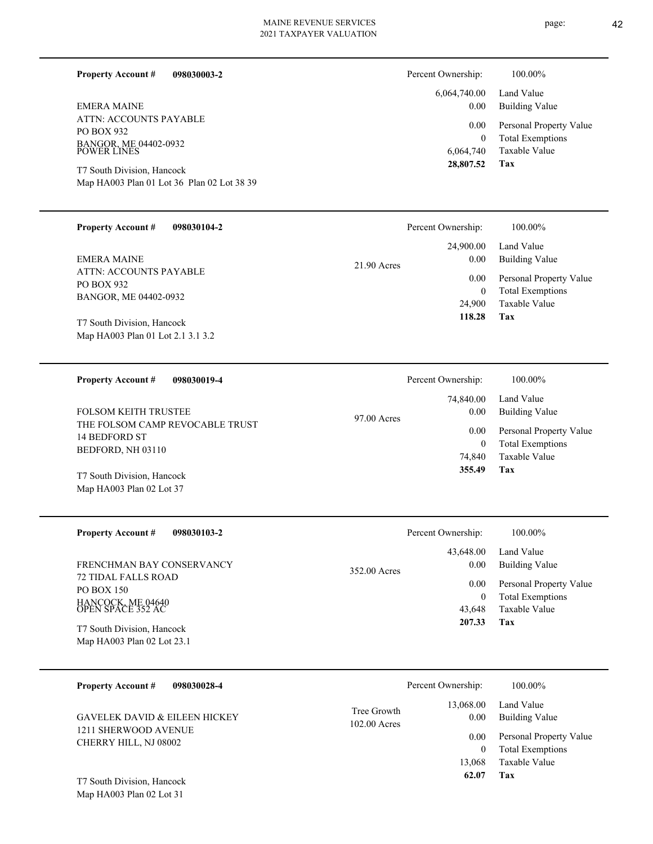#### **098030003-2 Property Account #**

ATTN: ACCOUNTS PAYABLE PO BOX 932 BANGOR, ME 04402-0932 POWER LINES EMERA MAINE

Map HA003 Plan 01 Lot 36 Plan 02 Lot 38 39 T7 South Division, Hancock

#### **098030104-2 Property Account #**

ATTN: ACCOUNTS PAYABLE PO BOX 932 BANGOR, ME 04402-0932 EMERA MAINE

Map HA003 Plan 01 Lot 2.1 3.1 3.2 T7 South Division, Hancock

**098030019-4 Property Account #**

THE FOLSOM CAMP REVOCABLE TRUST 14 BEDFORD ST BEDFORD, NH 03110 FOLSOM KEITH TRUSTEE

Map HA003 Plan 02 Lot 37 T7 South Division, Hancock

| <b>Property Account #</b><br>098030103-2                 | Percent Ownership:   | 100.00%                 |
|----------------------------------------------------------|----------------------|-------------------------|
|                                                          | 43,648.00            | Land Value              |
| FRENCHMAN BAY CONSERVANCY<br><b>72 TIDAL FALLS ROAD</b>  | 0.00<br>352.00 Acres | Building Value          |
| PO BOX 150                                               | 0.00                 | Personal Property Value |
|                                                          | 0                    | <b>Total Exemptions</b> |
| HANCOCK, ME 04640<br>OPEN SPACE 352 AC                   | 43.648               | Taxable Value           |
| T7 South Division, Hancock<br>Map HA003 Plan 02 Lot 23.1 | 207.33               | Tax                     |

| <b>Property Account #</b><br>098030028-4      | Percent Ownership:                                 | 100.00%                                            |
|-----------------------------------------------|----------------------------------------------------|----------------------------------------------------|
| <b>GAVELEK DAVID &amp; EILEEN HICKEY</b>      | 13,068.00<br>Tree Growth<br>0.00<br>$102.00$ Acres | Land Value<br>Building Value                       |
| 1211 SHERWOOD AVENUE<br>CHERRY HILL, NJ 08002 | 0.00<br>0                                          | Personal Property Value<br><b>Total Exemptions</b> |
| T7 South Division, Hancock                    | 13.068<br>62.07                                    | Taxable Value<br>Tax                               |

Map HA003 Plan 02 Lot 31

# page: 42

| Percent Ownership: | 100.00%                 |
|--------------------|-------------------------|
| 6,064,740.00       | Land Value              |
| $0.00\,$           | Building Value          |
| $0.00\,$           | Personal Property Value |
| 0                  | <b>Total Exemptions</b> |
| 6.064.740          | Taxable Value           |
| 28,807.52          | Tax                     |

| 74,840.00 Land Value                  |  |
|---------------------------------------|--|
|                                       |  |
| Building Value<br>0.00<br>97.00 Acres |  |
| Personal Property Value<br>0.00       |  |
| <b>Total Exemptions</b><br>0          |  |
| Taxable Value<br>74,840               |  |
| 355.49<br>Tax                         |  |

**Tax**

 24,900 0

 24,900.00 0.00 0.00

Percent Ownership: 100.00%

21.90 Acres

 **118.28**

Taxable Value Total Exemptions Personal Property Value

Building Value Land Value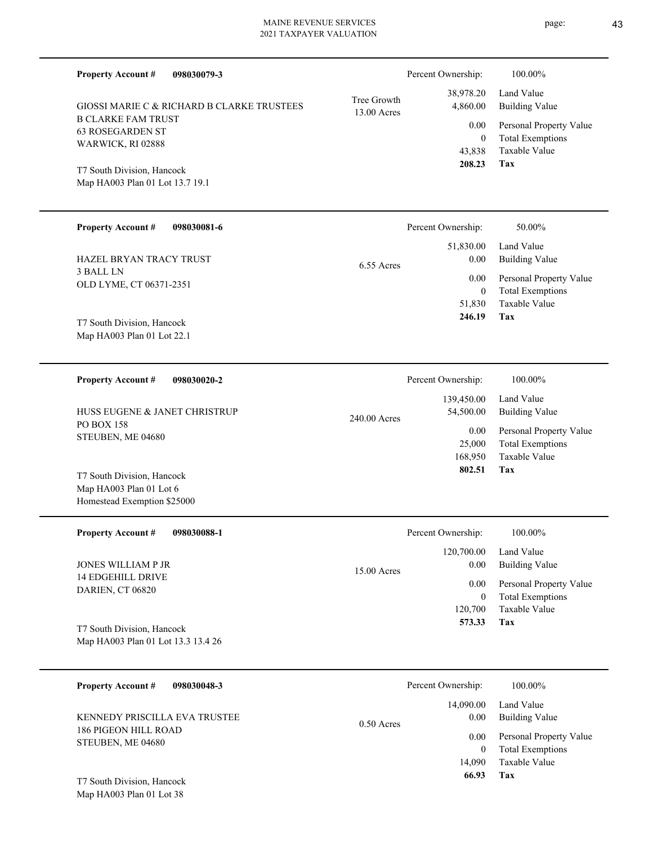| <b>Property Account #</b><br>098030079-3                                             |                            | Percent Ownership:               | 100.00%                                                                    |
|--------------------------------------------------------------------------------------|----------------------------|----------------------------------|----------------------------------------------------------------------------|
| GIOSSI MARIE C & RICHARD B CLARKE TRUSTEES                                           | Tree Growth<br>13.00 Acres | 38,978.20<br>4,860.00            | Land Value<br><b>Building Value</b>                                        |
| <b>B CLARKE FAM TRUST</b><br><b>63 ROSEGARDEN ST</b><br>WARWICK, RI 02888            |                            | 0.00<br>$\overline{0}$<br>43,838 | Personal Property Value<br><b>Total Exemptions</b><br>Taxable Value        |
| T7 South Division, Hancock<br>Map HA003 Plan 01 Lot 13.7 19.1                        |                            | 208.23                           | Tax                                                                        |
| <b>Property Account #</b><br>098030081-6                                             |                            | Percent Ownership:               | 50.00%                                                                     |
| <b>HAZEL BRYAN TRACY TRUST</b>                                                       | $6.55$ Acres               | 51,830.00<br>0.00                | Land Value<br><b>Building Value</b>                                        |
| 3 BALL LN<br>OLD LYME, CT 06371-2351                                                 |                            | 0.00<br>$\overline{0}$<br>51,830 | Personal Property Value<br><b>Total Exemptions</b><br>Taxable Value        |
| T7 South Division, Hancock<br>Map HA003 Plan 01 Lot 22.1                             |                            | 246.19                           | Tax                                                                        |
| <b>Property Account #</b><br>098030020-2                                             |                            | Percent Ownership:               | 100.00%                                                                    |
| HUSS EUGENE & JANET CHRISTRUP                                                        | 240.00 Acres               | 139,450.00<br>54,500.00          | Land Value<br><b>Building Value</b>                                        |
| <b>PO BOX 158</b><br>STEUBEN, ME 04680                                               |                            | 0.00<br>25,000<br>168,950        | Personal Property Value<br><b>Total Exemptions</b><br><b>Taxable Value</b> |
| T7 South Division, Hancock<br>Map HA003 Plan 01 Lot 6<br>Homestead Exemption \$25000 |                            | 802.51                           | Tax                                                                        |
| <b>Property Account #</b><br>098030088-1                                             |                            | Percent Ownership:               | 100.00%                                                                    |
| JONES WILLIAM P JR                                                                   | 15.00 Acres                | 120,700.00<br>0.00               | Land Value<br><b>Building Value</b>                                        |
| <b>14 EDGEHILL DRIVE</b><br>DARIEN, CT 06820                                         |                            | 0.00<br>$\boldsymbol{0}$         | Personal Property Value<br><b>Total Exemptions</b>                         |
| T7 South Division, Hancock<br>Map HA003 Plan 01 Lot 13.3 13.4 26                     |                            | 120,700<br>573.33                | Taxable Value<br>Tax                                                       |
| <b>Property Account #</b><br>098030048-3                                             |                            | Percent Ownership:               | 100.00%                                                                    |
| KENNEDY PRISCILLA EVA TRUSTEE                                                        | $0.50$ Acres               | 14,090.00<br>0.00                | Land Value<br><b>Building Value</b>                                        |
| <b>186 PIGEON HILL ROAD</b><br>STEUBEN, ME 04680                                     |                            | 0.00<br>$\mathbf{0}$<br>14,090   | Personal Property Value<br><b>Total Exemptions</b><br>Taxable Value        |
| T7 South Division, Hancock<br>Map HA003 Plan 01 Lot 38                               |                            | 66.93                            | Tax                                                                        |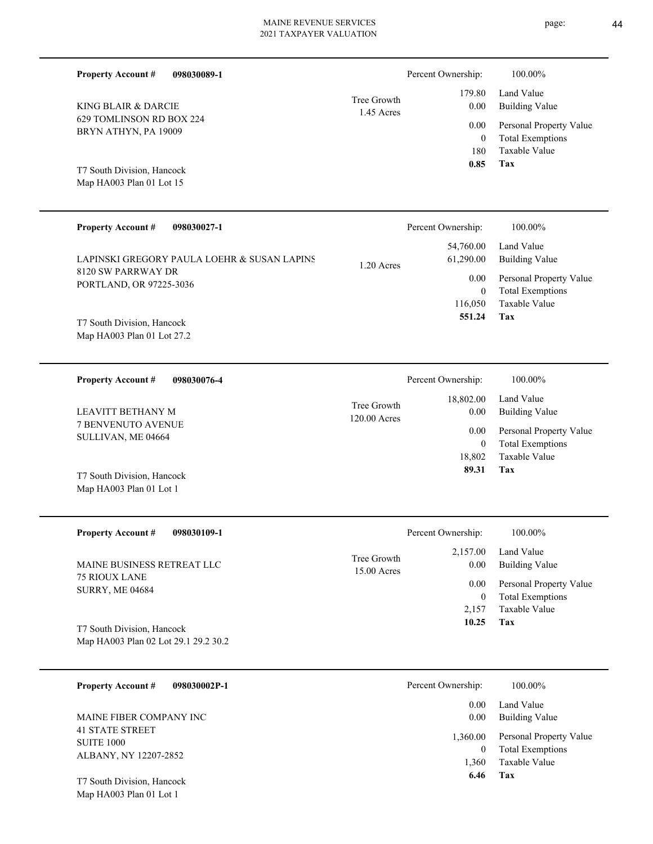| <b>Property Account #</b><br>098030089-1                 |                             | Percent Ownership:       | 100.00%                                            |
|----------------------------------------------------------|-----------------------------|--------------------------|----------------------------------------------------|
| KING BLAIR & DARCIE                                      | Tree Growth                 | 179.80<br>0.00           | Land Value<br><b>Building Value</b>                |
| 629 TOMLINSON RD BOX 224<br>BRYN ATHYN, PA 19009         | 1.45 Acres                  | 0.00<br>$\boldsymbol{0}$ | Personal Property Value<br><b>Total Exemptions</b> |
|                                                          |                             | 180<br>0.85              | Taxable Value<br><b>Tax</b>                        |
| T7 South Division, Hancock<br>Map HA003 Plan 01 Lot 15   |                             |                          |                                                    |
| <b>Property Account #</b><br>098030027-1                 |                             | Percent Ownership:       | 100.00%                                            |
| LAPINSKI GREGORY PAULA LOEHR & SUSAN LAPINS              | $1.20$ Acres                | 54,760.00<br>61,290.00   | Land Value<br><b>Building Value</b>                |
| 8120 SW PARRWAY DR<br>PORTLAND, OR 97225-3036            |                             | 0.00<br>$\mathbf{0}$     | Personal Property Value<br><b>Total Exemptions</b> |
|                                                          |                             | 116,050<br>551.24        | Taxable Value<br>Tax                               |
| T7 South Division, Hancock<br>Map HA003 Plan 01 Lot 27.2 |                             |                          |                                                    |
| <b>Property Account #</b><br>098030076-4                 |                             | Percent Ownership:       | 100.00%                                            |
| LEAVITT BETHANY M                                        | Tree Growth<br>120.00 Acres | 18,802.00<br>0.00        | Land Value<br><b>Building Value</b>                |
| <b>7 BENVENUTO AVENUE</b><br>SULLIVAN, ME 04664          |                             | 0.00<br>$\mathbf{0}$     | Personal Property Value<br><b>Total Exemptions</b> |
|                                                          |                             | 18,802                   | Taxable Value                                      |
| T7 South Division, Hancock<br>Map HA003 Plan 01 Lot 1    |                             | 89.31                    | <b>Tax</b>                                         |
| <b>Property Account #</b><br>098030109-1                 |                             | Percent Ownership:       | 100.00%                                            |
| MAINE BUSINESS RETREAT LLC                               | Tree Growth<br>15.00 Acres  | 2,157.00<br>0.00         | Land Value<br><b>Building Value</b>                |
| 75 RIOUX LANE<br><b>SURRY, ME 04684</b>                  |                             | 0.00                     | Personal Property Value                            |

Map HA003 Plan 02 Lot 29.1 29.2 30.2 T7 South Division, Hancock

| 098030002P-1<br><b>Property Account #</b>         | Percent Ownership:            | 100.00%                                                             |
|---------------------------------------------------|-------------------------------|---------------------------------------------------------------------|
| MAINE FIBER COMPANY INC<br><b>41 STATE STREET</b> | 0.00<br>0.00                  | Land Value<br>Building Value                                        |
| <b>SUITE 1000</b><br>ALBANY, NY 12207-2852        | 1,360.00<br>$\theta$<br>1,360 | Personal Property Value<br><b>Total Exemptions</b><br>Taxable Value |
| T7 South Division, Hancock                        | 6.46                          | Tax                                                                 |

**Tax 10.25**

2,157

Taxable Value 0 Total Exemptions

Map HA003 Plan 01 Lot 1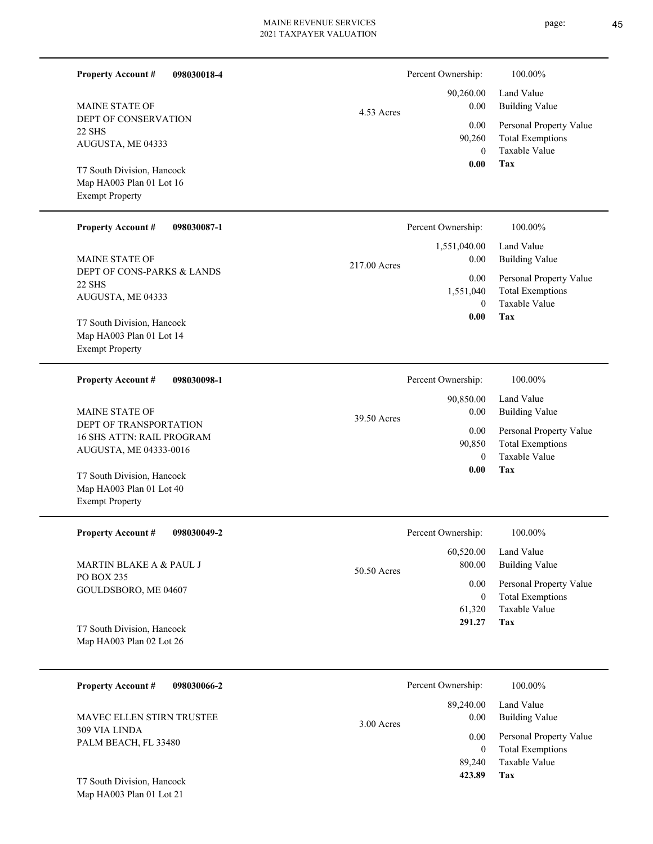| <b>Property Account #</b><br>098030018-4               |              | Percent Ownership:         | 100.00%                                            |
|--------------------------------------------------------|--------------|----------------------------|----------------------------------------------------|
| <b>MAINE STATE OF</b>                                  | 4.53 Acres   | 90,260.00<br>0.00          | Land Value<br><b>Building Value</b>                |
| DEPT OF CONSERVATION<br>22 SHS                         |              | 0.00                       | Personal Property Value                            |
| AUGUSTA, ME 04333                                      |              | 90,260<br>$\mathbf{0}$     | <b>Total Exemptions</b><br>Taxable Value           |
|                                                        |              | 0.00                       | Tax                                                |
| T7 South Division, Hancock<br>Map HA003 Plan 01 Lot 16 |              |                            |                                                    |
| <b>Exempt Property</b>                                 |              |                            |                                                    |
| <b>Property Account #</b><br>098030087-1               |              | Percent Ownership:         | 100.00%                                            |
|                                                        |              | 1,551,040.00               | Land Value                                         |
| <b>MAINE STATE OF</b><br>DEPT OF CONS-PARKS & LANDS    | 217.00 Acres | 0.00                       | <b>Building Value</b>                              |
| <b>22 SHS</b>                                          |              | 0.00<br>1,551,040          | Personal Property Value<br><b>Total Exemptions</b> |
| AUGUSTA, ME 04333                                      |              | $\mathbf{0}$               | Taxable Value                                      |
| T7 South Division, Hancock                             |              | 0.00                       | Tax                                                |
| Map HA003 Plan 01 Lot 14<br><b>Exempt Property</b>     |              |                            |                                                    |
|                                                        |              |                            |                                                    |
| <b>Property Account #</b><br>098030098-1               |              | Percent Ownership:         | 100.00%                                            |
|                                                        |              | 90,850.00                  | Land Value                                         |
| MAINE STATE OF<br>DEPT OF TRANSPORTATION               | 39.50 Acres  | 0.00                       | <b>Building Value</b>                              |
| 16 SHS ATTN: RAIL PROGRAM                              |              | 0.00<br>90,850             | Personal Property Value<br><b>Total Exemptions</b> |
| AUGUSTA, ME 04333-0016                                 |              | $\mathbf{0}$               | Taxable Value                                      |
| T7 South Division, Hancock                             |              | 0.00                       | Tax                                                |
| Map HA003 Plan 01 Lot 40<br><b>Exempt Property</b>     |              |                            |                                                    |
|                                                        |              |                            |                                                    |
| <b>Property Account #</b><br>098030049-2               |              | Percent Ownership:         | 100.00%                                            |
| MARTIN BLAKE A & PAUL J                                |              | 60,520.00<br>800.00        | Land Value<br><b>Building Value</b>                |
| PO BOX 235                                             | 50.50 Acres  | 0.00                       | Personal Property Value                            |
| GOULDSBORO, ME 04607                                   |              | $\boldsymbol{0}$           | <b>Total Exemptions</b>                            |
|                                                        |              | 61,320<br>291.27           | Taxable Value<br>Tax                               |
| T7 South Division, Hancock<br>Map HA003 Plan 02 Lot 26 |              |                            |                                                    |
|                                                        |              |                            |                                                    |
| <b>Property Account #</b><br>098030066-2               |              | Percent Ownership:         | 100.00%                                            |
|                                                        |              | 89,240.00                  | Land Value                                         |
| MAVEC ELLEN STIRN TRUSTEE                              | 3.00 Acres   | 0.00                       | <b>Building Value</b>                              |
| 309 VIA LINDA<br>PALM BEACH, FL 33480                  |              | 0.00                       | Personal Property Value                            |
|                                                        |              | $\boldsymbol{0}$<br>89,240 | <b>Total Exemptions</b><br>Taxable Value           |
| T7 South Division, Hancock                             |              | 423.89                     | Tax                                                |
|                                                        |              |                            |                                                    |

Map HA003 Plan 01 Lot 21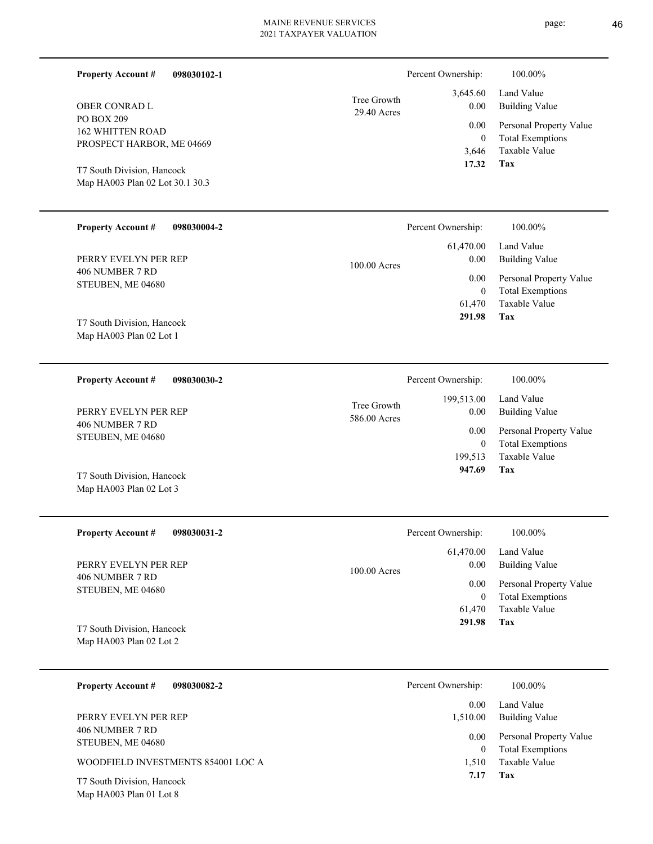| <b>Property Account #</b><br>098030102-1                                                                                            |                             | Percent Ownership:                           | 100.00%                                                                    |
|-------------------------------------------------------------------------------------------------------------------------------------|-----------------------------|----------------------------------------------|----------------------------------------------------------------------------|
| <b>OBER CONRAD L</b>                                                                                                                | Tree Growth<br>29.40 Acres  | 3,645.60<br>0.00                             | Land Value<br><b>Building Value</b>                                        |
| PO BOX 209<br><b>162 WHITTEN ROAD</b><br>PROSPECT HARBOR, ME 04669<br>T7 South Division, Hancock<br>Map HA003 Plan 02 Lot 30.1 30.3 |                             | 0.00<br>$\overline{0}$<br>3,646<br>17.32     | Personal Property Value<br><b>Total Exemptions</b><br>Taxable Value<br>Tax |
|                                                                                                                                     |                             |                                              |                                                                            |
| <b>Property Account #</b><br>098030004-2                                                                                            |                             | Percent Ownership:                           | 100.00%                                                                    |
| PERRY EVELYN PER REP                                                                                                                | 100.00 Acres                | 61,470.00<br>0.00                            | Land Value<br><b>Building Value</b>                                        |
| 406 NUMBER 7 RD<br>STEUBEN, ME 04680                                                                                                |                             | 0.00<br>$\overline{0}$<br>61,470             | Personal Property Value<br><b>Total Exemptions</b><br>Taxable Value<br>Tax |
| T7 South Division, Hancock<br>Map HA003 Plan 02 Lot 1                                                                               |                             | 291.98                                       |                                                                            |
| <b>Property Account #</b><br>098030030-2                                                                                            |                             | Percent Ownership:                           | 100.00%                                                                    |
| PERRY EVELYN PER REP                                                                                                                | Tree Growth<br>586.00 Acres | 199,513.00<br>0.00                           | Land Value<br><b>Building Value</b>                                        |
| 406 NUMBER 7 RD<br>STEUBEN, ME 04680                                                                                                |                             | 0.00<br>$\overline{0}$<br>199,513            | Personal Property Value<br><b>Total Exemptions</b><br><b>Taxable Value</b> |
| T7 South Division, Hancock<br>Map HA003 Plan 02 Lot 3                                                                               |                             | 947.69                                       | Tax                                                                        |
| <b>Property Account #</b><br>098030031-2                                                                                            |                             | Percent Ownership:                           | 100.00%                                                                    |
| PERRY EVELYN PER REP                                                                                                                | 100.00 Acres                | 61,470.00<br>0.00                            | Land Value<br><b>Building Value</b>                                        |
| 406 NUMBER 7 RD<br>STEUBEN, ME 04680<br>T7 South Division, Hancock                                                                  |                             | 0.00<br>$\boldsymbol{0}$<br>61,470<br>291.98 | Personal Property Value<br><b>Total Exemptions</b><br>Taxable Value<br>Tax |
| Map HA003 Plan 02 Lot 2                                                                                                             |                             |                                              |                                                                            |
|                                                                                                                                     |                             |                                              |                                                                            |

|                                                       | 0.00 <sub>1</sub> | Land Value                                         |
|-------------------------------------------------------|-------------------|----------------------------------------------------|
| PERRY EVELYN PER REP                                  | 1,510.00          | Building Value                                     |
| 406 NUMBER 7 RD<br>STEUBEN, ME 04680                  | 0.00              | Personal Property Value<br><b>Total Exemptions</b> |
| WOODFIELD INVESTMENTS 854001 LOC A                    | 1.510             | Taxable Value                                      |
| T7 South Division, Hancock<br>Map HA003 Plan 01 Lot 8 | 7.17              | Tax                                                |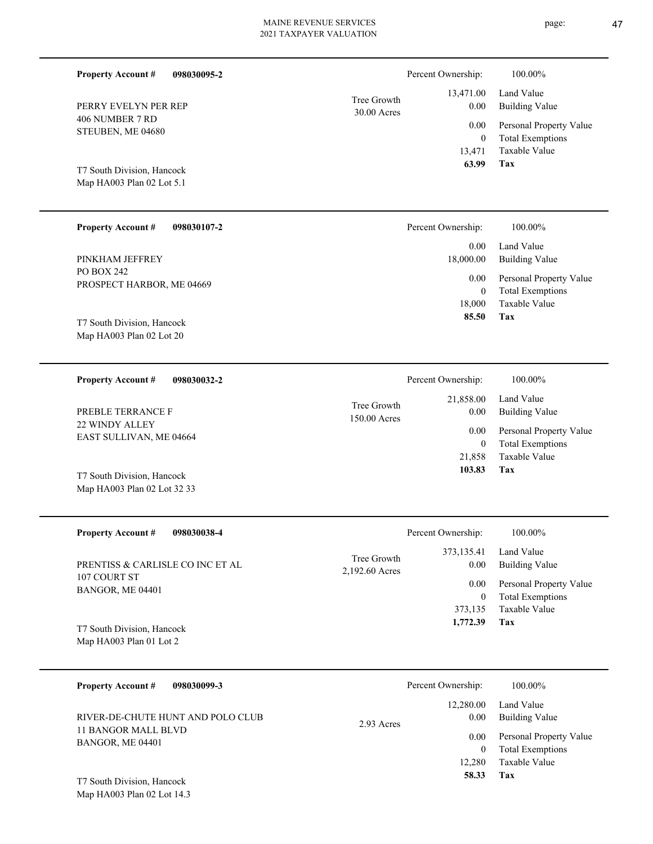| <b>Property Account #</b>                                 | 098030095-2 |                               | Percent Ownership:                  | 100.00%                                                       |
|-----------------------------------------------------------|-------------|-------------------------------|-------------------------------------|---------------------------------------------------------------|
| PERRY EVELYN PER REP                                      |             | Tree Growth<br>30.00 Acres    | 13,471.00<br>0.00                   | Land Value<br><b>Building Value</b>                           |
| 406 NUMBER 7 RD<br>STEUBEN, ME 04680                      |             |                               | 0.00                                | Personal Property Value                                       |
| T7 South Division, Hancock<br>Map HA003 Plan 02 Lot 5.1   |             |                               | $\mathbf{0}$<br>13,471<br>63.99     | <b>Total Exemptions</b><br><b>Taxable Value</b><br><b>Tax</b> |
| <b>Property Account #</b>                                 | 098030107-2 |                               | Percent Ownership:                  | 100.00%                                                       |
| PINKHAM JEFFREY                                           |             |                               | 0.00<br>18,000.00                   | Land Value<br><b>Building Value</b>                           |
| PO BOX 242<br>PROSPECT HARBOR, ME 04669                   |             |                               | 0.00                                | Personal Property Value                                       |
| T7 South Division, Hancock<br>Map HA003 Plan 02 Lot 20    |             |                               | $\mathbf{0}$<br>18,000<br>85.50     | <b>Total Exemptions</b><br>Taxable Value<br>Tax               |
| <b>Property Account #</b>                                 | 098030032-2 |                               | Percent Ownership:                  | 100.00%                                                       |
|                                                           |             |                               | 21,858.00                           | Land Value                                                    |
| PREBLE TERRANCE F<br>22 WINDY ALLEY                       |             | Tree Growth<br>150.00 Acres   | 0.00                                | <b>Building Value</b>                                         |
| EAST SULLIVAN, ME 04664                                   |             |                               | 0.00<br>$\mathbf{0}$                | Personal Property Value<br><b>Total Exemptions</b>            |
| T7 South Division, Hancock<br>Map HA003 Plan 02 Lot 32 33 |             |                               | 21,858<br>103.83                    | <b>Taxable Value</b><br>Tax                                   |
| <b>Property Account #</b>                                 | 098030038-4 |                               | Percent Ownership:                  | 100.00%                                                       |
| PRENTISS & CARLISLE CO INC ET AL                          |             | Tree Growth<br>2,192.60 Acres | 373,135.41<br>$0.00\,$              | Land Value<br><b>Building Value</b>                           |
| 107 COURT ST<br>BANGOR, ME 04401                          |             |                               | $0.00\,$                            | Personal Property Value                                       |
| T7 South Division, Hancock<br>Map HA003 Plan 01 Lot 2     |             |                               | $\mathbf{0}$<br>373,135<br>1,772.39 | <b>Total Exemptions</b><br>Taxable Value<br>Tax               |
| <b>Property Account #</b>                                 | 098030099-3 |                               | Percent Ownership:                  | 100.00%                                                       |
| RIVER-DE-CHUTE HUNT AND POLO CLUB                         |             |                               | 12,280.00<br>$0.00\,$               | Land Value<br><b>Building Value</b>                           |
| 11 BANGOR MALL BLVD<br>BANGOR, ME 04401                   |             | 2.93 Acres                    | 0.00                                | Personal Property Value                                       |
|                                                           |             |                               | $\overline{0}$<br>12,280<br>58.33   | <b>Total Exemptions</b><br>Taxable Value<br>Tax               |

Map HA003 Plan 02 Lot 14.3 T7 South Division, Hancock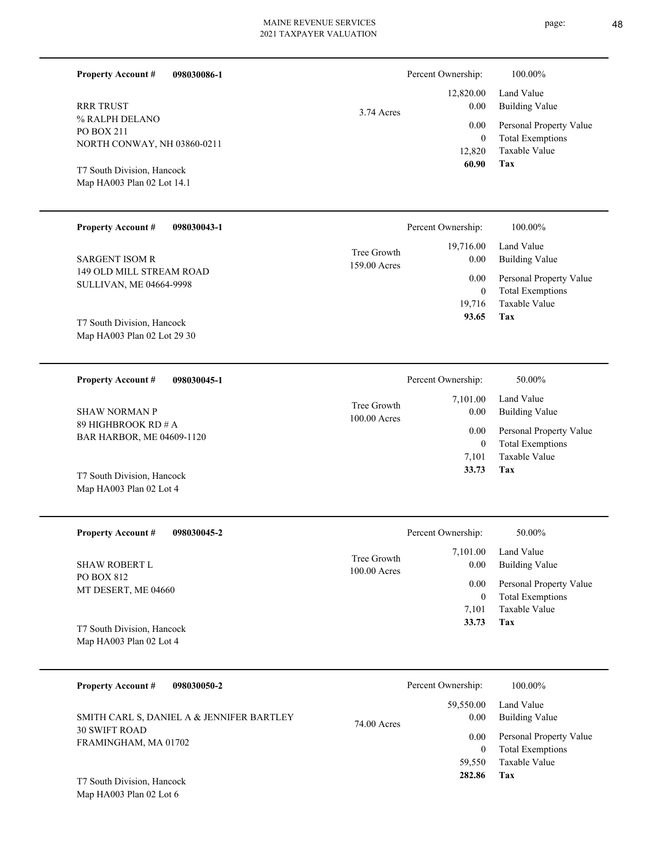| г. |
|----|
|----|

| 098030086-1<br><b>Property Account #</b>                   |                             | Percent Ownership:       | 100.00%                                            |
|------------------------------------------------------------|-----------------------------|--------------------------|----------------------------------------------------|
| <b>RRR TRUST</b>                                           | 3.74 Acres                  | 12,820.00<br>$0.00\,$    | Land Value<br><b>Building Value</b>                |
| % RALPH DELANO<br><b>PO BOX 211</b>                        |                             | 0.00                     | Personal Property Value                            |
| NORTH CONWAY, NH 03860-0211                                |                             | $\overline{0}$<br>12,820 | <b>Total Exemptions</b><br>Taxable Value           |
| T7 South Division, Hancock                                 |                             | 60.90                    | Tax                                                |
| Map HA003 Plan 02 Lot 14.1                                 |                             |                          |                                                    |
| <b>Property Account #</b><br>098030043-1                   |                             | Percent Ownership:       | 100.00%                                            |
| <b>SARGENT ISOM R</b>                                      | Tree Growth<br>159.00 Acres | 19,716.00<br>0.00        | Land Value<br><b>Building Value</b>                |
| 149 OLD MILL STREAM ROAD<br><b>SULLIVAN, ME 04664-9998</b> |                             | 0.00                     | Personal Property Value                            |
|                                                            |                             | $\mathbf{0}$<br>19,716   | <b>Total Exemptions</b><br><b>Taxable Value</b>    |
| T7 South Division, Hancock                                 |                             | 93.65                    | Tax                                                |
| Map HA003 Plan 02 Lot 29 30                                |                             |                          |                                                    |
| <b>Property Account #</b><br>098030045-1                   |                             | Percent Ownership:       | 50.00%                                             |
|                                                            | Tree Growth                 | 7,101.00                 | Land Value                                         |
| <b>SHAW NORMAN P</b><br>89 HIGHBROOK RD # A                | 100.00 Acres                | $0.00\,$<br>0.00         | <b>Building Value</b><br>Personal Property Value   |
| BAR HARBOR, ME 04609-1120                                  |                             | $\mathbf{0}$             | <b>Total Exemptions</b>                            |
| T7 South Division, Hancock                                 |                             | 7,101<br>33.73           | <b>Taxable Value</b><br>Tax                        |
| Map HA003 Plan 02 Lot 4                                    |                             |                          |                                                    |
| <b>Property Account #</b><br>098030045-2                   |                             | Percent Ownership:       | 50.00%                                             |
|                                                            | Tree Growth                 | 7,101.00                 | Land Value                                         |
| <b>SHAW ROBERT L</b><br>PO BOX 812                         | 100.00 Acres                | 0.00                     | <b>Building Value</b>                              |
| MT DESERT, ME 04660                                        |                             | 0.00<br>$\mathbf{0}$     | Personal Property Value<br><b>Total Exemptions</b> |
|                                                            |                             | 7,101                    | Taxable Value                                      |
| T7 South Division, Hancock<br>Map HA003 Plan 02 Lot 4      |                             | 33.73                    | Tax                                                |
|                                                            |                             |                          |                                                    |
| <b>Property Account #</b><br>098030050-2                   |                             | Percent Ownership:       | 100.00%                                            |
| SMITH CARL S, DANIEL A & JENNIFER BARTLEY                  | 74.00 Acres                 | 59,550.00<br>0.00        | Land Value<br><b>Building Value</b>                |
| <b>30 SWIFT ROAD</b><br>FRAMINGHAM, MA 01702               |                             | $0.00\,$                 | Personal Property Value                            |
|                                                            |                             | $\mathbf{0}$<br>59,550   | <b>Total Exemptions</b><br>Taxable Value           |
| T7 South Division, Hancock                                 |                             | 282.86                   | Tax                                                |
| Map HA003 Plan 02 Lot 6                                    |                             |                          |                                                    |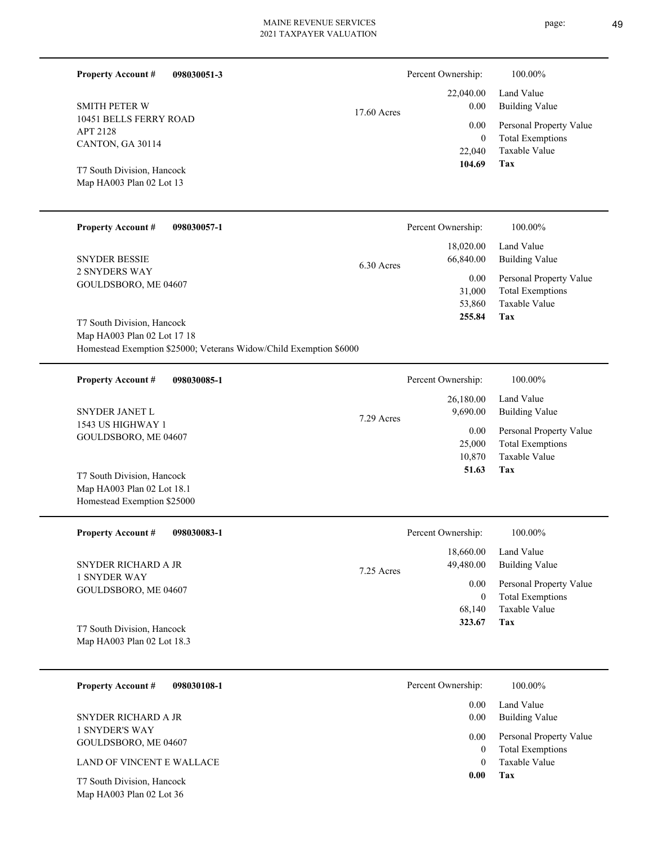**098030051-3**

**Property Account #**

Percent Ownership:  $100.00\%$ 

| <b>SMITH PETER W</b>                                                                                                            | 17.60 Acres | 22,040.00<br>0.00                  | Land Value<br><b>Building Value</b>                                        |
|---------------------------------------------------------------------------------------------------------------------------------|-------------|------------------------------------|----------------------------------------------------------------------------|
| 10451 BELLS FERRY ROAD<br>APT 2128<br>CANTON, GA 30114                                                                          |             | 0.00<br>$\mathbf{0}$<br>22,040     | Personal Property Value<br><b>Total Exemptions</b><br>Taxable Value        |
| T7 South Division, Hancock<br>Map HA003 Plan 02 Lot 13                                                                          |             | 104.69                             | Tax                                                                        |
| <b>Property Account #</b><br>098030057-1                                                                                        |             | Percent Ownership:                 | 100.00%                                                                    |
| <b>SNYDER BESSIE</b>                                                                                                            | 6.30 Acres  | 18,020.00<br>66,840.00             | Land Value<br><b>Building Value</b>                                        |
| <b>2 SNYDERS WAY</b><br>GOULDSBORO, ME 04607                                                                                    |             | 0.00<br>31,000<br>53,860<br>255.84 | Personal Property Value<br><b>Total Exemptions</b><br>Taxable Value<br>Tax |
| T7 South Division, Hancock<br>Map HA003 Plan 02 Lot 17 18<br>Homestead Exemption \$25000; Veterans Widow/Child Exemption \$6000 |             |                                    |                                                                            |
| <b>Property Account #</b><br>098030085-1                                                                                        |             | Percent Ownership:                 | 100.00%                                                                    |
| SNYDER JANET L                                                                                                                  | 7.29 Acres  | 26,180.00<br>9,690.00              | Land Value<br><b>Building Value</b>                                        |
| 1543 US HIGHWAY 1<br>GOULDSBORO, ME 04607                                                                                       |             | 0.00<br>25,000<br>10,870<br>51.63  | Personal Property Value<br><b>Total Exemptions</b><br>Taxable Value<br>Tax |
| T7 South Division, Hancock<br>Map HA003 Plan 02 Lot 18.1<br>Homestead Exemption \$25000                                         |             |                                    |                                                                            |
| <b>Property Account #</b><br>098030083-1                                                                                        |             | Percent Ownership:                 | 100.00%                                                                    |
| SNYDER RICHARD A JR                                                                                                             | 7.25 Acres  | 18,660.00<br>49,480.00             | Land Value<br><b>Building Value</b>                                        |
| <b>1 SNYDER WAY</b><br>GOULDSBORO, ME 04607                                                                                     |             | 0.00<br>$\boldsymbol{0}$<br>68,140 | Personal Property Value<br><b>Total Exemptions</b><br>Taxable Value        |
| T7 South Division, Hancock<br>Map HA003 Plan 02 Lot 18.3                                                                        |             | 323.67                             | Tax                                                                        |
| <b>Property Account #</b><br>098030108-1                                                                                        |             | Percent Ownership:                 | 100.00%                                                                    |
| SNYDER RICHARD A JR                                                                                                             |             | 0.00<br>0.00                       | Land Value<br><b>Building Value</b>                                        |
| <b>1 SNYDER'S WAY</b><br>GOULDSBORO, ME 04607                                                                                   |             | 0.00<br>$\mathbf{0}$               | Personal Property Value<br><b>Total Exemptions</b>                         |
| LAND OF VINCENT E WALLACE<br>T7 South Division, Hancock<br>Map HA003 Plan 02 Lot 36                                             |             | $\theta$<br>0.00                   | Taxable Value<br>Tax                                                       |
|                                                                                                                                 |             |                                    |                                                                            |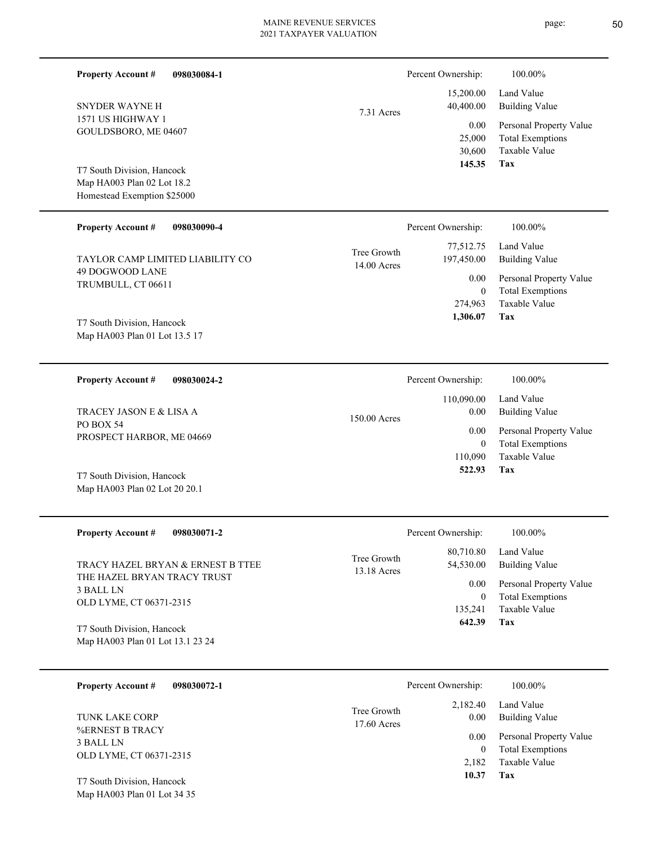page: 50

| <b>Property Account #</b><br>098030084-1                                                                                                               |                            | Percent Ownership:                  | 100.00%                                                                    |  |
|--------------------------------------------------------------------------------------------------------------------------------------------------------|----------------------------|-------------------------------------|----------------------------------------------------------------------------|--|
| SNYDER WAYNE H<br>1571 US HIGHWAY 1<br>GOULDSBORO, ME 04607<br>T7 South Division, Hancock<br>Map HA003 Plan 02 Lot 18.2<br>Homestead Exemption \$25000 | 7.31 Acres                 | 15,200.00<br>40,400.00              | Land Value<br><b>Building Value</b>                                        |  |
|                                                                                                                                                        |                            | 0.00<br>25,000<br>30,600            | Personal Property Value<br><b>Total Exemptions</b><br>Taxable Value        |  |
|                                                                                                                                                        |                            | 145.35                              | Tax                                                                        |  |
| <b>Property Account #</b><br>098030090-4                                                                                                               |                            | Percent Ownership:                  | 100.00%                                                                    |  |
| TAYLOR CAMP LIMITED LIABILITY CO                                                                                                                       | Tree Growth<br>14.00 Acres | 77,512.75<br>197,450.00             | Land Value<br><b>Building Value</b>                                        |  |
| 49 DOGWOOD LANE<br>TRUMBULL, CT 06611                                                                                                                  |                            | 0.00<br>$\mathbf{0}$                | Personal Property Value<br><b>Total Exemptions</b>                         |  |
| T7 South Division, Hancock<br>Map HA003 Plan 01 Lot 13.5 17                                                                                            |                            | 274,963<br>1,306.07                 | <b>Taxable Value</b><br>Tax                                                |  |
| <b>Property Account #</b><br>098030024-2                                                                                                               |                            | Percent Ownership:                  | 100.00%                                                                    |  |
| TRACEY JASON E & LISA A                                                                                                                                | 150.00 Acres               | 110,090.00<br>0.00                  | Land Value<br><b>Building Value</b>                                        |  |
| PO BOX 54<br>PROSPECT HARBOR, ME 04669                                                                                                                 |                            | 0.00<br>$\mathbf{0}$<br>110,090     | Personal Property Value<br><b>Total Exemptions</b><br><b>Taxable Value</b> |  |
| T7 South Division, Hancock<br>Map HA003 Plan 02 Lot 20 20.1                                                                                            |                            | 522.93                              | Tax                                                                        |  |
| <b>Property Account #</b><br>098030071-2                                                                                                               |                            | Percent Ownership:                  | 100.00%                                                                    |  |
| TRACY HAZEL BRYAN & ERNEST B TTEE                                                                                                                      | Tree Growth<br>13.18 Acres | 80,710.80<br>54,530.00              | Land Value<br><b>Building Value</b>                                        |  |
| THE HAZEL BRYAN TRACY TRUST<br>3 BALL LN<br>OLD LYME, CT 06371-2315                                                                                    |                            | 0.00<br>$\boldsymbol{0}$<br>135,241 | Personal Property Value<br><b>Total Exemptions</b><br>Taxable Value        |  |
| T7 South Division, Hancock<br>Map HA003 Plan 01 Lot 13.1 23 24                                                                                         |                            | 642.39                              | Tax                                                                        |  |
| <b>Property Account #</b><br>098030072-1                                                                                                               |                            | Percent Ownership:                  | 100.00%                                                                    |  |
| TUNK LAKE CORP                                                                                                                                         | Tree Growth<br>17.60 Acres | 2,182.40<br>0.00                    | Land Value<br><b>Building Value</b>                                        |  |
| <b>%ERNEST B TRACY</b><br>3 BALL LN<br>OLD LYME, CT 06371-2315                                                                                         |                            | 0.00<br>0                           | Personal Property Value<br><b>Total Exemptions</b><br>Taxable Value        |  |
| T7 South Division Hancock                                                                                                                              |                            | 2,182<br>10.37                      | Tax                                                                        |  |

Map HA003 Plan 01 Lot 34 35 T7 South Division, Hancock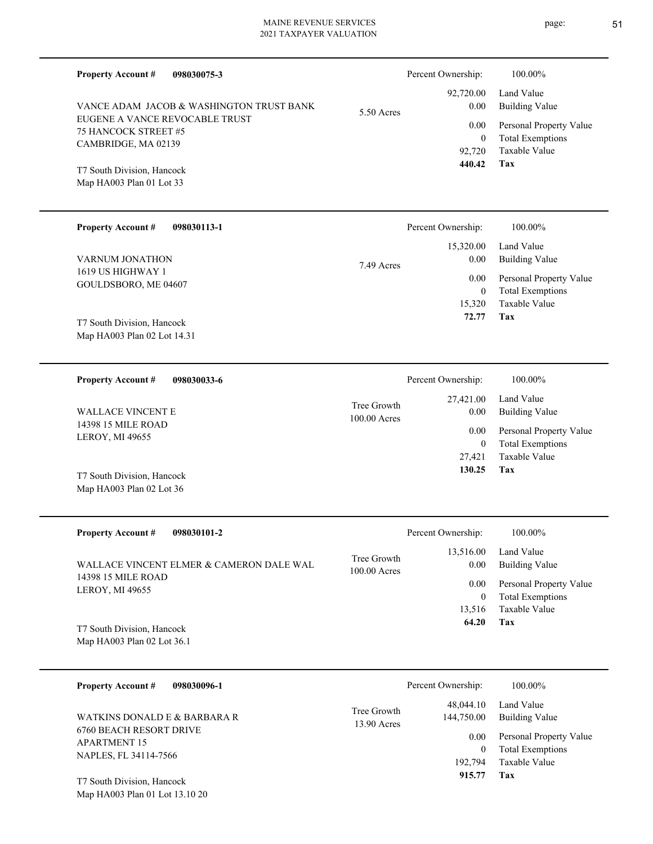| <b>Property Account #</b><br>098030075-3                 |                             | Percent Ownership: | 100.00%                             |
|----------------------------------------------------------|-----------------------------|--------------------|-------------------------------------|
| VANCE ADAM JACOB & WASHINGTON TRUST BANK                 |                             | 92,720.00<br>0.00  | Land Value<br><b>Building Value</b> |
| EUGENE A VANCE REVOCABLE TRUST                           | 5.50 Acres                  | 0.00               | Personal Property Value             |
| 75 HANCOCK STREET #5<br>CAMBRIDGE, MA 02139              |                             | $\overline{0}$     | <b>Total Exemptions</b>             |
|                                                          |                             | 92,720             | Taxable Value                       |
| T7 South Division, Hancock                               |                             | 440.42             | Tax                                 |
| Map HA003 Plan 01 Lot 33                                 |                             |                    |                                     |
| <b>Property Account #</b><br>098030113-1                 |                             | Percent Ownership: | 100.00%                             |
|                                                          |                             | 15,320.00          | Land Value                          |
| VARNUM JONATHON                                          | 7.49 Acres                  | 0.00               | <b>Building Value</b>               |
| 1619 US HIGHWAY 1                                        |                             | 0.00               | Personal Property Value             |
| GOULDSBORO, ME 04607                                     |                             | $\theta$           | <b>Total Exemptions</b>             |
|                                                          |                             | 15,320<br>72.77    | Taxable Value<br>Tax                |
| T7 South Division, Hancock                               |                             |                    |                                     |
| Map HA003 Plan 02 Lot 14.31                              |                             |                    |                                     |
| <b>Property Account #</b><br>098030033-6                 |                             | Percent Ownership: | 100.00%                             |
|                                                          |                             | 27,421.00          | Land Value                          |
| <b>WALLACE VINCENT E</b>                                 | Tree Growth<br>100.00 Acres | $0.00\,$           | <b>Building Value</b>               |
| 14398 15 MILE ROAD                                       |                             | 0.00               | Personal Property Value             |
| LEROY, MI 49655                                          |                             | $\overline{0}$     | <b>Total Exemptions</b>             |
|                                                          |                             | 27,421<br>130.25   | Taxable Value<br>Tax                |
| T7 South Division, Hancock<br>Map HA003 Plan 02 Lot 36   |                             |                    |                                     |
| <b>Property Account #</b><br>098030101-2                 |                             | Percent Ownership: | $100.00\%$                          |
|                                                          |                             | 13,516.00          | Land Value                          |
| WALLACE VINCENT ELMER & CAMERON DALE WAL:                | Tree Growth<br>100.00 Acres | 0.00               | <b>Building Value</b>               |
| 14398 15 MILE ROAD<br>LEROY, MI 49655                    |                             | 0.00               | Personal Property Value             |
|                                                          |                             | $\overline{0}$     | <b>Total Exemptions</b>             |
|                                                          |                             | 13,516<br>64.20    | Taxable Value<br>Tax                |
| T7 South Division, Hancock<br>Map HA003 Plan 02 Lot 36.1 |                             |                    |                                     |
|                                                          |                             |                    |                                     |
| <b>Property Account #</b><br>098030096-1                 |                             | Percent Ownership: | 100.00%                             |
|                                                          | Tree Growth                 | 48,044.10          | Land Value                          |
| WATKINS DONALD E & BARBARA R                             | 13.90 Acres                 | 144,750.00         | <b>Building Value</b>               |
| 6760 BEACH RESORT DRIVE<br><b>APARTMENT 15</b>           |                             | 0.00               | Personal Property Value             |
| NAPLES, FL 34114-7566                                    |                             | $\mathbf{0}$       | <b>Total Exemptions</b>             |
|                                                          |                             | 192,794<br>915.77  | Taxable Value<br>Tax                |
| $TTQ = 1.72 \cdot 1.7$                                   |                             |                    |                                     |

Map HA003 Plan 01 Lot 13.10 20 T7 South Division, Hancock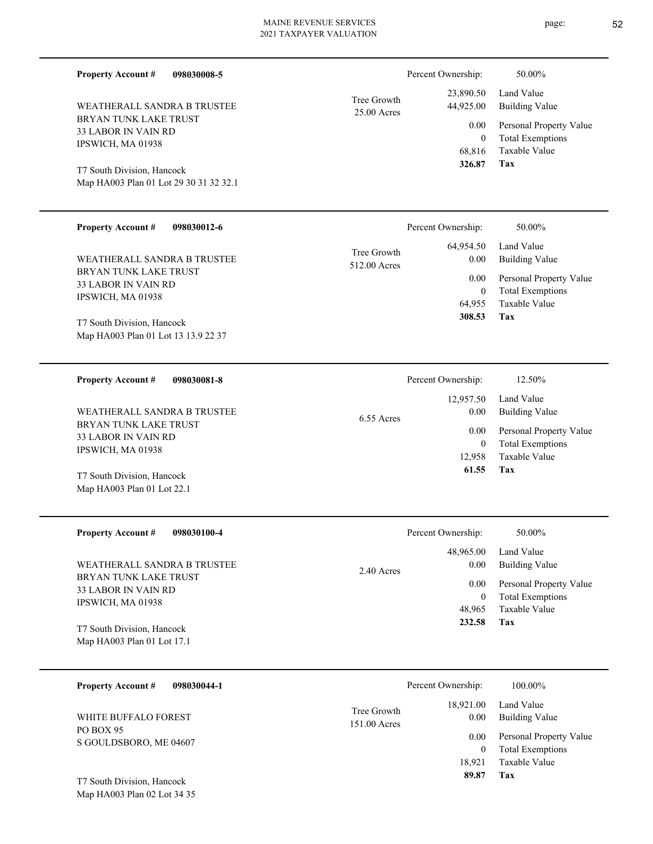| <b>Property Account #</b><br>098030008-5                                                                                               |                             | Percent Ownership:                                       | 50.00%                                                                                                     |
|----------------------------------------------------------------------------------------------------------------------------------------|-----------------------------|----------------------------------------------------------|------------------------------------------------------------------------------------------------------------|
| WEATHERALL SANDRA B TRUSTEE<br>BRYAN TUNK LAKE TRUST<br><b>33 LABOR IN VAIN RD</b><br>IPSWICH, MA 01938                                | Tree Growth<br>25.00 Acres  | 23,890.50<br>44,925.00<br>0.00<br>$\mathbf{0}$<br>68,816 | Land Value<br><b>Building Value</b><br>Personal Property Value<br><b>Total Exemptions</b><br>Taxable Value |
| T7 South Division, Hancock<br>Map HA003 Plan 01 Lot 29 30 31 32 32.1                                                                   |                             | 326.87                                                   | Tax                                                                                                        |
| <b>Property Account #</b><br>098030012-6                                                                                               |                             | Percent Ownership:                                       | 50.00%                                                                                                     |
| WEATHERALL SANDRA B TRUSTEE                                                                                                            | Tree Growth<br>512.00 Acres | 64,954.50<br>0.00                                        | Land Value<br><b>Building Value</b>                                                                        |
| BRYAN TUNK LAKE TRUST<br>33 LABOR IN VAIN RD<br>IPSWICH, MA 01938<br>T7 South Division, Hancock<br>Map HA003 Plan 01 Lot 13 13.9 22 37 |                             | 0.00<br>$\mathbf{0}$<br>64,955<br>308.53                 | Personal Property Value<br><b>Total Exemptions</b><br><b>Taxable Value</b><br>Tax                          |
| <b>Property Account #</b><br>098030081-8                                                                                               |                             | Percent Ownership:                                       | 12.50%                                                                                                     |
| WEATHERALL SANDRA B TRUSTEE                                                                                                            | 6.55 Acres                  | 12,957.50<br>0.00                                        | Land Value<br><b>Building Value</b>                                                                        |
| BRYAN TUNK LAKE TRUST<br>33 LABOR IN VAIN RD<br>IPSWICH, MA 01938                                                                      |                             | 0.00<br>$\mathbf{0}$<br>12,958                           | Personal Property Value<br><b>Total Exemptions</b><br>Taxable Value                                        |
| T7 South Division, Hancock<br>Map HA003 Plan 01 Lot 22.1                                                                               |                             | 61.55                                                    | Tax                                                                                                        |
| <b>Property Account #</b><br>098030100-4                                                                                               |                             | Percent Ownership:                                       | 50.00%                                                                                                     |
| WEATHERALL SANDRA B TRUSTEE                                                                                                            | 2.40 Acres                  | 48,965.00<br>0.00                                        | Land Value<br><b>Building Value</b>                                                                        |
| BRYAN TUNK LAKE TRUST<br>33 LABOR IN VAIN RD<br>IPSWICH, MA 01938                                                                      |                             | 0.00<br>$\bf{0}$<br>48,965                               | Personal Property Value<br><b>Total Exemptions</b><br><b>Taxable Value</b>                                 |
| T7 South Division, Hancock<br>Map HA003 Plan 01 Lot 17.1                                                                               |                             | 232.58                                                   | Tax                                                                                                        |
| <b>Property Account #</b><br>098030044-1                                                                                               |                             | Percent Ownership:                                       | 100.00%                                                                                                    |
| WHITE BUFFALO FOREST                                                                                                                   | Tree Growth<br>151.00 Acres | 18,921.00<br>0.00                                        | Land Value<br><b>Building Value</b>                                                                        |
| PO BOX 95<br>S GOULDSBORO, ME 04607                                                                                                    |                             | 0.00<br>$\mathbf{0}$<br>18,921                           | Personal Property Value<br><b>Total Exemptions</b><br>Taxable Value                                        |

**Tax 89.87**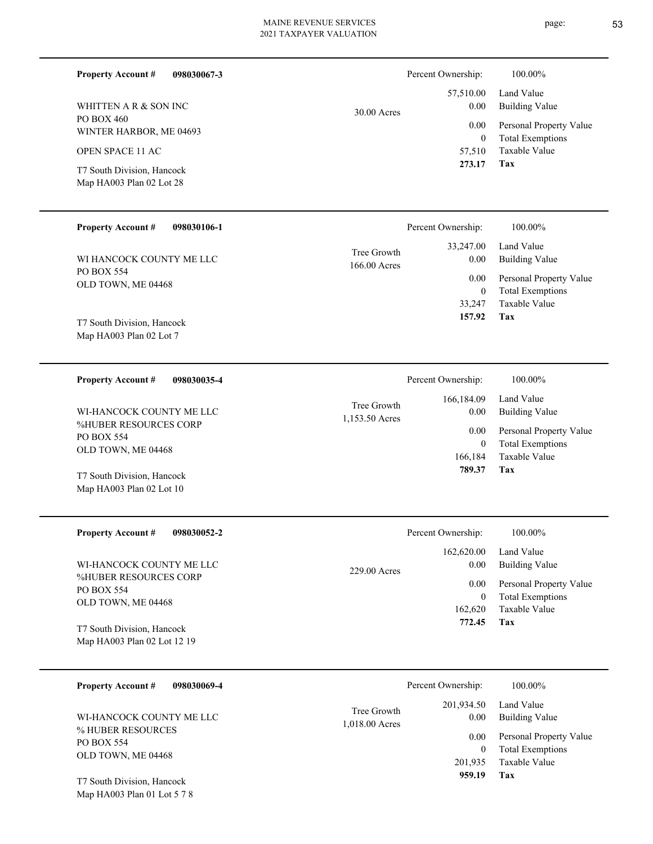| 098030067-3<br><b>Property Account #</b>               |                             | Percent Ownership:          | 100.00%                                            |
|--------------------------------------------------------|-----------------------------|-----------------------------|----------------------------------------------------|
| WHITTEN A R & SON INC                                  | 30.00 Acres                 | 57,510.00<br>0.00           | Land Value<br><b>Building Value</b>                |
| PO BOX 460<br>WINTER HARBOR, ME 04693                  |                             | 0.00<br>$\overline{0}$      | Personal Property Value<br><b>Total Exemptions</b> |
| OPEN SPACE 11 AC                                       |                             | 57,510                      | Taxable Value                                      |
| T7 South Division, Hancock<br>Map HA003 Plan 02 Lot 28 |                             | 273.17                      | <b>Tax</b>                                         |
| <b>Property Account #</b><br>098030106-1               |                             | Percent Ownership:          | 100.00%                                            |
| WI HANCOCK COUNTY ME LLC                               | Tree Growth<br>166.00 Acres | 33,247.00<br>0.00           | Land Value<br><b>Building Value</b>                |
| <b>PO BOX 554</b><br>OLD TOWN, ME 04468                |                             | 0.00<br>$\overline{0}$      | Personal Property Value<br><b>Total Exemptions</b> |
|                                                        |                             | 33,247                      | Taxable Value                                      |
| T7 South Division, Hancock<br>Map HA003 Plan 02 Lot 7  |                             | 157.92                      | Tax                                                |
|                                                        |                             |                             |                                                    |
| <b>Property Account #</b><br>098030035-4               |                             | Percent Ownership:          | 100.00%                                            |
| WI-HANCOCK COUNTY ME LLC                               | Tree Growth                 | 166,184.09<br>0.00          | Land Value<br><b>Building Value</b>                |
| %HUBER RESOURCES CORP<br>PO BOX 554                    | 1,153.50 Acres              | 0.00                        | Personal Property Value                            |
| OLD TOWN, ME 04468                                     |                             | $\overline{0}$<br>166,184   | <b>Total Exemptions</b><br>Taxable Value           |
| T7 South Division, Hancock                             |                             | 789.37                      | Tax                                                |
| Map HA003 Plan 02 Lot 10                               |                             |                             |                                                    |
| <b>Property Account #</b><br>098030052-2               |                             | Percent Ownership:          | $100.00\%$                                         |
|                                                        |                             | 162,620.00                  | Land Value                                         |
| WI-HANCOCK COUNTY ME LLC<br>%HUBER RESOURCES CORP      | 229.00 Acres                | 0.00<br>0.00                | <b>Building Value</b><br>Personal Property Value   |
| PO BOX 554<br>OLD TOWN, ME 04468                       |                             | $\boldsymbol{0}$<br>162,620 | <b>Total Exemptions</b><br>Taxable Value           |
| T7 South Division, Hancock                             |                             | 772.45                      | Tax                                                |
| Map HA003 Plan 02 Lot 12 19                            |                             |                             |                                                    |
| 098030069-4<br><b>Property Account #</b>               |                             | Percent Ownership:          | 100.00%                                            |
| WI-HANCOCK COUNTY ME LLC                               | Tree Growth                 | 201,934.50<br>0.00          | Land Value<br><b>Building Value</b>                |
| % HUBER RESOURCES<br>PO BOX 554                        | 1,018.00 Acres              | 0.00                        | Personal Property Value                            |
| OLD TOWN, ME 04468                                     |                             | $\mathbf{0}$<br>201,935     | <b>Total Exemptions</b><br>Taxable Value           |

**Tax 959.19**

Map HA003 Plan 01 Lot 5 7 8 T7 South Division, Hancock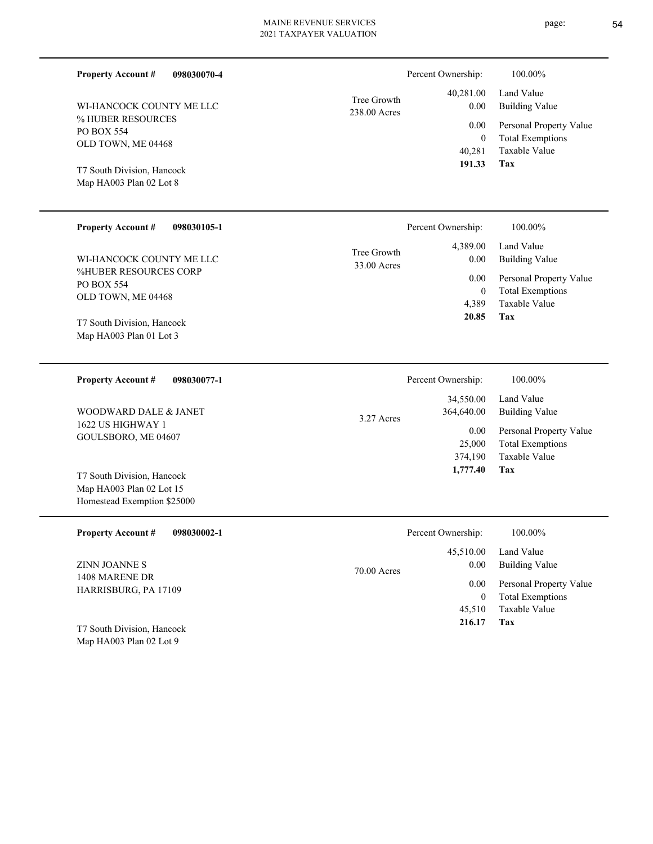| 098030070-4<br><b>Property Account #</b><br>WI-HANCOCK COUNTY ME LLC<br>% HUBER RESOURCES<br>PO BOX 554<br>OLD TOWN, ME 04468<br>T7 South Division, Hancock<br>Map HA003 Plan 02 Lot 8                 | Tree Growth<br>238.00 Acres | Percent Ownership:<br>40,281.00<br>0.00<br>0.00<br>$\mathbf{0}$<br>40,281<br>191.33    | 100.00%<br>Land Value<br><b>Building Value</b><br>Personal Property Value<br><b>Total Exemptions</b><br>Taxable Value<br>Tax        |
|--------------------------------------------------------------------------------------------------------------------------------------------------------------------------------------------------------|-----------------------------|----------------------------------------------------------------------------------------|-------------------------------------------------------------------------------------------------------------------------------------|
| <b>Property Account #</b><br>098030105-1<br>WI-HANCOCK COUNTY ME LLC<br>%HUBER RESOURCES CORP<br>PO BOX 554<br>OLD TOWN, ME 04468<br>T7 South Division, Hancock<br>Map HA003 Plan 01 Lot 3             | Tree Growth<br>33.00 Acres  | Percent Ownership:<br>4,389.00<br>0.00<br>0.00<br>$\mathbf{0}$<br>4.389<br>20.85       | 100.00%<br>Land Value<br><b>Building Value</b><br>Personal Property Value<br><b>Total Exemptions</b><br><b>Taxable Value</b><br>Tax |
| <b>Property Account #</b><br>098030077-1<br>WOODWARD DALE & JANET<br>1622 US HIGHWAY 1<br>GOULSBORO, ME 04607<br>T7 South Division, Hancock<br>Map HA003 Plan 02 Lot 15<br>Homestead Exemption \$25000 | 3.27 Acres                  | Percent Ownership:<br>34,550.00<br>364,640.00<br>0.00<br>25,000<br>374,190<br>1,777.40 | 100.00%<br>Land Value<br><b>Building Value</b><br>Personal Property Value<br><b>Total Exemptions</b><br><b>Taxable Value</b><br>Tax |
| <b>Property Account #</b><br>098030002-1<br>ZINN JOANNE S<br>1408 MARENE DR<br>HARRISBURG, PA 17109                                                                                                    | 70.00 Acres                 | Percent Ownership:<br>45,510.00<br>0.00<br>0.00<br>$\boldsymbol{0}$<br>45,510          | 100.00%<br>Land Value<br><b>Building Value</b><br>Personal Property Value<br><b>Total Exemptions</b><br>Taxable Value               |

Map HA003 Plan 02 Lot 9 T7 South Division, Hancock **Tax 216.17**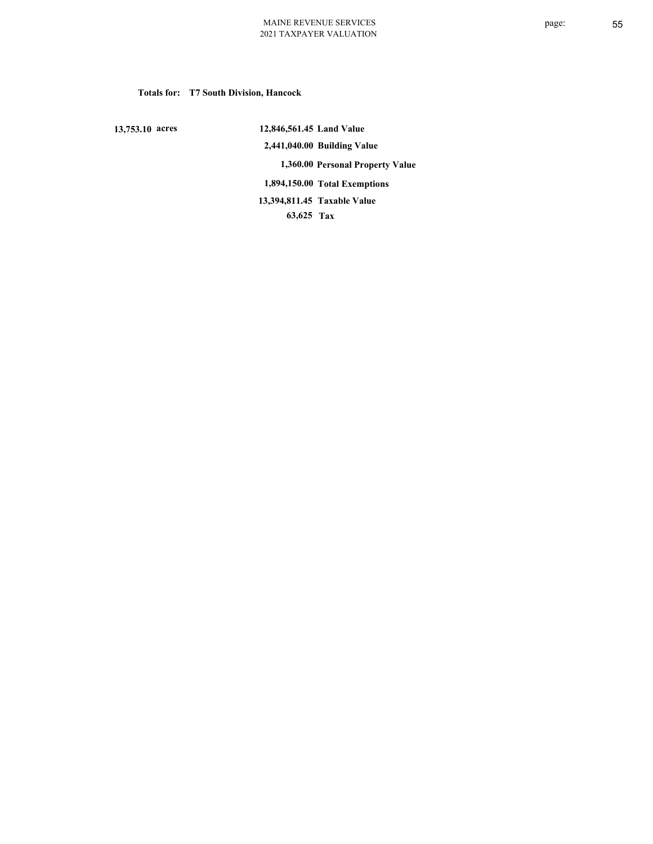## **Totals for: T7 South Division, Hancock**

 **13,753.10 acres**

 **12,846,561.45 Land Value 2,441,040.00 Building Value 1,360.00 Personal Property Value 1,894,150.00 Total Exemptions 63,625 Tax Taxable Value 13,394,811.45**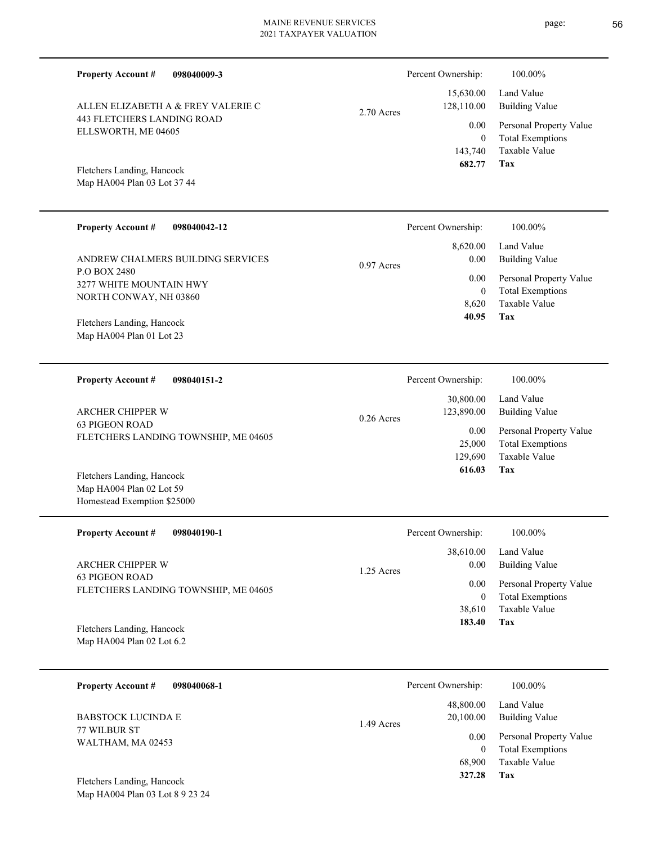| <b>Property Account #</b><br>098040009-3                                                |              | Percent Ownership:                                             | 100.00%                                                                                                    |
|-----------------------------------------------------------------------------------------|--------------|----------------------------------------------------------------|------------------------------------------------------------------------------------------------------------|
| ALLEN ELIZABETH A & FREY VALERIE C<br>443 FLETCHERS LANDING ROAD<br>ELLSWORTH, ME 04605 | 2.70 Acres   | 15,630.00<br>128,110.00<br>0.00<br>$\boldsymbol{0}$<br>143,740 | Land Value<br><b>Building Value</b><br>Personal Property Value<br><b>Total Exemptions</b><br>Taxable Value |
| Fletchers Landing, Hancock<br>Map HA004 Plan 03 Lot 37 44                               |              | 682.77                                                         | Tax                                                                                                        |
| <b>Property Account #</b><br>098040042-12                                               |              | Percent Ownership:                                             | 100.00%                                                                                                    |
| ANDREW CHALMERS BUILDING SERVICES<br>P.O BOX 2480<br>3277 WHITE MOUNTAIN HWY            | 0.97 Acres   | 8,620.00<br>0.00<br>0.00<br>$\mathbf{0}$                       | Land Value<br><b>Building Value</b><br>Personal Property Value<br><b>Total Exemptions</b>                  |
| NORTH CONWAY, NH 03860<br>Fletchers Landing, Hancock<br>Map HA004 Plan 01 Lot 23        |              | 8,620<br>40.95                                                 | Taxable Value<br>Tax                                                                                       |
| <b>Property Account #</b><br>098040151-2                                                |              | Percent Ownership:                                             | 100.00%                                                                                                    |
| <b>ARCHER CHIPPER W</b>                                                                 | $0.26$ Acres | 30,800.00<br>123,890.00                                        | Land Value<br><b>Building Value</b>                                                                        |
| 63 PIGEON ROAD<br>FLETCHERS LANDING TOWNSHIP, ME 04605                                  |              | 0.00<br>25,000<br>129,690                                      | Personal Property Value<br><b>Total Exemptions</b><br>Taxable Value                                        |
| Fletchers Landing, Hancock<br>Map HA004 Plan 02 Lot 59<br>Homestead Exemption \$25000   |              | 616.03                                                         | Tax                                                                                                        |
| <b>Property Account #</b><br>098040190-1                                                |              | Percent Ownership:                                             | 100.00%                                                                                                    |
| ARCHER CHIPPER W                                                                        | 1.25 Acres   | 38,610.00<br>0.00                                              | Land Value<br><b>Building Value</b>                                                                        |
| 63 PIGEON ROAD<br>FLETCHERS LANDING TOWNSHIP, ME 04605                                  |              | 0.00<br>$\boldsymbol{0}$<br>38,610                             | Personal Property Value<br><b>Total Exemptions</b><br>Taxable Value                                        |
| Fletchers Landing, Hancock<br>Map HA004 Plan 02 Lot 6.2                                 |              | 183.40                                                         | Tax                                                                                                        |
| 098040068-1<br><b>Property Account #</b>                                                |              | Percent Ownership:                                             | 100.00%                                                                                                    |
| <b>BABSTOCK LUCINDA E</b>                                                               | 1.49 Acres   | 48,800.00<br>20,100.00                                         | Land Value<br><b>Building Value</b>                                                                        |
| 77 WILBUR ST                                                                            |              |                                                                |                                                                                                            |

WALTHAM, MA 02453

Map HA004 Plan 03 Lot 8 9 23 24 Fletchers Landing, Hancock

**Tax**

 68,900  $\boldsymbol{0}$ 

 **327.28**

Taxable Value Total Exemptions 0.00 Personal Property Value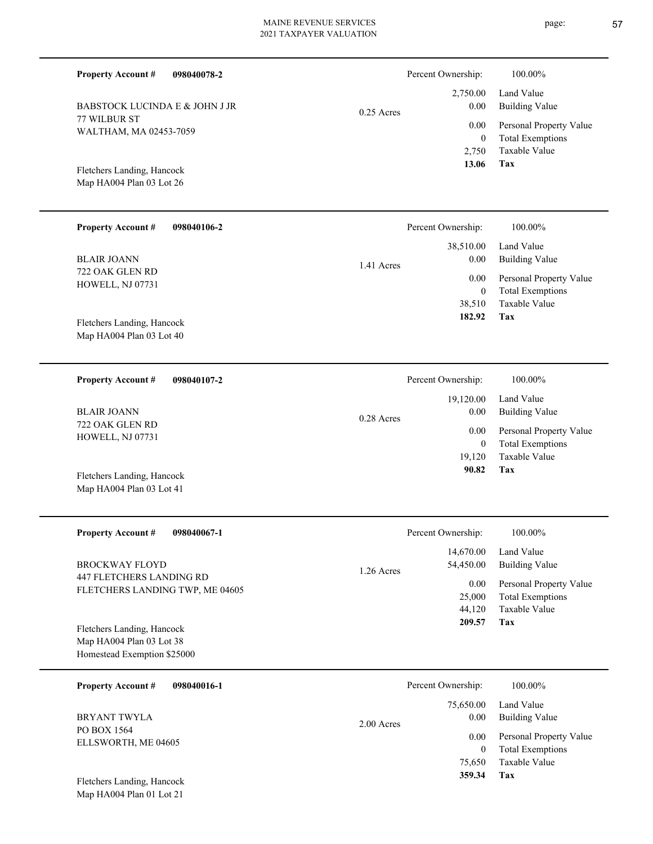| <b>Property Account #</b><br>098040078-2                                              |              | Percent Ownership:                 | 100.00%                                                                    |
|---------------------------------------------------------------------------------------|--------------|------------------------------------|----------------------------------------------------------------------------|
| BABSTOCK LUCINDA E & JOHN J JR                                                        | $0.25$ Acres | 2,750.00<br>0.00                   | Land Value<br><b>Building Value</b>                                        |
| 77 WILBUR ST<br>WALTHAM, MA 02453-7059                                                |              | 0.00<br>$\boldsymbol{0}$<br>2,750  | Personal Property Value<br><b>Total Exemptions</b><br>Taxable Value        |
| Fletchers Landing, Hancock<br>Map HA004 Plan 03 Lot 26                                |              | 13.06                              | Tax                                                                        |
| <b>Property Account #</b><br>098040106-2                                              |              | Percent Ownership:                 | 100.00%                                                                    |
| <b>BLAIR JOANN</b>                                                                    | 1.41 Acres   | 38,510.00<br>0.00                  | Land Value<br><b>Building Value</b>                                        |
| 722 OAK GLEN RD<br>HOWELL, NJ 07731                                                   |              | 0.00<br>$\boldsymbol{0}$<br>38,510 | Personal Property Value<br><b>Total Exemptions</b><br><b>Taxable Value</b> |
| Fletchers Landing, Hancock<br>Map HA004 Plan 03 Lot 40                                |              | 182.92                             | Tax                                                                        |
| <b>Property Account #</b><br>098040107-2                                              |              | Percent Ownership:                 | 100.00%                                                                    |
| <b>BLAIR JOANN</b>                                                                    | 0.28 Acres   | 19,120.00<br>0.00                  | Land Value<br><b>Building Value</b>                                        |
| 722 OAK GLEN RD<br>HOWELL, NJ 07731                                                   |              | 0.00<br>$\mathbf{0}$<br>19,120     | Personal Property Value<br><b>Total Exemptions</b><br>Taxable Value        |
| Fletchers Landing, Hancock<br>Map HA004 Plan 03 Lot 41                                |              | 90.82                              | Tax                                                                        |
| <b>Property Account #</b><br>098040067-1                                              |              | Percent Ownership:                 | 100.00%                                                                    |
| <b>BROCKWAY FLOYD</b>                                                                 | 1.26 Acres   | 14,670.00<br>54,450.00             | Land Value<br><b>Building Value</b>                                        |
| 447 FLETCHERS LANDING RD<br>FLETCHERS LANDING TWP, ME 04605                           |              | 0.00<br>25,000<br>44,120<br>209.57 | Personal Property Value<br><b>Total Exemptions</b><br>Taxable Value<br>Tax |
| Fletchers Landing, Hancock<br>Map HA004 Plan 03 Lot 38<br>Homestead Exemption \$25000 |              |                                    |                                                                            |
| <b>Property Account #</b><br>098040016-1                                              |              | Percent Ownership:                 | 100.00%                                                                    |
| BRYANT TWYLA                                                                          | 2.00 Acres   | 75,650.00<br>0.00                  | Land Value<br><b>Building Value</b>                                        |
| PO BOX 1564<br>ELLSWORTH, ME 04605                                                    |              | 0.00                               | Personal Property Value<br>$.1 \, \mathrm{m}$                              |

**Tax 359.34**

75,650 Taxable Value 0 Total Exemptions

Map HA004 Plan 01 Lot 21 Fletchers Landing, Hancock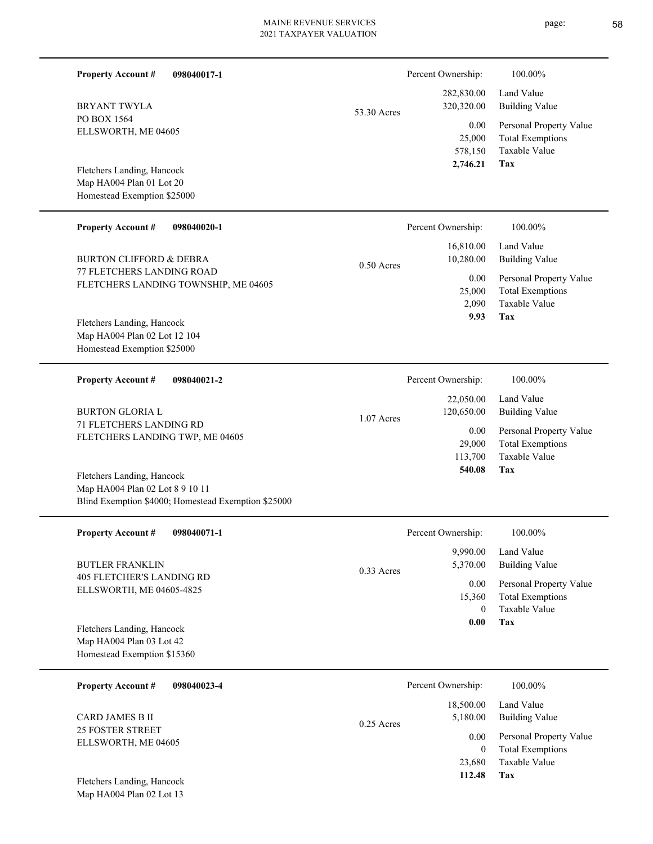$\overline{\phantom{0}}$ 

| <b>Property Account #</b><br>098040017-1                                                                             |              | Percent Ownership:                         | 100.00%                                                                    |
|----------------------------------------------------------------------------------------------------------------------|--------------|--------------------------------------------|----------------------------------------------------------------------------|
| <b>BRYANT TWYLA</b>                                                                                                  | 53.30 Acres  | 282,830.00<br>320,320.00                   | Land Value<br><b>Building Value</b>                                        |
| PO BOX 1564<br>ELLSWORTH, ME 04605                                                                                   |              | 0.00<br>25,000<br>578,150                  | Personal Property Value<br><b>Total Exemptions</b><br>Taxable Value        |
| Fletchers Landing, Hancock<br>Map HA004 Plan 01 Lot 20<br>Homestead Exemption \$25000                                |              | 2,746.21                                   | Tax                                                                        |
| <b>Property Account #</b><br>098040020-1                                                                             |              | Percent Ownership:                         | 100.00%                                                                    |
| <b>BURTON CLIFFORD &amp; DEBRA</b>                                                                                   | $0.50$ Acres | 16,810.00<br>10,280.00                     | Land Value<br><b>Building Value</b>                                        |
| <b>77 FLETCHERS LANDING ROAD</b><br>FLETCHERS LANDING TOWNSHIP, ME 04605                                             |              | 0.00<br>25,000<br>2,090<br>9.93            | Personal Property Value<br><b>Total Exemptions</b><br>Taxable Value<br>Tax |
| Fletchers Landing, Hancock<br>Map HA004 Plan 02 Lot 12 104<br>Homestead Exemption \$25000                            |              |                                            |                                                                            |
| <b>Property Account #</b><br>098040021-2                                                                             |              | Percent Ownership:                         | 100.00%                                                                    |
| <b>BURTON GLORIA L</b>                                                                                               | 1.07 Acres   | 22,050.00<br>120,650.00                    | Land Value<br><b>Building Value</b>                                        |
| 71 FLETCHERS LANDING RD<br>FLETCHERS LANDING TWP, ME 04605                                                           |              | 0.00<br>29,000<br>113,700                  | Personal Property Value<br><b>Total Exemptions</b><br>Taxable Value        |
| Fletchers Landing, Hancock<br>Map HA004 Plan 02 Lot 8 9 10 11<br>Blind Exemption \$4000; Homestead Exemption \$25000 |              | 540.08                                     | Tax                                                                        |
| <b>Property Account #</b><br>098040071-1                                                                             |              | Percent Ownership:                         | 100.00%                                                                    |
| <b>BUTLER FRANKLIN</b>                                                                                               | 0.33 Acres   | 9,990.00<br>5,370.00                       | Land Value<br><b>Building Value</b>                                        |
| <b>405 FLETCHER'S LANDING RD</b><br>ELLSWORTH, ME 04605-4825                                                         |              | 0.00<br>15,360<br>$\overline{0}$<br>0.00   | Personal Property Value<br><b>Total Exemptions</b><br>Taxable Value<br>Tax |
| Fletchers Landing, Hancock<br>Map HA004 Plan 03 Lot 42<br>Homestead Exemption \$15360                                |              |                                            |                                                                            |
| <b>Property Account #</b><br>098040023-4                                                                             |              | Percent Ownership:                         | 100.00%                                                                    |
| CARD JAMES B II                                                                                                      | 0.25 Acres   | 18,500.00<br>5,180.00                      | Land Value<br><b>Building Value</b>                                        |
| <b>25 FOSTER STREET</b><br>ELLSWORTH, ME 04605                                                                       |              | 0.00<br>$\overline{0}$<br>23,680<br>112.48 | Personal Property Value<br><b>Total Exemptions</b><br>Taxable Value<br>Tax |
| Fletchers Landing, Hancock<br>Map HA004 Plan 02 Lot 13                                                               |              |                                            |                                                                            |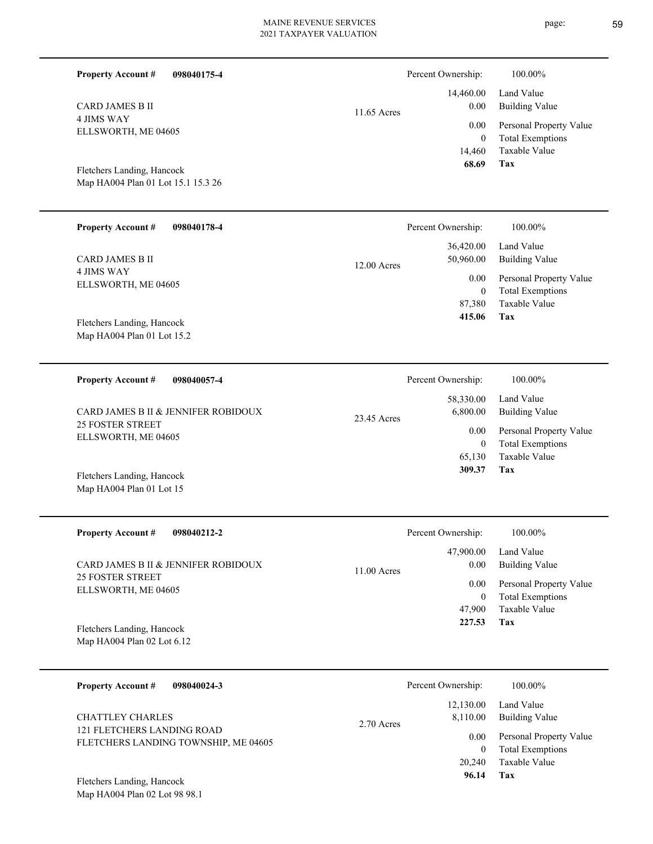L

| <b>Property Account #</b><br>098040175-4                           |                                                    | Percent Ownership:                 | 100.00%                                                |
|--------------------------------------------------------------------|----------------------------------------------------|------------------------------------|--------------------------------------------------------|
| <b>CARD JAMES B II</b>                                             | 11.65 Acres                                        | 14,460.00<br>0.00                  | Land Value<br><b>Building Value</b>                    |
| <b>4 JIMS WAY</b><br>ELLSWORTH, ME 04605                           |                                                    | 0.00<br>$\overline{0}$             | Personal Property Value<br><b>Total Exemptions</b>     |
| Fletchers Landing, Hancock<br>Map HA004 Plan 01 Lot 15.1 15.3 26   |                                                    | 14,460<br>68.69                    | Taxable Value<br>Tax                                   |
| <b>Property Account #</b><br>098040178-4                           |                                                    | Percent Ownership:                 | 100.00%                                                |
| <b>CARD JAMES B II</b>                                             | 12.00 Acres                                        | 36,420.00<br>50,960.00             | Land Value<br><b>Building Value</b>                    |
| <b>4 JIMS WAY</b><br>ELLSWORTH, ME 04605                           |                                                    | 0.00<br>$\overline{0}$             | Personal Property Value<br><b>Total Exemptions</b>     |
| Fletchers Landing, Hancock                                         |                                                    | 87,380<br>415.06                   | Taxable Value<br>Tax                                   |
| Map HA004 Plan 01 Lot 15.2                                         |                                                    |                                    |                                                        |
| <b>Property Account #</b><br>098040057-4                           |                                                    | Percent Ownership:                 | 100.00%                                                |
|                                                                    | CARD JAMES B II & JENNIFER ROBIDOUX<br>23.45 Acres | 58,330.00<br>6,800.00              | Land Value<br><b>Building Value</b>                    |
| <b>25 FOSTER STREET</b><br>ELLSWORTH, ME 04605                     |                                                    | 0.00                               | Personal Property Value                                |
|                                                                    |                                                    | $\overline{0}$<br>65,130<br>309.37 | <b>Total Exemptions</b><br><b>Taxable Value</b><br>Tax |
| Fletchers Landing, Hancock<br>Map HA004 Plan 01 Lot 15             |                                                    |                                    |                                                        |
| <b>Property Account #</b><br>098040212-2                           |                                                    | Percent Ownership:                 | 100.00%                                                |
| CARD JAMES B II & JENNIFER ROBIDOUX                                | $11.00$ Acres                                      | 47,900.00<br>0.00                  | Land Value<br><b>Building Value</b>                    |
| <b>25 FOSTER STREET</b><br>ELLSWORTH, ME 04605                     |                                                    | 0.00<br>$\boldsymbol{0}$           | Personal Property Value<br><b>Total Exemptions</b>     |
|                                                                    |                                                    | 47,900<br>227.53                   | Taxable Value<br>Tax                                   |
| Fletchers Landing, Hancock<br>Map HA004 Plan 02 Lot 6.12           |                                                    |                                    |                                                        |
| <b>Property Account #</b><br>098040024-3                           |                                                    | Percent Ownership:                 | 100.00%                                                |
| <b>CHATTLEY CHARLES</b>                                            | 2.70 Acres                                         | 12,130.00<br>8,110.00              | Land Value<br><b>Building Value</b>                    |
| 121 FLETCHERS LANDING ROAD<br>FLETCHERS LANDING TOWNSHIP, ME 04605 |                                                    | 0.00<br>$\mathbf{0}$               | Personal Property Value<br><b>Total Exemptions</b>     |
|                                                                    |                                                    | 20,240<br>96.14                    | Taxable Value<br>Tax                                   |
| Fletchers Landing, Hancock<br>Map HA004 Plan 02 Lot 98 98.1        |                                                    |                                    |                                                        |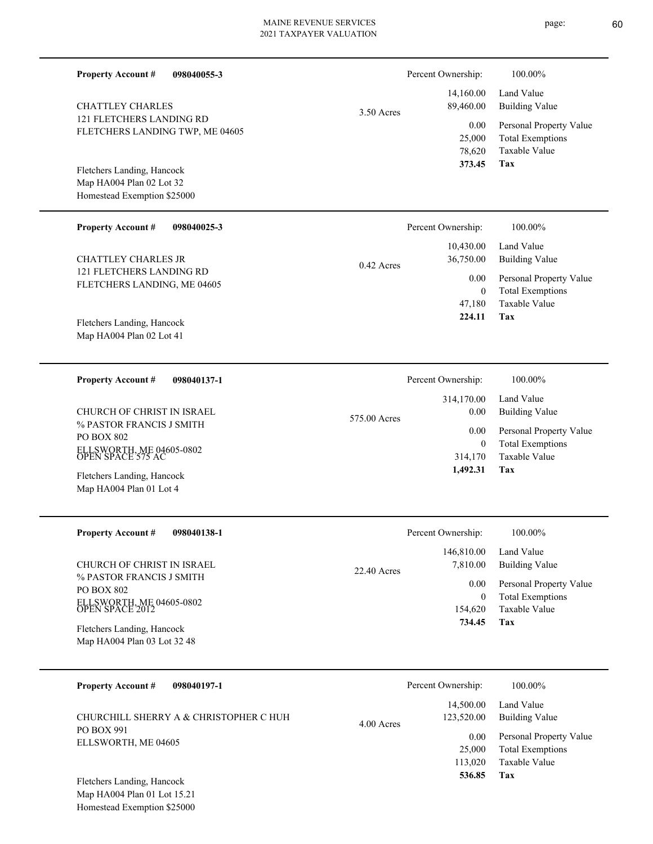| <b>Property Account #</b>                                          | 098040055-3 |              | Percent Ownership:       | 100.00%                                                             |
|--------------------------------------------------------------------|-------------|--------------|--------------------------|---------------------------------------------------------------------|
| <b>CHATTLEY CHARLES</b>                                            |             | 3.50 Acres   | 14,160.00<br>89,460.00   | Land Value<br><b>Building Value</b>                                 |
| <b>121 FLETCHERS LANDING RD</b><br>FLETCHERS LANDING TWP, ME 04605 |             |              | 0.00<br>25,000<br>78,620 | Personal Property Value<br><b>Total Exemptions</b><br>Taxable Value |
| Fletchers Landing, Hancock                                         |             |              | 373.45                   | Tax                                                                 |
| Map HA004 Plan 02 Lot 32                                           |             |              |                          |                                                                     |
| Homestead Exemption \$25000                                        |             |              |                          |                                                                     |
| <b>Property Account #</b>                                          | 098040025-3 |              | Percent Ownership:       | 100.00%                                                             |
| <b>CHATTLEY CHARLES JR</b>                                         |             | $0.42$ Acres | 10,430.00<br>36,750.00   | Land Value<br><b>Building Value</b>                                 |
| <b>121 FLETCHERS LANDING RD</b><br>FLETCHERS LANDING, ME 04605     |             |              | 0.00                     | Personal Property Value                                             |
|                                                                    |             |              | $\theta$<br>47,180       | <b>Total Exemptions</b><br>Taxable Value                            |
| Fletchers Landing, Hancock                                         |             |              | 224.11                   | Tax                                                                 |
| Map HA004 Plan 02 Lot 41                                           |             |              |                          |                                                                     |
|                                                                    |             |              |                          |                                                                     |
| <b>Property Account #</b>                                          | 098040137-1 |              | Percent Ownership:       | 100.00%                                                             |
|                                                                    |             |              | 314,170.00               | Land Value                                                          |
| CHURCH OF CHRIST IN ISRAEL<br>% PASTOR FRANCIS J SMITH             |             | 575.00 Acres | 0.00                     | <b>Building Value</b>                                               |
| <b>PO BOX 802</b>                                                  |             |              | 0.00<br>$\mathbf{0}$     | Personal Property Value<br><b>Total Exemptions</b>                  |
| ELLSWORTH, ME 04605-0802<br>OPEN SPACE 575 AC                      |             |              | 314,170                  | Taxable Value                                                       |
| Fletchers Landing, Hancock                                         |             |              | 1,492.31                 | Tax                                                                 |
| Map HA004 Plan 01 Lot 4                                            |             |              |                          |                                                                     |
| <b>Property Account #</b>                                          | 098040138-1 |              | Percent Ownership:       | 100.00%                                                             |
|                                                                    |             |              | 146,810.00               | Land Value                                                          |
| CHURCH OF CHRIST IN ISRAEL                                         |             |              | 7,810.00                 | <b>Building Value</b>                                               |
| % PASTOR FRANCIS J SMITH                                           |             | 22.40 Acres  | 0.00                     | Personal Property Value                                             |
| PO BOX 802                                                         |             |              | $\boldsymbol{0}$         | <b>Total Exemptions</b>                                             |
| ELLSWORTH, ME 04605-0802<br>OPEN SPACE 2012                        |             |              | 154,620<br>734.45        | Taxable Value                                                       |
| Fletchers Landing, Hancock                                         |             |              |                          | Tax                                                                 |
| Map HA004 Plan 03 Lot 32 48                                        |             |              |                          |                                                                     |
|                                                                    |             |              |                          |                                                                     |
| <b>Property Account #</b>                                          | 098040197-1 |              | Percent Ownership:       | 100.00%                                                             |

|                                                      |              | 14,500.00         | Land Value              |
|------------------------------------------------------|--------------|-------------------|-------------------------|
| CHURCHILL SHERRY A & CHRISTOPHER C HUH<br>PO BOX 991 | $4.00$ Acres | 123,520.00        | Building Value          |
|                                                      |              | 0.00 <sub>1</sub> | Personal Property Value |
| ELLSWORTH, ME 04605                                  |              | 25,000            | Total Exemptions        |
|                                                      |              | 113.020           | Taxable Value           |
| <b>THAT IS TO THE TELL THE TELL STATE</b>            |              | 536.85            | Tax                     |

Map HA004 Plan 01 Lot 15.21 Homestead Exemption \$25000 Fletchers Landing, Hancock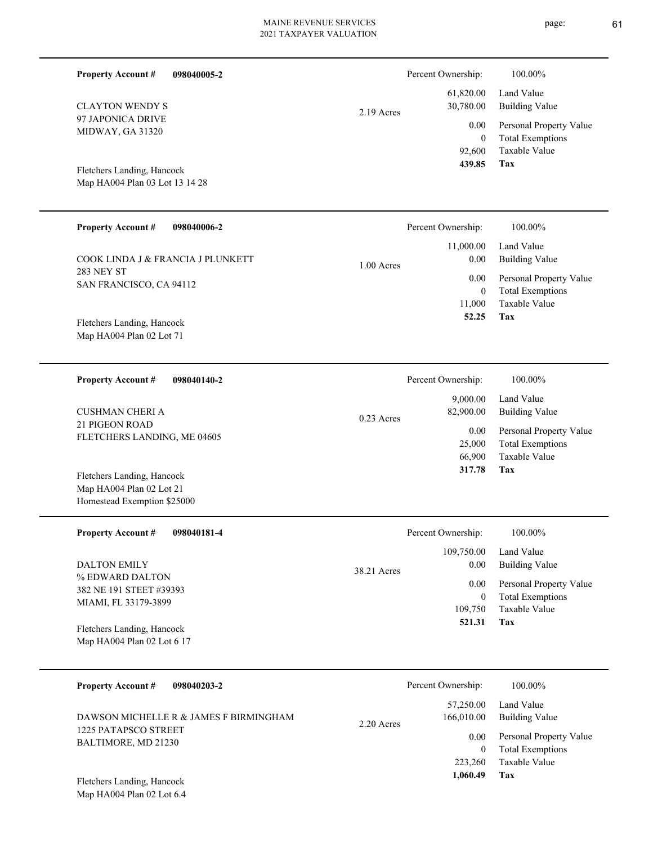| <b>Property Account #</b>                   | 098040005-2 |              | Percent Ownership: | 100.00%                 |
|---------------------------------------------|-------------|--------------|--------------------|-------------------------|
|                                             |             |              | 61,820.00          | Land Value              |
| <b>CLAYTON WENDY S</b><br>97 JAPONICA DRIVE |             | $2.19$ Acres | 30,780.00          | <b>Building Value</b>   |
| MIDWAY, GA 31320                            |             |              | 0.00               | Personal Property Value |
|                                             |             |              | $\mathbf{0}$       | <b>Total Exemptions</b> |
|                                             |             |              | 92,600             | Taxable Value           |
| Fletchers Landing, Hancock                  |             |              | 439.85             | Tax                     |
| Map HA004 Plan 03 Lot 13 14 28              |             |              |                    |                         |
| <b>Property Account #</b>                   | 098040006-2 |              | Percent Ownership: | 100.00%                 |
|                                             |             |              |                    |                         |
| COOK LINDA J & FRANCIA J PLUNKETT           |             |              | 11,000.00<br>0.00  | Land Value              |
| 283 NEY ST                                  |             | $1.00$ Acres |                    | <b>Building Value</b>   |
| SAN FRANCISCO, CA 94112                     |             |              | 0.00               | Personal Property Value |
|                                             |             |              | $\mathbf{0}$       | <b>Total Exemptions</b> |
|                                             |             |              | 11,000             | <b>Taxable Value</b>    |
| Fletchers Landing, Hancock                  |             |              | 52.25              | Tax                     |
| Map HA004 Plan 02 Lot 71                    |             |              |                    |                         |
| <b>Property Account #</b>                   | 098040140-2 |              | Percent Ownership: | 100.00%                 |
|                                             |             |              | 9,000.00           | Land Value              |
| <b>CUSHMAN CHERI A</b>                      |             |              | 82,900.00          | <b>Building Value</b>   |
| <b>21 PIGEON ROAD</b>                       |             | $0.23$ Acres |                    |                         |
| FLETCHERS LANDING, ME 04605                 |             |              | 0.00               | Personal Property Value |
|                                             |             |              | 25,000             | <b>Total Exemptions</b> |
|                                             |             |              | 66,900<br>317.78   | Taxable Value<br>Tax    |
| Fletchers Landing, Hancock                  |             |              |                    |                         |

| Map HA004 Plan 02 Lot 21    |  |
|-----------------------------|--|
| Homestead Exemption \$25000 |  |
|                             |  |

| <b>Property Account #</b><br>098040181-4                 | Percent Ownership:                | 100.00%                                                             |
|----------------------------------------------------------|-----------------------------------|---------------------------------------------------------------------|
| <b>DALTON EMILY</b><br>% EDWARD DALTON                   | 109,750.00<br>0.00<br>38.21 Acres | Land Value<br>Building Value                                        |
| 382 NE 191 STEET #39393<br>MIAMI, FL 33179-3899          | 0.00<br>$\bf{0}$<br>109,750       | Personal Property Value<br><b>Total Exemptions</b><br>Taxable Value |
| Fletchers Landing, Hancock<br>Map HA004 Plan 02 Lot 6 17 | 521.31                            | Tax                                                                 |

| <b>Property Account #</b><br>098040203-2                       | Percent Ownership:                      | 100.00%                                                             |
|----------------------------------------------------------------|-----------------------------------------|---------------------------------------------------------------------|
| DAWSON MICHELLE R & JAMES F BIRMINGHAM<br>1225 PATAPSCO STREET | 57,250.00<br>166,010.00<br>$2.20$ Acres | Land Value<br>Building Value                                        |
| BALTIMORE, MD 21230                                            | 0.00                                    | Personal Property Value<br><b>Total Exemptions</b><br>Taxable Value |
| Fletchers Landing, Hancock                                     | 223,260<br>1,060.49                     | Tax                                                                 |

Map HA004 Plan 02 Lot 6.4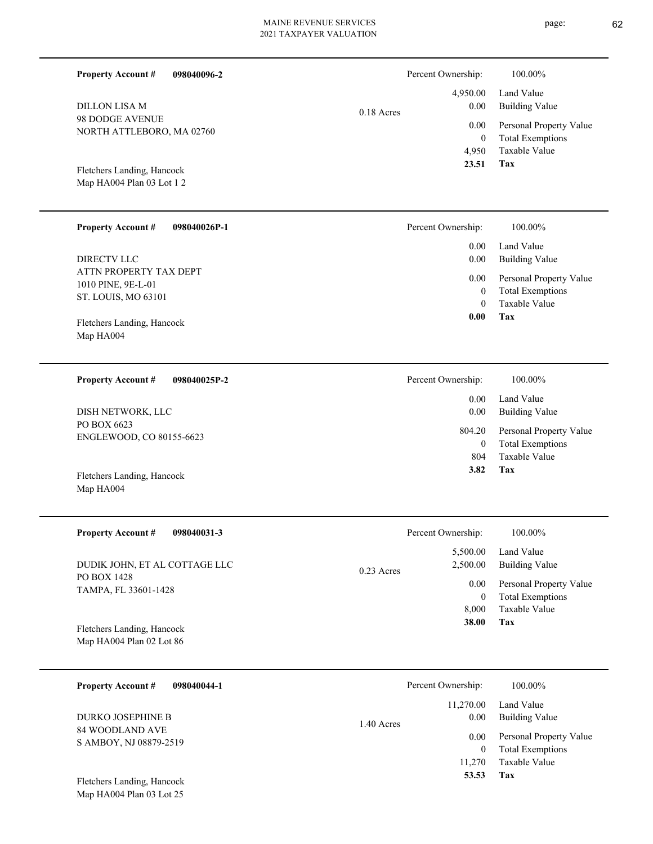| <b>Property Account #</b><br>098040096-2                |              | Percent Ownership:                       | 100.00%                                                                    |
|---------------------------------------------------------|--------------|------------------------------------------|----------------------------------------------------------------------------|
| <b>DILLON LISA M</b>                                    | $0.18$ Acres | 4,950.00<br>0.00                         | Land Value<br><b>Building Value</b>                                        |
| 98 DODGE AVENUE<br>NORTH ATTLEBORO, MA 02760            |              | 0.00<br>$\overline{0}$<br>4,950<br>23.51 | Personal Property Value<br><b>Total Exemptions</b><br>Taxable Value<br>Tax |
| Fletchers Landing, Hancock<br>Map HA004 Plan 03 Lot 1 2 |              |                                          |                                                                            |
| <b>Property Account #</b><br>098040026P-1               |              | Percent Ownership:                       | 100.00%                                                                    |
| <b>DIRECTV LLC</b>                                      |              | 0.00<br>0.00                             | Land Value<br><b>Building Value</b>                                        |
| ATTN PROPERTY TAX DEPT                                  |              | 0.00                                     | Personal Property Value                                                    |
| 1010 PINE, 9E-L-01                                      |              | $\mathbf{0}$                             | <b>Total Exemptions</b>                                                    |
| ST. LOUIS, MO 63101                                     |              | $\theta$                                 | Taxable Value                                                              |
| Fletchers Landing, Hancock                              |              | 0.00                                     | Tax                                                                        |
| Map HA004                                               |              |                                          |                                                                            |
|                                                         |              |                                          |                                                                            |
| <b>Property Account #</b><br>098040025P-2               |              | Percent Ownership:                       | 100.00%                                                                    |
| DISH NETWORK, LLC                                       |              | 0.00<br>0.00                             | Land Value<br><b>Building Value</b>                                        |
| PO BOX 6623                                             |              | 804.20                                   | Personal Property Value                                                    |
| ENGLEWOOD, CO 80155-6623                                |              | $\mathbf{0}$<br>804                      | <b>Total Exemptions</b><br><b>Taxable Value</b>                            |
| Fletchers Landing, Hancock                              |              | 3.82                                     | Tax                                                                        |
| Map HA004                                               |              |                                          |                                                                            |
|                                                         |              |                                          |                                                                            |
| <b>Property Account #</b><br>098040031-3                |              | Percent Ownership:                       | 100.00%                                                                    |
|                                                         |              | 5,500.00                                 | Land Value                                                                 |
| DUDIK JOHN, ET AL COTTAGE LLC<br>PO BOX 1428            | 0.23 Acres   | 2,500.00                                 | <b>Building Value</b>                                                      |
| TAMPA, FL 33601-1428                                    |              | 0.00                                     | Personal Property Value                                                    |
|                                                         |              | $\mathbf{0}$<br>8,000                    | <b>Total Exemptions</b><br>Taxable Value                                   |
| Fletchers Landing, Hancock                              |              | 38.00                                    | Tax                                                                        |
| Map HA004 Plan 02 Lot 86                                |              |                                          |                                                                            |
|                                                         |              |                                          |                                                                            |
| <b>Property Account #</b><br>098040044-1                |              | Percent Ownership:                       | 100.00%                                                                    |
| <b>DURKO JOSEPHINE B</b>                                |              | 11,270.00<br>0.00                        | Land Value<br><b>Building Value</b>                                        |
| 84 WOODLAND AVE                                         | 1.40 Acres   | 0.00                                     | Personal Property Value                                                    |
| S AMBOY, NJ 08879-2519                                  |              | $\boldsymbol{0}$                         | <b>Total Exemptions</b>                                                    |

**Tax 53.53**

11,270

Taxable Value

Map HA004 Plan 03 Lot 25 Fletchers Landing, Hancock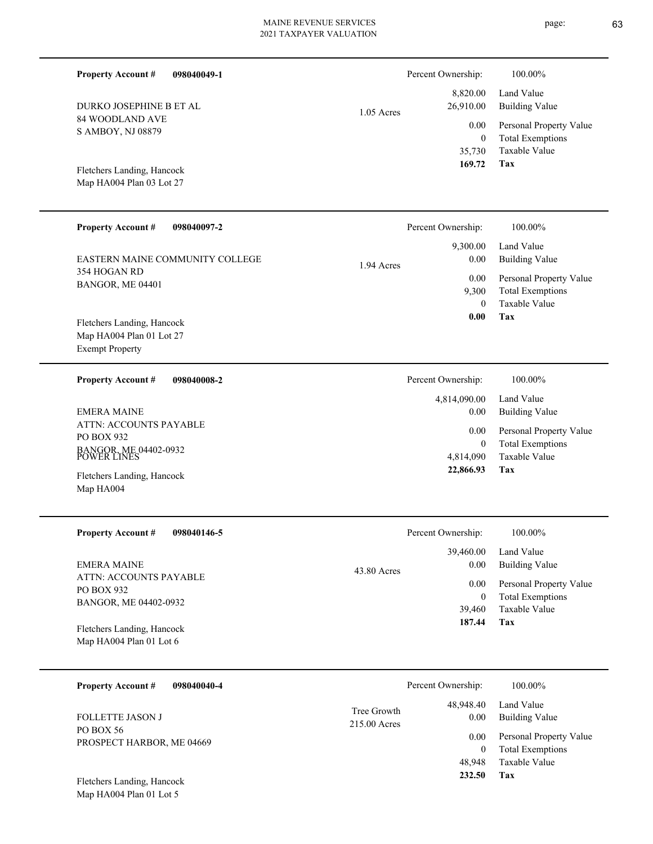| <b>Property Account #</b><br>098040049-1 |              | Percent Ownership:     | 100.00%                             |
|------------------------------------------|--------------|------------------------|-------------------------------------|
| DURKO JOSEPHINE B ET AL                  | $1.05$ Acres | 8,820.00<br>26,910.00  | Land Value<br><b>Building Value</b> |
| 84 WOODLAND AVE                          |              | 0.00                   | Personal Property Value             |
| S AMBOY, NJ 08879                        |              | $\overline{0}$         | <b>Total Exemptions</b>             |
|                                          |              | 35,730                 | Taxable Value                       |
| Fletchers Landing, Hancock               |              | 169.72                 | Tax                                 |
| Map HA004 Plan 03 Lot 27                 |              |                        |                                     |
|                                          |              |                        |                                     |
| <b>Property Account #</b><br>098040097-2 |              | Percent Ownership:     | 100.00%                             |
|                                          |              | 9,300.00               | Land Value                          |
| EASTERN MAINE COMMUNITY COLLEGE          | 1.94 Acres   | 0.00                   | <b>Building Value</b>               |
| 354 HOGAN RD                             |              | 0.00                   | Personal Property Value             |
| BANGOR, ME 04401                         |              | 9,300                  | <b>Total Exemptions</b>             |
|                                          |              | $\mathbf{0}$           | <b>Taxable Value</b>                |
| Fletchers Landing, Hancock               |              | 0.00                   | Tax                                 |
| Map HA004 Plan 01 Lot 27                 |              |                        |                                     |
| <b>Exempt Property</b>                   |              |                        |                                     |
| 098040008-2<br><b>Property Account #</b> |              | Percent Ownership:     | 100.00%                             |
|                                          |              | 4,814,090.00           | Land Value                          |
| <b>EMERA MAINE</b>                       |              | 0.00                   | <b>Building Value</b>               |
| ATTN: ACCOUNTS PAYABLE<br>PO BOX 932     |              | 0.00                   | Personal Property Value             |
| BANGOR, ME 04402-0932<br>POWER LINES     |              | $\overline{0}$         | <b>Total Exemptions</b>             |
|                                          |              | 4,814,090<br>22,866.93 | <b>Taxable Value</b><br>Tax         |
| Fletchers Landing, Hancock               |              |                        |                                     |
| Map HA004                                |              |                        |                                     |
|                                          |              |                        |                                     |
| <b>Property Account #</b><br>098040146-5 |              | Percent Ownership:     | 100.00%                             |
|                                          |              | 39,460.00              | Land Value                          |
| <b>EMERA MAINE</b>                       | 43.80 Acres  | 0.00                   | <b>Building Value</b>               |
| ATTN: ACCOUNTS PAYABLE<br>PO BOX 932     |              | 0.00                   | Personal Property Value             |
| BANGOR, ME 04402-0932                    |              | $\boldsymbol{0}$       | <b>Total Exemptions</b>             |
|                                          |              | 39,460                 | Taxable Value                       |
| Fletchers Landing, Hancock               |              | 187.44                 | Tax                                 |
| Map HA004 Plan 01 Lot 6                  |              |                        |                                     |
| <b>Property Account #</b><br>098040040-4 |              | Percent Ownership:     | 100.00%                             |
|                                          |              |                        |                                     |
| FOLLETTE JASON J                         | Tree Growth  | 48,948.40<br>0.00      | Land Value<br><b>Building Value</b> |
| PO BOX 56                                | 215.00 Acres |                        |                                     |
| DDOP, MP, 0100                           |              | $0.00\,$               | Personal Property Value             |

**Tax**

 48,948 0

 **232.50**

Taxable Value Total Exemptions

Map HA004 Plan 01 Lot 5 Fletchers Landing, Hancock

PROSPECT HARBOR, ME 04669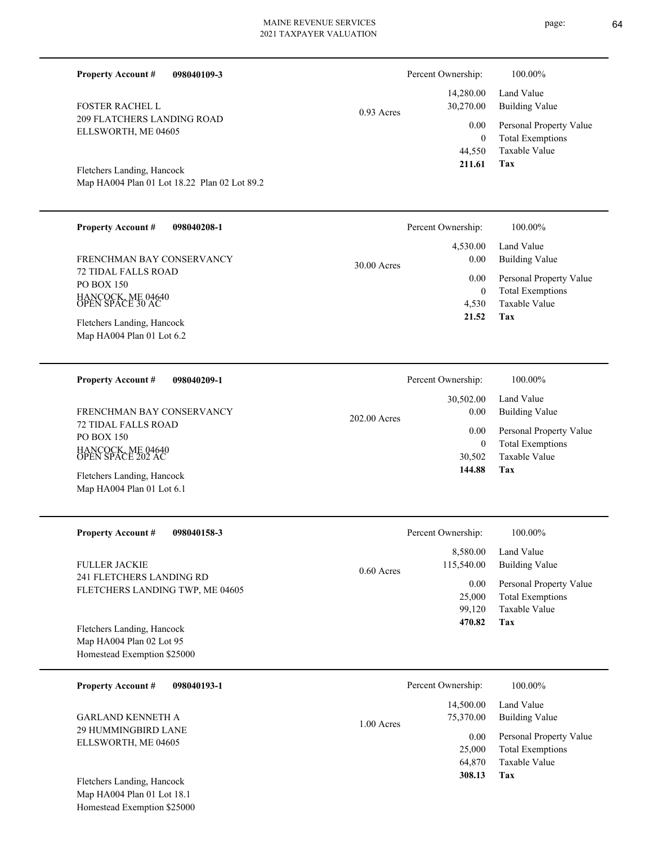| <b>Property Account #</b><br>098040109-3                                           |              | Percent Ownership:                 | 100.00%                                                        |
|------------------------------------------------------------------------------------|--------------|------------------------------------|----------------------------------------------------------------|
| <b>FOSTER RACHEL L</b><br><b>209 FLATCHERS LANDING ROAD</b><br>ELLSWORTH, ME 04605 | $0.93$ Acres | 14,280.00<br>30,270.00<br>$0.00\,$ | Land Value<br><b>Building Value</b><br>Personal Property Value |
| Fletchers Landing, Hancock                                                         |              | $\mathbf{0}$<br>44,550<br>211.61   | <b>Total Exemptions</b><br>Taxable Value<br>Tax                |
| Map HA004 Plan 01 Lot 18.22 Plan 02 Lot 89.2                                       |              |                                    |                                                                |
| <b>Property Account #</b><br>098040208-1                                           |              | Percent Ownership:                 | 100.00%                                                        |

| Troperty recounts<br>VZVVTVZVVTI      |               | $\mathbf{r}$ cream $\cup$ where $\mathbf{r}$ | 100.0070                |
|---------------------------------------|---------------|----------------------------------------------|-------------------------|
|                                       |               | 4.530.00                                     | Land Value              |
| FRENCHMAN BAY CONSERVANCY             | $30.00$ Acres | 0.00                                         | Building Value          |
| 72 TIDAL FALLS ROAD                   |               | 0.00                                         | Personal Property Value |
| PO BOX 150                            |               | 0                                            | <b>Total Exemptions</b> |
| HANCOCK, ME 04640<br>OPEN SPACE 30 AC |               | 4.530                                        | Taxable Value           |
| Fletchers Landing, Hancock            |               | 21.52                                        | Tax                     |
| Map HA004 Plan 01 Lot $6.2$           |               |                                              |                         |

| <b>Property Account #</b><br>098040209-1 | Percent Ownership:   | 100.00%                 |
|------------------------------------------|----------------------|-------------------------|
|                                          | 30,502.00            | Land Value              |
| FRENCHMAN BAY CONSERVANCY                | 0.00<br>202.00 Acres | Building Value          |
| 72 TIDAL FALLS ROAD<br>PO BOX 150        | 0.00                 | Personal Property Value |
|                                          | $\theta$             | <b>Total Exemptions</b> |
| HANCOCK, ME 04640<br>OPEN SPACE 202 AC   | 30.502               | Taxable Value           |
| Fletchers Landing, Hancock               | 144.88               | Tax                     |

| <b>Property Account #</b><br>098040158-3               | Percent Ownership:                             | 100.00%                                                 |
|--------------------------------------------------------|------------------------------------------------|---------------------------------------------------------|
| <b>FULLER JACKIE</b><br>241 FLETCHERS LANDING RD       | 8.580.00<br>115,540.00<br>$0.60$ Acres<br>0.00 | Land Value<br>Building Value<br>Personal Property Value |
| FLETCHERS LANDING TWP, ME 04605                        | 25,000<br>99.120                               | <b>Total Exemptions</b><br>Taxable Value                |
| Fletchers Landing, Hancock<br>Map HA004 Plan 02 Lot 95 | 470.82                                         | Tax                                                     |
| Homestead Exemption \$25000                            |                                                |                                                         |

| <b>Property Account #</b><br>098040193-1 | Percent Ownership:                     | 100.00%                      |
|------------------------------------------|----------------------------------------|------------------------------|
| <b>GARLAND KENNETH A</b>                 | 14,500.00<br>75,370.00<br>$1.00$ Acres | Land Value<br>Building Value |
| 29 HUMMINGBIRD LANE                      | 0.00                                   | Personal Property Value      |
| ELLSWORTH, ME 04605                      | 25,000                                 | <b>Total Exemptions</b>      |
| Fletchers Landing, Hancock               | 64,870                                 | Taxable Value                |
| Map HA004 Plan 01 Lot 18.1               | 308.13                                 | Tax                          |

Homestead Exemption \$25000

Map HA004 Plan 01 Lot 6.1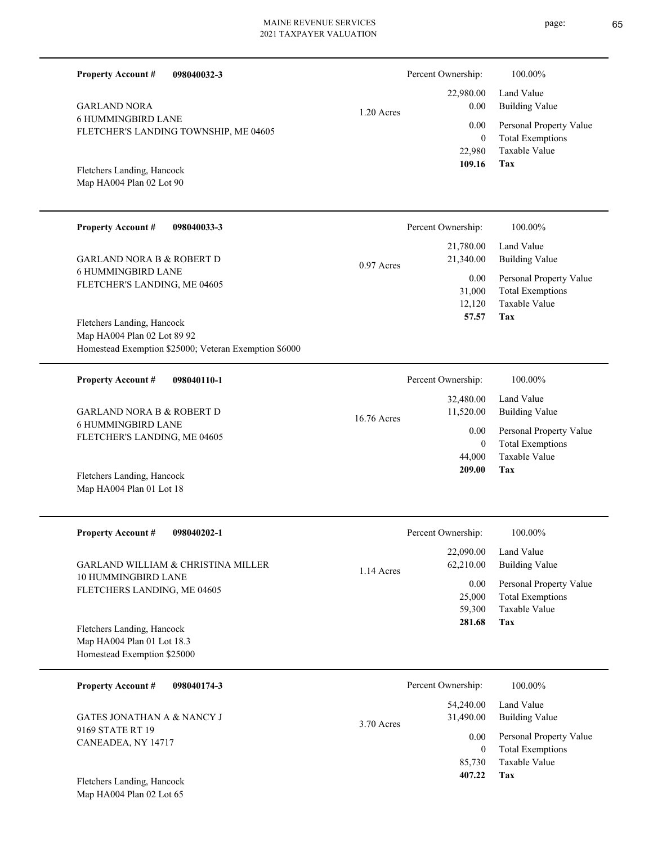| <b>Property Account #</b><br>098040032-3                                                |              | Percent Ownership:                         | 100.00%                                                                    |
|-----------------------------------------------------------------------------------------|--------------|--------------------------------------------|----------------------------------------------------------------------------|
| <b>GARLAND NORA</b><br><b>6 HUMMINGBIRD LANE</b>                                        | 1.20 Acres   | 22,980.00<br>0.00                          | Land Value<br><b>Building Value</b>                                        |
| FLETCHER'S LANDING TOWNSHIP, ME 04605                                                   |              | 0.00<br>$\boldsymbol{0}$<br>22,980         | Personal Property Value<br><b>Total Exemptions</b><br>Taxable Value        |
| Fletchers Landing, Hancock<br>Map HA004 Plan 02 Lot 90                                  |              | 109.16                                     | Tax                                                                        |
| <b>Property Account #</b><br>098040033-3                                                |              | Percent Ownership:                         | 100.00%                                                                    |
| <b>GARLAND NORA B &amp; ROBERT D</b>                                                    | $0.97$ Acres | 21,780.00<br>21,340.00                     | Land Value<br><b>Building Value</b>                                        |
| <b>6 HUMMINGBIRD LANE</b><br>FLETCHER'S LANDING, ME 04605<br>Fletchers Landing, Hancock |              | 0.00<br>31,000<br>12,120<br>57.57          | Personal Property Value<br><b>Total Exemptions</b><br>Taxable Value<br>Tax |
| Map HA004 Plan 02 Lot 89 92<br>Homestead Exemption \$25000; Veteran Exemption \$6000    |              |                                            |                                                                            |
| <b>Property Account #</b><br>098040110-1                                                |              | Percent Ownership:                         | 100.00%                                                                    |
| <b>GARLAND NORA B &amp; ROBERT D</b>                                                    | 16.76 Acres  | 32,480.00<br>11,520.00                     | Land Value<br><b>Building Value</b>                                        |
| <b>6 HUMMINGBIRD LANE</b><br>FLETCHER'S LANDING, ME 04605                               |              | 0.00<br>$\overline{0}$<br>44,000<br>209.00 | Personal Property Value<br><b>Total Exemptions</b><br>Taxable Value<br>Tax |
| Fletchers Landing, Hancock<br>Map HA004 Plan 01 Lot 18                                  |              |                                            |                                                                            |
| <b>Property Account #</b><br>098040202-1                                                |              | Percent Ownership:                         | 100.00%                                                                    |
| GARLAND WILLIAM & CHRISTINA MILLER                                                      | 1.14 Acres   | 22,090.00<br>62,210.00                     | Land Value<br><b>Building Value</b>                                        |
| 10 HUMMINGBIRD LANE<br>FLETCHERS LANDING, ME 04605<br>Fletchers Landing, Hancock        |              | 0.00<br>25,000<br>59,300<br>281.68         | Personal Property Value<br><b>Total Exemptions</b><br>Taxable Value<br>Tax |
| Map HA004 Plan 01 Lot 18.3<br>Homestead Exemption \$25000                               |              |                                            |                                                                            |
| <b>Property Account #</b><br>098040174-3                                                |              | Percent Ownership:                         | 100.00%                                                                    |
| <b>GATES JONATHAN A &amp; NANCY J</b>                                                   | 3.70 Acres   | 54,240.00<br>31,490.00                     | Land Value<br><b>Building Value</b>                                        |
| 9169 STATE RT 19<br>CANEADEA, NY 14717                                                  |              | 0.00<br>$\mathbf{0}$                       | Personal Property Value<br><b>Total Exemptions</b>                         |
| Fletchers Landing, Hancock<br>Map HA004 Plan 02 Lot 65                                  |              | 85,730<br>407.22                           | Taxable Value<br>Tax                                                       |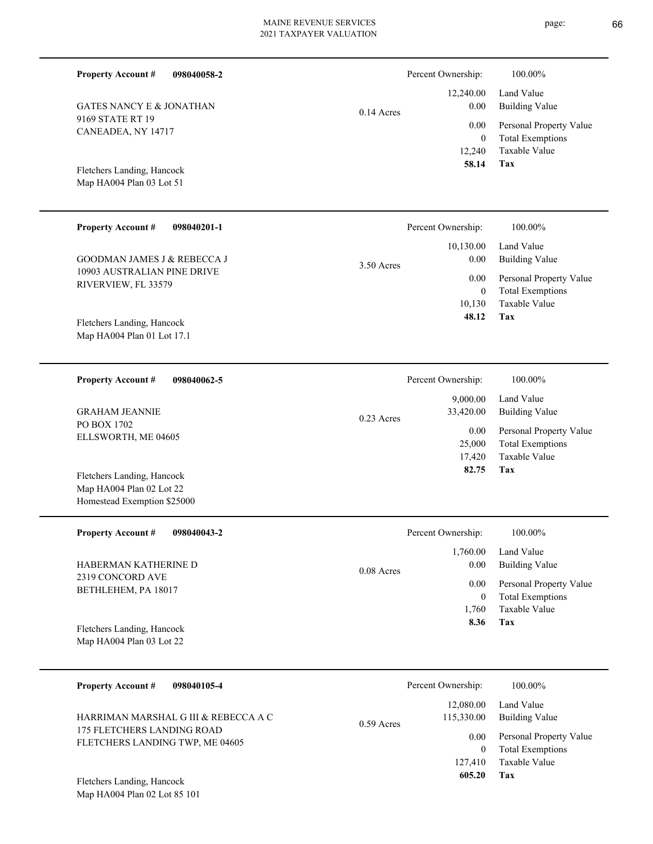| <b>Property Account #</b><br>098040058-2                   |              | Percent Ownership:<br>12,240.00 | 100.00%<br>Land Value                    |
|------------------------------------------------------------|--------------|---------------------------------|------------------------------------------|
| <b>GATES NANCY E &amp; JONATHAN</b>                        | $0.14$ Acres | 0.00                            | <b>Building Value</b>                    |
| 9169 STATE RT 19<br>CANEADEA, NY 14717                     |              | 0.00                            | Personal Property Value                  |
|                                                            |              | $\boldsymbol{0}$                | <b>Total Exemptions</b>                  |
|                                                            |              | 12,240<br>58.14                 | Taxable Value<br>Tax                     |
| Fletchers Landing, Hancock<br>Map HA004 Plan 03 Lot 51     |              |                                 |                                          |
|                                                            |              |                                 |                                          |
| <b>Property Account #</b><br>098040201-1                   |              | Percent Ownership:              | 100.00%                                  |
|                                                            |              | 10,130.00                       | Land Value                               |
| GOODMAN JAMES J & REBECCA J<br>10903 AUSTRALIAN PINE DRIVE | 3.50 Acres   | 0.00                            | <b>Building Value</b>                    |
| RIVERVIEW, FL 33579                                        |              | 0.00                            | Personal Property Value                  |
|                                                            |              | $\boldsymbol{0}$<br>10,130      | <b>Total Exemptions</b><br>Taxable Value |
| Fletchers Landing, Hancock                                 |              | 48.12                           | Tax                                      |
| Map HA004 Plan 01 Lot 17.1                                 |              |                                 |                                          |
|                                                            |              |                                 |                                          |
| <b>Property Account #</b><br>098040062-5                   |              | Percent Ownership:              | 100.00%                                  |
| <b>GRAHAM JEANNIE</b>                                      |              | 9,000.00<br>33,420.00           | Land Value<br><b>Building Value</b>      |
| PO BOX 1702                                                | 0.23 Acres   | 0.00                            | Personal Property Value                  |
| ELLSWORTH, ME 04605                                        |              | 25,000                          | <b>Total Exemptions</b>                  |
|                                                            |              | 17,420                          | Taxable Value                            |
| Fletchers Landing, Hancock                                 |              | 82.75                           | <b>Tax</b>                               |
| Map HA004 Plan 02 Lot 22<br>Homestead Exemption \$25000    |              |                                 |                                          |
|                                                            |              |                                 |                                          |
| <b>Property Account#</b><br>098040043-2                    |              | Percent Ownership:              | 100.00%                                  |
|                                                            |              | 1,760.00                        | Land Value                               |
| HABERMAN KATHERINE D<br>2319 CONCORD AVE                   | 0.08 Acres   | 0.00                            | <b>Building Value</b>                    |
| BETHLEHEM, PA 18017                                        |              | 0.00                            | Personal Property Value                  |
|                                                            |              | $\boldsymbol{0}$<br>1,760       | <b>Total Exemptions</b><br>Taxable Value |
| Fletchers Landing, Hancock                                 |              | 8.36                            | <b>Tax</b>                               |
| Map HA004 Plan 03 Lot 22                                   |              |                                 |                                          |
| <b>Property Account #</b><br>098040105-4                   |              | Percent Ownership:              | 100.00%                                  |
|                                                            |              | 12,080.00                       | Land Value                               |

**Tax**

 127,410  $\boldsymbol{0}$ 

0.00

115,330.00

0.59 Acres

 **605.20**

Taxable Value Total Exemptions Personal Property Value

Building Value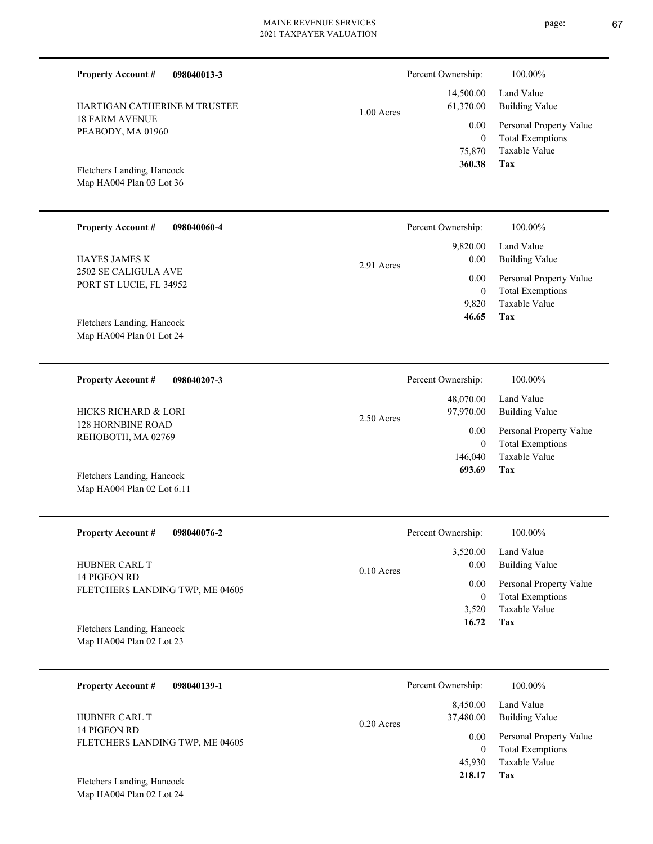| <b>Property Account #</b><br>098040013-3         |            | Percent Ownership:       | 100.00%                                            |
|--------------------------------------------------|------------|--------------------------|----------------------------------------------------|
| HARTIGAN CATHERINE M TRUSTEE                     | 1.00 Acres | 14,500.00<br>61,370.00   | Land Value<br><b>Building Value</b>                |
| <b>18 FARM AVENUE</b>                            |            | 0.00                     | Personal Property Value                            |
| PEABODY, MA 01960                                |            | $\bf{0}$                 | <b>Total Exemptions</b>                            |
|                                                  |            | 75,870                   | <b>Taxable Value</b>                               |
| Fletchers Landing, Hancock                       |            | 360.38                   | Tax                                                |
| Map HA004 Plan 03 Lot 36                         |            |                          |                                                    |
|                                                  |            |                          |                                                    |
|                                                  |            |                          |                                                    |
| <b>Property Account #</b><br>098040060-4         |            | Percent Ownership:       | 100.00%                                            |
|                                                  |            | 9,820.00                 | Land Value                                         |
| <b>HAYES JAMES K</b>                             | 2.91 Acres | 0.00                     | <b>Building Value</b>                              |
| 2502 SE CALIGULA AVE                             |            | 0.00                     | Personal Property Value                            |
| PORT ST LUCIE, FL 34952                          |            | $\mathbf{0}$             | <b>Total Exemptions</b>                            |
|                                                  |            | 9,820                    | Taxable Value                                      |
| Fletchers Landing, Hancock                       |            | 46.65                    | Tax                                                |
| Map HA004 Plan 01 Lot 24                         |            |                          |                                                    |
|                                                  |            |                          |                                                    |
| <b>Property Account #</b><br>098040207-3         |            | Percent Ownership:       | 100.00%                                            |
|                                                  |            |                          |                                                    |
|                                                  |            | 48,070.00                | Land Value                                         |
| HICKS RICHARD & LORI<br><b>128 HORNBINE ROAD</b> | 2.50 Acres | 97,970.00                | <b>Building Value</b>                              |
| REHOBOTH, MA 02769                               |            | 0.00                     | Personal Property Value                            |
|                                                  |            | $\boldsymbol{0}$         | <b>Total Exemptions</b>                            |
|                                                  |            | 146,040                  | <b>Taxable Value</b>                               |
| Fletchers Landing, Hancock                       |            | 693.69                   | Tax                                                |
| Map HA004 Plan 02 Lot 6.11                       |            |                          |                                                    |
|                                                  |            |                          |                                                    |
| <b>Property Account #</b><br>098040076-2         |            | Percent Ownership:       | 100.00%                                            |
|                                                  |            | 3,520.00                 | Land Value                                         |
| HUBNER CARL T                                    |            | 0.00                     | <b>Building Value</b>                              |
| 14 PIGEON RD                                     | 0.10 Acres |                          |                                                    |
| FLETCHERS LANDING TWP, ME 04605                  |            | 0.00                     | Personal Property Value                            |
|                                                  |            | $\bf{0}$                 | <b>Total Exemptions</b><br>Taxable Value           |
|                                                  |            | 3,520<br>16.72           | Tax                                                |
| Fletchers Landing, Hancock                       |            |                          |                                                    |
| Map HA004 Plan 02 Lot 23                         |            |                          |                                                    |
|                                                  |            |                          |                                                    |
| 098040139-1<br><b>Property Account #</b>         |            | Percent Ownership:       | 100.00%                                            |
|                                                  |            | 8,450.00                 | Land Value                                         |
| HUBNER CARL T                                    |            | 37,480.00                | <b>Building Value</b>                              |
| 14 PIGEON RD                                     | 0.20 Acres |                          |                                                    |
| FLETCHERS LANDING TWP, ME 04605                  |            | 0.00<br>$\boldsymbol{0}$ | Personal Property Value<br><b>Total Exemptions</b> |
|                                                  |            | 45,930                   | Taxable Value                                      |

**Tax 218.17**

Map HA004 Plan 02 Lot 24 Fletchers Landing, Hancock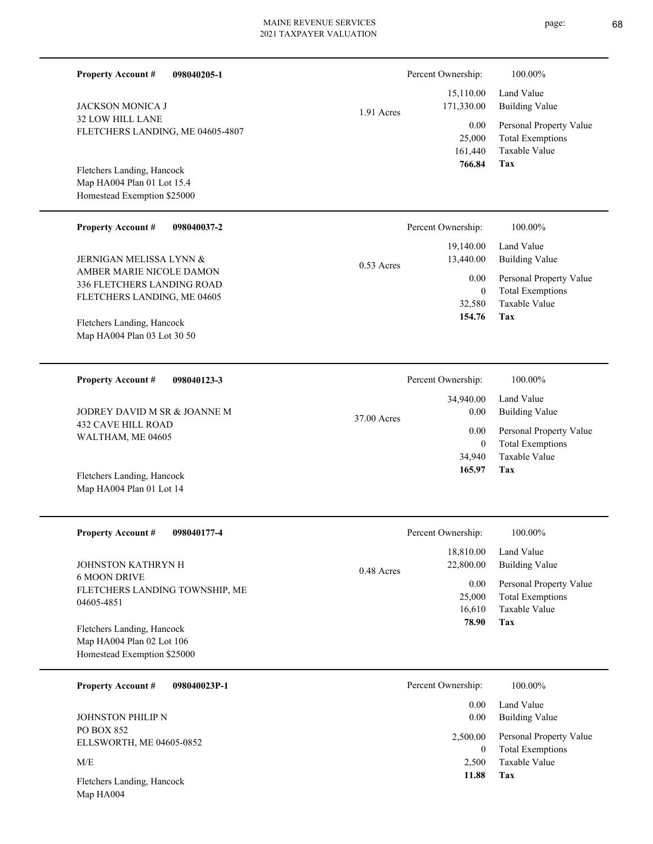| <b>Property Account #</b><br>098040205-1                 |              | Percent Ownership:          | 100.00%                                         |
|----------------------------------------------------------|--------------|-----------------------------|-------------------------------------------------|
| <b>JACKSON MONICA J</b>                                  | 1.91 Acres   | 15,110.00<br>171,330.00     | Land Value<br><b>Building Value</b>             |
| 32 LOW HILL LANE<br>FLETCHERS LANDING, ME 04605-4807     |              | 0.00                        | Personal Property Value                         |
|                                                          |              | 25,000<br>161,440<br>766.84 | <b>Total Exemptions</b><br>Taxable Value<br>Tax |
| Fletchers Landing, Hancock<br>Map HA004 Plan 01 Lot 15.4 |              |                             |                                                 |
| Homestead Exemption \$25000                              |              |                             |                                                 |
|                                                          |              |                             |                                                 |
| <b>Property Account #</b><br>098040037-2                 |              | Percent Ownership:          | 100.00%                                         |
|                                                          |              | 19,140.00                   | Land Value                                      |
| JERNIGAN MELISSA LYNN &                                  | $0.53$ Acres | 13,440.00                   | <b>Building Value</b>                           |
| AMBER MARIE NICOLE DAMON<br>336 FLETCHERS LANDING ROAD   |              | 0.00                        | Personal Property Value                         |
| FLETCHERS LANDING, ME 04605                              |              | $\mathbf{0}$                | <b>Total Exemptions</b>                         |
|                                                          |              | 32,580                      | Taxable Value                                   |
| Fletchers Landing, Hancock                               |              | 154.76                      | Tax                                             |
| Map HA004 Plan 03 Lot 30 50                              |              |                             |                                                 |
|                                                          |              |                             |                                                 |
| <b>Property Account #</b><br>098040123-3                 |              | Percent Ownership:          | 100.00%                                         |
|                                                          |              | 34,940.00                   | Land Value                                      |
| JODREY DAVID M SR & JOANNE M                             | 37.00 Acres  | $0.00\,$                    | <b>Building Value</b>                           |
| <b>432 CAVE HILL ROAD</b>                                |              | 0.00                        | Personal Property Value                         |
| WALTHAM, ME 04605                                        |              | $\overline{0}$              | <b>Total Exemptions</b>                         |
|                                                          |              | 34,940                      | Taxable Value                                   |
| Fletchers Landing, Hancock                               |              | 165.97                      | Tax                                             |
| Map HA004 Plan 01 Lot 14                                 |              |                             |                                                 |
|                                                          |              |                             |                                                 |
| <b>Property Account #</b><br>098040177-4                 |              | Percent Ownership:          | 100.00%                                         |
|                                                          |              | 18,810.00                   | Land Value                                      |
| JOHNSTON KATHRYN H                                       | 0.48 Acres   | 22,800.00                   | <b>Building Value</b>                           |
| <b>6 MOON DRIVE</b>                                      |              | 0.00                        | Personal Property Value                         |
| FLETCHERS LANDING TOWNSHIP, ME<br>04605-4851             |              | 25,000                      | <b>Total Exemptions</b>                         |
|                                                          |              | 16,610                      | Taxable Value                                   |
| Fletchers Landing, Hancock                               |              | 78.90                       | Tax                                             |
| Map HA004 Plan 02 Lot 106                                |              |                             |                                                 |
| Homestead Exemption \$25000                              |              |                             |                                                 |
| <b>Property Account #</b><br>098040023P-1                |              | Percent Ownership:          | 100.00%                                         |
|                                                          |              | 0.00                        | Land Value                                      |
| JOHNSTON PHILIP N                                        |              | 0.00                        | <b>Building Value</b>                           |
| PO BOX 852<br>ELLSWORTH, ME 04605-0852                   |              | 2,500.00                    | Personal Property Value                         |
|                                                          |              |                             |                                                 |

Map HA004 Fletchers Landing, Hancock

 $\ensuremath{\text{M/E}}$ 

page: 68

**Tax 11.88** Taxable Value Total Exemptions 2,500  $\boldsymbol{0}$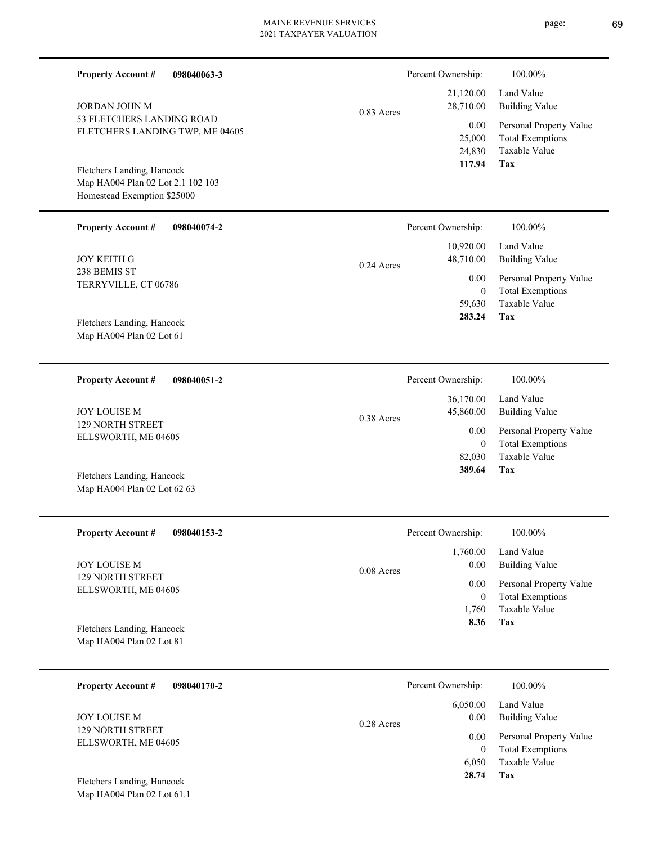| <b>Property Account #</b><br>098040063-3                        |              | Percent Ownership:        | 100.00%                                            |
|-----------------------------------------------------------------|--------------|---------------------------|----------------------------------------------------|
| <b>JORDAN JOHN M</b>                                            | $0.83$ Acres | 21,120.00<br>28,710.00    | Land Value<br><b>Building Value</b>                |
| 53 FLETCHERS LANDING ROAD<br>FLETCHERS LANDING TWP, ME 04605    |              | 0.00                      | Personal Property Value                            |
|                                                                 |              | 25,000<br>24,830          | <b>Total Exemptions</b><br>Taxable Value           |
| Fletchers Landing, Hancock<br>Map HA004 Plan 02 Lot 2.1 102 103 |              | 117.94                    | Tax                                                |
| Homestead Exemption \$25000                                     |              |                           |                                                    |
| <b>Property Account #</b><br>098040074-2                        |              | Percent Ownership:        | 100.00%                                            |
| <b>JOY KEITH G</b>                                              | $0.24$ Acres | 10,920.00<br>48,710.00    | Land Value<br><b>Building Value</b>                |
| 238 BEMIS ST<br>TERRYVILLE, CT 06786                            |              | 0.00                      | Personal Property Value                            |
|                                                                 |              | $\mathbf{0}$<br>59,630    | <b>Total Exemptions</b><br>Taxable Value           |
| Fletchers Landing, Hancock                                      |              | 283.24                    | Tax                                                |
| Map HA004 Plan 02 Lot 61                                        |              |                           |                                                    |
| <b>Property Account #</b><br>098040051-2                        |              | Percent Ownership:        | 100.00%                                            |
| <b>JOY LOUISE M</b>                                             | 0.38 Acres   | 36,170.00<br>45,860.00    | Land Value<br><b>Building Value</b>                |
| <b>129 NORTH STREET</b><br>ELLSWORTH, ME 04605                  |              | 0.00<br>$\mathbf{0}$      | Personal Property Value<br><b>Total Exemptions</b> |
|                                                                 |              | 82,030                    | Taxable Value                                      |
| Fletchers Landing, Hancock<br>Map HA004 Plan 02 Lot 62 63       |              | 389.64                    | Tax                                                |
|                                                                 |              |                           |                                                    |
| <b>Property Account #</b><br>098040153-2                        |              | Percent Ownership:        | 100.00%                                            |
| <b>JOY LOUISE M</b>                                             |              | 1,760.00<br>0.00          | Land Value<br><b>Building Value</b>                |
| <b>129 NORTH STREET</b><br>ELLSWORTH, ME 04605                  | 0.08 Acres   | 0.00                      | Personal Property Value                            |
|                                                                 |              | $\boldsymbol{0}$<br>1,760 | <b>Total Exemptions</b><br>Taxable Value           |
| Fletchers Landing, Hancock                                      |              | 8.36                      | <b>Tax</b>                                         |
| Map HA004 Plan 02 Lot 81                                        |              |                           |                                                    |
| <b>Property Account #</b><br>098040170-2                        |              | Percent Ownership:        | 100.00%                                            |
| JOY LOUISE M                                                    | 0.28 Acres   | 6,050.00<br>0.00          | Land Value<br><b>Building Value</b>                |
| 129 NORTH STREET<br>ELLSWORTH, ME 04605                         |              | 0.00                      | Personal Property Value<br>Total Examptions        |

**Tax 28.74**

6,050

Taxable Value 0 Total Exemptions

Map HA004 Plan 02 Lot 61.1 Fletchers Landing, Hancock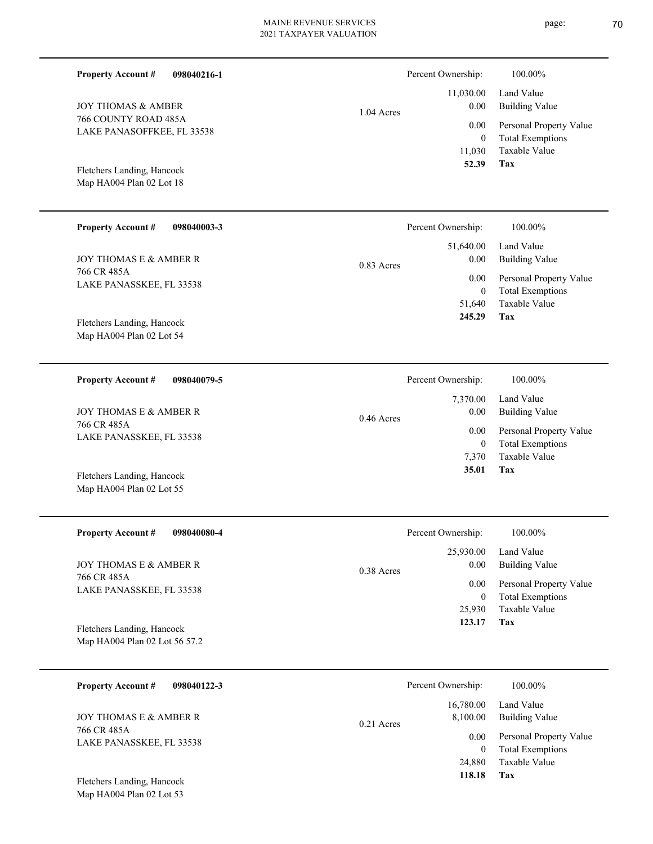| <b>Property Account #</b><br>098040216-1           |              | Percent Ownership:              | 100.00%                                            |
|----------------------------------------------------|--------------|---------------------------------|----------------------------------------------------|
| <b>JOY THOMAS &amp; AMBER</b>                      | $1.04$ Acres | 11,030.00<br>0.00               | Land Value<br><b>Building Value</b>                |
| 766 COUNTY ROAD 485A<br>LAKE PANASOFFKEE, FL 33538 |              | 0.00                            | Personal Property Value                            |
|                                                    |              | $\overline{0}$<br>11,030        | <b>Total Exemptions</b><br>Taxable Value           |
| Fletchers Landing, Hancock                         |              | 52.39                           | Tax                                                |
| Map HA004 Plan 02 Lot 18                           |              |                                 |                                                    |
| <b>Property Account #</b><br>098040003-3           |              | Percent Ownership:              | 100.00%                                            |
|                                                    |              | 51,640.00                       | Land Value                                         |
| <b>JOY THOMAS E &amp; AMBER R</b><br>766 CR 485A   | $0.83$ Acres | 0.00                            | <b>Building Value</b>                              |
| LAKE PANASSKEE, FL 33538                           |              | 0.00<br>$\overline{0}$          | Personal Property Value<br><b>Total Exemptions</b> |
|                                                    |              | 51,640                          | <b>Taxable Value</b>                               |
| Fletchers Landing, Hancock                         |              | 245.29                          | Tax                                                |
| Map HA004 Plan 02 Lot 54                           |              |                                 |                                                    |
| <b>Property Account #</b><br>098040079-5           |              | Percent Ownership:              | 100.00%                                            |
|                                                    |              |                                 |                                                    |
|                                                    |              | 7,370.00                        | Land Value                                         |
| <b>JOY THOMAS E &amp; AMBER R</b>                  | $0.46$ Acres | 0.00                            | <b>Building Value</b>                              |
| 766 CR 485A<br>LAKE PANASSKEE, FL 33538            |              | 0.00                            | Personal Property Value                            |
|                                                    |              | $\mathbf{0}$<br>7,370           | <b>Total Exemptions</b><br>Taxable Value           |
| Fletchers Landing, Hancock                         |              | 35.01                           | Tax                                                |
| Map HA004 Plan 02 Lot 55                           |              |                                 |                                                    |
|                                                    |              |                                 |                                                    |
| <b>Property Account #</b><br>098040080-4           |              | Percent Ownership:              | 100.00%                                            |
| JOY THOMAS E & AMBER R                             | 0.38 Acres   | 25,930.00<br>0.00               | Land Value<br><b>Building Value</b>                |
| 766 CR 485A<br>LAKE PANASSKEE, FL 33538            |              | 0.00                            | Personal Property Value                            |
|                                                    |              | $\boldsymbol{0}$<br>25,930      | <b>Total Exemptions</b><br>Taxable Value           |
| Fletchers Landing, Hancock                         |              | 123.17                          | Tax                                                |
| Map HA004 Plan 02 Lot 56 57.2                      |              |                                 |                                                    |
|                                                    |              |                                 |                                                    |
| <b>Property Account #</b><br>098040122-3           |              | Percent Ownership:<br>16,780.00 | 100.00%<br>Land Value                              |

766 CR 485A LAKE PANASSKEE, FL 33538

Map HA004 Plan 02 Lot 53 Fletchers Landing, Hancock

# page: 70

**Tax 118.18**

24,880

Taxable Value 0 Total Exemptions 0.00 Personal Property Value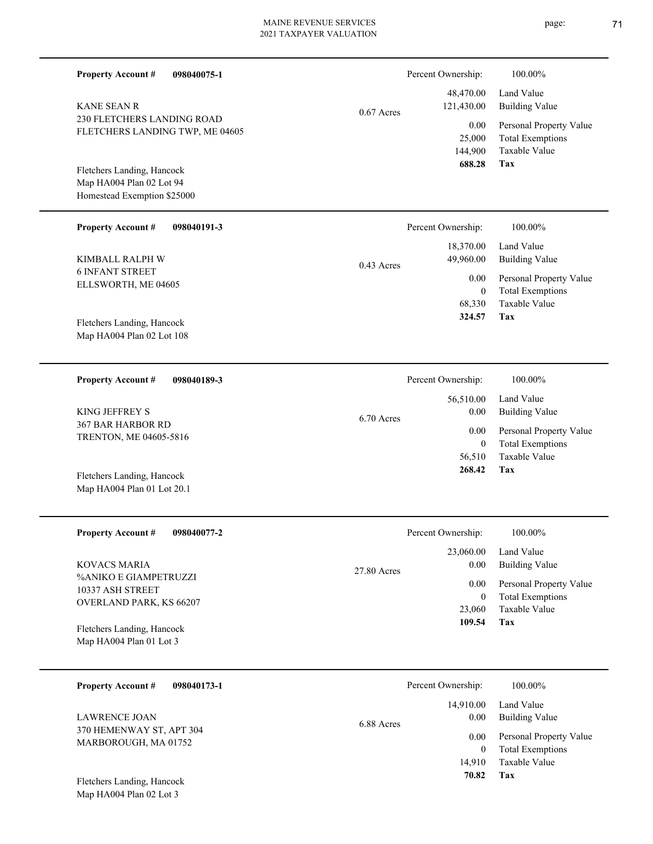| <b>Property Account #</b><br>098040075-1                                              |               | Percent Ownership:        | 100.00%                                                             |
|---------------------------------------------------------------------------------------|---------------|---------------------------|---------------------------------------------------------------------|
| <b>KANE SEAN R</b>                                                                    | $0.67$ Acres  | 48,470.00<br>121,430.00   | Land Value<br><b>Building Value</b>                                 |
| 230 FLETCHERS LANDING ROAD<br>FLETCHERS LANDING TWP, ME 04605                         |               | 0.00<br>25,000<br>144,900 | Personal Property Value<br><b>Total Exemptions</b><br>Taxable Value |
| Fletchers Landing, Hancock<br>Map HA004 Plan 02 Lot 94<br>Homestead Exemption \$25000 |               | 688.28                    | Tax                                                                 |
| <b>Property Account #</b><br>098040191-3                                              |               | Percent Ownership:        | 100.00%                                                             |
| KIMBALL RALPH W                                                                       | $0.43$ Acres  | 18,370.00<br>49,960.00    | Land Value<br><b>Building Value</b>                                 |
| <b>6 INFANT STREET</b><br>ELLSWORTH, ME 04605                                         |               | 0.00<br>$\overline{0}$    | Personal Property Value<br><b>Total Exemptions</b>                  |
| Fletchers Landing, Hancock<br>Map HA004 Plan 02 Lot 108                               |               | 68,330<br>324.57          | <b>Taxable Value</b><br>Tax                                         |
| <b>Property Account #</b><br>098040189-3                                              |               | Percent Ownership:        | 100.00%                                                             |
| KING JEFFREY S                                                                        | 6.70 Acres    | 56,510.00<br>0.00         | Land Value<br><b>Building Value</b>                                 |
| 367 BAR HARBOR RD<br>TRENTON, ME 04605-5816                                           |               | 0.00<br>$\theta$          | Personal Property Value<br><b>Total Exemptions</b>                  |
| Fletchers Landing, Hancock<br>Map HA004 Plan 01 Lot 20.1                              |               | 56,510<br>268.42          | Taxable Value<br>Tax                                                |
| <b>Property Account #</b><br>098040077-2                                              |               | Percent Ownership:        | 100.00%                                                             |
| <b>KOVACS MARIA</b>                                                                   | $27.80$ Acres | 23,060.00<br>0.00         | Land Value<br><b>Building Value</b>                                 |
| %ANIKO E GIAMPETRUZZI<br>10337 ASH STREET                                             |               | 0.00<br>$\overline{0}$    | Personal Property Value<br><b>Total Exemptions</b>                  |
| OVERLAND PARK, KS 66207<br>Fletchers Landing, Hancock<br>Map HA004 Plan 01 Lot 3      |               | 23,060<br>109.54          | Taxable Value<br>Tax                                                |
| <b>Property Account #</b><br>098040173-1                                              |               | Percent Ownership:        | 100.00%                                                             |
| <b>LAWRENCE JOAN</b>                                                                  | 6.88 Acres    | 14,910.00<br>$0.00\,$     | Land Value<br><b>Building Value</b>                                 |
| 370 HEMENWAY ST, APT 304<br>MARBOROUGH, MA 01752                                      |               | 0.00<br>$\overline{0}$    | Personal Property Value<br><b>Total Exemptions</b>                  |
|                                                                                       |               | 14,910<br>70.82           | Taxable Value<br>Tax                                                |

Map HA004 Plan 02 Lot 3 Fletchers Landing, Hancock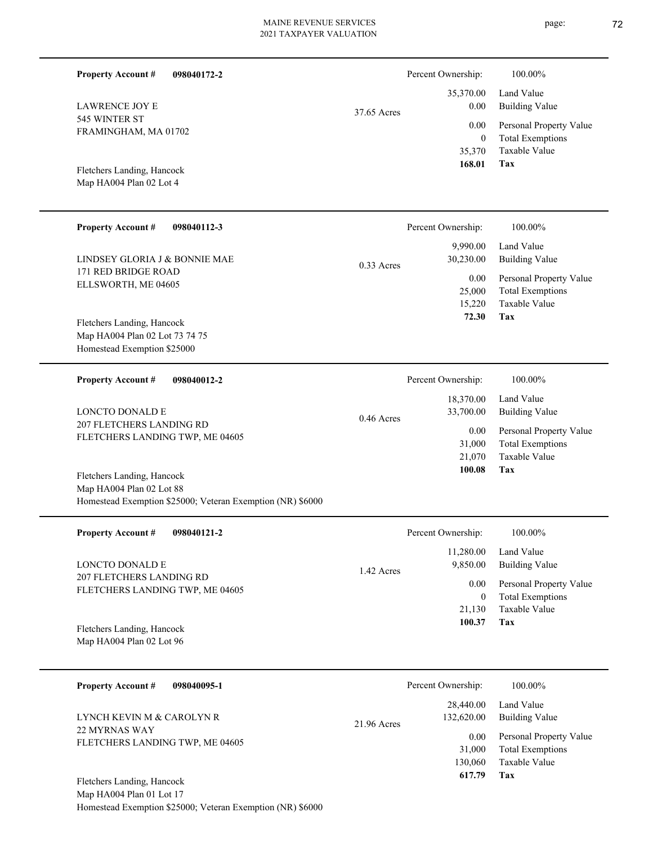| <b>Property Account #</b><br>098040172-2                                               |              | Percent Ownership:     | 100.00%                                         |
|----------------------------------------------------------------------------------------|--------------|------------------------|-------------------------------------------------|
| <b>LAWRENCE JOY E</b>                                                                  |              | 35,370.00<br>0.00      | Land Value<br><b>Building Value</b>             |
| 545 WINTER ST<br>FRAMINGHAM, MA 01702                                                  | 37.65 Acres  | 0.00                   | Personal Property Value                         |
|                                                                                        |              | $\mathbf{0}$<br>35,370 | <b>Total Exemptions</b><br>Taxable Value        |
| Fletchers Landing, Hancock                                                             |              | 168.01                 | Tax                                             |
| Map HA004 Plan 02 Lot 4                                                                |              |                        |                                                 |
| <b>Property Account #</b><br>098040112-3                                               |              | Percent Ownership:     | 100.00%                                         |
| LINDSEY GLORIA J & BONNIE MAE                                                          |              | 9,990.00<br>30,230.00  | Land Value<br><b>Building Value</b>             |
| 171 RED BRIDGE ROAD                                                                    | $0.33$ Acres | 0.00                   | Personal Property Value                         |
| ELLSWORTH, ME 04605                                                                    |              | 25,000<br>15,220       | <b>Total Exemptions</b><br>Taxable Value        |
| Fletchers Landing, Hancock                                                             |              | 72.30                  | Tax                                             |
| Map HA004 Plan 02 Lot 73 74 75<br>Homestead Exemption \$25000                          |              |                        |                                                 |
|                                                                                        |              |                        |                                                 |
| <b>Property Account #</b><br>098040012-2                                               |              | Percent Ownership:     | 100.00%                                         |
| <b>LONCTO DONALD E</b>                                                                 | 0.46 Acres   | 18,370.00<br>33,700.00 | Land Value<br><b>Building Value</b>             |
| 207 FLETCHERS LANDING RD<br>FLETCHERS LANDING TWP, ME 04605                            |              | 0.00                   | Personal Property Value                         |
|                                                                                        |              | 31,000<br>21,070       | <b>Total Exemptions</b><br><b>Taxable Value</b> |
| Fletchers Landing, Hancock                                                             |              | 100.08                 | Tax                                             |
| Map HA004 Plan 02 Lot 88<br>Homestead Exemption \$25000; Veteran Exemption (NR) \$6000 |              |                        |                                                 |
| <b>Property Account #</b><br>098040121-2                                               |              | Percent Ownership:     | 100.00%                                         |
| LONCTO DONALD E                                                                        |              | 11,280.00<br>9,850.00  | Land Value<br><b>Building Value</b>             |
| 207 FLETCHERS LANDING RD<br>FLETCHERS LANDING TWP, ME 04605                            | 1.42 Acres   | 0.00                   | Personal Property Value                         |
|                                                                                        |              | $\bf{0}$<br>21,130     | <b>Total Exemptions</b><br>Taxable Value        |
|                                                                                        |              |                        | Tax                                             |
| Fletchers Landing, Hancock                                                             |              | 100.37                 |                                                 |

| <b>Property Account #</b><br>098040095-1                                      | Percent Ownership:                                                    | 100.00%                                                                                             |
|-------------------------------------------------------------------------------|-----------------------------------------------------------------------|-----------------------------------------------------------------------------------------------------|
| LYNCH KEVIN M & CAROLYN R<br>22 MYRNAS WAY<br>FLETCHERS LANDING TWP, ME 04605 | 28,440.00<br>132,620.00<br>$21.96$ Acres<br>0.00<br>31,000<br>130,060 | Land Value<br>Building Value<br>Personal Property Value<br><b>Total Exemptions</b><br>Taxable Value |
| Fletchers Landing, Hancock                                                    | 617.79                                                                | Tax                                                                                                 |

Map HA004 Plan 01 Lot 17 Homestead Exemption \$25000; Veteran Exemption (NR) \$6000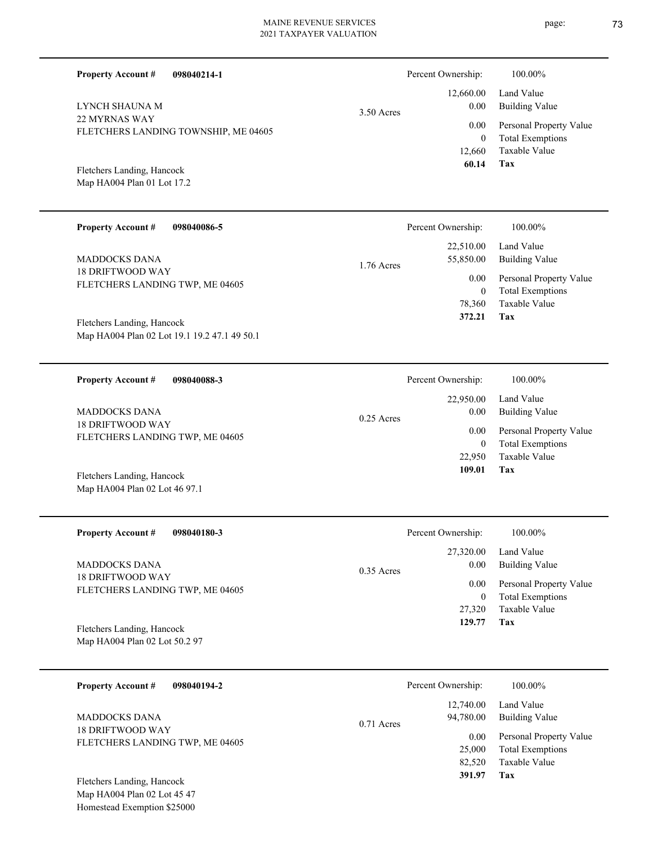| 098040214-1<br><b>Property Account #</b>                                                                          |              | Percent Ownership:                      | 100.00%                                                                           |
|-------------------------------------------------------------------------------------------------------------------|--------------|-----------------------------------------|-----------------------------------------------------------------------------------|
| LYNCH SHAUNA M                                                                                                    | 3.50 Acres   | 12,660.00<br>0.00                       | Land Value<br><b>Building Value</b>                                               |
| 22 MYRNAS WAY<br>FLETCHERS LANDING TOWNSHIP, ME 04605<br>Fletchers Landing, Hancock<br>Map HA004 Plan 01 Lot 17.2 |              | 0.00<br>$\mathbf{0}$<br>12,660<br>60.14 | Personal Property Value<br><b>Total Exemptions</b><br>Taxable Value<br><b>Tax</b> |
| <b>Property Account #</b><br>098040086-5                                                                          |              | Percent Ownership:                      | 100.00%                                                                           |
| MADDOCKS DANA<br><b>18 DRIFTWOOD WAY</b><br>FLETCHERS LANDING TWP, ME 04605                                       | $1.76$ Acres | 22,510.00<br>55,850.00<br>0.00          | Land Value<br><b>Building Value</b><br>Personal Property Value                    |
|                                                                                                                   |              | $\mathbf{0}$<br>78,360<br>372.21        | <b>Total Exemptions</b><br>Taxable Value<br><b>Tax</b>                            |
| Fletchers Landing, Hancock<br>Map HA004 Plan 02 Lot 19.1 19.2 47.1 49 50.1                                        |              |                                         |                                                                                   |
| <b>Property Account #</b><br>098040088-3                                                                          |              | Percent Ownership:                      | 100.00%                                                                           |
| <b>MADDOCKS DANA</b>                                                                                              | $0.25$ Acres | 22,950.00<br>0.00                       | Land Value<br><b>Building Value</b>                                               |
| <b>18 DRIFTWOOD WAY</b><br>ELEMENTED CLASIFIED AND ALCOHOL                                                        |              | 0.00                                    | Personal Property Value                                                           |

| Fletchers Landing, Hancock |  |
|----------------------------|--|

FLETCHERS LANDING TWP, ME 04605

Map HA004 Plan 02 Lot 46 97.1

| <b>Property Account #</b><br>098040180-3                                    | Percent Ownership:                | 100.00%                                            |
|-----------------------------------------------------------------------------|-----------------------------------|----------------------------------------------------|
| MADDOCKS DANA<br><b>18 DRIFTWOOD WAY</b><br>FLETCHERS LANDING TWP, ME 04605 | 27,320.00<br>0.00<br>$0.35$ Acres | Land Value<br>Building Value                       |
|                                                                             | 0.00<br>$\bf{0}$                  | Personal Property Value<br><b>Total Exemptions</b> |
|                                                                             | 27,320                            | Taxable Value                                      |
| Fletchers Landing, Hancock<br>Map HA004 Plan 02 Lot 50.2 97                 | 129.77                            | Tax                                                |

| 098040194-2<br><b>Property Account #</b> | Percent Ownership:                     | 100.00%                                            |
|------------------------------------------|----------------------------------------|----------------------------------------------------|
| MADDOCKS DANA<br><b>18 DRIFTWOOD WAY</b> | 12,740.00<br>94,780.00<br>$0.71$ Acres | Land Value<br>Building Value                       |
| FLETCHERS LANDING TWP, ME 04605          | 0.00<br>25,000                         | Personal Property Value<br><b>Total Exemptions</b> |
|                                          | 82,520                                 | Taxable Value                                      |
| Fletchers Landing, Hancock               | 391.97                                 | Tax                                                |
| Map HA004 Plan 02 Lot 45 47              |                                        |                                                    |

page: 73

**Tax 109.01**

22,950 Taxable Value 0 Total Exemptions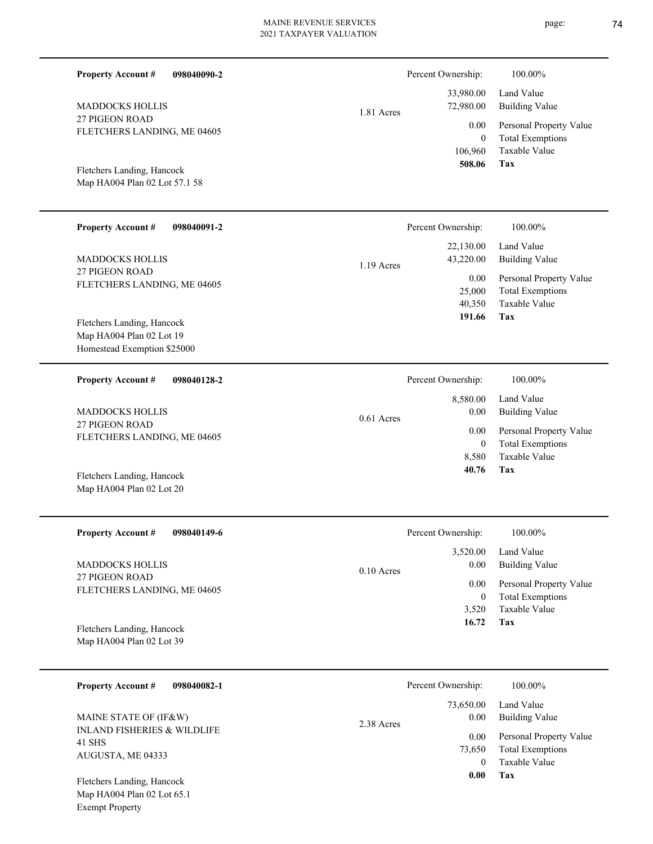| <b>Property Account #</b><br>098040090-2                                              |              | Percent Ownership:                       | 100.00%                                                                    |
|---------------------------------------------------------------------------------------|--------------|------------------------------------------|----------------------------------------------------------------------------|
| <b>MADDOCKS HOLLIS</b>                                                                | 1.81 Acres   | 33,980.00<br>72,980.00                   | Land Value<br><b>Building Value</b>                                        |
| 27 PIGEON ROAD<br>FLETCHERS LANDING, ME 04605                                         |              | 0.00<br>$\mathbf{0}$<br>106,960          | Personal Property Value<br><b>Total Exemptions</b><br>Taxable Value        |
| Fletchers Landing, Hancock<br>Map HA004 Plan 02 Lot 57.1 58                           |              | 508.06                                   | <b>Tax</b>                                                                 |
| <b>Property Account #</b><br>098040091-2                                              |              | Percent Ownership:                       | 100.00%                                                                    |
| <b>MADDOCKS HOLLIS</b>                                                                | 1.19 Acres   | 22,130.00<br>43,220.00                   | Land Value<br><b>Building Value</b>                                        |
| 27 PIGEON ROAD<br>FLETCHERS LANDING, ME 04605                                         |              | 0.00<br>25,000<br>40,350<br>191.66       | Personal Property Value<br><b>Total Exemptions</b><br>Taxable Value<br>Tax |
| Fletchers Landing, Hancock<br>Map HA004 Plan 02 Lot 19<br>Homestead Exemption \$25000 |              |                                          |                                                                            |
| <b>Property Account #</b><br>098040128-2                                              |              | Percent Ownership:                       | 100.00%                                                                    |
| <b>MADDOCKS HOLLIS</b>                                                                | $0.61$ Acres | 8,580.00<br>0.00<br>0.00<br>$\mathbf{0}$ | Land Value<br><b>Building Value</b>                                        |
| 27 PIGEON ROAD<br>FLETCHERS LANDING, ME 04605                                         |              |                                          | Personal Property Value<br><b>Total Exemptions</b>                         |
| Fletchers Landing, Hancock<br>Map HA004 Plan 02 Lot 20                                |              | 8,580<br>40.76                           | Taxable Value<br>Tax                                                       |
| Property Account #<br>098040149-6                                                     |              | Percent Ownership:                       | $100.00\%$                                                                 |
| <b>MADDOCKS HOLLIS</b>                                                                | $0.10$ Acres | 3,520.00<br>0.00                         | Land Value<br><b>Building Value</b>                                        |
| 27 PIGEON ROAD<br>FLETCHERS LANDING, ME 04605                                         |              | 0.00<br>$\overline{0}$                   | Personal Property Value<br><b>Total Exemptions</b>                         |
| Fletchers Landing, Hancock<br>Map HA004 Plan 02 Lot 39                                |              | 3,520<br>16.72                           | Taxable Value<br>Tax                                                       |
| <b>Property Account #</b><br>098040082-1                                              |              | Percent Ownership:                       | 100.00%                                                                    |
| MAINE STATE OF (IF&W)                                                                 |              | 73,650.00<br>0.00                        | Land Value<br><b>Building Value</b>                                        |
| <b>INLAND FISHERIES &amp; WILDLIFE</b><br>41 SHS<br>AUGUSTA, ME 04333                 | 2.38 Acres   | 0.00<br>73,650<br>$\mathbf{0}$           | Personal Property Value<br><b>Total Exemptions</b><br>Taxable Value        |
|                                                                                       |              | 0.00                                     | <b>Tax</b>                                                                 |

Map HA004 Plan 02 Lot 65.1 Exempt Property Fletchers Landing, Hancock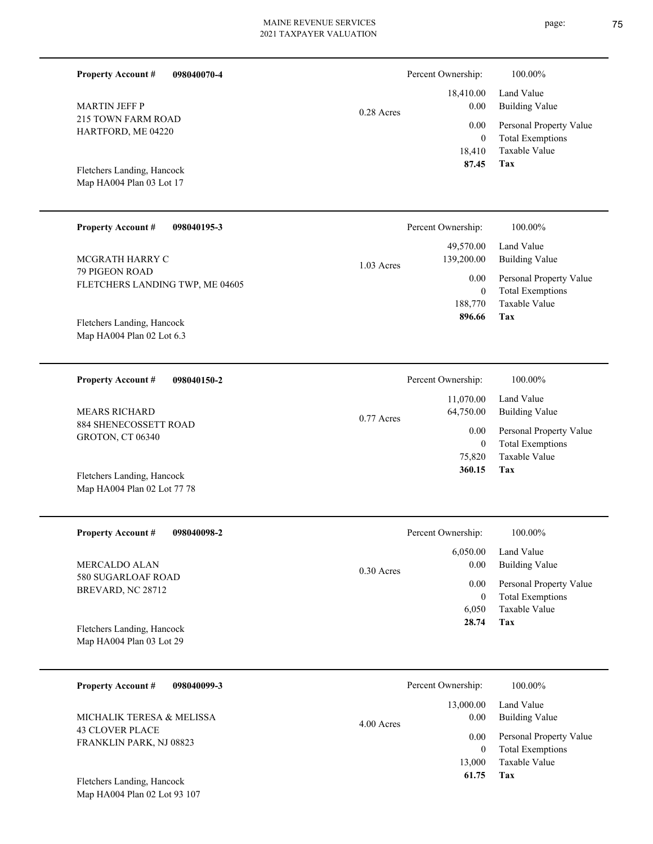|  | <b>Property Account #</b><br>098040070-4                                       |                        | Percent Ownership:                                 | 100.00%                                            |
|--|--------------------------------------------------------------------------------|------------------------|----------------------------------------------------|----------------------------------------------------|
|  | <b>MARTIN JEFF P</b><br>0.28 Acres<br>215 TOWN FARM ROAD<br>HARTFORD, ME 04220 |                        | 18,410.00<br>0.00                                  | Land Value<br><b>Building Value</b>                |
|  |                                                                                | 0.00<br>$\overline{0}$ | Personal Property Value<br><b>Total Exemptions</b> |                                                    |
|  | Fletchers Landing, Hancock<br>Map HA004 Plan 03 Lot 17                         |                        | 18,410<br>87.45                                    | Taxable Value<br>Tax                               |
|  | <b>Property Account #</b><br>098040195-3                                       |                        | Percent Ownership:                                 | 100.00%                                            |
|  | MCGRATH HARRY C                                                                | $1.03$ Acres           | 49,570.00<br>139,200.00                            | Land Value<br><b>Building Value</b>                |
|  | 79 PIGEON ROAD<br>FLETCHERS LANDING TWP, ME 04605                              |                        | 0.00<br>$\mathbf{0}$                               | Personal Property Value<br><b>Total Exemptions</b> |
|  | Fletchers Landing, Hancock<br>Map HA004 Plan 02 Lot 6.3                        |                        | 188,770<br>896.66                                  | <b>Taxable Value</b><br>Tax                        |
|  | <b>Property Account #</b><br>098040150-2                                       |                        | Percent Ownership:                                 | 100.00%                                            |
|  | <b>MEARS RICHARD</b>                                                           | $0.77$ Acres           | 11,070.00<br>64,750.00                             | Land Value<br><b>Building Value</b>                |
|  | 884 SHENECOSSETT ROAD<br>GROTON, CT 06340                                      |                        | 0.00<br>$\mathbf{0}$                               | Personal Property Value<br><b>Total Exemptions</b> |
|  | Fletchers Landing, Hancock<br>Map HA004 Plan 02 Lot 77 78                      |                        | 75,820<br>360.15                                   | <b>Taxable Value</b><br>Tax                        |
|  | <b>Property Account #</b><br>098040098-2                                       |                        | Percent Ownership:                                 | 100.00%                                            |
|  | MERCALDO ALAN                                                                  | $0.30$ Acres           | 6,050.00<br>0.00                                   | Land Value<br><b>Building Value</b>                |
|  | 580 SUGARLOAF ROAD<br>BREVARD, NC 28712                                        |                        | 0.00<br>$\boldsymbol{0}$                           | Personal Property Value<br><b>Total Exemptions</b> |
|  | Fletchers Landing, Hancock<br>Map HA004 Plan 03 Lot 29                         |                        | 6,050<br>28.74                                     | Taxable Value<br>Tax                               |
|  | <b>Property Account #</b><br>098040099-3                                       |                        | Percent Ownership:                                 | 100.00%                                            |
|  | MICHALIK TERESA & MELISSA                                                      |                        | 13,000.00<br>0.00                                  | Land Value<br><b>Building Value</b>                |
|  | <b>43 CLOVER PLACE</b><br>FRANKLIN PARK, NJ 08823                              | 4.00 Acres             | 0.00<br>$\overline{0}$                             | Personal Property Value<br><b>Total Exemptions</b> |
|  |                                                                                |                        | 13,000<br>61.75                                    | Taxable Value<br><b>Tax</b>                        |

Map HA004 Plan 02 Lot 93 107 Fletchers Landing, Hancock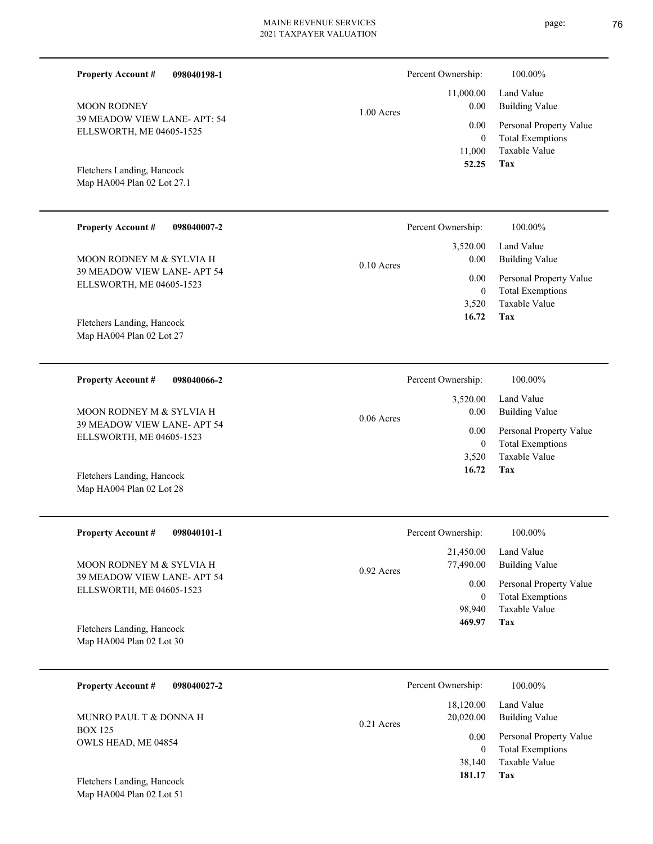| <b>Property Account #</b><br>098040198-1                 |              | Percent Ownership:     | 100.00%                                            |
|----------------------------------------------------------|--------------|------------------------|----------------------------------------------------|
| <b>MOON RODNEY</b>                                       | $1.00$ Acres | 11,000.00<br>0.00      | Land Value<br><b>Building Value</b>                |
| 39 MEADOW VIEW LANE- APT: 54<br>ELLSWORTH, ME 04605-1525 |              | 0.00<br>$\mathbf{0}$   | Personal Property Value<br><b>Total Exemptions</b> |
| Fletchers Landing, Hancock<br>Map HA004 Plan 02 Lot 27.1 |              | 11,000<br>52.25        | Taxable Value<br><b>Tax</b>                        |
| <b>Property Account #</b><br>098040007-2                 |              | Percent Ownership:     | 100.00%                                            |
| MOON RODNEY M & SYLVIA H                                 | $0.10$ Acres | 3,520.00<br>0.00       | Land Value<br><b>Building Value</b>                |
| 39 MEADOW VIEW LANE- APT 54<br>ELLSWORTH, ME 04605-1523  |              | 0.00<br>$\mathbf{0}$   | Personal Property Value<br><b>Total Exemptions</b> |
|                                                          |              | 3,520<br>16.72         | Taxable Value<br>Tax                               |
| Fletchers Landing, Hancock<br>Map HA004 Plan 02 Lot 27   |              |                        |                                                    |
| <b>Property Account #</b><br>098040066-2                 |              | Percent Ownership:     | 100.00%                                            |
| MOON RODNEY M & SYLVIA H                                 | $0.06$ Acres | 3,520.00<br>0.00       | Land Value<br><b>Building Value</b>                |
| 39 MEADOW VIEW LANE- APT 54<br>ELLSWORTH, ME 04605-1523  |              | 0.00<br>$\mathbf{0}$   | Personal Property Value<br><b>Total Exemptions</b> |
|                                                          |              | 3,520<br>16.72         | Taxable Value<br>Tax                               |
| Fletchers Landing, Hancock<br>Map HA004 Plan 02 Lot 28   |              |                        |                                                    |
| <b>Property Account #</b><br>098040101-1                 |              | Percent Ownership:     | 100.00%                                            |
| MOON RODNEY M & SYLVIA H                                 | 0.92 Acres   | 21,450.00<br>77,490.00 | Land Value<br><b>Building Value</b>                |
| 39 MEADOW VIEW LANE- APT 54<br>ELLSWORTH, ME 04605-1523  |              | 0.00<br>$\mathbf{0}$   | Personal Property Value<br><b>Total Exemptions</b> |
|                                                          |              | 98,940<br>469.97       | Taxable Value<br>Tax                               |
| Fletchers Landing, Hancock<br>Map HA004 Plan 02 Lot 30   |              |                        |                                                    |
| <b>Property Account #</b><br>098040027-2                 |              | Percent Ownership:     | 100.00%                                            |
| MUNRO PAUL T & DONNA H                                   | 0.21 Acres   | 18,120.00<br>20,020.00 | Land Value<br><b>Building Value</b>                |
| <b>BOX 125</b><br>OWLS HEAD, ME 04854                    |              | 0.00<br>$\mathbf{0}$   | Personal Property Value<br><b>Total Exemptions</b> |

**Tax 181.17**

38,140

Taxable Value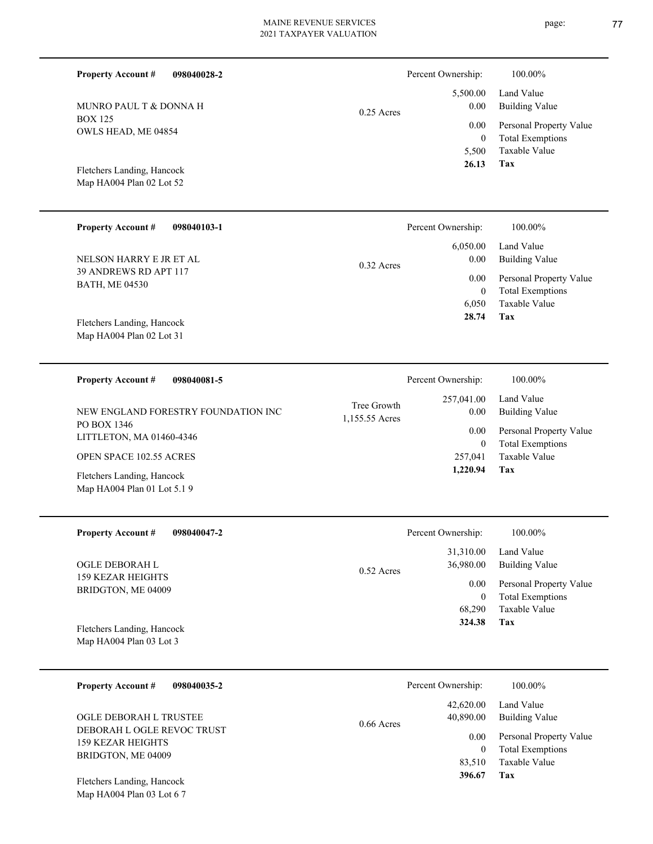| <b>Property Account #</b>                                 | 098040028-2                             |                               | Percent Ownership:                     | 100.00%                                                                           |
|-----------------------------------------------------------|-----------------------------------------|-------------------------------|----------------------------------------|-----------------------------------------------------------------------------------|
| MUNRO PAUL T & DONNA H                                    |                                         | $0.25$ Acres                  | 5,500.00<br>0.00                       | Land Value<br><b>Building Value</b>                                               |
| <b>BOX 125</b><br>OWLS HEAD, ME 04854                     |                                         |                               | 0.00<br>$\mathbf{0}$<br>5,500<br>26.13 | Personal Property Value<br><b>Total Exemptions</b><br>Taxable Value<br><b>Tax</b> |
| Fletchers Landing, Hancock<br>Map HA004 Plan 02 Lot 52    |                                         |                               |                                        |                                                                                   |
| <b>Property Account #</b>                                 | 098040103-1                             |                               | Percent Ownership:                     | 100.00%                                                                           |
|                                                           | NELSON HARRY E JR ET AL<br>$0.32$ Acres | 6,050.00<br>0.00              | Land Value<br><b>Building Value</b>    |                                                                                   |
| 39 ANDREWS RD APT 117<br><b>BATH, ME 04530</b>            |                                         |                               | 0.00<br>$\boldsymbol{0}$<br>6,050      | Personal Property Value<br><b>Total Exemptions</b><br>Taxable Value               |
| Fletchers Landing, Hancock<br>Map HA004 Plan 02 Lot 31    |                                         |                               | 28.74                                  | Tax                                                                               |
| <b>Property Account #</b>                                 | 098040081-5                             |                               | Percent Ownership:                     | 100.00%                                                                           |
|                                                           | NEW ENGLAND FORESTRY FOUNDATION INC     | Tree Growth<br>1,155.55 Acres | 257,041.00<br>0.00                     | Land Value<br><b>Building Value</b>                                               |
| PO BOX 1346<br>LITTLETON, MA 01460-4346                   |                                         |                               | 0.00<br>$\mathbf{0}$                   | Personal Property Value<br><b>Total Exemptions</b>                                |
| OPEN SPACE 102.55 ACRES                                   |                                         |                               | 257,041                                | <b>Taxable Value</b>                                                              |
| Fletchers Landing, Hancock<br>Map HA004 Plan 01 Lot 5.1 9 |                                         |                               | 1,220.94                               | Tax                                                                               |
| <b>Property Account #</b>                                 | 098040047-2                             |                               | Percent Ownership:                     | 100.00%                                                                           |
| OGLE DEBORAH L<br><b>ILDO LD ILDIOIDO</b>                 |                                         | 0.52 Acres                    | 31,310.00<br>36,980.00                 | Land Value<br><b>Building Value</b>                                               |

159 KEZAR HEIGHTS BRIDGTON, ME 04009 O<sub>C</sub>

Map HA004 Plan 03 Lot 3 Fletchers Landing, Hancock

| 098040035-2<br><b>Property Account #</b>                                                        | Percent Ownership:                     | 100.00%                                                             |
|-------------------------------------------------------------------------------------------------|----------------------------------------|---------------------------------------------------------------------|
| OGLE DEBORAH L TRUSTEE<br>DEBORAH L OGLE REVOC TRUST<br>159 KEZAR HEIGHTS<br>BRIDGTON, ME 04009 | 42,620.00<br>40,890.00<br>$0.66$ Acres | Land Value<br>Building Value                                        |
|                                                                                                 | 0.00<br>83,510                         | Personal Property Value<br><b>Total Exemptions</b><br>Taxable Value |
| Fletchers Landing, Hancock<br>Map HA004 Plan 03 Lot 6 7                                         | 396.67                                 | Tax                                                                 |

page: 77

**Tax**

 68,290 0

0.00

 **324.38**

Taxable Value Total Exemptions Personal Property Value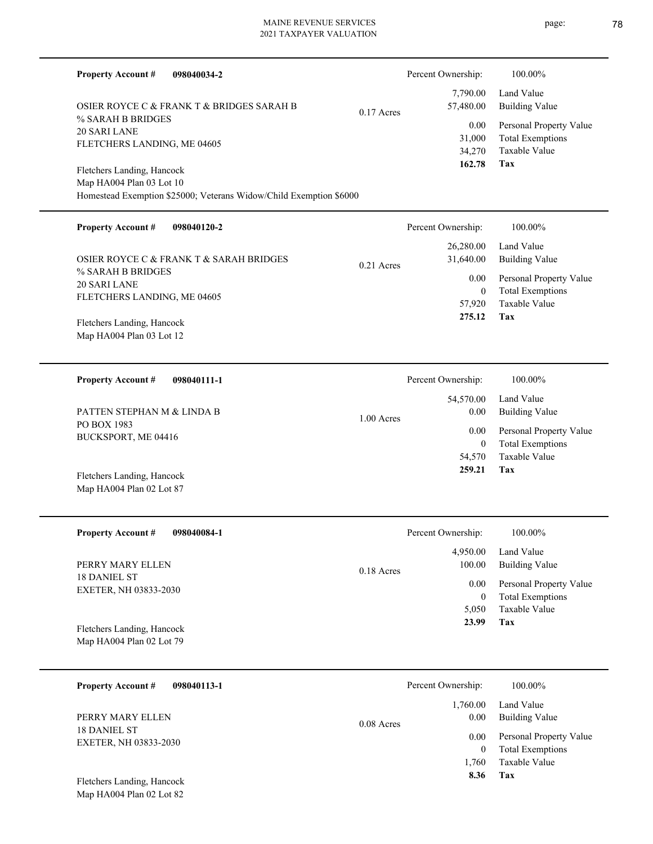| <b>Property Account #</b><br>098040034-2                           |              | Percent Ownership:    | 100.00%                                            |
|--------------------------------------------------------------------|--------------|-----------------------|----------------------------------------------------|
| OSIER ROYCE C & FRANK T & BRIDGES SARAH B                          | $0.17$ Acres | 7,790.00<br>57,480.00 | Land Value<br><b>Building Value</b>                |
| % SARAH B BRIDGES<br><b>20 SARI LANE</b>                           |              | 0.00                  | Personal Property Value                            |
| FLETCHERS LANDING, ME 04605                                        |              | 31,000                | <b>Total Exemptions</b>                            |
|                                                                    |              | 34,270<br>162.78      | <b>Taxable Value</b><br>Tax                        |
| Fletchers Landing, Hancock                                         |              |                       |                                                    |
| Map HA004 Plan 03 Lot 10                                           |              |                       |                                                    |
| Homestead Exemption \$25000; Veterans Widow/Child Exemption \$6000 |              |                       |                                                    |
| <b>Property Account #</b><br>098040120-2                           |              | Percent Ownership:    | 100.00%                                            |
|                                                                    |              | 26,280.00             | Land Value                                         |
| OSIER ROYCE C & FRANK T & SARAH BRIDGES                            | $0.21$ Acres | 31,640.00             | <b>Building Value</b>                              |
| % SARAH B BRIDGES                                                  |              | 0.00                  | Personal Property Value                            |
| 20 SARI LANE                                                       |              | $\overline{0}$        | <b>Total Exemptions</b>                            |
| FLETCHERS LANDING, ME 04605                                        |              | 57,920                | Taxable Value                                      |
| Fletchers Landing, Hancock                                         |              | 275.12                | Tax                                                |
| Map HA004 Plan 03 Lot 12                                           |              |                       |                                                    |
|                                                                    |              |                       |                                                    |
| <b>Property Account #</b><br>098040111-1                           |              | Percent Ownership:    | 100.00%                                            |
|                                                                    |              | 54,570.00             | Land Value                                         |
| PATTEN STEPHAN M & LINDA B                                         |              | 0.00                  | <b>Building Value</b>                              |
| PO BOX 1983                                                        | $1.00$ Acres | 0.00                  |                                                    |
| BUCKSPORT, ME 04416                                                |              | $\overline{0}$        | Personal Property Value<br><b>Total Exemptions</b> |
|                                                                    |              | 54,570                | <b>Taxable Value</b>                               |
|                                                                    |              | 259.21                | Tax                                                |
| Fletchers Landing, Hancock<br>Map HA004 Plan 02 Lot 87             |              |                       |                                                    |
|                                                                    |              |                       |                                                    |
| <b>Property Account #</b><br>098040084-1                           |              | Percent Ownership:    | 100.00%                                            |
|                                                                    |              | 4,950.00              | Land Value                                         |
| PERRY MARY ELLEN                                                   |              | 100.00                | <b>Building Value</b>                              |
| <b>18 DANIEL ST</b>                                                | $0.18$ Acres | 0.00                  |                                                    |
| EXETER, NH 03833-2030                                              |              | $\mathbf{0}$          | Personal Property Value<br><b>Total Exemptions</b> |
|                                                                    |              | 5,050                 | Taxable Value                                      |
|                                                                    |              | 23.99                 | Tax                                                |
| Fletchers Landing, Hancock<br>Map HA004 Plan 02 Lot 79             |              |                       |                                                    |
|                                                                    |              |                       |                                                    |
| <b>Property Account #</b><br>098040113-1                           |              | Percent Ownership:    | 100.00%                                            |
|                                                                    |              |                       |                                                    |
| PERRY MARY ELLEN                                                   |              | 1,760.00<br>0.00      | Land Value<br><b>Building Value</b>                |
| <b>18 DANIEL ST</b>                                                | 0.08 Acres   |                       |                                                    |
| EXETER, NH 03833-2030                                              |              | 0.00                  | Personal Property Value                            |
|                                                                    |              | $\overline{0}$        | <b>Total Exemptions</b><br>Taxable Value           |
|                                                                    |              | 1,760                 | Tax                                                |
| Fletchers Landing, Hancock                                         |              | 8.36                  |                                                    |

Map HA004 Plan 02 Lot 82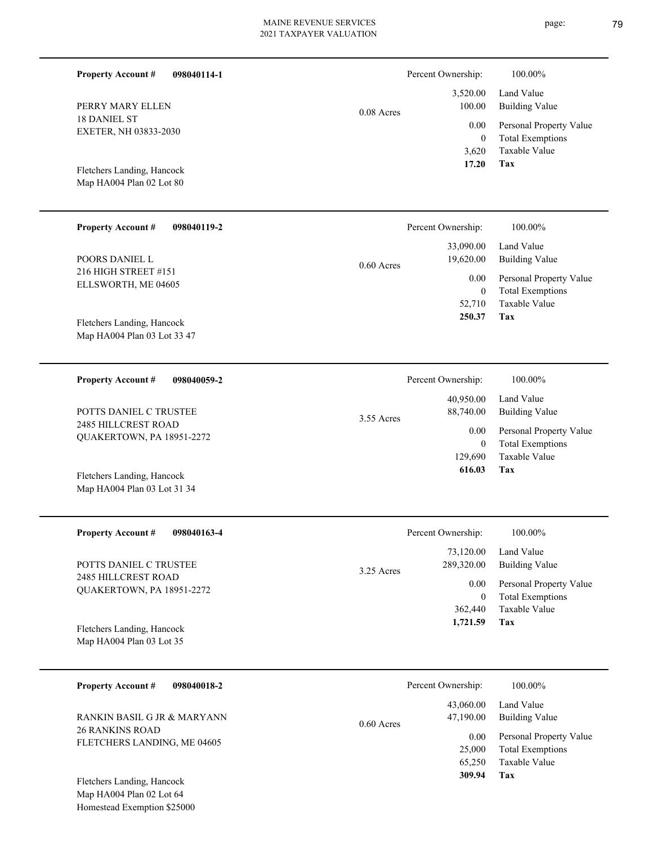| <b>Property Account #</b><br>098040114-1                  |              | Percent Ownership: | 100.00%                             |
|-----------------------------------------------------------|--------------|--------------------|-------------------------------------|
| PERRY MARY ELLEN                                          | $0.08$ Acres | 3,520.00<br>100.00 | Land Value<br><b>Building Value</b> |
| <b>18 DANIEL ST</b>                                       |              | 0.00               | Personal Property Value             |
| EXETER, NH 03833-2030                                     |              | $\boldsymbol{0}$   | <b>Total Exemptions</b>             |
|                                                           |              | 3,620              | Taxable Value                       |
| Fletchers Landing, Hancock                                |              | 17.20              | Tax                                 |
| Map HA004 Plan 02 Lot 80                                  |              |                    |                                     |
|                                                           |              |                    |                                     |
| <b>Property Account #</b><br>098040119-2                  |              | Percent Ownership: | 100.00%                             |
|                                                           |              | 33,090.00          | Land Value                          |
| POORS DANIEL L                                            |              | 19,620.00          | <b>Building Value</b>               |
| 216 HIGH STREET #151                                      | $0.60$ Acres | 0.00               | Personal Property Value             |
| ELLSWORTH, ME 04605                                       |              | $\mathbf{0}$       | <b>Total Exemptions</b>             |
|                                                           |              | 52,710             | Taxable Value                       |
|                                                           |              | 250.37             | Tax                                 |
| Fletchers Landing, Hancock<br>Map HA004 Plan 03 Lot 33 47 |              |                    |                                     |
|                                                           |              |                    |                                     |
|                                                           |              |                    |                                     |
| <b>Property Account #</b><br>098040059-2                  |              | Percent Ownership: | 100.00%                             |
|                                                           |              | 40,950.00          | Land Value                          |
| POTTS DANIEL C TRUSTEE                                    | 3.55 Acres   | 88,740.00          | <b>Building Value</b>               |
| 2485 HILLCREST ROAD<br>QUAKERTOWN, PA 18951-2272          |              | 0.00               | Personal Property Value             |
|                                                           |              | $\mathbf{0}$       | <b>Total Exemptions</b>             |
|                                                           |              | 129,690            | <b>Taxable Value</b>                |
| Fletchers Landing, Hancock                                |              | 616.03             | Tax                                 |
| Map HA004 Plan 03 Lot 31 34                               |              |                    |                                     |
|                                                           |              |                    |                                     |
| <b>Property Account #</b><br>098040163-4                  |              | Percent Ownership: | $100.00\%$                          |
|                                                           |              | 73,120.00          | Land Value                          |
| POTTS DANIEL C TRUSTEE                                    |              | 289,320.00         | <b>Building Value</b>               |
| 2485 HILLCREST ROAD                                       | 3.25 Acres   | 0.00               | Personal Property Value             |
| QUAKERTOWN, PA 18951-2272                                 |              | $\bf{0}$           | <b>Total Exemptions</b>             |
|                                                           |              | 362,440            | Taxable Value                       |
| Fletchers Landing, Hancock                                |              | 1,721.59           | <b>Tax</b>                          |
| Map HA004 Plan 03 Lot 35                                  |              |                    |                                     |
|                                                           |              |                    |                                     |
| <b>Property Account #</b><br>098040018-2                  |              | Percent Ownership: | 100.00%                             |
|                                                           |              |                    |                                     |
|                                                           |              | 43,060.00          | Land Value                          |

26 RANKINS ROAD FLETCHERS LANDING, ME 04605 RANKIN BASIL G JR & MARYANN

Map HA004 Plan 02 Lot 64 Homestead Exemption \$25000 Fletchers Landing, Hancock

**Tax**

 65,250 25,000

0.00

47,190.00

0.60 Acres

 **309.94**

Taxable Value Total Exemptions Personal Property Value

Building Value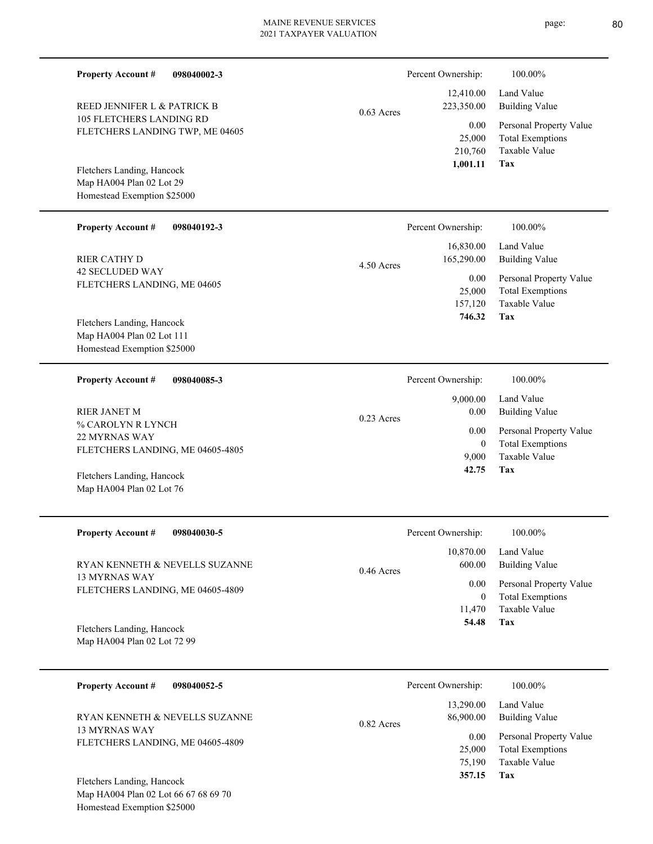| <b>Property Account #</b><br>098040002-3                                              |              | Percent Ownership:                    | 100.00%                                                                           |
|---------------------------------------------------------------------------------------|--------------|---------------------------------------|-----------------------------------------------------------------------------------|
| REED JENNIFER L & PATRICK B                                                           |              | 12,410.00<br>223,350.00               | Land Value<br><b>Building Value</b>                                               |
| <b>105 FLETCHERS LANDING RD</b><br>FLETCHERS LANDING TWP, ME 04605                    | $0.63$ Acres | 0.00<br>25,000<br>210,760<br>1,001.11 | Personal Property Value<br><b>Total Exemptions</b><br><b>Taxable Value</b><br>Tax |
| Fletchers Landing, Hancock<br>Map HA004 Plan 02 Lot 29<br>Homestead Exemption \$25000 |              |                                       |                                                                                   |
| <b>Property Account #</b><br>098040192-3                                              |              | Percent Ownership:                    | 100.00%                                                                           |
| <b>RIER CATHY D</b>                                                                   | 4.50 Acres   | 16,830.00<br>165,290.00               | Land Value<br><b>Building Value</b>                                               |
| <b>42 SECLUDED WAY</b><br>FLETCHERS LANDING, ME 04605                                 |              | 0.00<br>25,000<br>157,120             | Personal Property Value<br><b>Total Exemptions</b><br><b>Taxable Value</b>        |
| Fletchers Landing, Hancock                                                            |              | 746.32                                | Tax                                                                               |
| Map HA004 Plan 02 Lot 111<br>Homestead Exemption \$25000                              |              |                                       |                                                                                   |
| <b>Property Account #</b><br>098040085-3                                              |              | Percent Ownership:                    | 100.00%                                                                           |
| <b>RIER JANET M</b>                                                                   | $0.23$ Acres | 9,000.00<br>0.00                      | Land Value<br><b>Building Value</b>                                               |
| % CAROLYN R LYNCH<br>22 MYRNAS WAY                                                    |              | 0.00                                  | Personal Property Value                                                           |
| FLETCHERS LANDING, ME 04605-4805                                                      |              | $\mathbf{0}$<br>9,000<br>42.75        | <b>Total Exemptions</b><br><b>Taxable Value</b><br>Tax                            |
| Fletchers Landing, Hancock<br>Map HA004 Plan 02 Lot 76                                |              |                                       |                                                                                   |
|                                                                                       |              |                                       |                                                                                   |
| <b>Property Account #</b><br>098040030-5                                              |              | Percent Ownership:                    | 100.00%                                                                           |
| RYAN KENNETH & NEVELLS SUZANNE                                                        | $0.46$ Acres | 10,870.00<br>600.00                   | Land Value<br><b>Building Value</b>                                               |
| <b>13 MYRNAS WAY</b><br>FLETCHERS LANDING, ME 04605-4809                              |              | 0.00                                  | Personal Property Value                                                           |
|                                                                                       |              | $\boldsymbol{0}$<br>11,470            | <b>Total Exemptions</b><br>Taxable Value                                          |
| Fletchers Landing, Hancock<br>Map HA004 Plan 02 Lot 72 99                             |              | 54.48                                 | Tax                                                                               |
| <b>Property Account #</b><br>098040052-5                                              |              | Percent Ownership:                    | 100.00%                                                                           |
| RYAN KENNETH & NEVELLS SUZANNE                                                        | 0.82 Acres   | 13,290.00<br>86,900.00                | Land Value<br><b>Building Value</b>                                               |
| 13 MYRNAS WAY                                                                         |              |                                       |                                                                                   |

**Tax 357.15**

 75,190 25,000

Taxable Value Total Exemptions 0.00 Personal Property Value

Map HA004 Plan 02 Lot 66 67 68 69 70 Homestead Exemption \$25000 Fletchers Landing, Hancock

FLETCHERS LANDING, ME 04605-4809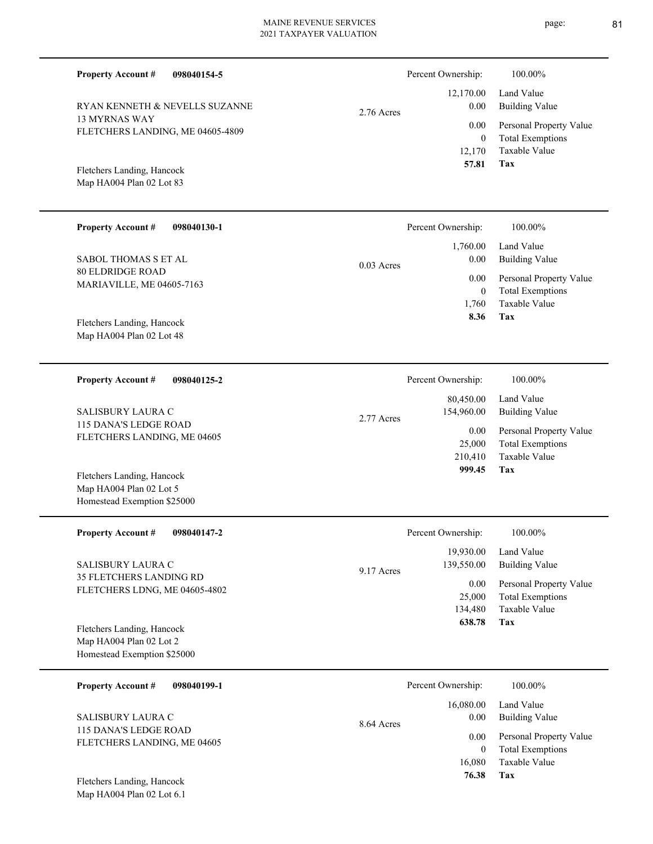| <b>Property Account #</b><br>098040154-5                                                   |              | Percent Ownership:                  | 100.00%                                                                    |
|--------------------------------------------------------------------------------------------|--------------|-------------------------------------|----------------------------------------------------------------------------|
| RYAN KENNETH & NEVELLS SUZANNE<br><b>13 MYRNAS WAY</b><br>FLETCHERS LANDING, ME 04605-4809 | 2.76 Acres   | 12,170.00<br>0.00<br>0.00           | Land Value<br><b>Building Value</b><br>Personal Property Value             |
| Fletchers Landing, Hancock<br>Map HA004 Plan 02 Lot 83                                     |              | $\boldsymbol{0}$<br>12,170<br>57.81 | <b>Total Exemptions</b><br>Taxable Value<br>Tax                            |
| <b>Property Account #</b><br>098040130-1                                                   |              | Percent Ownership:                  | 100.00%                                                                    |
| SABOL THOMAS S ET AL                                                                       | $0.03$ Acres | 1,760.00<br>0.00                    | Land Value<br><b>Building Value</b>                                        |
| <b>80 ELDRIDGE ROAD</b><br>MARIAVILLE, ME 04605-7163                                       |              | 0.00<br>$\theta$<br>1,760           | Personal Property Value<br><b>Total Exemptions</b><br><b>Taxable Value</b> |
| Fletchers Landing, Hancock<br>Map HA004 Plan 02 Lot 48                                     |              | 8.36                                | <b>Tax</b>                                                                 |
| <b>Property Account #</b><br>098040125-2                                                   |              | Percent Ownership:                  | 100.00%                                                                    |
| SALISBURY LAURA C                                                                          | 2.77 Acres   | 80,450.00<br>154,960.00             | Land Value<br><b>Building Value</b>                                        |
| 115 DANA'S LEDGE ROAD<br>FLETCHERS LANDING, ME 04605                                       |              | 0.00<br>25,000<br>210,410<br>999.45 | Personal Property Value<br><b>Total Exemptions</b><br>Taxable Value<br>Tax |
| Fletchers Landing, Hancock<br>Map HA004 Plan 02 Lot 5<br>Homestead Exemption \$25000       |              |                                     |                                                                            |
| <b>Property Account #</b><br>098040147-2                                                   |              | Percent Ownership:                  | 100.00%                                                                    |
| SALISBURY LAURA C                                                                          | 9.17 Acres   | 19,930.00<br>139,550.00             | Land Value<br><b>Building Value</b>                                        |
| 35 FLETCHERS LANDING RD<br>FLETCHERS LDNG, ME 04605-4802                                   |              | 0.00<br>25,000<br>134,480<br>638.78 | Personal Property Value<br><b>Total Exemptions</b><br>Taxable Value<br>Tax |
| Fletchers Landing, Hancock<br>Map HA004 Plan 02 Lot 2<br>Homestead Exemption \$25000       |              |                                     |                                                                            |
| 098040199-1<br><b>Property Account #</b>                                                   |              | Percent Ownership:                  | 100.00%                                                                    |
| SALISBURY LAURA C                                                                          | 8.64 Acres   | 16,080.00<br>0.00                   | Land Value<br><b>Building Value</b>                                        |
| 115 DANA'S LEDGE ROAD<br>FLETCHERS LANDING, ME 04605                                       |              | 0.00<br>$\theta$<br>16,080          | Personal Property Value<br><b>Total Exemptions</b><br>Taxable Value        |

**Tax 76.38**

Map HA004 Plan 02 Lot 6.1 Fletchers Landing, Hancock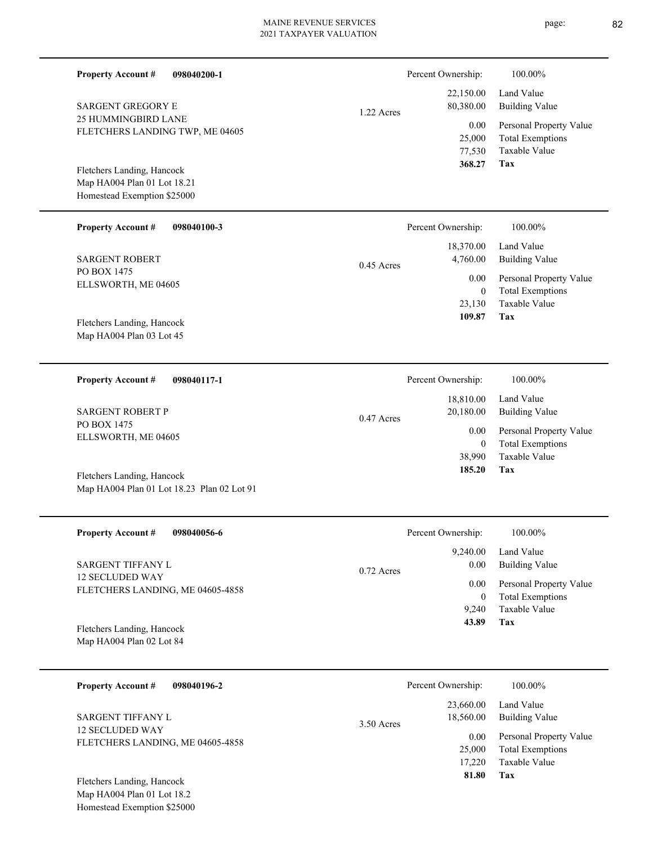| <b>Property Account #</b><br>098040200-1   |              | Percent Ownership:     | 100.00%                                            |
|--------------------------------------------|--------------|------------------------|----------------------------------------------------|
| <b>SARGENT GREGORY E</b>                   |              | 22,150.00<br>80,380.00 | Land Value<br><b>Building Value</b>                |
| 25 HUMMINGBIRD LANE                        | 1.22 Acres   |                        |                                                    |
| FLETCHERS LANDING TWP, ME 04605            |              | 0.00<br>25,000         | Personal Property Value<br><b>Total Exemptions</b> |
|                                            |              | 77,530                 | Taxable Value                                      |
| Fletchers Landing, Hancock                 |              | 368.27                 | Tax                                                |
| Map HA004 Plan 01 Lot 18.21                |              |                        |                                                    |
| Homestead Exemption \$25000                |              |                        |                                                    |
| <b>Property Account #</b><br>098040100-3   |              | Percent Ownership:     | 100.00%                                            |
|                                            |              |                        |                                                    |
| <b>SARGENT ROBERT</b>                      |              | 18,370.00<br>4,760.00  | Land Value<br><b>Building Value</b>                |
| PO BOX 1475                                | $0.45$ Acres |                        |                                                    |
| ELLSWORTH, ME 04605                        |              | 0.00<br>$\mathbf{0}$   | Personal Property Value<br><b>Total Exemptions</b> |
|                                            |              | 23,130                 | <b>Taxable Value</b>                               |
| Fletchers Landing, Hancock                 |              | 109.87                 | Tax                                                |
| Map HA004 Plan 03 Lot 45                   |              |                        |                                                    |
|                                            |              |                        |                                                    |
| <b>Property Account #</b><br>098040117-1   |              | Percent Ownership:     | 100.00%                                            |
|                                            |              | 18,810.00              | Land Value                                         |
| <b>SARGENT ROBERT P</b>                    |              | 20,180.00              | <b>Building Value</b>                              |
| PO BOX 1475                                | $0.47$ Acres | 0.00                   | Personal Property Value                            |
| ELLSWORTH, ME 04605                        |              | $\mathbf{0}$           | <b>Total Exemptions</b>                            |
|                                            |              | 38,990                 | <b>Taxable Value</b>                               |
| Fletchers Landing, Hancock                 |              | 185.20                 | Tax                                                |
| Map HA004 Plan 01 Lot 18.23 Plan 02 Lot 91 |              |                        |                                                    |
|                                            |              |                        |                                                    |
| <b>Property Account #</b><br>098040056-6   |              | Percent Ownership:     | 100.00%                                            |
|                                            |              | 9,240.00               | Land Value                                         |
| SARGENT TIFFANY L                          | $0.72$ Acres | 0.00                   | <b>Building Value</b>                              |
| <b>12 SECLUDED WAY</b>                     |              | 0.00                   | Personal Property Value                            |
| FLETCHERS LANDING, ME 04605-4858           |              | $\boldsymbol{0}$       | <b>Total Exemptions</b>                            |
|                                            |              | 9,240                  | Taxable Value                                      |
| Fletchers Landing, Hancock                 |              | 43.89                  | <b>Tax</b>                                         |
| Map HA004 Plan 02 Lot 84                   |              |                        |                                                    |
|                                            |              |                        |                                                    |
| <b>Property Account #</b><br>098040196-2   |              | Percent Ownership:     | 100.00%                                            |
|                                            |              | 23,660.00              | Land Value                                         |
|                                            |              |                        |                                                    |

12 SECLUDED WAY FLETCHERS LANDING, ME 04605-4858

Map HA004 Plan 01 Lot 18.2 Homestead Exemption \$25000 Fletchers Landing, Hancock

**Tax**

 17,220 25,000

0.00

 **81.80**

Taxable Value Total Exemptions Personal Property Value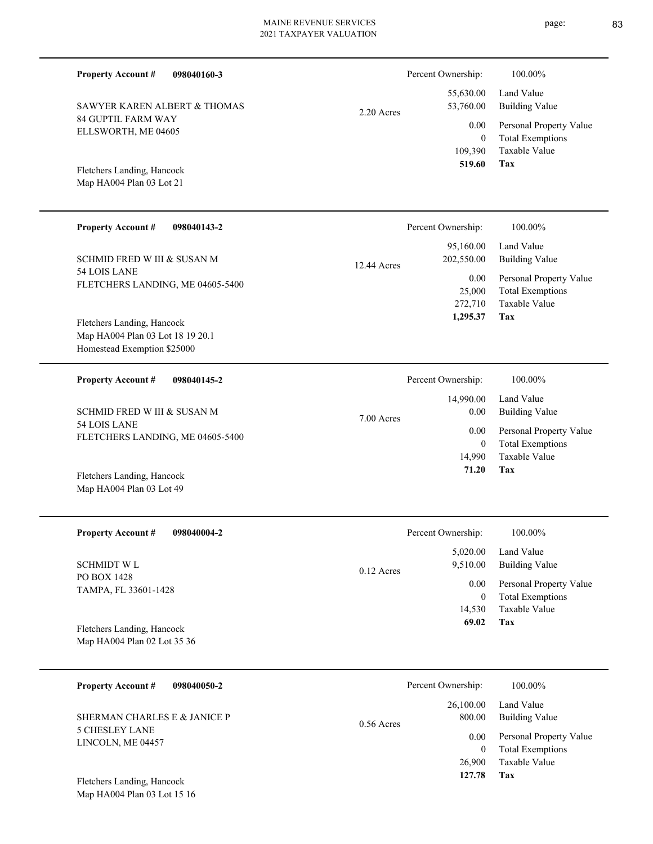| <b>Property Account #</b><br>098040160-3                                                                   |              | Percent Ownership:                        | 100.00%                                                                           |
|------------------------------------------------------------------------------------------------------------|--------------|-------------------------------------------|-----------------------------------------------------------------------------------|
| SAWYER KAREN ALBERT & THOMAS                                                                               | 2.20 Acres   | 55,630.00<br>53,760.00                    | Land Value<br><b>Building Value</b>                                               |
| <b>84 GUPTIL FARM WAY</b><br>ELLSWORTH, ME 04605<br>Fletchers Landing, Hancock<br>Map HA004 Plan 03 Lot 21 |              | 0.00<br>$\mathbf{0}$<br>109,390<br>519.60 | Personal Property Value<br><b>Total Exemptions</b><br><b>Taxable Value</b><br>Tax |
|                                                                                                            |              |                                           |                                                                                   |
| <b>Property Account #</b><br>098040143-2                                                                   |              | Percent Ownership:                        | 100.00%                                                                           |
| SCHMID FRED W III & SUSAN M                                                                                | 12.44 Acres  | 95,160.00<br>202,550.00                   | Land Value<br><b>Building Value</b>                                               |
| 54 LOIS LANE<br>FLETCHERS LANDING, ME 04605-5400                                                           |              | 0.00<br>25,000<br>272,710<br>1,295.37     | Personal Property Value<br><b>Total Exemptions</b><br>Taxable Value<br>Tax        |
| Fletchers Landing, Hancock<br>Map HA004 Plan 03 Lot 18 19 20.1<br>Homestead Exemption \$25000              |              |                                           |                                                                                   |
| <b>Property Account #</b><br>098040145-2                                                                   |              | Percent Ownership:                        | 100.00%                                                                           |
| SCHMID FRED W III & SUSAN M                                                                                | 7.00 Acres   | 14,990.00<br>0.00                         | Land Value<br><b>Building Value</b>                                               |
| 54 LOIS LANE<br>FLETCHERS LANDING, ME 04605-5400                                                           |              | 0.00<br>$\mathbf{0}$<br>14,990<br>71.20   | Personal Property Value<br><b>Total Exemptions</b><br><b>Taxable Value</b><br>Tax |
| Fletchers Landing, Hancock<br>Map HA004 Plan 03 Lot 49                                                     |              |                                           |                                                                                   |
| <b>Property Account #</b><br>098040004-2                                                                   |              | Percent Ownership:                        | 100.00%                                                                           |
| <b>SCHMIDT WL</b>                                                                                          | $0.12$ Acres | 5,020.00<br>9,510.00                      | Land Value<br><b>Building Value</b>                                               |
| PO BOX 1428<br>TAMPA, FL 33601-1428                                                                        |              | 0.00<br>$\mathbf{0}$<br>14,530<br>69.02   | Personal Property Value<br><b>Total Exemptions</b><br>Taxable Value<br>Tax        |
| Fletchers Landing, Hancock<br>Map HA004 Plan 02 Lot 35 36                                                  |              |                                           |                                                                                   |
| <b>Property Account #</b><br>098040050-2                                                                   |              | Percent Ownership:                        | 100.00%                                                                           |
| SHERMAN CHARLES E & JANICE P                                                                               | $0.56$ Acres | 26,100.00<br>800.00                       | Land Value<br><b>Building Value</b>                                               |
| <b>5 CHESLEY LANE</b><br>LINCOLN, ME 04457                                                                 |              | 0.00<br>$\overline{0}$<br>26,900          | Personal Property Value<br><b>Total Exemptions</b><br>Taxable Value               |

**Tax 127.78**

Map HA004 Plan 03 Lot 15 16 Fletchers Landing, Hancock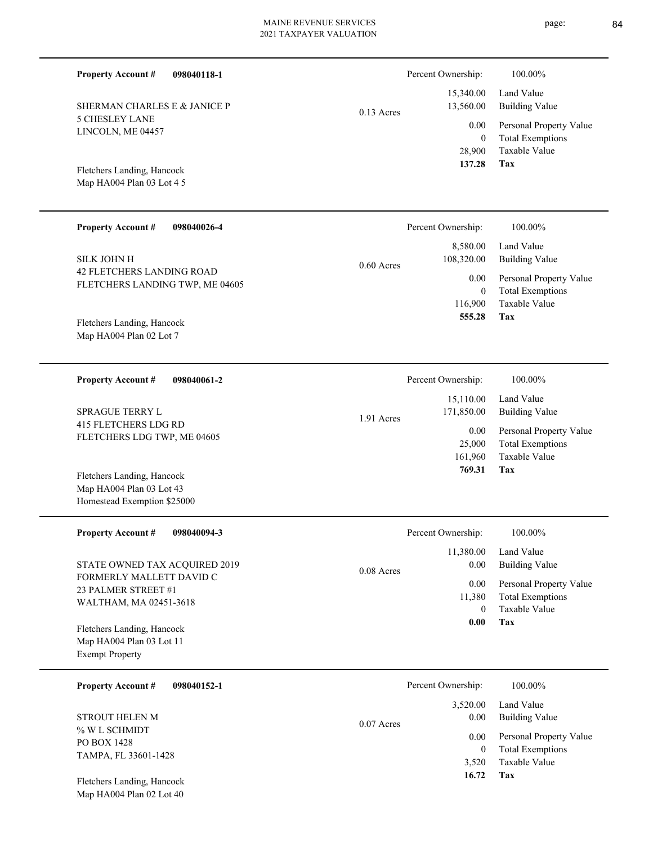| 098040118-1<br><b>Property Account #</b>                                              |              | Percent Ownership:                  | 100.00%                                                                    |
|---------------------------------------------------------------------------------------|--------------|-------------------------------------|----------------------------------------------------------------------------|
| SHERMAN CHARLES E & JANICE P                                                          | $0.13$ Acres | 15,340.00<br>13,560.00              | Land Value<br><b>Building Value</b>                                        |
| <b>5 CHESLEY LANE</b><br>LINCOLN, ME 04457                                            |              | 0.00<br>$\mathbf{0}$                | Personal Property Value<br><b>Total Exemptions</b>                         |
| Fletchers Landing, Hancock<br>Map HA004 Plan 03 Lot 4 5                               |              | 28,900<br>137.28                    | Taxable Value<br>Tax                                                       |
| <b>Property Account #</b><br>098040026-4                                              |              | Percent Ownership:                  | 100.00%                                                                    |
| <b>SILK JOHN H</b>                                                                    | $0.60$ Acres | 8,580.00<br>108,320.00              | Land Value<br><b>Building Value</b>                                        |
| 42 FLETCHERS LANDING ROAD<br>FLETCHERS LANDING TWP, ME 04605                          |              | 0.00<br>$\mathbf{0}$                | Personal Property Value<br><b>Total Exemptions</b>                         |
| Fletchers Landing, Hancock<br>Map HA004 Plan 02 Lot 7                                 |              | 116,900<br>555.28                   | <b>Taxable Value</b><br>Tax                                                |
| <b>Property Account #</b><br>098040061-2                                              |              | Percent Ownership:                  | 100.00%                                                                    |
| <b>SPRAGUE TERRY L</b>                                                                | 1.91 Acres   | 15,110.00<br>171,850.00             | Land Value<br><b>Building Value</b>                                        |
| <b>415 FLETCHERS LDG RD</b><br>FLETCHERS LDG TWP, ME 04605                            |              | 0.00<br>25,000<br>161,960<br>769.31 | Personal Property Value<br><b>Total Exemptions</b><br>Taxable Value<br>Tax |
| Fletchers Landing, Hancock<br>Map HA004 Plan 03 Lot 43<br>Homestead Exemption \$25000 |              |                                     |                                                                            |
| <b>Property Account #</b><br>098040094-3                                              |              | Percent Ownership:                  | 100.00%                                                                    |
| STATE OWNED TAX ACQUIRED 2019                                                         | $0.08$ Acres | 11,380.00<br>0.00                   | Land Value<br><b>Building Value</b>                                        |
| FORMERLY MALLETT DAVID C<br>23 PALMER STREET #1<br>WALTHAM, MA 02451-3618             |              | 0.00<br>11,380<br>$\mathbf{0}$      | Personal Property Value<br><b>Total Exemptions</b><br>Taxable Value        |
| Fletchers Landing, Hancock<br>Map HA004 Plan 03 Lot 11<br><b>Exempt Property</b>      |              | 0.00                                | Tax                                                                        |
| <b>Property Account #</b><br>098040152-1                                              |              | Percent Ownership:                  | 100.00%                                                                    |
| <b>STROUT HELEN M</b>                                                                 | $0.07$ Acres | 3,520.00<br>0.00                    | Land Value<br><b>Building Value</b>                                        |
| % W L SCHMIDT<br>PO BOX 1428<br>TAMPA, FL 33601-1428                                  |              | 0.00<br>$\mathbf{0}$                | Personal Property Value<br><b>Total Exemptions</b><br>Taxable Value        |
| Fletchers Landing, Hancock                                                            |              | 3,520<br>16.72                      | Tax                                                                        |

Map HA004 Plan 02 Lot 40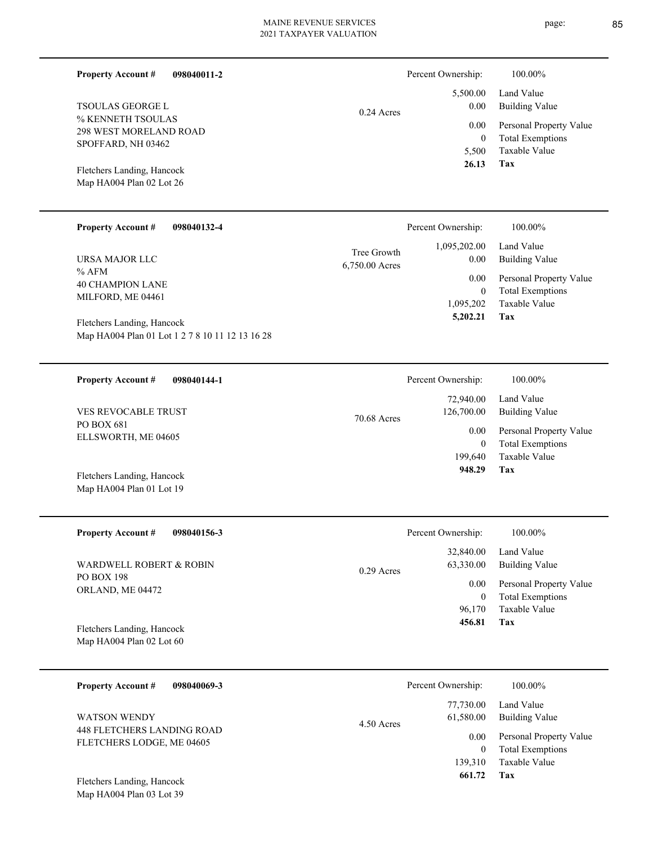|                                                                                                                                                               | 2021 TAXPAYEK VALUATION       |                                                                       |                                                                                                                          |
|---------------------------------------------------------------------------------------------------------------------------------------------------------------|-------------------------------|-----------------------------------------------------------------------|--------------------------------------------------------------------------------------------------------------------------|
| <b>Property Account #</b><br>098040011-2                                                                                                                      |                               | Percent Ownership:                                                    | 100.00%                                                                                                                  |
| <b>TSOULAS GEORGE L</b><br>% KENNETH TSOULAS<br><b>298 WEST MORELAND ROAD</b><br>SPOFFARD, NH 03462<br>Fletchers Landing, Hancock<br>Map HA004 Plan 02 Lot 26 | $0.24$ Acres                  | 5,500.00<br>0.00<br>0.00<br>$\Omega$<br>5,500<br>26.13                | Land Value<br><b>Building Value</b><br>Personal Property Value<br><b>Total Exemptions</b><br><b>Taxable Value</b><br>Tax |
| <b>Property Account #</b><br>098040132-4                                                                                                                      |                               | Percent Ownership:                                                    | 100.00%                                                                                                                  |
| URSA MAJOR LLC<br>$%$ AFM<br><b>40 CHAMPION LANE</b><br>MILFORD, ME 04461                                                                                     | Tree Growth<br>6,750.00 Acres | 1,095,202.00<br>0.00<br>0.00<br>$\mathbf{0}$<br>1,095,202<br>5,202.21 | Land Value<br><b>Building Value</b><br>Personal Property Value<br><b>Total Exemptions</b><br>Taxable Value<br>Tax        |
| Fletchers Landing, Hancock<br>Map HA004 Plan 01 Lot 1 2 7 8 10 11 12 13 16 28                                                                                 |                               |                                                                       |                                                                                                                          |

| 098040144-1<br><b>Property Account #</b> | Percent Ownership:        | 100.00%                 |
|------------------------------------------|---------------------------|-------------------------|
|                                          | 72,940.00                 | Land Value              |
| <b>VES REVOCABLE TRUST</b>               | 126,700.00<br>70.68 Acres | Building Value          |
| PO BOX 681<br>ELLSWORTH, ME 04605        | 0.00                      | Personal Property Value |
|                                          | $\left( 0 \right)$        | <b>Total Exemptions</b> |
|                                          | 199.640                   | Taxable Value           |
| Fletchers Landing, Hancock               | 948.29                    | Tax                     |
| Map HA004 Plan 01 Lot 19                 |                           |                         |

| <b>Property Account #</b><br>098040156-3 | Percent Ownership:                     | 100.00%                      |
|------------------------------------------|----------------------------------------|------------------------------|
| WARDWELL ROBERT & ROBIN                  | 32,840.00<br>63,330.00<br>$0.29$ Acres | Land Value<br>Building Value |
| <b>PO BOX 198</b><br>ORLAND, ME 04472    | 0.00                                   | Personal Property Value      |
|                                          | $\overline{0}$                         | <b>Total Exemptions</b>      |
|                                          | 96,170                                 | Taxable Value                |
| Fletchers Landing, Hancock               | 456.81                                 | Tax                          |
| Map HA004 Plan $02$ Lot $60$             |                                        |                              |

| 098040069-3<br><b>Property Account #</b>                 | Percent Ownership:                     | 100.00%                                            |
|----------------------------------------------------------|----------------------------------------|----------------------------------------------------|
| <b>WATSON WENDY</b><br><b>448 FLETCHERS LANDING ROAD</b> | 77,730.00<br>61,580.00<br>$4.50$ Acres | Land Value<br><b>Building Value</b>                |
| FLETCHERS LODGE, ME 04605                                | 0.00<br>$\mathbf{0}$                   | Personal Property Value<br><b>Total Exemptions</b> |
|                                                          | 139.310                                | Taxable Value                                      |
| Fletchers Landing, Hancock                               | 661.72                                 | Tax                                                |

Map HA004 Plan 03 Lot 39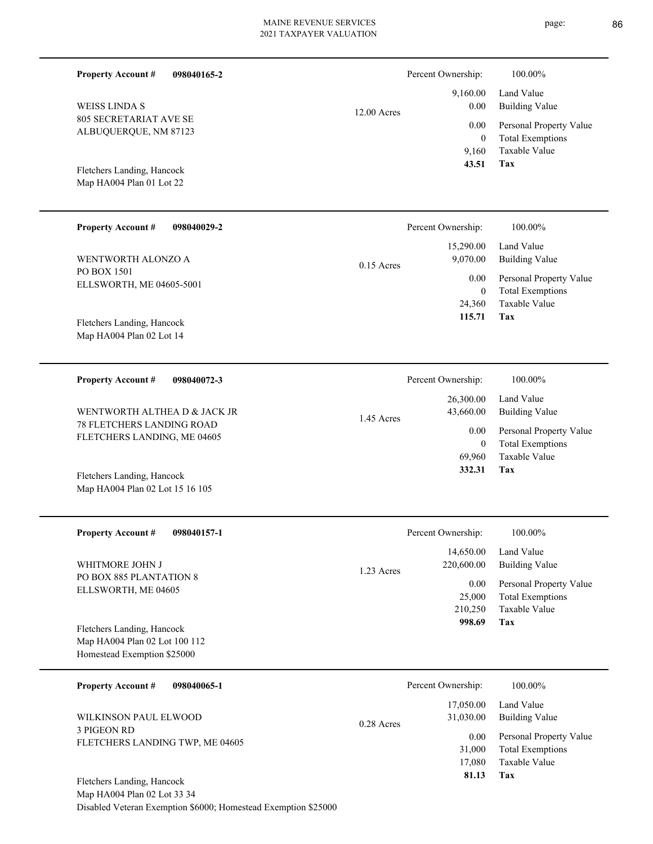| <b>Property Account #</b><br>098040165-2                     |               | Percent Ownership:      | 100.00%                                            |
|--------------------------------------------------------------|---------------|-------------------------|----------------------------------------------------|
| <b>WEISS LINDA S</b>                                         | $12.00$ Acres | 9,160.00<br>0.00        | Land Value<br><b>Building Value</b>                |
| <b>805 SECRETARIAT AVE SE</b><br>ALBUQUERQUE, NM 87123       |               | 0.00<br>$\overline{0}$  | Personal Property Value<br><b>Total Exemptions</b> |
| Fletchers Landing, Hancock<br>Map HA004 Plan 01 Lot 22       |               | 9,160<br>43.51          | Taxable Value<br>Tax                               |
| <b>Property Account #</b><br>098040029-2                     |               | Percent Ownership:      | 100.00%                                            |
| WENTWORTH ALONZO A                                           | $0.15$ Acres  | 15,290.00<br>9,070.00   | Land Value<br><b>Building Value</b>                |
| PO BOX 1501<br>ELLSWORTH, ME 04605-5001                      |               | 0.00<br>$\mathbf{0}$    | Personal Property Value<br><b>Total Exemptions</b> |
| Fletchers Landing, Hancock                                   |               | 24,360<br>115.71        | Taxable Value<br>Tax                               |
| Map HA004 Plan 02 Lot 14                                     |               |                         |                                                    |
| <b>Property Account #</b><br>098040072-3                     |               | Percent Ownership:      | 100.00%                                            |
| WENTWORTH ALTHEA D & JACK JR                                 |               | 26,300.00<br>43,660.00  | Land Value<br><b>Building Value</b>                |
| 78 FLETCHERS LANDING ROAD<br>FLETCHERS LANDING, ME 04605     | 1.45 Acres    | 0.00<br>$\overline{0}$  | Personal Property Value<br><b>Total Exemptions</b> |
| Fletchers Landing, Hancock                                   |               | 69,960<br>332.31        | <b>Taxable Value</b><br>Tax                        |
| Map HA004 Plan 02 Lot 15 16 105                              |               |                         |                                                    |
| <b>Property Account #</b><br>098040157-1                     |               | Percent Ownership:      | 100.00%                                            |
| WHITMORE JOHN J                                              | 1.23 Acres    | 14,650.00<br>220,600.00 | Land Value<br><b>Building Value</b>                |
| PO BOX 885 PLANTATION 8<br>ELLSWORTH, ME 04605               |               | 0.00<br>25,000          | Personal Property Value<br><b>Total Exemptions</b> |
| Fletchers Landing, Hancock                                   |               | 210,250<br>998.69       | <b>Taxable Value</b><br>Tax                        |
| Map HA004 Plan 02 Lot 100 112<br>Homestead Exemption \$25000 |               |                         |                                                    |
| <b>Property Account #</b><br>098040065-1                     |               | Percent Ownership:      | 100.00%                                            |
| WILKINSON PAUL ELWOOD                                        | 0.28 Acres    | 17,050.00<br>31,030.00  | Land Value<br><b>Building Value</b>                |
| 3 PIGEON RD<br>FLETCHERS LANDING TWP, ME 04605               |               | 0.00<br>31,000          | Personal Property Value<br><b>Total Exemptions</b> |
| Fletchers Landing, Hancock                                   |               | 17,080<br>81.13         | Taxable Value<br>Tax                               |

Map HA004 Plan 02 Lot 33 34 Disabled Veteran Exemption \$6000; Homestead Exemption \$25000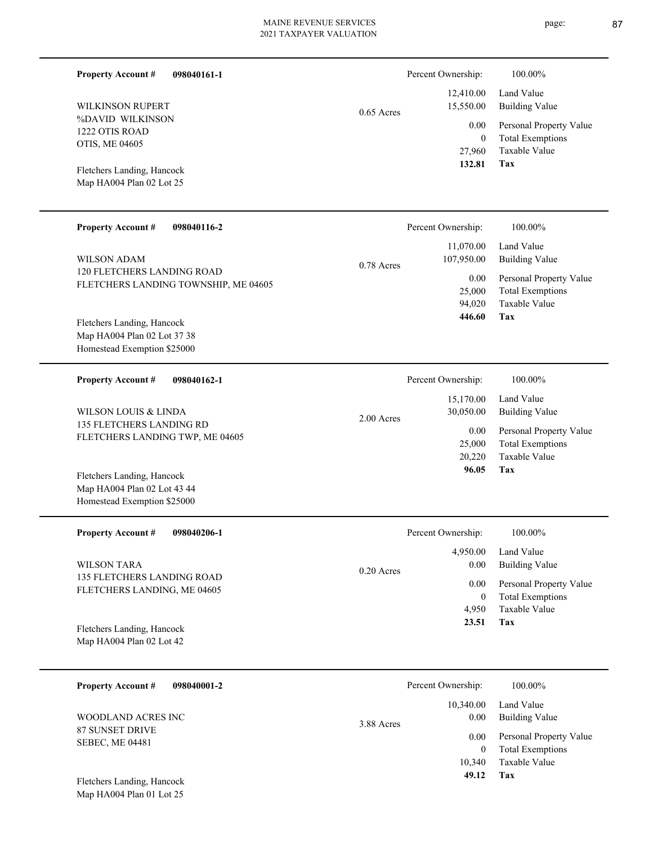0.65 Acres FLETCHERS LANDING TOWNSHIP, ME 04605 11,070.00 107,950.00 0.78 Acres Percent Ownership: 100.00%

Map HA004 Plan 02 Lot 37 38 Homestead Exemption \$25000 Fletchers Landing, Hancock

120 FLETCHERS LANDING ROAD

%DAVID WILKINSON 1222 OTIS ROAD OTIS, ME 04605

WILKINSON RUPERT

Map HA004 Plan 02 Lot 25 Fletchers Landing, Hancock

**Property Account #**

WILSON ADAM

**Property Account #**

**098040161-1**

**098040116-2**

| 098040162-1<br><b>Property Account #</b> | Percent Ownership:        | 100.00%                 |
|------------------------------------------|---------------------------|-------------------------|
|                                          | 15,170.00                 | Land Value              |
| WILSON LOUIS & LINDA                     | 30,050.00<br>$2.00$ Acres | Building Value          |
| 135 FLETCHERS LANDING RD                 | 0.00                      | Personal Property Value |
| FLETCHERS LANDING TWP, ME 04605          | 25,000                    | <b>Total Exemptions</b> |
|                                          | 20,220                    | Taxable Value           |
| Fletchers Landing, Hancock               | 96.05                     | Tax                     |

Map HA004 Plan 02 Lot 43 44 Homestead Exemption \$25000

| <b>Property Account #</b><br>098040206-1                         | Percent Ownership:   | 100.00%                 |
|------------------------------------------------------------------|----------------------|-------------------------|
|                                                                  | 4.950.00             | Land Value              |
| WILSON TARA                                                      | 0.00<br>$0.20$ Acres | Building Value          |
| <b>135 FLETCHERS LANDING ROAD</b><br>FLETCHERS LANDING, ME 04605 | 0.00                 | Personal Property Value |
|                                                                  | $\theta$             | <b>Total Exemptions</b> |
|                                                                  | 4.950                | Taxable Value           |
| Fletchers Landing, Hancock                                       | 23.51                | Tax                     |
| Map HA004 Plan 02 Lot 42                                         |                      |                         |

| 098040001-2<br><b>Property Account #</b> | Percent Ownership:              | 100.00%                                                             |
|------------------------------------------|---------------------------------|---------------------------------------------------------------------|
| WOODLAND ACRES INC<br>87 SUNSET DRIVE    | 10,340.00<br>0.00<br>3.88 Acres | Land Value<br><b>Building Value</b>                                 |
| <b>SEBEC, ME 04481</b>                   | 0.00<br>$\mathbf{0}$            | Personal Property Value<br><b>Total Exemptions</b><br>Taxable Value |
| Fletchers Landing, Hancock               | 10,340<br>49.12                 | Tax                                                                 |

Map HA004 Plan 01 Lot 25

page: 87

**Tax**

**Tax**

Taxable Value Total Exemptions Personal Property Value

Building Value Land Value

 27,960 0

0.00

Percent Ownership: 100.00%

 12,410.00 15,550.00

 **132.81**

 94,020 25,000

0.00

 **446.60**

Taxable Value Total Exemptions Personal Property Value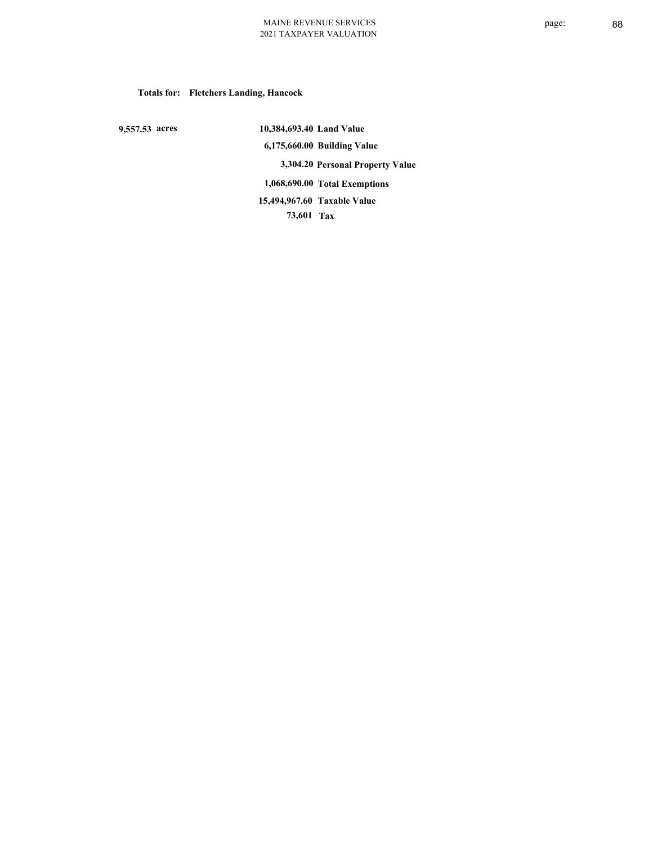# **Totals for: Fletchers Landing, Hancock**

 **9,557.53 acres**

 **10,384,693.40 Land Value 6,175,660.00 Building Value 3,304.20 Personal Property Value 1,068,690.00 Total Exemptions 73,601 Tax Taxable Value 15,494,967.60**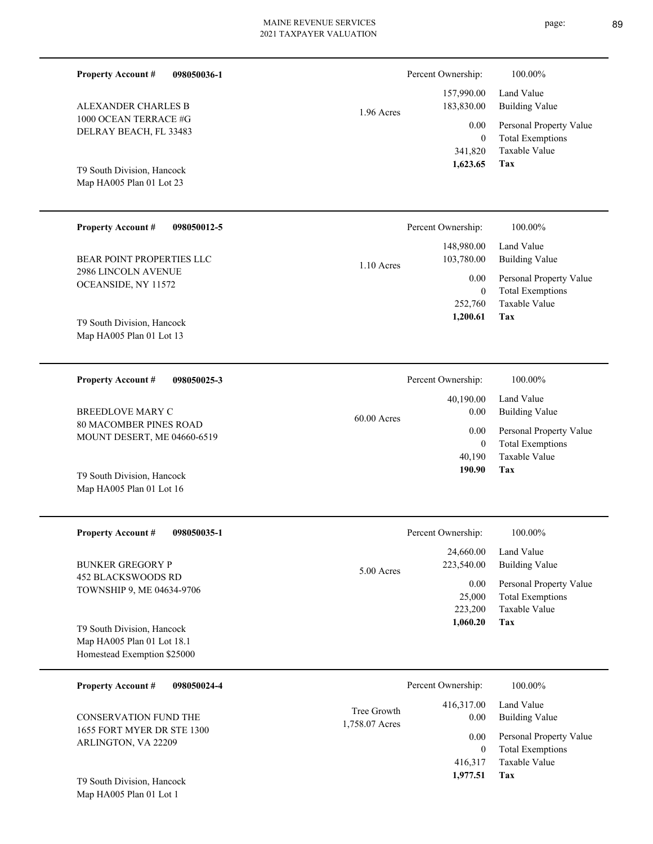| <b>Property Account #</b><br>098050036-1                     |                               | Percent Ownership:        | 100.00%                                                             |
|--------------------------------------------------------------|-------------------------------|---------------------------|---------------------------------------------------------------------|
| ALEXANDER CHARLES B                                          | 1.96 Acres                    | 157,990.00<br>183,830.00  | Land Value<br><b>Building Value</b>                                 |
| 1000 OCEAN TERRACE #G<br>DELRAY BEACH, FL 33483              |                               | 0.00<br>$\mathbf{0}$      | Personal Property Value<br><b>Total Exemptions</b>                  |
| T9 South Division, Hancock<br>Map HA005 Plan 01 Lot 23       |                               | 341,820<br>1,623.65       | Taxable Value<br>Tax                                                |
| <b>Property Account #</b><br>098050012-5                     |                               | Percent Ownership:        | 100.00%                                                             |
| BEAR POINT PROPERTIES LLC                                    | $1.10$ Acres                  | 148,980.00<br>103,780.00  | Land Value<br><b>Building Value</b>                                 |
| 2986 LINCOLN AVENUE<br>OCEANSIDE, NY 11572                   |                               | 0.00<br>$\mathbf{0}$      | Personal Property Value<br><b>Total Exemptions</b>                  |
| T9 South Division, Hancock                                   |                               | 252,760<br>1,200.61       | Taxable Value<br>Tax                                                |
| Map HA005 Plan 01 Lot 13                                     |                               |                           |                                                                     |
| <b>Property Account #</b><br>098050025-3                     |                               | Percent Ownership:        | 100.00%                                                             |
| <b>BREEDLOVE MARY C</b>                                      | $60.00$ Acres                 | 40,190.00<br>0.00         | Land Value<br><b>Building Value</b>                                 |
| <b>80 MACOMBER PINES ROAD</b><br>MOUNT DESERT, ME 04660-6519 |                               | 0.00<br>$\mathbf{0}$      | Personal Property Value<br><b>Total Exemptions</b>                  |
|                                                              |                               | 40,190<br>190.90          | Taxable Value<br>Tax                                                |
| T9 South Division, Hancock<br>Map HA005 Plan 01 Lot 16       |                               |                           |                                                                     |
| <b>Property Account #</b><br>098050035-1                     |                               | Percent Ownership:        | 100.00%                                                             |
| <b>BUNKER GREGORY P</b>                                      | 5.00 Acres                    | 24,660.00<br>223,540.00   | Land Value<br><b>Building Value</b>                                 |
| <b>452 BLACKSWOODS RD</b><br>TOWNSHIP 9, ME 04634-9706       |                               | 0.00<br>25,000<br>223,200 | Personal Property Value<br><b>Total Exemptions</b><br>Taxable Value |
| T9 South Division, Hancock                                   |                               | 1,060.20                  | Tax                                                                 |
| Map HA005 Plan 01 Lot 18.1<br>Homestead Exemption \$25000    |                               |                           |                                                                     |
| <b>Property Account #</b><br>098050024-4                     |                               | Percent Ownership:        | 100.00%                                                             |
| CONSERVATION FUND THE                                        | Tree Growth<br>1,758.07 Acres | 416,317.00<br>0.00        | Land Value<br><b>Building Value</b>                                 |
| 1655 FORT MYER DR STE 1300<br>ARLINGTON, VA 22209            |                               | 0.00<br>$\overline{0}$    | Personal Property Value<br><b>Total Exemptions</b>                  |

**Tax 1,977.51**

416,317

Taxable Value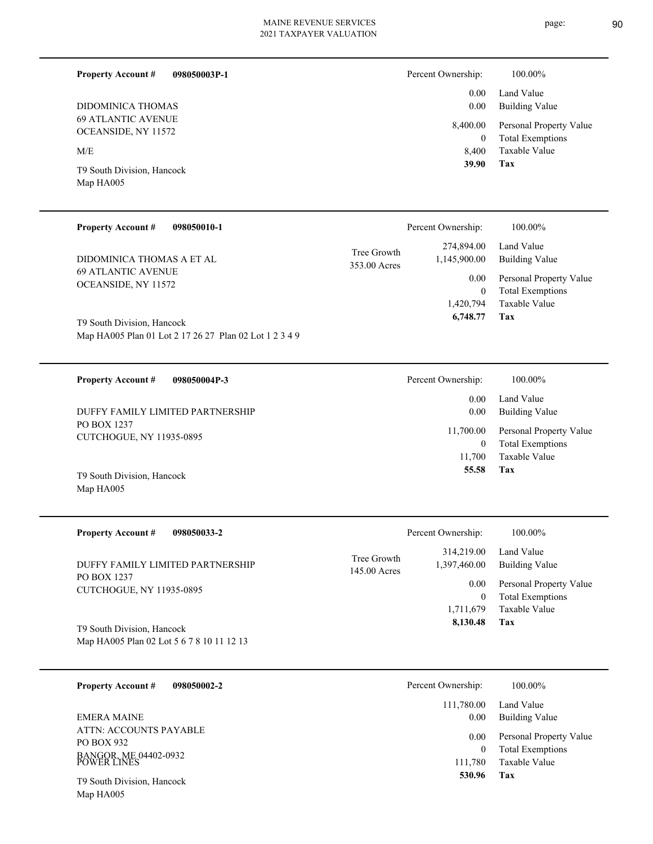**098050003P-1**

**Property Account #**

0.00

Percent Ownership:  $100.00\%$ 

Land Value

| DIDOMINICA THOMAS                                      |                             | 0.00                          | <b>Building Value</b>                           |
|--------------------------------------------------------|-----------------------------|-------------------------------|-------------------------------------------------|
| <b>69 ATLANTIC AVENUE</b>                              |                             | 8,400.00                      | Personal Property Value                         |
| OCEANSIDE, NY 11572                                    |                             | $\boldsymbol{0}$              | <b>Total Exemptions</b>                         |
| M/E                                                    |                             | 8,400                         | Taxable Value                                   |
| T9 South Division, Hancock<br>Map HA005                |                             | 39.90                         | Tax                                             |
| <b>Property Account #</b><br>098050010-1               |                             | Percent Ownership:            | 100.00%                                         |
|                                                        |                             |                               | Land Value                                      |
| DIDOMINICA THOMAS A ET AL<br><b>69 ATLANTIC AVENUE</b> | Tree Growth<br>353.00 Acres | 274,894.00<br>1,145,900.00    | <b>Building Value</b>                           |
| OCEANSIDE, NY 11572                                    |                             | 0.00                          | Personal Property Value                         |
|                                                        |                             | $\mathbf{0}$<br>1,420,794     | <b>Total Exemptions</b><br>Taxable Value        |
| T9 South Division, Hancock                             |                             | 6,748.77                      | <b>Tax</b>                                      |
| Map HA005 Plan 01 Lot 2 17 26 27 Plan 02 Lot 1 2 3 4 9 |                             |                               |                                                 |
| <b>Property Account #</b><br>098050004P-3              |                             | Percent Ownership:            | 100.00%                                         |
|                                                        |                             | 0.00                          | Land Value                                      |
| DUFFY FAMILY LIMITED PARTNERSHIP                       |                             | 0.00                          | <b>Building Value</b>                           |
| PO BOX 1237<br>CUTCHOGUE, NY 11935-0895                |                             | 11,700.00                     | Personal Property Value                         |
|                                                        |                             | $\mathbf{0}$                  | <b>Total Exemptions</b>                         |
|                                                        |                             | 11,700<br>55.58               | Taxable Value<br><b>Tax</b>                     |
| T9 South Division, Hancock<br>Map HA005                |                             |                               |                                                 |
|                                                        |                             |                               |                                                 |
| <b>Property Account #</b><br>098050033-2               |                             | Percent Ownership:            | 100.00%                                         |
|                                                        | Tree Growth                 | 314,219.00                    | Land Value                                      |
| DUFFY FAMILY LIMITED PARTNERSHIP<br>PO BOX 1237        | 145.00 Acres                | 1,397,460.00                  | <b>Building Value</b>                           |
| CUTCHOGUE, NY 11935-0895                               |                             | 0.00                          | Personal Property Value                         |
|                                                        |                             | $\boldsymbol{0}$<br>1,711,679 | <b>Total Exemptions</b><br><b>Taxable Value</b> |
| T9 South Division, Hancock                             |                             | 8,130.48                      | <b>Tax</b>                                      |
| Map HA005 Plan 02 Lot 5 6 7 8 10 11 12 13              |                             |                               |                                                 |
|                                                        |                             |                               |                                                 |
| <b>Property Account #</b><br>098050002-2               |                             | Percent Ownership:            | 100.00%                                         |
| <b>EMERA MAINE</b>                                     |                             | 111,780.00<br>0.00            | Land Value<br><b>Building Value</b>             |
| ATTN: ACCOUNTS PAYABLE<br>PO BOX 932                   |                             | 0.00                          | Personal Property Value                         |
| BANGOR, ME 04402-0932<br>POWER LINES                   |                             | $\boldsymbol{0}$              | <b>Total Exemptions</b>                         |
|                                                        |                             | 111,780<br>530.96             | Taxable Value<br><b>Tax</b>                     |
| T9 South Division, Hancock                             |                             |                               |                                                 |
| Map HA005                                              |                             |                               |                                                 |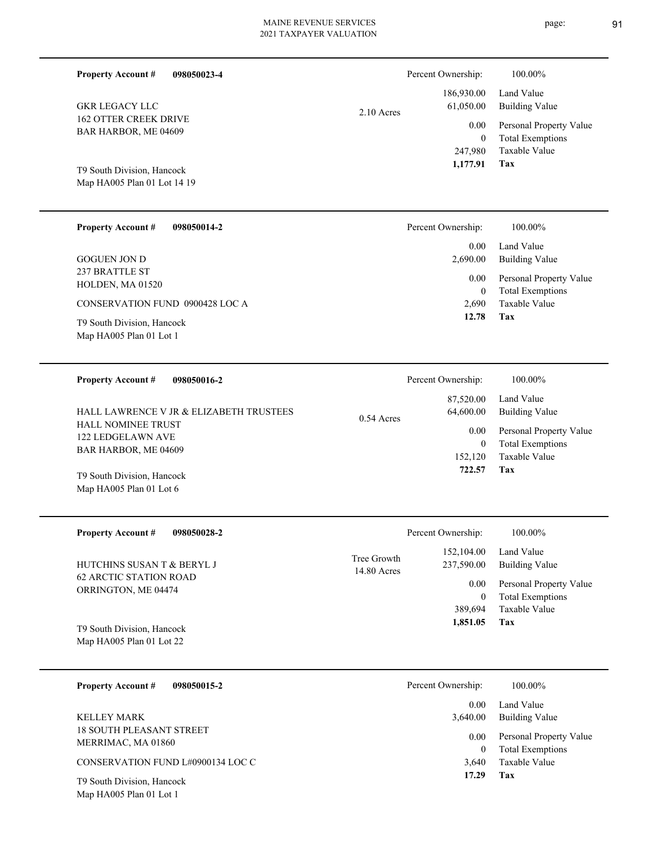| <b>Property Account #</b><br>098050023-4             | Percent Ownership:        | 100.00%                                  |
|------------------------------------------------------|---------------------------|------------------------------------------|
|                                                      | 186,930.00                | Land Value                               |
| <b>GKR LEGACY LLC</b>                                | 61,050.00<br>$2.10$ Acres | <b>Building Value</b>                    |
| <b>162 OTTER CREEK DRIVE</b><br>BAR HARBOR, ME 04609 | 0.00                      | Personal Property Value                  |
|                                                      | $\overline{0}$<br>247,980 | <b>Total Exemptions</b><br>Taxable Value |
| T9 South Division, Hancock                           | 1,177.91                  | Tax                                      |
| Map HA005 Plan 01 Lot 14 19                          |                           |                                          |
|                                                      |                           |                                          |
| <b>Property Account #</b><br>098050014-2             | Percent Ownership:        | 100.00%                                  |

| <b>GOGUEN JON D</b>                    | 0.00<br>2,690.00 | Land Value<br>Building Value                       |
|----------------------------------------|------------------|----------------------------------------------------|
| 237 BRATTLE ST<br>HOLDEN, MA 01520     | 0.00<br>$\theta$ | Personal Property Value<br><b>Total Exemptions</b> |
| <b>CONSERVATION FUND 0900428 LOC A</b> | 2.690            | Taxable Value                                      |
| T9 South Division, Hancock             | 12.78            | Tax                                                |

Map HA005 Plan 01 Lot 1

Map HA005 Plan 01 Lot 6

| <b>Property Account #</b><br>098050016-2                                                                          | Percent Ownership:                                        | 100.00%                                                                                             |
|-------------------------------------------------------------------------------------------------------------------|-----------------------------------------------------------|-----------------------------------------------------------------------------------------------------|
| HALL LAWRENCE V JR & ELIZABETH TRUSTEES<br><b>HALL NOMINEE TRUST</b><br>122 LEDGELAWN AVE<br>BAR HARBOR, ME 04609 | 87,520.00<br>64,600.00<br>$0.54$ Acres<br>0.00<br>152,120 | Land Value<br>Building Value<br>Personal Property Value<br><b>Total Exemptions</b><br>Taxable Value |
| T9 South Division, Hancock                                                                                        | 722.57                                                    | Tax                                                                                                 |

| <b>Property Account #</b><br>098050028-2      |                              | Percent Ownership:       | 100.00%                      |
|-----------------------------------------------|------------------------------|--------------------------|------------------------------|
| HUTCHINS SUSAN T & BERYL J                    | Tree Growth<br>$14.80$ Acres | 152,104.00<br>237,590.00 | Land Value<br>Building Value |
| 62 ARCTIC STATION ROAD<br>ORRINGTON, ME 04474 |                              | 0.00                     | Personal Property Value      |
|                                               |                              | 0                        | <b>Total Exemptions</b>      |
|                                               |                              | 389.694                  | Taxable Value                |
| T9 South Division, Hancock                    |                              | 1,851.05                 | Tax                          |
| Map HA005 Plan 01 Lot 22                      |                              |                          |                              |

| <b>Property Account #</b><br>098050015-2              | Percent Ownership: | 100.00%                                            |
|-------------------------------------------------------|--------------------|----------------------------------------------------|
| KELLEY MARK                                           | 0.00<br>3.640.00   | Land Value<br><b>Building Value</b>                |
| <b>18 SOUTH PLEASANT STREET</b><br>MERRIMAC, MA 01860 | 0.00<br>$\theta$   | Personal Property Value<br><b>Total Exemptions</b> |
| CONSERVATION FUND L#0900134 LOC C                     | 3.640              | Taxable Value                                      |
| T9 South Division, Hancock<br>Map HA005 Plan 01 Lot 1 | 17.29              | Tax                                                |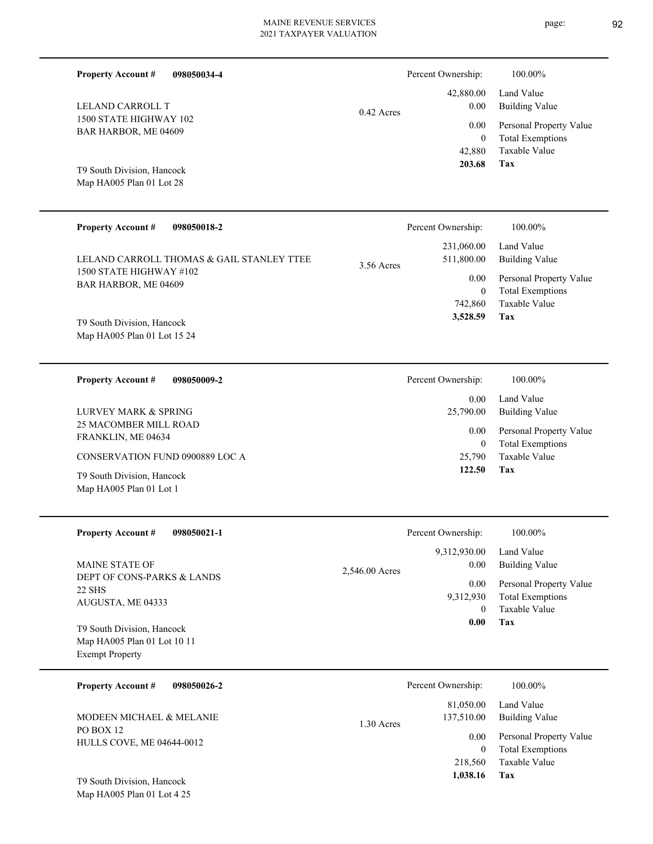**098050034-4 Tax** Taxable Value Total Exemptions Personal Property Value Building Value Land Value 1500 STATE HIGHWAY 102 BAR HARBOR, ME 04609 **Property Account #** Map HA005 Plan 01 Lot 28 T9 South Division, Hancock LELAND CARROLL T 42,880 0  **203.68** 42,880.00 0.00 0.00 0.42 Acres Percent Ownership:  $100.00\%$ **098050018-2** Personal Property Value Building Value Land Value 1500 STATE HIGHWAY #102 **Property Account #** LELAND CARROLL THOMAS & GAIL STANLEY TTEE 231,060.00 511,800.00 0.00 3.56 Acres Percent Ownership: 100.00%

Map HA005 Plan 01 Lot 15 24 T9 South Division, Hancock

Map HA005 Plan 01 Lot 1

BAR HARBOR, ME 04609

**098050009-2 Tax** Taxable Value Total Exemptions Personal Property Value Building Value Land Value 25 MACOMBER MILL ROAD FRANKLIN, ME 04634 **Property Account #** T9 South Division, Hancock CONSERVATION FUND 0900889 LOC A LURVEY MARK & SPRING 25,790 0  **122.50** 0.00 25,790.00 0.00 Percent Ownership:  $100.00\%$ 

| <b>Property Account #</b><br>098050021-1                                             | Percent Ownership:                                                     | 100.00%                                                                                                    |
|--------------------------------------------------------------------------------------|------------------------------------------------------------------------|------------------------------------------------------------------------------------------------------------|
| <b>MAINE STATE OF</b><br>DEPT OF CONS-PARKS & LANDS<br>22 SHS<br>AUGUSTA, ME 04333   | 9,312,930.00<br>0.00<br>2,546.00 Acres                                 | Land Value<br><b>Building Value</b>                                                                        |
|                                                                                      | $0.00\,$<br>9,312,930<br>$\left($                                      | Personal Property Value<br><b>Total Exemptions</b><br>Taxable Value                                        |
| T9 South Division, Hancock<br>Map HA005 Plan 01 Lot 10 11<br><b>Exempt Property</b>  | 0.00                                                                   | Tax                                                                                                        |
| 098050026-2<br><b>Property Account #</b>                                             | Percent Ownership:                                                     | 100.00%                                                                                                    |
| <b>MODEEN MICHAEL &amp; MELANIE</b><br>PO BOX 12<br><b>HULLS COVE, ME 04644-0012</b> | 81,050.00<br>137,510.00<br>$1.30$ Acres<br>0.00<br>$\theta$<br>218,560 | Land Value<br><b>Building Value</b><br>Personal Property Value<br><b>Total Exemptions</b><br>Taxable Value |

Map HA005 Plan 01 Lot 4 25 T9 South Division, Hancock

**Tax**

 742,860 0

 **3,528.59**

**Tax 1,038.16**

Taxable Value Total Exemptions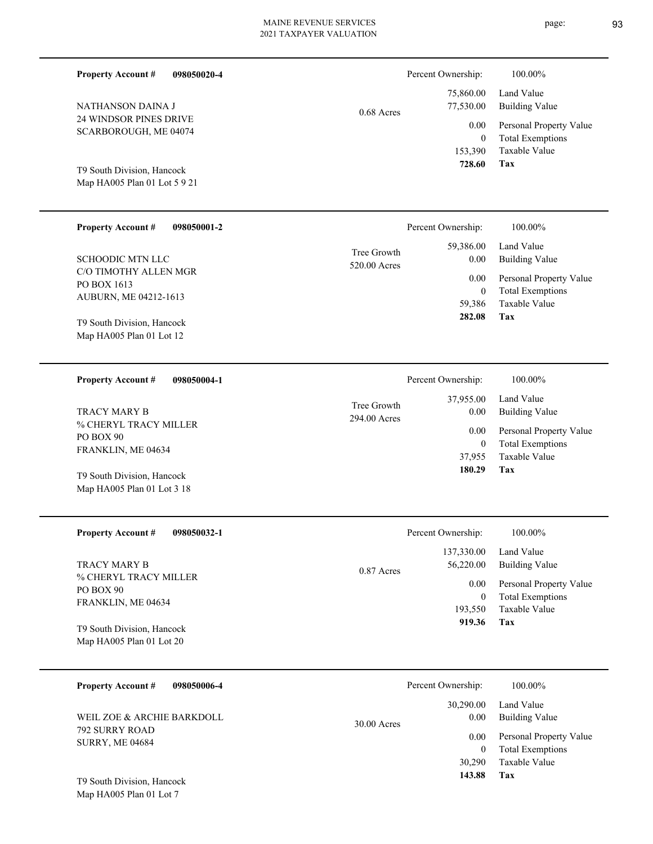| 098050020-4<br><b>Property Account #</b>           |                             | Percent Ownership: | 100.00%                 |
|----------------------------------------------------|-----------------------------|--------------------|-------------------------|
|                                                    |                             | 75,860.00          | Land Value              |
| NATHANSON DAINA J                                  | $0.68$ Acres                | 77,530.00          | <b>Building Value</b>   |
| 24 WINDSOR PINES DRIVE                             |                             | 0.00               | Personal Property Value |
| SCARBOROUGH, ME 04074                              |                             | $\theta$           | <b>Total Exemptions</b> |
|                                                    |                             | 153,390            | Taxable Value           |
| T9 South Division, Hancock                         |                             | 728.60             | <b>Tax</b>              |
| Map HA005 Plan 01 Lot 5 9 21                       |                             |                    |                         |
|                                                    |                             |                    |                         |
| <b>Property Account #</b><br>098050001-2           |                             | Percent Ownership: | 100.00%                 |
|                                                    | Tree Growth                 | 59,386.00          | Land Value              |
| <b>SCHOODIC MTN LLC</b>                            | 520.00 Acres                | 0.00               | <b>Building Value</b>   |
| C/O TIMOTHY ALLEN MGR                              |                             | 0.00               | Personal Property Value |
| PO BOX 1613                                        |                             | $\mathbf{0}$       | <b>Total Exemptions</b> |
| AUBURN, ME 04212-1613                              |                             | 59,386             | <b>Taxable Value</b>    |
| T9 South Division, Hancock                         |                             | 282.08             | <b>Tax</b>              |
| Map HA005 Plan 01 Lot 12                           |                             |                    |                         |
|                                                    |                             |                    |                         |
| <b>Property Account #</b><br>098050004-1           |                             | Percent Ownership: | 100.00%                 |
|                                                    |                             | 37,955.00          | Land Value              |
| <b>TRACY MARY B</b>                                | Tree Growth<br>294.00 Acres | 0.00               | <b>Building Value</b>   |
| % CHERYL TRACY MILLER                              |                             | 0.00               | Personal Property Value |
| PO BOX 90                                          |                             | $\boldsymbol{0}$   | <b>Total Exemptions</b> |
| FRANKLIN, ME 04634                                 |                             | 37,955             | Taxable Value           |
| $\pi$ $\alpha$ $\beta$ $\pi$ $\beta$ $\beta$ $\pi$ |                             | 180.29             | Tax                     |

| T9 South Division, Hancock |  |
|----------------------------|--|
| Map HA005 Plan 01 Lot 3 18 |  |

 $\overline{\phantom{a}}$ 

| <b>Property Account #</b><br>098050032-1               | Percent Ownership:                      | 100.00%                                                             |
|--------------------------------------------------------|-----------------------------------------|---------------------------------------------------------------------|
| TRACY MARY B<br>% CHERYL TRACY MILLER                  | 137,330.00<br>56,220.00<br>$0.87$ Acres | Land Value<br>Building Value                                        |
| PO BOX 90<br>FRANKLIN, ME 04634                        | 0.00<br>$\theta$<br>193.550             | Personal Property Value<br><b>Total Exemptions</b><br>Taxable Value |
| T9 South Division, Hancock<br>Map HA005 Plan 01 Lot 20 | 919.36                                  | Tax                                                                 |

| 098050006-4<br><b>Property Account #</b> | Percent Ownership:                 | 100.00%                                            |
|------------------------------------------|------------------------------------|----------------------------------------------------|
| WEIL ZOE & ARCHIE BARKDOLL               | 30,290.00<br>0.00<br>$30.00$ Acres | Land Value<br>Building Value                       |
| 792 SURRY ROAD<br><b>SURRY, ME 04684</b> | 0.00<br>0                          | Personal Property Value<br><b>Total Exemptions</b> |
| TO South Division Hancock                | 30,290<br>143.88                   | Taxable Value<br>Tax                               |

Map HA005 Plan 01 Lot 7 T9 South Division, Hancock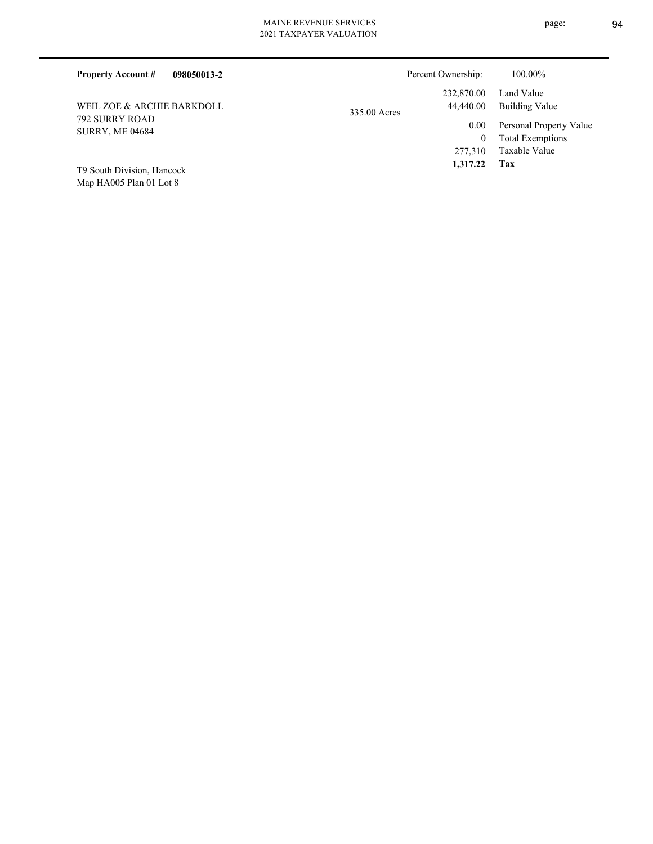| <b>Property Account #</b><br>098050013-2 | Percent Ownership:                      | 100.00%                                            |
|------------------------------------------|-----------------------------------------|----------------------------------------------------|
| WEIL ZOE & ARCHIE BARKDOLL               | 232,870.00<br>44,440.00<br>335.00 Acres | Land Value<br>Building Value                       |
| 792 SURRY ROAD<br><b>SURRY, ME 04684</b> | 0.00<br>$\theta$                        | Personal Property Value<br><b>Total Exemptions</b> |
| T9 South Division, Hancock               | 277,310<br>1,317.22                     | Taxable Value<br>Tax                               |

Map HA005 Plan 01 Lot 8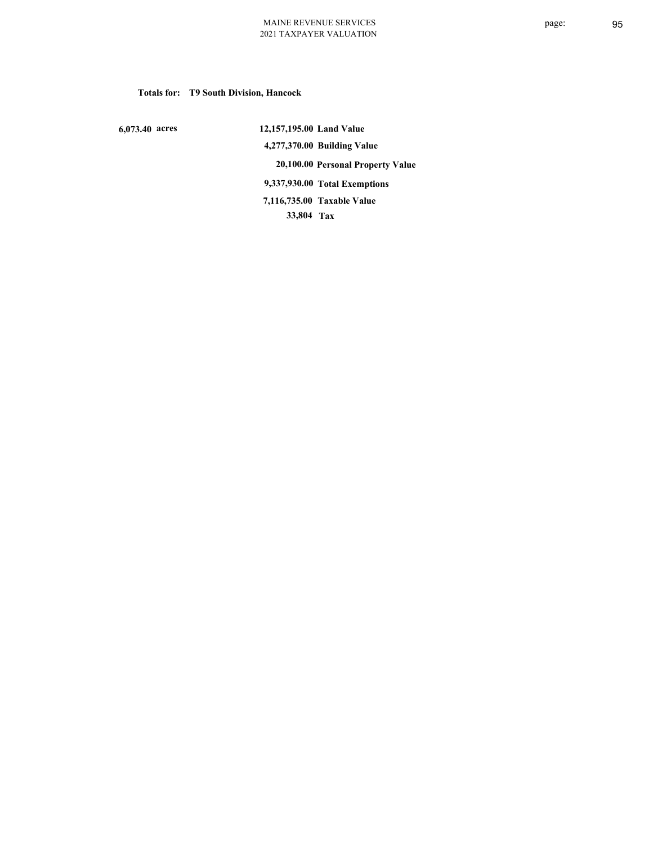# **Totals for: T9 South Division, Hancock**

 **6,073.40 acres**

 **12,157,195.00 Land Value 4,277,370.00 Building Value 20,100.00 Personal Property Value 9,337,930.00 Total Exemptions 33,804 Tax Taxable Value 7,116,735.00**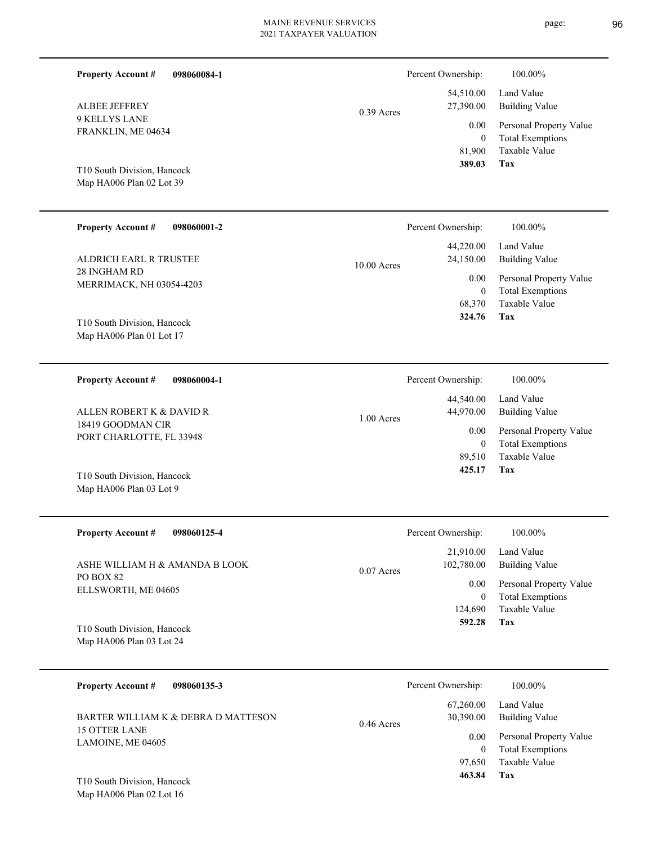| 098060084-1<br><b>Property Account #</b>                                                              | Percent Ownership:<br>100.00%                                                                                                                                                                       |
|-------------------------------------------------------------------------------------------------------|-----------------------------------------------------------------------------------------------------------------------------------------------------------------------------------------------------|
| <b>ALBEE JEFFREY</b>                                                                                  | Land Value<br>54,510.00<br>27,390.00<br><b>Building Value</b><br>$0.39$ Acres                                                                                                                       |
| <b>9 KELLYS LANE</b><br>FRANKLIN, ME 04634<br>T10 South Division, Hancock<br>Map HA006 Plan 02 Lot 39 | Personal Property Value<br>0.00<br>$\theta$<br><b>Total Exemptions</b><br><b>Taxable Value</b><br>81,900<br>389.03<br><b>Tax</b>                                                                    |
| <b>Property Account #</b><br>098060001-2                                                              | 100.00%<br>Percent Ownership:                                                                                                                                                                       |
| ALDRICH EARL R TRUSTEE<br>28 INGHAM RD<br>MERRIMACK, NH 03054-4203                                    | 44,220.00<br>Land Value<br>24,150.00<br><b>Building Value</b><br>$10.00$ Acres<br>0.00<br>Personal Property Value<br>$\mathbf{0}$<br><b>Total Exemptions</b>                                        |
| T10 South Division, Hancock<br>Map HA006 Plan 01 Lot 17                                               | <b>Taxable Value</b><br>68,370<br>Tax<br>324.76                                                                                                                                                     |
| <b>Property Account #</b><br>098060004-1                                                              | 100.00%<br>Percent Ownership:                                                                                                                                                                       |
| ALLEN ROBERT K & DAVID R<br>18419 GOODMAN CIR<br>PORT CHARLOTTE, FL 33948                             | 44,540.00<br>Land Value<br>44,970.00<br><b>Building Value</b><br>$1.00$ Acres<br>Personal Property Value<br>0.00<br><b>Total Exemptions</b><br>$\theta$<br>Taxable Value<br>89,510<br>425.17<br>Tax |
| T10 South Division, Hancock<br>Map HA006 Plan 03 Lot 9                                                |                                                                                                                                                                                                     |
| <b>Property Account #</b><br>098060125-4                                                              | 100.00%<br>Percent Ownership:                                                                                                                                                                       |
| ASHE WILLIAM H & AMANDA B LOOK                                                                        | 21,910.00<br>Land Value<br>102,780.00<br><b>Building Value</b><br>$0.07$ Acres                                                                                                                      |

PO BOX 82 ELLSWORTH, ME 04605

**Tax 592.28** Taxable Value Total Exemptions 0.00 Personal Property Value 124,690 0

Map HA006 Plan 03 Lot 24 T10 South Division, Hancock

| <b>Property Account #</b><br>098060135-3                    | Percent Ownership:                     | 100.00%                                            |
|-------------------------------------------------------------|----------------------------------------|----------------------------------------------------|
| BARTER WILLIAM K & DEBRA D MATTESON<br><b>15 OTTER LANE</b> | 67,260.00<br>30,390.00<br>$0.46$ Acres | Land Value<br>Building Value                       |
| LAMOINE, ME 04605                                           | 0.00<br>0                              | Personal Property Value<br><b>Total Exemptions</b> |
|                                                             | 97,650                                 | Taxable Value                                      |
| T10 South Division, Hancock                                 | 463.84                                 | Tax                                                |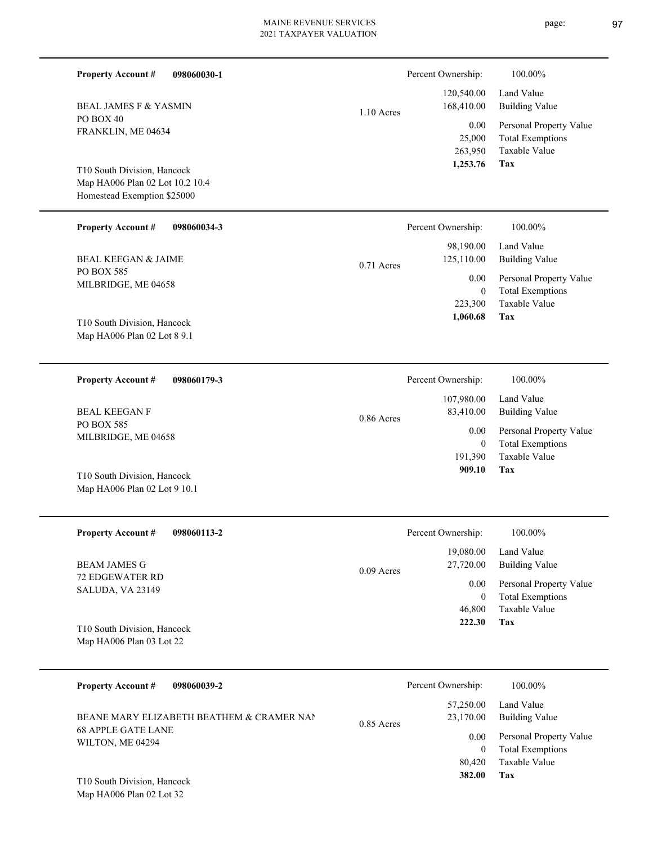| <b>Property Account #</b><br>098060030-1                                                      |              | Percent Ownership:                  | 100.00%                                                             |
|-----------------------------------------------------------------------------------------------|--------------|-------------------------------------|---------------------------------------------------------------------|
| <b>BEAL JAMES F &amp; YASMIN</b>                                                              | $1.10$ Acres | 120,540.00<br>168,410.00            | Land Value<br><b>Building Value</b>                                 |
| PO BOX 40<br>FRANKLIN, ME 04634                                                               |              | 0.00<br>25,000<br>263,950           | Personal Property Value<br><b>Total Exemptions</b><br>Taxable Value |
| T10 South Division, Hancock<br>Map HA006 Plan 02 Lot 10.2 10.4<br>Homestead Exemption \$25000 |              | 1,253.76                            | Tax                                                                 |
| <b>Property Account #</b><br>098060034-3                                                      |              | Percent Ownership:                  | 100.00%                                                             |
| <b>BEAL KEEGAN &amp; JAIME</b>                                                                | $0.71$ Acres | 98,190.00<br>125,110.00             | Land Value<br><b>Building Value</b>                                 |
| PO BOX 585<br>MILBRIDGE, ME 04658                                                             |              | 0.00<br>$\boldsymbol{0}$<br>223,300 | Personal Property Value<br><b>Total Exemptions</b><br>Taxable Value |
| T10 South Division, Hancock<br>Map HA006 Plan 02 Lot 8 9.1                                    |              | 1,060.68                            | Tax                                                                 |
| <b>Property Account #</b><br>098060179-3                                                      |              | Percent Ownership:                  | 100.00%                                                             |
| <b>BEAL KEEGAN F</b>                                                                          | 0.86 Acres   | 107,980.00<br>83,410.00             | Land Value<br><b>Building Value</b>                                 |
| PO BOX 585<br>MILBRIDGE, ME 04658                                                             |              | 0.00<br>$\boldsymbol{0}$            | Personal Property Value<br><b>Total Exemptions</b>                  |
| T10 South Division, Hancock<br>Map HA006 Plan 02 Lot 9 10.1                                   |              | 191,390<br>909.10                   | Taxable Value<br>Tax                                                |
| <b>Property Account #</b><br>098060113-2                                                      |              | Percent Ownership:                  | 100.00%                                                             |
| <b>BEAM JAMES G</b>                                                                           | 0.09 Acres   | 19,080.00<br>27,720.00              | Land Value<br><b>Building Value</b>                                 |
| 72 EDGEWATER RD<br>SALUDA, VA 23149                                                           |              | $0.00\,$<br>$\boldsymbol{0}$        | Personal Property Value<br><b>Total Exemptions</b>                  |
| T10 South Division, Hancock<br>Map HA006 Plan 03 Lot 22                                       |              | 46,800<br>222.30                    | Taxable Value<br>Tax                                                |
| <b>Property Account #</b><br>098060039-2                                                      |              | Percent Ownership:                  | 100.00%                                                             |
|                                                                                               |              | 57,250.00                           | Land Value                                                          |

68 APPLE GATE LANE WILTON, ME 04294 BEANE MARY ELIZABETH BEATHEM  $\&$  CRAMER NAN

Map HA006 Plan 02 Lot 32 T10 South Division, Hancock **Tax**

 80,420  $\boldsymbol{0}$ 

 23,170.00 0.00

0.85 Acres

 **382.00**

Taxable Value Total Exemptions Personal Property Value

Building Value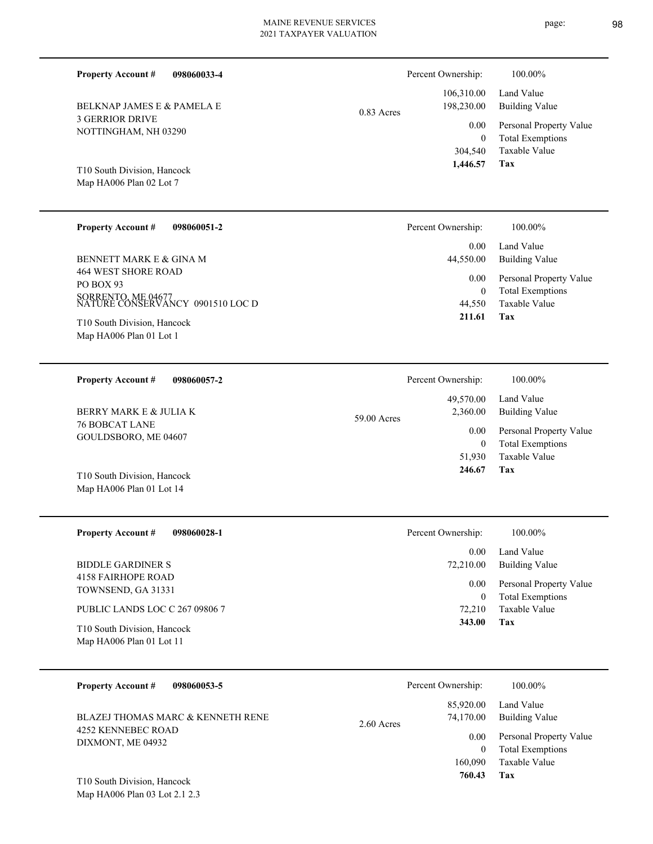| 098060033-4<br><b>Property Account #</b>                |             | Percent Ownership:                    | 100.00%                                            |
|---------------------------------------------------------|-------------|---------------------------------------|----------------------------------------------------|
| <b>BELKNAP JAMES E &amp; PAMELA E</b><br>0.83 Acres     |             | 106,310.00<br>198,230.00              | Land Value<br><b>Building Value</b>                |
| <b>3 GERRIOR DRIVE</b><br>NOTTINGHAM, NH 03290          |             | 0.00                                  | Personal Property Value                            |
| T10 South Division, Hancock<br>Map HA006 Plan 02 Lot 7  |             | $\overline{0}$<br>304,540<br>1,446.57 | <b>Total Exemptions</b><br>Taxable Value<br>Tax    |
| <b>Property Account #</b><br>098060051-2                |             | Percent Ownership:                    | 100.00%                                            |
| BENNETT MARK E & GINA M                                 |             | 0.00<br>44,550.00                     | Land Value<br><b>Building Value</b>                |
| <b>464 WEST SHORE ROAD</b><br>PO BOX 93                 |             | 0.00                                  | Personal Property Value                            |
| SORRENTO, ME 04677<br>NATURE CONSERVANCY 0901510 LOC D  |             | $\mathbf{0}$<br>44,550                | <b>Total Exemptions</b><br><b>Taxable Value</b>    |
| T10 South Division, Hancock<br>Map HA006 Plan 01 Lot 1  |             | 211.61                                | Tax                                                |
|                                                         |             |                                       |                                                    |
| <b>Property Account #</b><br>098060057-2                |             | Percent Ownership:                    | 100.00%                                            |
| BERRY MARK E & JULIA K                                  |             | 49,570.00<br>2,360.00                 | Land Value<br><b>Building Value</b>                |
| <b>76 BOBCAT LANE</b><br>GOULDSBORO, ME 04607           | 59.00 Acres | 0.00                                  | Personal Property Value                            |
|                                                         |             | $\mathbf{0}$<br>51,930                | <b>Total Exemptions</b><br>Taxable Value           |
| T10 South Division, Hancock<br>Map HA006 Plan 01 Lot 14 |             | 246.67                                | Tax                                                |
|                                                         |             |                                       |                                                    |
| <b>Property Account #</b><br>098060028-1                |             | Percent Ownership:                    | 100.00%                                            |
| <b>BIDDLE GARDINER S</b>                                |             | 0.00<br>72,210.00                     | Land Value<br><b>Building Value</b>                |
| <b>4158 FAIRHOPE ROAD</b><br>TOWNSEND, GA 31331         |             | 0.00                                  | Personal Property Value                            |
| PUBLIC LANDS LOC C 267 09806 7                          |             | $\mathbf{0}$<br>72,210                | <b>Total Exemptions</b><br>Taxable Value           |
| T10 South Division, Hancock<br>Map HA006 Plan 01 Lot 11 |             | 343.00                                | Tax                                                |
|                                                         |             |                                       |                                                    |
| <b>Property Account #</b><br>098060053-5                |             | Percent Ownership:                    | 100.00%                                            |
| BLAZEJ THOMAS MARC & KENNETH RENE                       | 2.60 Acres  | 85,920.00<br>74,170.00                | Land Value<br><b>Building Value</b>                |
| 4252 KENNEBEC ROAD<br>DIXMONT, ME 04932                 |             | 0.00                                  | Personal Property Value<br><b>Total Exemptions</b> |
|                                                         |             | $\mathbf{0}$<br>160,090               | Taxable Value                                      |

**Tax 760.43**

Map HA006 Plan 03 Lot 2.1 2.3 T10 South Division, Hancock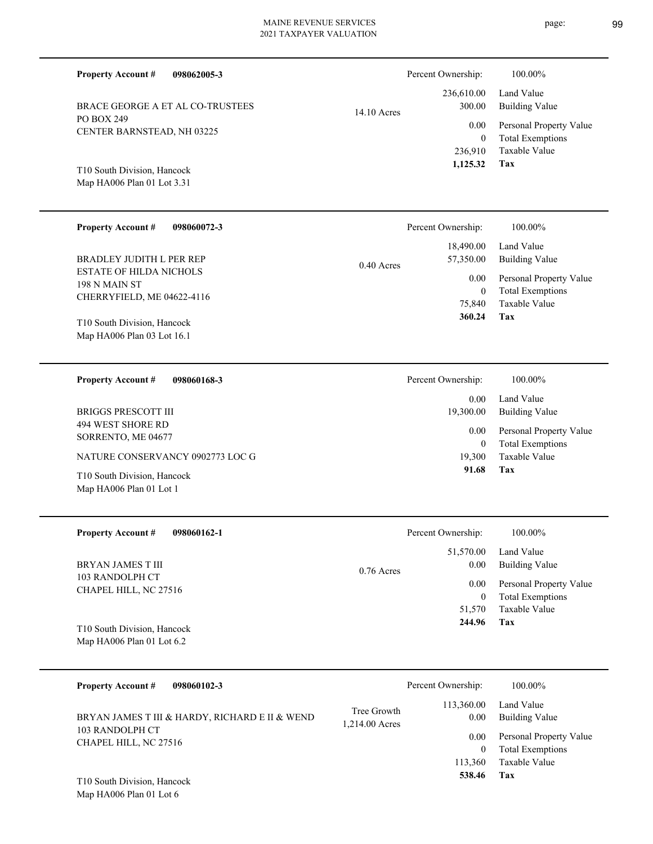| <b>Property Account #</b><br>098062005-3                                      |               | Percent Ownership:              | 100.00%                                                             |
|-------------------------------------------------------------------------------|---------------|---------------------------------|---------------------------------------------------------------------|
| BRACE GEORGE A ET AL CO-TRUSTEES                                              | $14.10$ Acres | 236,610.00<br>300.00            | Land Value<br><b>Building Value</b>                                 |
| PO BOX 249<br>CENTER BARNSTEAD, NH 03225                                      |               | 0.00<br>$\mathbf{0}$<br>236,910 | Personal Property Value<br><b>Total Exemptions</b><br>Taxable Value |
| T10 South Division, Hancock<br>Map HA006 Plan 01 Lot 3.31                     |               | 1,125.32                        | Tax                                                                 |
| Property Account #<br>098060072-3                                             |               | Percent Ownership:              | 100.00%                                                             |
| <b>BRADLEY JUDITH L PER REP</b>                                               | $0.40$ Acres  | 18,490.00<br>57,350.00          | Land Value<br><b>Building Value</b>                                 |
| <b>ESTATE OF HILDA NICHOLS</b><br>198 N MAIN ST<br>CHERRYFIELD, ME 04622-4116 |               | 0.00<br>$\mathbf{0}$<br>75,840  | Personal Property Value<br><b>Total Exemptions</b><br>Taxable Value |
| T10 South Division, Hancock<br>Map HA006 Plan 03 Lot 16.1                     |               | 360.24                          | Tax                                                                 |
|                                                                               |               |                                 |                                                                     |
| <b>Property Account #</b><br>098060168-3                                      |               | Percent Ownership:              | 100.00%                                                             |
| <b>BRIGGS PRESCOTT III</b>                                                    |               | 0.00<br>19,300.00               | Land Value<br><b>Building Value</b>                                 |
| 494 WEST SHORE RD<br>SORRENTO, ME 04677                                       |               | 0.00<br>$\mathbf{0}$            | Personal Property Value                                             |
| NATURE CONSERVANCY 0902773 LOC G                                              |               | 19,300<br>91.68                 | <b>Total Exemptions</b><br>Taxable Value<br>Tax                     |
| T10 South Division, Hancock<br>Map HA006 Plan 01 Lot 1                        |               |                                 |                                                                     |
| <b>Property Account#</b><br>098060162-1                                       |               | Percent Ownership:              | 100.00%                                                             |
| BRYAN JAMES T III                                                             |               | 51,570.00<br>0.00               | Land Value<br><b>Building Value</b>                                 |
| 103 RANDOLPH CT<br>CHAPEL HILL, NC 27516                                      | 0.76 Acres    | 0.00<br>$\mathbf{0}$            | Personal Property Value<br><b>Total Exemptions</b><br>Taxable Value |

| 098060102-3<br><b>Property Account #</b>                          |                               | Percent Ownership: | 100.00%                      |
|-------------------------------------------------------------------|-------------------------------|--------------------|------------------------------|
| BRYAN JAMES T III & HARDY, RICHARD E II & WEND<br>103 RANDOLPH CT | Tree Growth<br>1,214.00 Acres | 113,360.00<br>0.00 | Land Value<br>Building Value |
| CHAPEL HILL, NC 27516                                             |                               | 0.00               | Personal Property Value      |
|                                                                   |                               | 0                  | <b>Total Exemptions</b>      |
|                                                                   |                               | 113,360            | Taxable Value                |
| T10 South Division, Hancock                                       |                               | 538.46             | Tax                          |

Map HA006 Plan 01 Lot 6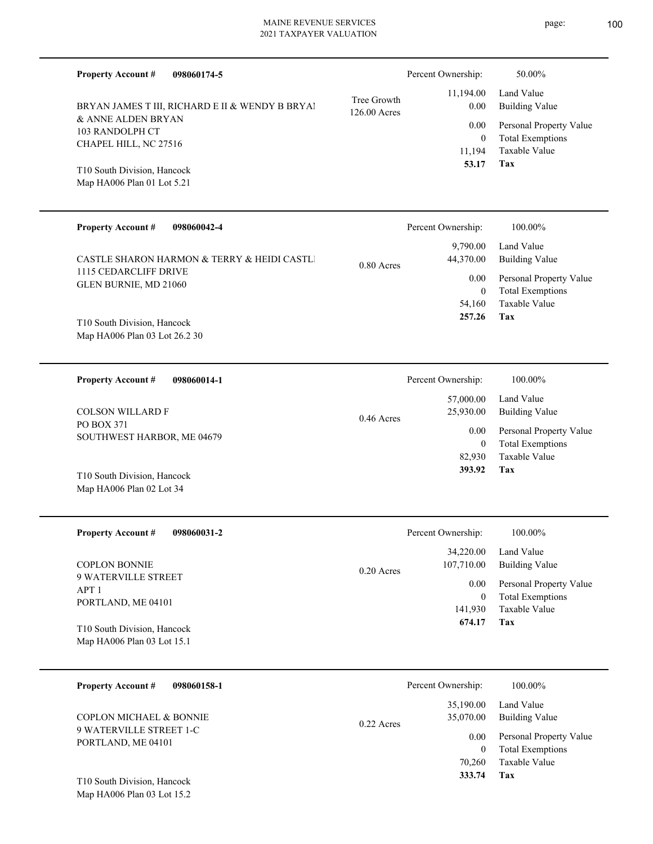| <b>Property Account #</b><br>098060174-5                  |                             | Percent Ownership:                 | 50.00%                                             |
|-----------------------------------------------------------|-----------------------------|------------------------------------|----------------------------------------------------|
| BRYAN JAMES T III, RICHARD E II & WENDY B BRYAI           | Tree Growth<br>126.00 Acres | 11,194.00<br>0.00                  | Land Value<br><b>Building Value</b>                |
| & ANNE ALDEN BRYAN<br>103 RANDOLPH CT                     |                             | 0.00                               | Personal Property Value                            |
| CHAPEL HILL, NC 27516                                     |                             | $\overline{0}$<br>11,194           | <b>Total Exemptions</b><br><b>Taxable Value</b>    |
| T10 South Division, Hancock<br>Map HA006 Plan 01 Lot 5.21 |                             | 53.17                              | Tax                                                |
| <b>Property Account #</b><br>098060042-4                  |                             | Percent Ownership:                 | 100.00%                                            |
| CASTLE SHARON HARMON & TERRY & HEIDI CASTLI               | 0.80 Acres                  | 9,790.00<br>44,370.00              | Land Value<br><b>Building Value</b>                |
| 1115 CEDARCLIFF DRIVE<br>GLEN BURNIE, MD 21060            |                             | 0.00<br>$\overline{0}$             | Personal Property Value<br><b>Total Exemptions</b> |
| T10 South Division, Hancock                               |                             | 54,160<br>257.26                   | <b>Taxable Value</b><br>Tax                        |
| Map HA006 Plan 03 Lot 26.2 30                             |                             |                                    |                                                    |
| <b>Property Account #</b><br>098060014-1                  |                             | Percent Ownership:                 | 100.00%                                            |
| <b>COLSON WILLARD F</b>                                   | $0.46$ Acres                | 57,000.00<br>25,930.00             | Land Value<br><b>Building Value</b>                |
| PO BOX 371<br>SOUTHWEST HARBOR, ME 04679                  |                             | 0.00<br>$\overline{0}$             | Personal Property Value<br><b>Total Exemptions</b> |
|                                                           |                             | 82,930<br>393.92                   | <b>Taxable Value</b><br>Tax                        |
| T10 South Division, Hancock<br>Map HA006 Plan 02 Lot 34   |                             |                                    |                                                    |
| <b>Property Account #</b><br>098060031-2                  |                             | Percent Ownership:                 | 100.00%                                            |
| <b>COPLON BONNIE</b>                                      |                             | 34,220.00<br>107,710.00            | Land Value<br><b>Building Value</b>                |
| 9 WATERVILLE STREET<br>APT <sub>1</sub>                   | 0.20 Acres                  | $0.00\,$                           | Personal Property Value                            |
| PORTLAND, ME 04101                                        |                             | $\mathbf{0}$<br>141,930            | <b>Total Exemptions</b><br>Taxable Value           |
| T10 South Division, Hancock<br>Map HA006 Plan 03 Lot 15.1 |                             | 674.17                             | Tax                                                |
|                                                           |                             |                                    |                                                    |
| <b>Property Account #</b><br>098060158-1                  |                             | Percent Ownership:                 | 100.00%                                            |
| COPLON MICHAEL & BONNIE                                   | 0.22 Acres                  | 35,190.00<br>35,070.00             | Land Value<br><b>Building Value</b>                |
| 9 WATERVILLE STREET 1-C<br>PORTLAND, ME 04101             |                             | 0.00                               | Personal Property Value                            |
|                                                           |                             | $\overline{0}$<br>70,260<br>333.74 | <b>Total Exemptions</b><br>Taxable Value<br>Tax    |
| T10 South Division, Hancock                               |                             |                                    |                                                    |

Map HA006 Plan 03 Lot 15.2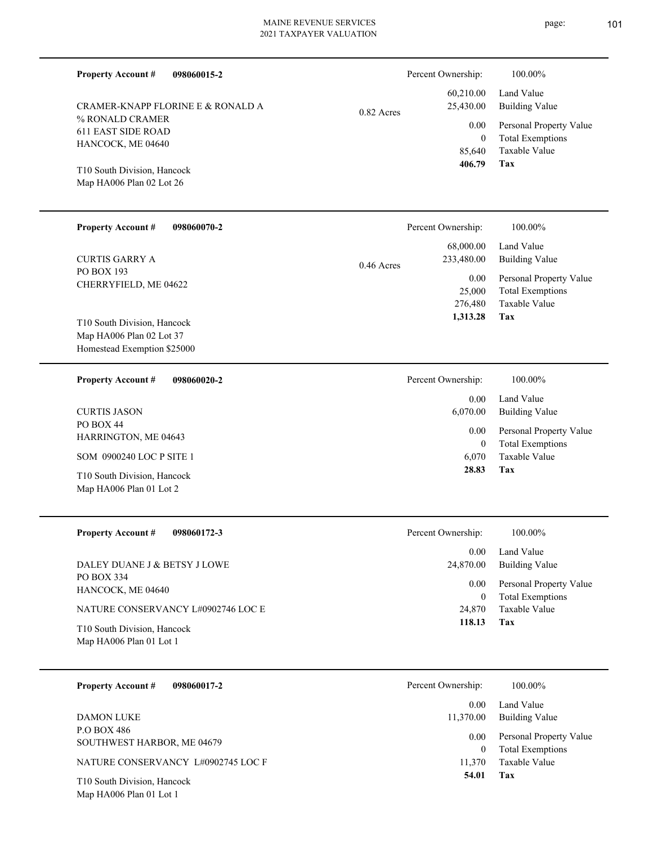| <b>Property Account #</b><br>098060015-2<br>CRAMER-KNAPP FLORINE E & RONALD A<br>% RONALD CRAMER<br><b>611 EAST SIDE ROAD</b><br>HANCOCK, ME 04640<br>T10 South Division, Hancock<br>Map HA006 Plan 02 Lot 26 | 0.82 Acres   | Percent Ownership:<br>60,210.00<br>25,430.00<br>0.00<br>$\mathbf{0}$<br>85,640<br>406.79 | 100.00%<br>Land Value<br><b>Building Value</b><br>Personal Property Value<br><b>Total Exemptions</b><br>Taxable Value<br><b>Tax</b> |
|---------------------------------------------------------------------------------------------------------------------------------------------------------------------------------------------------------------|--------------|------------------------------------------------------------------------------------------|-------------------------------------------------------------------------------------------------------------------------------------|
| <b>Property Account #</b><br>098060070-2<br><b>CURTIS GARRY A</b><br>PO BOX 193<br>CHERRYFIELD, ME 04622<br>T10 South Division, Hancock<br>Map HA006 Plan 02 Lot 37<br>Homestead Exemption \$25000            | $0.46$ Acres | Percent Ownership:<br>68,000.00<br>233,480.00<br>0.00<br>25,000<br>276,480<br>1,313.28   | 100.00%<br>Land Value<br><b>Building Value</b><br>Personal Property Value<br><b>Total Exemptions</b><br>Taxable Value<br>Tax        |
| 098060020-2<br><b>Property Account #</b><br><b>CURTIS JASON</b><br>PO BOX 44<br>HARRINGTON, ME 04643<br>SOM 0900240 LOC P SITE 1<br>T10 South Division, Hancock<br>Map HA006 Plan 01 Lot 2                    |              | Percent Ownership:<br>0.00<br>6,070.00<br>0.00<br>$\mathbf{0}$<br>6,070<br>28.83         | 100.00%<br>Land Value<br><b>Building Value</b><br>Personal Property Value<br><b>Total Exemptions</b><br>Taxable Value<br>Tax        |
| <b>Property Account #</b><br>098060172-3<br>DALEY DUANE J & BETSY J LOWE<br>PO BOX 334<br>HANCOCK, ME 04640<br>NATURE CONSERVANCY L#0902746 LOC E<br>T10 South Division, Hancock<br>Map HA006 Plan 01 Lot 1   |              | Percent Ownership:<br>0.00<br>24,870.00<br>0.00<br>$\mathbf{0}$<br>24,870<br>118.13      | 100.00%<br>Land Value<br><b>Building Value</b><br>Personal Property Value<br><b>Total Exemptions</b><br>Taxable Value<br>Tax        |
| <b>Property Account #</b><br>098060017-2<br><b>DAMON LUKE</b><br>P.O BOX 486<br>SOUTHWEST HARBOR, ME 04679<br>NATURE CONSERVANCY L#0902745 LOC F<br>T10 South Division, Hancock<br>Map HA006 Plan 01 Lot 1    |              | Percent Ownership:<br>0.00<br>11,370.00<br>0.00<br>$\overline{0}$<br>11,370<br>54.01     | 100.00%<br>Land Value<br><b>Building Value</b><br>Personal Property Value<br><b>Total Exemptions</b><br>Taxable Value<br>Tax        |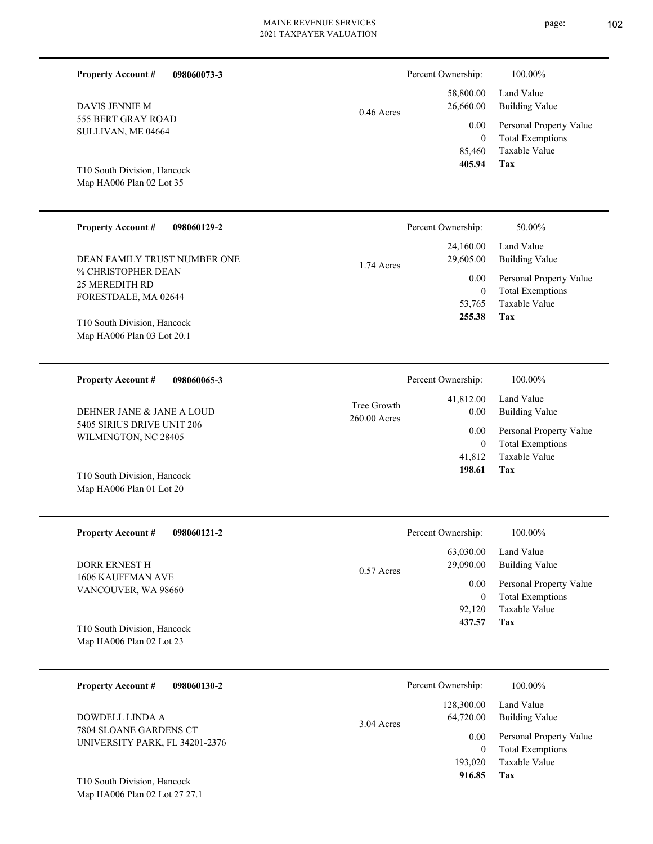| <b>Property Account #</b><br>098060073-3                            |                             | Percent Ownership:                         | 100.00%                                                                    |
|---------------------------------------------------------------------|-----------------------------|--------------------------------------------|----------------------------------------------------------------------------|
| DAVIS JENNIE M<br>555 BERT GRAY ROAD                                | $0.46$ Acres                |                                            | Land Value<br><b>Building Value</b>                                        |
| SULLIVAN, ME 04664                                                  |                             | 0.00<br>$\overline{0}$<br>85,460<br>405.94 | Personal Property Value<br><b>Total Exemptions</b><br>Taxable Value<br>Tax |
| T10 South Division, Hancock<br>Map HA006 Plan 02 Lot 35             |                             |                                            |                                                                            |
| <b>Property Account #</b><br>098060129-2                            |                             | Percent Ownership:                         | 50.00%                                                                     |
| DEAN FAMILY TRUST NUMBER ONE                                        | 1.74 Acres                  | 24,160.00<br>29,605.00                     | Land Value<br><b>Building Value</b>                                        |
| % CHRISTOPHER DEAN<br><b>25 MEREDITH RD</b><br>FORESTDALE, MA 02644 |                             | 0.00<br>$\overline{0}$<br>53,765           | Personal Property Value<br><b>Total Exemptions</b><br>Taxable Value        |
| T10 South Division, Hancock<br>Map HA006 Plan 03 Lot 20.1           |                             | 255.38                                     | Tax                                                                        |
| <b>Property Account #</b><br>098060065-3                            |                             | Percent Ownership:                         | 100.00%                                                                    |
| DEHNER JANE & JANE A LOUD                                           | Tree Growth<br>260.00 Acres | 41,812.00<br>0.00                          | Land Value<br><b>Building Value</b>                                        |
| 5405 SIRIUS DRIVE UNIT 206<br>WILMINGTON, NC 28405                  |                             | 0.00<br>$\overline{0}$<br>41,812           | Personal Property Value<br><b>Total Exemptions</b><br>Taxable Value        |
| T10 South Division, Hancock<br>Map HA006 Plan 01 Lot 20             |                             | 198.61                                     | Tax                                                                        |
| <b>Property Account #</b><br>098060121-2                            |                             | Percent Ownership:                         | 100.00%                                                                    |
| DORR ERNEST H                                                       | 0.57 Acres                  | 63,030.00<br>29,090.00                     | Land Value<br><b>Building Value</b>                                        |
| 1606 KAUFFMAN AVE<br>VANCOUVER, WA 98660                            |                             | 0.00<br>$\boldsymbol{0}$<br>92,120         | Personal Property Value<br><b>Total Exemptions</b><br>Taxable Value        |
| T10 South Division, Hancock<br>Map HA006 Plan 02 Lot 23             |                             | 437.57                                     | Tax                                                                        |
| 098060130-2<br><b>Property Account #</b>                            |                             | Percent Ownership:                         | 100.00%                                                                    |
| DOWDELL LINDA A                                                     | 3.04 Acres                  | 128,300.00<br>64,720.00                    | Land Value<br><b>Building Value</b>                                        |
| 7804 SLOANE GARDENS CT<br>UNIVERSITY PARK, FL 34201-2376            |                             | 0.00<br>$\mathbf{0}$                       | Personal Property Value<br><b>Total Exemptions</b>                         |
| T10 South Division, Hancock<br>Map HA006 Plan 02 Lot 27 27.1        |                             | 193,020<br>916.85                          | Taxable Value<br>Tax                                                       |
|                                                                     |                             |                                            |                                                                            |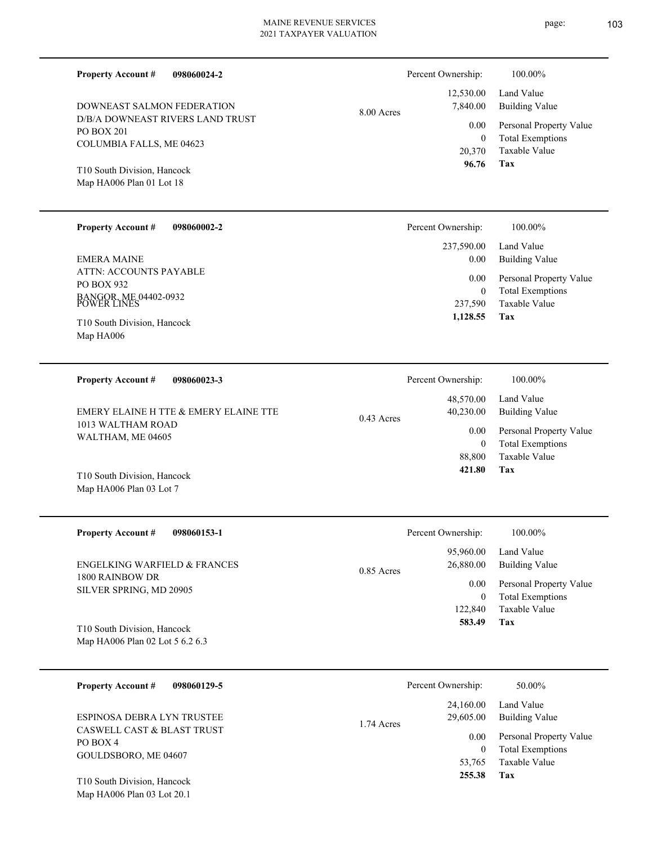| 098060024-2<br><b>Property Account #</b>              | Percent Ownership: |           | 100.00%                 |
|-------------------------------------------------------|--------------------|-----------|-------------------------|
|                                                       |                    | 12,530.00 | Land Value              |
| DOWNEAST SALMON FEDERATION                            | $8.00$ Acres       | 7,840.00  | Building Value          |
| D/B/A DOWNEAST RIVERS LAND TRUST<br><b>PO BOX 201</b> |                    | 0.00      | Personal Property Value |
| COLUMBIA FALLS, ME 04623                              |                    | 0         | <b>Total Exemptions</b> |
|                                                       |                    | 20,370    | Taxable Value           |
| T <sub>10</sub> South Division Hancock                |                    | 96.76     | Tax                     |

Map HA006 Plan 01 Lot 18 T10 South Division, Hancock

Map HA006 Plan 03 Lot 7

| <b>Property Account #</b><br>098060002-2                                     | Percent Ownership:   | 100.00%                                                             |
|------------------------------------------------------------------------------|----------------------|---------------------------------------------------------------------|
|                                                                              | 237,590.00           | Land Value                                                          |
| EMERA MAINE                                                                  | 0.00                 | Building Value                                                      |
| ATTN: ACCOUNTS PAYABLE<br>PO BOX 932<br>BANGOR, ME 04402-0932<br>POWER LINES | 0.00<br>0<br>237,590 | Personal Property Value<br><b>Total Exemptions</b><br>Taxable Value |
| T10 South Division, Hancock<br>Map HA006                                     | 1,128.55             | Tax                                                                 |

| <b>Property Account #</b><br>098060023-3                   | Percent Ownership:                     | 100.00%                                            |
|------------------------------------------------------------|----------------------------------------|----------------------------------------------------|
| EMERY ELAINE H TTE & EMERY ELAINE TTE<br>1013 WALTHAM ROAD | 48,570.00<br>40,230.00<br>$0.43$ Acres | Land Value<br>Building Value                       |
| WALTHAM, ME 04605                                          | 0.00                                   | Personal Property Value<br><b>Total Exemptions</b> |
|                                                            | 88,800                                 | Taxable Value                                      |
| T10 South Division, Hancock                                | 421.80                                 | Tax                                                |

| <b>Property Account #</b><br>098060153-1   | Percent Ownership:        | 100.00%                 |
|--------------------------------------------|---------------------------|-------------------------|
|                                            | 95,960.00                 | Land Value              |
| ENGELKING WARFIELD & FRANCES               | 26,880.00<br>$0.85$ Acres | Building Value          |
| 1800 RAINBOW DR<br>SILVER SPRING, MD 20905 | 0.00                      | Personal Property Value |
|                                            |                           | <b>Total Exemptions</b> |
|                                            | 122,840                   | Taxable Value           |
| T10 South Division, Hancock                | 583.49                    | Tax                     |
| Map HA006 Plan 02 Lot 5 6.2 6.3            |                           |                         |

| <b>Property Account #</b><br>098060129-5          | Percent Ownership:      | 50.00%                  |
|---------------------------------------------------|-------------------------|-------------------------|
|                                                   | 24,160.00               | Land Value              |
| ESPINOSA DEBRA LYN TRUSTEE                        | 29,605.00<br>1.74 Acres | Building Value          |
| <b>CASWELL CAST &amp; BLAST TRUST</b><br>PO BOX 4 | 0.00                    | Personal Property Value |
| GOULDSBORO, ME 04607                              | $\theta$                | <b>Total Exemptions</b> |
|                                                   | 53,765                  | Taxable Value           |
| T10 South Division, Hancock                       | 255.38                  | Tax                     |

Map HA006 Plan 03 Lot 20.1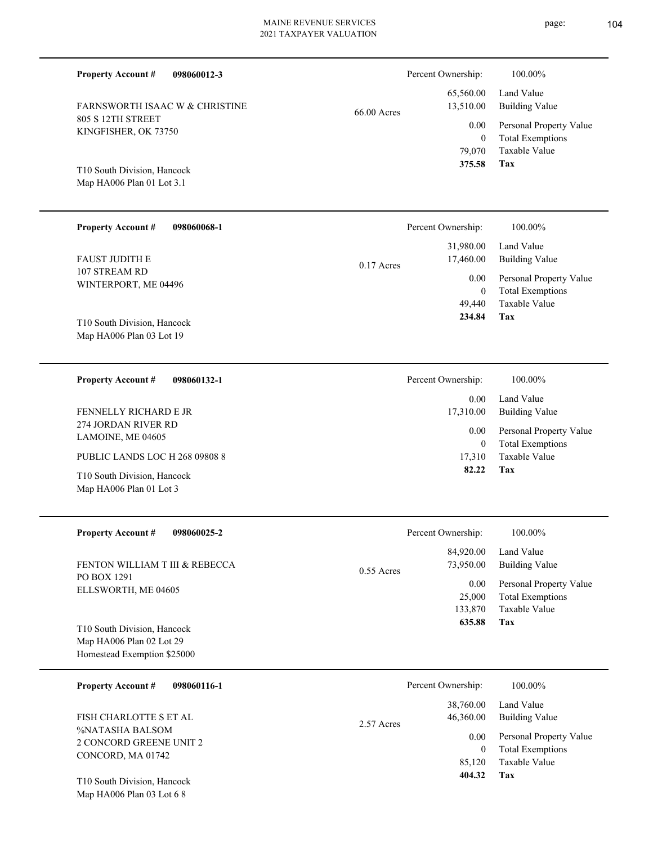| <b>Property Account #</b><br>098060012-3                                               |             | Percent Ownership:                           | 100.00%                                                                    |
|----------------------------------------------------------------------------------------|-------------|----------------------------------------------|----------------------------------------------------------------------------|
| FARNSWORTH ISAAC W & CHRISTINE                                                         | 66.00 Acres | 65,560.00<br>13,510.00                       | Land Value<br><b>Building Value</b>                                        |
| 805 S 12TH STREET<br>KINGFISHER, OK 73750                                              |             | 0.00<br>$\boldsymbol{0}$<br>79,070           | Personal Property Value<br><b>Total Exemptions</b><br>Taxable Value        |
| T10 South Division, Hancock<br>Map HA006 Plan 01 Lot 3.1                               |             | 375.58                                       | Tax                                                                        |
| <b>Property Account #</b><br>098060068-1                                               |             | Percent Ownership:                           | 100.00%                                                                    |
| FAUST JUDITH E                                                                         | 0.17 Acres  | 31,980.00<br>17,460.00                       | Land Value<br><b>Building Value</b>                                        |
| 107 STREAM RD<br>WINTERPORT, ME 04496                                                  |             | 0.00<br>$\boldsymbol{0}$<br>49,440<br>234.84 | Personal Property Value<br><b>Total Exemptions</b><br>Taxable Value<br>Tax |
| T10 South Division, Hancock<br>Map HA006 Plan 03 Lot 19                                |             |                                              |                                                                            |
| <b>Property Account #</b><br>098060132-1                                               |             | Percent Ownership:                           | 100.00%                                                                    |
| FENNELLY RICHARD E JR                                                                  |             | 0.00<br>17,310.00                            | Land Value<br><b>Building Value</b>                                        |
| 274 JORDAN RIVER RD<br>LAMOINE, ME 04605                                               |             | 0.00<br>$\boldsymbol{0}$                     | Personal Property Value<br><b>Total Exemptions</b>                         |
| PUBLIC LANDS LOC H 268 09808 8                                                         |             | 17,310                                       | Taxable Value                                                              |
| T10 South Division, Hancock<br>Map HA006 Plan 01 Lot 3                                 |             | 82.22                                        | Tax                                                                        |
| <b>Property Account #</b><br>098060025-2                                               |             | Percent Ownership:                           | 100.00%                                                                    |
| FENTON WILLIAM T III & REBECCA                                                         | 0.55 Acres  | 84,920.00<br>73,950.00                       | Land Value<br><b>Building Value</b>                                        |
| PO BOX 1291<br>ELLSWORTH, ME 04605                                                     |             | 0.00<br>25,000<br>133,870                    | Personal Property Value<br><b>Total Exemptions</b><br>Taxable Value        |
| T10 South Division, Hancock<br>Map HA006 Plan 02 Lot 29<br>Homestead Exemption \$25000 |             | 635.88                                       | <b>Tax</b>                                                                 |
| <b>Property Account #</b><br>098060116-1                                               |             | Percent Ownership:                           | 100.00%                                                                    |
|                                                                                        |             | 38,760.00                                    | Land Value                                                                 |

%NATASHA BALSOM 2 CONCORD GREENE UNIT 2 CONCORD, MA 01742 FISH CHARLOTTE S ET AL

Map HA006 Plan 03 Lot 6 8 T10 South Division, Hancock

|       | 84,920.00<br>73,950.00              | Land Value<br>Building Value                                               |
|-------|-------------------------------------|----------------------------------------------------------------------------|
| Acres | 0.00<br>25,000<br>133,870<br>635.88 | Personal Property Value<br><b>Total Exemptions</b><br>Taxable Value<br>Tax |

|            | Percent Ownership: | 100.00%                 |
|------------|--------------------|-------------------------|
|            | 38,760.00          | Land Value              |
| 2.57 Acres | 46,360.00          | Building Value          |
|            | 0.00               | Personal Property Value |
|            | 0                  | <b>Total Exemptions</b> |
|            | 85,120             | Taxable Value           |
|            | 404.32             | Tax                     |
|            |                    |                         |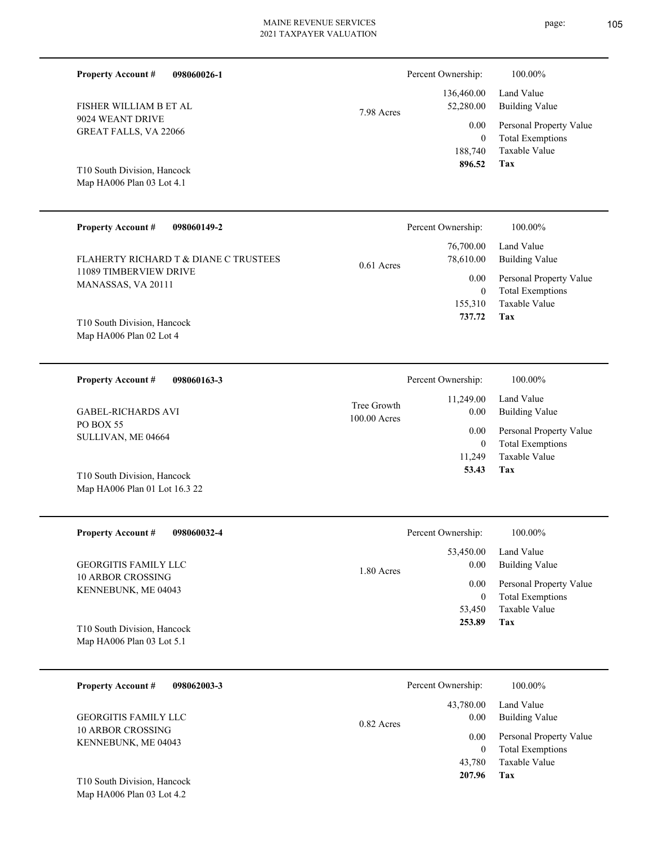| FISHER WILLIAM B ET AL<br>9024 WEANT DRIVE<br><b>GREAT FALLS, VA 22066</b><br>T10 South Division, Hancock<br>Map HA006 Plan 03 Lot 4.1 | 7.98 Acres   | 136,460.00<br>52,280.00<br>0.00<br>$\Omega$<br>188,740<br>896.52 |
|----------------------------------------------------------------------------------------------------------------------------------------|--------------|------------------------------------------------------------------|
| <b>Property Account #</b><br>098060149-2                                                                                               |              | Percent Ownership:                                               |
| FLAHERTY RICHARD T & DIANE C TRUSTEES<br>11089 TIMBERVIEW DRIVE<br>MANASSAS, VA 20111                                                  | $0.61$ Acres | 76,700.00<br>78,610.00<br>0.00<br>$\Omega$                       |
| T10 South Division, Hancock<br>Map HA006 Plan 02 Lot 4                                                                                 |              | 155,310<br>737.72                                                |

100.00 Acres Tree Growth

PO BOX 55 SULLIVAN, ME 04664 GABEL-RICHARDS AVI

**Property Account #**

**Property Account #**

Map HA006 Plan 01 Lot 16.3 22 T10 South Division, Hancock

| <b>Property Account #</b><br>098060032-4                   | Percent Ownership:              | 100.00%                                            |
|------------------------------------------------------------|---------------------------------|----------------------------------------------------|
| <b>GEORGITIS FAMILY LLC</b>                                | 53,450.00<br>0.00<br>1.80 Acres | Land Value<br><b>Building Value</b>                |
| 10 ARBOR CROSSING<br>KENNEBUNK, ME 04043                   | 0.00<br>$\overline{0}$          | Personal Property Value<br><b>Total Exemptions</b> |
|                                                            | 53,450                          | Taxable Value                                      |
| T10 South Division, Hancock<br>Map HA006 Plan 03 Lot $5.1$ | 253.89                          | Tax                                                |

| 098062003-3<br><b>Property Account #</b>                | Percent Ownership:                | 100.00%                                                             |
|---------------------------------------------------------|-----------------------------------|---------------------------------------------------------------------|
| <b>GEORGITIS FAMILY LLC</b><br><b>10 ARBOR CROSSING</b> | 43,780.00<br>0.00<br>$0.82$ Acres | Land Value<br><b>Building Value</b>                                 |
| KENNEBUNK, ME 04043                                     | 0.00<br>$\theta$<br>43,780        | Personal Property Value<br><b>Total Exemptions</b><br>Taxable Value |
| T10 South Division, Hancock                             | 207.96                            | Tax                                                                 |

**098060163-3**

**098060026-1**

Building Value Land Value  $100.00\%$ 

**Tax**

Percent Ownership:  $100.00\%$ 

Taxable Value Total Exemptions Personal Property Value

| Personal Property Value |
|-------------------------|
| <b>Total Exemptions</b> |
| Taxable Value           |
| Tax                     |
|                         |

| Percent Ownership:   | 100.00%                                            |
|----------------------|----------------------------------------------------|
| $0.00\,$             | 11,249.00 Land Value<br><b>Building Value</b>      |
| $0.00\,$<br>$\theta$ | Personal Property Value<br><b>Total Exemptions</b> |
| 11,249               | Taxable Value                                      |
| 53.43                | Tax                                                |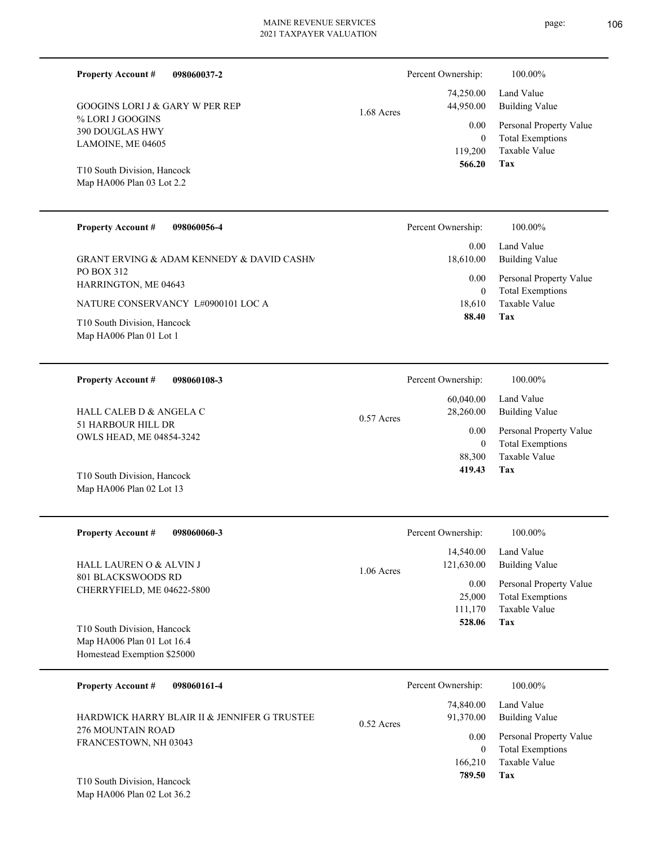Percent Ownership:  $100.00\%$ 

1.68 Acres

% LORI J GOOGINS 390 DOUGLAS HWY LAMOINE, ME 04605 GOOGINS LORI J & GARY W PER REP

**098060037-2**

Map HA006 Plan 03 Lot 2.2 T10 South Division, Hancock

**Property Account #**

| <b>Property Account #</b><br>098060056-4                                                                                                                                               | Percent Ownership:                                | 100.00%                                                                                                    |
|----------------------------------------------------------------------------------------------------------------------------------------------------------------------------------------|---------------------------------------------------|------------------------------------------------------------------------------------------------------------|
| GRANT ERVING & ADAM KENNEDY & DAVID CASHN<br>PO BOX 312<br><b>HARRINGTON, ME 04643</b><br>NATURE CONSERVANCY L#0900101 LOC A<br>T10 South Division, Hancock<br>Map HA006 Plan 01 Lot 1 | 0.00<br>18,610.00<br>0.00<br>0<br>18.610<br>88.40 | Land Value<br>Building Value<br>Personal Property Value<br><b>Total Exemptions</b><br>Taxable Value<br>Tax |
|                                                                                                                                                                                        |                                                   |                                                                                                            |

| 098060108-3<br><b>Property Account #</b>                                         | Percent Ownership:        | 100.00%                 |
|----------------------------------------------------------------------------------|---------------------------|-------------------------|
|                                                                                  | 60,040.00                 | Land Value              |
| HALL CALEB D & ANGELA C<br>51 HARBOUR HILL DR<br><b>OWLS HEAD, ME 04854-3242</b> | 28,260.00<br>$0.57$ Acres | Building Value          |
|                                                                                  | 0.00                      | Personal Property Value |
|                                                                                  | $\theta$                  | <b>Total Exemptions</b> |
|                                                                                  | 88,300                    | Taxable Value           |
| T10 South Division, Hancock                                                      | 419.43                    | Tax                     |

| <b>Property Account #</b><br>098060060-3                                                 | Percent Ownership:                                        | 100.00%                                                                            |
|------------------------------------------------------------------------------------------|-----------------------------------------------------------|------------------------------------------------------------------------------------|
| <b>HALL LAUREN O &amp; ALVIN J</b><br>801 BLACKSWOODS RD<br>CHERRYFIELD, ME 04622-5800   | 14.540.00<br>121,630.00<br>$1.06$ Acres<br>0.00<br>25,000 | Land Value<br>Building Value<br>Personal Property Value<br><b>Total Exemptions</b> |
|                                                                                          | 111,170<br>528.06                                         | Taxable Value<br>Tax                                                               |
| T10 South Division, Hancock<br>Map HA006 Plan 01 Lot 16.4<br>Homestead Exemption \$25000 |                                                           |                                                                                    |

| <b>Property Account #</b><br>098060161-4                                                   | Percent Ownership:                                             | 100.00%                                                                                             |
|--------------------------------------------------------------------------------------------|----------------------------------------------------------------|-----------------------------------------------------------------------------------------------------|
| HARDWICK HARRY BLAIR II & JENNIFER G TRUSTEE<br>276 MOUNTAIN ROAD<br>FRANCESTOWN, NH 03043 | 74,840.00<br>91.370.00<br>$0.52$ Acres<br>0.00<br>0<br>166,210 | Land Value<br>Building Value<br>Personal Property Value<br><b>Total Exemptions</b><br>Taxable Value |
| T10 South Division, Hancock                                                                | 789.50                                                         | Tax                                                                                                 |

Map HA006 Plan 02 Lot 36.2

Map HA006 Plan 02 Lot 13

**Tax**

 119,200 0

0.00

 74,250.00 44,950.00

 **566.20**

Taxable Value Total Exemptions Personal Property Value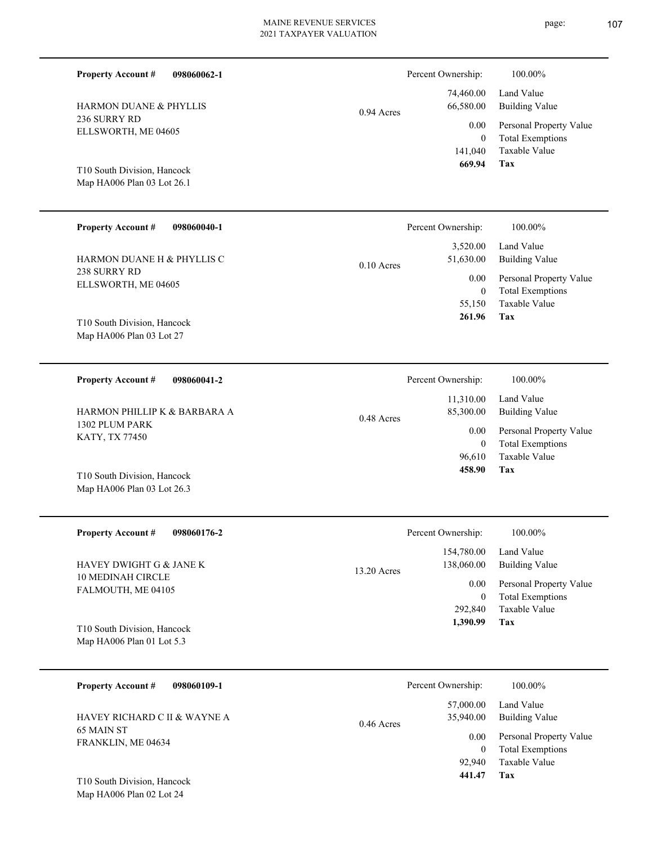| <b>HARMON DUANE &amp; PHYLLIS</b><br>236 SURRY RD<br>ELLSWORTH, ME 04605 | $0.94$ Acres | 74,460.00<br>66,580.00<br>0.00<br>$\Omega$<br>141,040<br>669.94 |
|--------------------------------------------------------------------------|--------------|-----------------------------------------------------------------|
| T10 South Division, Hancock<br>Map HA006 Plan 03 Lot 26.1                |              |                                                                 |
| <b>Property Account #</b><br>098060040-1                                 |              | Percent Ownership:                                              |
| HARMON DUANE H & PHYLLIS C<br>238 SURRY RD                               | $0.10$ Acres | 3,520.00<br>51,630.00                                           |
| ELLSWORTH, ME 04605                                                      |              | 0.00<br>$\theta$<br>55,150                                      |
| T10 South Division, Hancock<br>Map HA006 Plan 03 Lot 27                  |              | 261.96                                                          |
| <b>Property Account #</b><br>098060041-2                                 |              | Percent Ownership:                                              |
| HARMON PHILLIP K & BARBARA A                                             |              | 11,310.00<br>85,300.00                                          |

0.48 Acres

1302 PLUM PARK KATY, TX 77450 HARMON PHILLIP K & BARBARA A

**098060062-1**

**Property Account #**

Map HA006 Plan 03 Lot 26.3 T10 South Division, Hancock

| <b>Property Account #</b><br>098060176-2                                             | Percent Ownership:          | 100.00%                                  |
|--------------------------------------------------------------------------------------|-----------------------------|------------------------------------------|
|                                                                                      | 154,780.00                  | Land Value                               |
| <b>HAVEY DWIGHT G &amp; JANE K</b><br><b>10 MEDINAH CIRCLE</b><br>FALMOUTH, ME 04105 | 138,060.00<br>$13.20$ Acres | <b>Building Value</b>                    |
|                                                                                      | 0.00                        | Personal Property Value                  |
|                                                                                      | 0<br>292,840                | <b>Total Exemptions</b><br>Taxable Value |
| T10 South Division, Hancock                                                          | 1,390.99                    | Tax                                      |
| Map HA006 Plan 01 Lot $5.3$                                                          |                             |                                          |
|                                                                                      |                             |                                          |
|                                                                                      |                             |                                          |

| 098060109-1<br><b>Property Account #</b>                         | Percent Ownership:                     | 100.00%                                            |
|------------------------------------------------------------------|----------------------------------------|----------------------------------------------------|
| HAVEY RICHARD C II & WAYNE A<br>65 MAIN ST<br>FRANKLIN, ME 04634 | 57,000.00<br>35,940.00<br>$0.46$ Acres | Land Value<br><b>Building Value</b>                |
|                                                                  | 0.00<br>$\Omega$                       | Personal Property Value<br><b>Total Exemptions</b> |
|                                                                  | 92,940                                 | Taxable Value                                      |
| T10 South Division, Hancock                                      | 441.47                                 | Tax                                                |

Map HA006 Plan 02 Lot 24

**Tax**

**Tax**

**Tax**

 96,610 0

0.00

 **458.90**

Taxable Value Total Exemptions Personal Property Value

Building Value Land Value

100.00%

Taxable Value Total Exemptions Personal Property Value

Building Value Land Value

100.00%

Percent Ownership:  $100.00\%$ 

Taxable Value Total Exemptions Personal Property Value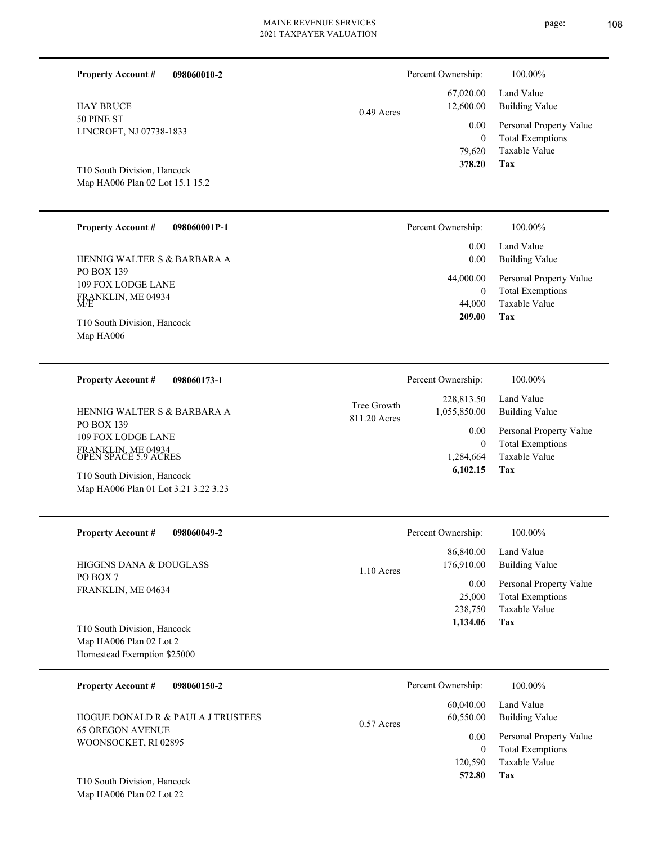| <b>Property Account#</b><br>098060010-2                                        |                             | Percent Ownership:<br>67,020.00             | 100.00%<br>Land Value                                                                        |
|--------------------------------------------------------------------------------|-----------------------------|---------------------------------------------|----------------------------------------------------------------------------------------------|
| <b>HAY BRUCE</b><br>50 PINE ST<br>LINCROFT, NJ 07738-1833                      | $0.49$ Acres                | 12,600.00<br>0.00<br>$\mathbf{0}$<br>79,620 | <b>Building Value</b><br>Personal Property Value<br><b>Total Exemptions</b><br>Taxable Value |
| T10 South Division, Hancock<br>Map HA006 Plan 02 Lot 15.1 15.2                 |                             | 378.20                                      | Tax                                                                                          |
| <b>Property Account #</b><br>098060001P-1                                      |                             | Percent Ownership:                          | 100.00%                                                                                      |
| HENNIG WALTER S & BARBARA A                                                    |                             | 0.00<br>0.00                                | Land Value<br><b>Building Value</b>                                                          |
| PO BOX 139<br>109 FOX LODGE LANE                                               |                             | 44,000.00<br>$\mathbf{0}$                   | Personal Property Value<br><b>Total Exemptions</b>                                           |
| FRANKLIN, ME 04934<br>T10 South Division, Hancock<br>Map HA006                 |                             | 44,000<br>209.00                            | Taxable Value<br>Tax                                                                         |
|                                                                                |                             |                                             |                                                                                              |
| <b>Property Account #</b><br>098060173-1                                       |                             | Percent Ownership:                          | 100.00%                                                                                      |
| HENNIG WALTER S & BARBARA A                                                    | Tree Growth<br>811.20 Acres | 228,813.50<br>1,055,850.00                  | Land Value<br><b>Building Value</b>                                                          |
| PO BOX 139<br>109 FOX LODGE LANE<br>FRANKLIN, ME 04934<br>OPEN SPACE 5.9 ACRES |                             | 0.00<br>$\theta$<br>1,284,664<br>6,102.15   | Personal Property Value<br><b>Total Exemptions</b><br>Taxable Value<br>Tax                   |
| T10 South Division, Hancock<br>Map HA006 Plan 01 Lot 3.21 3.22 3.23            |                             |                                             |                                                                                              |
| 098060049-2<br><b>Property Account #</b>                                       |                             | Percent Ownership:                          | 100.00%                                                                                      |
| <b>HIGGINS DANA &amp; DOUGLASS</b>                                             | 1.10 Acres                  | 86,840.00<br>176,910.00                     | Land Value<br><b>Building Value</b>                                                          |
| PO BOX 7<br>FRANKLIN, ME 04634                                                 |                             | 0.00<br>25,000<br>238,750<br>1,134.06       | Personal Property Value<br><b>Total Exemptions</b><br>Taxable Value<br><b>Tax</b>            |
| T10 South Division, Hancock<br>Map HA006 Plan 02 Lot 2                         |                             |                                             |                                                                                              |
| Homestead Exemption \$25000                                                    |                             |                                             |                                                                                              |
| <b>Property Account #</b><br>098060150-2                                       |                             | Percent Ownership:                          | 100.00%                                                                                      |
| HOGUE DONALD R & PAULA J TRUSTEES                                              | 0.57 Acres                  | 60,040.00<br>60,550.00                      | Land Value<br><b>Building Value</b>                                                          |
| <b>65 OREGON AVENUE</b><br>WOONSOCKET, RI 02895                                |                             | 0.00<br>$\boldsymbol{0}$<br>120,590         | Personal Property Value<br><b>Total Exemptions</b><br>Taxable Value                          |
| T10 South Division, Hancock<br>Map HA006 Plan 02 Lot 22                        |                             | 572.80                                      | Tax                                                                                          |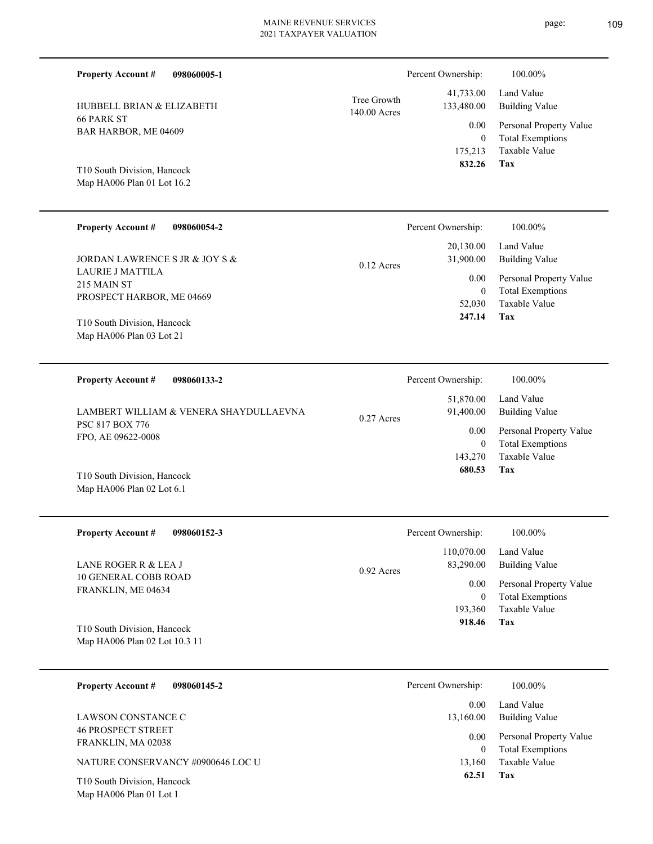| <b>Property Account #</b>                                           | 098060005-1                            |                             | Percent Ownership:                  | 100.00%                                                                    |
|---------------------------------------------------------------------|----------------------------------------|-----------------------------|-------------------------------------|----------------------------------------------------------------------------|
| HUBBELL BRIAN & ELIZABETH                                           |                                        | Tree Growth<br>140.00 Acres | 41,733.00<br>133,480.00             | Land Value<br><b>Building Value</b>                                        |
| <b>66 PARK ST</b><br>BAR HARBOR, ME 04609                           |                                        |                             | 0.00<br>$\boldsymbol{0}$<br>175,213 | Personal Property Value<br><b>Total Exemptions</b><br>Taxable Value        |
| T10 South Division, Hancock<br>Map HA006 Plan 01 Lot 16.2           |                                        |                             | 832.26                              | Tax                                                                        |
| <b>Property Account #</b>                                           | 098060054-2                            |                             | Percent Ownership:                  | 100.00%                                                                    |
| JORDAN LAWRENCE S JR & JOY S &                                      |                                        | $0.12$ Acres                | 20,130.00<br>31,900.00              | Land Value<br><b>Building Value</b>                                        |
| <b>LAURIE J MATTILA</b><br>215 MAIN ST<br>PROSPECT HARBOR, ME 04669 |                                        |                             | 0.00<br>$\mathbf{0}$<br>52,030      | Personal Property Value<br><b>Total Exemptions</b><br><b>Taxable Value</b> |
| T10 South Division, Hancock<br>Map HA006 Plan 03 Lot 21             |                                        |                             | 247.14                              | Tax                                                                        |
| <b>Property Account #</b>                                           | 098060133-2                            |                             | Percent Ownership:                  | 100.00%                                                                    |
|                                                                     | LAMBERT WILLIAM & VENERA SHAYDULLAEVNA | 0.27 Acres                  | 51,870.00<br>91,400.00              | Land Value<br><b>Building Value</b>                                        |
| PSC 817 BOX 776<br>FPO, AE 09622-0008                               |                                        |                             | 0.00<br>$\mathbf{0}$<br>143,270     | Personal Property Value<br><b>Total Exemptions</b><br>Taxable Value        |
| T10 South Division, Hancock<br>Map HA006 Plan 02 Lot 6.1            |                                        |                             | 680.53                              | Tax                                                                        |
| <b>Property Account #</b>                                           | 098060152-3                            |                             | Percent Ownership:                  | 100.00%                                                                    |

| $110$ pcl ty Account $\pi$<br><u>020000132-3</u>             | I CIUCIII OWIICISHID.     | 100.0070                |
|--------------------------------------------------------------|---------------------------|-------------------------|
|                                                              | 110,070.00                | Land Value              |
| LANE ROGER R & LEA J                                         | 83,290.00<br>$0.92$ Acres | <b>Building Value</b>   |
| <b>10 GENERAL COBB ROAD</b><br>FRANKLIN, ME 04634            | 0.00                      | Personal Property Value |
|                                                              | 0                         | <b>Total Exemptions</b> |
|                                                              | 193.360                   | Taxable Value           |
| T10 South Division, Hancock<br>Map HA006 Plan 02 Lot 10.3 11 | 918.46                    | Tax                     |
|                                                              |                           |                         |

| 098060145-2<br><b>Property Account #</b>               | Percent Ownership: | 100.00%                                            |
|--------------------------------------------------------|--------------------|----------------------------------------------------|
| LAWSON CONSTANCE C                                     | 0.00<br>13,160.00  | Land Value<br>Building Value                       |
| <b>46 PROSPECT STREET</b><br>FRANKLIN, MA 02038        | 0.00<br>$\bf{0}$   | Personal Property Value<br><b>Total Exemptions</b> |
| NATURE CONSERVANCY #0900646 LOC U                      | 13,160             | Taxable Value                                      |
| T10 South Division, Hancock<br>Map HA006 Plan 01 Lot 1 | 62.51              | Tax                                                |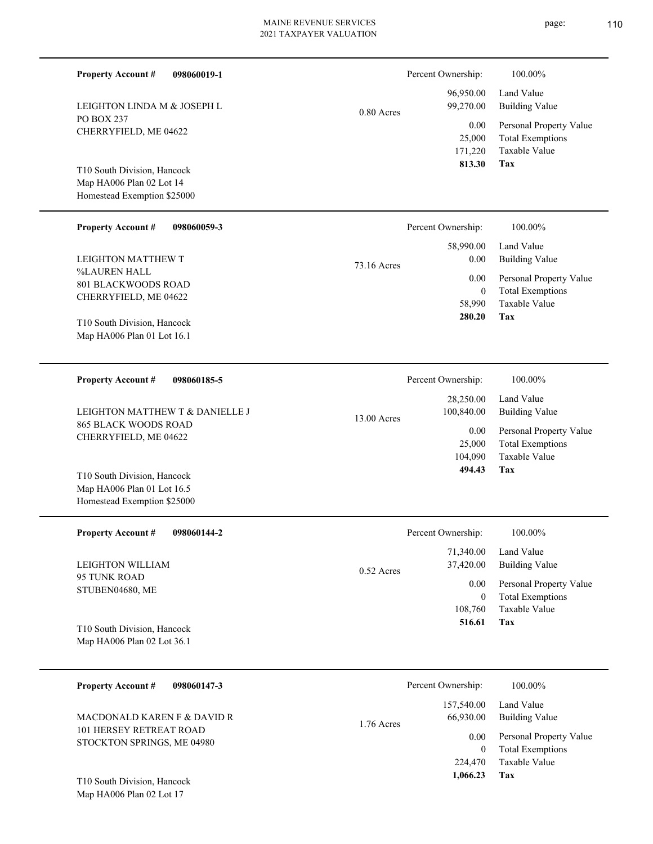| <b>Property Account #</b><br>098060019-1                                                 |             | Percent Ownership:                            | 100.00%                                                                    |
|------------------------------------------------------------------------------------------|-------------|-----------------------------------------------|----------------------------------------------------------------------------|
| LEIGHTON LINDA M & JOSEPH L                                                              | 0.80 Acres  | 96,950.00<br>99,270.00                        | Land Value<br><b>Building Value</b>                                        |
| <b>PO BOX 237</b><br>CHERRYFIELD, ME 04622                                               |             | 0.00<br>25,000<br>171,220                     | Personal Property Value<br><b>Total Exemptions</b><br>Taxable Value        |
| T10 South Division, Hancock<br>Map HA006 Plan 02 Lot 14<br>Homestead Exemption \$25000   |             | 813.30                                        | Tax                                                                        |
| <b>Property Account #</b><br>098060059-3                                                 |             | Percent Ownership:                            | 100.00%                                                                    |
| LEIGHTON MATTHEW T                                                                       | 73.16 Acres | 58,990.00<br>0.00                             | Land Value<br><b>Building Value</b>                                        |
| %LAUREN HALL<br>801 BLACKWOODS ROAD<br>CHERRYFIELD, ME 04622                             |             | 0.00<br>$\mathbf{0}$<br>58,990<br>280.20      | Personal Property Value<br><b>Total Exemptions</b><br>Taxable Value<br>Tax |
| T10 South Division, Hancock<br>Map HA006 Plan 01 Lot 16.1                                |             |                                               |                                                                            |
| <b>Property Account #</b><br>098060185-5                                                 |             | Percent Ownership:                            | 100.00%                                                                    |
| LEIGHTON MATTHEW T & DANIELLE J                                                          |             | 28,250.00<br>100,840.00                       | Land Value<br><b>Building Value</b>                                        |
| <b>865 BLACK WOODS ROAD</b><br>CHERRYFIELD, ME 04622                                     | 13.00 Acres | 0.00<br>25,000<br>104,090                     | Personal Property Value<br><b>Total Exemptions</b><br>Taxable Value        |
| T10 South Division, Hancock<br>Map HA006 Plan 01 Lot 16.5<br>Homestead Exemption \$25000 |             | 494.43                                        | Tax                                                                        |
| <b>Property Account #</b><br>098060144-2                                                 |             | Percent Ownership:                            | 100.00%                                                                    |
| LEIGHTON WILLIAM                                                                         | 0.52 Acres  | 71,340.00<br>37,420.00                        | Land Value<br><b>Building Value</b>                                        |
| 95 TUNK ROAD<br>STUBEN04680, ME                                                          |             | 0.00<br>$\mathbf{0}$                          | Personal Property Value<br><b>Total Exemptions</b>                         |
| T10 South Division, Hancock<br>Map HA006 Plan 02 Lot 36.1                                |             | 108,760<br>516.61                             | Taxable Value<br>Tax                                                       |
| <b>Property Account #</b><br>098060147-3                                                 |             | Percent Ownership:                            | 100.00%                                                                    |
| MACDONALD KAREN F & DAVID R                                                              | 1.76 Acres  | 157,540.00<br>66,930.00                       | Land Value<br><b>Building Value</b>                                        |
| 101 HERSEY RETREAT ROAD<br>STOCKTON SPRINGS, ME 04980<br>T10 South Division, Hancock     |             | 0.00<br>$\overline{0}$<br>224,470<br>1,066.23 | Personal Property Value<br><b>Total Exemptions</b><br>Taxable Value<br>Tax |
| Map HA006 Plan 02 Lot 17                                                                 |             |                                               |                                                                            |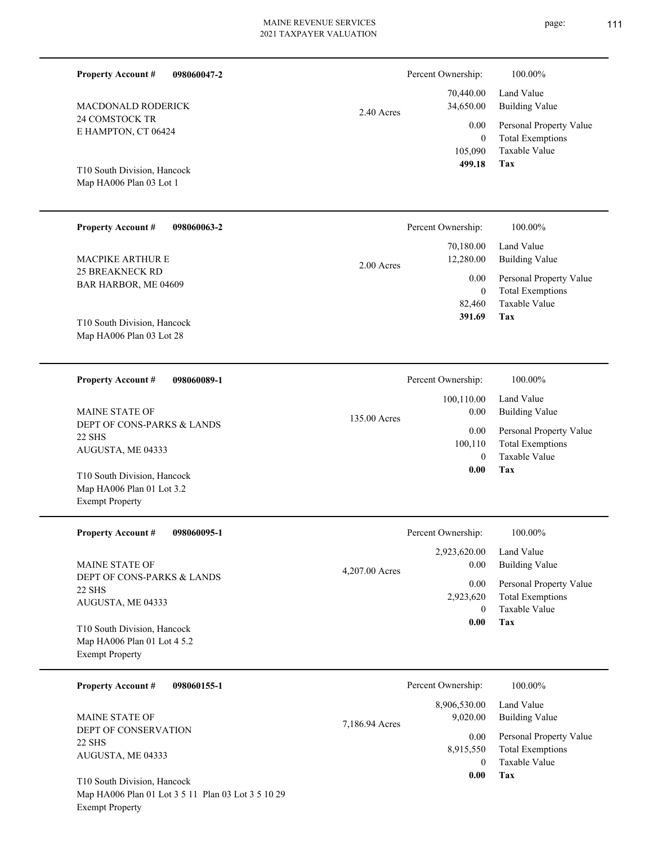| <b>Property Account #</b><br>098060047-2                                             |                | Percent Ownership:                                    | 100.00%                                                             |
|--------------------------------------------------------------------------------------|----------------|-------------------------------------------------------|---------------------------------------------------------------------|
| MACDONALD RODERICK                                                                   | 2.40 Acres     | 70,440.00<br>34,650.00                                | Land Value<br><b>Building Value</b>                                 |
| 24 COMSTOCK TR<br>E HAMPTON, CT 06424                                                |                | 0.00<br>$\mathbf{0}$<br>105,090                       | Personal Property Value<br><b>Total Exemptions</b><br>Taxable Value |
| T10 South Division, Hancock<br>Map HA006 Plan 03 Lot 1                               |                | 499.18                                                | Tax                                                                 |
| Property Account #<br>098060063-2                                                    |                | Percent Ownership:                                    | 100.00%                                                             |
| <b>MACPIKE ARTHUR E</b>                                                              | $2.00$ Acres   | 70,180.00<br>12,280.00                                | Land Value<br><b>Building Value</b>                                 |
| <b>25 BREAKNECK RD</b><br>BAR HARBOR, ME 04609                                       |                | 0.00<br>$\mathbf{0}$<br>82,460                        | Personal Property Value<br><b>Total Exemptions</b><br>Taxable Value |
| T10 South Division, Hancock<br>Map HA006 Plan 03 Lot 28                              |                | 391.69                                                | Tax                                                                 |
| <b>Property Account #</b><br>098060089-1                                             |                | Percent Ownership:                                    | 100.00%                                                             |
| <b>MAINE STATE OF</b>                                                                | 135.00 Acres   | 100,110.00<br>0.00<br>0.00<br>100,110<br>$\mathbf{0}$ | Land Value<br><b>Building Value</b>                                 |
| DEPT OF CONS-PARKS & LANDS<br><b>22 SHS</b><br>AUGUSTA, ME 04333                     |                |                                                       | Personal Property Value<br><b>Total Exemptions</b><br>Taxable Value |
| T10 South Division, Hancock<br>Map HA006 Plan 01 Lot 3.2<br><b>Exempt Property</b>   |                | 0.00                                                  | Tax                                                                 |
| <b>Property Account #</b><br>098060095-1                                             |                | Percent Ownership:                                    | 100.00%                                                             |
| <b>MAINE STATE OF</b>                                                                | 4,207.00 Acres | 2,923,620.00<br>0.00                                  | Land Value<br><b>Building Value</b>                                 |
| DEPT OF CONS-PARKS & LANDS<br><b>22 SHS</b><br>AUGUSTA, ME 04333                     |                | 0.00<br>2,923,620<br>$\overline{0}$                   | Personal Property Value<br><b>Total Exemptions</b><br>Taxable Value |
| T10 South Division, Hancock<br>Map HA006 Plan 01 Lot 4 5.2<br><b>Exempt Property</b> |                | 0.00                                                  | Tax                                                                 |
| <b>Property Account #</b><br>098060155-1                                             |                | Percent Ownership:                                    | 100.00%                                                             |
| MAINE STATE OF                                                                       | 7,186.94 Acres | 8,906,530.00<br>9,020.00                              | Land Value<br><b>Building Value</b>                                 |
| DEPT OF CONSERVATION<br><b>22 SHS</b><br>AUGUSTA, ME 04333                           |                | 0.00<br>8,915,550<br>$\overline{0}$                   | Personal Property Value<br><b>Total Exemptions</b><br>Taxable Value |
| T10 South Division, Hancock<br>Map HA006 Plan 01 Lot 3 5 11 Plan 03 Lot 3 5 10 29    |                | 0.00                                                  | Tax                                                                 |

Exempt Property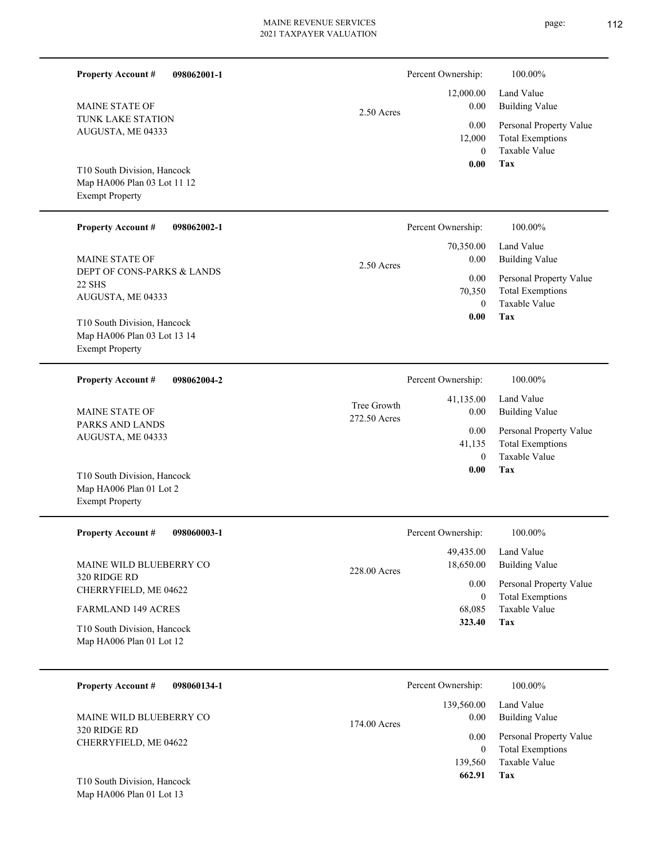| <b>Property Account #</b><br>098062001-1                                         |                             | Percent Ownership:                        | 100.00%                                                                           |
|----------------------------------------------------------------------------------|-----------------------------|-------------------------------------------|-----------------------------------------------------------------------------------|
| <b>MAINE STATE OF</b>                                                            | $2.50$ Acres                | 12,000.00<br>0.00                         | Land Value<br><b>Building Value</b>                                               |
| TUNK LAKE STATION<br>AUGUSTA, ME 04333                                           |                             | 0.00<br>12,000<br>$\mathbf{0}$            | Personal Property Value<br><b>Total Exemptions</b><br>Taxable Value               |
| T10 South Division, Hancock                                                      |                             | 0.00                                      | Tax                                                                               |
| Map HA006 Plan 03 Lot 11 12<br><b>Exempt Property</b>                            |                             |                                           |                                                                                   |
| <b>Property Account #</b><br>098062002-1                                         |                             | Percent Ownership:                        | 100.00%                                                                           |
| MAINE STATE OF                                                                   | 2.50 Acres                  | 70,350.00<br>0.00                         | Land Value<br><b>Building Value</b>                                               |
| DEPT OF CONS-PARKS & LANDS<br>22 SHS<br>AUGUSTA, ME 04333                        |                             | 0.00<br>70,350                            | Personal Property Value<br><b>Total Exemptions</b>                                |
| T10 South Division, Hancock                                                      |                             | $\mathbf{0}$<br>0.00                      | Taxable Value<br>Tax                                                              |
| Map HA006 Plan 03 Lot 13 14<br><b>Exempt Property</b>                            |                             |                                           |                                                                                   |
| <b>Property Account #</b><br>098062004-2                                         |                             | Percent Ownership:                        | 100.00%                                                                           |
| MAINE STATE OF                                                                   | Tree Growth<br>272.50 Acres | 41,135.00<br>0.00                         | Land Value<br><b>Building Value</b>                                               |
| PARKS AND LANDS<br>AUGUSTA, ME 04333                                             |                             | 0.00<br>41,135<br>$\theta$                | Personal Property Value<br><b>Total Exemptions</b><br>Taxable Value               |
| T10 South Division, Hancock<br>Map HA006 Plan 01 Lot 2<br><b>Exempt Property</b> |                             | 0.00                                      | Tax                                                                               |
| 098060003-1<br><b>Property Account #</b>                                         |                             | Percent Ownership:                        | 100.00%                                                                           |
| MAINE WILD BLUEBERRY CO                                                          | 228.00 Acres                | 49,435.00<br>18,650.00                    | Land Value<br><b>Building Value</b>                                               |
| 320 RIDGE RD<br>CHERRYFIELD, ME 04622                                            |                             | 0.00<br>$\mathbf{0}$                      | Personal Property Value<br><b>Total Exemptions</b>                                |
| <b>FARMLAND 149 ACRES</b>                                                        |                             | 68,085<br>323.40                          | Taxable Value<br>Tax                                                              |
| T10 South Division, Hancock<br>Map HA006 Plan 01 Lot 12                          |                             |                                           |                                                                                   |
| <b>Property Account #</b><br>098060134-1                                         |                             | Percent Ownership:                        | 100.00%                                                                           |
| MAINE WILD BLUEBERRY CO                                                          | 174.00 Acres                | 139,560.00<br>0.00                        | Land Value<br><b>Building Value</b>                                               |
| 320 RIDGE RD<br>CHERRYFIELD, ME 04622                                            |                             | 0.00<br>$\mathbf{0}$<br>139,560<br>662.91 | Personal Property Value<br><b>Total Exemptions</b><br>Taxable Value<br><b>Tax</b> |
| T10 South Division, Hancock                                                      |                             |                                           |                                                                                   |

Map HA006 Plan 01 Lot 13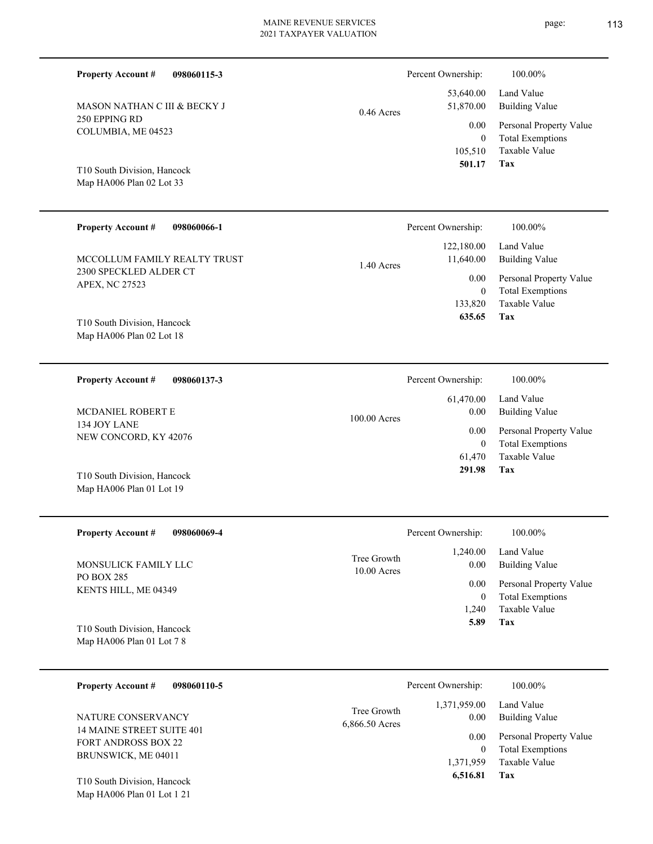| <b>Property Account #</b>                                          | 098060115-3 |              | Percent Ownership:                    | 100.00%                                                                    |
|--------------------------------------------------------------------|-------------|--------------|---------------------------------------|----------------------------------------------------------------------------|
| MASON NATHAN C III & BECKY J                                       |             | $0.46$ Acres | 53,640.00<br>51,870.00                | Land Value<br><b>Building Value</b>                                        |
| 250 EPPING RD<br>COLUMBIA, ME 04523<br>T10 South Division, Hancock |             |              | 0.00<br>$\theta$<br>105,510<br>501.17 | Personal Property Value<br><b>Total Exemptions</b><br>Taxable Value<br>Tax |
| Map HA006 Plan 02 Lot 33                                           |             |              |                                       |                                                                            |
| <b>Property Account #</b>                                          | 098060066-1 |              | Percent Ownership:                    | 100.00%                                                                    |
| MCCOLLUM FAMILY REALTY TRUST                                       |             | 1.40 Acres   | 122,180.00<br>11,640.00               | Land Value<br><b>Building Value</b>                                        |
| 2300 SPECKLED ALDER CT<br>APEX, NC 27523                           |             |              | 0.00<br>$\boldsymbol{0}$<br>133,820   | Personal Property Value<br><b>Total Exemptions</b><br>Taxable Value        |
| T10 South Division, Hancock<br>Map HA006 Plan 02 Lot 18            |             |              | 635.65                                | <b>Tax</b>                                                                 |
| <b>Property Account #</b>                                          | 098060137-3 |              | Percent Ownership:                    | 100.00%                                                                    |
| MCDANIEL ROBERT E                                                  |             | 100.00 Acres | 61,470.00<br>0.00                     | Land Value<br><b>Building Value</b>                                        |
| 134 JOY LANE<br>NEW CONCORD, KY 42076                              |             |              | 0.00<br>$\mathbf{0}$<br>61,470        | Personal Property Value<br><b>Total Exemptions</b><br>Taxable Value        |
| T10 South Division, Hancock                                        |             |              | 291.98                                | Tax                                                                        |

| <b>Property Account #</b><br>098060069-4 |                              | Percent Ownership: | 100.00%                 |
|------------------------------------------|------------------------------|--------------------|-------------------------|
|                                          |                              | 1,240.00           | Land Value              |
| MONSULICK FAMILY LLC                     | Tree Growth<br>$10.00$ Acres | 0.00               | <b>Building Value</b>   |
| PO BOX 285                               |                              | 0.00               | Personal Property Value |
| KENTS HILL, ME 04349                     |                              | $\mathbf{0}$       | <b>Total Exemptions</b> |
|                                          |                              | 1.240              | Taxable Value           |
| T10 South Division, Hancock              |                              | 5.89               | Tax                     |
| Map HA006 Plan 01 Lot 7 8                |                              |                    |                         |
|                                          |                              |                    |                         |

Map HA006 Plan 01 Lot 19

| <b>Property Account #</b><br>098060110-5                                       |                               | Percent Ownership:    | 100.00%                                            |
|--------------------------------------------------------------------------------|-------------------------------|-----------------------|----------------------------------------------------|
| NATURE CONSERVANCY                                                             | Tree Growth<br>6,866.50 Acres | 1,371,959.00<br>0.00  | Land Value<br>Building Value                       |
| 14 MAINE STREET SUITE 401<br><b>FORT ANDROSS BOX 22</b><br>BRUNSWICK, ME 04011 |                               | 0.00<br>0             | Personal Property Value<br><b>Total Exemptions</b> |
|                                                                                |                               | 1,371,959<br>6,516.81 | Taxable Value<br>Tax                               |
| T10 South Division, Hancock<br>Map HA006 Plan 01 Lot 1 21                      |                               |                       |                                                    |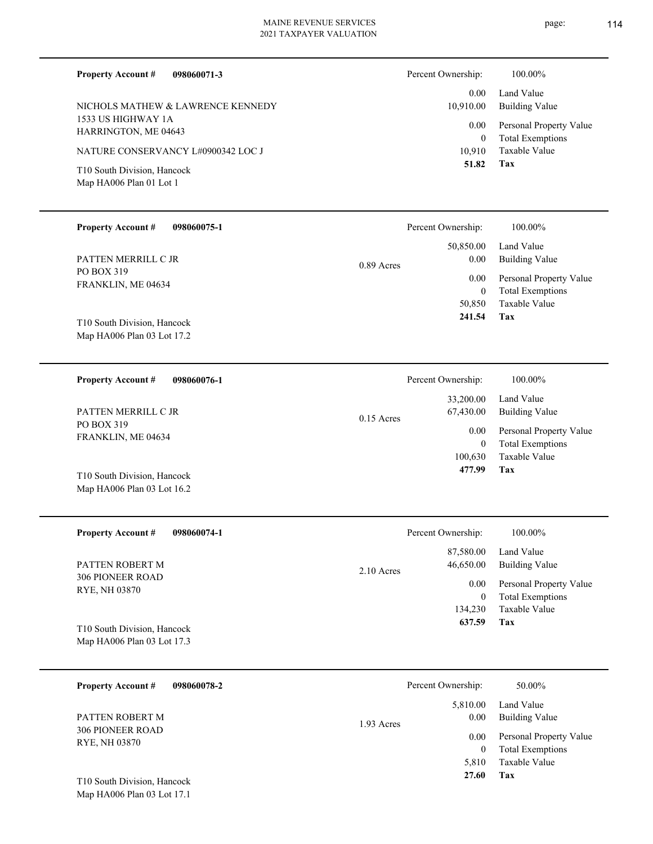| <b>Property Account #</b><br>098060071-3<br>NICHOLS MATHEW & LAWRENCE KENNEDY<br>1533 US HIGHWAY 1A<br>HARRINGTON, ME 04643<br>NATURE CONSERVANCY L#0900342 LOC J<br>T10 South Division, Hancock<br>Map HA006 Plan 01 Lot 1 | Percent Ownership:<br>0.00<br>10,910.00<br>0.00<br>$\mathbf{0}$<br>10,910<br>51.82 | 100.00%<br>Land Value<br><b>Building Value</b><br>Personal Property Value<br><b>Total Exemptions</b><br>Taxable Value<br>Tax |
|-----------------------------------------------------------------------------------------------------------------------------------------------------------------------------------------------------------------------------|------------------------------------------------------------------------------------|------------------------------------------------------------------------------------------------------------------------------|
| <b>Property Account #</b><br>098060075-1                                                                                                                                                                                    | Percent Ownership:                                                                 | 100.00%                                                                                                                      |
| PATTEN MERRILL C JR                                                                                                                                                                                                         | 50,850.00<br>0.00<br>$0.89$ Acres                                                  | Land Value<br><b>Building Value</b>                                                                                          |
| PO BOX 319<br>FRANKLIN, ME 04634                                                                                                                                                                                            | 0.00<br>$\mathbf{0}$                                                               | Personal Property Value<br><b>Total Exemptions</b>                                                                           |
| T10 South Division, Hancock                                                                                                                                                                                                 | 50,850<br>241.54                                                                   | Taxable Value<br>Tax                                                                                                         |

| 098060076-1<br><b>Property Account #</b> | Percent Ownership:        | 100.00%                 |
|------------------------------------------|---------------------------|-------------------------|
|                                          | 33,200.00                 | Land Value              |
| PATTEN MERRILL C JR                      | 67,430.00<br>$0.15$ Acres | Building Value          |
| PO BOX 319<br>FRANKLIN, ME 04634         | 0.00                      | Personal Property Value |
|                                          | 0                         | <b>Total Exemptions</b> |
|                                          | 100.630                   | Taxable Value           |
| T10 South Division, Hancock              | 477.99                    | Tax                     |
| Map HA006 Plan 03 Lot 16.2               |                           |                         |

| <b>Property Account #</b><br>098060074-1                  | Percent Ownership:                     | 100.00%                                            |
|-----------------------------------------------------------|----------------------------------------|----------------------------------------------------|
| PATTEN ROBERT M                                           | 87,580.00<br>46,650.00<br>$2.10$ Acres | Land Value<br>Building Value                       |
| <b>306 PIONEER ROAD</b><br>RYE, NH 03870                  | 0.00<br>0                              | Personal Property Value<br><b>Total Exemptions</b> |
|                                                           | 134,230                                | Taxable Value                                      |
| T10 South Division, Hancock<br>Map HA006 Plan 03 Lot 17.3 | 637.59                                 | Tax                                                |

| 098060078-2<br><b>Property Account #</b>                  | Percent Ownership:               | 50.00%                                             |
|-----------------------------------------------------------|----------------------------------|----------------------------------------------------|
| PATTEN ROBERT M                                           | 5,810.00<br>0.00<br>$1.93$ Acres | Land Value<br><b>Building Value</b>                |
| <b>306 PIONEER ROAD</b><br>RYE, NH 03870                  | 0.00<br>$\mathbf{0}$             | Personal Property Value<br><b>Total Exemptions</b> |
|                                                           | 5.810<br>27.60                   | Taxable Value<br>Tax                               |
| T10 South Division, Hancock<br>Map HA006 Plan 03 Lot 17.1 |                                  |                                                    |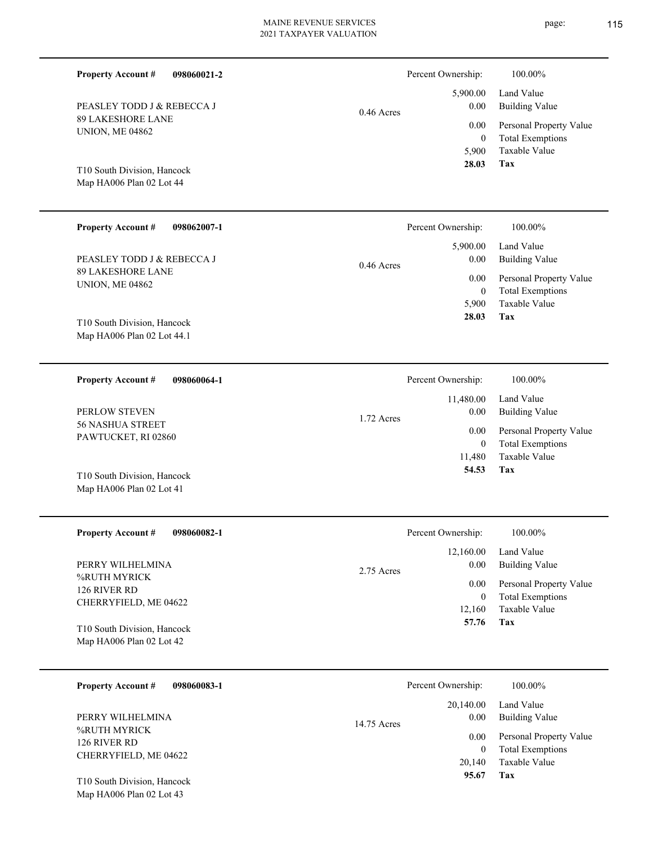| <b>Property Account #</b><br>098060021-2                                         |              | Percent Ownership:                       | 100.00%                                                                    |
|----------------------------------------------------------------------------------|--------------|------------------------------------------|----------------------------------------------------------------------------|
| PEASLEY TODD J & REBECCA J                                                       | $0.46$ Acres | 5,900.00<br>0.00                         | Land Value<br><b>Building Value</b>                                        |
| <b>89 LAKESHORE LANE</b><br><b>UNION, ME 04862</b>                               |              | 0.00<br>$\overline{0}$<br>5,900<br>28.03 | Personal Property Value<br><b>Total Exemptions</b><br>Taxable Value<br>Tax |
| T10 South Division, Hancock<br>Map HA006 Plan 02 Lot 44                          |              |                                          |                                                                            |
| <b>Property Account #</b><br>098062007-1                                         |              | Percent Ownership:                       | 100.00%                                                                    |
| PEASLEY TODD J & REBECCA J                                                       | $0.46$ Acres | 5,900.00<br>0.00                         | Land Value<br><b>Building Value</b>                                        |
| <b>89 LAKESHORE LANE</b><br><b>UNION, ME 04862</b>                               |              | 0.00<br>$\overline{0}$<br>5,900          | Personal Property Value<br><b>Total Exemptions</b><br><b>Taxable Value</b> |
| T10 South Division, Hancock<br>Map HA006 Plan 02 Lot 44.1                        |              | 28.03                                    | Tax                                                                        |
| 098060064-1<br><b>Property Account #</b>                                         |              | Percent Ownership:                       | 100.00%                                                                    |
| PERLOW STEVEN                                                                    | 1.72 Acres   | 11,480.00<br>0.00                        | Land Value<br><b>Building Value</b>                                        |
| <b>56 NASHUA STREET</b><br>PAWTUCKET, RI 02860                                   |              | 0.00<br>$\overline{0}$<br>11,480         | Personal Property Value<br><b>Total Exemptions</b><br><b>Taxable Value</b> |
| T10 South Division, Hancock<br>Map HA006 Plan 02 Lot 41                          |              | 54.53                                    | Tax                                                                        |
| <b>Property Account #</b><br>098060082-1                                         |              | Percent Ownership:                       | 100.00%                                                                    |
| PERRY WILHELMINA                                                                 | 2.75 Acres   | 12,160.00<br>0.00                        | Land Value<br><b>Building Value</b>                                        |
| %RUTH MYRICK<br>126 RIVER RD                                                     |              | 0.00<br>$\boldsymbol{0}$                 | Personal Property Value<br><b>Total Exemptions</b>                         |
| CHERRYFIELD, ME 04622<br>T10 South Division, Hancock<br>Map HA006 Plan 02 Lot 42 |              | 12,160<br>57.76                          | Taxable Value<br>Tax                                                       |
| <b>Property Account #</b><br>098060083-1                                         |              | Percent Ownership:                       | 100.00%                                                                    |
| PERRY WILHELMINA                                                                 | 14.75 Acres  | 20,140.00<br>0.00                        | Land Value<br><b>Building Value</b>                                        |
| %RUTH MYRICK<br>126 RIVER RD                                                     |              | 0.00<br>$\overline{0}$                   | Personal Property Value<br><b>Total Exemptions</b>                         |
| CHERRYFIELD, ME 04622<br>T10 South Division, Hancock                             |              | 20,140<br>95.67                          | Taxable Value<br>Tax                                                       |
| Map HA006 Plan 02 Lot 43                                                         |              |                                          |                                                                            |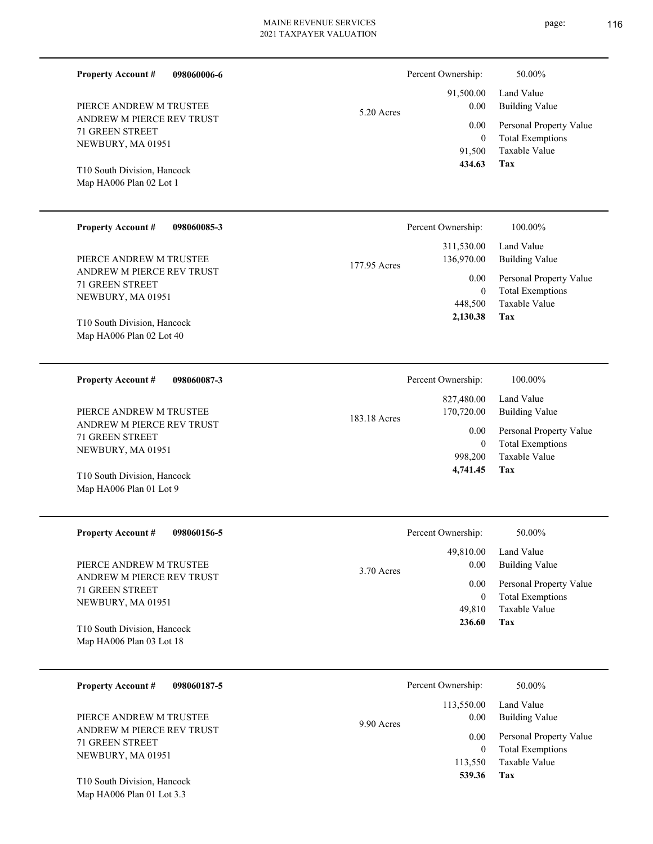| 098060006-6<br><b>Property Account #</b>               |              | Percent Ownership:       | 50.00%                                             |
|--------------------------------------------------------|--------------|--------------------------|----------------------------------------------------|
| PIERCE ANDREW M TRUSTEE                                | $5.20$ Acres | 91,500.00<br>0.00        | Land Value<br><b>Building Value</b>                |
| ANDREW M PIERCE REV TRUST                              |              | 0.00                     | Personal Property Value                            |
| <b>71 GREEN STREET</b><br>NEWBURY, MA 01951            |              | $\mathbf{0}$             | <b>Total Exemptions</b>                            |
|                                                        |              | 91,500<br>434.63         | Taxable Value<br>Tax                               |
| T10 South Division, Hancock<br>Map HA006 Plan 02 Lot 1 |              |                          |                                                    |
|                                                        |              |                          |                                                    |
| <b>Property Account #</b><br>098060085-3               |              | Percent Ownership:       | 100.00%                                            |
|                                                        |              | 311,530.00               | Land Value                                         |
| PIERCE ANDREW M TRUSTEE<br>ANDREW M PIERCE REV TRUST   | 177.95 Acres | 136,970.00               | <b>Building Value</b>                              |
| <b>71 GREEN STREET</b>                                 |              | 0.00<br>$\mathbf{0}$     | Personal Property Value<br><b>Total Exemptions</b> |
| NEWBURY, MA 01951                                      |              | 448,500                  | Taxable Value                                      |
| T10 South Division, Hancock                            |              | 2,130.38                 | Tax                                                |
| Map HA006 Plan 02 Lot 40                               |              |                          |                                                    |
|                                                        |              |                          |                                                    |
| <b>Property Account #</b><br>098060087-3               |              | Percent Ownership:       | 100.00%                                            |
|                                                        |              | 827,480.00               | Land Value                                         |
| PIERCE ANDREW M TRUSTEE<br>ANDREW M PIERCE REV TRUST   | 183.18 Acres | 170,720.00               | <b>Building Value</b>                              |
| 71 GREEN STREET                                        |              | 0.00<br>$\mathbf{0}$     | Personal Property Value<br><b>Total Exemptions</b> |
| NEWBURY, MA 01951                                      |              | 998,200                  | <b>Taxable Value</b>                               |
| T10 South Division, Hancock                            |              | 4,741.45                 | Tax                                                |
| Map HA006 Plan 01 Lot 9                                |              |                          |                                                    |
|                                                        |              |                          |                                                    |
| <b>Property Account #</b><br>098060156-5               |              | Percent Ownership:       | 50.00%                                             |
|                                                        |              | 49,810.00                | Land Value                                         |
| PIERCE ANDREW M TRUSTEE<br>ANDREW M PIERCE REV TRUST   | 3.70 Acres   | 0.00                     | <b>Building Value</b>                              |
| <b>71 GREEN STREET</b>                                 |              | 0.00<br>$\boldsymbol{0}$ | Personal Property Value<br><b>Total Exemptions</b> |
| NEWBURY, MA 01951                                      |              | 49,810                   | Taxable Value                                      |
| T10 South Division, Hancock                            |              | 236.60                   | Tax                                                |
| Map HA006 Plan 03 Lot 18                               |              |                          |                                                    |
|                                                        |              |                          |                                                    |
| <b>Property Account #</b><br>098060187-5               |              | Percent Ownership:       | 50.00%                                             |
|                                                        |              | 113,550.00               | Land Value                                         |
| PIERCE ANDREW M TRUSTEE<br>ANDREW M PIERCE REV TRUST   | 9.90 Acres   | 0.00                     | <b>Building Value</b>                              |
| 71 GREEN STREET                                        |              | $0.00\,$                 | Personal Property Value<br><b>Total Exemptions</b> |
| NEWBURY, MA 01951                                      |              | $\mathbf{0}$<br>113,550  | Taxable Value                                      |
| T10 South Division, Hancock                            |              | 539.36                   | Tax                                                |
|                                                        |              |                          |                                                    |

Map HA006 Plan 01 Lot 3.3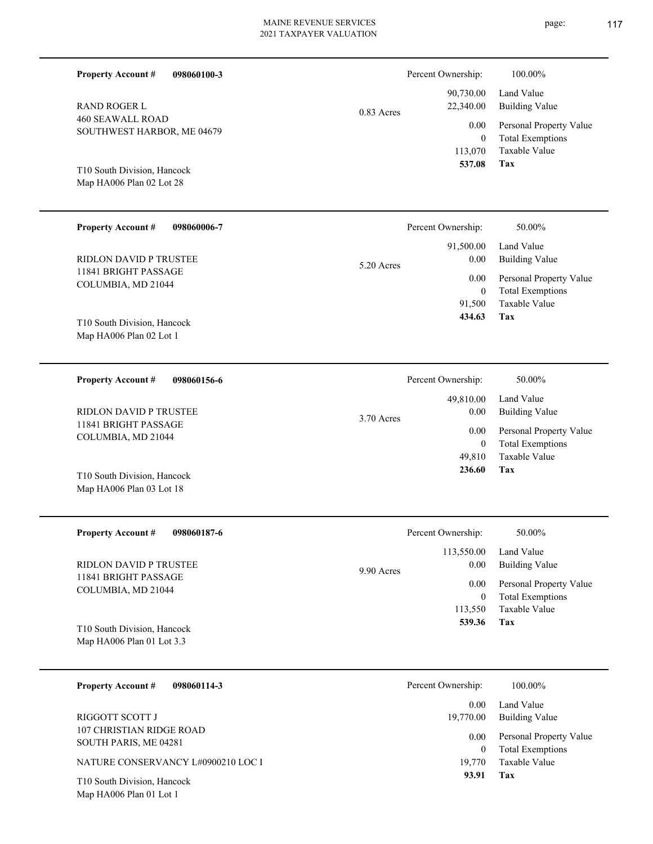| 098060100-3<br><b>Property Account #</b>                 |                             | Percent Ownership:                                                                | 100.00%                                                                    |
|----------------------------------------------------------|-----------------------------|-----------------------------------------------------------------------------------|----------------------------------------------------------------------------|
| <b>RAND ROGER L</b>                                      | $0.83$ Acres                | 90,730.00<br>22,340.00                                                            | Land Value<br><b>Building Value</b>                                        |
| <b>460 SEAWALL ROAD</b><br>SOUTHWEST HARBOR, ME 04679    | 0.00<br>$\theta$<br>113,070 | Personal Property Value<br><b>Total Exemptions</b><br>Taxable Value<br><b>Tax</b> |                                                                            |
| T10 South Division, Hancock<br>Map HA006 Plan 02 Lot 28  |                             | 537.08                                                                            |                                                                            |
| <b>Property Account #</b><br>098060006-7                 |                             | Percent Ownership:                                                                | 50.00%                                                                     |
| <b>RIDLON DAVID P TRUSTEE</b>                            | 5.20 Acres                  | 91,500.00<br>$0.00\,$                                                             | Land Value<br><b>Building Value</b>                                        |
| 11841 BRIGHT PASSAGE<br>COLUMBIA, MD 21044               |                             | 0.00<br>$\theta$<br>91,500<br>434.63                                              | Personal Property Value<br><b>Total Exemptions</b><br>Taxable Value<br>Tax |
| T10 South Division, Hancock<br>Map HA006 Plan 02 Lot 1   |                             |                                                                                   |                                                                            |
| <b>Property Account #</b><br>098060156-6                 |                             | Percent Ownership:                                                                | 50.00%                                                                     |
| <b>RIDLON DAVID P TRUSTEE</b>                            | 3.70 Acres                  | 49,810.00<br>$0.00\,$                                                             | Land Value<br><b>Building Value</b>                                        |
| 11841 BRIGHT PASSAGE<br>COLUMBIA, MD 21044               |                             | 0.00<br>$\theta$<br>49,810                                                        | Personal Property Value<br><b>Total Exemptions</b><br>Taxable Value        |
| T10 South Division, Hancock<br>Map HA006 Plan 03 Lot 18  |                             | 236.60                                                                            | Tax                                                                        |
| 098060187-6<br><b>Property Account #</b>                 |                             | Percent Ownership:                                                                | 50.00%                                                                     |
| RIDLON DAVID P TRUSTEE                                   | 9.90 Acres                  | 113,550.00<br>0.00                                                                | Land Value<br><b>Building Value</b>                                        |
| 11841 BRIGHT PASSAGE<br>COLUMBIA, MD 21044               |                             | 0.00<br>$\boldsymbol{0}$                                                          | Personal Property Value<br><b>Total Exemptions</b>                         |
| T10 South Division, Hancock<br>Map HA006 Plan 01 Lot 3.3 |                             | 113,550<br>539.36                                                                 | Taxable Value<br>Tax                                                       |
| 098060114-3<br><b>Property Account #</b>                 |                             | Percent Ownership:                                                                | 100.00%                                                                    |
| RIGGOTT SCOTT J                                          |                             | 0.00<br>19,770.00                                                                 | Land Value<br><b>Building Value</b>                                        |
| 107 CHRISTIAN RIDGE ROAD<br>SOUTH PARIS, ME 04281        |                             | 0.00<br>$\mathbf{0}$                                                              | Personal Property Value<br><b>Total Exemptions</b>                         |
| NATURE CONSERVANCY L#0900210 LOC I                       |                             | 19,770<br>93.91                                                                   | Taxable Value<br>Tax                                                       |
| T10 South Division, Hancock<br>Map HA006 Plan 01 Lot 1   |                             |                                                                                   |                                                                            |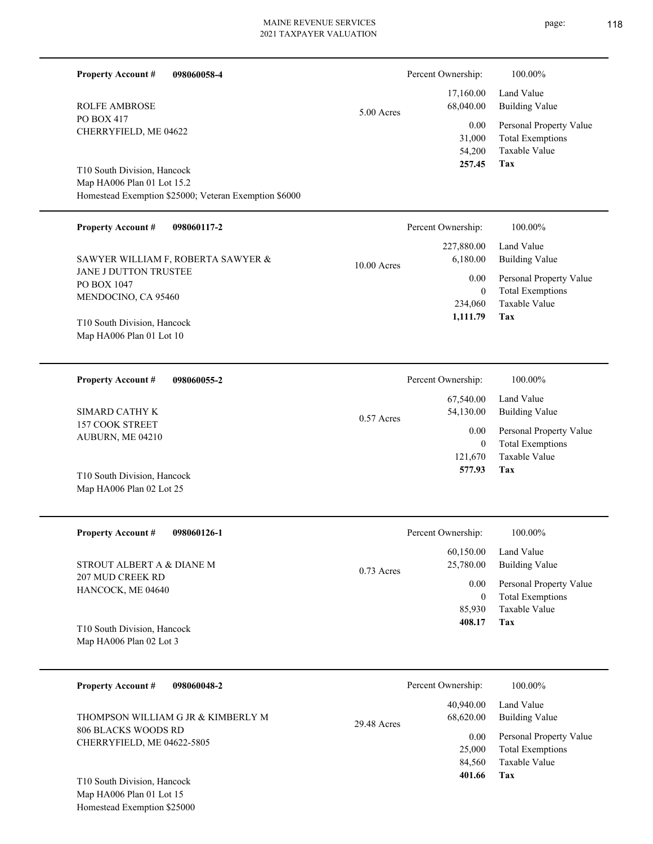|  | <b>Property Account #</b><br>098060058-4                                               |              | Percent Ownership:       | 100.00%                                                             |
|--|----------------------------------------------------------------------------------------|--------------|--------------------------|---------------------------------------------------------------------|
|  | <b>ROLFE AMBROSE</b><br>PO BOX 417                                                     | 5.00 Acres   | 17,160.00<br>68,040.00   | Land Value<br><b>Building Value</b>                                 |
|  | CHERRYFIELD, ME 04622                                                                  |              | 0.00<br>31,000<br>54,200 | Personal Property Value<br><b>Total Exemptions</b><br>Taxable Value |
|  | T10 South Division, Hancock<br>Map HA006 Plan 01 Lot 15.2                              |              | 257.45                   | Tax                                                                 |
|  | Homestead Exemption \$25000; Veteran Exemption \$6000                                  |              |                          |                                                                     |
|  | <b>Property Account #</b><br>098060117-2                                               |              | Percent Ownership:       | 100.00%                                                             |
|  | SAWYER WILLIAM F, ROBERTA SAWYER &                                                     | 10.00 Acres  | 227,880.00<br>6,180.00   | Land Value<br><b>Building Value</b>                                 |
|  | JANE J DUTTON TRUSTEE<br>PO BOX 1047                                                   |              | 0.00<br>$\mathbf{0}$     | Personal Property Value<br><b>Total Exemptions</b>                  |
|  | MENDOCINO, CA 95460<br>T10 South Division, Hancock                                     |              | 234,060<br>1,111.79      | Taxable Value<br><b>Tax</b>                                         |
|  | Map HA006 Plan 01 Lot 10                                                               |              |                          |                                                                     |
|  | <b>Property Account #</b><br>098060055-2                                               |              | Percent Ownership:       | 100.00%                                                             |
|  | <b>SIMARD CATHY K</b><br>157 COOK STREET<br>AUBURN, ME 04210                           | $0.57$ Acres | 67,540.00<br>54,130.00   | Land Value<br><b>Building Value</b>                                 |
|  |                                                                                        |              | 0.00<br>$\mathbf{0}$     | Personal Property Value<br><b>Total Exemptions</b>                  |
|  | T10 South Division, Hancock                                                            |              | 121,670<br>577.93        | Taxable Value<br>Tax                                                |
|  | Map HA006 Plan 02 Lot 25                                                               |              |                          |                                                                     |
|  | <b>Property Account #</b><br>098060126-1                                               |              | Percent Ownership:       | 100.00%                                                             |
|  | STROUT ALBERT A & DIANE M                                                              | $0.73$ Acres | 60,150.00<br>25,780.00   | Land Value<br><b>Building Value</b>                                 |
|  | <b>207 MUD CREEK RD</b><br>HANCOCK, ME 04640                                           |              | 0.00<br>$\mathbf{0}$     | Personal Property Value<br><b>Total Exemptions</b>                  |
|  |                                                                                        |              | 85,930<br>408.17         | Taxable Value<br>Tax                                                |
|  | T10 South Division, Hancock<br>Map HA006 Plan 02 Lot 3                                 |              |                          |                                                                     |
|  | <b>Property Account #</b><br>098060048-2                                               |              | Percent Ownership:       | 100.00%                                                             |
|  | THOMPSON WILLIAM G JR & KIMBERLY M                                                     | 29.48 Acres  | 40,940.00<br>68,620.00   | Land Value<br><b>Building Value</b>                                 |
|  | 806 BLACKS WOODS RD<br>CHERRYFIELD, ME 04622-5805                                      |              | 0.00<br>25,000           | Personal Property Value<br><b>Total Exemptions</b>                  |
|  |                                                                                        |              | 84,560<br>401.66         | Taxable Value<br>Tax                                                |
|  | T10 South Division, Hancock<br>Map HA006 Plan 01 Lot 15<br>Homestead Exemption \$25000 |              |                          |                                                                     |
|  |                                                                                        |              |                          |                                                                     |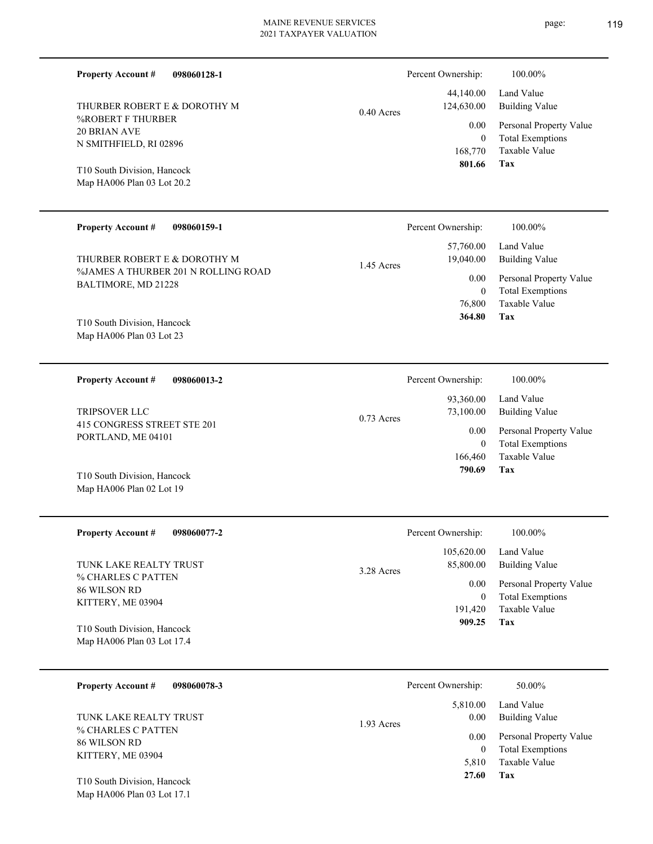| <b>Property Account #</b><br>098060128-1                   |              | Percent Ownership:        | 100.00%                                         |
|------------------------------------------------------------|--------------|---------------------------|-------------------------------------------------|
| THURBER ROBERT E & DOROTHY M                               | $0.40$ Acres | 44,140.00<br>124,630.00   | Land Value<br><b>Building Value</b>             |
| %ROBERT F THURBER                                          |              | 0.00                      | Personal Property Value                         |
| <b>20 BRIAN AVE</b><br>N SMITHFIELD, RI 02896              |              | $\overline{0}$<br>168,770 | <b>Total Exemptions</b><br><b>Taxable Value</b> |
| T10 South Division, Hancock<br>Map HA006 Plan 03 Lot 20.2  |              | 801.66                    | Tax                                             |
| <b>Property Account #</b><br>098060159-1                   |              | Percent Ownership:        | 100.00%                                         |
| THURBER ROBERT E & DOROTHY M                               | 1.45 Acres   | 57,760.00<br>19,040.00    | Land Value<br><b>Building Value</b>             |
| %JAMES A THURBER 201 N ROLLING ROAD<br>BALTIMORE, MD 21228 |              | 0.00                      | Personal Property Value                         |
|                                                            |              | $\overline{0}$            | <b>Total Exemptions</b>                         |
|                                                            |              | 76,800<br>364.80          | Taxable Value<br>Tax                            |
| T10 South Division, Hancock<br>Map HA006 Plan 03 Lot 23    |              |                           |                                                 |
|                                                            |              |                           |                                                 |
| <b>Property Account #</b><br>098060013-2                   |              | Percent Ownership:        | 100.00%                                         |
| <b>TRIPSOVER LLC</b>                                       | $0.73$ Acres | 93,360.00<br>73,100.00    | Land Value<br><b>Building Value</b>             |
| 415 CONGRESS STREET STE 201<br>PORTLAND, ME 04101          |              | 0.00                      | Personal Property Value                         |
|                                                            |              | $\overline{0}$<br>166,460 | <b>Total Exemptions</b><br><b>Taxable Value</b> |
| T10 South Division, Hancock                                |              | 790.69                    | Tax                                             |
| Map HA006 Plan 02 Lot 19                                   |              |                           |                                                 |
| <b>Property Account #</b><br>098060077-2                   |              | Percent Ownership:        | 100.00%                                         |
|                                                            |              | 105,620.00                | Land Value                                      |
| TUNK LAKE REALTY TRUST                                     | 3.28 Acres   | 85,800.00                 | <b>Building Value</b>                           |
| % CHARLES C PATTEN<br>86 WILSON RD                         |              | 0.00                      | Personal Property Value                         |
| KITTERY, ME 03904                                          |              | $\theta$<br>191,420       | <b>Total Exemptions</b><br>Taxable Value        |
| T10 South Division, Hancock                                |              | 909.25                    | Tax                                             |
| Map HA006 Plan 03 Lot 17.4                                 |              |                           |                                                 |
| <b>Property Account #</b><br>098060078-3                   |              | Percent Ownership:        | 50.00%                                          |
|                                                            |              | 5,810.00                  | Land Value                                      |
| TUNK LAKE REALTY TRUST                                     | 1.93 Acres   | 0.00                      | <b>Building Value</b>                           |
| % CHARLES C PATTEN<br>86 WILSON RD                         |              | 0.00                      | Personal Property Value                         |
| TTTTTNTI IID A200                                          |              | $\overline{0}$            | <b>Total Exemptions</b>                         |

**Tax 27.60**

5,810 Taxable Value

Map HA006 Plan 03 Lot 17.1 T10 South Division, Hancock

KITTERY, ME 03904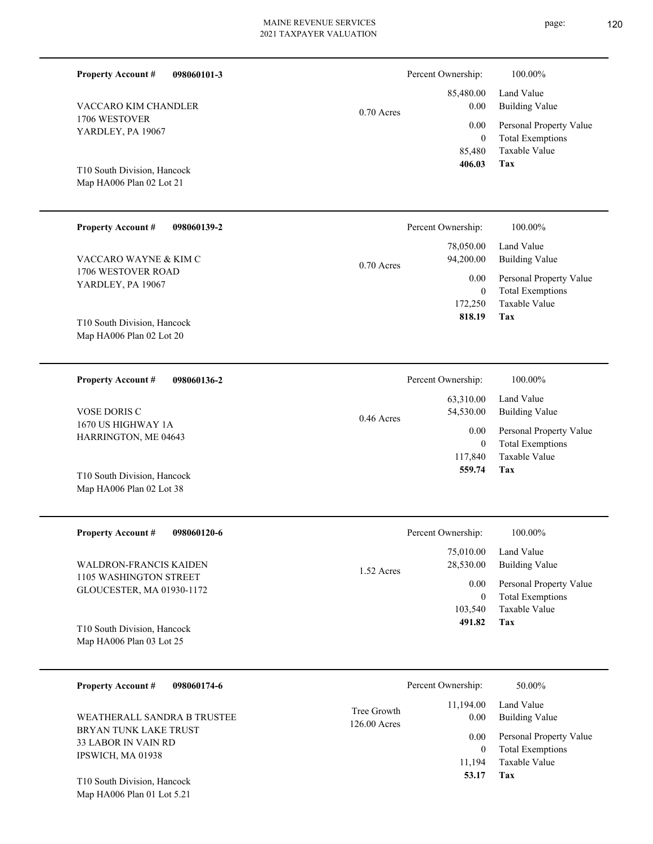| <b>Property Account #</b><br>098060101-3                                          |              | Percent Ownership:                         | 100.00%                                                                    |
|-----------------------------------------------------------------------------------|--------------|--------------------------------------------|----------------------------------------------------------------------------|
| VACCARO KIM CHANDLER                                                              | $0.70$ Acres | 85,480.00<br>0.00                          | Land Value<br><b>Building Value</b>                                        |
| 1706 WESTOVER<br>YARDLEY, PA 19067                                                |              | 0.00<br>$\overline{0}$<br>85,480<br>406.03 | Personal Property Value<br><b>Total Exemptions</b><br>Taxable Value<br>Tax |
| T10 South Division, Hancock<br>Map HA006 Plan 02 Lot 21                           |              |                                            |                                                                            |
| <b>Property Account #</b><br>098060139-2                                          |              | Percent Ownership:                         | 100.00%                                                                    |
| VACCARO WAYNE & KIM C                                                             | $0.70$ Acres | 78,050.00<br>94,200.00                     | Land Value<br><b>Building Value</b>                                        |
| 1706 WESTOVER ROAD<br>YARDLEY, PA 19067                                           |              | 0.00<br>$\overline{0}$<br>172,250          | Personal Property Value<br><b>Total Exemptions</b><br>Taxable Value        |
| T10 South Division, Hancock<br>Map HA006 Plan 02 Lot 20                           |              | 818.19                                     | Tax                                                                        |
| <b>Property Account #</b><br>098060136-2                                          |              | Percent Ownership:                         | 100.00%                                                                    |
| <b>VOSE DORIS C</b>                                                               | $0.46$ Acres | 63,310.00<br>54,530.00                     | Land Value<br><b>Building Value</b>                                        |
| 1670 US HIGHWAY 1A<br>HARRINGTON, ME 04643                                        |              | 0.00<br>$\overline{0}$<br>117,840          | Personal Property Value<br><b>Total Exemptions</b><br><b>Taxable Value</b> |
| T10 South Division, Hancock<br>Map HA006 Plan 02 Lot 38                           |              | 559.74                                     | Tax                                                                        |
| <b>Property Account #</b><br>098060120-6                                          |              | Percent Ownership:                         | 100.00%                                                                    |
| <b>WALDRON-FRANCIS KAIDEN</b>                                                     | 1.52 Acres   | 75,010.00<br>28,530.00                     | Land Value<br><b>Building Value</b>                                        |
| 1105 WASHINGTON STREET<br>GLOUCESTER, MA 01930-1172                               |              | 0.00<br>$\boldsymbol{0}$                   | Personal Property Value<br><b>Total Exemptions</b>                         |
| T10 South Division, Hancock<br>Map HA006 Plan 03 Lot 25                           |              | 103,540<br>491.82                          | <b>Taxable Value</b><br>Tax                                                |
| <b>Property Account #</b><br>098060174-6                                          |              | Percent Ownership:                         | 50.00%                                                                     |
| WEATHERALL SANDRA B TRUSTEE                                                       | Tree Growth  | 11,194.00<br>0.00                          | Land Value<br><b>Building Value</b>                                        |
| 126.00 Acres<br>BRYAN TUNK LAKE TRUST<br>33 LABOR IN VAIN RD<br>IPSWICH, MA 01938 |              | 0.00<br>$\boldsymbol{0}$<br>11,194         | Personal Property Value<br><b>Total Exemptions</b><br>Taxable Value        |
| T10 South Division, Hancock<br>Map HA006 Plan 01 Lot 5.21                         |              | 53.17                                      | Tax                                                                        |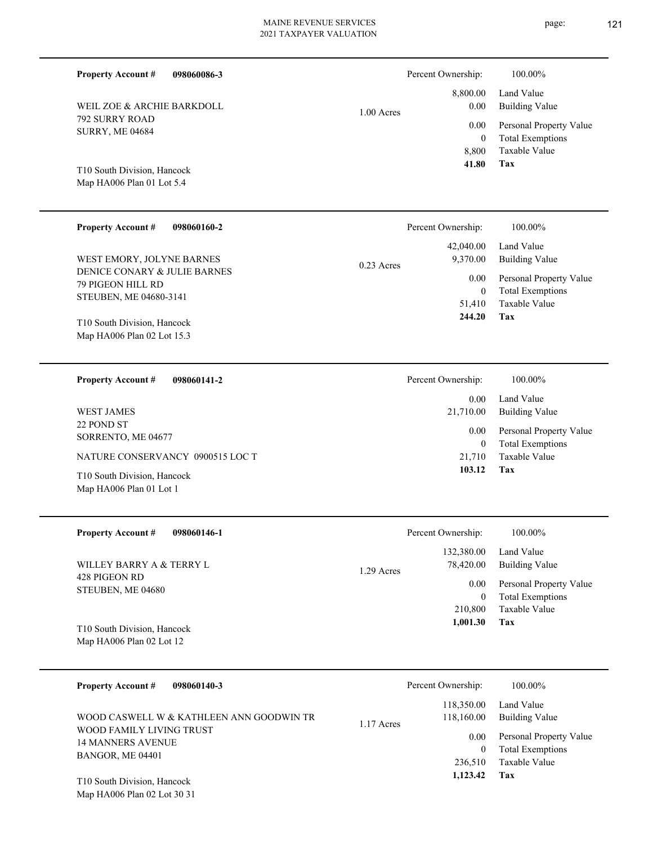| <b>Property Account #</b><br>098060086-3                                    |              | Percent Ownership:                  | 100.00%                                                             |
|-----------------------------------------------------------------------------|--------------|-------------------------------------|---------------------------------------------------------------------|
| WEIL ZOE & ARCHIE BARKDOLL                                                  | $1.00$ Acres | 8,800.00<br>0.00                    | Land Value<br><b>Building Value</b>                                 |
| 792 SURRY ROAD<br><b>SURRY, ME 04684</b>                                    |              | 0.00<br>$\mathbf{0}$<br>8,800       | Personal Property Value<br><b>Total Exemptions</b><br>Taxable Value |
| T10 South Division, Hancock<br>Map HA006 Plan 01 Lot 5.4                    |              | 41.80                               | <b>Tax</b>                                                          |
| <b>Property Account #</b><br>098060160-2                                    |              | Percent Ownership:                  | 100.00%                                                             |
| WEST EMORY, JOLYNE BARNES                                                   |              | 42,040.00<br>9,370.00               | Land Value<br><b>Building Value</b>                                 |
| DENICE CONARY & JULIE BARNES<br>79 PIGEON HILL RD<br>STEUBEN, ME 04680-3141 | $0.23$ Acres | 0.00<br>$\mathbf{0}$<br>51,410      | Personal Property Value<br><b>Total Exemptions</b><br>Taxable Value |
| T10 South Division, Hancock<br>Map HA006 Plan 02 Lot 15.3                   |              | 244.20                              | Tax                                                                 |
| <b>Property Account #</b><br>098060141-2                                    |              | Percent Ownership:                  | 100.00%                                                             |
| <b>WEST JAMES</b>                                                           |              | 0.00<br>21,710.00                   | Land Value<br><b>Building Value</b>                                 |
| 22 POND ST<br>SORRENTO, ME 04677                                            |              | 0.00<br>$\mathbf{0}$                | Personal Property Value<br><b>Total Exemptions</b>                  |
| NATURE CONSERVANCY 0900515 LOC T                                            |              | 21,710<br>103.12                    | <b>Taxable Value</b><br>Tax                                         |
| T10 South Division, Hancock<br>Map HA006 Plan 01 Lot 1                      |              |                                     |                                                                     |
| <b>Property Account #</b><br>098060146-1                                    |              | Percent Ownership:                  | 100.00%                                                             |
| WILLEY BARRY A & TERRY L                                                    | 1.29 Acres   | 132,380.00<br>78,420.00             | Land Value<br><b>Building Value</b>                                 |
| 428 PIGEON RD<br>STEUBEN, ME 04680                                          |              | 0.00                                | Personal Property Value                                             |
| T10 South Division, Hancock<br>Map HA006 Plan 02 Lot 12                     |              | $\mathbf{0}$<br>210,800<br>1,001.30 | <b>Total Exemptions</b><br>Taxable Value<br>Tax                     |
|                                                                             |              |                                     |                                                                     |
| <b>Property Account #</b><br>098060140-3                                    |              | Percent Ownership:                  | 100.00%                                                             |
| WOOD CASWELL W & KATHLEEN ANN GOODWIN TR                                    | 1.17 Acres   | 118,350.00<br>118,160.00            | Land Value<br><b>Building Value</b>                                 |
| WOOD FAMILY LIVING TRUST<br><b>14 MANNERS AVENUE</b><br>BANGOR, ME 04401    |              | 0.00<br>$\mathbf{0}$<br>236,510     | Personal Property Value<br><b>Total Exemptions</b><br>Taxable Value |
| T10 South Division, Hancock<br>Map HA006 Plan 02 Lot 30 31                  |              | 1,123.42                            | Tax                                                                 |
|                                                                             |              |                                     |                                                                     |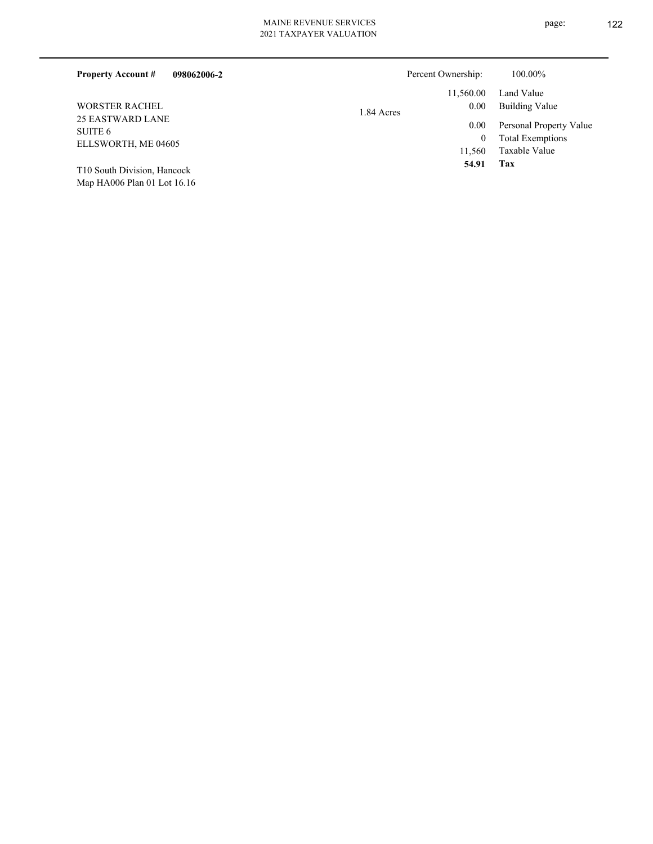| 098062006-2<br><b>Property Account #</b> |            | Percent Ownership: | 100.00%                 |
|------------------------------------------|------------|--------------------|-------------------------|
|                                          |            | 11.560.00          | Land Value              |
| <b>WORSTER RACHEL</b>                    | 1.84 Acres | 0.00               | Building Value          |
| 25 EASTWARD LANE                         |            | 0.00               | Personal Property Value |
| SUITE 6<br>ELLSWORTH, ME 04605           |            |                    | <b>Total Exemptions</b> |
|                                          |            | 11.560             | Taxable Value           |
| T10 South Division Hancock               |            | 54.91              | Tax                     |

Map HA006 Plan 01 Lot 16.16 T10 South Division, Hancock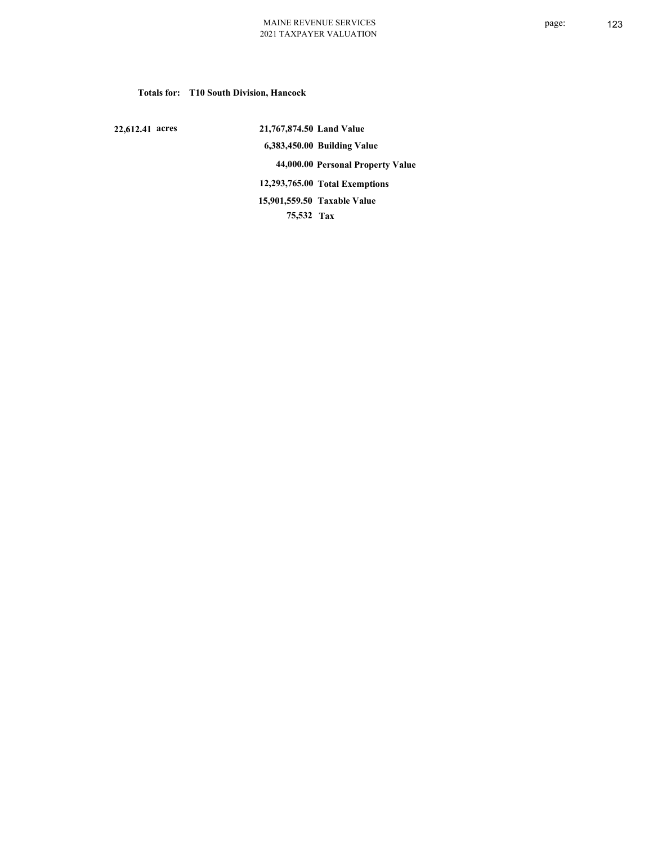**Totals for: T10 South Division, Hancock**

 **22,612.41 acres**

 **21,767,874.50 Land Value 6,383,450.00 Building Value 44,000.00 Personal Property Value 12,293,765.00 Total Exemptions 75,532 Tax Taxable Value 15,901,559.50**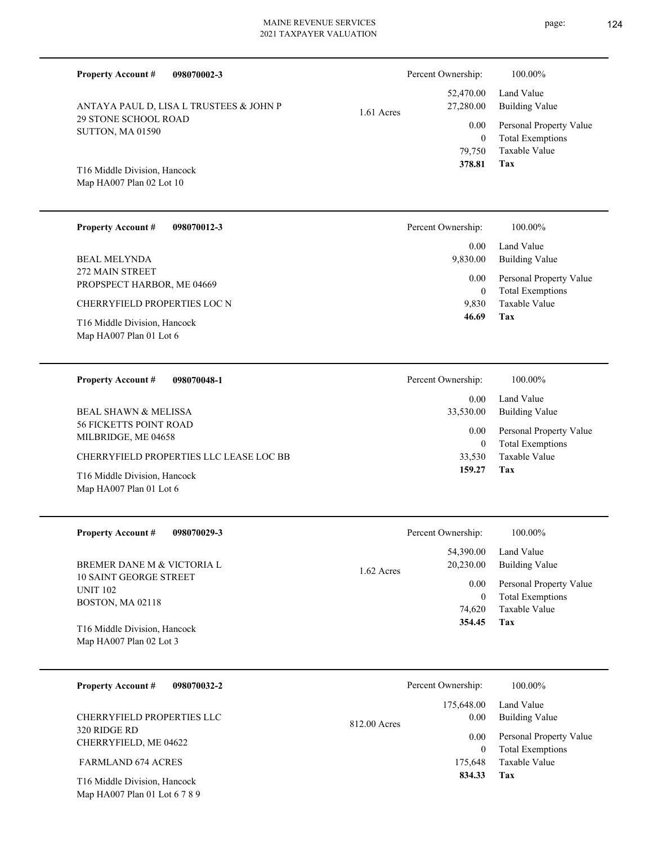# MAINE REVENUE SERVICES

2021 TAXPAYER VALUATION **098070002-3 Tax** Taxable Value Total Exemptions Personal Property Value Building Value Land Value 29 STONE SCHOOL ROAD SUTTON, MA 01590 Map HA007 Plan 02 Lot 10 T16 Middle Division, Hancock ANTAYA PAUL D, LISA L TRUSTEES & JOHN P 79,750 0  **378.81** 52,470.00 27,280.00 0.00 1.61 Acres Percent Ownership:  $100.00\%$ **098070012-3 Tax** Taxable Value Total Exemptions Personal Property Value Building Value Land Value PROPSPECT HARBOR, ME 04669 Map HA007 Plan 01 Lot 6 T16 Middle Division, Hancock CHERRYFIELD PROPERTIES LOC N 9,830 0  **46.69** 0.00 9,830.00 0.00 Percent Ownership:  $100.00\%$ **098070048-1** Percent Ownership:  $100.00\%$ 

| 098070048-1<br><b>Property Account #</b>             | Percent Ownership: | 100.00%                                            |
|------------------------------------------------------|--------------------|----------------------------------------------------|
|                                                      | 0.00               | Land Value                                         |
| BEAL SHAWN & MELISSA                                 | 33,530.00          | Building Value                                     |
| <b>56 FICKETTS POINT ROAD</b><br>MILBRIDGE, ME 04658 | 0.00               | Personal Property Value<br><b>Total Exemptions</b> |
| CHERRYFIELD PROPERTIES LLC LEASE LOC BB              | 33.530             | Taxable Value                                      |
| T16 Middle Division, Hancock                         | 159.27             | Tax                                                |

| <b>Property Account #</b><br>098070029-3                                    | Percent Ownership:                     | 100.00%                                                             |
|-----------------------------------------------------------------------------|----------------------------------------|---------------------------------------------------------------------|
| BREMER DANE M & VICTORIA L                                                  | 54,390.00<br>20,230.00<br>$1.62$ Acres | Land Value<br>Building Value                                        |
| <b>10 SAINT GEORGE STREET</b><br><b>UNIT 102</b><br><b>BOSTON, MA 02118</b> | 0.00<br>$\overline{0}$<br>74.620       | Personal Property Value<br><b>Total Exemptions</b><br>Taxable Value |
| T16 Middle Division, Hancock<br>Map HA007 Plan 02 Lot 3                     | 354.45                                 | Tax                                                                 |

| <b>Property Account #</b><br>098070032-2 | Percent Ownership:   | 100.00%                 |
|------------------------------------------|----------------------|-------------------------|
|                                          | 175,648.00           | Land Value              |
| CHERRYFIELD PROPERTIES LLC               | 0.00<br>812.00 Acres | <b>Building Value</b>   |
| 320 RIDGE RD<br>CHERRYFIELD, ME 04622    | 0.00                 | Personal Property Value |
|                                          |                      | <b>Total Exemptions</b> |
| <b>FARMLAND 674 ACRES</b>                | 175,648              | Taxable Value           |
| T16 Middle Division, Hancock             | 834.33               | Tax                     |

Map HA007 Plan 01 Lot 6 7 8 9

**Property Account #**

272 MAIN STREET

Map HA007 Plan 01 Lot 6

BEAL MELYNDA

**Property Account #**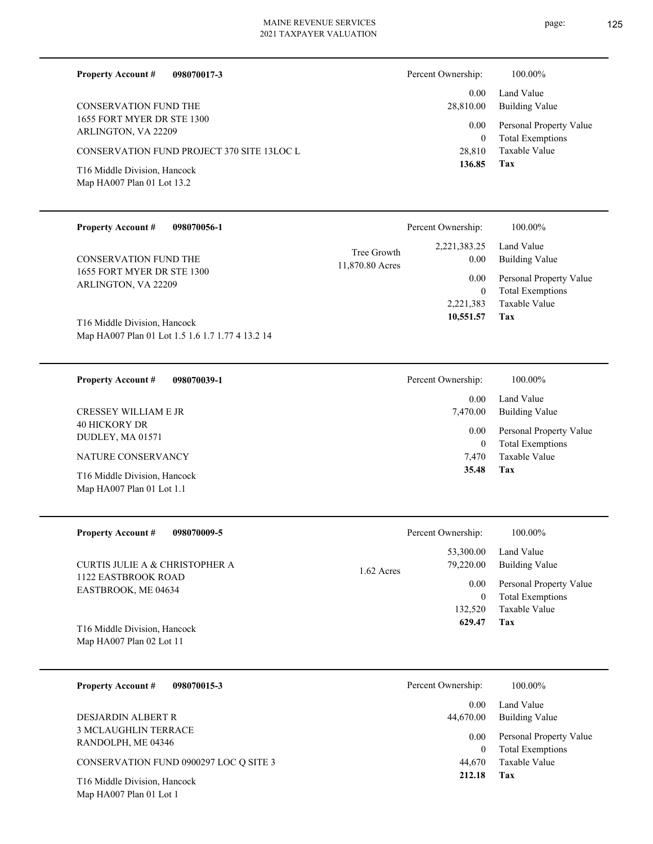| <b>Property Account #</b><br>098070017-3                                                        | Percent Ownership:  | 100.00%                                                             |
|-------------------------------------------------------------------------------------------------|---------------------|---------------------------------------------------------------------|
|                                                                                                 | 0.00                | Land Value                                                          |
| CONSERVATION FUND THE                                                                           | 28,810.00           | Building Value                                                      |
| 1655 FORT MYER DR STE 1300<br>ARLINGTON, VA 22209<br>CONSERVATION FUND PROJECT 370 SITE 13LOC L | 0.00<br>0<br>28,810 | Personal Property Value<br><b>Total Exemptions</b><br>Taxable Value |
| T16 Middle Division, Hancock<br>Map HA007 Plan 01 Lot 13.2                                      | 136.85              | Tax                                                                 |

| <b>Property Account #</b>                         | 098070056-1                                      |                                | Percent Ownership:                      | 100.00%                                                             |
|---------------------------------------------------|--------------------------------------------------|--------------------------------|-----------------------------------------|---------------------------------------------------------------------|
| <b>CONSERVATION FUND THE</b>                      |                                                  | Tree Growth<br>11,870.80 Acres | 2,221,383.25<br>$0.00\,$                | Land Value<br><b>Building Value</b>                                 |
| 1655 FORT MYER DR STE 1300<br>ARLINGTON, VA 22209 |                                                  |                                | $0.00\,$<br>$\overline{0}$<br>2,221,383 | Personal Property Value<br><b>Total Exemptions</b><br>Taxable Value |
| T16 Middle Division, Hancock                      | Map HA007 Plan 01 Lot 1.5 1.6 1.7 1.77 4 13.2 14 |                                | 10,551.57                               | Tax                                                                 |
|                                                   |                                                  |                                |                                         |                                                                     |
| <b>Property Account #</b>                         | 098070039-1                                      |                                | Percent Ownership:                      | 100.00%                                                             |
| <b>CRESSEY WILLIAM E JR</b>                       |                                                  |                                | 0.00<br>7,470.00                        | Land Value<br><b>Building Value</b>                                 |
| <b>40 HICKORY DR</b><br>DUDLEY, MA 01571          |                                                  |                                | 0.00<br>$\overline{0}$                  | Personal Property Value<br><b>Total Exemptions</b>                  |
| NATURE CONSERVANCY                                |                                                  |                                | 7,470                                   | Taxable Value                                                       |

| <b>Property Account #</b><br>098070009-5   | Percent Ownership:        | 100.00%                 |
|--------------------------------------------|---------------------------|-------------------------|
|                                            | 53,300.00                 | Land Value              |
| <b>CURTIS JULIE A &amp; CHRISTOPHER A</b>  | 79,220.00<br>$1.62$ Acres | Building Value          |
| 1122 EASTBROOK ROAD<br>EASTBROOK, ME 04634 | 0.00                      | Personal Property Value |
|                                            | $\mathbf{0}$              | <b>Total Exemptions</b> |
|                                            | 132,520                   | Taxable Value           |
| T16 Middle Division, Hancock               | 629.47                    | Tax                     |
| Map HA007 Plan 02 Lot 11                   |                           |                         |
|                                            |                           |                         |
| <b>Property Account #</b><br>098070015-3   | Percent Ownership:        | 100.00%                 |

|                                                         | 0.00      | Land Value                                         |
|---------------------------------------------------------|-----------|----------------------------------------------------|
| DESJARDIN ALBERT R                                      | 44,670.00 | Building Value                                     |
| <b>3 MCLAUGHLIN TERRACE</b><br>RANDOLPH, ME 04346       | 0.00      | Personal Property Value<br><b>Total Exemptions</b> |
| CONSERVATION FUND 0900297 LOC O SITE 3                  | 44.670    | Taxable Value                                      |
| T16 Middle Division, Hancock<br>Map HA007 Plan 01 Lot 1 | 212.18    | Tax                                                |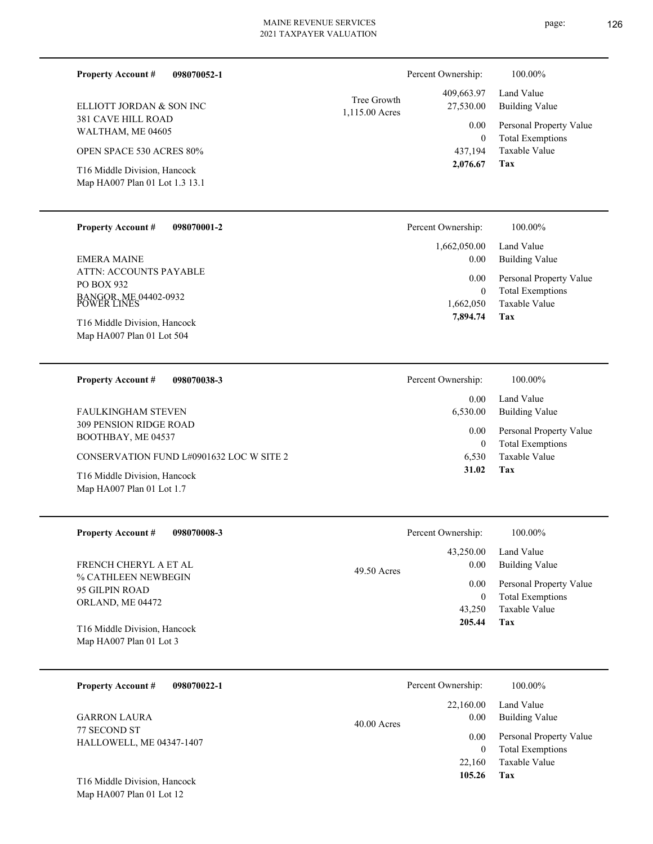| <b>Property Account #</b><br>098070052-1                                     |                               | Percent Ownership:                | 100.00%                                                             |
|------------------------------------------------------------------------------|-------------------------------|-----------------------------------|---------------------------------------------------------------------|
| ELLIOTT JORDAN & SON INC                                                     | Tree Growth<br>1,115.00 Acres | 409,663.97<br>27,530.00           | Land Value<br><b>Building Value</b>                                 |
| 381 CAVE HILL ROAD<br>WALTHAM, ME 04605                                      |                               | 0.00<br>$\mathbf{0}$              | Personal Property Value<br><b>Total Exemptions</b>                  |
| <b>OPEN SPACE 530 ACRES 80%</b>                                              |                               | 437,194                           | Taxable Value                                                       |
| T16 Middle Division, Hancock<br>Map HA007 Plan 01 Lot 1.3 13.1               |                               | 2,076.67                          | Tax                                                                 |
| <b>Property Account #</b><br>098070001-2                                     |                               | Percent Ownership:                | 100.00%                                                             |
| <b>EMERA MAINE</b>                                                           |                               | 1,662,050.00<br>0.00              | Land Value<br><b>Building Value</b>                                 |
| ATTN: ACCOUNTS PAYABLE<br>PO BOX 932<br>BANGOR, ME 04402-0932<br>POWER LINES |                               | 0.00<br>$\mathbf{0}$<br>1,662,050 | Personal Property Value<br><b>Total Exemptions</b><br>Taxable Value |
| T16 Middle Division, Hancock<br>Map HA007 Plan 01 Lot 504                    |                               | 7,894.74                          | Tax                                                                 |
| <b>Property Account #</b><br>098070038-3                                     |                               | Percent Ownership:                | 100.00%                                                             |
| <b>FAULKINGHAM STEVEN</b>                                                    |                               | 0.00<br>6,530.00                  | Land Value<br><b>Building Value</b>                                 |
| <b>309 PENSION RIDGE ROAD</b><br>BOOTHBAY, ME 04537                          |                               | 0.00<br>$\overline{0}$            | Personal Property Value<br><b>Total Exemptions</b>                  |
| CONSERVATION FUND L#0901632 LOC W SITE 2                                     |                               | 6,530                             | Taxable Value                                                       |
| T16 Middle Division, Hancock<br>Map HA007 Plan 01 Lot 1.7                    |                               | 31.02                             | Tax                                                                 |
| <b>Property Account #</b><br>098070008-3                                     |                               | Percent Ownership:                | 100.00%                                                             |
|                                                                              |                               | 43,250.00                         | Land Value                                                          |
| FRENCH CHERYL A ET AL<br>% CATHLEEN NEWBEGIN                                 | 49.50 Acres                   | 0.00                              | <b>Building Value</b>                                               |
| 95 GILPIN ROAD                                                               |                               | 0.00                              | Personal Property Value                                             |
| ORLAND, ME 04472                                                             |                               | $\mathbf{0}$                      | <b>Total Exemptions</b><br>Taxable Value                            |
|                                                                              |                               | 43,250<br>205.44                  | <b>Tax</b>                                                          |

Map HA007 Plan 01 Lot 3 T16 Middle Division, Hancock

| <b>Property Account #</b><br>098070022-1        | Percent Ownership:                 | 100.00%                                                             |
|-------------------------------------------------|------------------------------------|---------------------------------------------------------------------|
| <b>GARRON LAURA</b>                             | 22,160.00<br>0.00<br>$40.00$ Acres | Land Value<br><b>Building Value</b>                                 |
| 77 SECOND ST<br><b>HALLOWELL, ME 04347-1407</b> | 0.00<br>22,160                     | Personal Property Value<br><b>Total Exemptions</b><br>Taxable Value |
| T16 Middle Division, Hancock                    | 105.26                             | Tax                                                                 |

Map HA007 Plan 01 Lot 12

- 
- 
- 
- 
- page: 126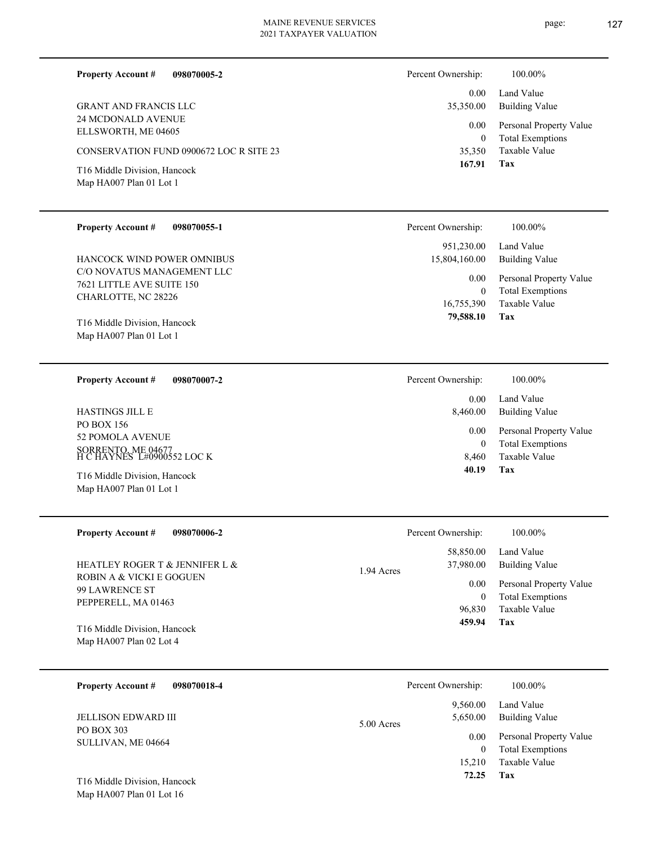page: 127

**Tax**

16,755,390

15,804,160.00

 **79,588.10**

 8,460 0

**Tax 459.94**

 0.00 8,460.00 0.00

Percent Ownership:  $100.00\%$ 

0

0.00

Taxable Value Total Exemptions Personal Property Value

Taxable Value Total Exemptions Personal Property Value

Building Value Land Value

Building Value

| <b>Property Account #</b><br>098070005-2 | Percent Ownership: | 100.00%                 |
|------------------------------------------|--------------------|-------------------------|
| <b>GRANT AND FRANCIS LLC</b>             | 0.00               | Land Value              |
| 24 MCDONALD AVENUE                       | 35,350.00          | Building Value          |
| ELLSWORTH, ME 04605                      | 0.00               | Personal Property Value |
| CONSERVATION FUND 0900672 LOC R SITE 23  | 0                  | <b>Total Exemptions</b> |
| T16 Middle Division, Hancock             | 35,350             | Taxable Value           |
| Map HA007 Plan 01 Lot 1                  | 167.91             | Tax                     |
| <b>Property Account #</b>                | Percent Ownership: | 100.00%                 |
| 098070055-1                              | 951,230.00         | Land Value              |

C/O NOVATUS MANAGEMENT LLC 7621 LITTLE AVE SUITE 150 CHARLOTTE, NC 28226 HANCOCK WIND POWER OMNIBUS

Map HA007 Plan 01 Lot 1 T16 Middle Division, Hancock

**098070007-2 Property Account #**

PO BOX 156 52 POMOLA AVENUE SORRENTO, ME 04677 H C HAYNES L#0900552 LOC K HASTINGS JILL E

| T16 Middle Division, Hancock<br>Map HA007 Plan 01 Lot 1           |            | 40.19              | Tax                                                |
|-------------------------------------------------------------------|------------|--------------------|----------------------------------------------------|
| <b>Property Account #</b><br>098070006-2                          |            | Percent Ownership: | 100.00%                                            |
|                                                                   |            | 58,850.00          | Land Value                                         |
| HEATLEY ROGER T & JENNIFER L &                                    | 1.94 Acres | 37,980.00          | Building Value                                     |
| ROBIN A & VICKI E GOGUEN<br>99 LAWRENCE ST<br>PEPPERELL, MA 01463 |            | 0.00<br>$\theta$   | Personal Property Value<br><b>Total Exemptions</b> |
|                                                                   |            | 96.830             | Taxable Value                                      |

Map HA007 Plan 02 Lot 4 T16 Middle Division, Hancock

| 098070018-4<br><b>Property Account #</b> | Percent Ownership:        | 100.00%                                            |
|------------------------------------------|---------------------------|----------------------------------------------------|
| <b>JELLISON EDWARD III</b>               | 9.560.00<br>5,650.00      | Land Value<br><b>Building Value</b>                |
| PO BOX 303<br>SULLIVAN, ME 04664         | $5.00$ Acres<br>0.00<br>0 | Personal Property Value<br><b>Total Exemptions</b> |
| T16 Middle Division, Hancock             | 15.210<br>72.25           | Taxable Value<br>Tax                               |

Map HA007 Plan 01 Lot 16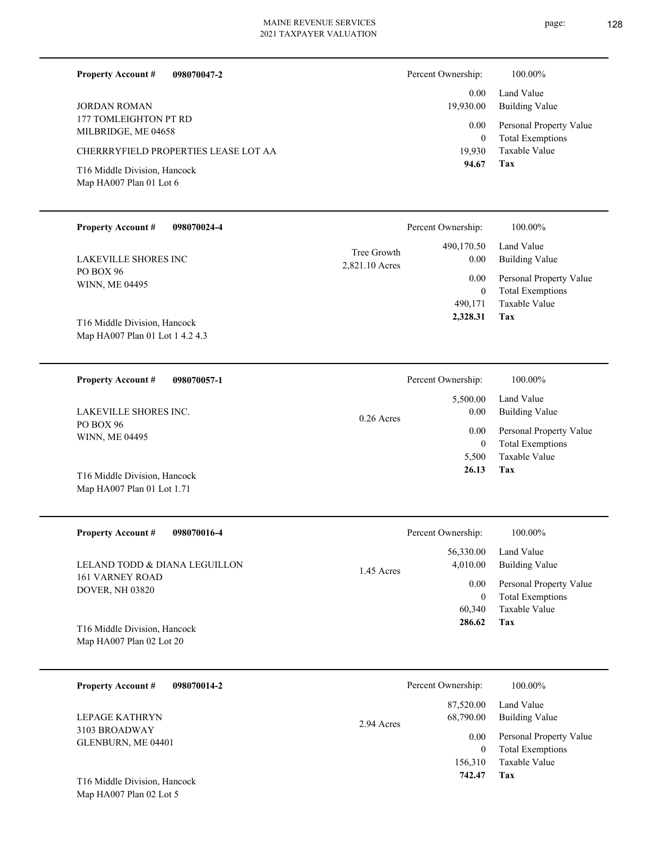page: 128

| <b>Property Account #</b><br>098070047-2                |                               | Percent Ownership:          | 100.00%                                            |
|---------------------------------------------------------|-------------------------------|-----------------------------|----------------------------------------------------|
| <b>JORDAN ROMAN</b>                                     |                               | 0.00<br>19,930.00           | Land Value<br><b>Building Value</b>                |
| 177 TOMLEIGHTON PT RD<br>MILBRIDGE, ME 04658            |                               | 0.00                        | Personal Property Value                            |
| CHERRRYFIELD PROPERTIES LEASE LOT AA                    |                               | $\boldsymbol{0}$<br>19,930  | <b>Total Exemptions</b><br>Taxable Value           |
| T16 Middle Division, Hancock<br>Map HA007 Plan 01 Lot 6 |                               | 94.67                       | Tax                                                |
| <b>Property Account #</b><br>098070024-4                |                               | Percent Ownership:          | 100.00%                                            |
| LAKEVILLE SHORES INC                                    | Tree Growth<br>2,821.10 Acres | 490,170.50<br>0.00          | Land Value<br><b>Building Value</b>                |
| PO BOX 96<br>WINN, ME 04495                             |                               | 0.00                        | Personal Property Value                            |
|                                                         |                               | $\boldsymbol{0}$<br>490,171 | <b>Total Exemptions</b><br><b>Taxable Value</b>    |
| T16 Middle Division, Hancock                            |                               | 2,328.31                    | <b>Tax</b>                                         |
| Map HA007 Plan 01 Lot 1 4.2 4.3                         |                               |                             |                                                    |
|                                                         |                               |                             | 100.00%                                            |
| <b>Property Account #</b><br>098070057-1                |                               | Percent Ownership:          | Land Value                                         |
| LAKEVILLE SHORES INC.                                   | $0.26$ Acres                  | 5,500.00<br>0.00            | <b>Building Value</b>                              |
| PO BOX 96<br>WINN, ME 04495                             |                               | 0.00                        | Personal Property Value                            |
|                                                         |                               | $\boldsymbol{0}$<br>5,500   | <b>Total Exemptions</b><br>Taxable Value           |
| T16 Middle Division, Hancock                            |                               | 26.13                       | Tax                                                |
| Map HA007 Plan 01 Lot 1.71                              |                               |                             |                                                    |
| <b>Property Account #</b><br>098070016-4                |                               | Percent Ownership:          | 100.00%                                            |
|                                                         |                               | 56,330.00                   | Land Value                                         |
| LELAND TODD & DIANA LEGUILLON<br><b>161 VARNEY ROAD</b> | 1.45 Acres                    | 4,010.00                    | <b>Building Value</b>                              |
| DOVER, NH 03820                                         |                               | 0.00<br>$\boldsymbol{0}$    | Personal Property Value<br><b>Total Exemptions</b> |
|                                                         |                               | 60,340                      | Taxable Value                                      |
| T16 Middle Division, Hancock                            |                               | 286.62                      | Tax                                                |
| Map HA007 Plan 02 Lot 20                                |                               |                             |                                                    |
| <b>Property Account #</b><br>098070014-2                |                               | Percent Ownership:          | 100.00%                                            |
|                                                         |                               | 87,520.00                   | Land Value                                         |
| LEPAGE KATHRYN<br>3103 BROADWAY                         | 2.94 Acres                    | 68,790.00                   | <b>Building Value</b>                              |
| GLENBURN, ME 04401                                      |                               | 0.00<br>$\mathbf{0}$        | Personal Property Value<br><b>Total Exemptions</b> |
|                                                         |                               | 156,310                     | Taxable Value                                      |

**Tax 742.47**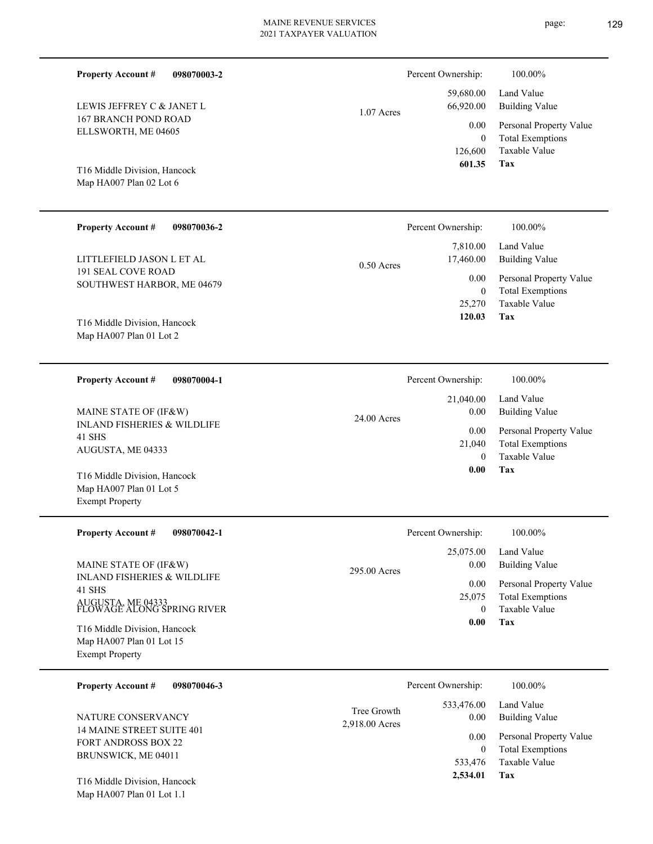**098070036-2** SOUTHWEST HARBOR, ME 04679 LITTLEFIELD JASON L ET AL 25,270  **120.03** 7,810.00 17,460.00 0.00 0.50 Acres Percent Ownership:  $100.00\%$ **098070004-1**

24.00 Acres

INLAND FISHERIES & WILDLIFE 41 SHS AUGUSTA, ME 04333 MAINE STATE OF (IF&W)

Map HA007 Plan 01 Lot 5 Exempt Property T16 Middle Division, Hancock

Map HA007 Plan 01 Lot 1.1

**098070042-1 Tax** Taxable Value Total Exemptions Personal Property Value Building Value Land Value INLAND FISHERIES & WILDLIFE 41 SHS AUGUSTA, ME 04333 FLOWAGE ALONG SPRING RIVER **Property Account #** Map HA007 Plan 01 Lot 15 Exempt Property T16 Middle Division, Hancock MAINE STATE OF (IF&W) 0 25,075  **0.00** 25,075.00 0.00 0.00 295.00 Acres Percent Ownership:  $100.00\%$ 

| 098070046-3<br><b>Property Account #</b>                                       | Percent Ownership:                                  | 100.00%                                            |
|--------------------------------------------------------------------------------|-----------------------------------------------------|----------------------------------------------------|
| NATURE CONSERVANCY                                                             | 533,476.00<br>Tree Growth<br>0.00<br>2,918.00 Acres | Land Value<br>Building Value                       |
| 14 MAINE STREET SUITE 401<br><b>FORT ANDROSS BOX 22</b><br>BRUNSWICK, ME 04011 | 0.00                                                | Personal Property Value<br><b>Total Exemptions</b> |
| T16 Middle Division, Hancock                                                   | 533,476<br>2,534.01                                 | Taxable Value<br>Tax                               |

## 167 BRANCH POND ROAD ELLSWORTH, ME 04605

LEWIS JEFFREY C & JANET L

**Property Account #**

**098070003-2**

Map HA007 Plan 02 Lot 6 T16 Middle Division, Hancock

191 SEAL COVE ROAD

Map HA007 Plan 01 Lot 2 T16 Middle Division, Hancock

**Property Account #**

**Property Account #**

### Building Value Land Value 0 59,680.00 66,920.00 0.00 1.07 Acres Percent Ownership:  $100.00\%$

**Tax** Taxable Value Total Exemptions Personal Property Value 126,600  **601.35**

| Percent Ownership: | 100.00%                 |
|--------------------|-------------------------|
| 21,040.00          | Land Value              |
| $0.00\,$           | Building Value          |
| $0.00\,$           | Personal Property       |
| 21,040             | <b>Total Exemptions</b> |
| 0                  | Taxable Value           |

**Tax**

0

Taxable Value Total Exemptions Personal Property Value

Building Value Land Value

| 0.00 | Tax |  |
|------|-----|--|
|      |     |  |

Value

|                | Percent Ownership: | 100.00%                                |  |
|----------------|--------------------|----------------------------------------|--|
|                | $0.00\,$           | 25,075.00 Land Value<br>Building Value |  |
| 0 <sup>n</sup> |                    |                                        |  |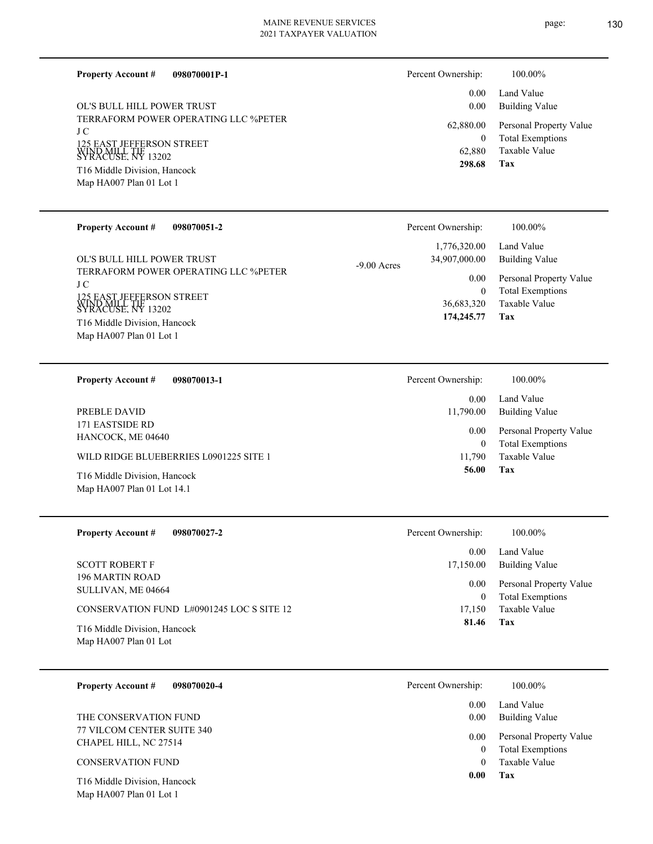**098070001P-1**

**Property Account #**

0.00

Percent Ownership:  $100.00\%$ 

Land Value

| OL'S BULL HILL POWER TRUST<br>TERRAFORM POWER OPERATING LLC %PETER<br>J C<br>125 EAST JEFFERSON STREET<br>WIND MILL TIF<br>SYRACUSE, NY 13202<br>T16 Middle Division, Hancock<br>Map HA007 Plan 01 Lot 1<br><b>Property Account #</b><br>098070051-2<br>OL'S BULL HILL POWER TRUST<br>TERRAFORM POWER OPERATING LLC %PETER<br>J C | 0.00<br>62,880.00<br>$\bf{0}$<br>62,880<br>298.68<br>Percent Ownership:<br>1,776,320.00<br>34,907,000.00<br>$-9.00$ Acres<br>0.00 | <b>Building Value</b><br>Personal Property Value<br><b>Total Exemptions</b><br>Taxable Value<br>Tax<br>100.00%<br>Land Value<br><b>Building Value</b><br>Personal Property Value |
|-----------------------------------------------------------------------------------------------------------------------------------------------------------------------------------------------------------------------------------------------------------------------------------------------------------------------------------|-----------------------------------------------------------------------------------------------------------------------------------|----------------------------------------------------------------------------------------------------------------------------------------------------------------------------------|
| 25 EAST JEFFERSON STREET<br>D MILL TIF<br>ACUSE. NY 13202<br>T16 Middle Division, Hancock<br>Map HA007 Plan 01 Lot 1                                                                                                                                                                                                              | $\boldsymbol{0}$<br>36,683,320<br>174,245.77                                                                                      | <b>Total Exemptions</b><br>Taxable Value<br>Tax                                                                                                                                  |
| <b>Property Account #</b><br>098070013-1                                                                                                                                                                                                                                                                                          | Percent Ownership:                                                                                                                | 100.00%                                                                                                                                                                          |
| PREBLE DAVID<br>171 EASTSIDE RD                                                                                                                                                                                                                                                                                                   | 0.00<br>11,790.00                                                                                                                 | Land Value<br><b>Building Value</b>                                                                                                                                              |
| HANCOCK, ME 04640                                                                                                                                                                                                                                                                                                                 | 0.00<br>$\boldsymbol{0}$                                                                                                          | Personal Property Value<br><b>Total Exemptions</b>                                                                                                                               |
| WILD RIDGE BLUEBERRIES L0901225 SITE 1<br>T16 Middle Division, Hancock<br>Map HA007 Plan 01 Lot 14.1                                                                                                                                                                                                                              | 11,790<br>56.00                                                                                                                   | Taxable Value<br><b>Tax</b>                                                                                                                                                      |
| <b>Property Account #</b><br>098070027-2                                                                                                                                                                                                                                                                                          | Percent Ownership:                                                                                                                | 100.00%                                                                                                                                                                          |
| <b>SCOTT ROBERT F</b><br>196 MARTIN ROAD<br>SULLIVAN, ME 04664                                                                                                                                                                                                                                                                    | 0.00<br>17,150.00<br>0.00                                                                                                         | Land Value<br><b>Building Value</b><br>Personal Property Value                                                                                                                   |
| CONSERVATION FUND L#0901245 LOC S SITE 12                                                                                                                                                                                                                                                                                         | $\mathbf{0}$<br>17,150                                                                                                            | <b>Total Exemptions</b><br>Taxable Value                                                                                                                                         |
| T16 Middle Division, Hancock<br>Map HA007 Plan 01 Lot                                                                                                                                                                                                                                                                             | 81.46                                                                                                                             | Tax                                                                                                                                                                              |
| 098070020-4<br><b>Property Account #</b>                                                                                                                                                                                                                                                                                          | Percent Ownership:                                                                                                                | 100.00%                                                                                                                                                                          |
| THE CONSERVATION FUND<br>77 VILCOM CENTER SUITE 340                                                                                                                                                                                                                                                                               | 0.00<br>0.00                                                                                                                      | Land Value<br><b>Building Value</b>                                                                                                                                              |
| CHAPEL HILL, NC 27514                                                                                                                                                                                                                                                                                                             | 0.00<br>$\boldsymbol{0}$                                                                                                          | Personal Property Value<br><b>Total Exemptions</b>                                                                                                                               |
| <b>CONSERVATION FUND</b>                                                                                                                                                                                                                                                                                                          | $\mathbf{0}$<br>0.00                                                                                                              | Taxable Value<br>Tax                                                                                                                                                             |
| T16 Middle Division, Hancock<br>Map HA007 Plan 01 Lot 1                                                                                                                                                                                                                                                                           |                                                                                                                                   |                                                                                                                                                                                  |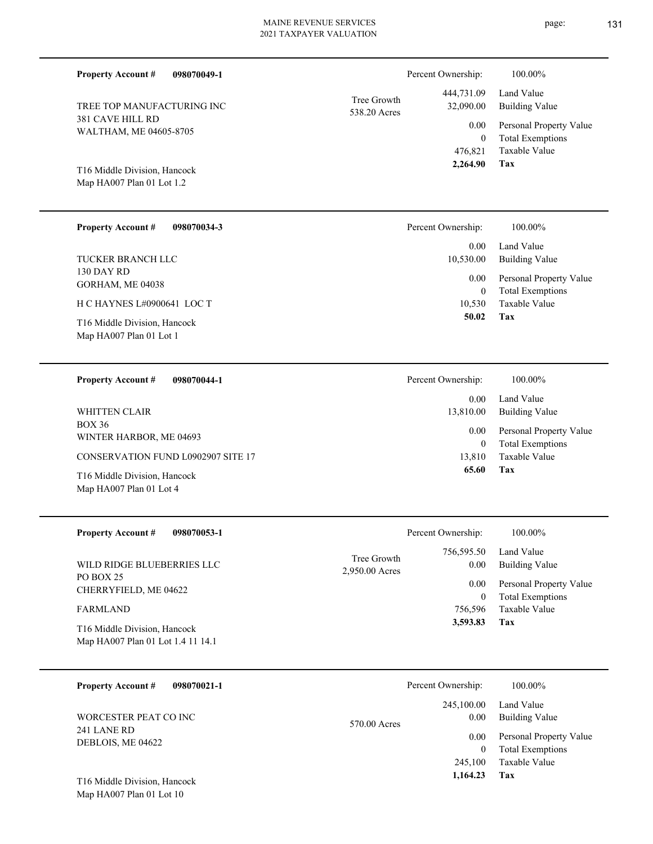| <b>Property Account #</b><br>098070049-1                                        |                             | Percent Ownership:                                           |
|---------------------------------------------------------------------------------|-----------------------------|--------------------------------------------------------------|
| TREE TOP MANUFACTURING INC<br><b>381 CAVE HILL RD</b><br>WALTHAM, ME 04605-8705 | Tree Growth<br>538.20 Acres | 444,731.09<br>32,090.00<br>0.00<br>$\overline{0}$<br>476,821 |
| T16 Middle Division, Hancock<br>Map HA007 Plan 01 Lot 1.2                       |                             | 2,264.90                                                     |
| <b>Property Account #</b><br>098070034-3                                        |                             | Percent Ownership:                                           |
| <b>TUCKER BRANCH LLC</b>                                                        |                             | 0.00<br>10,530.00                                            |
| 130 DAY RD<br>GORHAM, ME 04038                                                  |                             | 0.00<br>$\theta$                                             |
| H C HAYNES L#0900641 LOC T                                                      |                             | 10,530                                                       |
| T16 Middle Division, Hancock<br>Map HA007 Plan 01 Lot 1                         |                             | 50.02                                                        |
| <b>Property Account #</b><br>098070044-1                                        |                             | Percent Ownership:                                           |
| <b>WHITTEN CLAIR</b>                                                            |                             | 0.00<br>13,810.00                                            |
| <b>BOX 36</b><br>WINTER HARBOR, ME 04693                                        |                             | 0.00<br>$\Omega$                                             |

CONSERVATION FUND L0902907 SITE 17

Map HA007 Plan 01 Lot 4 T16 Middle Division, Hancock

| <b>Property Account #</b><br>098070053-1                          | Percent Ownership:                                  | 100.00%                      |
|-------------------------------------------------------------------|-----------------------------------------------------|------------------------------|
| WILD RIDGE BLUEBERRIES LLC                                        | 756,595.50<br>Tree Growth<br>0.00<br>2,950.00 Acres | Land Value<br>Building Value |
| PO BOX 25<br>CHERRYFIELD, ME 04622                                | 0.00                                                | Personal Property Value      |
|                                                                   | 0                                                   | <b>Total Exemptions</b>      |
| <b>FARMLAND</b>                                                   | 756.596                                             | Taxable Value                |
| T16 Middle Division, Hancock<br>Map HA007 Plan 01 Lot 1.4 11 14.1 | 3,593.83                                            | Tax                          |

| 098070021-1<br><b>Property Account #</b> | Percent Ownership:   | 100.00%                 |
|------------------------------------------|----------------------|-------------------------|
|                                          | 245,100.00           | Land Value              |
| WORCESTER PEAT CO INC<br>241 LANE RD     | 0.00<br>570.00 Acres | <b>Building Value</b>   |
| DEBLOIS, ME 04622                        | 0.00                 | Personal Property Value |
|                                          |                      | <b>Total Exemptions</b> |
|                                          | 245,100              | Taxable Value           |
| T16 Middle Division, Hancock             | 1,164.23             | Tax                     |

Map HA007 Plan 01 Lot 10



### **Tax** Taxable Value Total Exemptions Personal Property Value Building Value 476,821 0  $\overline{0}$  $\overline{0}$

| 50.02              | Tax                          |
|--------------------|------------------------------|
| 10,530             | Taxable Value                |
| 0                  | <b>Total Exemptions</b>      |
| $0.00\,$           | Personal Property Value      |
| 0.00<br>10,530.00  | Land Value<br>Building Value |
| Percent Ownership: | 100.00%                      |

| Percent Ownership:     | 100.00%                                                                           |
|------------------------|-----------------------------------------------------------------------------------|
| $0.00 -$<br>13,810.00  | Land Value<br>Building Value                                                      |
| $0.00\,$<br>0<br>65.60 | Personal Property Value<br><b>Total Exemptions</b><br>13,810 Taxable Value<br>Tax |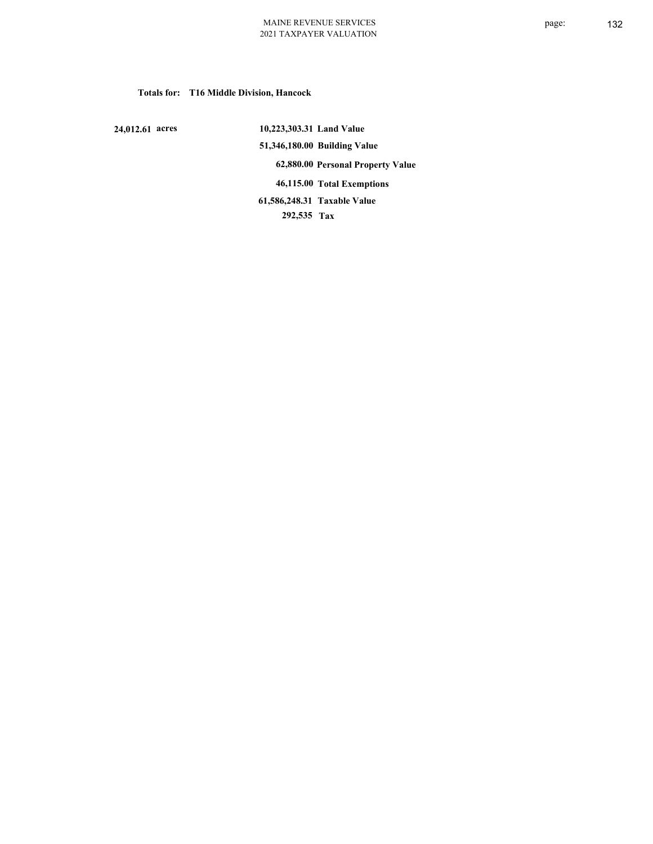### **Totals for: T16 Middle Division, Hancock**

 **24,012.61 acres**

 **10,223,303.31 Land Value 51,346,180.00 Building Value 62,880.00 Personal Property Value 46,115.00 Total Exemptions 292,535 Tax Taxable Value 61,586,248.31**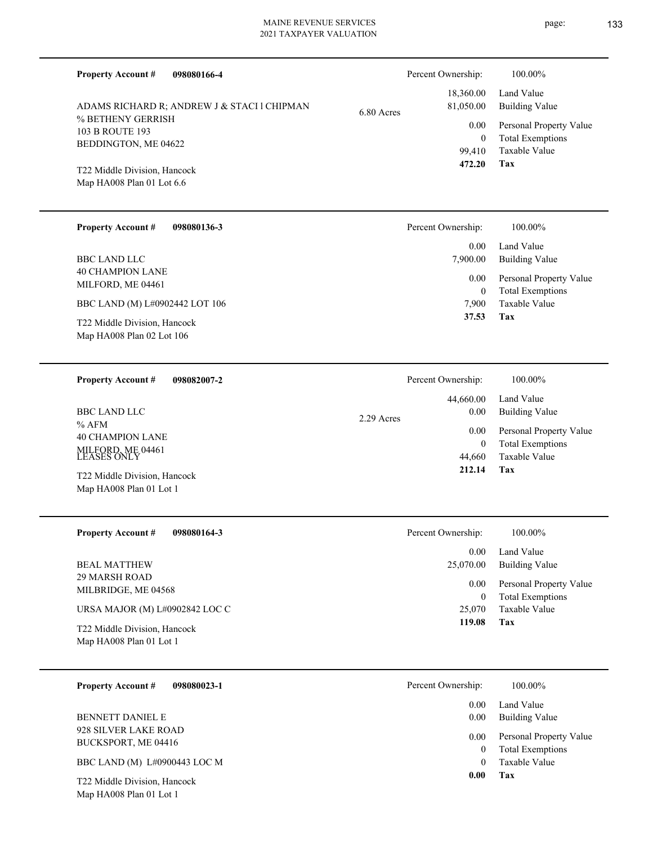| <b>Property Account #</b><br>098080166-4     |            | Percent Ownership:     | 100.00%                             |
|----------------------------------------------|------------|------------------------|-------------------------------------|
| ADAMS RICHARD R; ANDREW J & STACI 1 CHIPMAN  | 6.80 Acres | 18,360.00<br>81,050.00 | Land Value<br><b>Building Value</b> |
| % BETHENY GERRISH<br><b>103 B ROUTE 193</b>  |            | 0.00                   | Personal Property Value             |
| BEDDINGTON, ME 04622                         |            | $\overline{0}$         | <b>Total Exemptions</b>             |
|                                              |            | 99,410<br>472.20       | <b>Taxable Value</b><br>Tax         |
| T22 Middle Division, Hancock                 |            |                        |                                     |
| Map HA008 Plan 01 Lot 6.6                    |            |                        |                                     |
| <b>Property Account #</b><br>098080136-3     |            | Percent Ownership:     | 100.00%                             |
|                                              |            | 0.00                   | Land Value                          |
| <b>BBC LAND LLC</b>                          |            | 7,900.00               | <b>Building Value</b>               |
| <b>40 CHAMPION LANE</b><br>MILFORD, ME 04461 |            | 0.00                   | Personal Property Value             |
|                                              |            | $\overline{0}$         | <b>Total Exemptions</b>             |
| BBC LAND (M) L#0902442 LOT 106               |            | 7,900<br>37.53         | <b>Taxable Value</b><br>Tax         |
| T22 Middle Division, Hancock                 |            |                        |                                     |
| Map HA008 Plan 02 Lot 106                    |            |                        |                                     |
| <b>Property Account #</b><br>098082007-2     |            | Percent Ownership:     | 100.00%                             |
|                                              |            | 44,660.00              | Land Value                          |
| <b>BBC LAND LLC</b>                          | 2.29 Acres | 0.00                   | <b>Building Value</b>               |
| $%$ AFM                                      |            | 0.00                   | Personal Property Value             |
| <b>40 CHAMPION LANE</b>                      |            | $\overline{0}$         | <b>Total Exemptions</b>             |
| MILFORD, ME 04461<br>LEASES ONLY             |            | 44,660                 | <b>Taxable Value</b>                |
| T22 Middle Division, Hancock                 |            | 212.14                 | Tax                                 |
| Map HA008 Plan 01 Lot 1                      |            |                        |                                     |
| 098080164-3<br><b>Property Account #</b>     |            | Percent Ownership:     | 100.00%                             |
|                                              |            | 0.00                   | Land Value                          |
| <b>BEAL MATTHEW</b>                          |            | 25,070.00              | <b>Building Value</b>               |
| 29 MARSH ROAD                                |            | 0.00                   | Personal Property Value             |
| MILBRIDGE, ME 04568                          |            | $\boldsymbol{0}$       | <b>Total Exemptions</b>             |
| URSA MAJOR (M) L#0902842 LOC C               |            | 25,070                 | Taxable Value                       |
| T22 Middle Division, Hancock                 |            | 119.08                 | Tax                                 |
| Map HA008 Plan 01 Lot 1                      |            |                        |                                     |
| 098080023-1<br><b>Property Account #</b>     |            | Percent Ownership:     | 100.00%                             |
|                                              |            | 0.00                   | Land Value                          |
| BENNETT DANIEL E                             |            | 0.00                   | <b>Building Value</b>               |
| 928 SILVER LAKE ROAD                         |            | 0.00                   | Personal Property Value             |
| BUCKSPORT, ME 04416                          |            | $\mathbf{0}$           | <b>Total Exemptions</b>             |
| BBC LAND (M) L#0900443 LOC M                 |            | $\mathbf{0}$           | Taxable Value                       |

**Tax 0.00**

Map HA008 Plan 01 Lot 1 T22 Middle Division, Hancock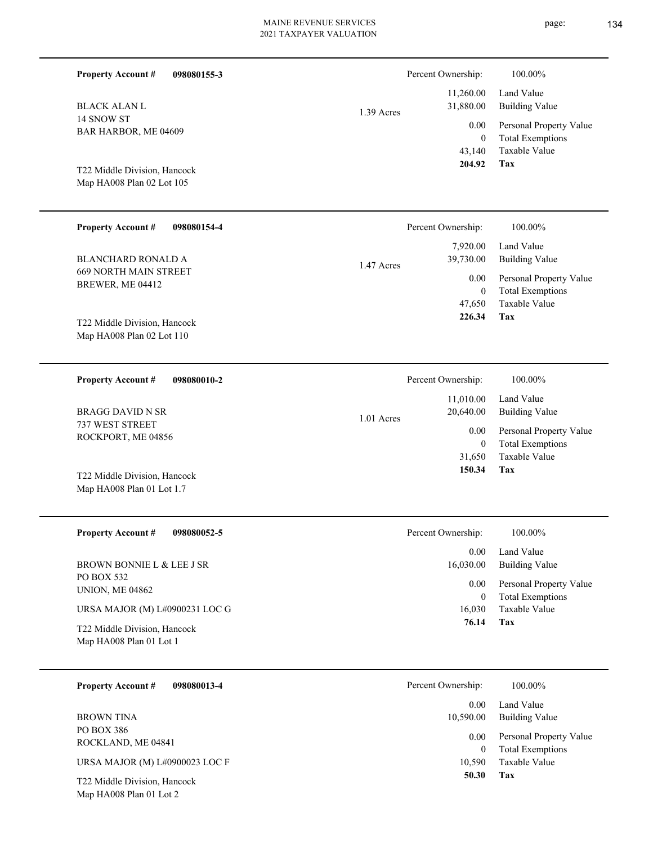| <b>Property Account #</b><br>098080155-3                       |            | Percent Ownership:                       | 100.00%                                                                    |
|----------------------------------------------------------------|------------|------------------------------------------|----------------------------------------------------------------------------|
| <b>BLACK ALAN L</b>                                            | 1.39 Acres | 11,260.00<br>31,880.00                   | Land Value<br><b>Building Value</b>                                        |
| 14 SNOW ST<br>BAR HARBOR, ME 04609                             |            | 0.00<br>$\overline{0}$<br>43,140         | Personal Property Value<br><b>Total Exemptions</b><br>Taxable Value        |
| T22 Middle Division, Hancock<br>Map HA008 Plan 02 Lot 105      |            | 204.92                                   | <b>Tax</b>                                                                 |
| <b>Property Account #</b><br>098080154-4                       |            | Percent Ownership:                       | 100.00%                                                                    |
| <b>BLANCHARD RONALD A</b>                                      | 1.47 Acres | 7,920.00<br>39,730.00                    | Land Value<br><b>Building Value</b>                                        |
| <b>669 NORTH MAIN STREET</b><br>BREWER, ME 04412               |            | 0.00<br>$\mathbf{0}$<br>47,650<br>226.34 | Personal Property Value<br><b>Total Exemptions</b><br>Taxable Value<br>Tax |
| T22 Middle Division, Hancock<br>Map HA008 Plan 02 Lot 110      |            |                                          |                                                                            |
| <b>Property Account #</b><br>098080010-2                       |            | Percent Ownership:                       | 100.00%                                                                    |
| <b>BRAGG DAVID N SR</b>                                        | 1.01 Acres | 11,010.00<br>20,640.00                   | Land Value<br><b>Building Value</b>                                        |
| 737 WEST STREET<br>ROCKPORT, ME 04856                          |            | 0.00<br>$\mathbf{0}$<br>31,650           | Personal Property Value<br><b>Total Exemptions</b><br>Taxable Value        |
| T22 Middle Division, Hancock<br>Map HA008 Plan 01 Lot 1.7      |            | 150.34                                   | Tax                                                                        |
| <b>Property Account #</b><br>098080052-5                       |            | Percent Ownership:                       | 100.00%                                                                    |
| BROWN BONNIE L & LEE J SR                                      |            | 0.00<br>16,030.00                        | Land Value<br><b>Building Value</b>                                        |
| PO BOX 532<br><b>UNION, ME 04862</b>                           |            | 0.00<br>$\mathbf{0}$                     | Personal Property Value<br><b>Total Exemptions</b>                         |
| URSA MAJOR (M) L#0900231 LOC G<br>T22 Middle Division, Hancock |            | 16,030<br>76.14                          | Taxable Value<br>Tax                                                       |
| Map HA008 Plan 01 Lot 1                                        |            |                                          |                                                                            |
| <b>Property Account #</b><br>098080013-4                       |            | Percent Ownership:                       | 100.00%                                                                    |
| <b>BROWN TINA</b>                                              |            | 0.00<br>10,590.00                        | Land Value<br><b>Building Value</b>                                        |
| PO BOX 386<br>ROCKLAND, ME 04841                               |            | 0.00<br>$\overline{0}$                   | Personal Property Value<br><b>Total Exemptions</b>                         |
| URSA MAJOR (M) L#0900023 LOC F                                 |            | 10,590<br>50.30                          | Taxable Value<br>Tax                                                       |
| T22 Middle Division, Hancock<br>Map HA008 Plan 01 Lot 2        |            |                                          |                                                                            |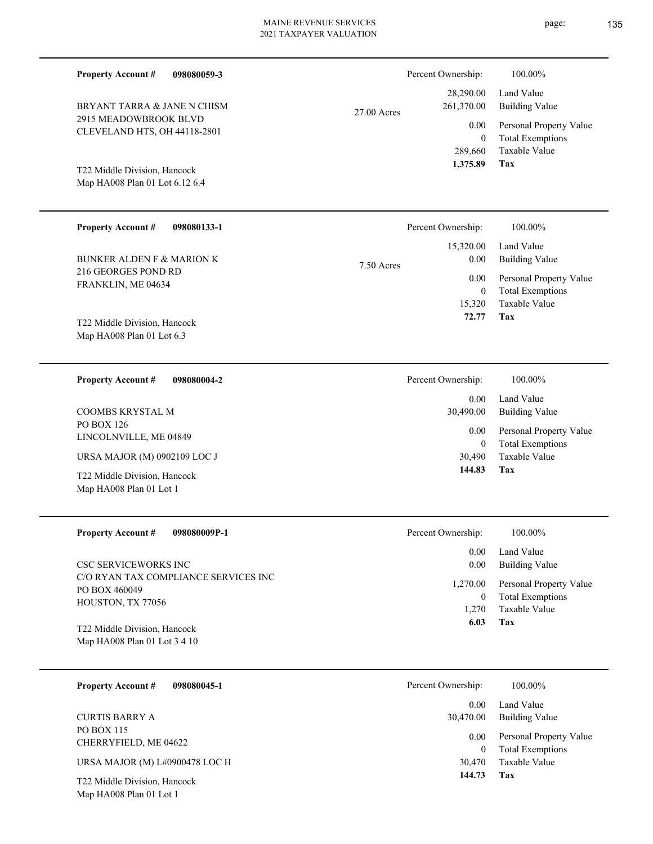27.00 Acres

Map HA008 Plan 01 Lot 6.12 6.4 T22 Middle Division, Hancock

BRYANT TARRA & JANE N CHISM

2915 MEADOWBROOK BLVD CLEVELAND HTS, OH 44118-2801

**Property Account #**

**098080059-3**

| <b>Property Account #</b><br>098080133-1  | Percent Ownership:     | 100.00%                 |
|-------------------------------------------|------------------------|-------------------------|
|                                           | 15,320.00              | Land Value              |
| BUNKER ALDEN F & MARION K                 | $0.00\,$<br>7.50 Acres | <b>Building Value</b>   |
| 216 GEORGES POND RD<br>FRANKLIN, ME 04634 | 0.00                   | Personal Property Value |
|                                           | $\mathbf{0}$           | <b>Total Exemptions</b> |
|                                           | 15,320                 | Taxable Value           |
| T22 Middle Division, Hancock              | 72.77                  | Tax                     |
| Map HA008 Plan 01 Lot $6.3$               |                        |                         |
|                                           |                        |                         |
|                                           |                        |                         |

| 098080004-2<br><b>Property Account #</b>                | Percent Ownership: | 100.00%                                            |
|---------------------------------------------------------|--------------------|----------------------------------------------------|
|                                                         | 0.00               | Land Value                                         |
| COOMBS KRYSTAL M                                        | 30,490.00          | Building Value                                     |
| PO BOX 126<br>LINCOLNVILLE, ME 04849                    | 0.00<br>0          | Personal Property Value<br><b>Total Exemptions</b> |
| URSA MAJOR (M) 0902109 LOC J                            | 30,490             | Taxable Value                                      |
| T22 Middle Division, Hancock<br>Map HA008 Plan 01 Lot 1 | 144.83             | Tax                                                |

| <b>Property Account #</b><br>098080009P-1                                  | Percent Ownership:            | 100.00%                                                             |
|----------------------------------------------------------------------------|-------------------------------|---------------------------------------------------------------------|
| <b>CSC SERVICEWORKS INC.</b>                                               | 0.00<br>0.00                  | Land Value<br><b>Building Value</b>                                 |
| C/O RYAN TAX COMPLIANCE SERVICES INC<br>PO BOX 460049<br>HOUSTON, TX 77056 | 1,270.00<br>$\bf{0}$<br>1.270 | Personal Property Value<br><b>Total Exemptions</b><br>Taxable Value |
| T22 Middle Division, Hancock<br>Map HA008 Plan 01 Lot 3 4 10               | 6.03                          | Tax                                                                 |

| <b>Property Account #</b><br>098080045-1                | Percent Ownership: | 100.00%                                            |
|---------------------------------------------------------|--------------------|----------------------------------------------------|
|                                                         | 0.00               | Land Value                                         |
| <b>CURTIS BARRY A</b>                                   | 30,470.00          | Building Value                                     |
| PO BOX 115<br>CHERRYFIELD, ME 04622                     | 0.00<br>$\theta$   | Personal Property Value<br><b>Total Exemptions</b> |
| URSA MAJOR (M) L#0900478 LOC H                          | 30,470             | Taxable Value                                      |
| T22 Middle Division, Hancock<br>Map HA008 Plan 01 Lot 1 | 144.73             | Tax                                                |

**Tax**

 289,660 0

0.00

Percent Ownership:  $100.00\%$ 

 28,290.00 261,370.00

 **1,375.89**

Taxable Value Total Exemptions Personal Property Value

Building Value Land Value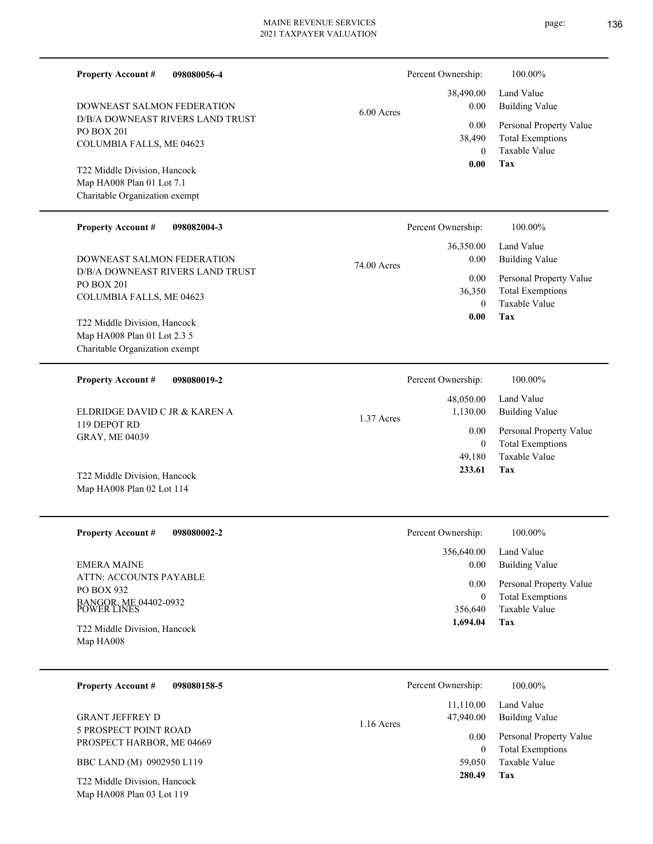| <b>Property Account #</b><br>098080056-4                       |             | Percent Ownership: | 100.00%                                  |
|----------------------------------------------------------------|-------------|--------------------|------------------------------------------|
| DOWNEAST SALMON FEDERATION                                     |             | 38,490.00<br>0.00  | Land Value<br><b>Building Value</b>      |
| D/B/A DOWNEAST RIVERS LAND TRUST                               | 6.00 Acres  |                    |                                          |
| PO BOX 201                                                     |             | 0.00               | Personal Property Value                  |
| COLUMBIA FALLS, ME 04623                                       |             | 38,490<br>$\theta$ | <b>Total Exemptions</b><br>Taxable Value |
| T22 Middle Division, Hancock                                   |             | 0.00               | Tax                                      |
| Map HA008 Plan 01 Lot 7.1                                      |             |                    |                                          |
| Charitable Organization exempt                                 |             |                    |                                          |
| <b>Property Account #</b><br>098082004-3                       |             | Percent Ownership: | 100.00%                                  |
|                                                                |             | 36,350.00          | Land Value                               |
| DOWNEAST SALMON FEDERATION<br>D/B/A DOWNEAST RIVERS LAND TRUST | 74.00 Acres | 0.00               | <b>Building Value</b>                    |
| PO BOX 201                                                     |             | 0.00               | Personal Property Value                  |
| COLUMBIA FALLS, ME 04623                                       |             | 36,350             | <b>Total Exemptions</b>                  |
|                                                                |             | $\Omega$           | Taxable Value                            |
| T22 Middle Division, Hancock                                   |             | 0.00               | Tax                                      |
| Map HA008 Plan 01 Lot 2.3 5                                    |             |                    |                                          |
| Charitable Organization exempt                                 |             |                    |                                          |
| <b>Property Account #</b><br>098080019-2                       |             | Percent Ownership: | 100.00%                                  |
|                                                                |             | 48,050.00          | Land Value                               |
| ELDRIDGE DAVID C JR & KAREN A                                  | 1.37 Acres  | 1,130.00           | <b>Building Value</b>                    |
| 119 DEPOT RD                                                   |             | 0.00               | Personal Property Value                  |
| GRAY, ME 04039                                                 |             | $\mathbf{0}$       | <b>Total Exemptions</b>                  |
|                                                                |             | 49,180             | Taxable Value                            |
| T22 Middle Division, Hancock                                   |             | 233.61             | Tax                                      |
| Map HA008 Plan 02 Lot 114                                      |             |                    |                                          |
|                                                                |             |                    |                                          |
| <b>Property Account #</b><br>098080002-2                       |             | Percent Ownership: | 100.00%                                  |
|                                                                |             | 356,640.00         | Land Value                               |
| <b>EMERA MAINE</b>                                             |             | 0.00               | <b>Building Value</b>                    |
| ATTN: ACCOUNTS PAYABLE                                         |             | 0.00               | Personal Property Value                  |
| PO BOX 932                                                     |             | $\boldsymbol{0}$   | <b>Total Exemptions</b>                  |
| BANGOR, ME 04402-0932<br>POWER LINES                           |             | 356,640            | Taxable Value                            |
| T22 Middle Division, Hancock                                   |             | 1,694.04           | Tax                                      |
| Map HA008                                                      |             |                    |                                          |
|                                                                |             |                    |                                          |
| <b>Property Account #</b><br>098080158-5                       |             | Percent Ownership: | 100.00%                                  |
|                                                                |             |                    |                                          |
|                                                                |             | 11,110.00          | Land Value                               |
| <b>GRANT JEFFREY D</b><br>5 PROSPECT POINT ROAD                | 1.16 Acres  | 47,940.00          | <b>Building Value</b>                    |
| PROSPECT HARBOR, ME 04669                                      |             | 0.00               | Personal Property Value                  |
|                                                                |             | $\boldsymbol{0}$   | <b>Total Exemptions</b>                  |
| BBC LAND (M) 0902950 L119                                      |             | 59,050<br>280.49   | Taxable Value                            |
| T22 Middle Division, Hancock                                   |             |                    | Tax                                      |

Map HA008 Plan 03 Lot 119

- page: 136
-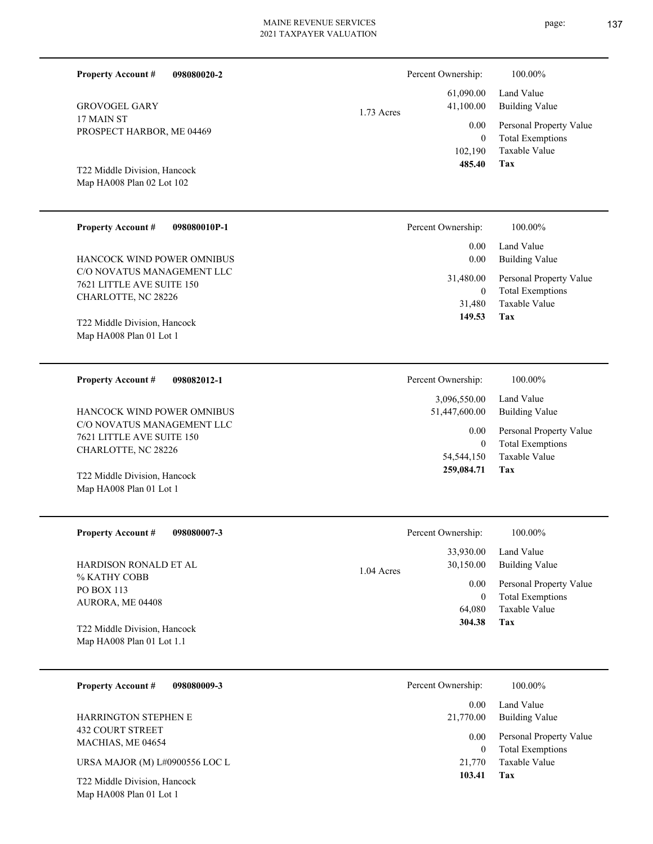**098080020-2 Tax** Taxable Value Total Exemptions Personal Property Value Building Value Land Value 17 MAIN ST PROSPECT HARBOR, ME 04469 **Property Account #** Map HA008 Plan 02 Lot 102 T22 Middle Division, Hancock GROVOGEL GARY 102,190 0  **485.40** 61,090.00 41,100.00 0.00 1.73 Acres Percent Ownership:  $100.00\%$ **098080010P-1 Tax** Taxable Value Total Exemptions Personal Property Value Building Value Land Value C/O NOVATUS MANAGEMENT LLC 7621 LITTLE AVE SUITE 150 CHARLOTTE, NC 28226 **Property Account #** Map HA008 Plan 01 Lot 1 T22 Middle Division, Hancock HANCOCK WIND POWER OMNIBUS 31,480 0  **149.53** 0.00 0.00 31,480.00 Percent Ownership:  $100.00\%$ **098082012-1 Tax** Taxable Value Total Exemptions Personal Property Value Building Value Land Value C/O NOVATUS MANAGEMENT LLC 7621 LITTLE AVE SUITE 150 CHARLOTTE, NC 28226 **Property Account #** Map HA008 Plan 01 Lot 1 T22 Middle Division, Hancock HANCOCK WIND POWER OMNIBUS 54,544,150 0  **259,084.71** 3,096,550.00 51,447,600.00 0.00 Percent Ownership:  $100.00\%$ **098080007-3 Tax** Taxable Value Total Exemptions Personal Property Value Building Value Land Value % KATHY COBB PO BOX 113 AURORA, ME 04408 **Property Account #** Map HA008 Plan 01 Lot 1.1 T22 Middle Division, Hancock HARDISON RONALD ET AL 64,080 0  **304.38** 33,930.00 30,150.00 0.00 1.04 Acres Percent Ownership:  $100.00\%$ 

| 098080009-3<br><b>Property Account #</b>                | Percent Ownership: | 100.00%                                            |
|---------------------------------------------------------|--------------------|----------------------------------------------------|
|                                                         | 0.00               | Land Value                                         |
| <b>HARRINGTON STEPHEN E</b>                             | 21,770.00          | Building Value                                     |
| <b>432 COURT STREET</b><br>MACHIAS, ME 04654            | 0.00<br>0          | Personal Property Value<br><b>Total Exemptions</b> |
| URSA MAJOR (M) L#0900556 LOC L                          | 21,770             | Taxable Value                                      |
| T22 Middle Division, Hancock<br>Map HA008 Plan 01 Lot 1 | 103.41             | Tax                                                |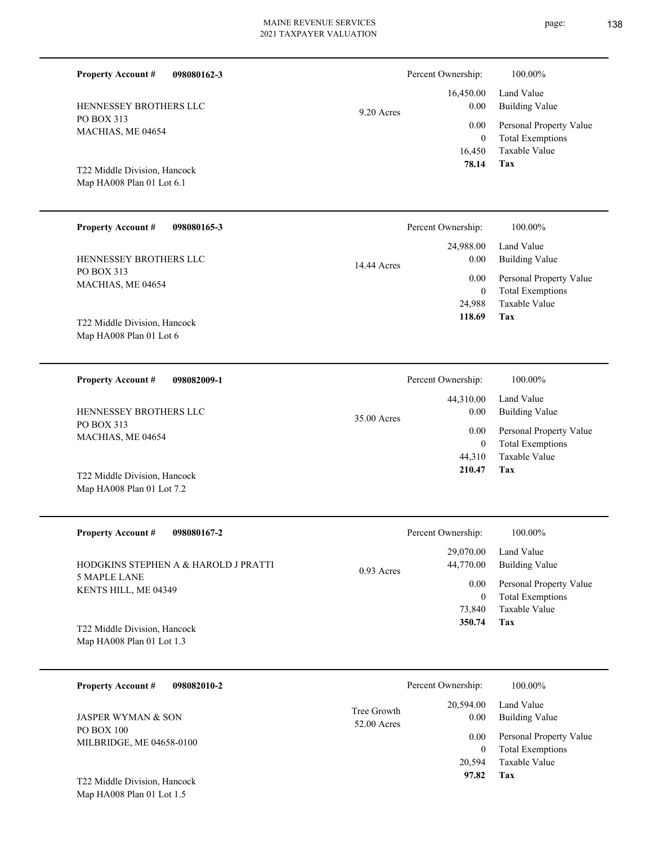| 098080162-3<br><b>Property Account #</b>                                      |                            | Percent Ownership:                            | 100.00%                                                                           |
|-------------------------------------------------------------------------------|----------------------------|-----------------------------------------------|-----------------------------------------------------------------------------------|
| HENNESSEY BROTHERS LLC                                                        | 9.20 Acres                 | 16,450.00<br>0.00                             | Land Value<br><b>Building Value</b>                                               |
| PO BOX 313<br>MACHIAS, ME 04654                                               |                            | 0.00<br>$\mathbf{0}$<br>16,450                | Personal Property Value<br><b>Total Exemptions</b><br>Taxable Value               |
| T22 Middle Division, Hancock<br>Map HA008 Plan 01 Lot 6.1                     |                            | 78.14                                         | <b>Tax</b>                                                                        |
| <b>Property Account #</b><br>098080165-3                                      |                            | Percent Ownership:                            | 100.00%                                                                           |
| HENNESSEY BROTHERS LLC                                                        | 14.44 Acres                | 24,988.00<br>0.00                             | Land Value<br><b>Building Value</b>                                               |
| PO BOX 313<br>MACHIAS, ME 04654                                               |                            | 0.00<br>$\mathbf{0}$<br>24,988<br>118.69      | Personal Property Value<br><b>Total Exemptions</b><br><b>Taxable Value</b><br>Tax |
| T22 Middle Division, Hancock<br>Map HA008 Plan 01 Lot 6                       |                            |                                               |                                                                                   |
| <b>Property Account #</b><br>098082009-1                                      |                            | Percent Ownership:                            | 100.00%                                                                           |
| <b>HENNESSEY BROTHERS LLC</b>                                                 | 35.00 Acres                | 44,310.00<br>0.00                             | Land Value<br><b>Building Value</b>                                               |
| PO BOX 313<br>MACHIAS, ME 04654                                               |                            | 0.00<br>$\boldsymbol{0}$<br>44,310            | Personal Property Value<br><b>Total Exemptions</b><br>Taxable Value               |
| T22 Middle Division, Hancock<br>Map HA008 Plan 01 Lot 7.2                     |                            | 210.47                                        | Tax                                                                               |
| <b>Property Account #</b><br>098080167-2                                      |                            | Percent Ownership:                            | 100.00%                                                                           |
| HODGKINS STEPHEN A & HAROLD J PRATTI                                          | $0.93$ Acres               | 29,070.00<br>44,770.00                        | Land Value<br><b>Building Value</b>                                               |
| <b>5 MAPLE LANE</b><br>KENTS HILL, ME 04349                                   |                            | $0.00\,$<br>$\mathbf{0}$                      | Personal Property Value<br><b>Total Exemptions</b>                                |
| T22 Middle Division, Hancock<br>Map HA008 Plan 01 Lot 1.3                     |                            | 73,840<br>350.74                              | Taxable Value<br>Tax                                                              |
| <b>Property Account #</b><br>098082010-2                                      |                            | Percent Ownership:                            | 100.00%                                                                           |
| <b>JASPER WYMAN &amp; SON</b>                                                 | Tree Growth<br>52.00 Acres | 20,594.00<br>0.00                             | Land Value<br><b>Building Value</b>                                               |
| <b>PO BOX 100</b><br>MILBRIDGE, ME 04658-0100<br>T22 Middle Division, Hancock |                            | $0.00\,$<br>$\overline{0}$<br>20,594<br>97.82 | Personal Property Value<br><b>Total Exemptions</b><br>Taxable Value<br>Tax        |
| Map HA008 Plan 01 Lot 1.5                                                     |                            |                                               |                                                                                   |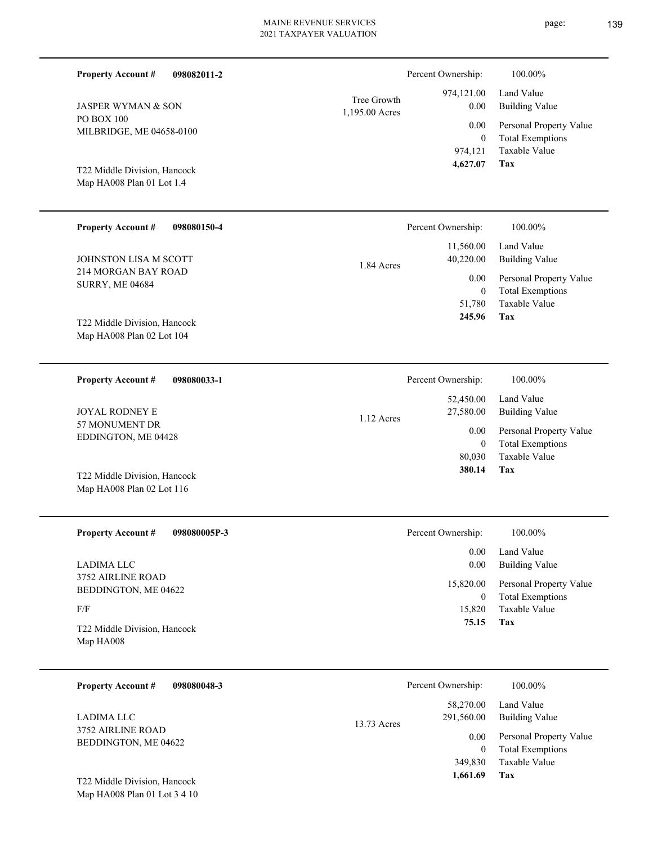| <b>Property Account #</b><br>098082011-2                  |                               | Percent Ownership:                          | 100.00%                                                                    |
|-----------------------------------------------------------|-------------------------------|---------------------------------------------|----------------------------------------------------------------------------|
| <b>JASPER WYMAN &amp; SON</b>                             | Tree Growth<br>1,195.00 Acres | 974,121.00<br>0.00                          | Land Value<br><b>Building Value</b>                                        |
| PO BOX 100<br>MILBRIDGE, ME 04658-0100                    |                               | 0.00<br>$\mathbf{0}$<br>974,121<br>4,627.07 | Personal Property Value<br><b>Total Exemptions</b><br>Taxable Value<br>Tax |
| T22 Middle Division, Hancock<br>Map HA008 Plan 01 Lot 1.4 |                               |                                             |                                                                            |
| <b>Property Account #</b><br>098080150-4                  |                               | Percent Ownership:                          | 100.00%                                                                    |
| <b>JOHNSTON LISA M SCOTT</b>                              | 1.84 Acres                    | 11,560.00<br>40,220.00                      | Land Value<br><b>Building Value</b>                                        |
| 214 MORGAN BAY ROAD<br><b>SURRY, ME 04684</b>             |                               | 0.00<br>$\mathbf{0}$<br>51,780<br>245.96    | Personal Property Value<br><b>Total Exemptions</b><br>Taxable Value<br>Tax |
| T22 Middle Division, Hancock<br>Map HA008 Plan 02 Lot 104 |                               |                                             |                                                                            |
| <b>Property Account #</b><br>098080033-1                  |                               | Percent Ownership:                          | 100.00%                                                                    |
| <b>JOYAL RODNEY E</b>                                     | 1.12 Acres                    | 52,450.00<br>27,580.00                      | Land Value<br><b>Building Value</b>                                        |
| 57 MONUMENT DR<br>EDDINGTON, ME 04428                     |                               | 0.00<br>$\boldsymbol{0}$<br>80,030          | Personal Property Value<br><b>Total Exemptions</b><br>Taxable Value        |
| T22 Middle Division, Hancock<br>Map HA008 Plan 02 Lot 116 |                               | 380.14                                      | Tax                                                                        |
| <b>Property Account #</b><br>098080005P-3                 |                               | Percent Ownership:                          | 100.00%                                                                    |
| <b>LADIMA LLC</b>                                         |                               | 0.00<br>0.00                                | Land Value<br><b>Building Value</b>                                        |
| 3752 AIRLINE ROAD<br>BEDDINGTON, ME 04622                 |                               | 15,820.00<br>$\overline{0}$                 | Personal Property Value<br><b>Total Exemptions</b>                         |
| F/F<br>T22 Middle Division, Hancock<br>Map HA008          |                               | 15,820<br>75.15                             | Taxable Value<br>Tax                                                       |
| <b>Property Account #</b><br>098080048-3                  |                               | Percent Ownership:                          | 100.00%                                                                    |
| <b>LADIMA LLC</b>                                         |                               | 58,270.00<br>291,560.00                     | Land Value<br><b>Building Value</b>                                        |
| 3752 AIRLINE ROAD<br>BEDDINGTON, ME 04622                 | 13.73 Acres                   | $0.00\,$<br>$\theta$                        | Personal Property Value<br><b>Total Exemptions</b>                         |

Map HA008 Plan 01 Lot 3 4 10 T22 Middle Division, Hancock

**Tax** Taxable Value 349,830  **1,661.69**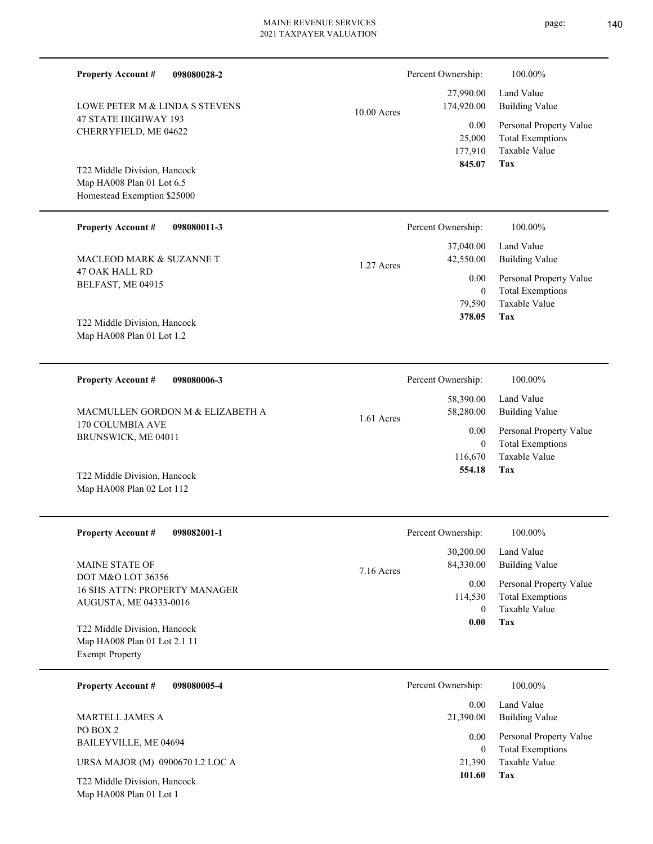| <b>Property Account #</b><br>098080028-2                                                 |               | Percent Ownership:                | 100.00%                                                             |
|------------------------------------------------------------------------------------------|---------------|-----------------------------------|---------------------------------------------------------------------|
| LOWE PETER M & LINDA S STEVENS                                                           | $10.00$ Acres | 27,990.00<br>174,920.00           | Land Value<br><b>Building Value</b>                                 |
| 47 STATE HIGHWAY 193<br>CHERRYFIELD, ME 04622                                            |               | 0.00<br>25,000<br>177,910         | Personal Property Value<br><b>Total Exemptions</b><br>Taxable Value |
| T22 Middle Division, Hancock<br>Map HA008 Plan 01 Lot 6.5<br>Homestead Exemption \$25000 |               | 845.07                            | Tax                                                                 |
| <b>Property Account #</b><br>098080011-3                                                 |               | Percent Ownership:                | 100.00%                                                             |
| <b>MACLEOD MARK &amp; SUZANNE T</b>                                                      | 1.27 Acres    | 37,040.00<br>42,550.00            | Land Value<br><b>Building Value</b>                                 |
| <b>47 OAK HALL RD</b><br>BELFAST, ME 04915                                               |               | 0.00<br>$\overline{0}$<br>79,590  | Personal Property Value<br><b>Total Exemptions</b><br>Taxable Value |
| T22 Middle Division, Hancock<br>Map HA008 Plan 01 Lot 1.2                                |               | 378.05                            | Tax                                                                 |
| <b>Property Account #</b><br>098080006-3                                                 |               | Percent Ownership:                | 100.00%                                                             |
| MACMULLEN GORDON M & ELIZABETH A                                                         | $1.61$ Acres  | 58,390.00<br>58,280.00            | Land Value<br><b>Building Value</b>                                 |
| 170 COLUMBIA AVE<br>BRUNSWICK, ME 04011                                                  |               | 0.00<br>$\overline{0}$<br>116,670 | Personal Property Value<br><b>Total Exemptions</b><br>Taxable Value |
| T22 Middle Division, Hancock<br>Map HA008 Plan 02 Lot 112                                |               | 554.18                            | Tax                                                                 |
| <b>Property Account #</b><br>098082001-1                                                 |               | Percent Ownership:                | 100.00%                                                             |
| MAINE STATE OF                                                                           | 7.16 Acres    | 30,200.00<br>84,330.00            | Land Value<br><b>Building Value</b>                                 |
| DOT M&O LOT 36356<br>16 SHS ATTN: PROPERTY MANAGER<br>AUGUSTA, ME 04333-0016             |               | 0.00<br>114,530<br>$\overline{0}$ | Personal Property Value<br><b>Total Exemptions</b><br>Taxable Value |
| T22 Middle Division, Hancock<br>Map HA008 Plan 01 Lot 2.1 11<br><b>Exempt Property</b>   |               | $0.00\,$                          | Tax                                                                 |
| 098080005-4<br><b>Property Account #</b>                                                 |               | Percent Ownership:                | 100.00%                                                             |
| MARTELL JAMES A                                                                          |               | 0.00<br>21,390.00                 | Land Value<br><b>Building Value</b>                                 |
| PO BOX 2<br>BAILEYVILLE, ME 04694                                                        |               | 0.00<br>$\overline{0}$            | Personal Property Value<br><b>Total Exemptions</b>                  |
| URSA MAJOR (M) 0900670 L2 LOC A                                                          |               | 21,390<br>101.60                  | Taxable Value<br>Tax                                                |
| T22 Middle Division, Hancock<br>Map HA008 Plan 01 Lot 1                                  |               |                                   |                                                                     |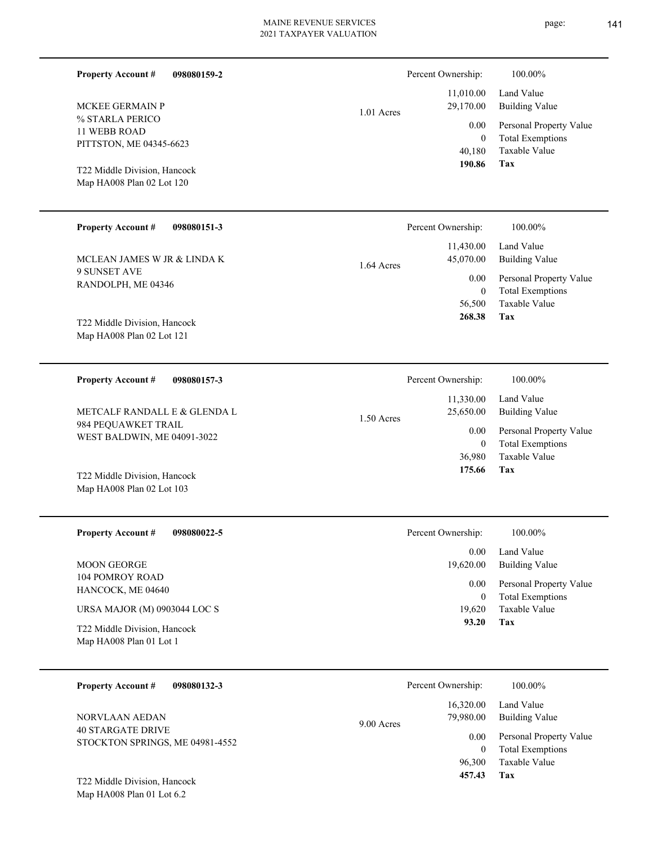| <b>Property Account #</b><br>098080159-2                  | Percent Ownership: |                        | 100.00%                                  |
|-----------------------------------------------------------|--------------------|------------------------|------------------------------------------|
|                                                           |                    | 11,010.00              | Land Value                               |
| MCKEE GERMAIN P<br>% STARLA PERICO                        | 1.01 Acres         | 29,170.00              | <b>Building Value</b>                    |
| 11 WEBB ROAD                                              |                    | 0.00                   | Personal Property Value                  |
| PITTSTON, ME 04345-6623                                   |                    | $\overline{0}$         | <b>Total Exemptions</b><br>Taxable Value |
|                                                           |                    | 40,180<br>190.86       | Tax                                      |
| T22 Middle Division, Hancock                              |                    |                        |                                          |
| Map HA008 Plan 02 Lot 120                                 |                    |                        |                                          |
|                                                           |                    |                        |                                          |
| <b>Property Account #</b><br>098080151-3                  | Percent Ownership: |                        | 100.00%                                  |
|                                                           |                    | 11,430.00              | Land Value                               |
| MCLEAN JAMES W JR & LINDA K                               | 1.64 Acres         | 45,070.00              | <b>Building Value</b>                    |
| 9 SUNSET AVE<br>RANDOLPH, ME 04346                        |                    | 0.00                   | Personal Property Value                  |
|                                                           |                    | $\mathbf{0}$           | <b>Total Exemptions</b><br>Taxable Value |
|                                                           |                    | 56,500<br>268.38       | Tax                                      |
| T22 Middle Division, Hancock                              |                    |                        |                                          |
| Map HA008 Plan 02 Lot 121                                 |                    |                        |                                          |
|                                                           |                    |                        |                                          |
| <b>Property Account #</b><br>098080157-3                  | Percent Ownership: |                        | 100.00%                                  |
| METCALF RANDALL E & GLENDA L                              |                    | 11,330.00              | Land Value                               |
| 984 PEQUAWKET TRAIL<br>WEST BALDWIN, ME 04091-3022        | 1.50 Acres         | 25,650.00              | <b>Building Value</b>                    |
|                                                           |                    | 0.00                   | Personal Property Value                  |
|                                                           |                    | $\mathbf{0}$<br>36,980 | <b>Total Exemptions</b><br>Taxable Value |
|                                                           |                    | 175.66                 | Tax                                      |
| T22 Middle Division, Hancock<br>Map HA008 Plan 02 Lot 103 |                    |                        |                                          |
|                                                           |                    |                        |                                          |
| 098080022-5<br><b>Property Account #</b>                  | Percent Ownership: |                        | 100.00%                                  |
|                                                           |                    |                        |                                          |
| MOON GEORGE                                               |                    | 0.00<br>19,620.00      | Land Value<br><b>Building Value</b>      |
| <b>104 POMROY ROAD</b>                                    |                    | 0.00                   | Personal Property Value                  |
| HANCOCK, ME 04640                                         |                    | $\overline{0}$         | <b>Total Exemptions</b>                  |
| URSA MAJOR (M) 0903044 LOC S                              |                    | 19,620                 | Taxable Value                            |
| T22 Middle Division, Hancock                              |                    | 93.20                  | Tax                                      |
| Map HA008 Plan 01 Lot 1                                   |                    |                        |                                          |
|                                                           |                    |                        |                                          |
| <b>Property Account #</b><br>098080132-3                  | Percent Ownership: |                        | 100.00%                                  |
|                                                           |                    | 16,320.00              | Land Value                               |
| NORVLAAN AEDAN                                            | 9.00 Acres         | 79,980.00              | <b>Building Value</b>                    |
| <b>40 STARGATE DRIVE</b>                                  |                    | 0.00                   | Personal Property Value                  |
| STOCKTON SPRINGS, ME 04981-4552                           |                    | $\mathbf{0}$           | <b>Total Exemptions</b>                  |
|                                                           |                    | 96,300                 | Taxable Value                            |
| T22 Middle Division, Hancock                              |                    | 457.43                 | Tax                                      |
| Map HA008 Plan 01 Lot 6.2                                 |                    |                        |                                          |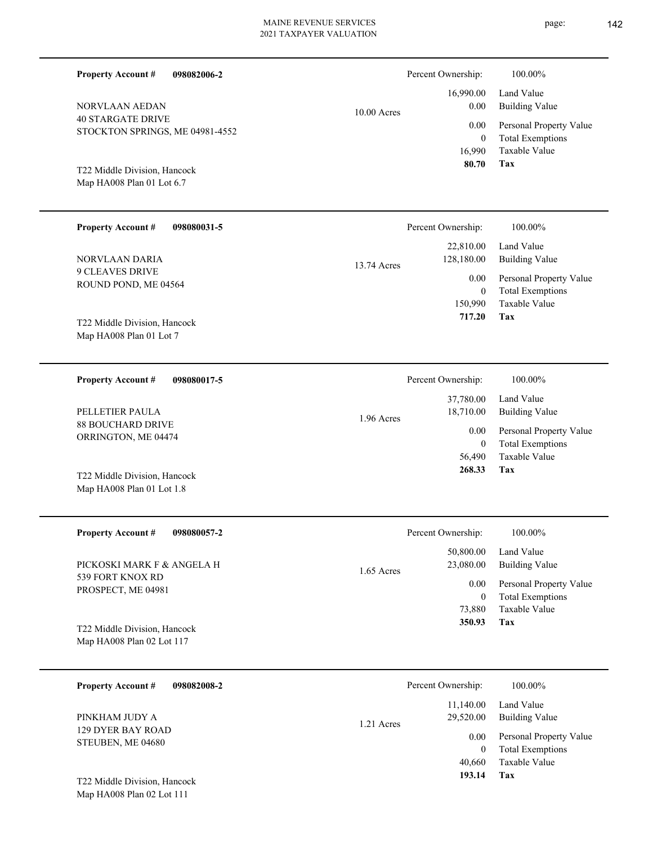| <b>Property Account #</b><br>098082006-2                               |               | Percent Ownership:                         | 100.00%                                                                    |
|------------------------------------------------------------------------|---------------|--------------------------------------------|----------------------------------------------------------------------------|
| NORVLAAN AEDAN                                                         | $10.00$ Acres | 16,990.00<br>0.00                          | Land Value<br><b>Building Value</b>                                        |
| <b>40 STARGATE DRIVE</b><br>STOCKTON SPRINGS, ME 04981-4552            |               | 0.00<br>$\mathbf{0}$<br>16,990             | Personal Property Value<br><b>Total Exemptions</b><br>Taxable Value        |
| T22 Middle Division, Hancock<br>Map HA008 Plan 01 Lot 6.7              |               | 80.70                                      | <b>Tax</b>                                                                 |
| <b>Property Account #</b><br>098080031-5                               |               | Percent Ownership:                         | 100.00%                                                                    |
| NORVLAAN DARIA                                                         | 13.74 Acres   | 22,810.00<br>128,180.00                    | Land Value<br><b>Building Value</b>                                        |
| <b>9 CLEAVES DRIVE</b><br>ROUND POND, ME 04564                         |               | 0.00<br>$\mathbf{0}$<br>150,990<br>717.20  | Personal Property Value<br><b>Total Exemptions</b><br>Taxable Value<br>Tax |
| T22 Middle Division, Hancock<br>Map HA008 Plan 01 Lot 7                |               |                                            |                                                                            |
| <b>Property Account #</b><br>098080017-5                               |               | Percent Ownership:                         | 100.00%                                                                    |
| PELLETIER PAULA                                                        | 1.96 Acres    | 37,780.00<br>18,710.00                     | Land Value<br><b>Building Value</b>                                        |
| <b>88 BOUCHARD DRIVE</b><br>ORRINGTON, ME 04474                        |               | 0.00<br>$\mathbf{0}$<br>56,490             | Personal Property Value<br><b>Total Exemptions</b><br>Taxable Value        |
| T22 Middle Division, Hancock<br>Map HA008 Plan 01 Lot 1.8              |               | 268.33                                     | Tax                                                                        |
| <b>Property Account #</b><br>098080057-2                               |               | Percent Ownership:                         | $100.00\%$                                                                 |
| PICKOSKI MARK F & ANGELA H                                             | 1.65 Acres    | 50,800.00<br>23,080.00                     | Land Value<br><b>Building Value</b>                                        |
| 539 FORT KNOX RD<br>PROSPECT, ME 04981                                 |               | 0.00<br>$\overline{0}$                     | Personal Property Value<br><b>Total Exemptions</b>                         |
| T22 Middle Division, Hancock<br>Map HA008 Plan 02 Lot 117              |               | 73,880<br>350.93                           | Taxable Value<br>Tax                                                       |
| <b>Property Account #</b><br>098082008-2                               |               | Percent Ownership:                         | 100.00%                                                                    |
| PINKHAM JUDY A                                                         | 1.21 Acres    | 11,140.00<br>29,520.00                     | Land Value<br><b>Building Value</b>                                        |
| 129 DYER BAY ROAD<br>STEUBEN, ME 04680<br>T22 Middle Division, Hancock |               | 0.00<br>$\overline{0}$<br>40,660<br>193.14 | Personal Property Value<br><b>Total Exemptions</b><br>Taxable Value<br>Tax |
| Map HA008 Plan 02 Lot 111                                              |               |                                            |                                                                            |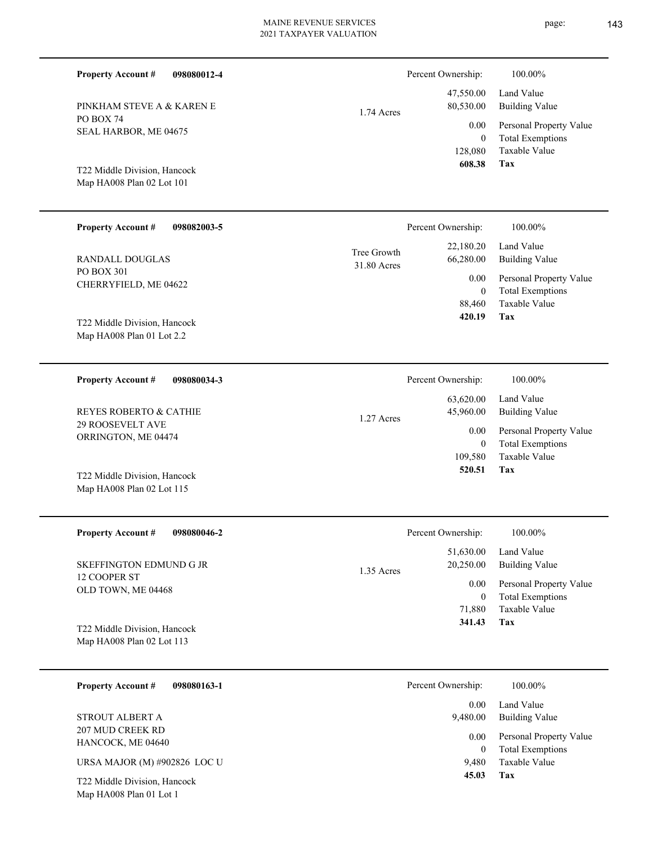| <b>Property Account #</b><br>098080012-4                           |                            | Percent Ownership:                          | 100.00%                                                                    |
|--------------------------------------------------------------------|----------------------------|---------------------------------------------|----------------------------------------------------------------------------|
| PINKHAM STEVE A & KAREN E                                          | 1.74 Acres                 | 47,550.00<br>80,530.00                      | Land Value<br><b>Building Value</b>                                        |
| PO BOX 74<br>SEAL HARBOR, ME 04675<br>T22 Middle Division, Hancock |                            | 0.00<br>$\overline{0}$<br>128,080<br>608.38 | Personal Property Value<br><b>Total Exemptions</b><br>Taxable Value<br>Tax |
| Map HA008 Plan 02 Lot 101                                          |                            |                                             |                                                                            |
| <b>Property Account #</b><br>098082003-5                           |                            | Percent Ownership:                          | 100.00%                                                                    |
| <b>RANDALL DOUGLAS</b>                                             | Tree Growth<br>31.80 Acres | 22,180.20<br>66,280.00                      | Land Value<br><b>Building Value</b>                                        |
| <b>PO BOX 301</b><br>CHERRYFIELD, ME 04622                         |                            | 0.00<br>$\mathbf{0}$<br>88,460              | Personal Property Value<br><b>Total Exemptions</b><br>Taxable Value        |
| T22 Middle Division, Hancock<br>Map HA008 Plan 01 Lot 2.2          |                            | 420.19                                      | Tax                                                                        |
| <b>Property Account #</b><br>098080034-3                           |                            | Percent Ownership:                          | 100.00%                                                                    |
| REYES ROBERTO & CATHIE                                             | 1.27 Acres                 | 63,620.00<br>45,960.00                      | Land Value<br><b>Building Value</b>                                        |
| 29 ROOSEVELT AVE<br>ORRINGTON, ME 04474                            |                            | 0.00<br>$\mathbf{0}$<br>109,580             | Personal Property Value<br><b>Total Exemptions</b><br>Taxable Value        |
| T22 Middle Division, Hancock<br>Map HA008 Plan 02 Lot 115          |                            | 520.51                                      | Tax                                                                        |
| <b>Property Account #</b><br>098080046-2                           |                            | Percent Ownership:                          | 100.00%                                                                    |
| SKEFFINGTON EDMUND G JR                                            | 1.35 Acres                 | 51,630.00<br>20,250.00                      | Land Value<br><b>Building Value</b>                                        |
| 12 COOPER ST<br>OLD TOWN, ME 04468                                 |                            | 0.00<br>$\boldsymbol{0}$<br>71,880          | Personal Property Value<br><b>Total Exemptions</b><br>Taxable Value        |

Map HA008 Plan 02 Lot 113 T22 Middle Division, Hancock

| <b>Property Account #</b><br>098080163-1                | Percent Ownership:<br>100.00%                                   |  |
|---------------------------------------------------------|-----------------------------------------------------------------|--|
|                                                         | Land Value<br>0.00                                              |  |
| STROUT ALBERT A                                         | Building Value<br>9,480.00                                      |  |
| 207 MUD CREEK RD<br>HANCOCK, ME 04640                   | Personal Property Value<br>0.00<br><b>Total Exemptions</b><br>0 |  |
| URSA MAJOR (M) #902826 LOC U                            | Taxable Value<br>9.480                                          |  |
| T22 Middle Division, Hancock<br>Map HA008 Plan 01 Lot 1 | 45.03<br>Tax                                                    |  |

**Tax 341.43**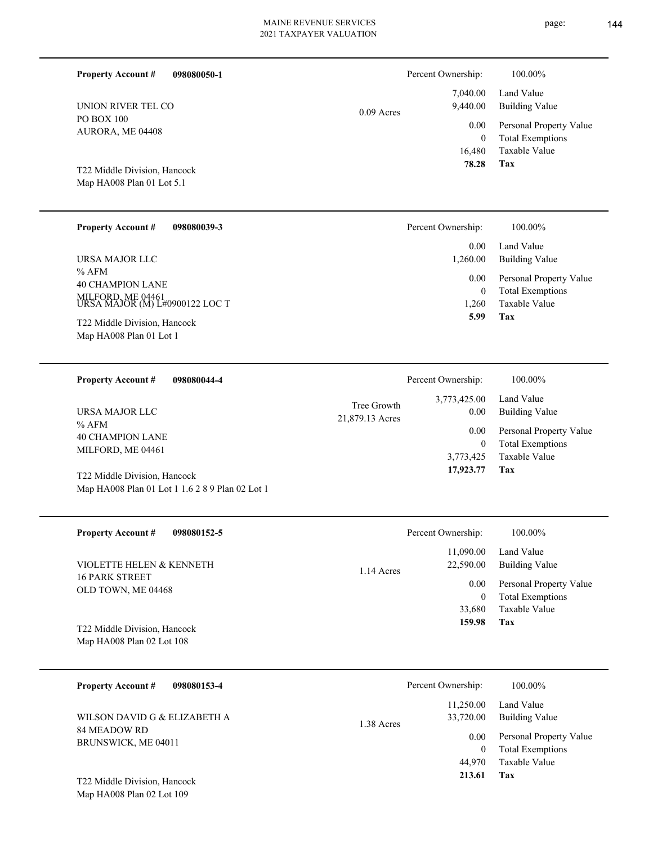| <b>Property Account #</b><br>UNION RIVER TEL CO<br>PO BOX 100<br>AURORA, ME 04408<br>T22 Middle Division, Hancock | 098080050-1                                     | $0.09$ Acres                   | Percent Ownership:<br>7,040.00<br>9,440.00<br>0.00<br>$\theta$<br>16,480<br>78.28 | 100.00%<br>Land Value<br><b>Building Value</b><br>Personal Property Value<br><b>Total Exemptions</b><br>Taxable Value<br><b>Tax</b> |
|-------------------------------------------------------------------------------------------------------------------|-------------------------------------------------|--------------------------------|-----------------------------------------------------------------------------------|-------------------------------------------------------------------------------------------------------------------------------------|
| Map HA008 Plan 01 Lot 5.1                                                                                         |                                                 |                                |                                                                                   |                                                                                                                                     |
| <b>Property Account #</b>                                                                                         | 098080039-3                                     |                                | Percent Ownership:                                                                | 100.00%                                                                                                                             |
| URSA MAJOR LLC<br>$%$ AFM                                                                                         |                                                 |                                | 0.00<br>1,260.00                                                                  | Land Value<br><b>Building Value</b>                                                                                                 |
| <b>40 CHAMPION LANE</b><br>MILFORD, ME 04461<br>URSA MAJOR (M) L#0900122 LOC T<br>T22 Middle Division, Hancock    |                                                 |                                | 0.00<br>$\mathbf{0}$<br>1,260<br>5.99                                             | Personal Property Value<br><b>Total Exemptions</b><br>Taxable Value<br>Tax                                                          |
| Map HA008 Plan 01 Lot 1                                                                                           |                                                 |                                |                                                                                   |                                                                                                                                     |
| <b>Property Account #</b>                                                                                         | 098080044-4                                     |                                | Percent Ownership:                                                                | 100.00%                                                                                                                             |
| URSA MAJOR LLC                                                                                                    |                                                 | Tree Growth<br>21,879.13 Acres | 3,773,425.00<br>0.00                                                              | Land Value<br><b>Building Value</b>                                                                                                 |
| % AFM<br><b>40 CHAMPION LANE</b><br>MILFORD, ME 04461                                                             |                                                 |                                | 0.00<br>$\mathbf{0}$<br>3,773,425<br>17,923.77                                    | Personal Property Value<br><b>Total Exemptions</b><br>Taxable Value<br>Tax                                                          |
| T22 Middle Division, Hancock                                                                                      | Map HA008 Plan 01 Lot 1 1.6 2 8 9 Plan 02 Lot 1 |                                |                                                                                   |                                                                                                                                     |
| <b>Property Account #</b>                                                                                         | 098080152-5                                     |                                | Percent Ownership:                                                                | 100.00%                                                                                                                             |
| VIOLETTE HELEN & KENNETH                                                                                          |                                                 | 1.14 Acres                     | 11,090.00<br>22,590.00                                                            | Land Value<br><b>Building Value</b>                                                                                                 |
| <b>16 PARK STREET</b><br>OLD TOWN, ME 04468                                                                       |                                                 |                                | 0.00<br>$\mathbf{0}$<br>33,680                                                    | Personal Property Value<br><b>Total Exemptions</b><br>Taxable Value                                                                 |
| T22 Middle Division, Hancock<br>Map HA008 Plan 02 Lot 108                                                         |                                                 |                                | 159.98                                                                            | Tax                                                                                                                                 |
| <b>Property Account #</b><br>WILSON DAVID G & ELIZABETH A<br>84 MEADOW RD<br>BRUNSWICK, ME 04011                  | 098080153-4                                     |                                | Percent Ownership:                                                                | 100.00%                                                                                                                             |
|                                                                                                                   |                                                 | 1.38 Acres                     | 11,250.00<br>33,720.00                                                            | Land Value<br><b>Building Value</b>                                                                                                 |
|                                                                                                                   |                                                 |                                | 0.00<br>$\overline{0}$<br>44,970<br>213.61                                        | Personal Property Value<br><b>Total Exemptions</b><br>Taxable Value                                                                 |
| T22 Middle Division, Hancock<br>Map HA008 Plan 02 Lot 109                                                         |                                                 |                                |                                                                                   | Tax                                                                                                                                 |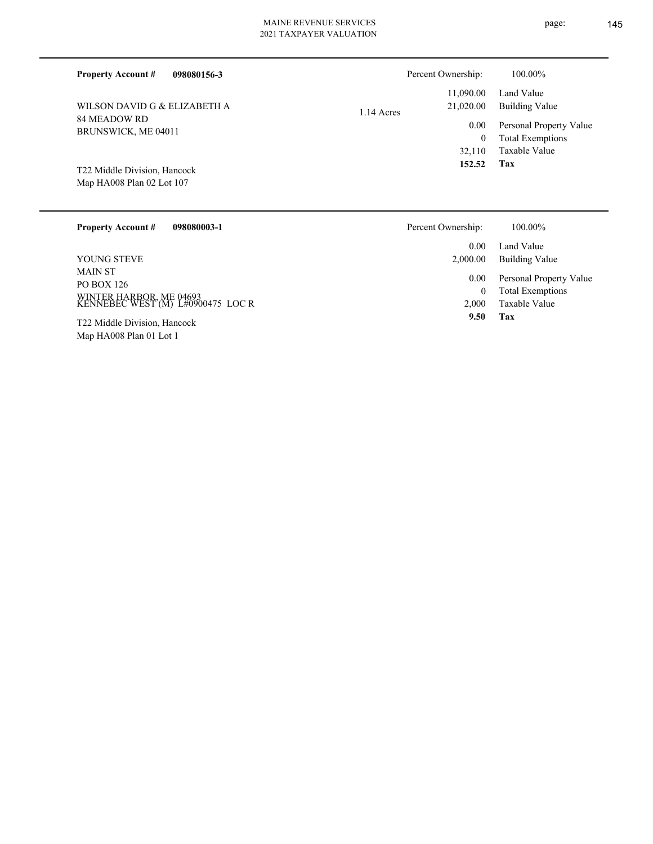| <b>Property Account #</b><br>098080156-3                  | Percent Ownership:                   | 100.00%                                            |
|-----------------------------------------------------------|--------------------------------------|----------------------------------------------------|
| WILSON DAVID G & ELIZABETH A                              | 11,090.00<br>21,020.00<br>1.14 Acres | Land Value<br><b>Building Value</b>                |
| 84 MEADOW RD<br>BRUNSWICK, ME 04011                       | 0.00<br>0                            | Personal Property Value<br><b>Total Exemptions</b> |
|                                                           | 32.110                               | Taxable Value                                      |
| T22 Middle Division, Hancock<br>Map HA008 Plan 02 Lot 107 | 152.52                               | Tax                                                |

| <b>Property Account #</b><br>098080003-1                                                     | Percent Ownership: | 100.00%                                                             |
|----------------------------------------------------------------------------------------------|--------------------|---------------------------------------------------------------------|
|                                                                                              | 0.00               | Land Value                                                          |
| YOUNG STEVE                                                                                  | 2,000.00           | Building Value                                                      |
| <b>MAIN ST</b><br>PO BOX 126<br>WINTER HARBOR, ME 04693<br>KENNEBEC WEST (M) L#0900475 LOC R | 0.00<br>0<br>2.000 | Personal Property Value<br><b>Total Exemptions</b><br>Taxable Value |
| T22 Middle Division, Hancock                                                                 | 9.50               | Tax                                                                 |
| Map HA008 Plan 01 Lot 1                                                                      |                    |                                                                     |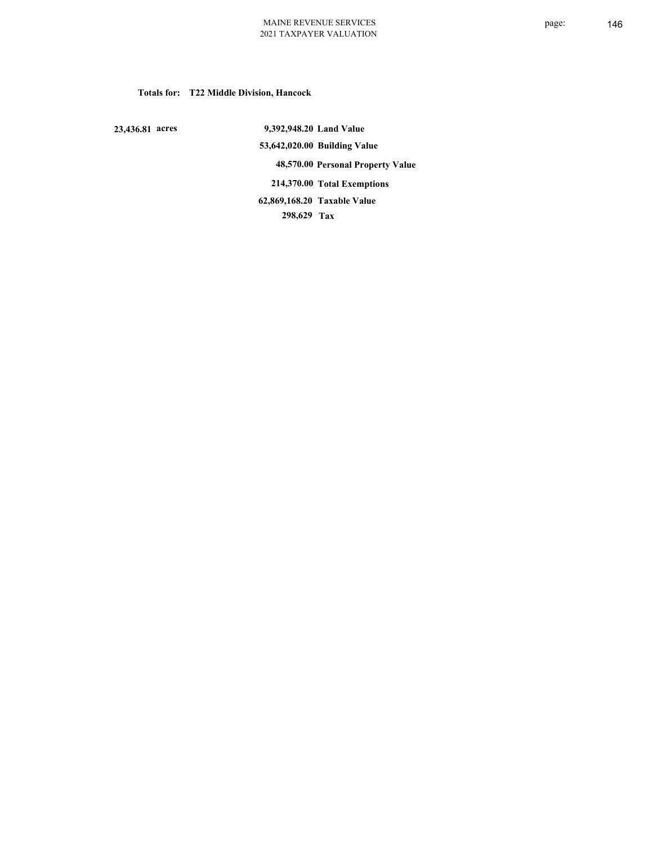**Totals for: T22 Middle Division, Hancock**

 **23,436.81 acres**

 **9,392,948.20 Land Value 53,642,020.00 Building Value 48,570.00 Personal Property Value 214,370.00 Total Exemptions 298,629 Tax Taxable Value 62,869,168.20**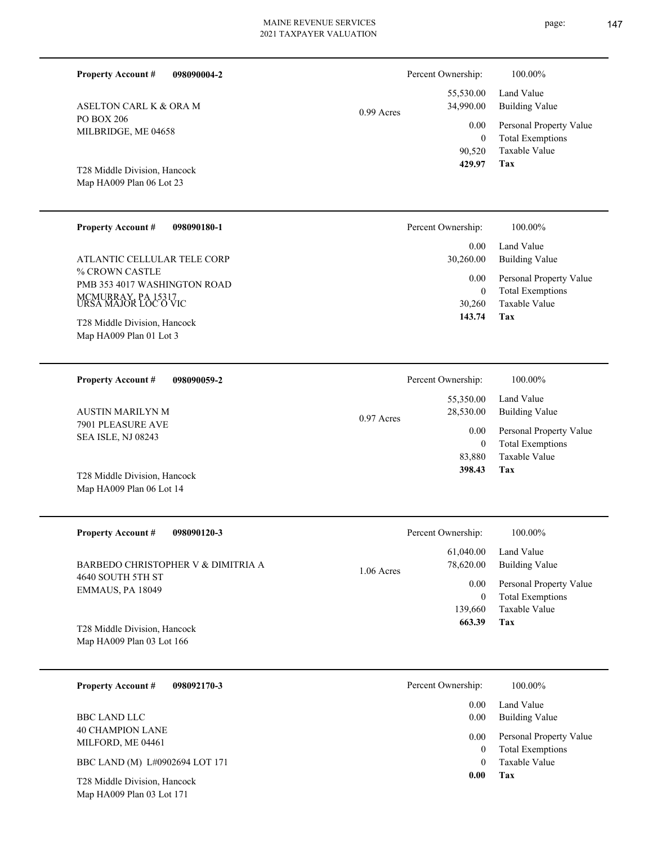| <b>Property Account #</b><br>098090004-2                 |              | Percent Ownership:               | 100.00%                                            |
|----------------------------------------------------------|--------------|----------------------------------|----------------------------------------------------|
| ASELTON CARL K & ORA M                                   | 0.99 Acres   | 55,530.00<br>34,990.00           | Land Value<br><b>Building Value</b>                |
| PO BOX 206<br>MILBRIDGE, ME 04658                        |              | 0.00                             | Personal Property Value                            |
| T28 Middle Division, Hancock<br>Map HA009 Plan 06 Lot 23 |              | $\mathbf{0}$<br>90,520<br>429.97 | <b>Total Exemptions</b><br>Taxable Value<br>Tax    |
|                                                          |              |                                  |                                                    |
| <b>Property Account #</b><br>098090180-1                 |              | Percent Ownership:               | 100.00%                                            |
| ATLANTIC CELLULAR TELE CORP                              |              | 0.00<br>30,260.00                | Land Value<br><b>Building Value</b>                |
| % CROWN CASTLE<br>PMB 353 4017 WASHINGTON ROAD           |              | 0.00                             | Personal Property Value                            |
| MCMURRAY, PA 15317<br>URSA MAJOR LOC O VIC               |              | $\mathbf{0}$<br>30,260           | <b>Total Exemptions</b><br>Taxable Value           |
| T28 Middle Division, Hancock                             |              | 143.74                           | Tax                                                |
| Map HA009 Plan 01 Lot 3                                  |              |                                  |                                                    |
| <b>Property Account #</b><br>098090059-2                 |              | Percent Ownership:               | 100.00%                                            |
|                                                          |              | 55,350.00                        | Land Value                                         |
| <b>AUSTIN MARILYN M</b><br>7901 PLEASURE AVE             | 0.97 Acres   | 28,530.00                        | <b>Building Value</b>                              |
| SEA ISLE, NJ 08243                                       |              | $0.00\,$<br>$\mathbf{0}$         | Personal Property Value<br><b>Total Exemptions</b> |
| T28 Middle Division, Hancock                             |              | 83,880<br>398.43                 | Taxable Value<br>Tax                               |
| Map HA009 Plan 06 Lot 14                                 |              |                                  |                                                    |
|                                                          |              |                                  |                                                    |
| <b>Property Account #</b><br>098090120-3                 |              | Percent Ownership:               | 100.00%                                            |
| BARBEDO CHRISTOPHER V & DIMITRIA A                       |              | 61,040.00<br>78,620.00           | Land Value<br><b>Building Value</b>                |
| 4640 SOUTH 5TH ST<br>EMMAUS, PA 18049                    | $1.06$ Acres | 0.00                             | Personal Property Value                            |
|                                                          |              | $\boldsymbol{0}$<br>139,660      | <b>Total Exemptions</b><br>Taxable Value           |
| T28 Middle Division, Hancock                             |              | 663.39                           | Tax                                                |
| Map HA009 Plan 03 Lot 166                                |              |                                  |                                                    |
| <b>Property Account #</b><br>098092170-3                 |              | Percent Ownership:               | 100.00%                                            |
|                                                          |              | 0.00                             | Land Value                                         |
| <b>BBC LAND LLC</b><br><b>40 CHAMPION LANE</b>           |              | 0.00                             | <b>Building Value</b>                              |
| MILFORD, ME 04461                                        |              | 0.00<br>$\mathbf{0}$             | Personal Property Value<br><b>Total Exemptions</b> |
| BBC LAND (M) L#0902694 LOT 171                           |              | $\theta$                         | Taxable Value                                      |

**Tax 0.00**

Map HA009 Plan 03 Lot 171 T28 Middle Division, Hancock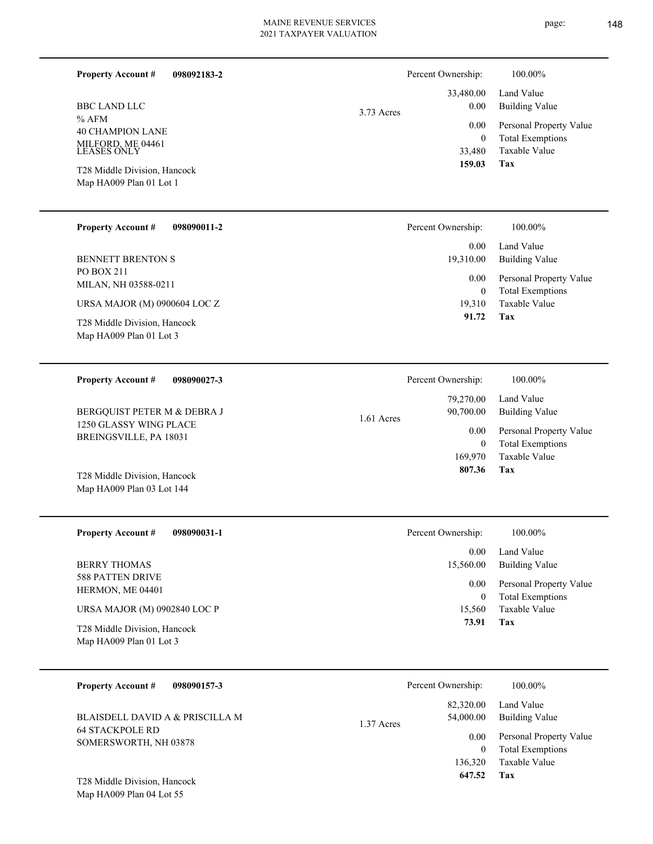$\overline{\phantom{0}}$ 

| <b>Property Account #</b><br>098092183-2                               |              | Percent Ownership:                 | 100.00%                                                             |
|------------------------------------------------------------------------|--------------|------------------------------------|---------------------------------------------------------------------|
| <b>BBC LAND LLC</b>                                                    | 3.73 Acres   | 33,480.00<br>0.00                  | Land Value<br><b>Building Value</b>                                 |
| $%$ AFM<br><b>40 CHAMPION LANE</b><br>MILFORD, ME 04461<br>LEASES ONLY |              | 0.00<br>$\boldsymbol{0}$<br>33,480 | Personal Property Value<br><b>Total Exemptions</b><br>Taxable Value |
| T28 Middle Division, Hancock<br>Map HA009 Plan 01 Lot 1                |              | 159.03                             | <b>Tax</b>                                                          |
| <b>Property Account #</b><br>098090011-2                               |              | Percent Ownership:                 | 100.00%                                                             |
| <b>BENNETT BRENTON S</b>                                               |              | 0.00<br>19,310.00                  | Land Value<br><b>Building Value</b>                                 |
| PO BOX 211<br>MILAN, NH 03588-0211                                     |              | 0.00<br>$\boldsymbol{0}$           | Personal Property Value<br><b>Total Exemptions</b>                  |
| URSA MAJOR (M) 0900604 LOC Z<br>T28 Middle Division, Hancock           |              | 19,310<br>91.72                    | Taxable Value<br>Tax                                                |
| Map HA009 Plan 01 Lot 3                                                |              |                                    |                                                                     |
| <b>Property Account #</b><br>098090027-3                               |              | Percent Ownership:                 | 100.00%                                                             |
| BERGQUIST PETER M & DEBRA J                                            | $1.61$ Acres | 79,270.00<br>90,700.00             | Land Value<br><b>Building Value</b>                                 |
| 1250 GLASSY WING PLACE<br>BREINGSVILLE, PA 18031                       |              | 0.00<br>$\mathbf{0}$               | Personal Property Value<br><b>Total Exemptions</b>                  |
| T28 Middle Division, Hancock<br>Map HA009 Plan 03 Lot 144              |              | 169,970<br>807.36                  | Taxable Value<br>Tax                                                |
| 098090031-1<br><b>Property Account #</b>                               |              | Percent Ownership:                 | 100.00%                                                             |
| <b>BERRY THOMAS</b>                                                    |              | 0.00<br>15,560.00                  | Land Value<br><b>Building Value</b>                                 |
| 588 PATTEN DRIVE<br>HERMON, ME 04401                                   |              | 0.00<br>$\boldsymbol{0}$           | Personal Property Value<br><b>Total Exemptions</b>                  |
| URSA MAJOR (M) 0902840 LOC P<br>T28 Middle Division, Hancock           |              | 15,560<br>73.91                    | Taxable Value<br>Tax                                                |
| Map HA009 Plan 01 Lot 3                                                |              |                                    |                                                                     |
| <b>Property Account #</b><br>098090157-3                               |              | Percent Ownership:                 | 100.00%                                                             |
| BLAISDELL DAVID A & PRISCILLA M                                        | 1.37 Acres   | 82,320.00<br>54,000.00             | Land Value<br><b>Building Value</b>                                 |
| <b>64 STACKPOLE RD</b><br>SOMERSWORTH, NH 03878                        |              | 0.00<br>$\bf{0}$<br>136,320        | Personal Property Value<br><b>Total Exemptions</b><br>Taxable Value |
| T28 Middle Division, Hancock<br>Map HA009 Plan 04 Lot 55               |              | 647.52                             | Tax                                                                 |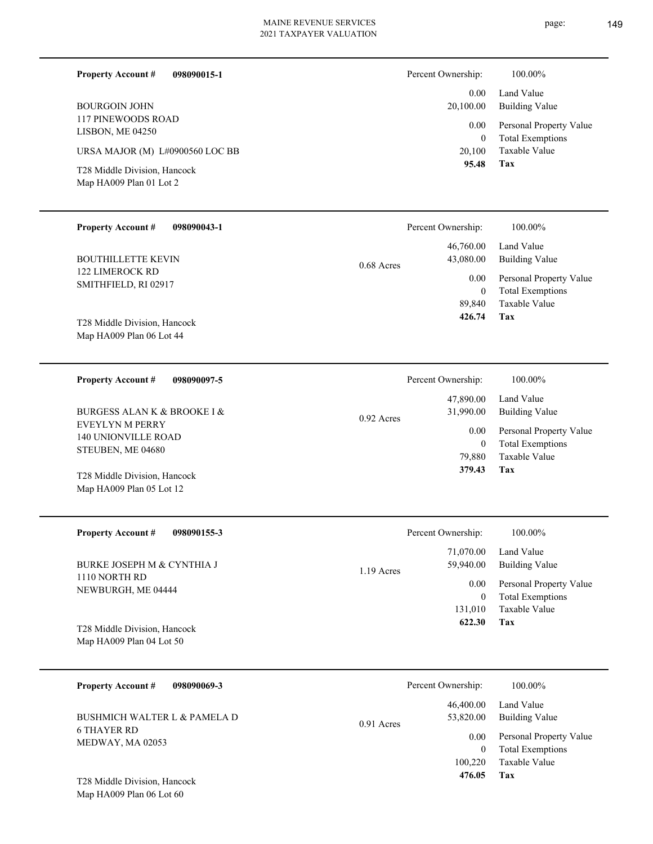| <b>Property Account #</b><br>098090015-1<br><b>BOURGOIN JOHN</b><br>117 PINEWOODS ROAD<br>LISBON, ME 04250<br>URSA MAJOR (M) L#0900560 LOC BB<br>T28 Middle Division, Hancock<br>Map HA009 Plan 01 Lot 2 |              | Percent Ownership:<br>0.00<br>20,100.00<br>0.00<br>$\mathbf{0}$<br>20,100<br>95.48 | 100.00%<br>Land Value<br><b>Building Value</b><br>Personal Property Value<br><b>Total Exemptions</b><br>Taxable Value<br>Tax |
|----------------------------------------------------------------------------------------------------------------------------------------------------------------------------------------------------------|--------------|------------------------------------------------------------------------------------|------------------------------------------------------------------------------------------------------------------------------|
| <b>Property Account #</b><br>098090043-1                                                                                                                                                                 |              | Percent Ownership:                                                                 | 100.00%                                                                                                                      |
| <b>BOUTHILLETTE KEVIN</b>                                                                                                                                                                                | 0.68 Acres   | 46,760.00<br>43,080.00                                                             | Land Value<br><b>Building Value</b>                                                                                          |
| <b>122 LIMEROCK RD</b><br>SMITHFIELD, RI 02917<br>T28 Middle Division, Hancock<br>Map HA009 Plan 06 Lot 44                                                                                               |              | 0.00<br>$\overline{0}$<br>89,840<br>426.74                                         | Personal Property Value<br><b>Total Exemptions</b><br><b>Taxable Value</b><br>Tax                                            |
| <b>Property Account #</b><br>098090097-5                                                                                                                                                                 |              | Percent Ownership:                                                                 | 100.00%                                                                                                                      |
| <b>BURGESS ALAN K &amp; BROOKE I &amp;</b>                                                                                                                                                               | 0.92 Acres   | 47,890.00<br>31,990.00                                                             | Land Value<br><b>Building Value</b>                                                                                          |
| EVEYLYN M PERRY<br>140 UNIONVILLE ROAD<br>STEUBEN, ME 04680<br>T28 Middle Division, Hancock<br>Map HA009 Plan 05 Lot 12                                                                                  |              | $0.00\,$<br>$\overline{0}$<br>79,880<br>379.43                                     | Personal Property Value<br><b>Total Exemptions</b><br>Taxable Value<br>Tax                                                   |
| <b>Property Account #</b><br>098090155-3                                                                                                                                                                 |              | Percent Ownership:                                                                 | 100.00%                                                                                                                      |
| <b>BURKE JOSEPH M &amp; CYNTHIA J</b>                                                                                                                                                                    | 1.19 Acres   | 71,070.00<br>59,940.00                                                             | Land Value<br><b>Building Value</b>                                                                                          |
| 1110 NORTH RD<br>NEWBURGH, ME 04444<br>T28 Middle Division, Hancock<br>Map HA009 Plan 04 Lot 50                                                                                                          |              | 0.00<br>$\mathbf{0}$<br>131,010<br>622.30                                          | Personal Property Value<br><b>Total Exemptions</b><br>Taxable Value<br>Tax                                                   |
| <b>Property Account #</b><br>098090069-3                                                                                                                                                                 |              | Percent Ownership:                                                                 | $100.00\%$                                                                                                                   |
| <b>BUSHMICH WALTER L &amp; PAMELA D</b><br><b>6 THAYER RD</b><br>MEDWAY, MA 02053                                                                                                                        | $0.91$ Acres | 46,400.00<br>53,820.00<br>$0.00\,$<br>$\overline{0}$<br>100,220                    | Land Value<br><b>Building Value</b><br>Personal Property Value<br><b>Total Exemptions</b><br>Taxable Value                   |
| T28 Middle Division, Hancock<br>Map HA009 Plan 06 Lot 60                                                                                                                                                 |              | 476.05                                                                             | Tax                                                                                                                          |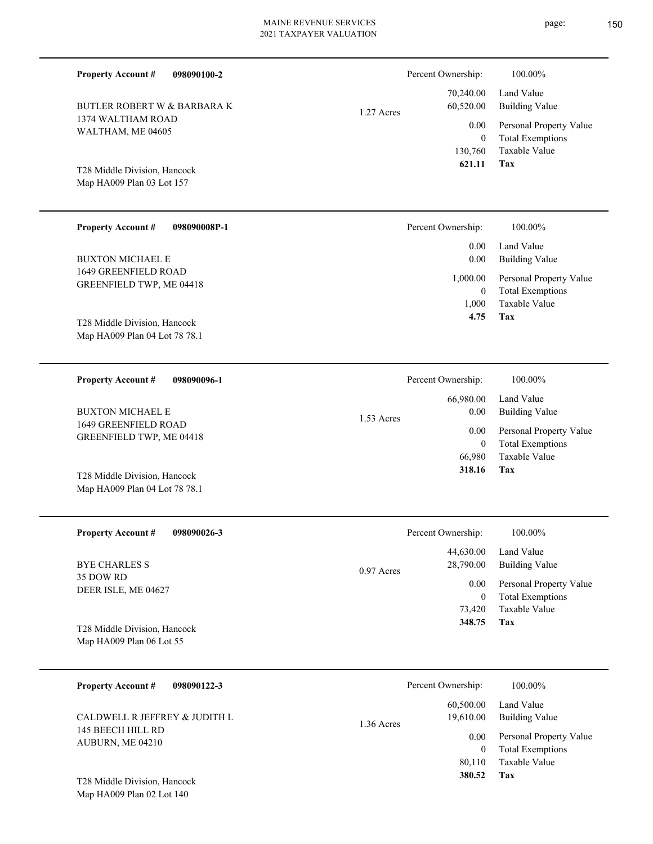| <b>Property Account #</b><br>098090100-2               |              | Percent Ownership:         | 100.00%                                            |
|--------------------------------------------------------|--------------|----------------------------|----------------------------------------------------|
| <b>BUTLER ROBERT W &amp; BARBARA K</b>                 | 1.27 Acres   | 70,240.00<br>60,520.00     | Land Value<br><b>Building Value</b>                |
| 1374 WALTHAM ROAD<br>WALTHAM, ME 04605                 |              | 0.00                       | Personal Property Value                            |
|                                                        |              | $\overline{0}$<br>130,760  | <b>Total Exemptions</b><br>Taxable Value           |
| T28 Middle Division, Hancock                           |              | 621.11                     | Tax                                                |
| Map HA009 Plan 03 Lot 157                              |              |                            |                                                    |
|                                                        |              |                            |                                                    |
| <b>Property Account #</b><br>098090008P-1              |              | Percent Ownership:         | 100.00%                                            |
|                                                        |              | 0.00                       | Land Value                                         |
| <b>BUXTON MICHAEL E</b><br><b>1649 GREENFIELD ROAD</b> |              | 0.00                       | <b>Building Value</b>                              |
| GREENFIELD TWP, ME 04418                               |              | 1,000.00<br>$\overline{0}$ | Personal Property Value<br><b>Total Exemptions</b> |
|                                                        |              | 1,000                      | Taxable Value                                      |
| T28 Middle Division, Hancock                           |              | 4.75                       | Tax                                                |
| Map HA009 Plan 04 Lot 78 78.1                          |              |                            |                                                    |
| <b>Property Account #</b><br>098090096-1               |              | Percent Ownership:         | 100.00%                                            |
|                                                        |              | 66,980.00                  | Land Value                                         |
| <b>BUXTON MICHAEL E</b>                                | 1.53 Acres   | 0.00                       | <b>Building Value</b>                              |
| 1649 GREENFIELD ROAD<br>GREENFIELD TWP, ME 04418       |              | 0.00                       | Personal Property Value                            |
|                                                        |              | $\overline{0}$<br>66,980   | <b>Total Exemptions</b><br>Taxable Value           |
| T28 Middle Division, Hancock                           |              | 318.16                     | Tax                                                |
| Map HA009 Plan 04 Lot 78 78.1                          |              |                            |                                                    |
|                                                        |              |                            |                                                    |
| <b>Property Account #</b><br>098090026-3               |              | Percent Ownership:         | $100.00\%$                                         |
|                                                        |              | 44,630.00                  | Land Value                                         |
| <b>BYE CHARLES S</b><br>35 DOW RD                      | $0.97$ Acres | 28,790.00                  | <b>Building Value</b>                              |
| DEER ISLE, ME 04627                                    |              | $0.00\,$<br>$\mathbf{0}$   | Personal Property Value<br><b>Total Exemptions</b> |
|                                                        |              | 73,420                     | Taxable Value                                      |
| T28 Middle Division, Hancock                           |              | 348.75                     | Tax                                                |
| Map HA009 Plan 06 Lot 55                               |              |                            |                                                    |
| <b>Property Account #</b><br>098090122-3               |              | Percent Ownership:         | 100.00%                                            |
|                                                        |              | 60,500.00                  | Land Value                                         |
| CALDWELL R JEFFREY & JUDITH L                          | 1.36 Acres   | 19,610.00                  | <b>Building Value</b>                              |
| 145 BEECH HILL RD<br>AUBURN, ME 04210                  |              | 0.00                       | Personal Property Value                            |
|                                                        |              | $\overline{0}$<br>80,110   | <b>Total Exemptions</b><br>Taxable Value           |

**Tax 380.52**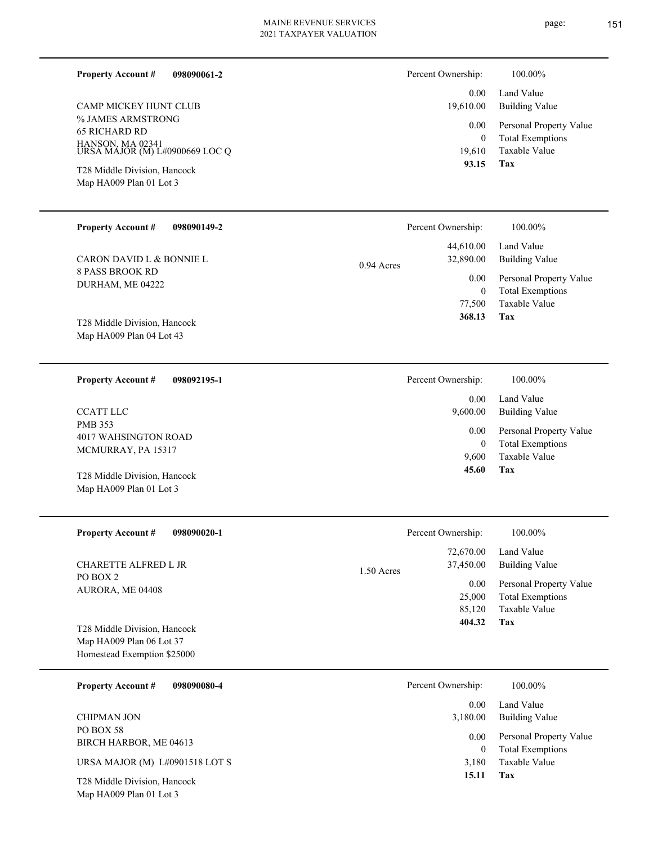**098090061-2 Property Account #**

% JAMES ARMSTRONG 65 RICHARD RD HANSON, MA 02341 URSA MAJOR (M) L#0900669 LOC Q CAMP MICKEY HUNT CLUB

Map HA009 Plan 01 Lot 3 T28 Middle Division, Hancock

| Percent Ownership: | 100.00%                  |  |
|--------------------|--------------------------|--|
|                    | 0.00 Land Value          |  |
|                    | 19,610.00 Building Value |  |

| 0.00   | Personal Property Value |
|--------|-------------------------|
| 0      | <b>Total Exemptions</b> |
| 19,610 | Taxable Value           |
| 93.15  | Tax                     |

| <b>Property Account #</b><br>098090149-2                 |              | Percent Ownership:     | 100.00%                                            |
|----------------------------------------------------------|--------------|------------------------|----------------------------------------------------|
| CARON DAVID L & BONNIE L                                 | $0.94$ Acres | 44,610.00<br>32,890.00 | Land Value<br>Building Value                       |
| 8 PASS BROOK RD<br>DURHAM, ME 04222                      |              | 0.00<br>0              | Personal Property Value<br><b>Total Exemptions</b> |
|                                                          |              | 77,500                 | Taxable Value                                      |
| T28 Middle Division, Hancock<br>Map HA009 Plan 04 Lot 43 |              | 368.13                 | Tax                                                |

| 098092195-1<br><b>Property Account #</b>              | Percent Ownership: | 100.00%                                                             |
|-------------------------------------------------------|--------------------|---------------------------------------------------------------------|
|                                                       | 0.00               | Land Value                                                          |
| <b>CCATT LLC</b>                                      | 9,600.00           | Building Value                                                      |
| PMB 353<br>4017 WAHSINGTON ROAD<br>MCMURRAY, PA 15317 | 0.00<br>0<br>9.600 | Personal Property Value<br><b>Total Exemptions</b><br>Taxable Value |
| T28 Middle Division, Hancock                          | 45.60              | Tax                                                                 |
| Map HA009 Plan 01 Lot 3                               |                    |                                                                     |

| <b>Property Account #</b><br>098090020-1 | Percent Ownership:                     | 100.00%                                            |
|------------------------------------------|----------------------------------------|----------------------------------------------------|
| CHARETTE ALFRED L JR                     | 72,670.00<br>37,450.00<br>$1.50$ Acres | Land Value<br>Building Value                       |
| PO BOX 2<br>AURORA, ME 04408             | 0.00<br>25,000                         | Personal Property Value<br><b>Total Exemptions</b> |
|                                          | 85,120                                 | Taxable Value                                      |
| T28 Middle Division, Hancock             | 404.32                                 | Tax                                                |
| Map HA009 Plan 06 Lot 37                 |                                        |                                                    |
| Homestead Exemption \$25000              |                                        |                                                    |

| 098090080-4<br><b>Property Account #</b>                | Percent Ownership:<br>100.00%                                                |  |
|---------------------------------------------------------|------------------------------------------------------------------------------|--|
|                                                         | Land Value<br>0.00                                                           |  |
| <b>CHIPMAN JON</b>                                      | <b>Building Value</b><br>3,180.00                                            |  |
| PO BOX 58<br>BIRCH HARBOR, ME 04613                     | Personal Property Value<br>0.00<br><b>Total Exemptions</b><br>$\overline{0}$ |  |
| URSA MAJOR (M) L#0901518 LOT S                          | Taxable Value<br>3.180                                                       |  |
| T28 Middle Division, Hancock<br>Map HA009 Plan 01 Lot 3 | Tax<br>15.11                                                                 |  |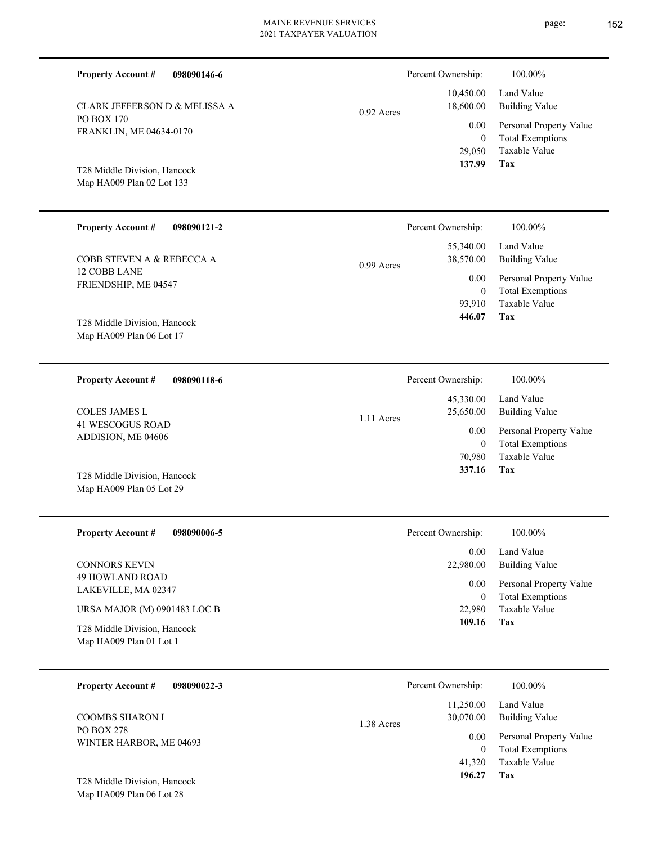| <b>Property Account #</b><br>098090146-6                                                           |              | Percent Ownership:                           | 100.00%                                                                    |
|----------------------------------------------------------------------------------------------------|--------------|----------------------------------------------|----------------------------------------------------------------------------|
| <b>CLARK JEFFERSON D &amp; MELISSA A</b>                                                           | $0.92$ Acres | 10,450.00<br>18,600.00                       | Land Value<br><b>Building Value</b>                                        |
| PO BOX 170<br>FRANKLIN, ME 04634-0170<br>T28 Middle Division, Hancock<br>Map HA009 Plan 02 Lot 133 |              | 0.00<br>$\boldsymbol{0}$<br>29,050<br>137.99 | Personal Property Value<br><b>Total Exemptions</b><br>Taxable Value<br>Tax |
| <b>Property Account #</b><br>098090121-2                                                           |              | Percent Ownership:                           | 100.00%                                                                    |
| COBB STEVEN A & REBECCA A                                                                          | $0.99$ Acres | 55,340.00<br>38,570.00                       | Land Value<br><b>Building Value</b>                                        |
| 12 COBB LANE<br>FRIENDSHIP, ME 04547                                                               |              | 0.00<br>$\mathbf{0}$<br>93,910               | Personal Property Value<br><b>Total Exemptions</b><br><b>Taxable Value</b> |
| T28 Middle Division, Hancock<br>Map HA009 Plan 06 Lot 17                                           |              | 446.07                                       | Tax                                                                        |
| <b>Property Account #</b><br>098090118-6                                                           |              | Percent Ownership:                           | 100.00%                                                                    |
| <b>COLES JAMES L</b>                                                                               | 1.11 Acres   | 45,330.00<br>25,650.00                       | Land Value<br><b>Building Value</b>                                        |
| <b>41 WESCOGUS ROAD</b><br>ADDISION, ME 04606                                                      |              | 0.00<br>$\boldsymbol{0}$<br>70,980           | Personal Property Value<br><b>Total Exemptions</b><br>Taxable Value        |
| T28 Middle Division, Hancock<br>Map HA009 Plan 05 Lot 29                                           |              | 337.16                                       | Tax                                                                        |
| <b>Property Account #</b><br>098090006-5                                                           |              | Percent Ownership:                           | 100.00%                                                                    |
| <b>CONNORS KEVIN</b>                                                                               |              | 0.00<br>22,980.00                            | Land Value<br><b>Building Value</b>                                        |
| 49 HOWLAND ROAD<br>LAKEVILLE, MA 02347                                                             |              | 0.00<br>$\boldsymbol{0}$                     | Personal Property Value<br><b>Total Exemptions</b>                         |
| URSA MAJOR (M) 0901483 LOC B                                                                       |              | 22,980<br>109.16                             | Taxable Value<br><b>Tax</b>                                                |
| $\mathbf{m}^{1}$ . $\mathbf{m}^{2}$<br>T20 M111                                                    |              |                                              |                                                                            |

Map HA009 Plan 01 Lot 1 T28 Middle Division, Hancock

| <b>Property Account #</b><br>098090022-3     | Percent Ownership:                   | 100.00%                                            |
|----------------------------------------------|--------------------------------------|----------------------------------------------------|
| <b>COOMBS SHARON I</b>                       | 11,250.00<br>30,070.00<br>1.38 Acres | Land Value<br><b>Building Value</b>                |
| <b>PO BOX 278</b><br>WINTER HARBOR, ME 04693 | 0.00<br>0                            | Personal Property Value<br><b>Total Exemptions</b> |
| T28 Middle Division, Hancock                 | 41,320<br>196.27                     | Taxable Value<br>Tax                               |

Map HA009 Plan 06 Lot 28

page: 152

| cent Ownership: | 100.00%                 |
|-----------------|-------------------------|
| 45,330.00       | Land Value              |
| 25,650.00       | Building Value          |
| 0.00            | Personal Property Value |
| $\Omega$        | <b>Total Exemptions</b> |
| 70.980          | Taxable Value           |
| 337.16          | Tax                     |

| cent Ownership: | 100.00%                 |
|-----------------|-------------------------|
| $0.00 -$        | Land Value              |
| 22,980.00       | Building Value          |
| 0.00            | Personal Property Value |
| 0               | <b>Total Exemptions</b> |
| 22,980          | Taxable Value           |
| 109.16          | Tax                     |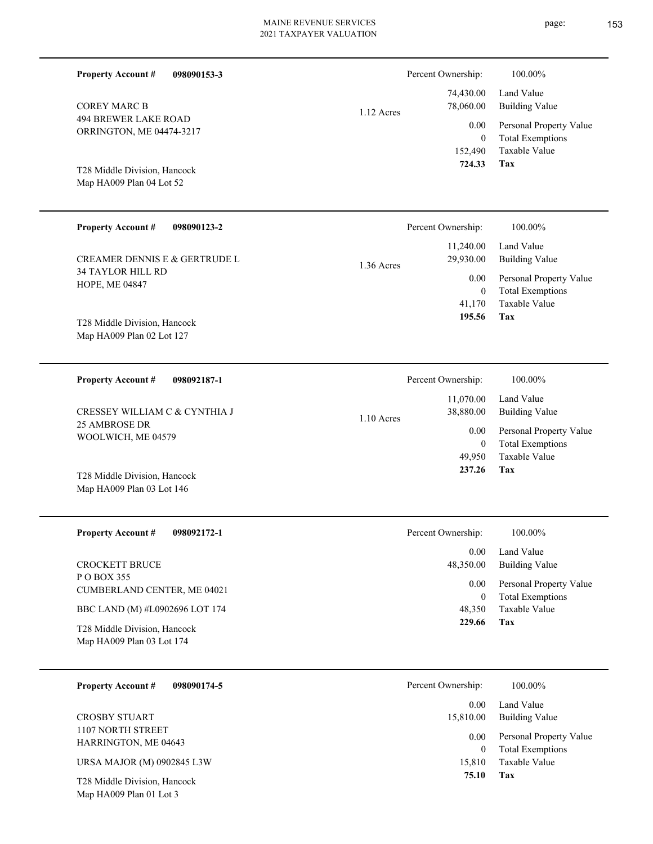| <b>Property Account #</b><br>098090153-3                  |              | Percent Ownership:               | 100.00%                                                                    |
|-----------------------------------------------------------|--------------|----------------------------------|----------------------------------------------------------------------------|
| <b>COREY MARC B</b>                                       | 1.12 Acres   | 74,430.00<br>78,060.00           | Land Value<br><b>Building Value</b>                                        |
| <b>494 BREWER LAKE ROAD</b><br>ORRINGTON, ME 04474-3217   |              | 0.00<br>$\overline{0}$           | Personal Property Value<br><b>Total Exemptions</b>                         |
| T28 Middle Division, Hancock<br>Map HA009 Plan 04 Lot 52  |              | 152,490<br>724.33                | <b>Taxable Value</b><br>Tax                                                |
| <b>Property Account #</b><br>098090123-2                  |              | Percent Ownership:               | 100.00%                                                                    |
| CREAMER DENNIS E & GERTRUDE L                             | $1.36$ Acres | 11,240.00<br>29,930.00           | Land Value<br><b>Building Value</b>                                        |
| <b>34 TAYLOR HILL RD</b><br>HOPE, ME 04847                |              | 0.00<br>$\overline{0}$<br>41,170 | Personal Property Value<br><b>Total Exemptions</b><br>Taxable Value<br>Tax |
| T28 Middle Division, Hancock<br>Map HA009 Plan 02 Lot 127 |              | 195.56                           |                                                                            |
| <b>Property Account #</b><br>098092187-1                  |              | Percent Ownership:               | 100.00%                                                                    |
| CRESSEY WILLIAM C & CYNTHIA J                             | $1.10$ Acres | 11,070.00<br>38,880.00           | Land Value<br><b>Building Value</b>                                        |
| <b>25 AMBROSE DR</b><br>WOOLWICH, ME 04579                |              | 0.00<br>$\overline{0}$<br>49,950 | Personal Property Value<br><b>Total Exemptions</b><br>Taxable Value        |
| T28 Middle Division, Hancock<br>Map HA009 Plan 03 Lot 146 |              | 237.26                           | Tax                                                                        |
| <b>Property Account #</b><br>098092172-1                  |              | Percent Ownership:               | 100.00%                                                                    |
| <b>CROCKETT BRUCE</b>                                     |              | 0.00<br>48,350.00                | Land Value<br><b>Building Value</b>                                        |
| P O BOX 355<br>CUMBERLAND CENTER, ME 04021                |              | 0.00<br>$\overline{0}$           | Personal Property Value<br><b>Total Exemptions</b>                         |
| BBC LAND (M) #L0902696 LOT 174                            |              | 48,350<br>229.66                 | Taxable Value<br>Tax                                                       |
| T28 Middle Division, Hancock<br>Map HA009 Plan 03 Lot 174 |              |                                  |                                                                            |
| <b>Property Account #</b><br>098090174-5                  |              | Percent Ownership:               | 100.00%                                                                    |
| <b>CROSBY STUART</b>                                      |              | 0.00<br>15,810.00                | Land Value<br><b>Building Value</b>                                        |
| 1107 NORTH STREET<br>HARRINGTON, ME 04643                 |              | 0.00                             | Personal Property Value                                                    |
| URSA MAJOR (M) 0902845 L3W                                |              | $\overline{0}$<br>15,810         | <b>Total Exemptions</b><br>Taxable Value                                   |
| T28 Middle Division, Hancock<br>Map HA009 Plan 01 Lot 3   |              | 75.10                            | Tax                                                                        |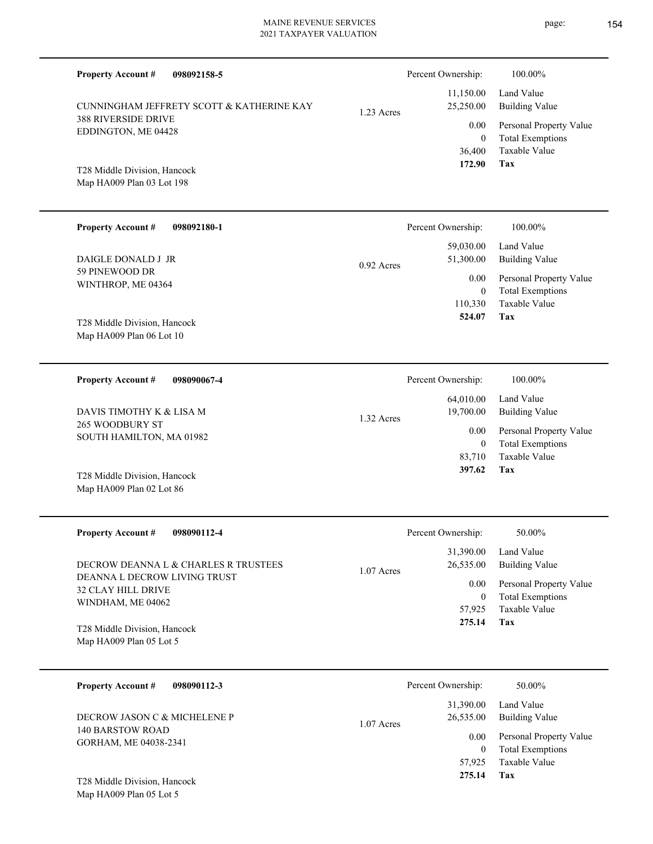| <b>Property Account #</b><br>098092158-5                  |            | Percent Ownership:               | 100.00%                                            |
|-----------------------------------------------------------|------------|----------------------------------|----------------------------------------------------|
| CUNNINGHAM JEFFRETY SCOTT & KATHERINE KAY                 | 1.23 Acres | 11,150.00<br>25,250.00           | Land Value<br><b>Building Value</b>                |
| 388 RIVERSIDE DRIVE<br>EDDINGTON, ME 04428                |            | 0.00<br>$\overline{0}$           | Personal Property Value<br><b>Total Exemptions</b> |
| T28 Middle Division, Hancock<br>Map HA009 Plan 03 Lot 198 |            | 36,400<br>172.90                 | Taxable Value<br>Tax                               |
| <b>Property Account #</b><br>098092180-1                  |            | Percent Ownership:               | 100.00%                                            |
| DAIGLE DONALD J JR                                        | 0.92 Acres | 59,030.00<br>51,300.00           | Land Value<br><b>Building Value</b>                |
| 59 PINEWOOD DR<br>WINTHROP, ME 04364                      |            | 0.00<br>$\overline{0}$           | Personal Property Value<br><b>Total Exemptions</b> |
| T28 Middle Division, Hancock<br>Map HA009 Plan 06 Lot 10  |            | 110,330<br>524.07                | <b>Taxable Value</b><br>Tax                        |
|                                                           |            |                                  |                                                    |
| <b>Property Account #</b><br>098090067-4                  |            | Percent Ownership:<br>64,010.00  | 100.00%<br>Land Value                              |
| DAVIS TIMOTHY K & LISA M<br>265 WOODBURY ST               | 1.32 Acres | 19,700.00                        | <b>Building Value</b>                              |
| SOUTH HAMILTON, MA 01982                                  |            | 0.00<br>$\mathbf{0}$             | Personal Property Value<br><b>Total Exemptions</b> |
| T28 Middle Division, Hancock<br>Map HA009 Plan 02 Lot 86  |            | 83,710<br>397.62                 | <b>Taxable Value</b><br>Tax                        |
| <b>Property Account #</b><br>098090112-4                  |            | Percent Ownership:               | 50.00%                                             |
| DECROW DEANNA L & CHARLES R TRUSTEES                      | 1.07 Acres | 31,390.00<br>26,535.00           | Land Value<br><b>Building Value</b>                |
| DEANNA L DECROW LIVING TRUST<br>32 CLAY HILL DRIVE        |            | 0.00                             | Personal Property Value                            |
| WINDHAM, ME 04062<br>T28 Middle Division, Hancock         |            | $\mathbf{0}$<br>57,925<br>275.14 | <b>Total Exemptions</b><br>Taxable Value<br>Tax    |
| Map HA009 Plan 05 Lot 5                                   |            |                                  |                                                    |
| <b>Property Account #</b><br>098090112-3                  |            | Percent Ownership:               | 50.00%                                             |
| DECROW JASON C & MICHELENE P<br>1.07 Acres                |            | 31,390.00<br>26,535.00           | Land Value<br><b>Building Value</b>                |
| 140 BARSTOW ROAD<br>GORHAM, ME 04038-2341                 |            | 0.00<br>$\mathbf{0}$             | Personal Property Value<br><b>Total Exemptions</b> |
|                                                           |            | 57,925<br>275.14                 | Taxable Value<br>Tax                               |

Map HA009 Plan 05 Lot 5 T28 Middle Division, Hancock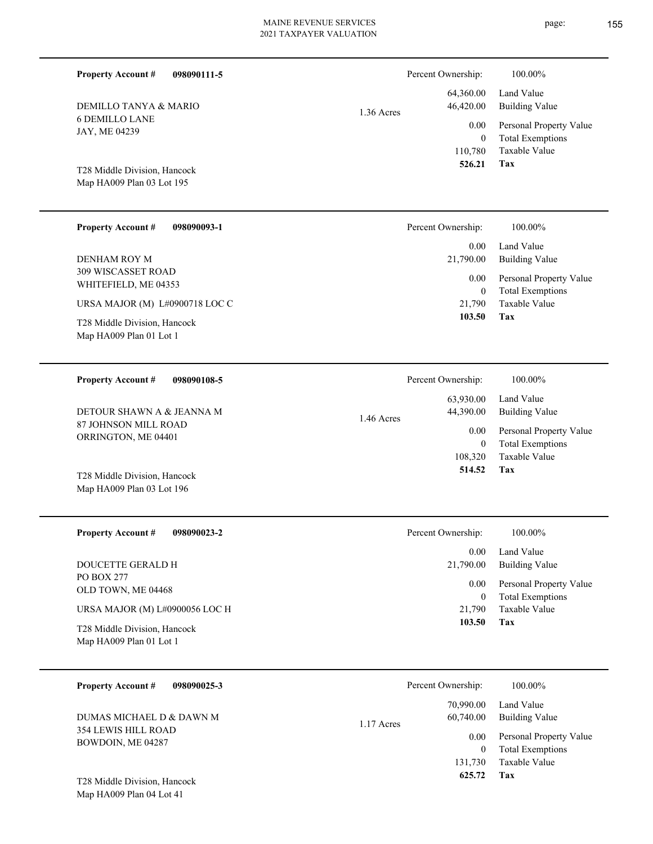| <b>Property Account #</b><br>098090111-5                  | Percent Ownership:                     | 100.00%                                         |
|-----------------------------------------------------------|----------------------------------------|-------------------------------------------------|
| DEMILLO TANYA & MARIO                                     | 64,360.00<br>46,420.00<br>$1.36$ Acres | Land Value<br><b>Building Value</b>             |
| <b>6 DEMILLO LANE</b><br>JAY, ME 04239                    | 0.00                                   | Personal Property Value                         |
|                                                           | $\mathbf{0}$<br>110,780<br>526.21      | <b>Total Exemptions</b><br><b>Taxable Value</b> |
| T28 Middle Division, Hancock<br>Map HA009 Plan 03 Lot 195 |                                        | Tax                                             |
|                                                           |                                        |                                                 |
| <b>Property Account #</b><br>098090093-1                  | Percent Ownership:                     | 100.00%                                         |
| DENHAM ROY M                                              | 0.00<br>21,790.00                      | Land Value<br><b>Building Value</b>             |
| 309 WISCASSET ROAD<br>WHITEFIELD, ME 04353                | 0.00                                   | Personal Property Value                         |
| URSA MAJOR (M) L#0900718 LOC C                            | $\mathbf{0}$<br>21.790                 | <b>Total Exemptions</b><br>Taxable Value        |
| T28 Middle Division, Hancock<br>Map HA009 Plan 01 Lot 1   | 103.50                                 | Tax                                             |
|                                                           |                                        |                                                 |
| <b>Property Account #</b><br>098090108-5                  | Percent Ownership:                     | 100.00%                                         |
| DETOUR SHAWN A & JEANNA M                                 | 63,930.00<br>44,390.00                 | Land Value<br><b>Building Value</b>             |
| 87 JOHNSON MILL ROAD<br>ORRINGTON, ME 04401               | 1.46 Acres<br>0.00                     | Personal Property Value                         |
|                                                           | $\mathbf{0}$<br>108,320                | <b>Total Exemptions</b><br>Taxable Value        |
| T28 Middle Division, Hancock<br>Map HA009 Plan 03 Lot 196 | 514.52                                 | Tax                                             |
|                                                           |                                        |                                                 |
| <b>Property Account #</b><br>098090023-2                  | Percent Ownership:                     | 100.00%                                         |
| DOUCETTE GERALD H                                         | 0.00<br>21,790.00                      | Land Value<br><b>Building Value</b>             |
| <b>PO BOX 277</b><br>OLD TOWN, ME 04468                   | 0.00                                   | Personal Property Value                         |
| URSA MAJOR (M) L#0900056 LOC H                            | $\mathbf{0}$<br>21,790                 | <b>Total Exemptions</b><br>Taxable Value        |
| T28 Middle Division, Hancock<br>Map HA009 Plan 01 Lot 1   | 103.50                                 | <b>Tax</b>                                      |
| <b>Property Account #</b><br>098090025-3                  | Percent Ownership:                     | 100.00%                                         |
| DUMAS MICHAEL D & DAWN M                                  | 70,990.00<br>60,740.00                 | Land Value<br><b>Building Value</b>             |
| 354 LEWIS HILL ROAD                                       | 1.17 Acres<br>0.00                     | Personal Property Value                         |

**Tax 625.72**

131,730 Taxable Value

0 Total Exemptions

Map HA009 Plan 04 Lot 41 T28 Middle Division, Hancock

BOWDOIN, ME 04287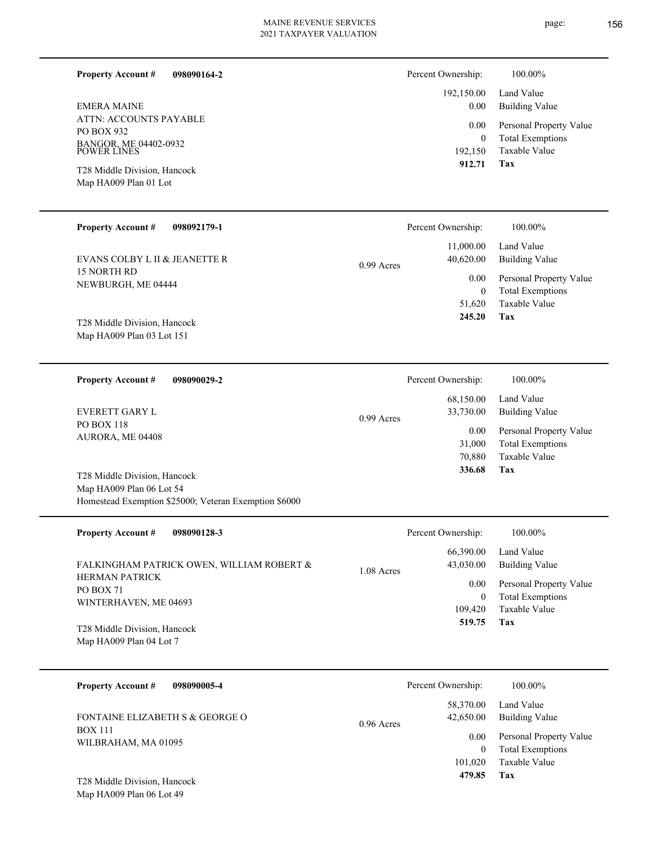**098090164-2**

ATTN: ACCOUNTS PAYABLE PO BOX 932 BANGOR, ME 04402-0932 POWER LINES EMERA MAINE

**Property Account #**

Map HA009 Plan 01 Lot T28 Middle Division, Hancock

#### **098092179-1 Property Account #**

15 NORTH RD NEWBURGH, ME 04444 EVANS COLBY L II & JEANETTE R

Map HA009 Plan 03 Lot 151 T28 Middle Division, Hancock

**098090029-2 Property Account #**

PO BOX 118 AURORA, ME 04408 EVERETT GARY L

Map HA009 Plan 06 Lot 54 Homestead Exemption \$25000; Veteran Exemption \$6000 T28 Middle Division, Hancock

| <b>Property Account #</b><br>098090128-3                           | Percent Ownership:                   | 100.00%                                                             |
|--------------------------------------------------------------------|--------------------------------------|---------------------------------------------------------------------|
| FALKINGHAM PATRICK OWEN, WILLIAM ROBERT &                          | 66,390.00<br>43,030.00<br>1.08 Acres | Land Value<br>Building Value                                        |
| <b>HERMAN PATRICK</b><br><b>PO BOX 71</b><br>WINTERHAVEN, ME 04693 | 0.00<br>$\theta$<br>109,420          | Personal Property Value<br><b>Total Exemptions</b><br>Taxable Value |
| T28 Middle Division, Hancock<br>Map HA009 Plan 04 Lot 7            | 519.75                               | Tax                                                                 |

0.99 Acres

| <b>Property Account #</b><br>098090005-4          | Percent Ownership:                     | 100.00%                                            |
|---------------------------------------------------|----------------------------------------|----------------------------------------------------|
| FONTAINE ELIZABETH S & GEORGE O<br><b>BOX 111</b> | 58,370.00<br>42,650.00<br>$0.96$ Acres | Land Value<br><b>Building Value</b>                |
| WILBRAHAM, MA 01095                               | 0.00                                   | Personal Property Value<br><b>Total Exemptions</b> |
| T28 Middle Division, Hancock                      | 101.020<br>479.85                      | Taxable Value<br>Tax                               |

Map HA009 Plan 06 Lot 49

|              | Percent Ownership: | 100.00%                 |
|--------------|--------------------|-------------------------|
|              | 11,000.00          | Land Value              |
| $0.99$ Acres | 40,620.00          | Building Value          |
|              | 0.00               | Personal Property Value |
|              | 0                  | <b>Total Exemptions</b> |
|              | 51,620             | Taxable Value           |
|              | 245.20             | Tax                     |

| Percent Ownership:     | 100.00%                             |
|------------------------|-------------------------------------|
| 68,150.00<br>33,730.00 | Land Value<br><b>Building Value</b> |
| 0.00                   | Personal Property Value             |
| 31,000                 | <b>Total Exemptions</b>             |
| 70,880                 | Taxable Value                       |
| 336.68                 | Tax                                 |
|                        |                                     |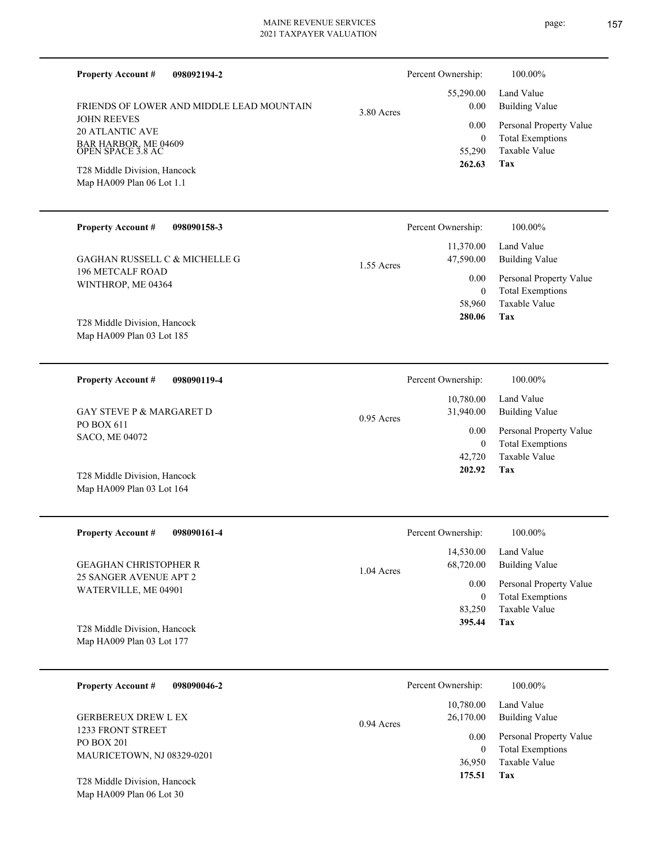| <b>Property Account #</b><br>098092194-2                  |            | Percent Ownership:       | 100.00%                                            |
|-----------------------------------------------------------|------------|--------------------------|----------------------------------------------------|
| <b>FRIENDS OF LOWER AND MIDDLE LEAD MOUNTAIN</b>          | 3.80 Acres | 55,290.00<br>0.00        | Land Value<br><b>Building Value</b>                |
| <b>JOHN REEVES</b><br><b>20 ATLANTIC AVE</b>              |            | 0.00<br>$\overline{0}$   | Personal Property Value<br><b>Total Exemptions</b> |
| BAR HARBOR, ME 04609<br>OPEN SPACE 3.8 AC                 |            | 55,290<br>262.63         | <b>Taxable Value</b><br>Tax                        |
| T28 Middle Division, Hancock<br>Map HA009 Plan 06 Lot 1.1 |            |                          |                                                    |
| <b>Property Account #</b><br>098090158-3                  |            | Percent Ownership:       | 100.00%                                            |
| <b>GAGHAN RUSSELL C &amp; MICHELLE G</b>                  | 1.55 Acres | 11,370.00<br>47,590.00   | Land Value<br><b>Building Value</b>                |
| <b>196 METCALF ROAD</b><br>WINTHROP, ME 04364             |            | $0.00\,$<br>$\mathbf{0}$ | Personal Property Value<br><b>Total Exemptions</b> |
|                                                           |            | 58,960<br>280.06         | Taxable Value<br>Tax                               |
| T28 Middle Division, Hancock<br>Map HA009 Plan 03 Lot 185 |            |                          |                                                    |
| <b>Property Account #</b><br>098090119-4                  |            | Percent Ownership:       | 100.00%                                            |
| <b>GAY STEVE P &amp; MARGARET D</b>                       | 0.95 Acres | 10,780.00<br>31,940.00   | Land Value<br><b>Building Value</b>                |
| PO BOX 611<br>SACO, ME 04072                              |            | 0.00<br>$\mathbf{0}$     | Personal Property Value<br><b>Total Exemptions</b> |
|                                                           |            | 42,720<br>202.92         | <b>Taxable Value</b><br>Tax                        |
| T28 Middle Division, Hancock<br>Map HA009 Plan 03 Lot 164 |            |                          |                                                    |
| <b>Property Account #</b><br>098090161-4                  |            | Percent Ownership:       | 100.00%                                            |
| <b>GEAGHAN CHRISTOPHER R</b>                              | 1.04 Acres | 14,530.00<br>68,720.00   | Land Value<br><b>Building Value</b>                |
| 25 SANGER AVENUE APT 2<br>WATERVILLE, ME 04901            |            | $0.00\,$<br>$\bf{0}$     | Personal Property Value<br><b>Total Exemptions</b> |
|                                                           |            | 83,250<br>395.44         | Taxable Value<br>Tax                               |
| T28 Middle Division, Hancock<br>Map HA009 Plan 03 Lot 177 |            |                          |                                                    |
| <b>Property Account #</b><br>098090046-2                  |            | Percent Ownership:       | 100.00%                                            |
| <b>GERBEREUX DREW L EX</b>                                |            | 10,780.00<br>26,170.00   | Land Value<br><b>Building Value</b>                |
| 1233 FRONT STREET<br>PO BOX 201                           | 0.94 Acres | $0.00\,$                 | Personal Property Value                            |
| MAURICETOWN, NJ 08329-0201                                |            | $\mathbf{0}$<br>36,950   | <b>Total Exemptions</b><br>Taxable Value           |
| T28 Middle Division, Hancock                              |            | 175.51                   | Tax                                                |

Map HA009 Plan 06 Lot 30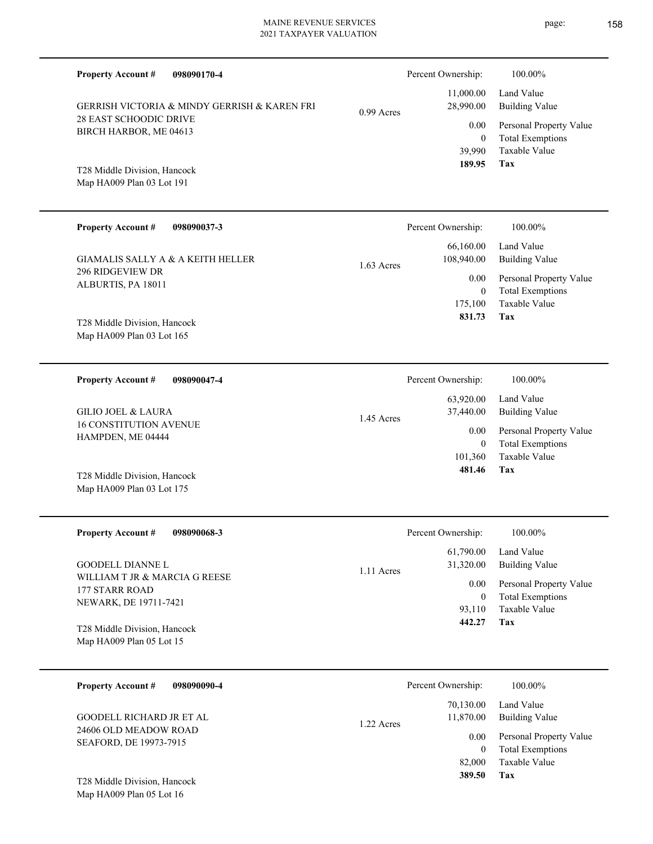# MAINE REVENUE SERVICES

| 2021 TAXPAYER VALUATION                                                                                       |              |                                                  |                                                                                           |
|---------------------------------------------------------------------------------------------------------------|--------------|--------------------------------------------------|-------------------------------------------------------------------------------------------|
| <b>Property Account #</b><br>098090170-4                                                                      |              | Percent Ownership:                               | 100.00%                                                                                   |
| GERRISH VICTORIA & MINDY GERRISH & KAREN FRI                                                                  | $0.99$ Acres | 11,000.00<br>28,990.00                           | Land Value<br><b>Building Value</b>                                                       |
| 28 EAST SCHOODIC DRIVE<br>BIRCH HARBOR, ME 04613<br>T28 Middle Division, Hancock<br>Map HA009 Plan 03 Lot 191 |              | 0.00<br>$\overline{0}$<br>39,990<br>189.95       | Personal Property Value<br><b>Total Exemptions</b><br>Taxable Value<br>Tax                |
| <b>Property Account #</b><br>098090037-3                                                                      |              | Percent Ownership:                               | 100.00%                                                                                   |
| <b>GIAMALIS SALLY A &amp; A KEITH HELLER</b>                                                                  | 1.63 Acres   | 66,160.00<br>108,940.00                          | Land Value<br><b>Building Value</b>                                                       |
| 296 RIDGEVIEW DR<br>ALBURTIS, PA 18011<br>T28 Middle Division, Hancock<br>Map HA009 Plan 03 Lot 165           |              | 0.00<br>$\overline{0}$<br>175,100<br>831.73      | Personal Property Value<br><b>Total Exemptions</b><br>Taxable Value<br>Tax                |
| <b>Property Account #</b><br>098090047-4                                                                      |              | Percent Ownership:                               | 100.00%                                                                                   |
| <b>GILIO JOEL &amp; LAURA</b><br><b>16 CONSTITUTION AVENUE</b><br>HAMPDEN, ME 04444                           | 1.45 Acres   | 63,920.00<br>37,440.00<br>0.00<br>$\overline{0}$ | Land Value<br><b>Building Value</b><br>Personal Property Value<br><b>Total Exemptions</b> |
| T28 Middle Division, Hancock<br>Map HA009 Plan 03 Lot 175                                                     |              | 101,360<br>481.46                                | Taxable Value<br>Tax                                                                      |
| <b>Property Account #</b><br>098090068-3                                                                      |              | Percent Ownership:                               | 100.00%                                                                                   |
| GOODELL DIANNE L                                                                                              | 1.11 Acres   | 61,790.00<br>31,320.00                           | Land Value<br><b>Building Value</b>                                                       |
| WILLIAM T JR & MARCIA G REESE<br>177 STARR ROAD<br>NEWARK, DE 19711-7421                                      |              | 0.00<br>$\mathbf{0}$<br>93,110                   | Personal Property Value<br><b>Total Exemptions</b><br>Taxable Value<br>Tax                |
| T28 Middle Division, Hancock<br>Map HA009 Plan 05 Lot 15                                                      |              | 442.27                                           |                                                                                           |

| <b>Property Account #</b><br>098090090-4                                    | Percent Ownership:                                | 100.00%                                                                            |
|-----------------------------------------------------------------------------|---------------------------------------------------|------------------------------------------------------------------------------------|
| GOODELL RICHARD JR ET AL<br>24606 OLD MEADOW ROAD<br>SEAFORD, DE 19973-7915 | 70,130.00<br>11,870.00<br>1.22 Acres<br>0.00<br>0 | Land Value<br>Building Value<br>Personal Property Value<br><b>Total Exemptions</b> |
| T28 Middle Division, Hancock                                                | 82,000<br>389.50                                  | Taxable Value<br>Tax                                                               |

Map HA009 Plan 05 Lot 16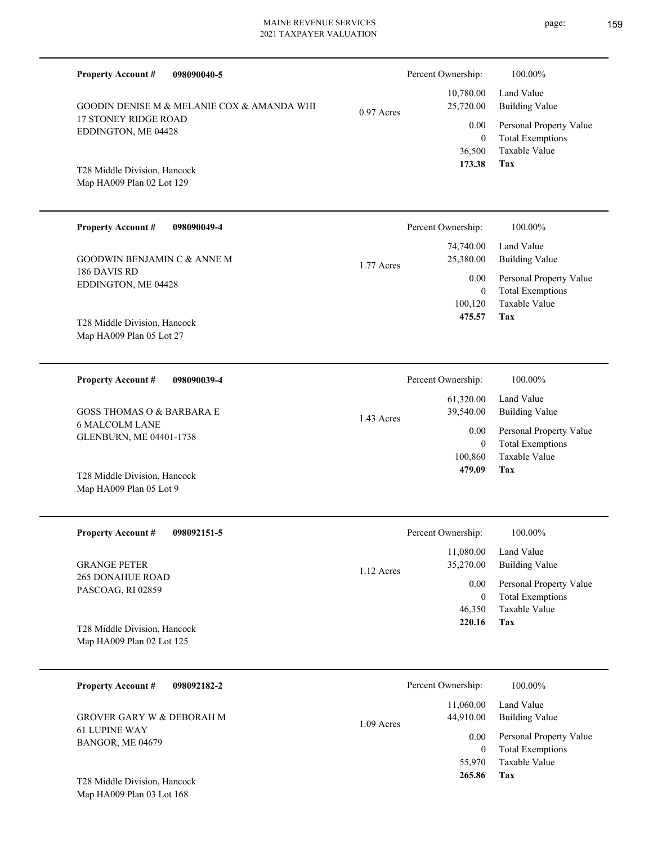| <b>Property Account #</b><br>098090040-5                  |              | Percent Ownership:       | 100.00%                                            |
|-----------------------------------------------------------|--------------|--------------------------|----------------------------------------------------|
| GOODIN DENISE M & MELANIE COX & AMANDA WHI                | $0.97$ Acres | 10,780.00<br>25,720.00   | Land Value<br><b>Building Value</b>                |
| <b>17 STONEY RIDGE ROAD</b><br>EDDINGTON, ME 04428        |              | 0.00<br>$\overline{0}$   | Personal Property Value<br><b>Total Exemptions</b> |
| T28 Middle Division, Hancock<br>Map HA009 Plan 02 Lot 129 |              | 36,500<br>173.38         | Taxable Value<br>Tax                               |
| <b>Property Account #</b><br>098090049-4                  |              | Percent Ownership:       | 100.00%                                            |
| <b>GOODWIN BENJAMIN C &amp; ANNE M</b>                    | 1.77 Acres   | 74,740.00<br>25,380.00   | Land Value<br><b>Building Value</b>                |
| 186 DAVIS RD<br>EDDINGTON, ME 04428                       |              | 0.00<br>$\mathbf{0}$     | Personal Property Value<br><b>Total Exemptions</b> |
| T28 Middle Division, Hancock<br>Map HA009 Plan 05 Lot 27  |              | 100,120<br>475.57        | <b>Taxable Value</b><br>Tax                        |
| <b>Property Account #</b><br>098090039-4                  |              | Percent Ownership:       | 100.00%                                            |
| <b>GOSS THOMAS O &amp; BARBARA E</b>                      | 1.43 Acres   | 61,320.00<br>39,540.00   | Land Value<br><b>Building Value</b>                |
| <b>6 MALCOLM LANE</b><br>GLENBURN, ME 04401-1738          |              | 0.00<br>$\mathbf{0}$     | Personal Property Value<br><b>Total Exemptions</b> |
| T28 Middle Division, Hancock<br>Map HA009 Plan 05 Lot 9   |              | 100,860<br>479.09        | <b>Taxable Value</b><br>Tax                        |
| <b>Property Account #</b><br>098092151-5                  |              | Percent Ownership:       | 100.00%                                            |
| <b>GRANGE PETER</b>                                       | 1.12 Acres   | 11,080.00<br>35,270.00   | Land Value<br><b>Building Value</b>                |
| <b>265 DONAHUE ROAD</b><br>PASCOAG, RI 02859              |              | 0.00<br>$\boldsymbol{0}$ | Personal Property Value<br><b>Total Exemptions</b> |
| T28 Middle Division, Hancock<br>Map HA009 Plan 02 Lot 125 |              | 46,350<br>220.16         | Taxable Value<br>Tax                               |
| <b>Property Account #</b><br>098092182-2                  |              | Percent Ownership:       | 100.00%                                            |
| <b>GROVER GARY W &amp; DEBORAH M</b>                      | 1.09 Acres   | 11,060.00<br>44,910.00   | Land Value<br><b>Building Value</b>                |
| <b>61 LUPINE WAY</b><br>BANGOR, ME 04679                  |              | 0.00<br>$\boldsymbol{0}$ | Personal Property Value<br><b>Total Exemptions</b> |
| T <sub>20</sub> Middle Division Honogals                  |              | 55,970<br>265.86         | Taxable Value<br>Tax                               |

Map HA009 Plan 03 Lot 168 T28 Middle Division, Hancock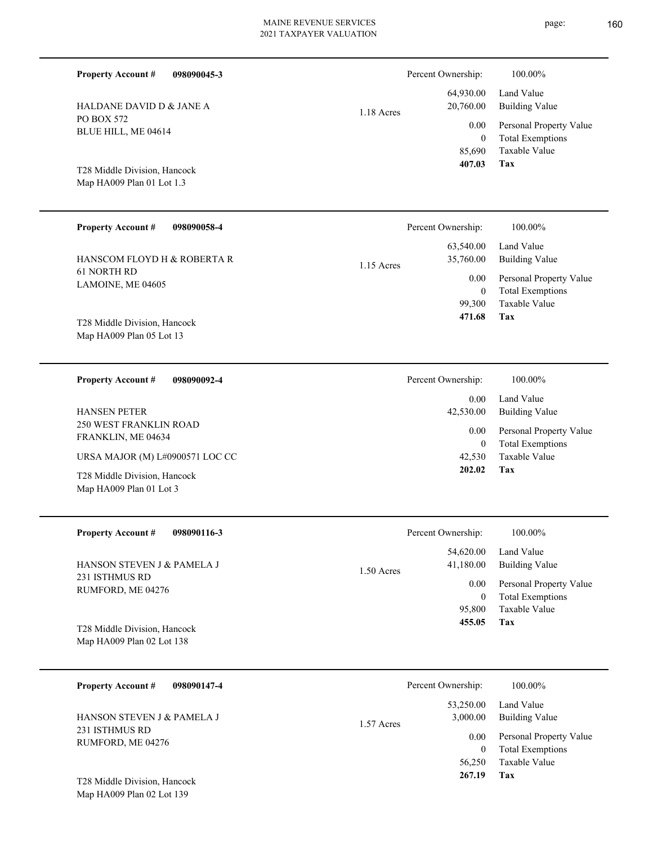**098090045-3**

PO BOX 572

Map HA009 Plan 02 Lot 139

**Property Account #**

HALDANE DAVID D & JANE A

| BLUE HILL, ME 04614                                       | 0.00<br>$\theta$       |
|-----------------------------------------------------------|------------------------|
| T28 Middle Division, Hancock<br>Map HA009 Plan 01 Lot 1.3 | 85,690<br>407.03       |
| <b>Property Account #</b><br>098090058-4                  | Percent Ownership:     |
| HANSCOM FLOYD H & ROBERTA R                               | 63,540.00<br>35,760.00 |
| 61 NORTH RD                                               | $1.15$ Acres           |
| LAMOINE, ME 04605                                         | 0.00                   |
|                                                           | $\theta$               |
|                                                           | 99,300                 |
| T28 Middle Division, Hancock                              | 471.68                 |
| Map HA009 Plan 05 Lot 13                                  |                        |
|                                                           |                        |
|                                                           |                        |

1.18 Acres

| <b>Property Account #</b><br>098090092-4                  | Percent Ownership: | 100.00%                                            |
|-----------------------------------------------------------|--------------------|----------------------------------------------------|
|                                                           | 0.00               | Land Value                                         |
| <b>HANSEN PETER</b>                                       | 42,530.00          | Building Value                                     |
| <b>250 WEST FRANKLIN ROAD</b><br>FRANKLIN, ME 04634       | $0.00\,$<br>0      | Personal Property Value<br><b>Total Exemptions</b> |
| URSA MAJOR (M) L#0900571 LOC CC                           | 42,530             | Taxable Value                                      |
| T28 Middle Division, Hancock<br>Map $HA009$ Plan 01 Lot 3 | 202.02             | Tax                                                |

| <b>Property Account #</b><br>098090116-3 | Percent Ownership:        | 100.00%                 |
|------------------------------------------|---------------------------|-------------------------|
|                                          | 54,620.00                 | Land Value              |
| <b>HANSON STEVEN J &amp; PAMELA J</b>    | 41,180.00<br>$1.50$ Acres | Building Value          |
| 231 ISTHMUS RD<br>RUMFORD, ME 04276      | 0.00                      | Personal Property Value |
|                                          | $\overline{0}$            | <b>Total Exemptions</b> |
|                                          | 95,800                    | Taxable Value           |
| T28 Middle Division, Hancock             | 455.05                    | Tax                     |
| Map HA009 Plan 02 Lot 138                |                           |                         |
|                                          |                           |                         |

| 098090147-4<br><b>Property Account #</b>     | Percent Ownership:                    | 100.00%                                            |
|----------------------------------------------|---------------------------------------|----------------------------------------------------|
| HANSON STEVEN J & PAMELA J<br>231 ISTHMUS RD | 53,250.00<br>3,000.00<br>$1.57$ Acres | Land Value<br>Building Value                       |
| RUMFORD, ME 04276                            | 0.00                                  | Personal Property Value<br><b>Total Exemptions</b> |
|                                              | 56,250                                | Taxable Value                                      |
| T28 Middle Division, Hancock                 | 267.19                                | Tax                                                |

page: 160

**Tax**

**Tax**

Taxable Value Total Exemptions Personal Property Value

Building Value Land Value

 $100.00\%$ 

 64,930.00 20,760.00

Percent Ownership:  $100.00\%$ 

Taxable Value Total Exemptions Personal Property Value

Building Value Land Value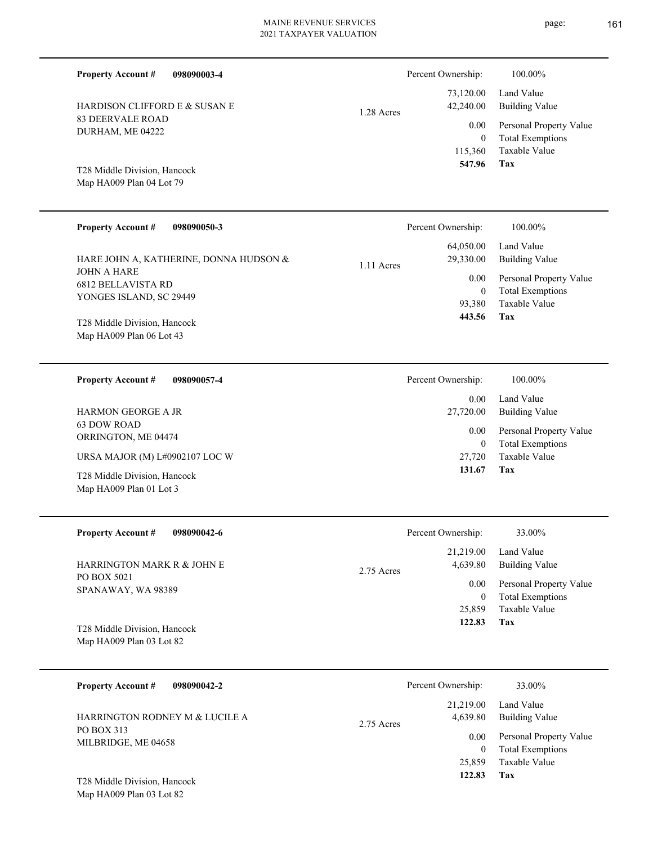Percent Ownership:  $100.00\%$ 

| 42,240.00        | 73,120.00 Land Value<br>Building Value             |
|------------------|----------------------------------------------------|
| 0.00<br>$\Omega$ | Personal Property Value<br><b>Total Exemptions</b> |
|                  | 115,360 Taxable Value                              |
| 547.96           | Tax                                                |

**Tax**

 27,720 0

0.00

 **131.67**

Taxable Value Total Exemptions Personal Property Value

Map HA009 Plan 04 Lot 79 T28 Middle Division, Hancock

HARDISON CLIFFORD E & SUSAN E

83 DEERVALE ROAD DURHAM, ME 04222

**Property Account #**

**098090003-4**

| <b>Property Account #</b><br>098090050-3                                                                             | Percent Ownership:                                                       | 100.00%                                                                                                    |
|----------------------------------------------------------------------------------------------------------------------|--------------------------------------------------------------------------|------------------------------------------------------------------------------------------------------------|
| HARE JOHN A, KATHERINE, DONNA HUDSON &<br><b>JOHN A HARE</b><br><b>6812 BELLAVISTA RD</b><br>YONGES ISLAND, SC 29449 | 64,050.00<br>29,330.00<br>1.11 Acres<br>0.00<br>$\overline{0}$<br>93,380 | Land Value<br><b>Building Value</b><br>Personal Property Value<br><b>Total Exemptions</b><br>Taxable Value |
| T28 Middle Division, Hancock<br>Map HA009 Plan 06 Lot 43                                                             | 443.56                                                                   | Tax                                                                                                        |
| <b>Property Account #</b><br>098090057-4                                                                             | Percent Ownership:                                                       | 100.00%                                                                                                    |
| <b>HARMON GEORGE A JR</b>                                                                                            | 0.00<br>27,720.00                                                        | Land Value<br>Building Value                                                                               |

ORRINGTON, ME 04474 URSA MAJOR (M) L#0902107 LOC W

Map HA009 Plan 01 Lot 3 T28 Middle Division, Hancock

63 DOW ROAD

| <b>Property Account #</b><br>098090042-6                 | Percent Ownership:                  | 33.00%                       |
|----------------------------------------------------------|-------------------------------------|------------------------------|
| HARRINGTON MARK R & JOHN E                               | 21,219.00<br>4,639.80<br>2.75 Acres | Land Value<br>Building Value |
| PO BOX 5021<br>SPANAWAY, WA 98389                        | 0.00                                | Personal Property Value      |
|                                                          | $\bf{0}$                            | <b>Total Exemptions</b>      |
|                                                          | 25,859                              | Taxable Value                |
| T28 Middle Division, Hancock<br>Map HA009 Plan 03 Lot 82 | 122.83                              | Tax                          |
|                                                          |                                     |                              |

| 098090042-2<br><b>Property Account #</b> | Percent Ownership:                  | 33.00%                                                         |
|------------------------------------------|-------------------------------------|----------------------------------------------------------------|
| HARRINGTON RODNEY M & LUCILE A           | 21.219.00<br>4,639.80<br>2.75 Acres | Land Value<br>Building Value                                   |
| PO BOX 313<br>MILBRIDGE, ME 04658        | 0.00                                | Personal Property Value<br><b>Total Exemptions</b><br>$\theta$ |
|                                          | 25,859                              | Taxable Value                                                  |
| T28 Middle Division, Hancock             | 122.83                              | Tax                                                            |

Map HA009 Plan 03 Lot 82

1.28 Acres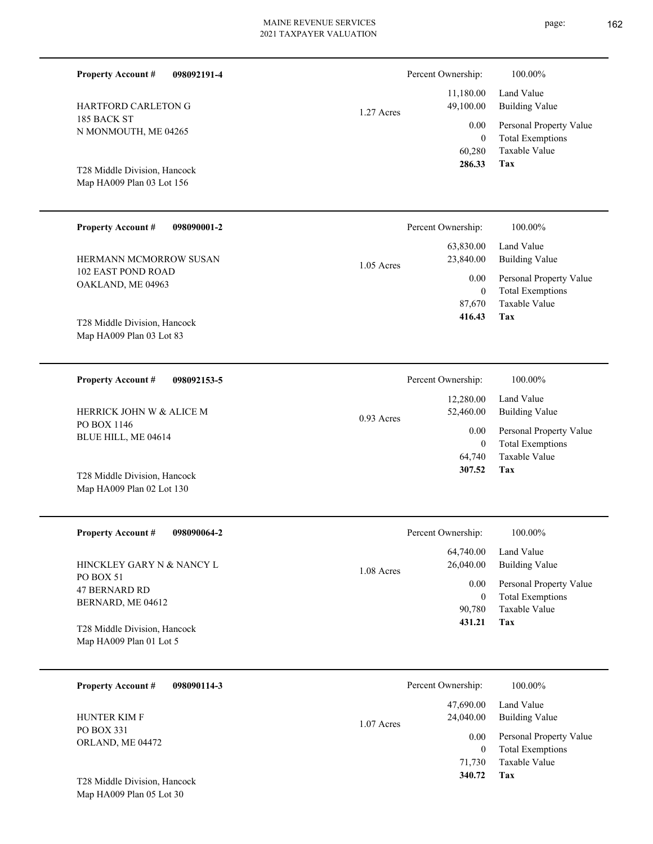| 4265        |                      |  |  |  |
|-------------|----------------------|--|--|--|
|             | 60,                  |  |  |  |
| ancock      | 28                   |  |  |  |
| t 156       |                      |  |  |  |
|             |                      |  |  |  |
| 098090001-2 | Percent Ownersh      |  |  |  |
|             | 63,830               |  |  |  |
| OW SUSAN    | 23,840<br>1.05 Acres |  |  |  |

1.27 Acres

0.93 Acres

102 EAST POND ROAD OAKLAND, ME 04963 HERMANN MCMORROW SUS.

185 BACK ST

**Property Account #**

N MONMOUTH, ME 04265

HARTFORD CARLETON G

Map HA009 Plan 03 Lot 156 T28 Middle Division, Hancock

**Property Account #**

**098092191-4**

Map HA009 Plan 03 Lot 83 T28 Middle Division, Hancock

**098092153-5 Property Account #**

PO BOX 1146 BLUE HILL, ME 04614 HERRICK JOHN W & ALICE M

Map HA009 Plan 02 Lot 130 T28 Middle Division, Hancock

| <b>Property Account #</b><br>098090064-2                | 100.00%<br>Percent Ownership:                                                                     |  |
|---------------------------------------------------------|---------------------------------------------------------------------------------------------------|--|
| HINCKLEY GARY N & NANCY L<br>PO BOX 51                  | 64,740.00<br>Land Value<br>Building Value<br>26,040.00<br>1.08 Acres                              |  |
| 47 BERNARD RD<br>BERNARD, ME 04612                      | Personal Property Value<br>0.00<br><b>Total Exemptions</b><br>$\bf{0}$<br>Taxable Value<br>90.780 |  |
| T28 Middle Division, Hancock<br>Map HA009 Plan 01 Lot 5 | Tax<br>431.21                                                                                     |  |

| 098090114-3<br><b>Property Account #</b> | Percent Ownership:                     | 100.00%                                            |
|------------------------------------------|----------------------------------------|----------------------------------------------------|
| <b>HUNTER KIM F</b>                      | 47,690.00<br>24,040.00<br>$1.07$ Acres | Land Value<br>Building Value                       |
| PO BOX 331<br>ORLAND, ME 04472           | 0.00<br>0                              | Personal Property Value<br><b>Total Exemptions</b> |
|                                          | 71.730                                 | Taxable Value                                      |
| T28 Middle Division, Hancock             | 340.72                                 | Tax                                                |

Map HA009 Plan 05 Lot 30

Total Exemptions Personal Property Value Building Value Land Value 11,180.00 49,100.00 0.00 Percent Ownership:  $100.00\%$ 

**Tax** Taxable Value 60,280 0  **286.33**

| Percent Ownership:   | 100.00%                                            |
|----------------------|----------------------------------------------------|
| 23,840.00            | 63,830.00 Land Value<br>Building Value             |
| $0.00\,$<br>$\theta$ | Personal Property Value<br><b>Total Exemptions</b> |

| 87,670 | Taxable Value |
|--------|---------------|
| 416.43 | Tax           |

| Percent Ownership: | 100.00%                 |
|--------------------|-------------------------|
| 12,280.00          | Land Value              |
| 52,460.00          | Building Value          |
| $0.00\,$           | Personal Property Value |
| 0                  | <b>Total Exemptions</b> |
| 64,740             | Taxable Value           |
| 307.52             | Tax                     |
|                    |                         |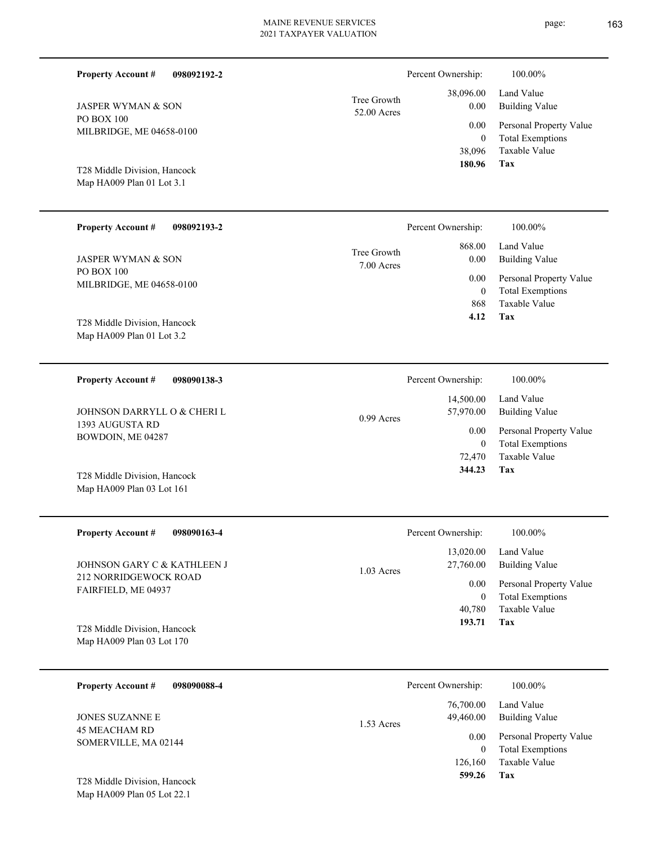| <b>Property Account #</b><br>098092192-2                  |                             | Percent Ownership:                         | 100.00%                                                                    |
|-----------------------------------------------------------|-----------------------------|--------------------------------------------|----------------------------------------------------------------------------|
| <b>JASPER WYMAN &amp; SON</b>                             | Tree Growth<br>52.00 Acres  | 38,096.00<br>0.00                          | Land Value<br><b>Building Value</b>                                        |
| PO BOX 100<br>MILBRIDGE, ME 04658-0100                    |                             | 0.00<br>$\overline{0}$<br>38,096<br>180.96 | Personal Property Value<br><b>Total Exemptions</b><br>Taxable Value<br>Tax |
| T28 Middle Division, Hancock<br>Map HA009 Plan 01 Lot 3.1 |                             |                                            |                                                                            |
| <b>Property Account #</b><br>098092193-2                  |                             | Percent Ownership:                         | 100.00%                                                                    |
| <b>JASPER WYMAN &amp; SON</b>                             | Tree Growth<br>$7.00$ Acres | 868.00<br>0.00                             | Land Value<br><b>Building Value</b>                                        |
| <b>PO BOX 100</b><br>MILBRIDGE, ME 04658-0100             |                             | 0.00<br>$\overline{0}$<br>868              | Personal Property Value<br><b>Total Exemptions</b><br>Taxable Value        |
| T28 Middle Division, Hancock<br>Map HA009 Plan 01 Lot 3.2 |                             | 4.12                                       | Tax                                                                        |
| <b>Property Account #</b><br>098090138-3                  |                             | Percent Ownership:                         | 100.00%                                                                    |
| JOHNSON DARRYLL O & CHERI L                               | 0.99 Acres                  | 14,500.00<br>57,970.00                     | Land Value<br><b>Building Value</b>                                        |
| 1393 AUGUSTA RD<br>BOWDOIN, ME 04287                      |                             | 0.00<br>$\overline{0}$<br>72,470<br>344.23 | Personal Property Value<br><b>Total Exemptions</b><br>Taxable Value<br>Tax |
| T28 Middle Division, Hancock<br>Map HA009 Plan 03 Lot 161 |                             |                                            |                                                                            |
| <b>Property Account #</b><br>098090163-4                  |                             | Percent Ownership:                         | 100.00%                                                                    |
| JOHNSON GARY C & KATHLEEN J                               | $1.03$ Acres                | 13,020.00<br>27,760.00                     | Land Value<br><b>Building Value</b>                                        |
| 212 NORRIDGEWOCK ROAD<br>FAIRFIELD, ME 04937              |                             | 0.00<br>$\mathbf{0}$<br>40,780             | Personal Property Value<br><b>Total Exemptions</b><br>Taxable Value        |
| T28 Middle Division, Hancock<br>Map HA009 Plan 03 Lot 170 |                             | 193.71                                     | Tax                                                                        |
| <b>Property Account #</b><br>098090088-4                  |                             | Percent Ownership:                         | 100.00%                                                                    |
| JONES SUZANNE E<br><b>45 MEACHAM RD</b>                   | 1.53 Acres                  | 76,700.00<br>49,460.00                     | Land Value<br><b>Building Value</b>                                        |
| SOMERVILLE, MA 02144                                      |                             | 0.00<br>$\overline{0}$<br>126,160          | Personal Property Value<br><b>Total Exemptions</b><br>Taxable Value        |
|                                                           |                             | 599.26                                     | Tax                                                                        |

Map HA009 Plan 05 Lot 22.1 T28 Middle Division, Hancock ▃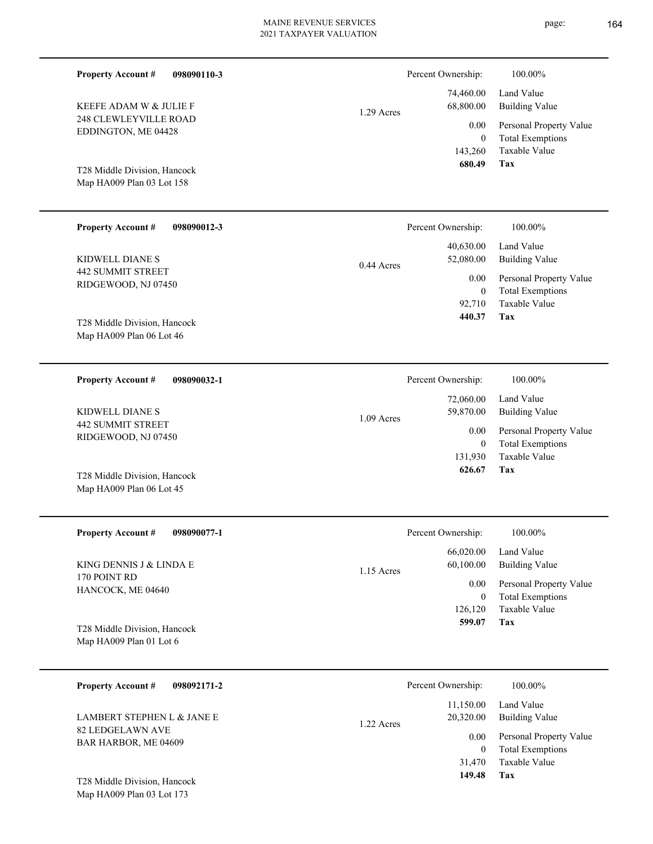Percent Ownership:  $100.00\%$ 

1.09 Acres

|            | 680.49    | Tax                          |
|------------|-----------|------------------------------|
|            |           | 143,260 Taxable Value        |
|            | $\theta$  | <b>Total Exemptions</b>      |
|            |           | 0.00 Personal Property Value |
| 1.29 Acres | 68,800.00 | Building Value               |
|            |           | 74,460.00 Land Value         |
|            |           |                              |

**Tax**

 131,930 0

0.00

Percent Ownership:  $100.00\%$ 

 72,060.00 59,870.00

 **626.67**

Taxable Value Total Exemptions Personal Property Value

Building Value Land Value

Map HA009 Plan 03 Lot 158 T28 Middle Division, Hancock

248 CLEWLEYVILLE ROAD EDDINGTON, ME 04428

KEEFE ADAM W & JULIE F

**Property Account #**

| <b>Property Account #</b><br>098090012-3 | Percent Ownership:                     | 100.00%                                                             |
|------------------------------------------|----------------------------------------|---------------------------------------------------------------------|
| KIDWELL DIANE S<br>442 SUMMIT STREET     | 40.630.00<br>52,080.00<br>$0.44$ Acres | Land Value<br>Building Value                                        |
| RIDGEWOOD, NJ 07450                      | 0.00<br>0<br>92,710                    | Personal Property Value<br><b>Total Exemptions</b><br>Taxable Value |
| T28 Middle Division, Hancock             | 440.37                                 | Tax                                                                 |

Map HA009 Plan 06 Lot 46

**098090032-1** 442 SUMMIT STREET **Property Account #** KIDWELL DIANE S

**098090110-3**

RIDGEWOOD, NJ 07450

Map HA009 Plan 06 Lot 45 T28 Middle Division, Hancock

| <b>Property Account #</b><br>098090077-1 | Percent Ownership:        | 100.00%                 |
|------------------------------------------|---------------------------|-------------------------|
|                                          | 66,020.00                 | Land Value              |
| KING DENNIS J & LINDA E<br>170 POINT RD  | 60,100.00<br>$1.15$ Acres | Building Value          |
| HANCOCK, ME 04640                        | 0.00                      | Personal Property Value |
|                                          | $\mathbf{0}$              | <b>Total Exemptions</b> |
|                                          | 126,120                   | Taxable Value           |
| T28 Middle Division, Hancock             | 599.07                    | Tax                     |
| Map HA009 Plan 01 Lot 6                  |                           |                         |

| <b>Property Account #</b><br>098092171-2       | Percent Ownership:                   | 100.00%                                            |
|------------------------------------------------|--------------------------------------|----------------------------------------------------|
| LAMBERT STEPHEN L & JANE E<br>82 LEDGELAWN AVE | 11,150.00<br>20,320.00<br>1.22 Acres | Land Value<br><b>Building Value</b>                |
| BAR HARBOR, ME 04609                           | 0.00<br>0                            | Personal Property Value<br><b>Total Exemptions</b> |
| T28 Middle Division, Hancock                   | 31,470<br>149.48                     | Taxable Value<br>Tax                               |

Map HA009 Plan 03 Lot 173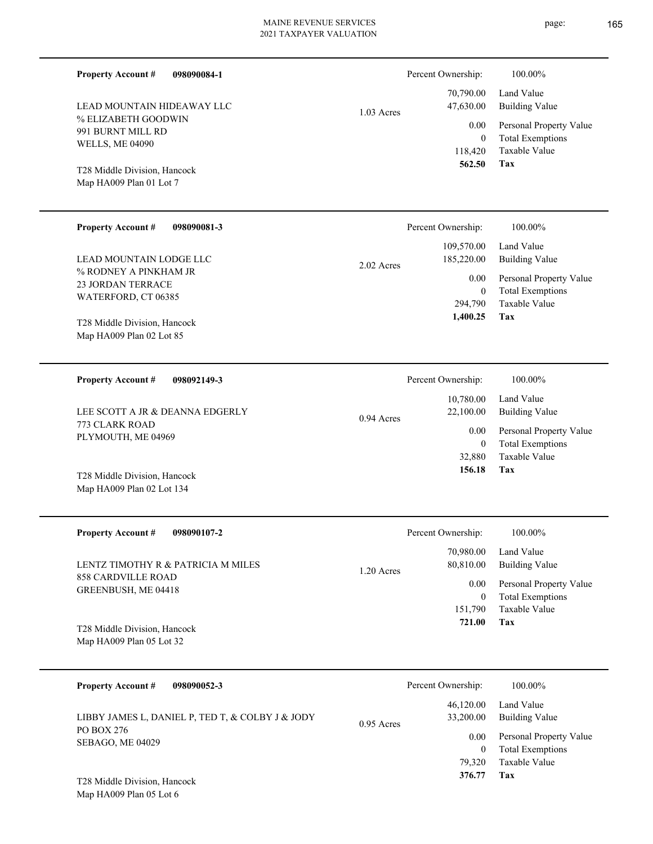| <b>Property Account #</b><br>098090084-1                  |              | Percent Ownership:                 | 100.00%                                         |
|-----------------------------------------------------------|--------------|------------------------------------|-------------------------------------------------|
| LEAD MOUNTAIN HIDEAWAY LLC                                | $1.03$ Acres | 70,790.00<br>47,630.00             | Land Value<br><b>Building Value</b>             |
| % ELIZABETH GOODWIN<br>991 BURNT MILL RD                  |              | 0.00                               | Personal Property Value                         |
| <b>WELLS, ME 04090</b>                                    |              | $\mathbf{0}$<br>118,420            | <b>Total Exemptions</b><br>Taxable Value        |
| T28 Middle Division, Hancock                              |              | 562.50                             | <b>Tax</b>                                      |
| Map HA009 Plan 01 Lot 7                                   |              |                                    |                                                 |
| <b>Property Account #</b><br>098090081-3                  |              | Percent Ownership:                 | 100.00%                                         |
|                                                           |              | 109,570.00                         | Land Value                                      |
| LEAD MOUNTAIN LODGE LLC                                   | $2.02$ Acres | 185,220.00                         | <b>Building Value</b>                           |
| % RODNEY A PINKHAM JR<br><b>23 JORDAN TERRACE</b>         |              | 0.00                               | Personal Property Value                         |
| WATERFORD, CT 06385                                       |              | $\overline{0}$                     | <b>Total Exemptions</b>                         |
|                                                           |              | 294,790                            | Taxable Value<br>Tax                            |
| T28 Middle Division, Hancock                              |              | 1,400.25                           |                                                 |
| Map HA009 Plan 02 Lot 85                                  |              |                                    |                                                 |
| <b>Property Account #</b><br>098092149-3                  |              | Percent Ownership:                 | 100.00%                                         |
|                                                           |              | 10,780.00                          | Land Value                                      |
| LEE SCOTT A JR & DEANNA EDGERLY<br>773 CLARK ROAD         | 0.94 Acres   | 22,100.00                          | <b>Building Value</b>                           |
| PLYMOUTH, ME 04969                                        |              | 0.00                               | Personal Property Value                         |
|                                                           |              | $\overline{0}$<br>32,880<br>156.18 | <b>Total Exemptions</b><br>Taxable Value<br>Tax |
| T28 Middle Division, Hancock<br>Map HA009 Plan 02 Lot 134 |              |                                    |                                                 |
| <b>Property Account #</b><br>098090107-2                  |              | Percent Ownership:                 | 100.00%                                         |
| LENTZ TIMOTHY R & PATRICIA M MILES                        |              | 70,980.00<br>80,810.00             | Land Value<br><b>Building Value</b>             |
| <b>858 CARDVILLE ROAD</b>                                 | 1.20 Acres   | 0.00                               | Personal Property Value                         |
| GREENBUSH, ME 04418                                       |              | $\overline{0}$                     | <b>Total Exemptions</b>                         |
|                                                           |              | 151,790                            | Taxable Value                                   |
| T28 Middle Division, Hancock<br>Map HA009 Plan 05 Lot 32  |              | 721.00                             | Tax                                             |
|                                                           |              |                                    |                                                 |
| <b>Property Account #</b><br>098090052-3                  |              | Percent Ownership:                 | 100.00%                                         |
| LIBBY JAMES L, DANIEL P, TED T, & COLBY J & JODY          | 0.95 Acres   | 46,120.00<br>33,200.00             | Land Value<br><b>Building Value</b>             |
| PO BOX 276                                                |              | 0.00                               | Personal Property Value                         |
| SEBAGO, ME 04029                                          |              | $\overline{0}$                     | <b>Total Exemptions</b>                         |
|                                                           |              | 79,320                             | Taxable Value                                   |
| T28 Middle Division, Hancock                              |              | 376.77                             | Tax                                             |
| Map HA009 Plan 05 Lot 6                                   |              |                                    |                                                 |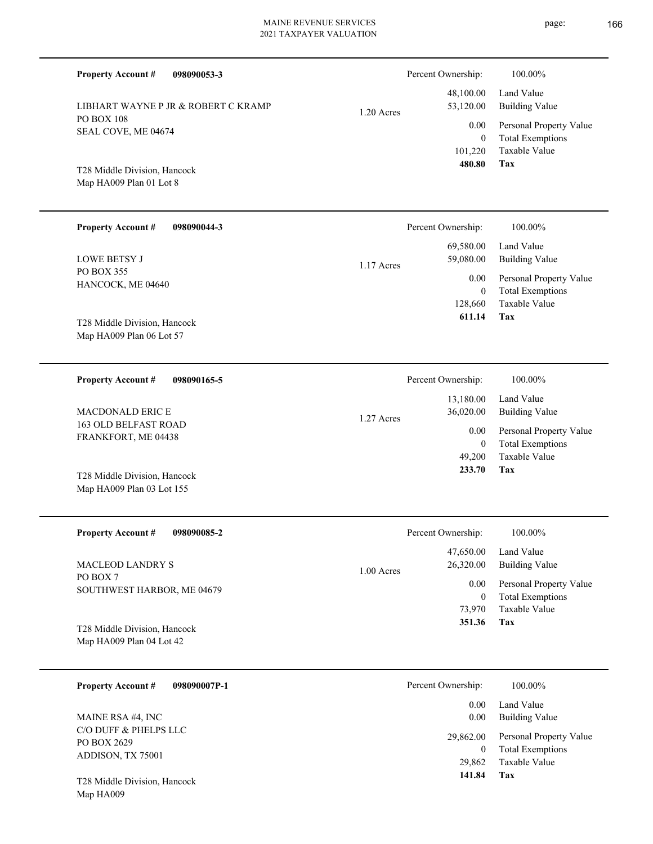| <b>Property Account #</b><br>098090053-3                  |            | Percent Ownership:                | 100.00%                                                             |
|-----------------------------------------------------------|------------|-----------------------------------|---------------------------------------------------------------------|
| LIBHART WAYNE P JR & ROBERT C KRAMP                       | 1.20 Acres | 48,100.00<br>53,120.00            | Land Value<br><b>Building Value</b>                                 |
| <b>PO BOX 108</b><br>SEAL COVE, ME 04674                  |            | 0.00<br>$\overline{0}$<br>101,220 | Personal Property Value<br><b>Total Exemptions</b><br>Taxable Value |
| T28 Middle Division, Hancock<br>Map HA009 Plan 01 Lot 8   |            | 480.80                            | <b>Tax</b>                                                          |
| <b>Property Account #</b><br>098090044-3                  |            | Percent Ownership:                | 100.00%                                                             |
| <b>LOWE BETSY J</b>                                       | 1.17 Acres | 69,580.00<br>59,080.00            | Land Value<br><b>Building Value</b>                                 |
| PO BOX 355<br>HANCOCK, ME 04640                           |            | 0.00<br>$\overline{0}$<br>128,660 | Personal Property Value<br><b>Total Exemptions</b><br>Taxable Value |
| T28 Middle Division, Hancock<br>Map HA009 Plan 06 Lot 57  |            | 611.14                            | Tax                                                                 |
| <b>Property Account #</b><br>098090165-5                  |            | Percent Ownership:                | 100.00%                                                             |
| MACDONALD ERIC E                                          | 1.27 Acres | 13,180.00<br>36,020.00            | Land Value<br><b>Building Value</b>                                 |
| 163 OLD BELFAST ROAD<br>FRANKFORT, ME 04438               |            | 0.00<br>$\overline{0}$            | Personal Property Value<br><b>Total Exemptions</b>                  |
| T28 Middle Division, Hancock<br>Map HA009 Plan 03 Lot 155 |            | 49,200<br>233.70                  | Taxable Value<br>Tax                                                |
| <b>Property Account #</b><br>098090085-2                  |            | Percent Ownership:                | $100.00\%$                                                          |
| <b>MACLEOD LANDRY S</b>                                   | 1.00 Acres | 47,650.00<br>26,320.00            | Land Value<br><b>Building Value</b>                                 |
| PO BOX 7<br>SOUTHWEST HARBOR, ME 04679                    |            | 0.00<br>$\overline{0}$<br>73,970  | Personal Property Value<br><b>Total Exemptions</b><br>Taxable Value |
| T28 Middle Division, Hancock<br>Map HA009 Plan 04 Lot 42  |            | 351.36                            | Tax                                                                 |
| <b>Property Account #</b><br>098090007P-1                 |            | Percent Ownership:                | 100.00%                                                             |
| MAINE RSA #4, INC                                         |            | 0.00<br>0.00                      | Land Value<br><b>Building Value</b>                                 |
| C/O DUFF & PHELPS LLC<br>PO BOX 2629<br>ADDISON, TX 75001 |            | 29,862.00<br>$\overline{0}$       | Personal Property Value<br><b>Total Exemptions</b>                  |
| T28 Middle Division, Hancock                              |            | 29,862<br>141.84                  | Taxable Value<br>Tax                                                |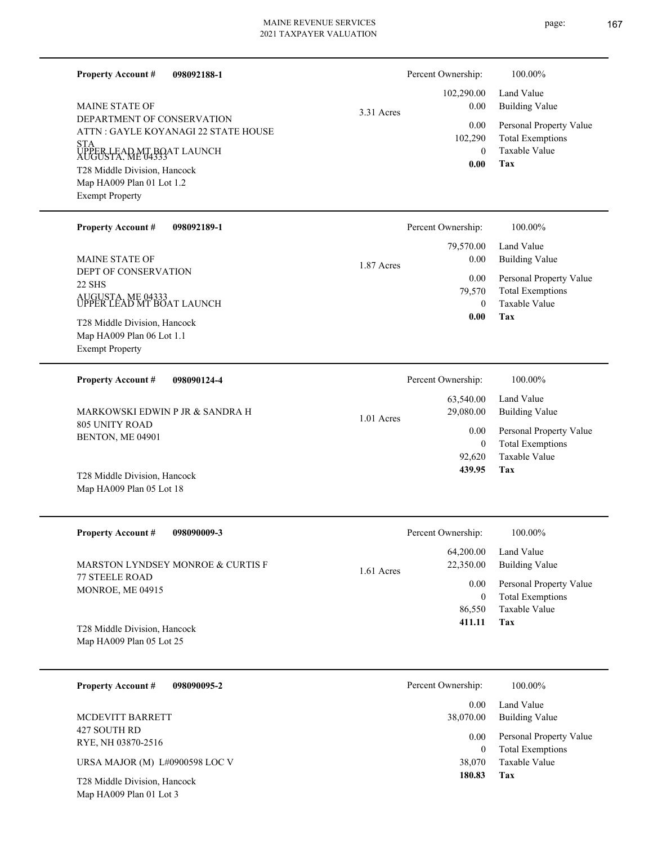| 098092188-1<br><b>Property Account #</b>                           |            | Percent Ownership:<br>102,290.00 | 100.00%<br>Land Value                              |
|--------------------------------------------------------------------|------------|----------------------------------|----------------------------------------------------|
| <b>MAINE STATE OF</b>                                              | 3.31 Acres | 0.00                             | <b>Building Value</b>                              |
| DEPARTMENT OF CONSERVATION<br>ATTN : GAYLE KOYANAGI 22 STATE HOUSE |            | 0.00<br>102,290                  | Personal Property Value<br><b>Total Exemptions</b> |
| <b>STA</b><br>UPPER LEAD MT BOAT LAUNCH                            |            | $\mathbf{0}$                     | Taxable Value                                      |
| T28 Middle Division, Hancock                                       |            | 0.00                             | Tax                                                |
| Map HA009 Plan 01 Lot 1.2<br><b>Exempt Property</b>                |            |                                  |                                                    |
| <b>Property Account #</b><br>098092189-1                           |            | Percent Ownership:               | 100.00%                                            |
| <b>MAINE STATE OF</b>                                              | 1.87 Acres | 79,570.00<br>0.00                | Land Value<br><b>Building Value</b>                |
| DEPT OF CONSERVATION<br>22 SHS                                     |            | 0.00<br>79,570                   | Personal Property Value<br><b>Total Exemptions</b> |
| AUGUSTA, ME 04333<br>UPPER LEAD MT BOAT LAUNCH                     |            | $\mathbf{0}$                     | Taxable Value                                      |
| T28 Middle Division, Hancock                                       |            | 0.00                             | Tax                                                |
| Map HA009 Plan 06 Lot 1.1<br><b>Exempt Property</b>                |            |                                  |                                                    |
| <b>Property Account #</b><br>098090124-4                           |            | Percent Ownership:               | 100.00%                                            |
| MARKOWSKI EDWIN P JR & SANDRA H                                    | 1.01 Acres | 63,540.00<br>29,080.00           | Land Value<br><b>Building Value</b>                |
| <b>805 UNITY ROAD</b><br>BENTON, ME 04901                          |            | 0.00<br>$\boldsymbol{0}$         | Personal Property Value<br><b>Total Exemptions</b> |
|                                                                    |            | 92,620                           | Taxable Value                                      |
| T28 Middle Division, Hancock<br>Map HA009 Plan 05 Lot 18           |            | 439.95                           | Tax                                                |
| <b>Property Account #</b><br>098090009-3                           |            | Percent Ownership:               | 100.00%                                            |
| MARSTON LYNDSEY MONROE & CURTIS F                                  | 1.61 Acres | 64,200.00<br>22,350.00           | Land Value<br><b>Building Value</b>                |
| 77 STEELE ROAD<br>MONROE, ME 04915                                 |            | 0.00                             | Personal Property Value                            |
|                                                                    |            | $\boldsymbol{0}$<br>86,550       | <b>Total Exemptions</b><br>Taxable Value           |
| T28 Middle Division, Hancock                                       |            | 411.11                           | Tax                                                |
| Map HA009 Plan 05 Lot 25                                           |            |                                  |                                                    |
| <b>Property Account #</b><br>098090095-2                           |            | Percent Ownership:               | 100.00%                                            |
| MCDEVITT BARRETT                                                   |            | 0.00<br>38,070.00                | Land Value<br><b>Building Value</b>                |
| 427 SOUTH RD<br>RYE, NH 03870-2516                                 |            | 0.00                             | Personal Property Value                            |
| URSA MAJOR (M) L#0900598 LOC V                                     |            | $\mathbf{0}$<br>38,070           | <b>Total Exemptions</b><br>Taxable Value           |
| T28 Middle Division, Hancock<br>Map HA009 Plan 01 Lot 3            |            | 180.83                           | Tax                                                |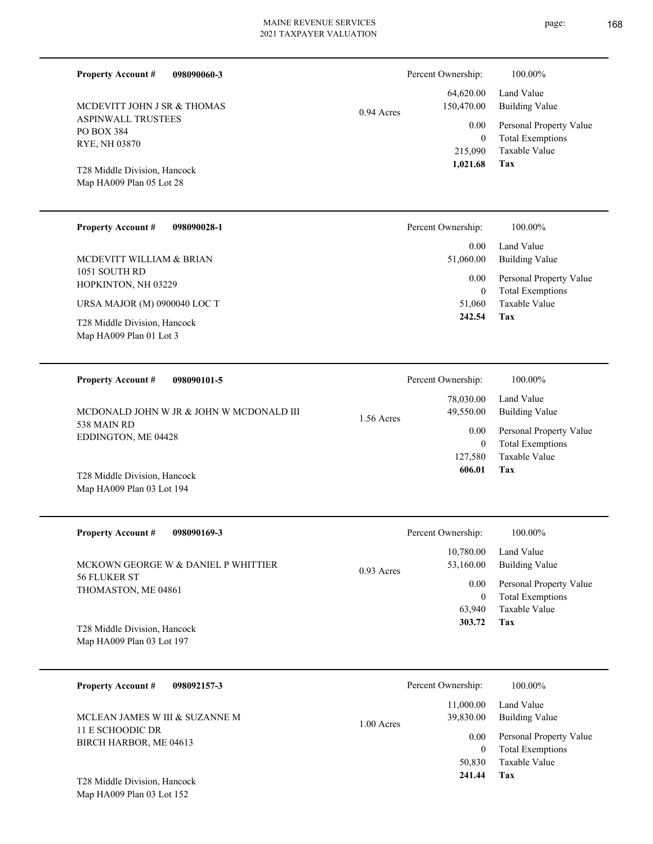| <b>Property Account #</b><br>098090060-3                                                |            | Percent Ownership:                           | 100.00%                                                                           |                                                    |
|-----------------------------------------------------------------------------------------|------------|----------------------------------------------|-----------------------------------------------------------------------------------|----------------------------------------------------|
| MCDEVITT JOHN J SR & THOMAS                                                             | 0.94 Acres | 64,620.00<br>150,470.00                      | Land Value<br><b>Building Value</b>                                               |                                                    |
| <b>ASPINWALL TRUSTEES</b><br>PO BOX 384<br>RYE, NH 03870                                |            | 0.00<br>$\mathbf{0}$<br>215,090              | Personal Property Value<br><b>Total Exemptions</b><br>Taxable Value               |                                                    |
| T28 Middle Division, Hancock<br>Map HA009 Plan 05 Lot 28                                |            | 1,021.68                                     | Tax                                                                               |                                                    |
| <b>Property Account #</b><br>098090028-1                                                |            | Percent Ownership:                           | 100.00%                                                                           |                                                    |
| MCDEVITT WILLIAM & BRIAN<br>1051 SOUTH RD                                               |            | 0.00<br>51,060.00                            | Land Value<br><b>Building Value</b>                                               |                                                    |
| HOPKINTON, NH 03229                                                                     |            | 0.00<br>$\mathbf{0}$                         | Personal Property Value<br><b>Total Exemptions</b>                                |                                                    |
| URSA MAJOR (M) 0900040 LOC T<br>T28 Middle Division, Hancock<br>Map HA009 Plan 01 Lot 3 |            | 51,060<br>242.54                             | Taxable Value<br>Tax                                                              |                                                    |
|                                                                                         |            |                                              |                                                                                   |                                                    |
| <b>Property Account #</b><br>098090101-5<br>MCDONALD JOHN W JR & JOHN W MCDONALD III    |            | Percent Ownership:<br>78,030.00<br>49,550.00 | 100.00%<br>Land Value<br><b>Building Value</b>                                    |                                                    |
| 538 MAIN RD<br>EDDINGTON, ME 04428                                                      | 1.56 Acres | 0.00<br>$\boldsymbol{0}$<br>127,580          | Personal Property Value<br><b>Total Exemptions</b><br>Taxable Value               |                                                    |
| T28 Middle Division, Hancock<br>Map HA009 Plan 03 Lot 194                               |            | 606.01                                       | Tax                                                                               |                                                    |
| <b>Property Account #</b><br>098090169-3                                                |            | Percent Ownership:                           | 100.00%                                                                           |                                                    |
| MCKOWN GEORGE W & DANIEL P WHITTIER                                                     | 0.93 Acres | 10,780.00<br>53,160.00                       | Land Value<br><b>Building Value</b>                                               |                                                    |
| 56 FLUKER ST<br>THOMASTON, ME 04861<br>T28 Middle Division, Hancock                     |            | 0.00<br>$\overline{0}$<br>63,940<br>303.72   | Personal Property Value<br><b>Total Exemptions</b><br>Taxable Value<br><b>Tax</b> |                                                    |
| Map HA009 Plan 03 Lot 197                                                               |            |                                              |                                                                                   |                                                    |
| <b>Property Account #</b><br>098092157-3                                                |            | Percent Ownership:                           | 100.00%                                                                           |                                                    |
| MCLEAN JAMES W III & SUZANNE M                                                          | 1.00 Acres | 11,000.00<br>39,830.00                       | Land Value<br><b>Building Value</b>                                               |                                                    |
| 11 E SCHOODIC DR<br>BIRCH HARBOR, ME 04613                                              |            |                                              | 0.00<br>$\overline{0}$                                                            | Personal Property Value<br><b>Total Exemptions</b> |
| T28 Middle Division, Hancock<br>Map HA009 Plan 03 Lot 152                               |            | 50,830<br>241.44                             | Taxable Value<br>Tax                                                              |                                                    |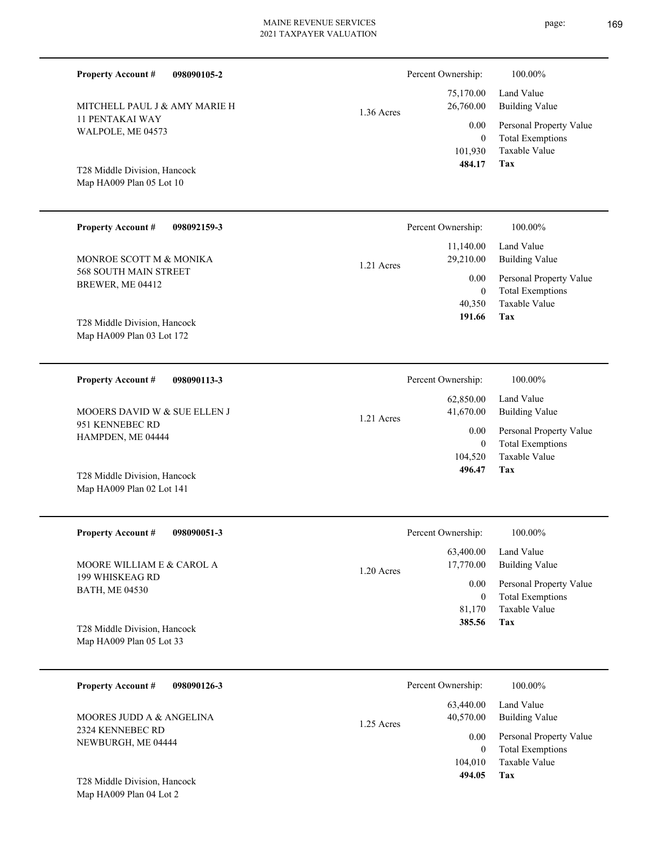| <b>Property Account #</b><br>098090105-2                                    |            | Percent Ownership:                            | 100.00%                                                                    |
|-----------------------------------------------------------------------------|------------|-----------------------------------------------|----------------------------------------------------------------------------|
| MITCHELL PAUL J & AMY MARIE H                                               | 1.36 Acres | 75,170.00<br>26,760.00                        | Land Value<br><b>Building Value</b>                                        |
| <b>11 PENTAKAI WAY</b><br>WALPOLE, ME 04573<br>T28 Middle Division, Hancock |            | 0.00<br>$\boldsymbol{0}$<br>101,930<br>484.17 | Personal Property Value<br><b>Total Exemptions</b><br>Taxable Value<br>Tax |
| Map HA009 Plan 05 Lot 10                                                    |            |                                               |                                                                            |
| <b>Property Account #</b><br>098092159-3                                    |            | Percent Ownership:                            | 100.00%                                                                    |
| MONROE SCOTT M & MONIKA                                                     | 1.21 Acres | 11,140.00<br>29,210.00                        | Land Value<br><b>Building Value</b>                                        |
| 568 SOUTH MAIN STREET<br>BREWER, ME 04412                                   |            | 0.00<br>$\boldsymbol{0}$<br>40,350            | Personal Property Value<br><b>Total Exemptions</b><br><b>Taxable Value</b> |
| T28 Middle Division, Hancock<br>Map HA009 Plan 03 Lot 172                   |            | 191.66                                        | Tax                                                                        |
| <b>Property Account #</b><br>098090113-3                                    |            | Percent Ownership:                            | 100.00%                                                                    |
| MOOERS DAVID W & SUE ELLEN J                                                | 1.21 Acres | 62,850.00<br>41,670.00                        | Land Value<br><b>Building Value</b>                                        |
| 951 KENNEBEC RD<br>HAMPDEN, ME 04444                                        |            | 0.00<br>$\boldsymbol{0}$<br>104,520           | Personal Property Value<br><b>Total Exemptions</b><br>Taxable Value        |
| T28 Middle Division, Hancock<br>Map HA009 Plan 02 Lot 141                   |            | 496.47                                        | Tax                                                                        |
| <b>Property Account #</b><br>098090051-3                                    |            | Percent Ownership:                            | 100.00%                                                                    |
| MOORE WILLIAM E & CAROL A                                                   | 1.20 Acres | 63,400.00<br>17,770.00                        | Land Value<br><b>Building Value</b>                                        |
| 199 WHISKEAG RD<br><b>BATH, ME 04530</b>                                    |            | 0.00<br>$\boldsymbol{0}$<br>81,170            | Personal Property Value<br><b>Total Exemptions</b><br>Taxable Value        |
| T28 Middle Division, Hancock<br>Map HA009 Plan 05 Lot 33                    |            | 385.56                                        | Tax                                                                        |
|                                                                             |            |                                               |                                                                            |

| <b>Property Account #</b><br>098090126-3 | Percent Ownership:                     | 100.00%                      |
|------------------------------------------|----------------------------------------|------------------------------|
| MOORES JUDD A & ANGELINA                 | 63,440.00<br>40.570.00<br>$1.25$ Acres | Land Value<br>Building Value |
| 2324 KENNEBEC RD<br>NEWBURGH, ME 04444   | 0.00                                   | Personal Property Value      |
|                                          | $\Omega$                               | <b>Total Exemptions</b>      |
|                                          | 104,010                                | Taxable Value                |
| T28 Middle Division, Hancock             | 494.05                                 | Tax                          |

Map HA009 Plan 04 Lot 2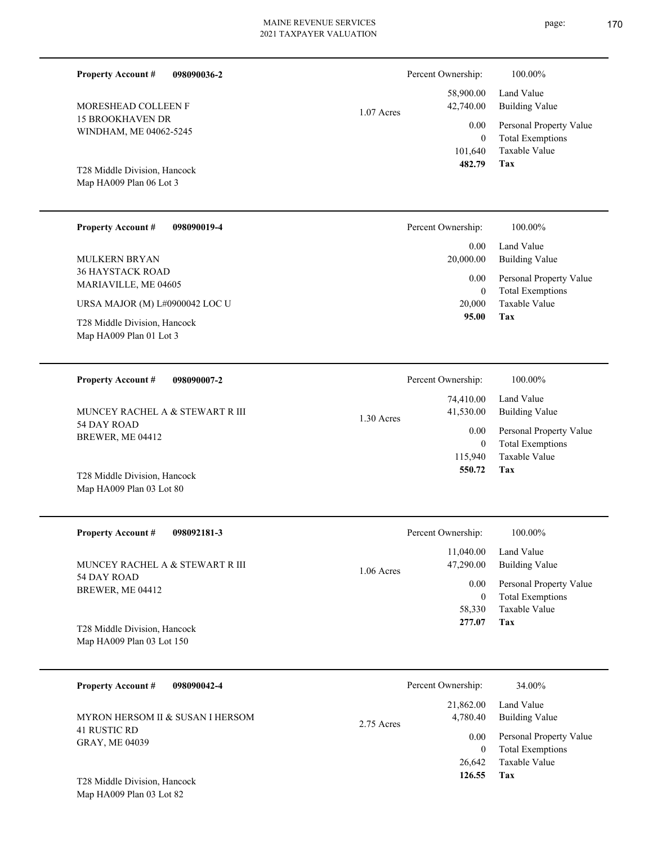101,640 0 58,900.00 42,740.00 0.00 1.07 Acres

Map HA009 Plan 06 Lot 3 T28 Middle Division, Hancock

15 BROOKHAVEN DR WINDHAM, ME 04062-5245

MORESHEAD COLLEEN F

**Property Account #**

**098090036-2**

| <b>Property Account #</b><br>098090019-4                | Percent Ownership: | 100.00%                                            |
|---------------------------------------------------------|--------------------|----------------------------------------------------|
|                                                         | 0.00               | Land Value                                         |
| <b>MULKERN BRYAN</b>                                    | 20,000.00          | Building Value                                     |
| <b>36 HAYSTACK ROAD</b><br>MARIAVILLE, ME 04605         | 0.00<br>$\theta$   | Personal Property Value<br><b>Total Exemptions</b> |
| URSA MAJOR (M) L#0900042 LOC U                          | 20,000             | Taxable Value                                      |
| T28 Middle Division, Hancock<br>Map HA009 Plan 01 Lot 3 | 95.00              | Tax                                                |
|                                                         |                    |                                                    |
| 098090007-2<br><b>Property Account #</b>                | Percent Ownership: | 100.00%                                            |

| 098090007-2<br><b>Property Account #</b> | Percent Ownership:      | 100.00%                 |
|------------------------------------------|-------------------------|-------------------------|
|                                          | 74,410.00               | Land Value              |
| MUNCEY RACHEL A & STEWART R III          | 41,530.00<br>1.30 Acres | Building Value          |
| 54 DAY ROAD                              | 0.00                    | Personal Property Value |
| BREWER, ME 04412                         | $\Omega$                | <b>Total Exemptions</b> |
|                                          | 115,940                 | Taxable Value           |
| T28 Middle Division, Hancock             | 550.72                  | Tax                     |

| <b>Property Account #</b><br>098092181-3 | Percent Ownership:                     | 100.00%                                            |
|------------------------------------------|----------------------------------------|----------------------------------------------------|
| MUNCEY RACHEL A & STEWART R III          | 11,040.00<br>47,290.00<br>$1.06$ Acres | Land Value<br>Building Value                       |
| 54 DAY ROAD<br>BREWER, ME 04412          | 0.00<br>$\theta$                       | Personal Property Value<br><b>Total Exemptions</b> |
|                                          | 58,330                                 | Taxable Value                                      |
| T28 Middle Division, Hancock             | 277.07                                 | Tax                                                |
| Map HA009 Plan 03 Lot 150                |                                        |                                                    |

| <b>Property Account #</b><br>098090042-4     |              | Percent Ownership:    | 34.00%                                             |
|----------------------------------------------|--------------|-----------------------|----------------------------------------------------|
| MYRON HERSOM II & SUSAN I HERSOM             | $2.75$ Acres | 21,862.00<br>4,780.40 | Land Value<br><b>Building Value</b>                |
| <b>41 RUSTIC RD</b><br><b>GRAY, ME 04039</b> |              | 0.00<br>$\mathbf{0}$  | Personal Property Value<br><b>Total Exemptions</b> |
|                                              |              | 26,642                | Taxable Value                                      |
| T28 Middle Division, Hancock                 |              | 126.55                | Tax                                                |

Map HA009 Plan 03 Lot 82

Map HA009 Plan 03 Lot 80

**Tax**

 **482.79**

Percent Ownership:  $100.00\%$ 

Taxable Value Total Exemptions Personal Property Value

Building Value Land Value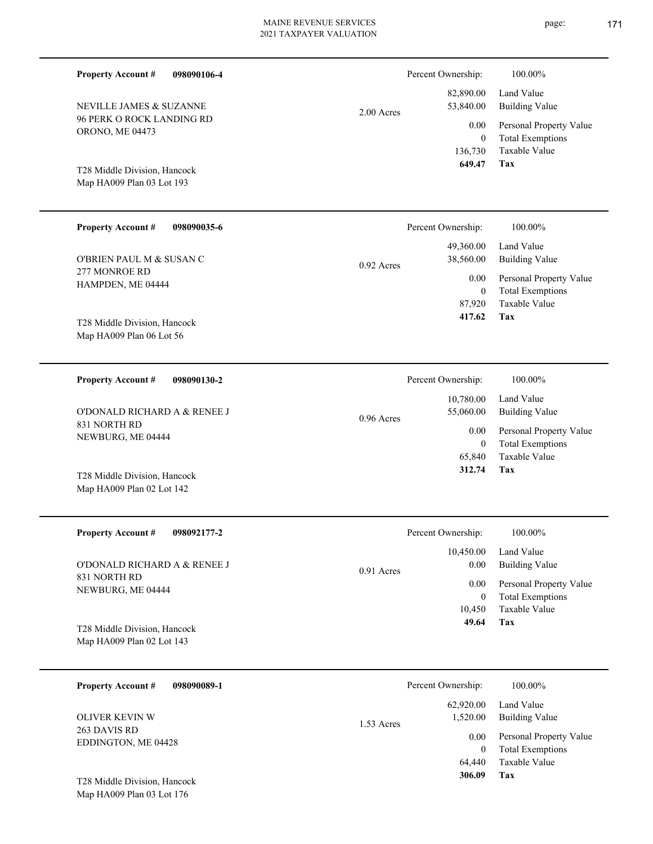| <b>Property Account #</b><br>098090106-4                   |              | Percent Ownership:                        | 100.00%                                                                           |
|------------------------------------------------------------|--------------|-------------------------------------------|-----------------------------------------------------------------------------------|
| NEVILLE JAMES & SUZANNE                                    | 2.00 Acres   | 82,890.00<br>53,840.00                    | Land Value<br><b>Building Value</b>                                               |
| <b>96 PERK O ROCK LANDING RD</b><br><b>ORONO, ME 04473</b> |              | 0.00<br>$\mathbf{0}$<br>136,730<br>649.47 | Personal Property Value<br><b>Total Exemptions</b><br>Taxable Value<br><b>Tax</b> |
| T28 Middle Division, Hancock<br>Map HA009 Plan 03 Lot 193  |              |                                           |                                                                                   |
| <b>Property Account #</b><br>098090035-6                   |              | Percent Ownership:                        | 100.00%                                                                           |
| O'BRIEN PAUL M & SUSAN C                                   | $0.92$ Acres | 49,360.00<br>38,560.00                    | Land Value<br><b>Building Value</b>                                               |
| 277 MONROE RD<br>HAMPDEN, ME 04444                         |              | 0.00<br>$\boldsymbol{0}$<br>87,920        | Personal Property Value<br><b>Total Exemptions</b><br>Taxable Value               |
| T28 Middle Division, Hancock<br>Map HA009 Plan 06 Lot 56   |              | 417.62                                    | Tax                                                                               |
| <b>Property Account #</b><br>098090130-2                   |              | Percent Ownership:                        | 100.00%                                                                           |
| O'DONALD RICHARD A & RENEE J                               | 0.96 Acres   | 10,780.00<br>55,060.00                    | Land Value<br><b>Building Value</b>                                               |
| 831 NORTH RD<br>NEWBURG, ME 04444                          |              | 0.00<br>$\boldsymbol{0}$<br>65,840        | Personal Property Value<br><b>Total Exemptions</b><br>Taxable Value               |
| T28 Middle Division, Hancock<br>Map HA009 Plan 02 Lot 142  |              | 312.74                                    | Tax                                                                               |
| <b>Property Account #</b><br>098092177-2                   |              | Percent Ownership:                        | 100.00%                                                                           |
| O'DONALD RICHARD A & RENEE J<br>831 NORTH RD               | 0.91 Acres   | 10,450.00<br>0.00                         | Land Value<br><b>Building Value</b>                                               |
| NEWBURG, ME 04444                                          |              | 0.00<br>$\boldsymbol{0}$<br>10,450        | Personal Property Value<br><b>Total Exemptions</b><br>Taxable Value               |
| T28 Middle Division, Hancock                               |              | 49.64                                     | Tax                                                                               |

| 098090089-1<br><b>Property Account #</b> | Percent Ownership:                  | 100.00%                                            |
|------------------------------------------|-------------------------------------|----------------------------------------------------|
| <b>OLIVER KEVIN W</b>                    | 62,920.00<br>1,520.00<br>1.53 Acres | Land Value<br>Building Value                       |
| 263 DAVIS RD<br>EDDINGTON, ME 04428      | 0.00<br>0                           | Personal Property Value<br><b>Total Exemptions</b> |
|                                          | 64,440                              | Taxable Value                                      |
| T28 Middle Division, Hancock             | 306.09                              | Tax                                                |

Map HA009 Plan 03 Lot 176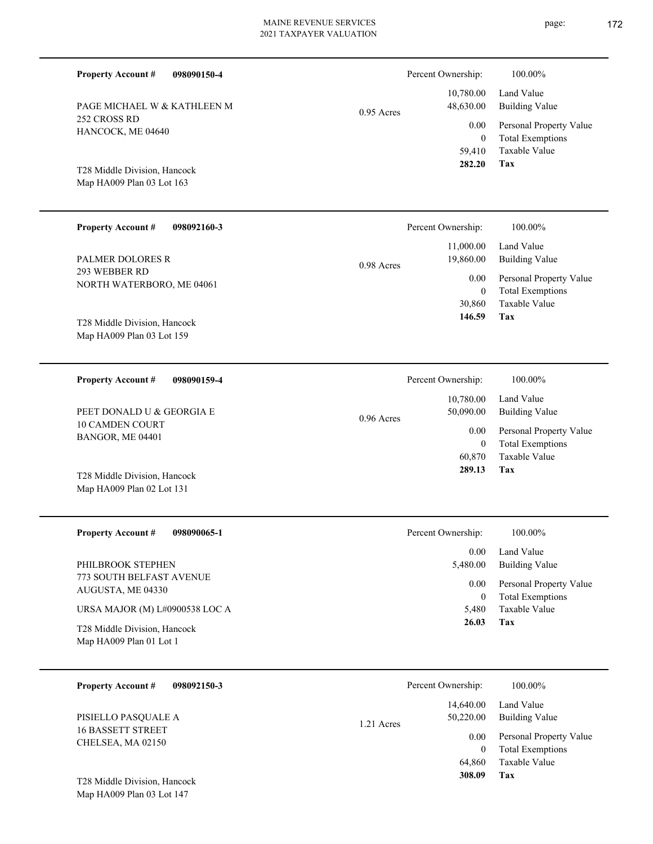| <b>Property Account #</b><br>098090150-4                  |              | Percent Ownership:         | 100.00%                                            |
|-----------------------------------------------------------|--------------|----------------------------|----------------------------------------------------|
| PAGE MICHAEL W & KATHLEEN M                               | $0.95$ Acres | 10,780.00<br>48,630.00     | Land Value<br><b>Building Value</b>                |
| 252 CROSS RD<br>HANCOCK, ME 04640                         |              | 0.00                       | Personal Property Value                            |
|                                                           |              | $\boldsymbol{0}$<br>59,410 | <b>Total Exemptions</b><br><b>Taxable Value</b>    |
| T28 Middle Division, Hancock                              |              | 282.20                     | Tax                                                |
| Map HA009 Plan 03 Lot 163                                 |              |                            |                                                    |
|                                                           |              |                            |                                                    |
| <b>Property Account #</b><br>098092160-3                  |              | Percent Ownership:         | 100.00%                                            |
| <b>PALMER DOLORES R</b>                                   | 0.98 Acres   | 11,000.00<br>19,860.00     | Land Value<br><b>Building Value</b>                |
| 293 WEBBER RD<br>NORTH WATERBORO, ME 04061                |              | 0.00                       | Personal Property Value                            |
|                                                           |              | $\mathbf{0}$<br>30,860     | <b>Total Exemptions</b><br>Taxable Value           |
| T28 Middle Division, Hancock                              |              | 146.59                     | Tax                                                |
| Map HA009 Plan 03 Lot 159                                 |              |                            |                                                    |
|                                                           |              |                            |                                                    |
| <b>Property Account #</b><br>098090159-4                  |              | Percent Ownership:         | 100.00%                                            |
|                                                           |              | 10,780.00                  | Land Value                                         |
| PEET DONALD U & GEORGIA E<br><b>10 CAMDEN COURT</b>       | $0.96$ Acres | 50,090.00                  | <b>Building Value</b>                              |
| BANGOR, ME 04401                                          |              | 0.00<br>$\mathbf{0}$       | Personal Property Value<br><b>Total Exemptions</b> |
|                                                           |              | 60,870<br>289.13           | Taxable Value<br>Tax                               |
| T28 Middle Division, Hancock<br>Map HA009 Plan 02 Lot 131 |              |                            |                                                    |
|                                                           |              |                            |                                                    |
| <b>Property Account #</b><br>098090065-1                  |              | Percent Ownership:         | 100.00%                                            |
|                                                           |              | 0.00                       | Land Value                                         |
| PHILBROOK STEPHEN<br>773 SOUTH BELFAST AVENUE             |              | 5,480.00                   | <b>Building Value</b>                              |
| AUGUSTA, ME 04330                                         |              | 0.00<br>$\boldsymbol{0}$   | Personal Property Value<br><b>Total Exemptions</b> |
| URSA MAJOR (M) L#0900538 LOC A                            |              | 5,480                      | Taxable Value                                      |
| T28 Middle Division, Hancock                              |              | 26.03                      | Tax                                                |
| Map HA009 Plan 01 Lot 1                                   |              |                            |                                                    |
| <b>Property Account #</b><br>098092150-3                  |              | Percent Ownership:         | 100.00%                                            |
|                                                           |              | 14,640.00                  | Land Value                                         |
| PISIELLO PASQUALE A                                       | 1.21 Acres   | 50,220.00                  | <b>Building Value</b>                              |
| <b>16 BASSETT STREET</b><br>CHELSEA, MA 02150             |              | 0.00                       | Personal Property Value                            |
|                                                           |              | $\mathbf{0}$<br>64,860     | <b>Total Exemptions</b><br>Taxable Value           |

Map HA009 Plan 03 Lot 147 T28 Middle Division, Hancock page: 172

**Tax**

 **308.09**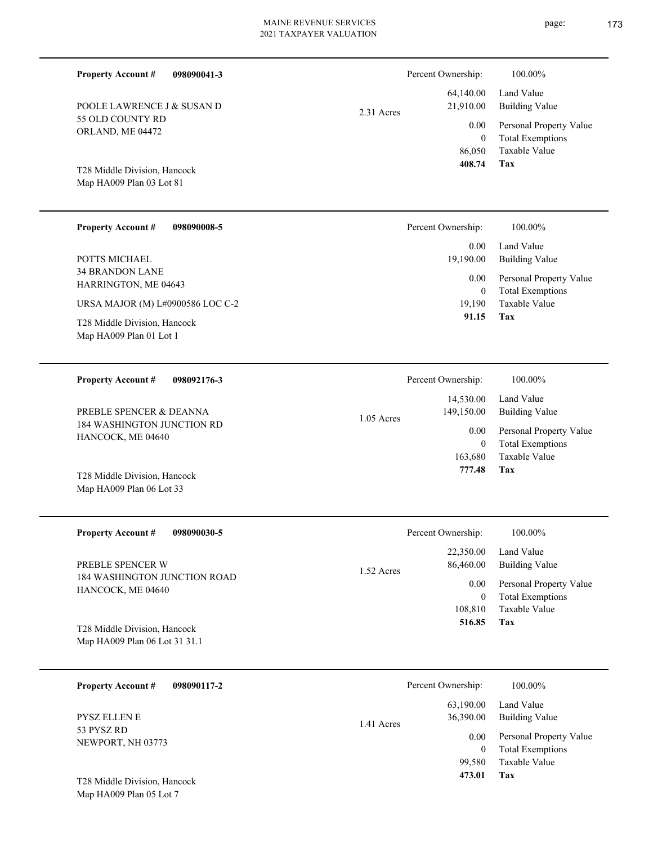$\overline{\phantom{0}}$ 

 $\overline{\phantom{0}}$ 

| <b>Property Account #</b><br>55 OLD COUNTY RD<br>ORLAND, ME 04472<br>T28 Middle Division, Hancock<br>Map HA009 Plan 03 Lot 81<br><b>Property Account #</b> | 098090041-3<br>POOLE LAWRENCE J & SUSAN D<br>098090008-5 | 2.31 Acres | Percent Ownership:<br>64,140.00<br>21,910.00<br>0.00<br>$\mathbf{0}$<br>86,050<br>408.74<br>Percent Ownership: | 100.00%<br>Land Value<br><b>Building Value</b><br>Personal Property Value<br><b>Total Exemptions</b><br>Taxable Value<br>Tax<br>100.00% |
|------------------------------------------------------------------------------------------------------------------------------------------------------------|----------------------------------------------------------|------------|----------------------------------------------------------------------------------------------------------------|-----------------------------------------------------------------------------------------------------------------------------------------|
| POTTS MICHAEL<br><b>34 BRANDON LANE</b><br>HARRINGTON, ME 04643<br>T28 Middle Division, Hancock<br>Map HA009 Plan 01 Lot 1                                 | URSA MAJOR (M) L#0900586 LOC C-2                         |            | 0.00<br>19,190.00<br>0.00<br>$\mathbf{0}$<br>19,190<br>91.15                                                   | Land Value<br><b>Building Value</b><br>Personal Property Value<br><b>Total Exemptions</b><br>Taxable Value<br>Tax                       |
| <b>Property Account #</b><br>PREBLE SPENCER & DEANNA<br>HANCOCK, ME 04640<br>T28 Middle Division, Hancock<br>Map HA009 Plan 06 Lot 33                      | 098092176-3<br>184 WASHINGTON JUNCTION RD                | 1.05 Acres | Percent Ownership:<br>14,530.00<br>149,150.00<br>$0.00\,$<br>$\mathbf{0}$<br>163,680<br>777.48                 | 100.00%<br>Land Value<br><b>Building Value</b><br>Personal Property Value<br><b>Total Exemptions</b><br>Taxable Value<br>Tax            |
| <b>Property Account #</b><br>PREBLE SPENCER W<br>HANCOCK, ME 04640<br>T28 Middle Division, Hancock<br>Map HA009 Plan 06 Lot 31 31.1                        | 098090030-5<br>184 WASHINGTON JUNCTION ROAD              | 1.52 Acres | Percent Ownership:<br>22,350.00<br>86,460.00<br>$0.00\,$<br>$\mathbf{0}$<br>108,810<br>516.85                  | 100.00%<br>Land Value<br><b>Building Value</b><br>Personal Property Value<br><b>Total Exemptions</b><br>Taxable Value<br>Tax            |
| <b>Property Account #</b><br>PYSZ ELLEN E<br>53 PYSZ RD<br>NEWPORT, NH 03773<br>T28 Middle Division, Hancock<br>Map HA009 Plan 05 Lot 7                    | 098090117-2                                              | 1.41 Acres | Percent Ownership:<br>63,190.00<br>36,390.00<br>0.00<br>$\overline{0}$<br>99,580<br>473.01                     | 100.00%<br>Land Value<br><b>Building Value</b><br>Personal Property Value<br><b>Total Exemptions</b><br>Taxable Value<br>Tax            |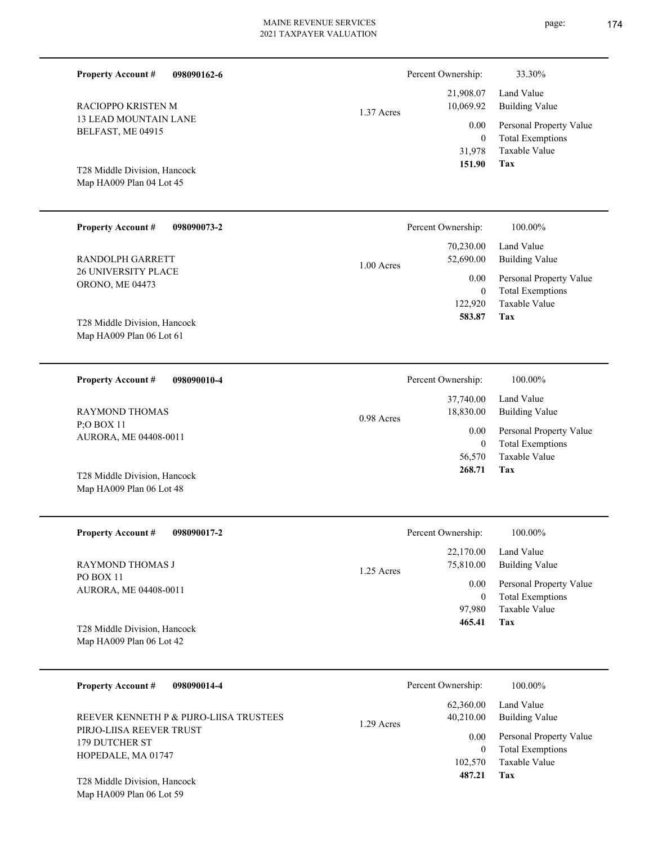| <b>Property Account #</b><br>098090162-6                 |            | Percent Ownership:       | 33.30%                                             |
|----------------------------------------------------------|------------|--------------------------|----------------------------------------------------|
| RACIOPPO KRISTEN M                                       | 1.37 Acres | 21,908.07<br>10,069.92   | Land Value<br><b>Building Value</b>                |
| <b>13 LEAD MOUNTAIN LANE</b><br>BELFAST, ME 04915        |            | 0.00<br>$\boldsymbol{0}$ | Personal Property Value<br><b>Total Exemptions</b> |
|                                                          |            | 31,978                   | Taxable Value                                      |
| T28 Middle Division, Hancock<br>Map HA009 Plan 04 Lot 45 |            | 151.90                   | Tax                                                |
| <b>Property Account #</b><br>098090073-2                 |            | Percent Ownership:       | 100.00%                                            |
| RANDOLPH GARRETT                                         | 1.00 Acres | 70,230.00<br>52,690.00   | Land Value<br><b>Building Value</b>                |
| 26 UNIVERSITY PLACE<br>ORONO, ME 04473                   |            | 0.00<br>$\boldsymbol{0}$ | Personal Property Value<br><b>Total Exemptions</b> |
|                                                          |            | 122,920                  | Taxable Value                                      |
| T28 Middle Division, Hancock<br>Map HA009 Plan 06 Lot 61 |            | 583.87                   | Tax                                                |
| <b>Property Account #</b><br>098090010-4                 |            | Percent Ownership:       | 100.00%                                            |
| RAYMOND THOMAS                                           | 0.98 Acres | 37,740.00<br>18,830.00   | Land Value<br><b>Building Value</b>                |
| P;O BOX 11<br>AURORA, ME 04408-0011                      |            | 0.00<br>$\boldsymbol{0}$ | Personal Property Value<br><b>Total Exemptions</b> |
|                                                          |            | 56,570                   | Taxable Value                                      |
| T28 Middle Division, Hancock<br>Map HA009 Plan 06 Lot 48 |            | 268.71                   | Tax                                                |
| <b>Property Account #</b><br>098090017-2                 |            | Percent Ownership:       | 100.00%                                            |
| RAYMOND THOMAS J                                         | 1.25 Acres | 22,170.00<br>75,810.00   | Land Value<br><b>Building Value</b>                |
| PO BOX 11<br>AURORA, ME 04408-0011                       |            | 0.00<br>$\boldsymbol{0}$ | Personal Property Value<br><b>Total Exemptions</b> |
|                                                          |            | 97,980<br>465.41         | Taxable Value<br><b>Tax</b>                        |
| T28 Middle Division, Hancock<br>Map HA009 Plan 06 Lot 42 |            |                          |                                                    |
| <b>Property Account #</b><br>098090014-4                 |            | Percent Ownership:       | 100.00%                                            |
|                                                          |            |                          | $62.36000$ Land Value                              |

**Tax** Taxable Value Total Exemptions Personal Property Value Building Value Land Value PIRJO-LIISA REEVER TRUST 179 DUTCHER ST HOPEDALE, MA 01747 T28 Middle Division, Hancock REEVER KENNETH P & PIJRO-LIISA TRUSTEES 102,570  $\boldsymbol{0}$  **487.21** 62,360.00 40,210.00 0.00 1.29 Acres

Map HA009 Plan 06 Lot 59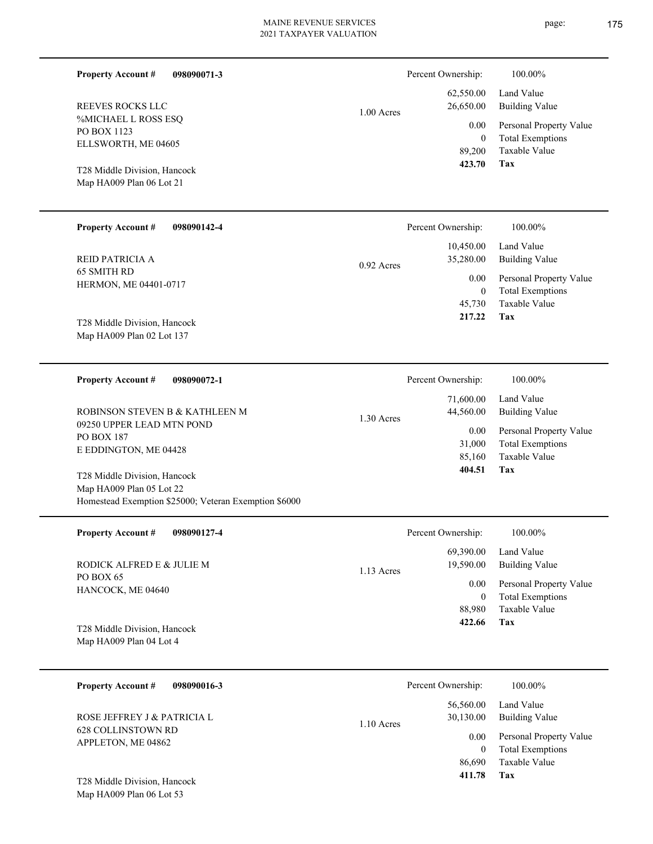| <b>Property Account #</b><br>098090071-3                                                                          |              | Percent Ownership:                                           | 100.00%                                                                    |
|-------------------------------------------------------------------------------------------------------------------|--------------|--------------------------------------------------------------|----------------------------------------------------------------------------|
| REEVES ROCKS LLC<br>%MICHAEL L ROSS ESQ                                                                           | 1.00 Acres   | 62,550.00<br>26,650.00                                       | Land Value<br><b>Building Value</b>                                        |
| PO BOX 1123<br>ELLSWORTH, ME 04605                                                                                |              | 0.00<br>$\overline{0}$<br>89,200                             | Personal Property Value<br><b>Total Exemptions</b><br>Taxable Value        |
| T28 Middle Division, Hancock<br>Map HA009 Plan 06 Lot 21                                                          |              | 423.70                                                       | Tax                                                                        |
| <b>Property Account #</b><br>098090142-4                                                                          |              | Percent Ownership:                                           | 100.00%                                                                    |
| REID PATRICIA A                                                                                                   | 0.92 Acres   | 10,450.00<br>35,280.00                                       | Land Value<br><b>Building Value</b>                                        |
| 65 SMITH RD<br>HERMON, ME 04401-0717                                                                              |              | 0.00<br>$\overline{0}$<br>45,730                             | Personal Property Value<br><b>Total Exemptions</b><br>Taxable Value        |
| T28 Middle Division, Hancock<br>Map HA009 Plan 02 Lot 137                                                         |              | 217.22                                                       | Tax                                                                        |
| <b>Property Account #</b><br>098090072-1                                                                          |              | Percent Ownership:                                           | 100.00%                                                                    |
| ROBINSON STEVEN B & KATHLEEN M                                                                                    | $1.30$ Acres | 71,600.00<br>44,560.00<br>0.00<br>31,000<br>85,160<br>404.51 | Land Value<br><b>Building Value</b>                                        |
| 09250 UPPER LEAD MTN POND<br><b>PO BOX 187</b><br>E EDDINGTON, ME 04428                                           |              |                                                              | Personal Property Value<br><b>Total Exemptions</b><br>Taxable Value<br>Tax |
| T28 Middle Division, Hancock<br>Map HA009 Plan 05 Lot 22<br>Homestead Exemption \$25000; Veteran Exemption \$6000 |              |                                                              |                                                                            |
| <b>Property Account #</b><br>098090127-4                                                                          |              | Percent Ownership:                                           | 100.00%                                                                    |
| RODICK ALFRED E & JULIE M                                                                                         | 1.13 Acres   | 69,390.00<br>19,590.00                                       | Land Value<br><b>Building Value</b>                                        |
| PO BOX 65<br>HANCOCK, ME 04640                                                                                    |              | 0.00<br>$\overline{0}$<br>88,980<br>422.66                   | Personal Property Value<br><b>Total Exemptions</b><br>Taxable Value<br>Tax |
| T28 Middle Division, Hancock<br>Map HA009 Plan 04 Lot 4                                                           |              |                                                              |                                                                            |
| <b>Property Account #</b><br>098090016-3                                                                          |              | Percent Ownership:                                           | 100.00%                                                                    |
| ROSE JEFFREY J & PATRICIA L                                                                                       | 1.10 Acres   | 56,560.00<br>30,130.00                                       | Land Value<br><b>Building Value</b>                                        |
| 628 COLLINSTOWN RD<br>APPLETON, ME 04862                                                                          |              | 0.00<br>$\overline{0}$<br>86,690<br>411.78                   | Personal Property Value<br><b>Total Exemptions</b><br>Taxable Value<br>Tax |
| T28 Middle Division, Hancock<br>Map HA009 Plan 06 Lot 53                                                          |              |                                                              |                                                                            |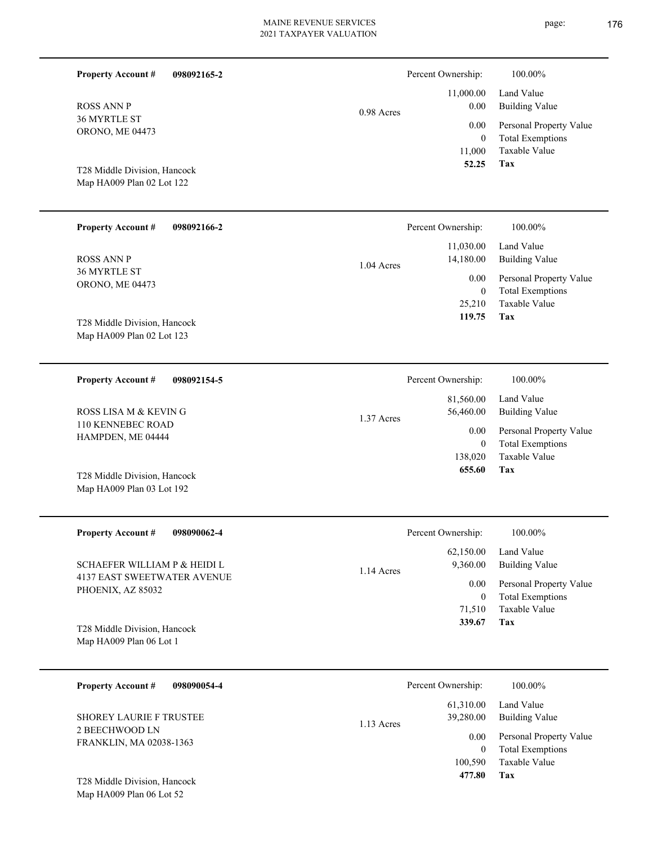| <b>Property Account #</b><br>098092165-2                  |            | Percent Ownership:                          | 100.00%                                                                    |
|-----------------------------------------------------------|------------|---------------------------------------------|----------------------------------------------------------------------------|
| <b>ROSS ANN P</b>                                         | 0.98 Acres | 11,000.00<br>0.00                           | Land Value<br><b>Building Value</b>                                        |
| 36 MYRTLE ST<br>ORONO, ME 04473                           |            | 0.00<br>$\theta$<br>11,000                  | Personal Property Value<br><b>Total Exemptions</b><br>Taxable Value        |
| T28 Middle Division, Hancock<br>Map HA009 Plan 02 Lot 122 |            | 52.25                                       | <b>Tax</b>                                                                 |
| <b>Property Account #</b><br>098092166-2                  |            | Percent Ownership:                          | 100.00%                                                                    |
| <b>ROSS ANN P</b>                                         | 1.04 Acres | 11,030.00<br>14,180.00                      | Land Value<br><b>Building Value</b>                                        |
| 36 MYRTLE ST<br>ORONO, ME 04473                           |            | 0.00<br>$\mathbf{0}$<br>25,210<br>119.75    | Personal Property Value<br><b>Total Exemptions</b><br>Taxable Value<br>Tax |
| T28 Middle Division, Hancock<br>Map HA009 Plan 02 Lot 123 |            |                                             |                                                                            |
| <b>Property Account #</b><br>098092154-5                  |            | Percent Ownership:                          | 100.00%                                                                    |
| ROSS LISA M & KEVING                                      | 1.37 Acres | 81,560.00<br>56,460.00                      | Land Value<br><b>Building Value</b>                                        |
| 110 KENNEBEC ROAD<br>HAMPDEN, ME 04444                    |            | 0.00<br>$\mathbf{0}$                        | Personal Property Value<br><b>Total Exemptions</b>                         |
| T28 Middle Division, Hancock<br>Map HA009 Plan 03 Lot 192 |            | 138,020<br>655.60                           | Taxable Value<br>Tax                                                       |
| <b>Property Account #</b><br>098090062-4                  |            | Percent Ownership:                          | 100.00%                                                                    |
| <b>SCHAEFER WILLIAM P &amp; HEIDI L</b>                   | 1.14 Acres | 62,150.00<br>9,360.00                       | Land Value<br><b>Building Value</b>                                        |
| <b>4137 EAST SWEETWATER AVENUE</b><br>PHOENIX, AZ 85032   |            | 0.00<br>$\overline{0}$                      | Personal Property Value<br><b>Total Exemptions</b>                         |
| T28 Middle Division, Hancock                              |            | 71,510<br>339.67                            | Taxable Value<br>Tax                                                       |
| Map HA009 Plan 06 Lot 1                                   |            |                                             |                                                                            |
| <b>Property Account #</b><br>098090054-4                  |            | Percent Ownership:                          | 100.00%                                                                    |
| <b>SHOREY LAURIE F TRUSTEE</b>                            | 1.13 Acres | 61,310.00<br>39,280.00                      | Land Value<br><b>Building Value</b>                                        |
| 2 BEECHWOOD LN<br>FRANKLIN, MA 02038-1363                 |            | 0.00<br>$\overline{0}$<br>100,590<br>477.80 | Personal Property Value<br><b>Total Exemptions</b><br>Taxable Value<br>Tax |
| T28 Middle Division, Hancock<br>Map HA009 Plan 06 Lot 52  |            |                                             |                                                                            |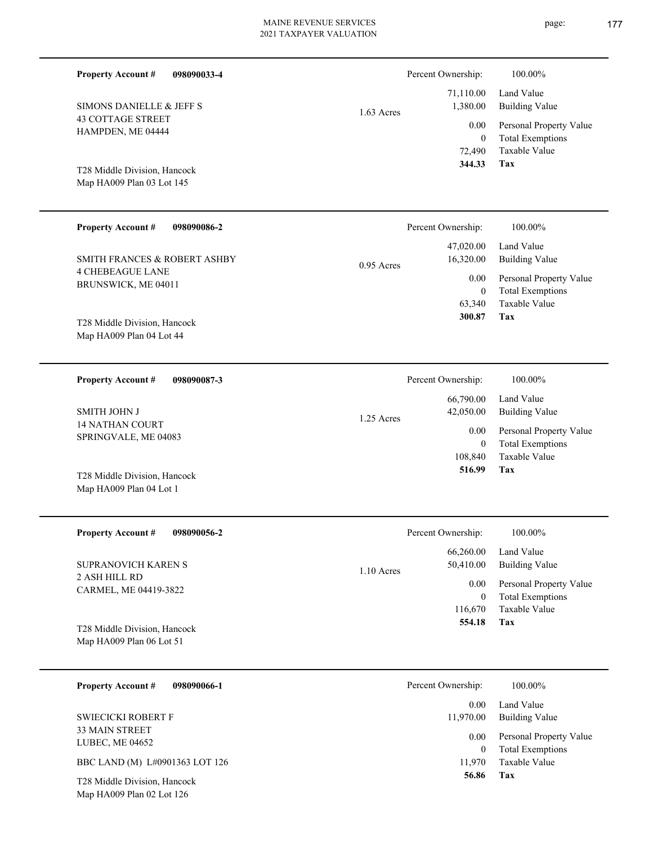| <b>Property Account #</b><br>098090033-4                  | Percent Ownership: |                          | 100.00%                                         |
|-----------------------------------------------------------|--------------------|--------------------------|-------------------------------------------------|
| SIMONS DANIELLE & JEFF S                                  |                    | 71,110.00<br>1,380.00    | Land Value<br><b>Building Value</b>             |
| <b>43 COTTAGE STREET</b>                                  | $1.63$ Acres       |                          |                                                 |
| HAMPDEN, ME 04444                                         |                    | 0.00                     | Personal Property Value                         |
|                                                           |                    | $\overline{0}$<br>72,490 | <b>Total Exemptions</b><br><b>Taxable Value</b> |
|                                                           |                    | 344.33                   | Tax                                             |
| T28 Middle Division, Hancock<br>Map HA009 Plan 03 Lot 145 |                    |                          |                                                 |
|                                                           |                    |                          |                                                 |
| <b>Property Account #</b><br>098090086-2                  | Percent Ownership: |                          | 100.00%                                         |
|                                                           |                    |                          |                                                 |
| SMITH FRANCES & ROBERT ASHBY                              | $0.95$ Acres       | 47,020.00<br>16,320.00   | Land Value<br><b>Building Value</b>             |
| <b>4 CHEBEAGUE LANE</b>                                   |                    | 0.00                     | Personal Property Value                         |
| BRUNSWICK, ME 04011                                       |                    | $\overline{0}$           | <b>Total Exemptions</b>                         |
|                                                           |                    | 63,340                   | <b>Taxable Value</b>                            |
| T28 Middle Division, Hancock                              |                    | 300.87                   | Tax                                             |
| Map HA009 Plan 04 Lot 44                                  |                    |                          |                                                 |
|                                                           |                    |                          |                                                 |
| <b>Property Account #</b><br>098090087-3                  | Percent Ownership: |                          | 100.00%                                         |
|                                                           |                    | 66,790.00                | Land Value                                      |
| <b>SMITH JOHN J</b>                                       | 1.25 Acres         | 42,050.00                | <b>Building Value</b>                           |
| <b>14 NATHAN COURT</b>                                    |                    | 0.00                     | Personal Property Value                         |
| SPRINGVALE, ME 04083                                      |                    | $\overline{0}$           | <b>Total Exemptions</b>                         |
|                                                           |                    | 108,840                  | Taxable Value                                   |
| T28 Middle Division, Hancock                              |                    | 516.99                   | Tax                                             |
| Map HA009 Plan 04 Lot 1                                   |                    |                          |                                                 |
|                                                           |                    |                          |                                                 |
| <b>Property Account #</b><br>098090056-2                  | Percent Ownership: |                          | 100.00%                                         |
|                                                           |                    | 66,260.00                | Land Value                                      |
| SUPRANOVICH KAREN S                                       | $1.10$ Acres       | 50,410.00                | <b>Building Value</b>                           |
| 2 ASH HILL RD                                             |                    | 0.00                     | Personal Property Value                         |
| CARMEL, ME 04419-3822                                     |                    | $\overline{0}$           | <b>Total Exemptions</b>                         |
|                                                           |                    | 116,670                  | Taxable Value                                   |
| T28 Middle Division, Hancock                              |                    | 554.18                   | Tax                                             |
| Map HA009 Plan 06 Lot 51                                  |                    |                          |                                                 |
|                                                           |                    |                          |                                                 |
| 098090066-1<br><b>Property Account #</b>                  | Percent Ownership: |                          | 100.00%                                         |
|                                                           |                    | 0.00                     | Land Value                                      |
| <b>SWIECICKI ROBERT F</b>                                 |                    | 11,970.00                | <b>Building Value</b>                           |
| 33 MAIN STREET<br>LUBEC, ME 04652                         |                    | 0.00                     | Personal Property Value                         |

**Tax 56.86**

11,970 Taxable Value 0 Total Exemptions

BBC LAND (M) L#0901363 LOT 126

Map HA009 Plan 02 Lot 126 T28 Middle Division, Hancock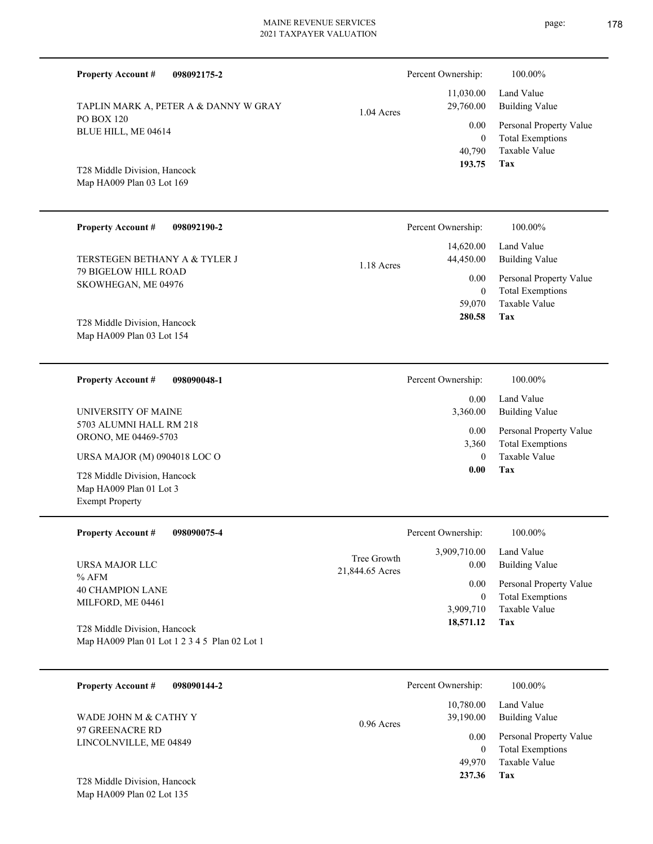**098092175-2 Tax** Taxable Value Total Exemptions Personal Property Value Building Value Land Value PO BOX 120 BLUE HILL, ME 04614 **Property Account #** Map HA009 Plan 03 Lot 169 T28 Middle Division, Hancock TAPLIN MARK A, PETER A & DANNY W GRAY 40,790 0  **193.75** 11,030.00 29,760.00 0.00 1.04 Acres Percent Ownership:  $100.00\%$ **098092190-2 Tax** Taxable Value Total Exemptions Personal Property Value Building Value Land Value 79 BIGELOW HILL ROAD SKOWHEGAN, ME 04976 **Property Account #** Map HA009 Plan 03 Lot 154 T28 Middle Division, Hancock TERSTEGEN BETHANY A & TYLER J 59,070 0  **280.58** 14,620.00 44,450.00 0.00 1.18 Acres Percent Ownership:  $100.00\%$ **098090048-1 Tax** Taxable Value Total Exemptions Personal Property Value Building Value Land Value 5703 ALUMNI HALL RM 218 ORONO, ME 04469-5703 **Property Account #** Map HA009 Plan 01 Lot 3 Exempt Property T28 Middle Division, Hancock URSA MAJOR (M) 0904018 LOC O UNIVERSITY OF MAINE 0 3,360  **0.00** 0.00 3,360.00 0.00 Percent Ownership:  $100.00\%$ **098090075-4 Tax** Taxable Value Total Exemptions Personal Property Value Building Value Land Value % AFM 40 CHAMPION LANE MILFORD, ME 04461 **Property Account #** Map HA009 Plan 01 Lot 1 2 3 4 5 Plan 02 Lot 1 T28 Middle Division, Hancock URSA MAJOR LLC 3,909,710 0  **18,571.12** 3,909,710.00 0.00 0.00 21,844.65 Acres Tree Growth Percent Ownership:  $100.00\%$ **098090144-2** Total Exemptions Personal Property Value Building Value Land Value 97 GREENACRE RD LINCOLNVILLE, ME 04849 **Property Account #** WADE JOHN M & CATHY Y 0 10,780.00 39,190.00 0.00 0.96 Acres Percent Ownership:  $100.00\%$ 

**Tax**

49,970

 **237.36**

Taxable Value

Map HA009 Plan 02 Lot 135 T28 Middle Division, Hancock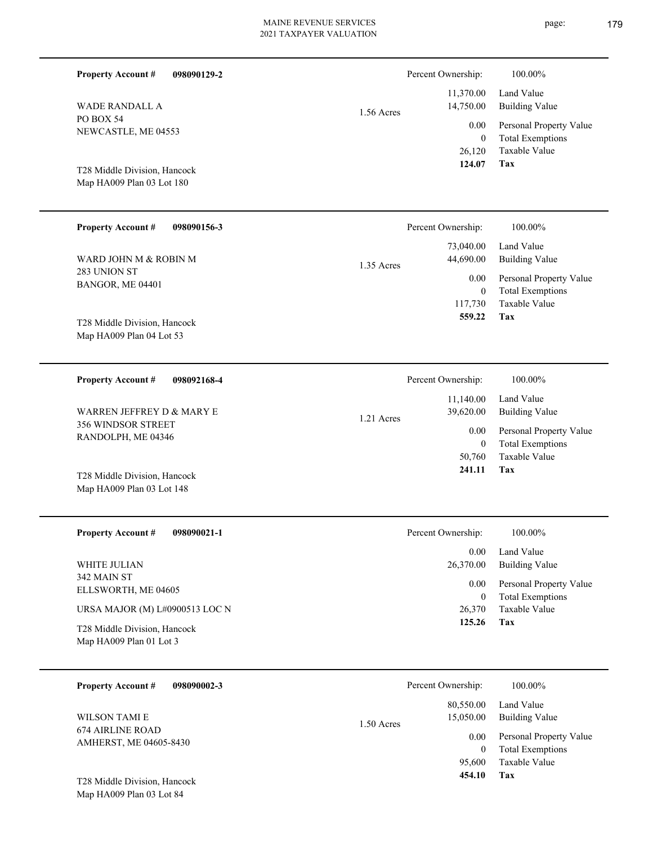|                                                           |             | 2021 TAXPAYER VALUATION |                                          | page.                                                                             |
|-----------------------------------------------------------|-------------|-------------------------|------------------------------------------|-----------------------------------------------------------------------------------|
| <b>Property Account #</b>                                 | 098090129-2 |                         | Percent Ownership:                       | 100.00%                                                                           |
| <b>WADE RANDALL A</b>                                     |             | 1.56 Acres              | 11,370.00<br>14,750.00                   | Land Value<br><b>Building Value</b>                                               |
| PO BOX 54<br>NEWCASTLE, ME 04553                          |             |                         | 0.00<br>$\mathbf{0}$<br>26,120<br>124.07 | Personal Property Value<br><b>Total Exemptions</b><br>Taxable Value<br><b>Tax</b> |
| T28 Middle Division, Hancock<br>Map HA009 Plan 03 Lot 180 |             |                         |                                          |                                                                                   |
| <b>Property Account #</b>                                 | 098090156-3 |                         | Percent Ownership:                       | 100.00%                                                                           |
| WARD JOHN M & ROBIN M                                     |             | 1.35 Acres              | 73,040.00<br>44,690.00                   | Land Value<br><b>Building Value</b>                                               |
| 283 UNION ST<br>BANGOR, ME 04401                          |             |                         | 0.00<br>$\mathbf{0}$<br>117,730          | Personal Property Value<br><b>Total Exemptions</b><br>Taxable Value               |
| T28 Middle Division, Hancock<br>Map HA009 Plan 04 Lot 53  |             |                         | 559.22                                   | <b>Tax</b>                                                                        |
| <b>Property Account #</b>                                 | 098092168-4 |                         | Percent Ownership:                       | 100.00%                                                                           |
| WARREN JEFFREY D & MARY E                                 |             | 1.21 Acres              | 11,140.00<br>39,620.00                   | Land Value<br><b>Building Value</b>                                               |
| 356 WINDSOR STREET<br>RANDOLPH, ME 04346                  |             |                         | 0.00<br>$\mathbf{0}$<br>50,760<br>241.11 | Personal Property Value<br><b>Total Exemptions</b><br>Taxable Value<br><b>Tax</b> |
| T28 Middle Division, Hancock                              |             |                         |                                          |                                                                                   |

| <b>Property Account #</b><br>098090021-1                | Percent Ownership: | 100.00%                                            |
|---------------------------------------------------------|--------------------|----------------------------------------------------|
|                                                         | 0.00 <sub>1</sub>  | Land Value                                         |
| WHITE JULIAN                                            | 26,370.00          | Building Value                                     |
| 342 MAIN ST<br>ELLSWORTH, ME 04605                      | 0.00<br>$\left($   | Personal Property Value<br><b>Total Exemptions</b> |
| URSA MAJOR (M) L#0900513 LOC N                          | 26,370             | Taxable Value                                      |
| T28 Middle Division, Hancock<br>Map HA009 Plan 01 Lot 3 | 125.26             | Tax                                                |

| 098090002-3<br><b>Property Account #</b>          | Percent Ownership:                     | 100.00%                                            |
|---------------------------------------------------|----------------------------------------|----------------------------------------------------|
| WILSON TAMI E                                     | 80,550.00<br>15,050.00<br>$1.50$ Acres | Land Value<br><b>Building Value</b>                |
| <b>674 AIRLINE ROAD</b><br>AMHERST, ME 04605-8430 | 0.00<br>0                              | Personal Property Value<br><b>Total Exemptions</b> |
|                                                   | 95,600                                 | Taxable Value                                      |
| T28 Middle Division, Hancock                      | 454.10                                 | Tax                                                |

Map HA009 Plan 03 Lot 84

Map HA009 Plan 03 Lot 148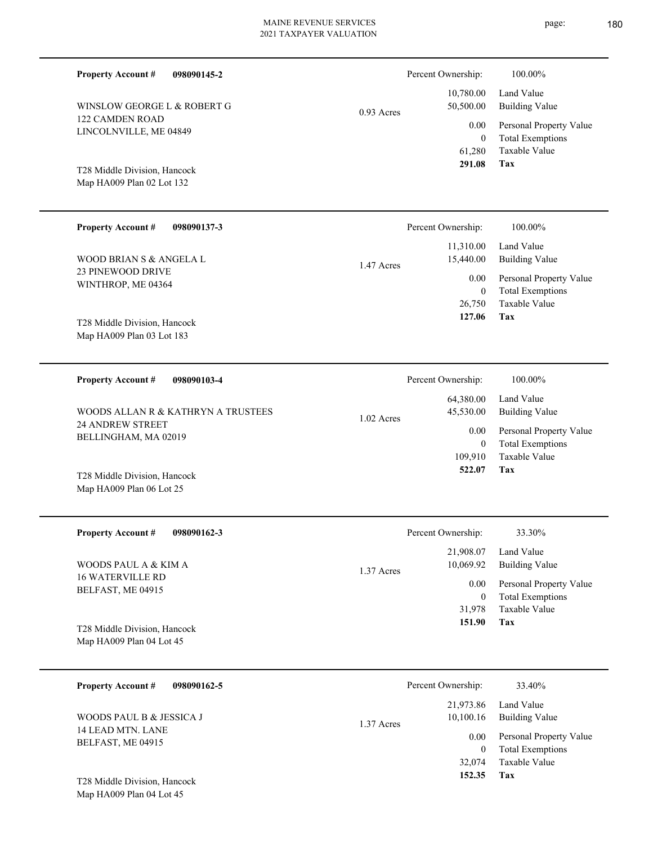| <b>Property Account #</b><br>098090145-2                  |              | Percent Ownership:                 | 100.00%                                                             |
|-----------------------------------------------------------|--------------|------------------------------------|---------------------------------------------------------------------|
| WINSLOW GEORGE L & ROBERT G                               | $0.93$ Acres | 10,780.00<br>50,500.00             | Land Value<br><b>Building Value</b>                                 |
| 122 CAMDEN ROAD<br>LINCOLNVILLE, ME 04849                 |              | 0.00<br>$\mathbf{0}$<br>61,280     | Personal Property Value<br><b>Total Exemptions</b><br>Taxable Value |
| T28 Middle Division, Hancock<br>Map HA009 Plan 02 Lot 132 |              | 291.08                             | <b>Tax</b>                                                          |
| <b>Property Account #</b><br>098090137-3                  |              | Percent Ownership:                 | 100.00%                                                             |
| WOOD BRIAN S & ANGELA L                                   | 1.47 Acres   | 11,310.00<br>15,440.00             | Land Value<br><b>Building Value</b>                                 |
| 23 PINEWOOD DRIVE<br>WINTHROP, ME 04364                   |              | 0.00<br>$\boldsymbol{0}$<br>26,750 | Personal Property Value<br><b>Total Exemptions</b><br>Taxable Value |
| T28 Middle Division, Hancock<br>Map HA009 Plan 03 Lot 183 |              | 127.06                             | Tax                                                                 |
| <b>Property Account #</b><br>098090103-4                  |              | Percent Ownership:                 | 100.00%                                                             |
| WOODS ALLAN R & KATHRYN A TRUSTEES                        | $1.02$ Acres | 64,380.00<br>45,530.00             | Land Value<br><b>Building Value</b>                                 |
| <b>24 ANDREW STREET</b><br>BELLINGHAM, MA 02019           |              | 0.00<br>$\mathbf{0}$<br>109,910    | Personal Property Value<br><b>Total Exemptions</b><br>Taxable Value |
| T28 Middle Division, Hancock<br>Map HA009 Plan 06 Lot 25  |              | 522.07                             | Tax                                                                 |
| <b>Property Account #</b><br>098090162-3                  |              | Percent Ownership:                 | 33.30%                                                              |
| WOODS PAUL A & KIM A                                      | 1.37 Acres   | 21,908.07<br>10,069.92             | Land Value<br><b>Building Value</b>                                 |
| 16 WATERVILLE RD                                          |              | 0.00                               | Personal Property Value                                             |

BELFAST, ME 04915

Map HA009 Plan 04 Lot 45 T28 Middle Division, Hancock

14 LEAD MTN. LANE BELFAST, ME 04915

**Property Account #**

**098090162-5**

**Tax** Taxable Value Total Exemptions 31,978 0  **151.90** 0.00

Taxable Value Total Exemptions Personal Property Value Building Value Land Value 32,074 0 21,973.86 10,100.16 0.00 1.37 Acres Percent Ownership: 33.40%

Map HA009 Plan 04 Lot 45 T28 Middle Division, Hancock

WOODS PAUL B & JESSICA J

**Tax**

 **152.35**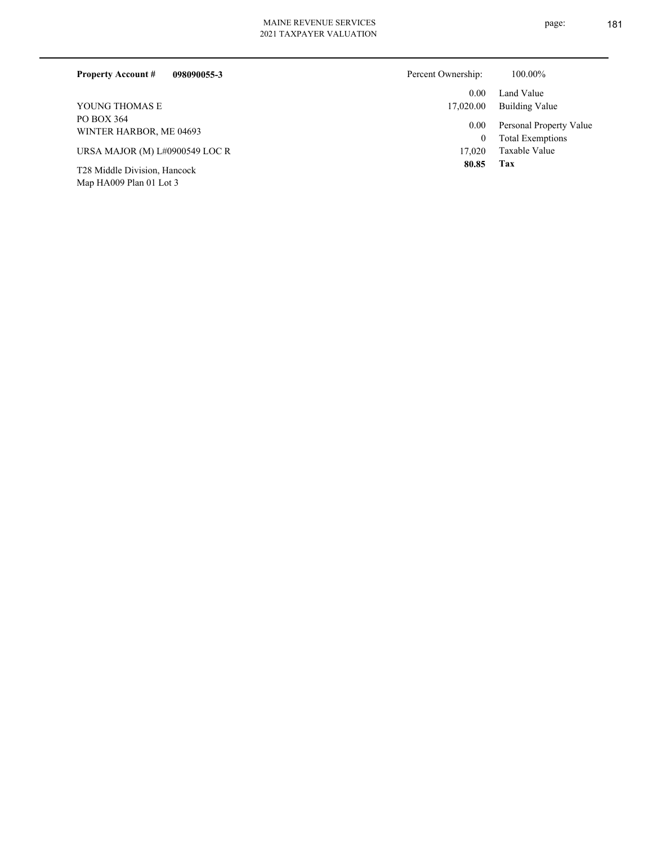| <b>Property Account #</b><br>098090055-3 | Percent Ownership: | 100.00%                                            |
|------------------------------------------|--------------------|----------------------------------------------------|
|                                          | 0.00               | Land Value                                         |
| YOUNG THOMAS E                           | 17,020.00          | Building Value                                     |
| PO BOX 364<br>WINTER HARBOR, ME 04693    | 0.00<br>$\bf{0}$   | Personal Property Value<br><b>Total Exemptions</b> |
| URSA MAJOR (M) L#0900549 LOC R           | 17.020             | Taxable Value                                      |
| T28 Middle Division, Hancock             | 80.85              | Tax                                                |

Map HA009 Plan 01 Lot 3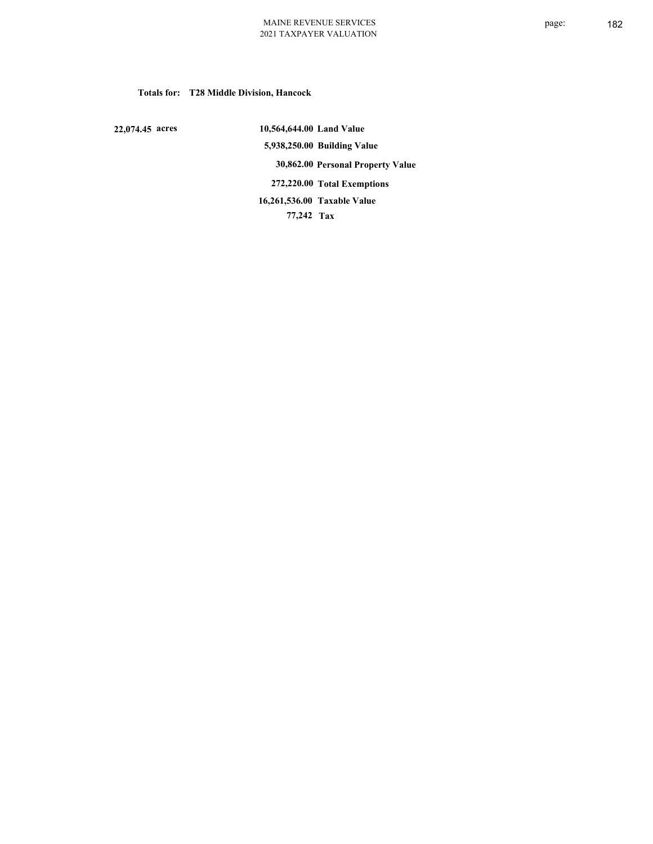**Totals for: T28 Middle Division, Hancock**

 **22,074.45 acres**

 **10,564,644.00 Land Value 5,938,250.00 Building Value 30,862.00 Personal Property Value 272,220.00 Total Exemptions 77,242 Tax Taxable Value 16,261,536.00**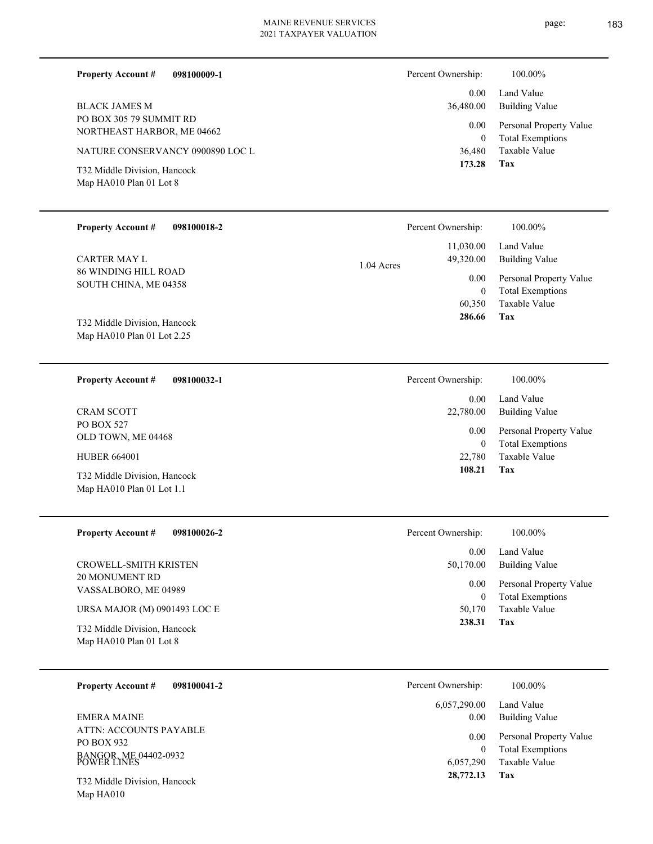| <b>Property Account#</b><br>098100009-1                 | Percent Ownership:                   | 100.00%                                          |
|---------------------------------------------------------|--------------------------------------|--------------------------------------------------|
| <b>BLACK JAMES M</b><br>PO BOX 305 79 SUMMIT RD         | 0.00<br>36,480.00                    | Land Value<br><b>Building Value</b>              |
| NORTHEAST HARBOR, ME 04662                              | 0.00<br>$\mathbf{0}$                 | Personal Property Value                          |
| NATURE CONSERVANCY 0900890 LOC L                        | 36,480                               | <b>Total Exemptions</b><br>Taxable Value         |
| T32 Middle Division, Hancock<br>Map HA010 Plan 01 Lot 8 | 173.28                               | Tax                                              |
| <b>Property Account #</b><br>098100018-2                | Percent Ownership:                   | 100.00%                                          |
| <b>CARTER MAY L</b>                                     | 11,030.00<br>49,320.00<br>1.04 Acres | Land Value<br><b>Building Value</b>              |
| <b>86 WINDING HILL ROAD</b><br>SOUTH CHINA, ME 04358    | 0.00                                 | Personal Property Value                          |
|                                                         | $\mathbf{0}$<br>60,350               | <b>Total Exemptions</b><br>Taxable Value         |
| T32 Middle Division, Hancock                            | 286.66                               | Tax                                              |
| Map HA010 Plan 01 Lot 2.25                              |                                      |                                                  |
|                                                         |                                      |                                                  |
| <b>Property Account #</b><br>098100032-1                | Percent Ownership:                   | 100.00%                                          |
|                                                         | 0.00                                 | Land Value                                       |
| <b>CRAM SCOTT</b><br>PO BOX 527                         | 22,780.00<br>0.00                    | <b>Building Value</b><br>Personal Property Value |
| OLD TOWN, ME 04468                                      | $\mathbf{0}$                         | <b>Total Exemptions</b>                          |
| <b>HUBER 664001</b><br>T32 Middle Division, Hancock     | 22,780<br>108.21                     | Taxable Value<br>Tax                             |
| Map HA010 Plan 01 Lot 1.1                               |                                      |                                                  |
| <b>Property Account #</b><br>098100026-2                | Percent Ownership:                   | 100.00%                                          |
|                                                         | $0.00\,$                             | Land Value                                       |
| CROWELL-SMITH KRISTEN                                   | 50,170.00                            | <b>Building Value</b>                            |
| 20 MONUMENT RD<br>VASSALBORO, ME 04989                  | 0.00<br>$\boldsymbol{0}$             | Personal Property Value                          |
| URSA MAJOR (M) 0901493 LOC E                            | 50,170                               | <b>Total Exemptions</b><br>Taxable Value         |
| T32 Middle Division, Hancock<br>Map HA010 Plan 01 Lot 8 | 238.31                               | <b>Tax</b>                                       |

| 098100041-2<br><b>Property Account #</b>                                     | Percent Ownership: | 100.00%                                                             |
|------------------------------------------------------------------------------|--------------------|---------------------------------------------------------------------|
|                                                                              | 6,057,290.00       | Land Value                                                          |
| <b>EMERA MAINE</b>                                                           | 0.00               | Building Value                                                      |
| ATTN: ACCOUNTS PAYABLE<br>PO BOX 932<br>BANGOR, ME 04402-0932<br>POWER LINES | 0.00<br>6.057.290  | Personal Property Value<br><b>Total Exemptions</b><br>Taxable Value |
| T32 Middle Division, Hancock                                                 | 28,772.13          | Tax                                                                 |
| Map HA010                                                                    |                    |                                                                     |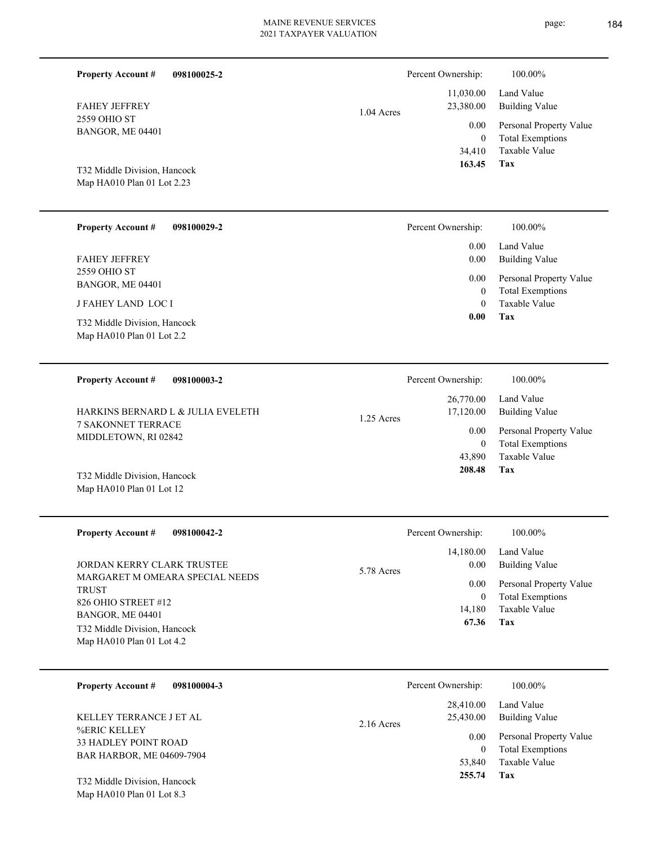| <b>Property Account #</b><br>098100025-2                   |              | Percent Ownership:                       | 100.00%                                                             |
|------------------------------------------------------------|--------------|------------------------------------------|---------------------------------------------------------------------|
| <b>FAHEY JEFFREY</b>                                       | 1.04 Acres   | 11,030.00<br>23,380.00                   | Land Value<br><b>Building Value</b>                                 |
| 2559 OHIO ST<br>BANGOR, ME 04401                           |              | 0.00<br>$\theta$                         | Personal Property Value<br><b>Total Exemptions</b>                  |
| T32 Middle Division, Hancock<br>Map HA010 Plan 01 Lot 2.23 |              | 34,410<br>163.45                         | Taxable Value<br>Tax                                                |
| <b>Property Account #</b><br>098100029-2                   |              | Percent Ownership:                       | 100.00%                                                             |
| <b>FAHEY JEFFREY</b><br>2559 OHIO ST<br>BANGOR, ME 04401   |              | 0.00<br>0.00<br>0.00                     | Land Value<br><b>Building Value</b><br>Personal Property Value      |
| <b>JFAHEY LAND LOCI</b>                                    |              | $\mathbf{0}$<br>$\theta$                 | <b>Total Exemptions</b><br>Taxable Value                            |
| T32 Middle Division, Hancock<br>Map HA010 Plan 01 Lot 2.2  |              | 0.00                                     | Tax                                                                 |
| <b>Property Account #</b><br>098100003-2                   |              | Percent Ownership:                       | 100.00%                                                             |
| HARKINS BERNARD L & JULIA EVELETH                          | $1.25$ Acres | 26,770.00<br>17,120.00                   | Land Value<br><b>Building Value</b>                                 |
| <b>7 SAKONNET TERRACE</b><br>MIDDLETOWN, RI 02842          |              | 0.00<br>$\mathbf{0}$<br>43,890<br>208.48 | Personal Property Value<br><b>Total Exemptions</b><br>Taxable Value |
| T32 Middle Division, Hancock<br>Map HA010 Plan 01 Lot 12   |              |                                          | Tax                                                                 |
| <b>Property Account #</b><br>098100042-2                   |              | Percent Ownership:                       | 100.00%                                                             |
| JORDAN KERRY CLARK TRUSTEE                                 |              | 14,180.00<br>0.00                        | Land Value<br><b>Building Value</b>                                 |
| MARGARET M OMEARA SPECIAL NEEDS<br><b>TRUST</b>            | 5.78 Acres   | 0.00<br>$\boldsymbol{0}$                 | Personal Property Value<br><b>Total Exemptions</b>                  |
| 826 OHIO STREET #12<br>BANGOR, ME 04401                    |              | 14,180<br>67.36                          | Taxable Value<br>Tax                                                |
| T32 Middle Division, Hancock<br>Map HA010 Plan 01 Lot 4.2  |              |                                          |                                                                     |
| <b>Property Account #</b><br>098100004-3                   |              | Percent Ownership:                       | 100.00%                                                             |
| KELLEY TERRANCE J ET AL                                    | 2.16 Acres   | 28,410.00<br>25,430.00                   | Land Value<br><b>Building Value</b>                                 |
| %ERIC KELLEY<br>33 HADLEY POINT ROAD                       |              | 0.00<br>$\boldsymbol{0}$                 | Personal Property Value<br><b>Total Exemptions</b>                  |
| BAR HARBOR, ME 04609-7904<br>T32 Middle Division, Hancock  |              | 53,840<br>255.74                         | Taxable Value<br>Tax                                                |
| Map HA010 Plan 01 Lot 8.3                                  |              |                                          |                                                                     |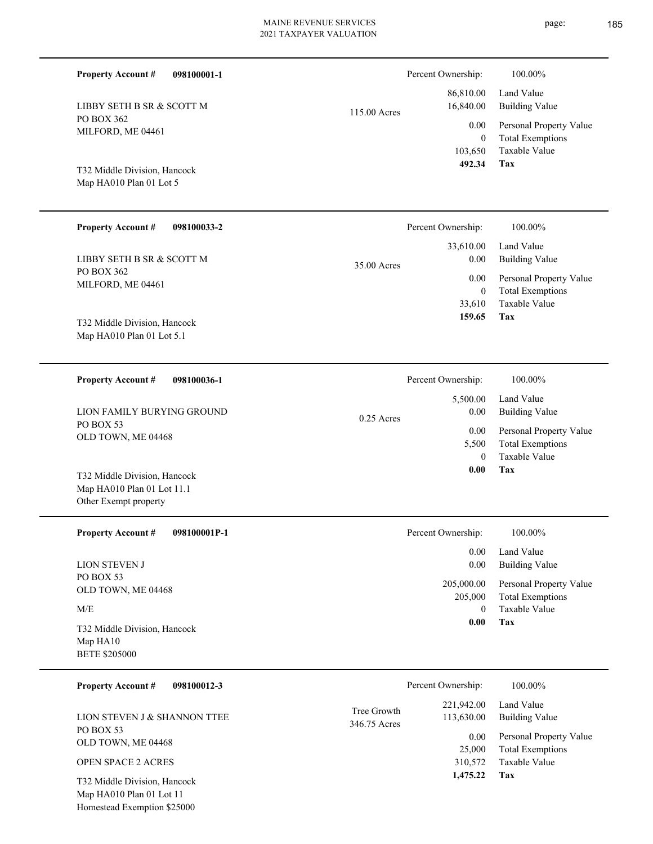| 098100001-1<br><b>Property Account #</b> | Percent Ownership:        |                                    | 100.00% |  |
|------------------------------------------|---------------------------|------------------------------------|---------|--|
| LIBBY SETH B SR & SCOTT M                | 86,810.00                 | Land Value                         |         |  |
| PO BOX 362                               | 16,840.00<br>115.00 Acres | <b>Building Val</b>                |         |  |
| MILFORD, ME 04461                        |                           | 0.00<br>Personal Pro               |         |  |
|                                          |                           | Total Exemp<br>$\theta$            |         |  |
|                                          |                           | 103,650<br>Taxable Valu            |         |  |
| T32 Middle Division, Hancock             |                           | 492.34<br><b>Tax</b>               |         |  |
| Map HA010 Plan 01 Lot 5                  |                           |                                    |         |  |
| <b>Property Account #</b><br>098100033-2 | Percent Ownership:        | 100.00%                            |         |  |
|                                          | 33,610.00                 | Land Value                         |         |  |
| LIBBY SETH B SR & SCOTT M                | 35.00 Acres               | Building Val<br>0.00               |         |  |
| PO BOX 362                               |                           | Personal Pro<br>0.00               |         |  |
| MILFORD, ME 04461                        |                           | <b>Total Exemp</b><br>$\mathbf{0}$ |         |  |
|                                          |                           | Taxable Val<br>33,610              |         |  |
| T32 Middle Division, Hancock             |                           | Tax<br>159.65                      |         |  |
| Map HA010 Plan 01 Lot 5.1                |                           |                                    |         |  |
| <b>Property Account #</b><br>098100036-1 | Percent Ownership:        | 100.00%                            |         |  |
|                                          |                           | 5,500.00<br>Land Value             |         |  |
| LION FAMILY BURYING GROUND               |                           | 0.00<br>Building Val               |         |  |

0.25 Acres

PO BOX 53 OLD TOWN, ME 04468 LION FAMILY BURYING GROUND

Map HA010 Plan 01 Lot 11.1 Other Exempt property T32 Middle Division, Hancock

| <b>Property Account #</b><br>098100001P-1 | Percent Ownership:    | 100.00%                                            |
|-------------------------------------------|-----------------------|----------------------------------------------------|
|                                           | 0.00                  | Land Value                                         |
| <b>LION STEVEN J</b>                      | 0.00                  | Building Value                                     |
| PO BOX 53<br>OLD TOWN, ME 04468           | 205,000.00<br>205,000 | Personal Property Value<br><b>Total Exemptions</b> |
| M/E                                       | $\theta$              | Taxable Value                                      |
| T32 Middle Division, Hancock              | 0.00                  | Tax                                                |
| Map HAI0                                  |                       |                                                    |
| <b>BETE \$205000</b>                      |                       |                                                    |
| 098100012-3<br><b>Property Account #</b>  | Percent Ownership:    | 100.00%                                            |

|                                                            |              | 221,942.00 | Land Value              |
|------------------------------------------------------------|--------------|------------|-------------------------|
| LION STEVEN J & SHANNON TTEE                               | Tree Growth  | 113,630.00 | Building Value          |
| PO BOX 53                                                  | 346.75 Acres | 0.00       | Personal Property Value |
| OLD TOWN, ME 04468                                         |              | 25,000     | <b>Total Exemptions</b> |
| <b>OPEN SPACE 2 ACRES</b>                                  |              | 310,572    | Taxable Value           |
| T32 Middle Division, Hancock                               |              | 1,475.22   | Tax                     |
| $M_{\odot}$ IIA 010 Dl <sub>ov</sub> 01 L <sub>ot</sub> 11 |              |            |                         |

Map HA010 Plan 01 Lot 11 Homestead Exemption \$25000 **Tax**

 0 5,500

 **0.00**

0.00

Taxable Value Total Exemptions Personal Property Value

Building Value Land Value

Taxable Value Total Exemptions Personal Property Value

Building Value Land Value

Taxable Value Total Exemptions Personal Property Value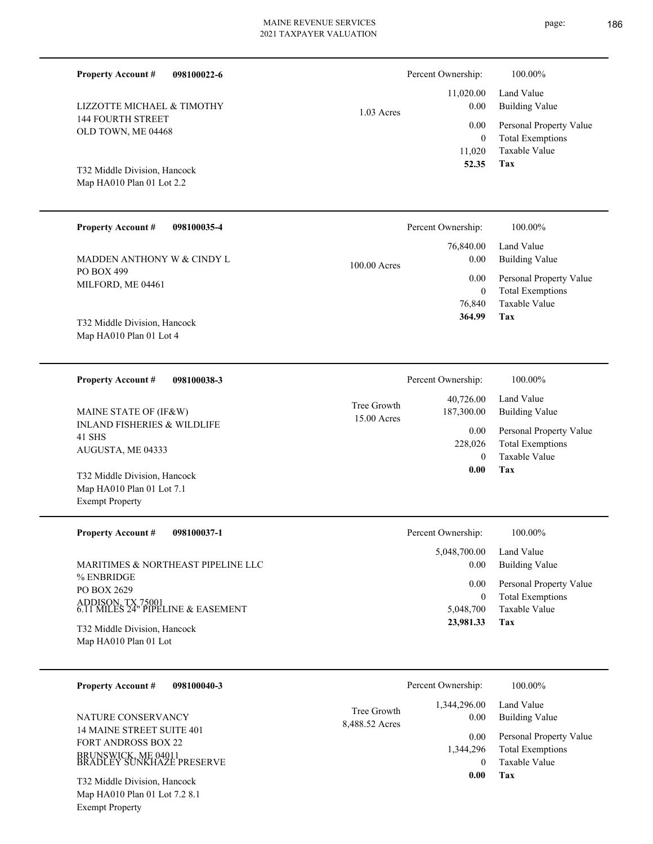1.03 Acres

15.00 Acres Tree Growth

| T32 Middle Division, Hancock<br>Map HA010 Plan 01 Lot 2.2 |                    | 11,020<br>52.35 | - ---- <del>--</del> -------<br>Taxable Valı<br>Tax |
|-----------------------------------------------------------|--------------------|-----------------|-----------------------------------------------------|
| <b>Property Account #</b><br>098100035-4                  | Percent Ownership: |                 | 100.00%                                             |
|                                                           |                    | 76,840.00       | Land Value                                          |
| MADDEN ANTHONY W & CINDY L                                | 100.00 Acres       | 0.00            | Building Val                                        |
| PO BOX 499                                                |                    | 0.00            | Personal Pro                                        |
| MILFORD, ME 04461                                         |                    | $\mathbf{0}$    | Total Exemp                                         |
|                                                           |                    | 76,840          | Taxable Val                                         |
| T <sub>32</sub> Middle Division Hancock                   |                    | 364.99          | Tax                                                 |

Map HA010 Plan 01 Lot 4 T32 Middle Division, Hancock

144 FOURTH STREET OLD TOWN, ME 04468

LIZZOTTE MICHAEL & TIMOTHY

**Property Account #**

**098100038-3 Property Account #**

**098100022-6**

INLAND FISHERIES & WILDLIFE 41 SHS AUGUSTA, ME 04333 MAINE STATE OF (IF&W)

Map HA010 Plan 01 Lot 7.1 Exempt Property T32 Middle Division, Hancock

Exempt Property

| <b>Property Account #</b><br>098100037-1                                                                                   | Percent Ownership:                             | 100.00%                                                                                             |
|----------------------------------------------------------------------------------------------------------------------------|------------------------------------------------|-----------------------------------------------------------------------------------------------------|
| MARITIMES & NORTHEAST PIPELINE LLC<br>% ENBRIDGE<br>PO BOX 2629<br>ADDISON, TX 75001<br>6.11 MILES 24" PIPELINE & EASEMENT | 5,048,700.00<br>0.00<br>0.00<br>0<br>5.048.700 | Land Value<br>Building Value<br>Personal Property Value<br><b>Total Exemptions</b><br>Taxable Value |
| T32 Middle Division, Hancock<br>Map HA010 Plan 01 Lot                                                                      | 23,981.33                                      | Tax                                                                                                 |

| 098100040-3<br><b>Property Account #</b>                                                                          |                               | Percent Ownership:                        | 100.00%                                                                            |
|-------------------------------------------------------------------------------------------------------------------|-------------------------------|-------------------------------------------|------------------------------------------------------------------------------------|
| NATURE CONSERVANCY<br>14 MAINE STREET SUITE 401<br><b>FORT ANDROSS BOX 22</b>                                     | Tree Growth<br>8,488.52 Acres | 1,344,296.00<br>0.00<br>0.00<br>1.344.296 | Land Value<br>Building Value<br>Personal Property Value<br><b>Total Exemptions</b> |
| BRUNSWICK, ME 04011<br>BRADLEY SUNKHAZE PRESERVE<br>T32 Middle Division, Hancock<br>Map HA010 Plan 01 Lot 7.2 8.1 |                               | 0.00                                      | Taxable Value<br>Tax                                                               |

Percent Ownership:  $100.00\%$ 

**Tax** Taxable Value Total Exemptions Personal Property Value Building Value Land Value 0 228,026  **0.00** 40,726.00 187,300.00 0.00

Taxable Value Total Exemptions Personal Property Value

Building Value Land Value

0

 11,020.00 0.00 0.00

Percent Ownership:  $100.00\%$ 

Taxable Value Total Exemptions Personal Property Value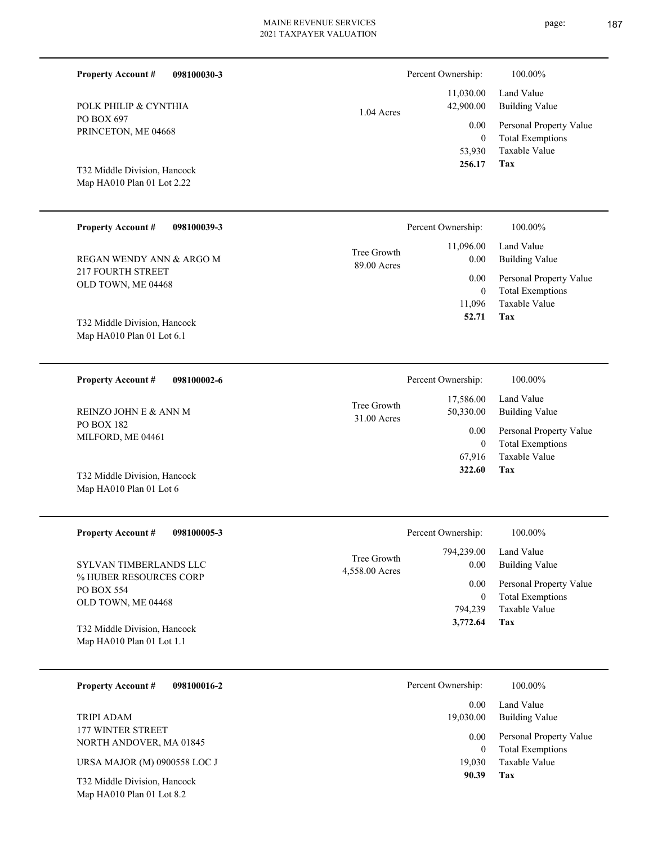| PO BOX 697<br>PRINCETON, ME 04668                            | 0.00<br>$\theta$                                |
|--------------------------------------------------------------|-------------------------------------------------|
| T32 Middle Division, Hancock<br>Map $HA010$ Plan 01 Lot 2.22 | 53,930<br>256.17                                |
| <b>Property Account #</b><br>098100039-3                     | Percent Ownership:                              |
| REGAN WENDY ANN & ARGO M<br><b>217 FOURTH STREET</b>         | 11,096.00<br>Tree Growth<br>0.00<br>89.00 Acres |
|                                                              | 0.00                                            |
| OLD TOWN, ME 04468                                           | $\theta$                                        |
|                                                              | 11,096                                          |

Map HA010 Plan 01 Lot 6.1 T32 Middle Division, Hancock

Map HA010 Plan 01 Lot 8.2

PO BOX 697

**Property Account #**

POLK PHILIP & CYNTHIA

**098100030-3**

**098100002-6 Tax** Taxable Value Total Exemptions Personal Property Value Building Value Land Value PO BOX 182 MILFORD, ME 04461 **Property Account #** Map HA010 Plan 01 Lot 6 T32 Middle Division, Hancock REINZO JOHN E & ANN M 67,916 0  **322.60** 17,586.00 50,330.00 0.00 31.00 Acres Tree Growth Percent Ownership:  $100.00\%$ 

| <b>Property Account #</b><br>098100005-3                                             | Percent Ownership:                                               | $100.00\%$                                                                         |
|--------------------------------------------------------------------------------------|------------------------------------------------------------------|------------------------------------------------------------------------------------|
| SYLVAN TIMBERLANDS LLC<br>% HUBER RESOURCES CORP<br>PO BOX 554<br>OLD TOWN, ME 04468 | 794,239.00<br>Tree Growth<br>0.00<br>4,558.00 Acres<br>0.00<br>0 | Land Value<br>Building Value<br>Personal Property Value<br><b>Total Exemptions</b> |
| T32 Middle Division, Hancock<br>Map $HA010$ Plan 01 Lot 1.1                          | 794.239<br>3,772.64                                              | Taxable Value<br>Tax                                                               |

| 098100016-2<br><b>Property Account #</b>     | Percent Ownership: | 100.00%                                            |
|----------------------------------------------|--------------------|----------------------------------------------------|
|                                              | 0.00               | Land Value                                         |
| TRIPI ADAM                                   | 19,030.00          | Building Value                                     |
| 177 WINTER STREET<br>NORTH ANDOVER, MA 01845 | 0.00<br>0          | Personal Property Value<br><b>Total Exemptions</b> |
| URSA MAJOR (M) 0900558 LOC J                 | 19.030             | Taxable Value                                      |
| T32 Middle Division, Hancock                 | 90.39              | Tax                                                |

1.04 Acres

**Tax**

**Tax**

 **52.71**

Taxable Value Total Exemptions Personal Property Value

Building Value Land Value

100.00%

 11,030.00 42,900.00

Percent Ownership:  $100.00\%$ 

Taxable Value Total Exemptions Personal Property Value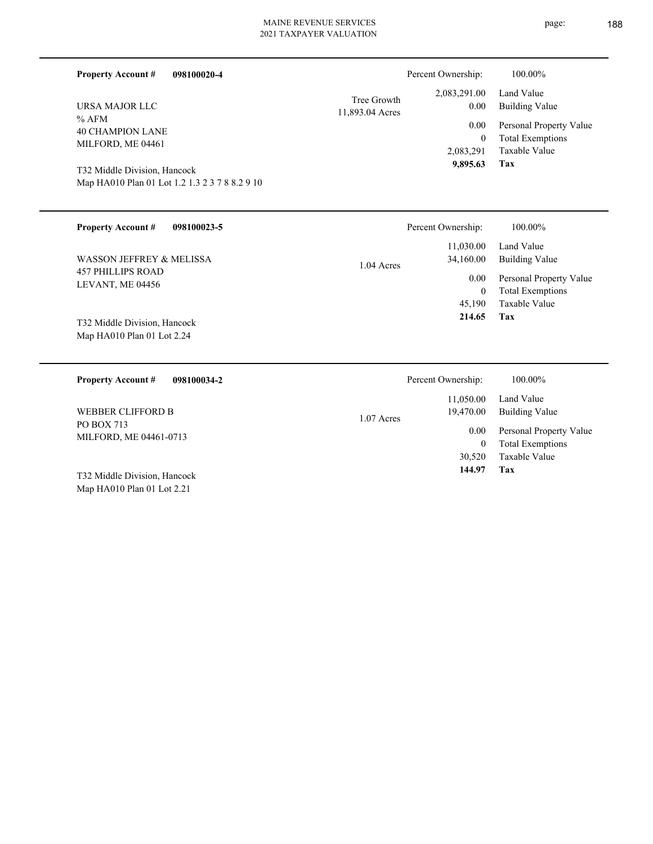**Tax 144.97**

30,520 Taxable Value

| 098100020-4<br><b>Property Account #</b>                                                                                                  |                                | Percent Ownership:                                | 100.00%                                                                           |
|-------------------------------------------------------------------------------------------------------------------------------------------|--------------------------------|---------------------------------------------------|-----------------------------------------------------------------------------------|
| URSA MAJOR LLC                                                                                                                            | Tree Growth<br>11,893.04 Acres | 2,083,291.00<br>0.00                              | Land Value<br><b>Building Value</b>                                               |
| $%$ AFM<br><b>40 CHAMPION LANE</b><br>MILFORD, ME 04461<br>T32 Middle Division, Hancock<br>Map HA010 Plan 01 Lot 1.2 1.3 2 3 7 8 8.2 9 10 |                                | 0.00<br>$\boldsymbol{0}$<br>2,083,291<br>9,895.63 | Personal Property Value<br><b>Total Exemptions</b><br><b>Taxable Value</b><br>Tax |
| <b>Property Account #</b><br>098100023-5                                                                                                  |                                | Percent Ownership:                                | 100.00%                                                                           |
| <b>WASSON JEFFREY &amp; MELISSA</b>                                                                                                       | 1.04 Acres                     | 11,030.00<br>34,160.00                            | Land Value<br><b>Building Value</b>                                               |
| <b>457 PHILLIPS ROAD</b><br>LEVANT, ME 04456                                                                                              |                                | 0.00<br>$\boldsymbol{0}$                          | Personal Property Value<br><b>Total Exemptions</b>                                |
| T32 Middle Division, Hancock<br>Map HA010 Plan 01 Lot 2.24                                                                                |                                | 45,190<br>214.65                                  | <b>Taxable Value</b><br>Tax                                                       |
| <b>Property Account #</b><br>098100034-2                                                                                                  |                                | Percent Ownership:                                | 100.00%                                                                           |
| <b>WEBBER CLIFFORD B</b>                                                                                                                  | 1.07 Acres                     | 11,050.00<br>19,470.00                            | Land Value<br><b>Building Value</b>                                               |
| <b>PO BOX 713</b><br>MILFORD, ME 04461-0713                                                                                               |                                | 0.00<br>$\overline{0}$                            | Personal Property Value<br><b>Total Exemptions</b>                                |

Map HA010 Plan 01 Lot 2.21 T32 Middle Division, Hancock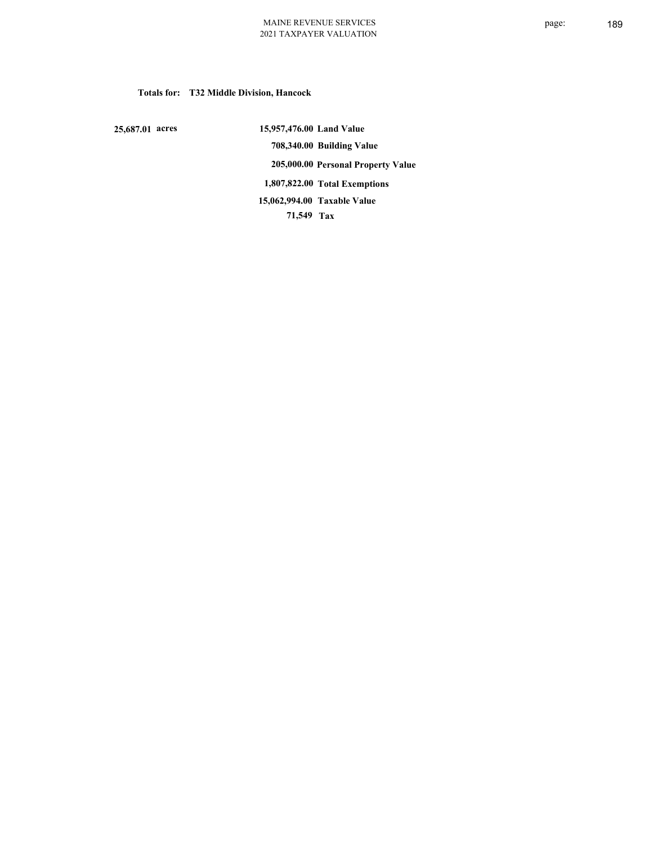# **Totals for: T32 Middle Division, Hancock**

 **25,687.01 acres**

 **15,957,476.00 Land Value 708,340.00 Building Value 205,000.00 Personal Property Value 1,807,822.00 Total Exemptions 71,549 Tax Taxable Value 15,062,994.00**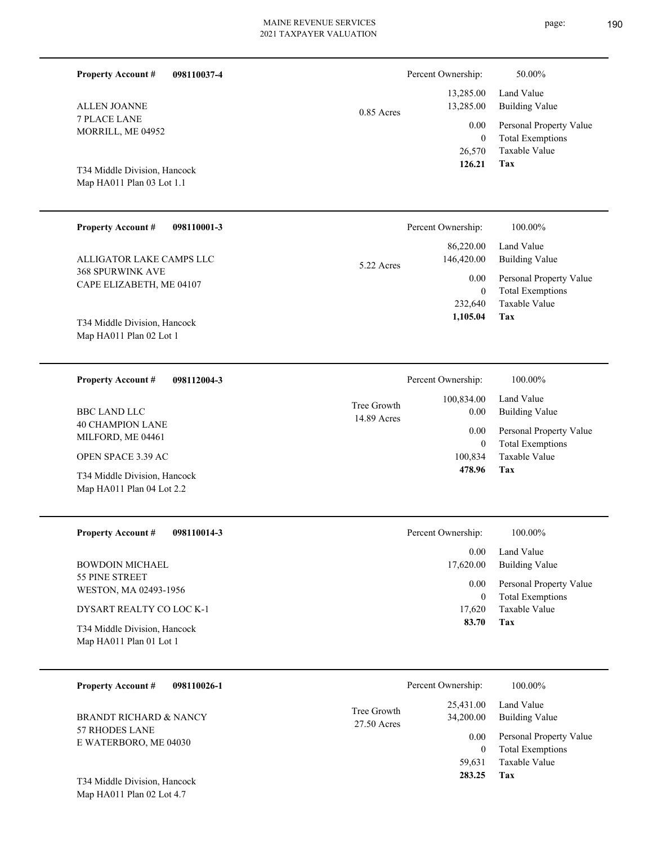|  | пяσе |
|--|------|
|  |      |

| <b>Property Account #</b><br>098110037-4<br><b>ALLEN JOANNE</b><br><b>7 PLACE LANE</b><br>MORRILL, ME 04952<br>T34 Middle Division, Hancock<br>Map HA011 Plan 03 Lot 1.1                             | $0.85$ Acres               | Percent Ownership:<br>13,285.00<br>13,285.00<br>0.00<br>$\mathbf{0}$<br>26,570<br>126.21     | 50.00%<br>Land Value<br><b>Building Value</b><br>Personal Property Value<br><b>Total Exemptions</b><br>Taxable Value<br>Tax  |
|------------------------------------------------------------------------------------------------------------------------------------------------------------------------------------------------------|----------------------------|----------------------------------------------------------------------------------------------|------------------------------------------------------------------------------------------------------------------------------|
| <b>Property Account #</b><br>098110001-3<br>ALLIGATOR LAKE CAMPS LLC<br><b>368 SPURWINK AVE</b><br>CAPE ELIZABETH, ME 04107<br>T34 Middle Division, Hancock<br>Map HA011 Plan 02 Lot 1               | 5.22 Acres                 | Percent Ownership:<br>86,220.00<br>146,420.00<br>0.00<br>$\mathbf{0}$<br>232,640<br>1,105.04 | 100.00%<br>Land Value<br><b>Building Value</b><br>Personal Property Value<br><b>Total Exemptions</b><br>Taxable Value<br>Tax |
| <b>Property Account #</b><br>098112004-3<br><b>BBC LAND LLC</b><br><b>40 CHAMPION LANE</b><br>MILFORD, ME 04461<br>OPEN SPACE 3.39 AC<br>T34 Middle Division, Hancock<br>Map HA011 Plan 04 Lot 2.2   | Tree Growth<br>14.89 Acres | Percent Ownership:<br>100,834.00<br>0.00<br>0.00<br>$\mathbf{0}$<br>100,834<br>478.96        | 100.00%<br>Land Value<br><b>Building Value</b><br>Personal Property Value<br><b>Total Exemptions</b><br>Taxable Value<br>Tax |
| 098110014-3<br><b>Property Account #</b><br><b>BOWDOIN MICHAEL</b><br>55 PINE STREET<br>WESTON, MA 02493-1956<br>DYSART REALTY CO LOC K-1<br>T34 Middle Division, Hancock<br>Map HA011 Plan 01 Lot 1 |                            | Percent Ownership:<br>$0.00\,$<br>17,620.00<br>$0.00\,$<br>$\overline{0}$<br>17,620<br>83.70 | 100.00%<br>Land Value<br><b>Building Value</b><br>Personal Property Value<br><b>Total Exemptions</b><br>Taxable Value<br>Tax |
| <b>Property Account #</b><br>098110026-1<br><b>BRANDT RICHARD &amp; NANCY</b><br>57 RHODES LANE<br>E WATERBORO, ME 04030<br>T34 Middle Division, Hancock<br>Map HA011 Plan 02 Lot 4.7                | Tree Growth<br>27.50 Acres | Percent Ownership:<br>25,431.00<br>34,200.00<br>0.00<br>$\overline{0}$<br>59,631<br>283.25   | 100.00%<br>Land Value<br><b>Building Value</b><br>Personal Property Value<br><b>Total Exemptions</b><br>Taxable Value<br>Tax |

 $e: 190$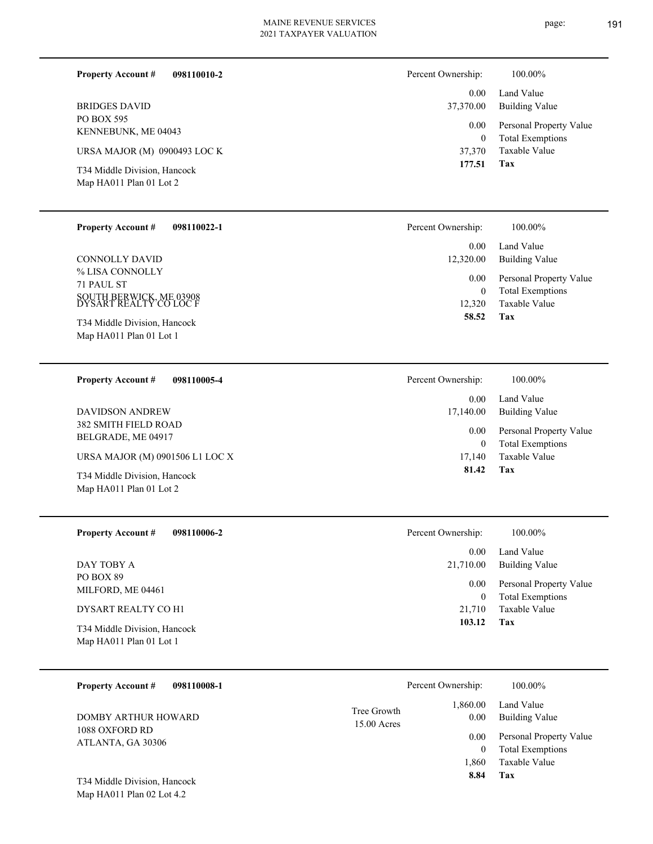| 098110010-2<br><b>Property Account #</b>                | Percent Ownership:       | 100.00%                                            |
|---------------------------------------------------------|--------------------------|----------------------------------------------------|
|                                                         | 0.00                     | Land Value                                         |
| <b>BRIDGES DAVID</b>                                    | 37,370.00                | Building Value                                     |
| PO BOX 595<br>KENNEBUNK, ME 04043                       | 0.00<br>$\boldsymbol{0}$ | Personal Property Value<br><b>Total Exemptions</b> |
| URSA MAJOR (M) 0900493 LOC K                            | 37,370                   | Taxable Value                                      |
| T34 Middle Division, Hancock<br>Map HA011 Plan 01 Lot 2 | 177.51                   | Tax                                                |

| <b>Property Account #</b>                         | 098110022-1 | Percent Ownership: | 100.00%                 |
|---------------------------------------------------|-------------|--------------------|-------------------------|
| CONNOLLY DAVID                                    |             | 0.00               | Land Value              |
| % LISA CONNOLLY                                   |             | 12,320.00          | <b>Building Value</b>   |
| 71 PAUL ST                                        |             | 0.00               | Personal Property Value |
| SOUTH BERWICK, ME 03908<br>DYSART REALTY CO LOC F |             | $\theta$           | <b>Total Exemptions</b> |
| T34 Middle Division, Hancock                      |             | 12,320             | Taxable Value           |
| Map HA011 Plan 01 Lot 1                           |             | 58.52              | Tax                     |

| 098110005-4<br><b>Property Account #</b>                | Percent Ownership: | 100.00%                                            |
|---------------------------------------------------------|--------------------|----------------------------------------------------|
|                                                         | 0.00               | Land Value                                         |
| DAVIDSON ANDREW                                         | 17,140.00          | Building Value                                     |
| <b>382 SMITH FIELD ROAD</b><br>BELGRADE, ME 04917       | 0.00<br>$\bf{0}$   | Personal Property Value<br><b>Total Exemptions</b> |
| URSA MAJOR (M) 0901506 L1 LOC X                         | 17,140             | Taxable Value                                      |
| T34 Middle Division, Hancock<br>Map HA011 Plan 01 Lot 2 | 81.42              | Tax                                                |

| <b>Property Account #</b><br>098110006-2                | Percent Ownership:     | 100.00%                                            |
|---------------------------------------------------------|------------------------|----------------------------------------------------|
|                                                         | 0.00                   | Land Value                                         |
| DAY TOBY A                                              | 21,710.00              | <b>Building Value</b>                              |
| PO BOX 89<br>MILFORD, ME 04461                          | 0.00<br>$\overline{0}$ | Personal Property Value<br><b>Total Exemptions</b> |
| DYSART REALTY CO H1                                     | 21,710                 | Taxable Value                                      |
| T34 Middle Division, Hancock<br>Map HA011 Plan 01 Lot 1 | 103.12                 | Tax                                                |

| 098110008-1<br><b>Property Account #</b> | Percent Ownership:                               | 100.00%                      |
|------------------------------------------|--------------------------------------------------|------------------------------|
| DOMBY ARTHUR HOWARD<br>1088 OXFORD RD    | 1,860.00<br>Tree Growth<br>0.00<br>$15.00$ Acres | Land Value<br>Building Value |
| ATLANTA, GA 30306                        | 0.00                                             | Personal Property Value      |
|                                          | $\bf{0}$                                         | <b>Total Exemptions</b>      |
|                                          | 1.860                                            | Taxable Value                |
| T34 Middle Division, Hancock             | 8.84                                             | Tax                          |
| Map $HA011$ Plan 02 Lot 4.2              |                                                  |                              |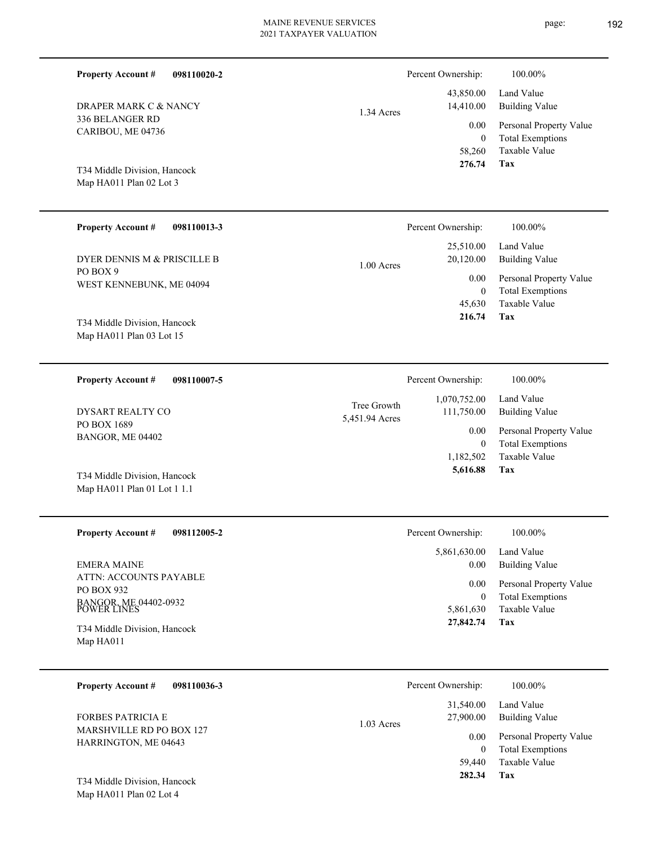| <b>Property Account #</b><br>098110020-2                             |                               | Percent Ownership:                  | 100.00%                                                                    |
|----------------------------------------------------------------------|-------------------------------|-------------------------------------|----------------------------------------------------------------------------|
| DRAPER MARK C & NANCY                                                | 1.34 Acres                    | 43,850.00<br>14,410.00              | Land Value<br><b>Building Value</b>                                        |
| 336 BELANGER RD<br>CARIBOU, ME 04736                                 |                               | 0.00<br>$\overline{0}$<br>58,260    | Personal Property Value<br><b>Total Exemptions</b><br>Taxable Value        |
| T34 Middle Division, Hancock<br>Map HA011 Plan 02 Lot 3              |                               | 276.74                              | Tax                                                                        |
| <b>Property Account #</b><br>098110013-3                             |                               | Percent Ownership:                  | 100.00%                                                                    |
| DYER DENNIS M & PRISCILLE B                                          | $1.00$ Acres                  | 25,510.00<br>20,120.00              | Land Value<br><b>Building Value</b>                                        |
| PO BOX 9<br>WEST KENNEBUNK, ME 04094                                 |                               | 0.00<br>$\overline{0}$<br>45,630    | Personal Property Value<br><b>Total Exemptions</b><br><b>Taxable Value</b> |
| T34 Middle Division, Hancock<br>Map HA011 Plan 03 Lot 15             |                               | 216.74                              | Tax                                                                        |
| <b>Property Account #</b><br>098110007-5                             |                               | Percent Ownership:                  | 100.00%                                                                    |
| DYSART REALTY CO                                                     | Tree Growth<br>5,451.94 Acres | 1,070,752.00<br>111,750.00          | Land Value<br><b>Building Value</b>                                        |
| PO BOX 1689<br>BANGOR, ME 04402                                      |                               | 0.00<br>$\overline{0}$<br>1,182,502 | Personal Property Value<br><b>Total Exemptions</b><br><b>Taxable Value</b> |
| T34 Middle Division, Hancock<br>Map HA011 Plan 01 Lot 1 1.1          |                               | 5,616.88                            | Tax                                                                        |
| <b>Property Account #</b><br>098112005-2                             |                               | Percent Ownership:                  | 100.00%                                                                    |
| <b>EMERA MAINE</b>                                                   |                               | 5,861,630.00<br>0.00                | Land Value<br><b>Building Value</b>                                        |
| ATTN: ACCOUNTS PAYABLE<br>PO BOX 932                                 |                               | $0.00\,$<br>$\overline{0}$          | Personal Property Value<br><b>Total Exemptions</b>                         |
| BANGOR, ME 04402-0932<br>POWER LINES<br>T34 Middle Division, Hancock |                               | 5,861,630<br>27,842.74              | Taxable Value<br>Tax                                                       |
| Map HA011                                                            |                               |                                     |                                                                            |
| <b>Property Account #</b><br>098110036-3                             |                               | Percent Ownership:                  | 100.00%                                                                    |
| <b>FORBES PATRICIA E</b>                                             | 1.03 Acres                    | 31,540.00<br>27,900.00              | Land Value<br><b>Building Value</b>                                        |
| MARSHVILLE RD PO BOX 127<br>HARRINGTON, ME 04643                     |                               | 0.00<br>$\mathbf{0}$                | Personal Property Value<br><b>Total Exemptions</b>                         |
| T34 Middle Division, Hancock<br>Map HA011 Plan 02 Lot 4              |                               | 59,440<br>282.34                    | Taxable Value<br>Tax                                                       |

page: 192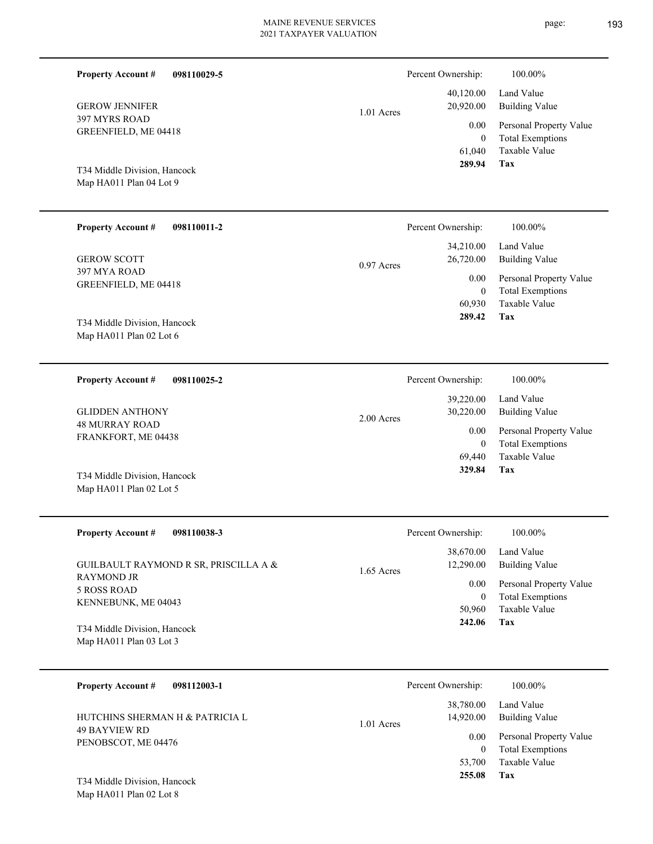page: 193

| <b>Property Account #</b><br>098110029-5                |              | Percent Ownership:             | 100.00%                                                             |
|---------------------------------------------------------|--------------|--------------------------------|---------------------------------------------------------------------|
| <b>GEROW JENNIFER</b>                                   | 1.01 Acres   | 40,120.00<br>20,920.00         | Land Value<br><b>Building Value</b>                                 |
| 397 MYRS ROAD<br>GREENFIELD, ME 04418                   |              | 0.00<br>$\mathbf{0}$           | Personal Property Value<br><b>Total Exemptions</b><br>Taxable Value |
| T34 Middle Division, Hancock<br>Map HA011 Plan 04 Lot 9 |              | 61,040<br>289.94               | Tax                                                                 |
| <b>Property Account #</b><br>098110011-2                |              | Percent Ownership:             | 100.00%                                                             |
| <b>GEROW SCOTT</b>                                      | $0.97$ Acres | 34,210.00<br>26,720.00         | Land Value<br><b>Building Value</b>                                 |
| 397 MYA ROAD<br>GREENFIELD, ME 04418                    |              | 0.00<br>$\mathbf{0}$           | Personal Property Value<br><b>Total Exemptions</b>                  |
| T34 Middle Division, Hancock<br>Map HA011 Plan 02 Lot 6 |              | 60,930<br>289.42               | Taxable Value<br>Tax                                                |
|                                                         |              |                                |                                                                     |
| <b>Property Account #</b><br>098110025-2                |              | Percent Ownership:             | 100.00%                                                             |
| <b>GLIDDEN ANTHONY</b>                                  | 2.00 Acres   | 39,220.00<br>30,220.00         | Land Value<br><b>Building Value</b>                                 |
| <b>48 MURRAY ROAD</b><br>FRANKFORT, ME 04438            |              | 0.00<br>$\mathbf{0}$<br>69,440 | Personal Property Value<br><b>Total Exemptions</b><br>Taxable Value |
| T34 Middle Division, Hancock<br>Map HA011 Plan 02 Lot 5 |              | 329.84                         | Tax                                                                 |
| 098110038-3<br><b>Property Account #</b>                |              | Percent Ownership:             | 100.00%                                                             |
| GUILBAULT RAYMOND R SR, PRISCILLA A &                   | 1.65 Acres   | 38,670.00<br>12,290.00         | Land Value<br><b>Building Value</b>                                 |
| <b>RAYMOND JR</b><br>5 ROSS ROAD                        |              | 0.00<br>$\boldsymbol{0}$       | Personal Property Value<br><b>Total Exemptions</b>                  |
| KENNEBUNK, ME 04043                                     |              | 50,960<br>242.06               | Taxable Value<br>Tax                                                |
| T34 Middle Division, Hancock<br>Map HA011 Plan 03 Lot 3 |              |                                |                                                                     |
| <b>Property Account #</b><br>098112003-1                |              | Percent Ownership:             | 100.00%                                                             |
| HUTCHINS SHERMAN H & PATRICIA L                         | 1.01 Acres   | 38,780.00<br>14,920.00         | Land Value<br><b>Building Value</b>                                 |
| 49 BAYVIEW RD<br>PENOBSCOT, ME 04476                    |              | 0.00                           | Personal Property Value                                             |
|                                                         |              | $\boldsymbol{0}$<br>53,700     | <b>Total Exemptions</b><br>Taxable Value                            |
| T34 Middle Division, Hancock<br>Map HA011 Plan 02 Lot 8 |              | 255.08                         | Tax                                                                 |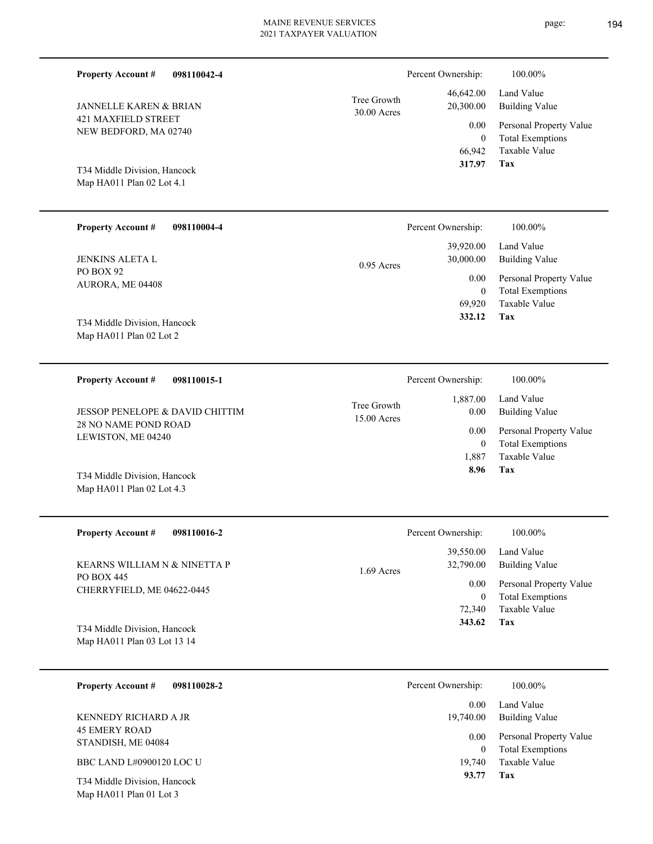| <b>Property Account #</b><br>098110042-4                    |                            | Percent Ownership:               | 100.00%                                                             |
|-------------------------------------------------------------|----------------------------|----------------------------------|---------------------------------------------------------------------|
| JANNELLE KAREN & BRIAN                                      | Tree Growth<br>30.00 Acres | 46,642.00<br>20,300.00           | Land Value<br><b>Building Value</b>                                 |
| 421 MAXFIELD STREET<br>NEW BEDFORD, MA 02740                |                            | 0.00<br>$\mathbf{0}$<br>66,942   | Personal Property Value<br><b>Total Exemptions</b><br>Taxable Value |
| T34 Middle Division, Hancock<br>Map HA011 Plan 02 Lot 4.1   |                            | 317.97                           | Tax                                                                 |
| <b>Property Account #</b><br>098110004-4                    |                            | Percent Ownership:               | 100.00%                                                             |
| JENKINS ALETA L                                             | 0.95 Acres                 | 39,920.00<br>30,000.00           | Land Value<br><b>Building Value</b>                                 |
| PO BOX 92<br>AURORA, ME 04408                               |                            | 0.00<br>$\overline{0}$<br>69,920 | Personal Property Value<br><b>Total Exemptions</b><br>Taxable Value |
| T34 Middle Division, Hancock<br>Map HA011 Plan 02 Lot 2     |                            | 332.12                           | Tax                                                                 |
| <b>Property Account #</b><br>098110015-1                    |                            | Percent Ownership:               | 100.00%                                                             |
| <b>JESSOP PENELOPE &amp; DAVID CHITTIM</b>                  | Tree Growth<br>15.00 Acres | 1,887.00<br>0.00                 | Land Value<br><b>Building Value</b>                                 |
| <b>28 NO NAME POND ROAD</b><br>LEWISTON, ME 04240           |                            | 0.00<br>$\mathbf{0}$<br>1,887    | Personal Property Value<br><b>Total Exemptions</b><br>Taxable Value |
| T34 Middle Division, Hancock<br>Map HA011 Plan 02 Lot 4.3   |                            | 8.96                             | Tax                                                                 |
| <b>Property Account #</b><br>098110016-2                    |                            | Percent Ownership:               | $100.00\%$                                                          |
| KEARNS WILLIAM N & NINETTA P                                | 1.69 Acres                 | 39,550.00<br>32,790.00           | Land Value<br><b>Building Value</b>                                 |
| PO BOX 445<br>CHERRYFIELD, ME 04622-0445                    |                            | 0.00<br>$\mathbf{0}$<br>72,340   | Personal Property Value<br><b>Total Exemptions</b><br>Taxable Value |
| T34 Middle Division, Hancock<br>Map HA011 Plan 03 Lot 13 14 |                            | 343.62                           | Tax                                                                 |
| <b>Property Account #</b><br>098110028-2                    |                            | Percent Ownership:               | 100.00%                                                             |
| KENNEDY RICHARD A JR                                        |                            | 0.00<br>19,740.00                | Land Value<br><b>Building Value</b>                                 |

| KENNEDY KIUHAKD A JK |  |
|----------------------|--|
| <b>45 EMERY ROAD</b> |  |
| STANDISH, ME 04084   |  |
|                      |  |

BBC LAND L#0900120 LOC U

Map HA011 Plan 01 Lot 3 T34 Middle Division, Hancock **Tax**

 19,740  $\boldsymbol{0}$ 

0.00

 **93.77**

Taxable Value Total Exemptions Personal Property Value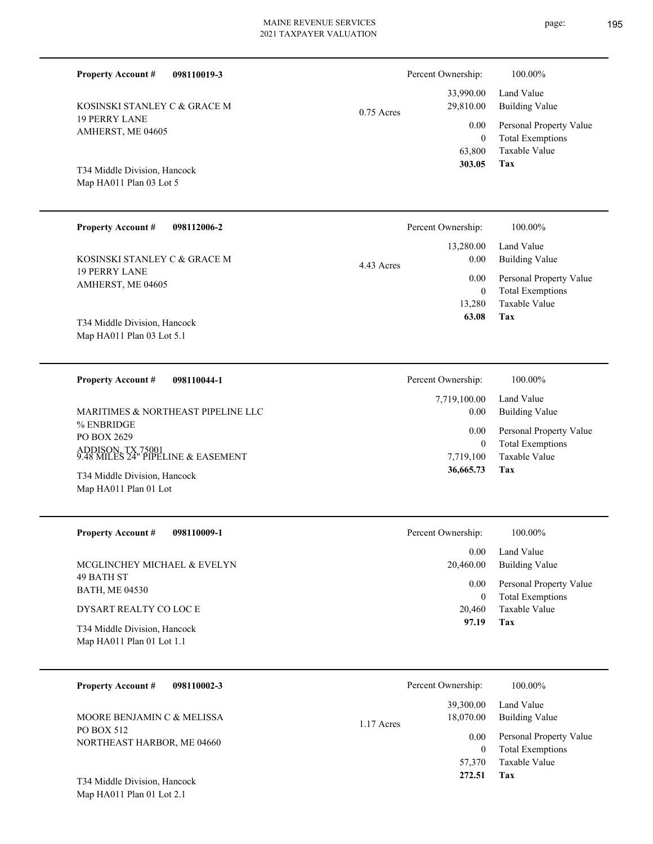$0.75$  Ac Percent Ownership:  $100.00\%$ 

19 PERRY LANE AMHERST, ME 04605 KOSINSKI STANLEY C & GRACE M

**098110019-3**

# Map HA011 Plan 03 Lot 5 T34 Middle Division, Hancock

**Property Account #**

#### **098112006-2 Tax** Taxable Value Total Exemptions Personal Property Value Building Value Land Value 19 PERRY LANE AMHERST, ME 04605 **Property Account #** Map HA011 Plan 03 Lot 5.1 T34 Middle Division, Hancock KOSINSKI STANLEY C & GRACE M 13,280 0  **63.08** 13,280.00 0.00 0.00 4.43 Acres Percent Ownership: 100.00% **098110044-1 Property Account #** Percent Ownership:  $100.00\%$

% ENBRIDGE PO BOX 2629 ADDISON, TX 75001 9.48 MILES 24" PIPELINE & EASEMENT MARITIMES & NORTHEAST PIPELINE LLC

Map HA011 Plan 01 Lot T34 Middle Division, Hancock

| <b>Property Account #</b><br>098110009-1                  | Percent Ownership: | 100.00%                                            |
|-----------------------------------------------------------|--------------------|----------------------------------------------------|
|                                                           | 0.00               | Land Value                                         |
| MCGLINCHEY MICHAEL & EVELYN                               | 20,460.00          | Building Value                                     |
| 49 BATH ST<br><b>BATH, ME 04530</b>                       | 0.00<br>0          | Personal Property Value<br><b>Total Exemptions</b> |
| DYSART REALTY CO LOC E                                    | 20,460             | Taxable Value                                      |
| T34 Middle Division, Hancock<br>Map HA011 Plan 01 Lot 1.1 | 97.19              | Tax                                                |

| 098110002-3<br><b>Property Account #</b> | Percent Ownership:                     | 100.00%                                            |
|------------------------------------------|----------------------------------------|----------------------------------------------------|
| MOORE BENJAMIN C & MELISSA<br>PO BOX 512 | 39,300.00<br>18,070.00<br>$1.17$ Acres | Land Value<br>Building Value                       |
| NORTHEAST HARBOR, ME 04660               | 0.00<br>$\Omega$                       | Personal Property Value<br><b>Total Exemptions</b> |
|                                          | 57,370                                 | Taxable Value                                      |
| T34 Middle Division, Hancock             | 272.51                                 | Tax                                                |

Map HA011 Plan 01 Lot 2.1

|     |           | 33,990.00 Land Value         |
|-----|-----------|------------------------------|
| res | 29,810.00 | Building Value               |
|     |           | 0.00 Personal Property Value |
|     | $\theta$  | <b>Total Exemptions</b>      |
|     |           | 63,800 Taxable Value         |
|     | 303.05    | Tax                          |

**Tax**

 7,719,100 0

 7,719,100.00 0.00 0.00

 **36,665.73**

Taxable Value Total Exemptions Personal Property Value

Building Value Land Value

page: 195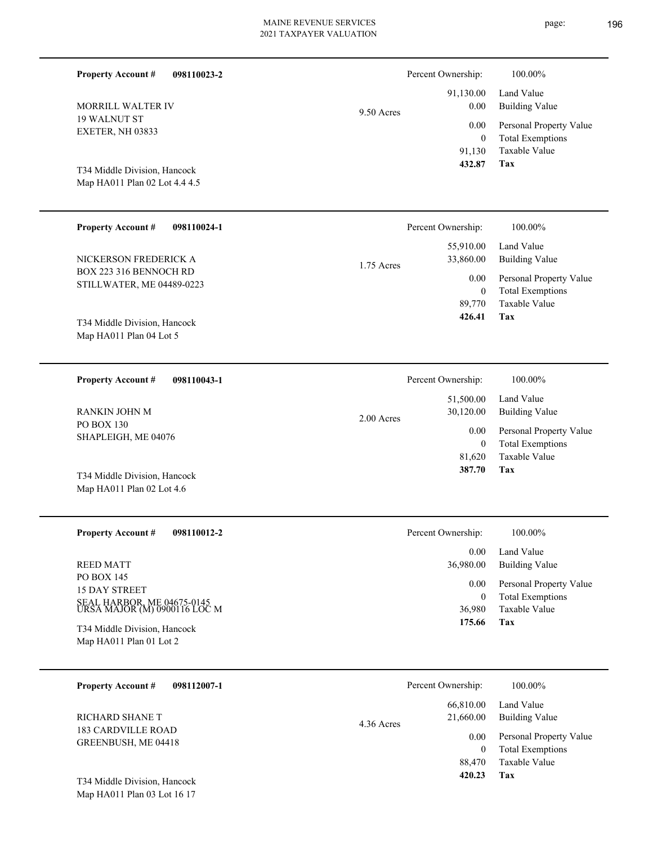| <b>Property Account #</b><br>098110023-2                      |              | Percent Ownership:                | 100.00%                                            |
|---------------------------------------------------------------|--------------|-----------------------------------|----------------------------------------------------|
| <b>MORRILL WALTER IV</b>                                      | $9.50$ Acres | 91,130.00<br>0.00                 | Land Value<br><b>Building Value</b>                |
| <b>19 WALNUT ST</b><br>EXETER, NH 03833                       |              | 0.00<br>$\mathbf{0}$              | Personal Property Value<br><b>Total Exemptions</b> |
| T34 Middle Division, Hancock<br>Map HA011 Plan 02 Lot 4.4 4.5 |              | 91,130<br>432.87                  | <b>Taxable Value</b><br><b>Tax</b>                 |
| <b>Property Account #</b><br>098110024-1                      |              | Percent Ownership:                | 100.00%                                            |
| NICKERSON FREDERICK A                                         | 1.75 Acres   | 55,910.00<br>33,860.00            | Land Value<br><b>Building Value</b>                |
| BOX 223 316 BENNOCH RD<br>STILLWATER, ME 04489-0223           |              | 0.00<br>$\mathbf{0}$              | Personal Property Value<br><b>Total Exemptions</b> |
|                                                               |              | 89,770<br>426.41                  | <b>Taxable Value</b><br>Tax                        |
| T34 Middle Division, Hancock<br>Map HA011 Plan 04 Lot 5       |              |                                   |                                                    |
|                                                               |              |                                   |                                                    |
| <b>Property Account #</b><br>098110043-1                      |              | Percent Ownership:<br>51,500.00   | 100.00%<br>Land Value                              |
| RANKIN JOHN M<br><b>PO BOX 130</b>                            | 2.00 Acres   | 30,120.00<br>0.00<br>$\mathbf{0}$ | <b>Building Value</b>                              |
| SHAPLEIGH, ME 04076                                           |              |                                   | Personal Property Value<br><b>Total Exemptions</b> |
| T34 Middle Division, Hancock                                  |              | 81,620<br>387.70                  | Taxable Value<br>Tax                               |
| Map HA011 Plan 02 Lot 4.6                                     |              |                                   |                                                    |
| <b>Property Account #</b><br>098110012-2                      |              | Percent Ownership:                | 100.00%                                            |
| <b>REED MATT</b>                                              |              | 0.00<br>36,980.00                 | Land Value<br><b>Building Value</b>                |
| PO BOX 145<br>15 DAY STREET                                   |              | 0.00                              | Personal Property Value                            |
| SEAL HARBOR, ME 04675-0145<br>URSA MAJOR (M) 0900116 LOC M    |              | $\mathbf{0}$<br>36,980            | <b>Total Exemptions</b><br>Taxable Value           |
| T34 Middle Division, Hancock<br>Map HA011 Plan 01 Lot 2       |              | 175.66                            | Tax                                                |
|                                                               |              |                                   |                                                    |
| <b>Property Account #</b><br>098112007-1                      |              | Percent Ownership:                | 100.00%                                            |
| RICHARD SHANE T                                               | 4.36 Acres   | 66,810.00<br>21,660.00            | Land Value<br><b>Building Value</b>                |
| <b>183 CARDVILLE ROAD</b><br>GREENBUSH, ME 04418              |              | 0.00<br>$\mathbf{0}$              | Personal Property Value<br><b>Total Exemptions</b> |
|                                                               |              | 88,470<br>420.23                  | Taxable Value<br>Tax                               |
| T34 Middle Division, Hancock<br>Map HA011 Plan 03 Lot 16 17   |              |                                   |                                                    |
|                                                               |              |                                   |                                                    |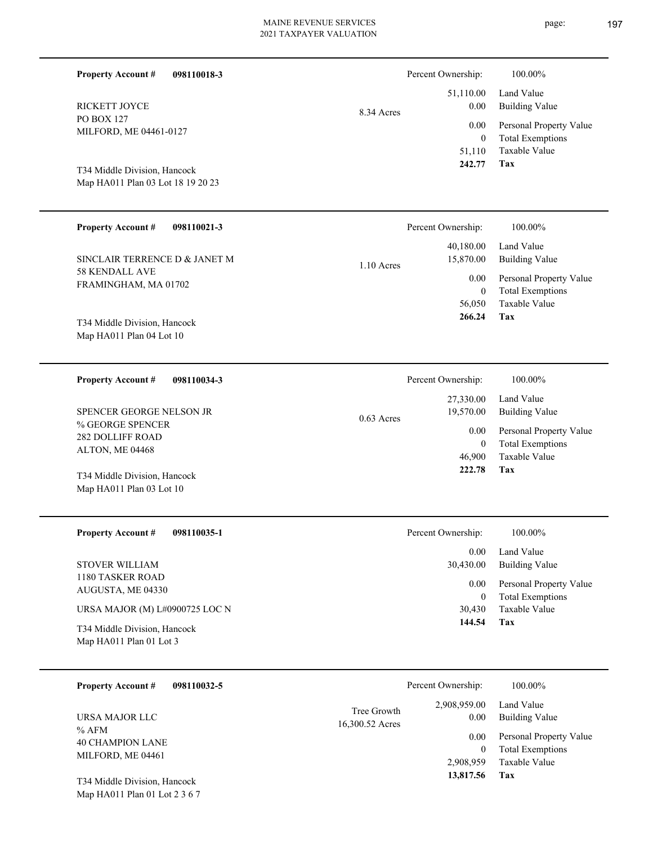| <b>Property Account #</b><br>098110018-3                                                  |                 | Percent Ownership:                             | 100.00%                                                                    |
|-------------------------------------------------------------------------------------------|-----------------|------------------------------------------------|----------------------------------------------------------------------------|
| <b>RICKETT JOYCE</b>                                                                      | 8.34 Acres      | 51,110.00<br>$0.00\,$                          | Land Value<br><b>Building Value</b>                                        |
| <b>PO BOX 127</b><br>MILFORD, ME 04461-0127                                               |                 | 0.00<br>$\overline{0}$<br>51,110               | Personal Property Value<br><b>Total Exemptions</b><br><b>Taxable Value</b> |
| T34 Middle Division, Hancock<br>Map HA011 Plan 03 Lot 18 19 20 23                         |                 | 242.77                                         | Tax                                                                        |
| <b>Property Account #</b><br>098110021-3                                                  |                 | Percent Ownership:                             | 100.00%                                                                    |
| SINCLAIR TERRENCE D & JANET M                                                             | $1.10$ Acres    | 40,180.00<br>15,870.00                         | Land Value<br><b>Building Value</b>                                        |
| <b>58 KENDALL AVE</b><br>FRAMINGHAM, MA 01702                                             |                 | 0.00<br>$\overline{0}$<br>56,050               | Personal Property Value<br><b>Total Exemptions</b><br><b>Taxable Value</b> |
| T34 Middle Division, Hancock<br>Map HA011 Plan 04 Lot 10                                  |                 | 266.24                                         | Tax                                                                        |
| <b>Property Account #</b><br>098110034-3                                                  |                 | Percent Ownership:                             | 100.00%                                                                    |
| SPENCER GEORGE NELSON JR                                                                  | $0.63$ Acres    | 27,330.00<br>19,570.00                         | Land Value<br><b>Building Value</b>                                        |
| % GEORGE SPENCER<br><b>282 DOLLIFF ROAD</b><br>ALTON, ME 04468                            |                 | 0.00<br>$\overline{0}$<br>46,900               | Personal Property Value<br><b>Total Exemptions</b><br><b>Taxable Value</b> |
| T34 Middle Division, Hancock<br>Map HA011 Plan 03 Lot 10                                  |                 | 222.78                                         | Tax                                                                        |
| <b>Property Account #</b><br>098110035-1                                                  |                 | Percent Ownership:                             | $100.00\%$                                                                 |
| <b>STOVER WILLIAM</b>                                                                     |                 | 0.00<br>30,430.00                              | Land Value<br><b>Building Value</b>                                        |
| 1180 TASKER ROAD<br>AUGUSTA, ME 04330                                                     |                 | 0.00<br>$\mathbf{0}$                           | Personal Property Value<br><b>Total Exemptions</b>                         |
| URSA MAJOR (M) L#0900725 LOC N<br>T34 Middle Division, Hancock<br>Map HA011 Plan 01 Lot 3 |                 | 30,430<br>144.54                               | Taxable Value<br>Tax                                                       |
| <b>Property Account #</b><br>098110032-5                                                  |                 | Percent Ownership:                             | 100.00%                                                                    |
| URSA MAJOR LLC                                                                            | Tree Growth     | 2,908,959.00<br>0.00                           | Land Value<br><b>Building Value</b>                                        |
| $%$ AFM<br><b>40 CHAMPION LANE</b><br>MILFORD, ME 04461                                   | 16,300.52 Acres | 0.00<br>$\mathbf{0}$<br>2,908,959<br>13,817.56 | Personal Property Value<br><b>Total Exemptions</b><br>Taxable Value<br>Tax |
| T34 Middle Division, Hancock<br>Map HA011 Plan 01 Lot 2 3 6 7                             |                 |                                                |                                                                            |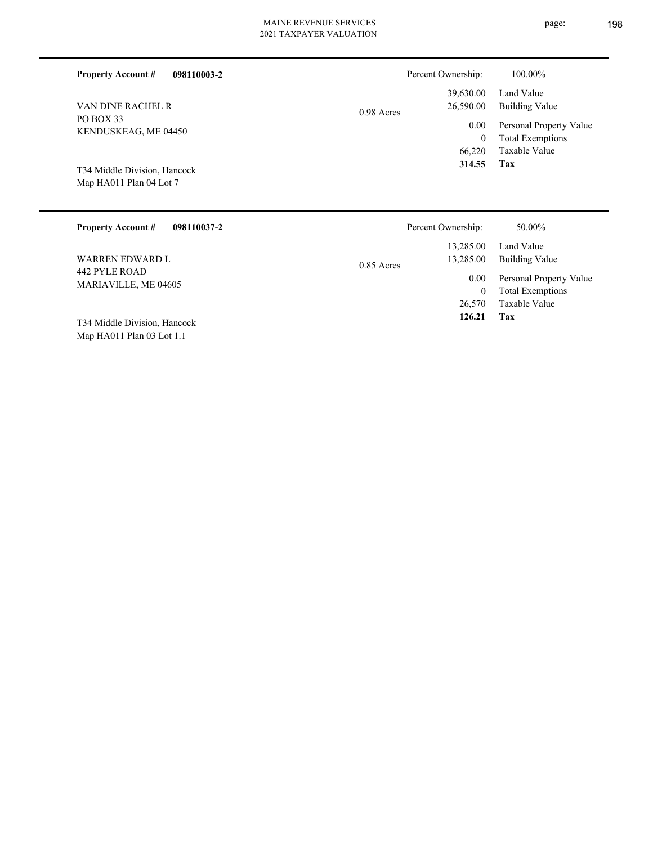|  | 2021 TAXPAYER VALUATION |  |
|--|-------------------------|--|
|  |                         |  |

| 098110003-2<br><b>Property Account #</b> | Percent Ownership:                   | 100.00%                                            |
|------------------------------------------|--------------------------------------|----------------------------------------------------|
| VAN DINE RACHEL R                        | 39,630.00<br>26,590.00<br>0.98 Acres | Land Value<br>Building Value                       |
| PO BOX 33<br>KENDUSKEAG, ME 04450        | 0.00<br>0                            | Personal Property Value<br><b>Total Exemptions</b> |
| T34 Middle Division, Hancock             | 66,220<br>314.55                     | Taxable Value<br>Tax                               |
| Map HA011 Plan 04 Lot 7                  |                                      |                                                    |
| <b>Property Account #</b><br>098110037-2 | Percent Ownership:                   | 50.00%                                             |

| <b>Property Account #</b><br>098110037-2 | Percent Ownership:        | 50.00%                  |
|------------------------------------------|---------------------------|-------------------------|
|                                          | 13.285.00                 | Land Value              |
| WARREN EDWARD L                          | 13,285.00<br>$0.85$ Acres | Building Value          |
| 442 PYLE ROAD                            | 0.00                      | Personal Property Value |
| MARIAVILLE, ME 04605                     | $\mathbf{0}$              | <b>Total Exemptions</b> |
|                                          | 26,570                    | Taxable Value           |
| T34 Middle Division, Hancock             | 126.21                    | Tax                     |
| Map HA011 Plan 03 Lot 1.1                |                           |                         |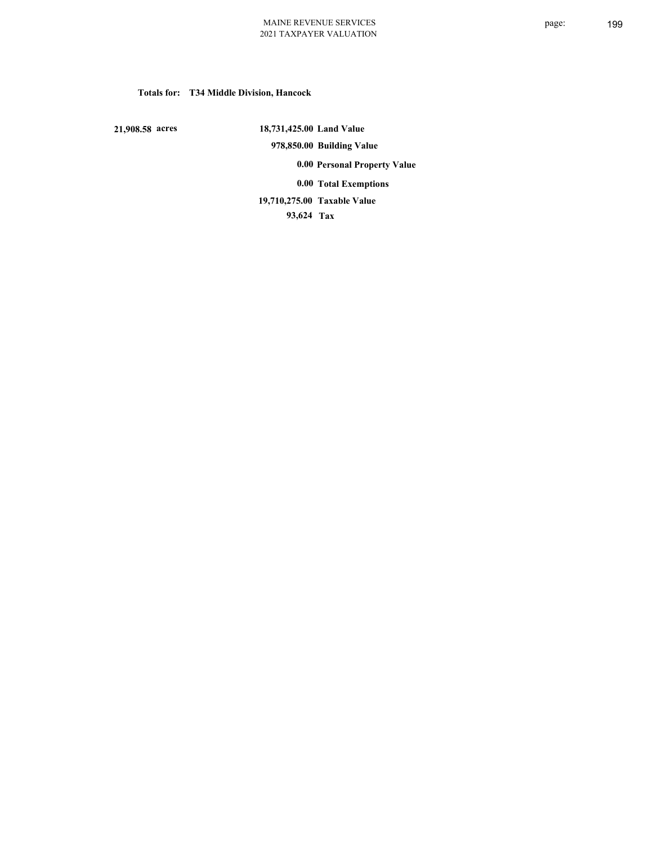# **Totals for: T34 Middle Division, Hancock**

 **21,908.58 acres**

 **18,731,425.00 Land Value 978,850.00 Building Value 0.00 Personal Property Value 0.00 Total Exemptions Taxable Value 19,710,275.00**

 **93,624 Tax**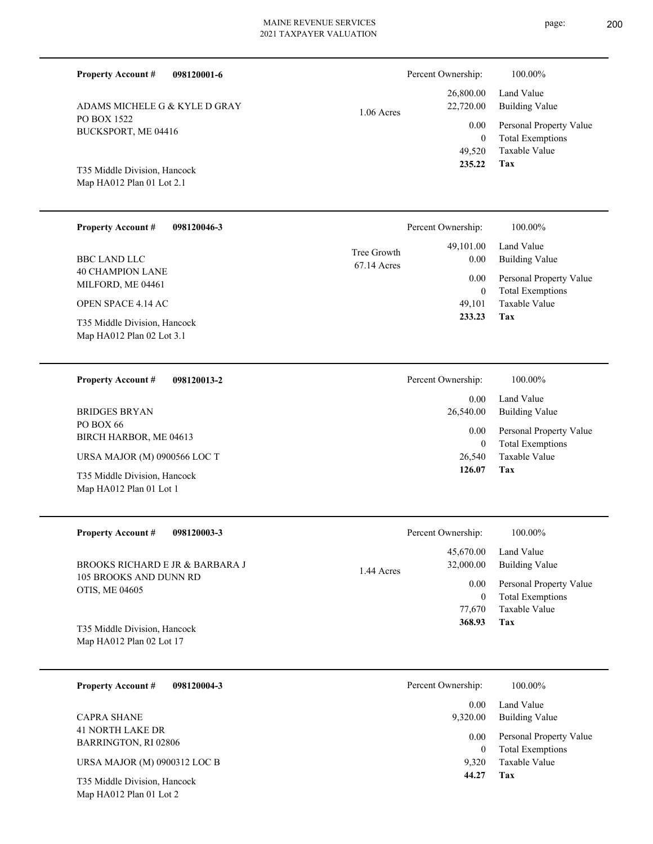**098120001-6 Property Account #** T35 Middle Division, Hancock ADAMS MICHELE G & KYLE D GRAY 49,520 0  **235.22** 26,800.00 22,720.00 0.00 1.06 Acres Percent Ownership:  $100.00\%$ **098120046-3** 40 CHAMPION LANE MILFORD, ME 04461 **Property Account #** OPEN SPACE 4.14 AC BBC LAND LLC 49,101  $\boldsymbol{0}$  **233.23** 49,101.00 0.00 0.00 67.14 Acres Tree Growth Percent Ownership: 100.00% **098120013-2** 26,540 0  **126.07** 0.00 26,540.00 0.00

| <b>Property Account #</b><br>098120003-3 | Percent Ownership:      | 100.00%                 |
|------------------------------------------|-------------------------|-------------------------|
|                                          | 45,670.00               | Land Value              |
| BROOKS RICHARD E JR & BARBARA J          | 32,000.00<br>1.44 Acres | Building Value          |
| 105 BROOKS AND DUNN RD<br>OTIS, ME 04605 | 0.00                    | Personal Property Value |
|                                          | $\bf{0}$                | <b>Total Exemptions</b> |
|                                          | 77,670                  | Taxable Value           |
| T35 Middle Division, Hancock             | 368.93                  | Tax                     |
| Map HA012 Plan 02 Lot 17                 |                         |                         |
|                                          |                         |                         |
|                                          |                         |                         |

| 098120004-3<br><b>Property Account #</b>                | Percent Ownership: | 100.00%                                            |
|---------------------------------------------------------|--------------------|----------------------------------------------------|
|                                                         | 0.00               | Land Value                                         |
| <b>CAPRA SHANE</b>                                      | 9,320.00           | Building Value                                     |
| 41 NORTH LAKE DR<br><b>BARRINGTON, RI 02806</b>         | 0.00<br>0          | Personal Property Value<br><b>Total Exemptions</b> |
| URSA MAJOR (M) 0900312 LOC B                            | 9.320              | Taxable Value                                      |
| T35 Middle Division, Hancock<br>Map HA012 Plan 01 Lot 2 | 44.27              | Tax                                                |

| PO BOX 1522         |
|---------------------|
| BUCKSPORT, ME 04416 |
|                     |
|                     |
| $\Gamma$            |

Map HA012 Plan 01 Lot 2.1

| T35 Middle Division, Hancock<br>Map HA012 Plan 02 Lot 3.1 | 233.23               | Tax                                                |
|-----------------------------------------------------------|----------------------|----------------------------------------------------|
| <b>Property Account #</b><br>098120013-2                  | Percent Ownership:   | 100.00%                                            |
|                                                           | 0.00                 | Land Value                                         |
| BRIDGES BRYAN                                             | 26,540.00            | <b>Building Value</b>                              |
| PO BOX 66<br>BIRCH HARBOR, ME 04613                       | 0.00<br>$\mathbf{0}$ | Personal Property Value<br><b>Total Exemptions</b> |
| URSA MAJOR (M) 0900566 LOC T                              | 26,540               | Taxable Value                                      |
| T35 Middle Division, Hancock<br>Map HA012 Plan 01 Lot 1   | 126.07               | Tax                                                |
| Property Account #<br>098120003-3                         | Percent Ownershin.   | $100.00\%$                                         |

**Tax**

Taxable Value Total Exemptions Personal Property Value

Taxable Value Total Exemptions Personal Property Value

Building Value Land Value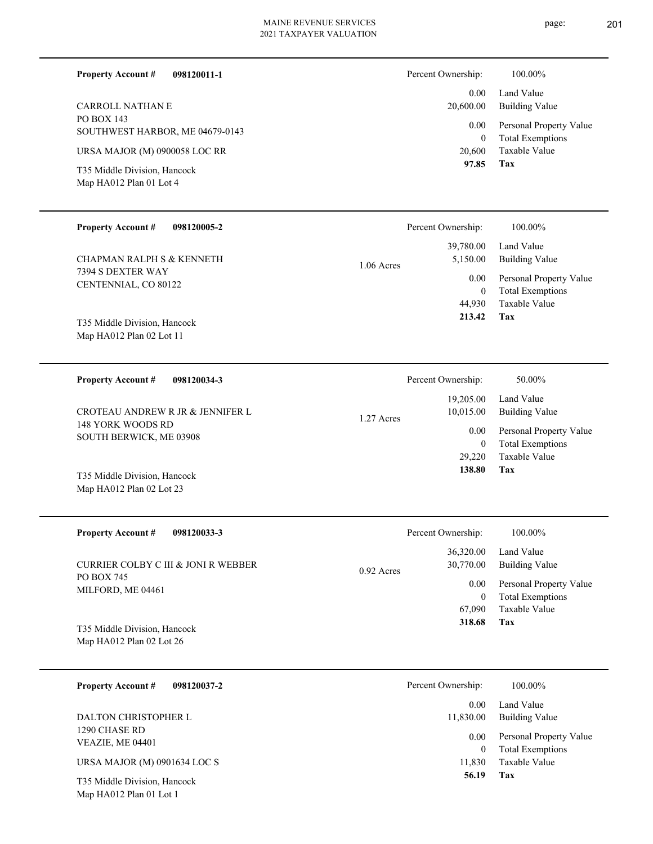page: 201

| <b>Property Account #</b><br>098120011-1                                  |              | Percent Ownership:                           | 100.00%                                                                    |
|---------------------------------------------------------------------------|--------------|----------------------------------------------|----------------------------------------------------------------------------|
| <b>CARROLL NATHAN E</b>                                                   |              | 0.00<br>20,600.00                            | Land Value<br><b>Building Value</b>                                        |
| PO BOX 143<br>SOUTHWEST HARBOR, ME 04679-0143                             |              | 0.00                                         | Personal Property Value                                                    |
| URSA MAJOR (M) 0900058 LOC RR                                             |              | $\mathbf{0}$<br>20,600                       | <b>Total Exemptions</b><br>Taxable Value                                   |
| T35 Middle Division, Hancock<br>Map HA012 Plan 01 Lot 4                   |              | 97.85                                        | Tax                                                                        |
| <b>Property Account #</b><br>098120005-2                                  |              | Percent Ownership:                           | 100.00%                                                                    |
| <b>CHAPMAN RALPH S &amp; KENNETH</b>                                      | 1.06 Acres   | 39,780.00<br>5,150.00                        | Land Value<br><b>Building Value</b>                                        |
| 7394 S DEXTER WAY<br>CENTENNIAL, CO 80122<br>T35 Middle Division, Hancock |              | 0.00<br>$\boldsymbol{0}$<br>44,930<br>213.42 | Personal Property Value<br><b>Total Exemptions</b><br>Taxable Value<br>Tax |
| Map HA012 Plan 02 Lot 11                                                  |              |                                              |                                                                            |
| <b>Property Account #</b><br>098120034-3                                  |              | Percent Ownership:                           | 50.00%                                                                     |
| CROTEAU ANDREW R JR & JENNIFER L                                          |              | 19,205.00<br>10,015.00                       | Land Value<br><b>Building Value</b>                                        |
| 148 YORK WOODS RD                                                         | 1.27 Acres   | 0.00                                         | Personal Property Value                                                    |
| SOUTH BERWICK, ME 03908                                                   |              | $\boldsymbol{0}$<br>29,220<br>138.80         | <b>Total Exemptions</b><br>Taxable Value<br><b>Tax</b>                     |
| T35 Middle Division, Hancock<br>Map HA012 Plan 02 Lot 23                  |              |                                              |                                                                            |
| <b>Property Account #</b><br>098120033-3                                  |              | Percent Ownership:                           | 100.00%                                                                    |
| CURRIER COLBY C III & JONI R WEBBER                                       | $0.92$ Acres | 36,320.00<br>30,770.00                       | Land Value<br><b>Building Value</b>                                        |
| PO BOX 745<br>MILFORD, ME 04461                                           |              | 0.00                                         | Personal Property Value                                                    |
| T35 Middle Division, Hancock<br>Map HA012 Plan 02 Lot 26                  |              | $\boldsymbol{0}$<br>67,090<br>318.68         | <b>Total Exemptions</b><br>Taxable Value<br>Tax                            |
|                                                                           |              |                                              |                                                                            |
| <b>Property Account #</b><br>098120037-2                                  |              | Percent Ownership:                           | 100.00%                                                                    |
| DALTON CHRISTOPHER L<br>1290 CHASE RD                                     |              | 0.00<br>11,830.00                            | Land Value<br><b>Building Value</b>                                        |
| VEAZIE, ME 04401                                                          |              | 0.00<br>$\bf{0}$                             | Personal Property Value<br><b>Total Exemptions</b>                         |
| URSA MAJOR (M) 0901634 LOC S                                              |              | 11,830                                       | Taxable Value                                                              |
| T35 Middle Division, Hancock<br>Map HA012 Plan 01 Lot 1                   |              | 56.19                                        | Tax                                                                        |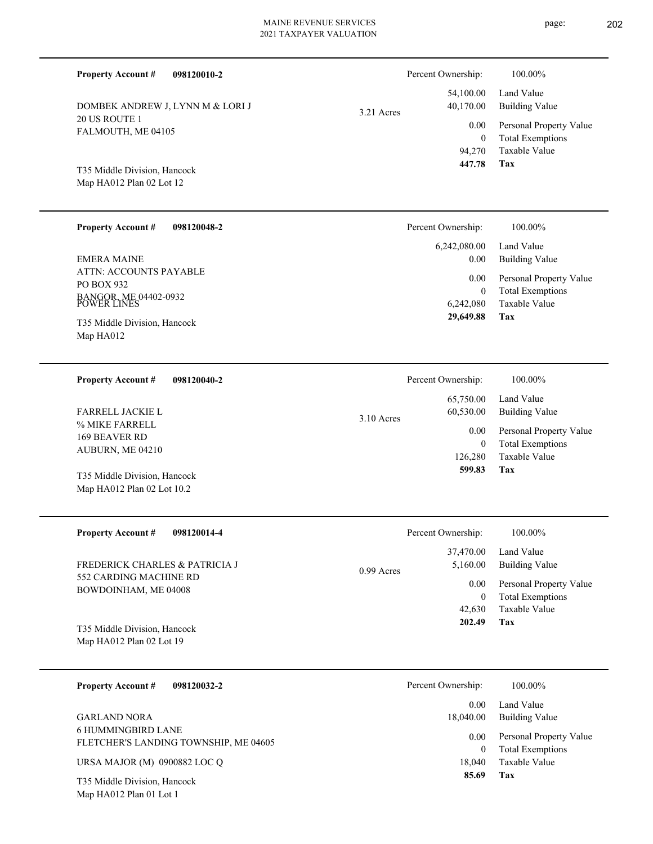page: 202

| <b>Property Account #</b><br>098120010-2                                          |            | Percent Ownership:              | 100.00%                                                                    |
|-----------------------------------------------------------------------------------|------------|---------------------------------|----------------------------------------------------------------------------|
| DOMBEK ANDREW J, LYNN M & LORI J                                                  | 3.21 Acres | 54,100.00<br>40,170.00          | Land Value<br><b>Building Value</b>                                        |
| 20 US ROUTE 1<br>FALMOUTH, ME 04105                                               |            | 0.00<br>$\mathbf{0}$<br>94,270  | Personal Property Value<br><b>Total Exemptions</b><br><b>Taxable Value</b> |
| T35 Middle Division, Hancock<br>Map HA012 Plan 02 Lot 12                          |            | 447.78                          | Tax                                                                        |
| <b>Property Account #</b><br>098120048-2                                          |            | Percent Ownership:              | 100.00%                                                                    |
| <b>EMERA MAINE</b>                                                                |            | 6,242,080.00<br>0.00            | Land Value<br><b>Building Value</b>                                        |
| ATTN: ACCOUNTS PAYABLE<br>PO BOX 932                                              |            | 0.00<br>$\mathbf{0}$            | Personal Property Value<br><b>Total Exemptions</b>                         |
| BANGOR, ME 04402-0932<br>POWER LINES<br>T35 Middle Division, Hancock<br>Map HA012 |            | 6,242,080<br>29,649.88          | Taxable Value<br>Tax                                                       |
| <b>Property Account #</b><br>098120040-2                                          |            | Percent Ownership:              | 100.00%                                                                    |
| FARRELL JACKIE L                                                                  | 3.10 Acres | 65,750.00<br>60,530.00          | Land Value<br><b>Building Value</b>                                        |
| % MIKE FARRELL<br>169 BEAVER RD<br>AUBURN, ME 04210                               |            | 0.00<br>$\mathbf{0}$<br>126,280 | Personal Property Value<br><b>Total Exemptions</b><br><b>Taxable Value</b> |
| T35 Middle Division, Hancock<br>Map HA012 Plan 02 Lot 10.2                        |            | 599.83                          | Tax                                                                        |
| <b>Property Account #</b><br>098120014-4                                          |            | Percent Ownership:              | 100.00%                                                                    |
| FREDERICK CHARLES & PATRICIA J                                                    | 0.99 Acres | 37,470.00<br>5,160.00           | Land Value<br><b>Building Value</b>                                        |
| 552 CARDING MACHINE RD<br>BOWDOINHAM, ME 04008                                    |            | $0.00\,$<br>$\boldsymbol{0}$    | Personal Property Value<br><b>Total Exemptions</b>                         |
| T35 Middle Division, Hancock<br>Map HA012 Plan 02 Lot 19                          |            | 42,630<br>202.49                | Taxable Value<br>Tax                                                       |
| 098120032-2<br><b>Property Account #</b>                                          |            | Percent Ownership:              | 100.00%                                                                    |
| <b>GARLAND NORA</b>                                                               |            | 0.00<br>18,040.00               | Land Value<br><b>Building Value</b>                                        |
| <b>6 HUMMINGBIRD LANE</b><br>FLETCHER'S LANDING TOWNSHIP, ME 04605                |            | 0.00<br>$\boldsymbol{0}$        | Personal Property Value<br><b>Total Exemptions</b>                         |
| URSA MAJOR (M) 0900882 LOC Q                                                      |            | 18,040                          | Taxable Value                                                              |
| T35 Middle Division, Hancock<br>Map HA012 Plan 01 Lot 1                           |            | 85.69                           | Tax                                                                        |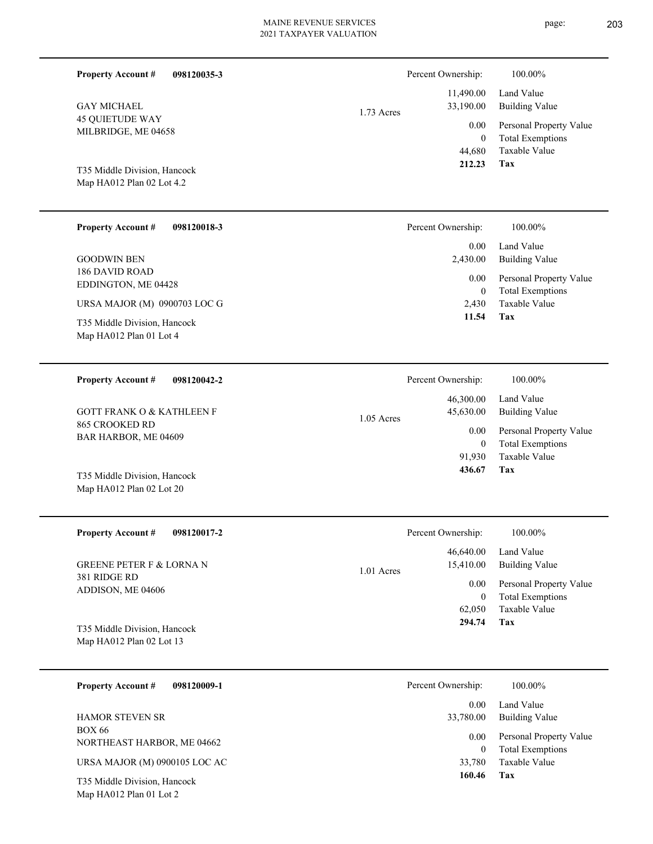▃

| <b>Property Account #</b><br>098120035-3                                                |              | Percent Ownership:                         | 100.00%                                                             |
|-----------------------------------------------------------------------------------------|--------------|--------------------------------------------|---------------------------------------------------------------------|
| <b>GAY MICHAEL</b>                                                                      | 1.73 Acres   | 11,490.00<br>33,190.00                     | Land Value<br><b>Building Value</b>                                 |
| <b>45 QUIETUDE WAY</b><br>MILBRIDGE, ME 04658                                           |              | 0.00<br>$\mathbf{0}$<br>44,680             | Personal Property Value<br><b>Total Exemptions</b><br>Taxable Value |
| T35 Middle Division, Hancock<br>Map HA012 Plan 02 Lot 4.2                               |              | 212.23                                     | <b>Tax</b>                                                          |
| <b>Property Account #</b><br>098120018-3                                                |              | Percent Ownership:                         | 100.00%                                                             |
| <b>GOODWIN BEN</b>                                                                      |              | 0.00<br>2,430.00                           | Land Value<br><b>Building Value</b>                                 |
| <b>186 DAVID ROAD</b><br>EDDINGTON, ME 04428                                            |              | 0.00<br>$\mathbf{0}$                       | Personal Property Value<br><b>Total Exemptions</b>                  |
| URSA MAJOR (M) 0900703 LOC G<br>T35 Middle Division, Hancock<br>Map HA012 Plan 01 Lot 4 |              | 2,430<br>11.54                             | Taxable Value<br>Tax                                                |
| <b>Property Account #</b><br>098120042-2                                                |              | Percent Ownership:                         | 100.00%                                                             |
| <b>GOTT FRANK O &amp; KATHLEEN F</b>                                                    | $1.05$ Acres | 46,300.00<br>45,630.00                     | Land Value<br><b>Building Value</b>                                 |
| 865 CROOKED RD<br>BAR HARBOR, ME 04609                                                  |              | 0.00<br>$\overline{0}$<br>91,930<br>436.67 | Personal Property Value<br><b>Total Exemptions</b><br>Taxable Value |
| T35 Middle Division, Hancock<br>Map HA012 Plan 02 Lot 20                                |              |                                            | Tax                                                                 |
| <b>Property Account #</b><br>098120017-2                                                |              | Percent Ownership:                         | $100.00\%$                                                          |
| <b>GREENE PETER F &amp; LORNA N</b>                                                     | 1.01 Acres   | 46,640.00<br>15,410.00                     | Land Value<br><b>Building Value</b>                                 |
| 381 RIDGE RD<br>ADDISON, ME 04606                                                       |              | 0.00<br>$\bf{0}$                           | Personal Property Value<br><b>Total Exemptions</b>                  |
| T35 Middle Division, Hancock<br>Map HA012 Plan 02 Lot 13                                |              | 62,050<br>294.74                           | Taxable Value<br>Tax                                                |
| <b>Property Account #</b><br>098120009-1                                                |              | Percent Ownership:                         | 100.00%                                                             |
| <b>HAMOR STEVEN SR</b>                                                                  |              | 0.00<br>33,780.00                          | Land Value<br><b>Building Value</b>                                 |
| <b>BOX 66</b><br>NORTHEAST HARBOR, ME 04662                                             |              | 0.00<br>$\mathbf{0}$                       | Personal Property Value<br><b>Total Exemptions</b>                  |
| URSA MAJOR (M) 0900105 LOC AC                                                           |              | 33,780<br>160.46                           | Taxable Value<br>Tax                                                |
| T35 Middle Division, Hancock<br>Map HA012 Plan 01 Lot 2                                 |              |                                            |                                                                     |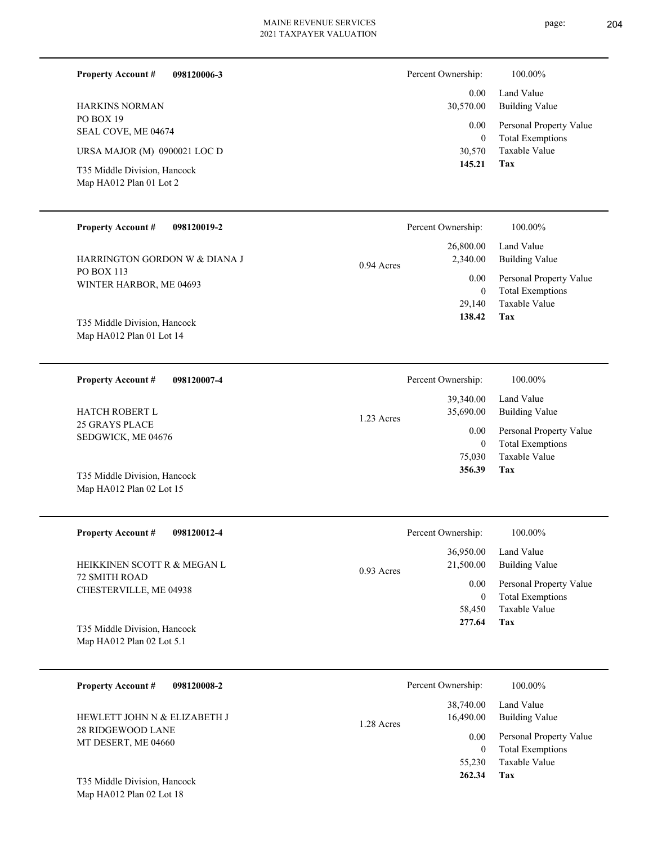| <b>Property Account #</b><br>098120006-3                 | Percent Ownership:                   | 100.00%                                            |
|----------------------------------------------------------|--------------------------------------|----------------------------------------------------|
| <b>HARKINS NORMAN</b>                                    | 0.00<br>30,570.00                    | Land Value<br><b>Building Value</b>                |
| PO BOX 19<br>SEAL COVE, ME 04674                         | 0.00<br>$\mathbf{0}$                 | Personal Property Value<br><b>Total Exemptions</b> |
| URSA MAJOR (M) 0900021 LOC D                             | 30,570                               | Taxable Value                                      |
| T35 Middle Division, Hancock<br>Map HA012 Plan 01 Lot 2  | 145.21                               | <b>Tax</b>                                         |
|                                                          |                                      |                                                    |
| <b>Property Account #</b><br>098120019-2                 | Percent Ownership:                   | 100.00%                                            |
| HARRINGTON GORDON W & DIANA J                            | 26,800.00<br>2,340.00                | Land Value<br><b>Building Value</b>                |
| <b>PO BOX 113</b>                                        | $0.94$ Acres                         |                                                    |
| WINTER HARBOR, ME 04693                                  | 0.00<br>$\overline{0}$               | Personal Property Value<br><b>Total Exemptions</b> |
|                                                          | 29,140                               | <b>Taxable Value</b>                               |
| T35 Middle Division, Hancock<br>Map HA012 Plan 01 Lot 14 | 138.42                               | <b>Tax</b>                                         |
|                                                          |                                      |                                                    |
| 098120007-4<br><b>Property Account #</b>                 | Percent Ownership:                   | 100.00%                                            |
| <b>HATCH ROBERT L</b>                                    | 39,340.00<br>35,690.00<br>1.23 Acres | Land Value<br><b>Building Value</b>                |
| 25 GRAYS PLACE<br>SEDGWICK, ME 04676                     | 0.00                                 | Personal Property Value                            |
|                                                          | $\boldsymbol{0}$<br>75,030           | <b>Total Exemptions</b><br>Taxable Value           |
| T35 Middle Division, Hancock                             | 356.39                               | Tax                                                |

| <b>Property Account #</b><br>098120012-4                    | Percent Ownership:                     | 100.00%                                            |
|-------------------------------------------------------------|----------------------------------------|----------------------------------------------------|
| HEIKKINEN SCOTT R & MEGAN L                                 | 36,950.00<br>21,500.00<br>$0.93$ Acres | Land Value<br>Building Value                       |
| <b>72 SMITH ROAD</b><br>CHESTERVILLE, ME 04938              | 0.00<br>$\bf{0}$                       | Personal Property Value<br><b>Total Exemptions</b> |
|                                                             | 58,450                                 | Taxable Value                                      |
| T35 Middle Division, Hancock<br>Map $HA012$ Plan 02 Lot 5.1 | 277.64                                 | Tax                                                |

| <b>Property Account #</b><br>098120008-2          | Percent Ownership:                           | 100.00%                                                 |
|---------------------------------------------------|----------------------------------------------|---------------------------------------------------------|
| HEWLETT JOHN N & ELIZABETH J<br>28 RIDGEWOOD LANE | 38,740.00<br>16,490.00<br>1.28 Acres<br>0.00 | Land Value<br>Building Value<br>Personal Property Value |
| MT DESERT, ME 04660                               | 0<br>55,230                                  | <b>Total Exemptions</b><br>Taxable Value                |
| T35 Middle Division, Hancock                      | 262.34                                       | Tax                                                     |

Map HA012 Plan 02 Lot 18

Map HA012 Plan 02 Lot 15

page: 204

÷.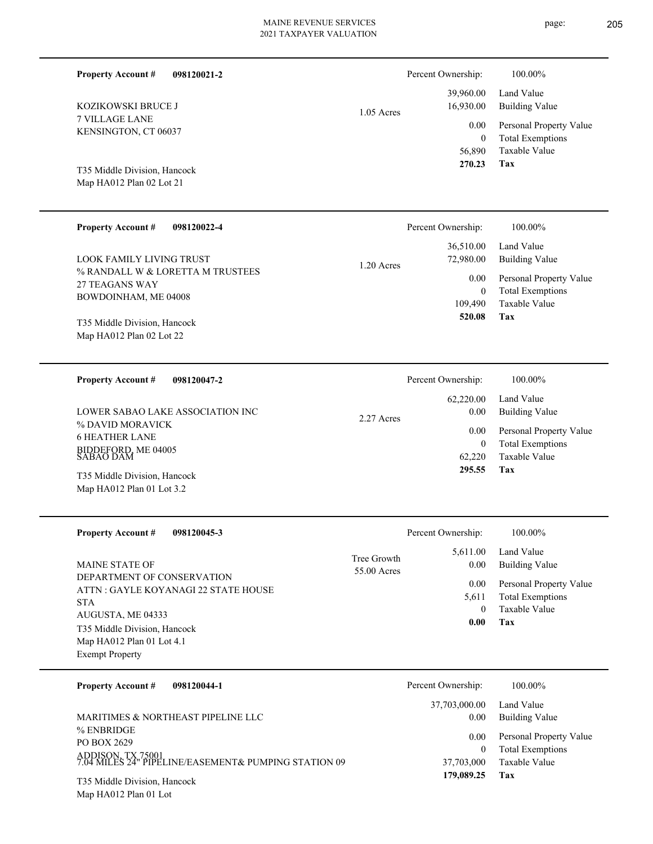page: 205

| <b>Property Account #</b><br>098120021-2                                                                                                      |                            | Percent Ownership:                       | 100.00%                                                                           |
|-----------------------------------------------------------------------------------------------------------------------------------------------|----------------------------|------------------------------------------|-----------------------------------------------------------------------------------|
| KOZIKOWSKI BRUCE J                                                                                                                            | $1.05$ Acres               | 39,960.00<br>16,930.00                   | Land Value<br><b>Building Value</b>                                               |
| 7 VILLAGE LANE<br>KENSINGTON, CT 06037<br>T35 Middle Division, Hancock<br>Map HA012 Plan 02 Lot 21                                            |                            | 0.00<br>$\mathbf{0}$<br>56,890<br>270.23 | Personal Property Value<br><b>Total Exemptions</b><br>Taxable Value<br>Tax        |
| <b>Property Account #</b><br>098120022-4                                                                                                      |                            | Percent Ownership:                       | 100.00%                                                                           |
| <b>LOOK FAMILY LIVING TRUST</b>                                                                                                               | 1.20 Acres                 | 36,510.00<br>72,980.00                   | Land Value<br><b>Building Value</b>                                               |
| % RANDALL W & LORETTA M TRUSTEES<br><b>27 TEAGANS WAY</b><br>BOWDOINHAM, ME 04008<br>T35 Middle Division, Hancock<br>Map HA012 Plan 02 Lot 22 |                            | 0.00<br>$\theta$<br>109,490<br>520.08    | Personal Property Value<br><b>Total Exemptions</b><br><b>Taxable Value</b><br>Tax |
| <b>Property Account #</b><br>098120047-2                                                                                                      |                            | Percent Ownership:                       | 100.00%                                                                           |
| LOWER SABAO LAKE ASSOCIATION INC<br>% DAVID MORAVICK                                                                                          | 2.27 Acres                 | 62,220.00<br>0.00                        | Land Value<br><b>Building Value</b>                                               |
| <b>6 HEATHER LANE</b><br>BIDDEFORD, ME 04005<br>SABAO DAM                                                                                     |                            | 0.00<br>$\mathbf{0}$<br>62,220           | Personal Property Value<br><b>Total Exemptions</b><br><b>Taxable Value</b>        |
| T35 Middle Division, Hancock<br>Map HA012 Plan 01 Lot 3.2                                                                                     |                            | 295.55                                   | Tax                                                                               |
| <b>Property Account #</b><br>098120045-3                                                                                                      |                            | Percent Ownership:                       | 100.00%                                                                           |
| MAINE STATE OF                                                                                                                                | Tree Growth<br>55.00 Acres | 5,611.00<br>0.00                         | Land Value<br><b>Building Value</b>                                               |
| DEPARTMENT OF CONSERVATION<br>ATTN : GAYLE KOYANAGI 22 STATE HOUSE<br><b>STA</b><br>AUGUSTA, ME 04333<br>T35 Middle Division, Hancock         |                            | 0.00<br>5,611<br>$\mathbf{0}$<br>0.00    | Personal Property Value<br><b>Total Exemptions</b><br>Taxable Value<br><b>Tax</b> |

| 098120044-1<br><b>Property Account #</b>                                                               | Percent Ownership:      | 100.00%                                                             |
|--------------------------------------------------------------------------------------------------------|-------------------------|---------------------------------------------------------------------|
|                                                                                                        | 37,703,000.00           | Land Value                                                          |
| MARITIMES & NORTHEAST PIPELINE LLC                                                                     | 0.00                    | Building Value                                                      |
| % ENBRIDGE<br>PO BOX 2629<br>ADDISON, TX 75001<br>7.04 MILES 24" PIPELINE/EASEMENT& PUMPING STATION 09 | 0.00<br>0<br>37,703,000 | Personal Property Value<br><b>Total Exemptions</b><br>Taxable Value |
| T35 Middle Division, Hancock                                                                           | 179,089.25              | Tax                                                                 |

Map HA012 Plan 01 Lot

Map HA012 Plan 01 Lot 4.1

Exempt Property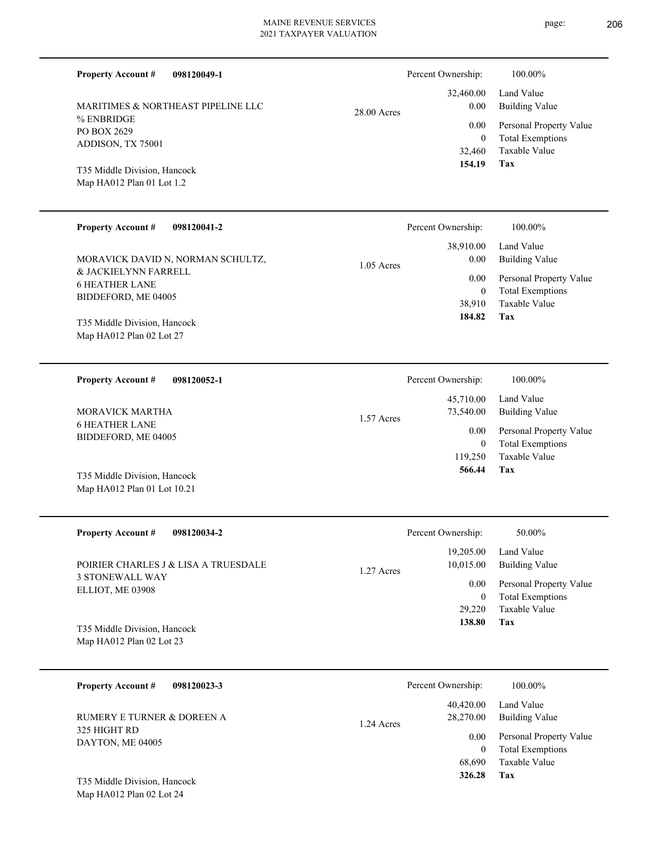page: 206

| <b>Property Account #</b>                                 | 098120049-1                                                            |              | Percent Ownership:       | 100.00%                                            |
|-----------------------------------------------------------|------------------------------------------------------------------------|--------------|--------------------------|----------------------------------------------------|
|                                                           | MARITIMES & NORTHEAST PIPELINE LLC                                     | 28.00 Acres  | 32,460.00<br>0.00        | Land Value<br><b>Building Value</b>                |
| % ENBRIDGE<br>PO BOX 2629                                 |                                                                        |              | 0.00                     | Personal Property Value                            |
| ADDISON, TX 75001                                         |                                                                        |              | $\overline{0}$<br>32,460 | <b>Total Exemptions</b><br>Taxable Value           |
| T35 Middle Division, Hancock<br>Map HA012 Plan 01 Lot 1.2 |                                                                        |              | 154.19                   | Tax                                                |
| <b>Property Account #</b>                                 | 098120041-2                                                            |              | Percent Ownership:       | 100.00%                                            |
|                                                           |                                                                        |              | 38,910.00                | Land Value                                         |
| & JACKIELYNN FARRELL                                      | MORAVICK DAVID N, NORMAN SCHULTZ,                                      | $1.05$ Acres | 0.00                     | <b>Building Value</b>                              |
| <b>6 HEATHER LANE</b>                                     |                                                                        |              | 0.00<br>$\mathbf{0}$     | Personal Property Value<br><b>Total Exemptions</b> |
| BIDDEFORD, ME 04005                                       |                                                                        |              | 38,910                   | Taxable Value                                      |
| T35 Middle Division, Hancock                              |                                                                        |              | 184.82                   | Tax                                                |
| Map HA012 Plan 02 Lot 27                                  |                                                                        |              |                          |                                                    |
| <b>Property Account #</b>                                 | 098120052-1                                                            |              | Percent Ownership:       | 100.00%                                            |
|                                                           | MORAVICK MARTHA<br>BIDDEFORD, ME 04005<br>T35 Middle Division, Hancock |              | 45,710.00<br>73,540.00   | Land Value<br><b>Building Value</b>                |
| <b>6 HEATHER LANE</b>                                     |                                                                        | 1.57 Acres   | 0.00                     | Personal Property Value                            |
|                                                           |                                                                        |              | $\mathbf{0}$<br>119,250  | <b>Total Exemptions</b><br>Taxable Value           |
|                                                           |                                                                        |              | 566.44                   | Tax                                                |
| Map HA012 Plan 01 Lot 10.21                               |                                                                        |              |                          |                                                    |
|                                                           |                                                                        |              |                          |                                                    |
| <b>Property Account #</b>                                 | 098120034-2                                                            |              | Percent Ownership:       | 50.00%                                             |
|                                                           |                                                                        |              | 19,205.00                | Land Value                                         |
| <b>3 STONEWALL WAY</b>                                    | POIRIER CHARLES J & LISA A TRUESDALE                                   | 1.27 Acres   | 10,015.00                | <b>Building Value</b>                              |
| ELLIOT, ME 03908                                          |                                                                        |              | $0.00\,$<br>$\mathbf{0}$ | Personal Property Value<br><b>Total Exemptions</b> |
|                                                           |                                                                        |              | 29,220                   | Taxable Value                                      |
| T35 Middle Division, Hancock                              |                                                                        |              | 138.80                   | Tax                                                |
| Map HA012 Plan 02 Lot 23                                  |                                                                        |              |                          |                                                    |
| <b>Property Account #</b>                                 | 098120023-3                                                            |              | Percent Ownership:       | 100.00%                                            |
| RUMERY E TURNER & DOREEN A                                |                                                                        | 1.24 Acres   | 40,420.00<br>28,270.00   | Land Value<br><b>Building Value</b>                |
| 325 HIGHT RD<br>DAYTON, ME 04005                          |                                                                        |              | $0.00\,$                 | Personal Property Value                            |
|                                                           |                                                                        |              | $\overline{0}$<br>68,690 | <b>Total Exemptions</b><br>Taxable Value           |
| T35 Middle Division, Hancock                              |                                                                        |              | 326.28                   | Tax                                                |
| Map HA012 Plan 02 Lot 24                                  |                                                                        |              |                          |                                                    |
|                                                           |                                                                        |              |                          |                                                    |
|                                                           |                                                                        |              |                          |                                                    |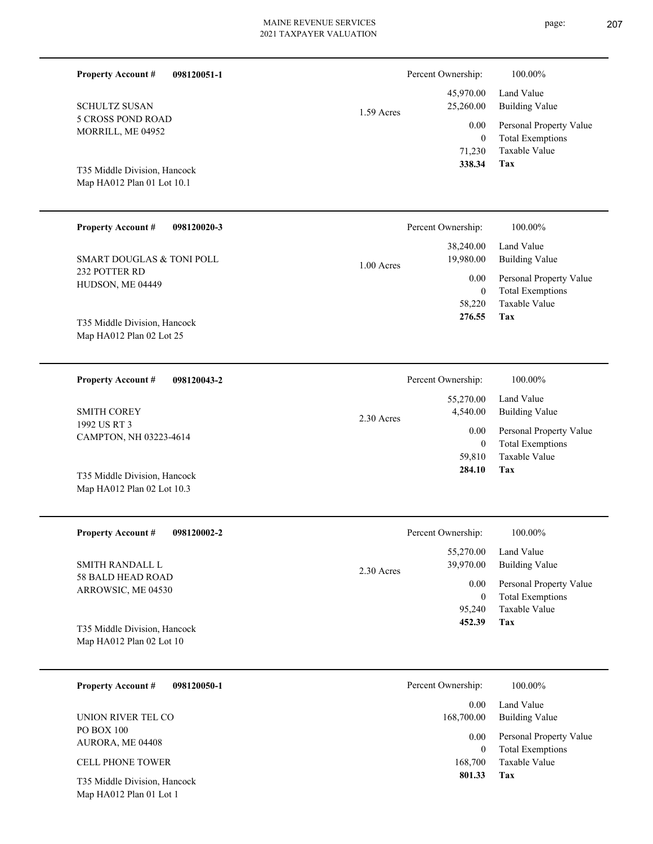| <b>Property Account #</b><br>098120051-1                 |              | Percent Ownership:                   | 100.00%                                                                    |
|----------------------------------------------------------|--------------|--------------------------------------|----------------------------------------------------------------------------|
| <b>SCHULTZ SUSAN</b>                                     | $1.59$ Acres | 45,970.00<br>25,260.00               | Land Value<br><b>Building Value</b>                                        |
| 5 CROSS POND ROAD<br>MORRILL, ME 04952                   |              | 0.00<br>$\overline{0}$<br>71,230     | Personal Property Value<br><b>Total Exemptions</b><br><b>Taxable Value</b> |
| T35 Middle Division, Hancock                             |              | 338.34                               | <b>Tax</b>                                                                 |
| Map HA012 Plan 01 Lot 10.1                               |              |                                      |                                                                            |
| <b>Property Account #</b><br>098120020-3                 |              | Percent Ownership:                   | 100.00%                                                                    |
| <b>SMART DOUGLAS &amp; TONI POLL</b>                     | 1.00 Acres   | 38,240.00<br>19,980.00               | Land Value<br><b>Building Value</b>                                        |
| 232 POTTER RD<br>HUDSON, ME 04449                        |              | 0.00<br>$\theta$                     | Personal Property Value<br><b>Total Exemptions</b>                         |
|                                                          |              | 58,220<br>276.55                     | Taxable Value<br>Tax                                                       |
| T35 Middle Division, Hancock<br>Map HA012 Plan 02 Lot 25 |              |                                      |                                                                            |
|                                                          |              |                                      |                                                                            |
| <b>Property Account #</b><br>098120043-2                 |              | Percent Ownership:                   | 100.00%                                                                    |
| <b>SMITH COREY</b>                                       | $2.30$ Acres | 55,270.00<br>4,540.00                | Land Value<br><b>Building Value</b>                                        |
| 1992 US RT 3<br>CAMPTON, NH 03223-4614                   |              | $0.00\,$<br>$\theta$                 | Personal Property Value<br><b>Total Exemptions</b>                         |
| T35 Middle Division, Hancock                             |              | 59,810<br>284.10                     | Taxable Value<br>Tax                                                       |
| Map HA012 Plan 02 Lot 10.3                               |              |                                      |                                                                            |
| <b>Property Account #</b><br>098120002-2                 |              | Percent Ownership:                   | 100.00%                                                                    |
| SMITH RANDALL L                                          |              | 55,270.00<br>39,970.00               | Land Value<br><b>Building Value</b>                                        |
| <b>58 BALD HEAD ROAD</b><br>ARROWSIC, ME 04530           | $2.30$ Acres | 0.00                                 | Personal Property Value                                                    |
|                                                          |              | $\boldsymbol{0}$<br>95,240<br>452.39 | <b>Total Exemptions</b><br>Taxable Value<br>Tax                            |
| T35 Middle Division, Hancock<br>Map HA012 Plan 02 Lot 10 |              |                                      |                                                                            |
| <b>Property Account #</b><br>098120050-1                 |              | Percent Ownership:                   | 100.00%                                                                    |
| UNION RIVER TEL CO                                       |              | 0.00<br>168,700.00                   | Land Value<br><b>Building Value</b>                                        |
| PO BOX 100<br>AURORA, ME 04408                           |              | 0.00                                 | Personal Property Value                                                    |
| CELL PHONE TOWER                                         |              | $\mathbf{0}$<br>168,700              | <b>Total Exemptions</b><br>Taxable Value                                   |
| T35 Middle Division, Hancock                             |              | 801.33                               | Tax                                                                        |

Map HA012 Plan 01 Lot 1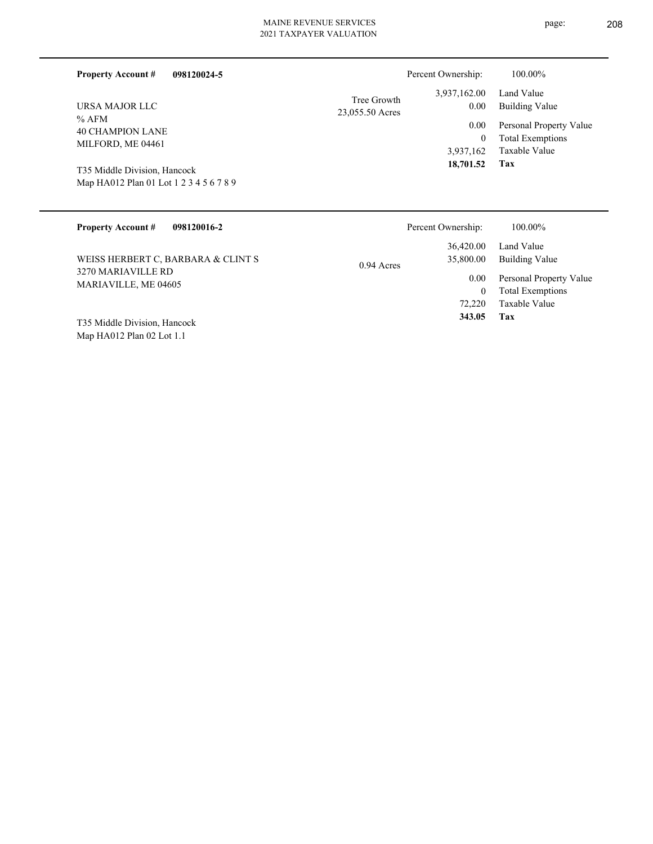|  | $2021$ 11 MM TV ERV TILOTVI |  |
|--|-----------------------------|--|
|  |                             |  |
|  |                             |  |
|  |                             |  |
|  |                             |  |

| 098120024-5<br><b>Property Account #</b>                                                                                                             | Percent Ownership:                                                                            | 100.00%                                                                                                           |
|------------------------------------------------------------------------------------------------------------------------------------------------------|-----------------------------------------------------------------------------------------------|-------------------------------------------------------------------------------------------------------------------|
| URSA MAJOR LLC<br>$%$ AFM<br><b>40 CHAMPION LANE</b><br>MILFORD, ME 04461<br>T35 Middle Division, Hancock<br>Map HA012 Plan 01 Lot 1 2 3 4 5 6 7 8 9 | 3,937,162.00<br>Tree Growth<br>0.00<br>23,055.50 Acres<br>0.00<br>0<br>3,937,162<br>18,701.52 | Land Value<br><b>Building Value</b><br>Personal Property Value<br><b>Total Exemptions</b><br>Taxable Value<br>Tax |
| <b>Property Account #</b><br>098120016-2                                                                                                             | Percent Ownership:                                                                            | 100.00%                                                                                                           |
| WEISS HERBERT C, BARBARA & CLINT S                                                                                                                   | 36,420.00<br>35,800.00<br>$0.04 \text{ A}$                                                    | Land Value<br><b>Building Value</b>                                                                               |

| WEISS HERBERT C, BARBARA & CLINT S | $0.94$ Acres |
|------------------------------------|--------------|
| 3270 MARIAVILLE RD                 |              |
| MARIAVILLE, ME 04605               |              |
|                                    |              |
|                                    |              |

Map HA012 Plan 02 Lot 1.1 T35 Middle Division, Hancock **Tax**

 72,220  $\mathbf{0}$ 

 **343.05**

Taxable Value Total Exemptions 0.00 Personal Property Value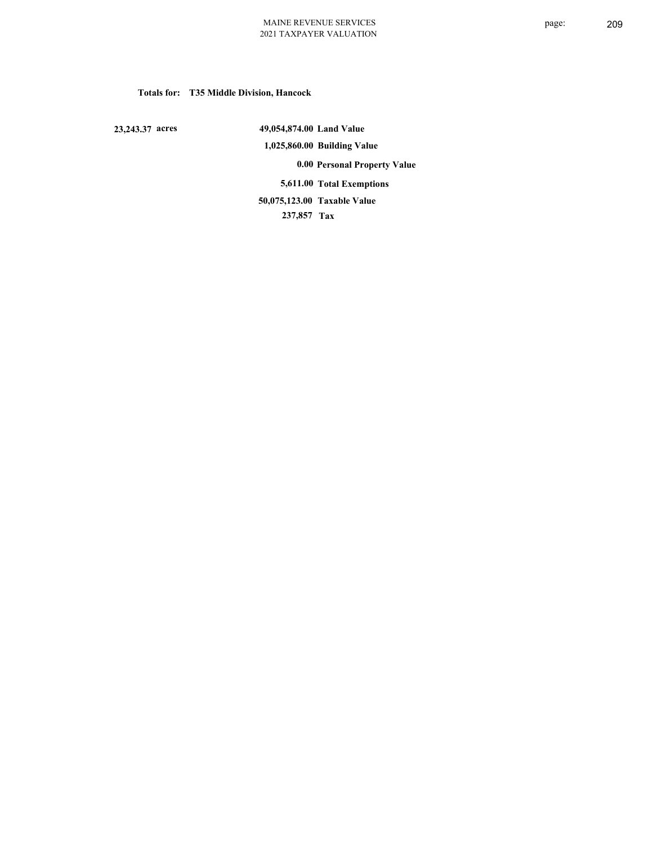# **Totals for: T35 Middle Division, Hancock**

 **23,243.37 acres**

 **49,054,874.00 Land Value 1,025,860.00 Building Value 0.00 Personal Property Value 5,611.00 Total Exemptions 237,857 Tax Taxable Value 50,075,123.00**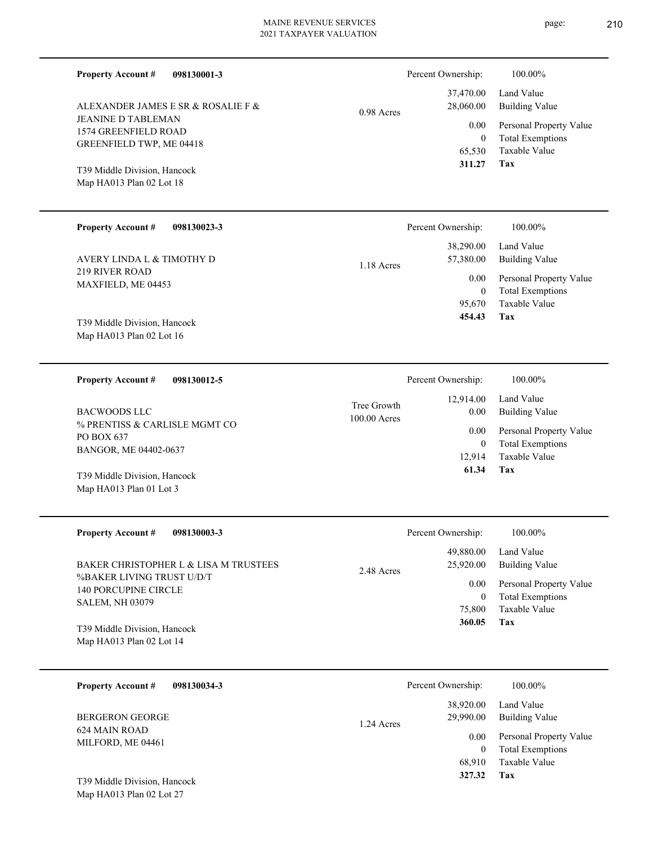|                                                                                    | 2021 TAALATER VALUATION     |                                              |                                                                                   |  |
|------------------------------------------------------------------------------------|-----------------------------|----------------------------------------------|-----------------------------------------------------------------------------------|--|
| <b>Property Account #</b><br>098130001-3                                           |                             | Percent Ownership:                           | 100.00%                                                                           |  |
| ALEXANDER JAMES E SR & ROSALIE F &                                                 | 0.98 Acres                  | 37,470.00<br>28,060.00                       | Land Value<br><b>Building Value</b>                                               |  |
| <b>JEANINE D TABLEMAN</b><br>1574 GREENFIELD ROAD<br>GREENFIELD TWP, ME 04418      |                             | 0.00<br>$\boldsymbol{0}$<br>65,530<br>311.27 | Personal Property Value<br><b>Total Exemptions</b><br><b>Taxable Value</b><br>Tax |  |
| T39 Middle Division, Hancock<br>Map HA013 Plan 02 Lot 18                           |                             |                                              |                                                                                   |  |
| <b>Property Account #</b><br>098130023-3                                           |                             | Percent Ownership:                           | 100.00%                                                                           |  |
| AVERY LINDA L & TIMOTHY D                                                          | 1.18 Acres                  | 38,290.00<br>57,380.00                       | Land Value<br><b>Building Value</b>                                               |  |
| 219 RIVER ROAD<br>MAXFIELD, ME 04453                                               |                             | 0.00<br>$\boldsymbol{0}$<br>95,670           | Personal Property Value<br><b>Total Exemptions</b><br>Taxable Value               |  |
| T39 Middle Division, Hancock<br>Map HA013 Plan 02 Lot 16                           |                             | 454.43                                       | Tax                                                                               |  |
| <b>Property Account #</b><br>098130012-5                                           |                             | Percent Ownership:                           | 100.00%                                                                           |  |
| <b>BACWOODS LLC</b>                                                                | Tree Growth<br>100.00 Acres | 12,914.00<br>0.00                            | Land Value<br><b>Building Value</b>                                               |  |
| % PRENTISS & CARLISLE MGMT CO<br>PO BOX 637<br>BANGOR, ME 04402-0637               |                             | 0.00<br>$\boldsymbol{0}$<br>12,914           | Personal Property Value<br><b>Total Exemptions</b><br><b>Taxable Value</b>        |  |
| T39 Middle Division, Hancock<br>Map HA013 Plan 01 Lot 3                            |                             | 61.34                                        | Tax                                                                               |  |
| <b>Property Account #</b><br>098130003-3                                           |                             | Percent Ownership:                           | 100.00%                                                                           |  |
| BAKER CHRISTOPHER L & LISA M TRUSTEES                                              | 2.48 Acres                  | 49,880.00<br>25,920.00                       | Land Value<br><b>Building Value</b>                                               |  |
| %BAKER LIVING TRUST U/D/T<br><b>140 PORCUPINE CIRCLE</b><br><b>SALEM, NH 03079</b> |                             | 0.00<br>$\boldsymbol{0}$<br>75,800           | Personal Property Value<br><b>Total Exemptions</b><br>Taxable Value               |  |
| T39 Middle Division, Hancock<br>Map HA013 Plan 02 Lot 14                           |                             | 360.05                                       | <b>Tax</b>                                                                        |  |
| <b>Property Account #</b><br>098130034-3                                           |                             | Percent Ownership:                           | 100.00%                                                                           |  |

624 MAIN ROAD MILFORD, ME 04461 BERGERON GEORGE

Map HA013 Plan 02 Lot 27 T39 Middle Division, Hancock page: 210

|            | Percent Ownership: | 100.00%                 |
|------------|--------------------|-------------------------|
|            | 38,920.00          | Land Value              |
| 1.24 Acres | 29,990.00          | <b>Building Value</b>   |
|            | 0.00               | Personal Property Value |
|            | 0                  | <b>Total Exemptions</b> |
|            | 68,910             | Taxable Value           |
|            | 327.32             | Tax                     |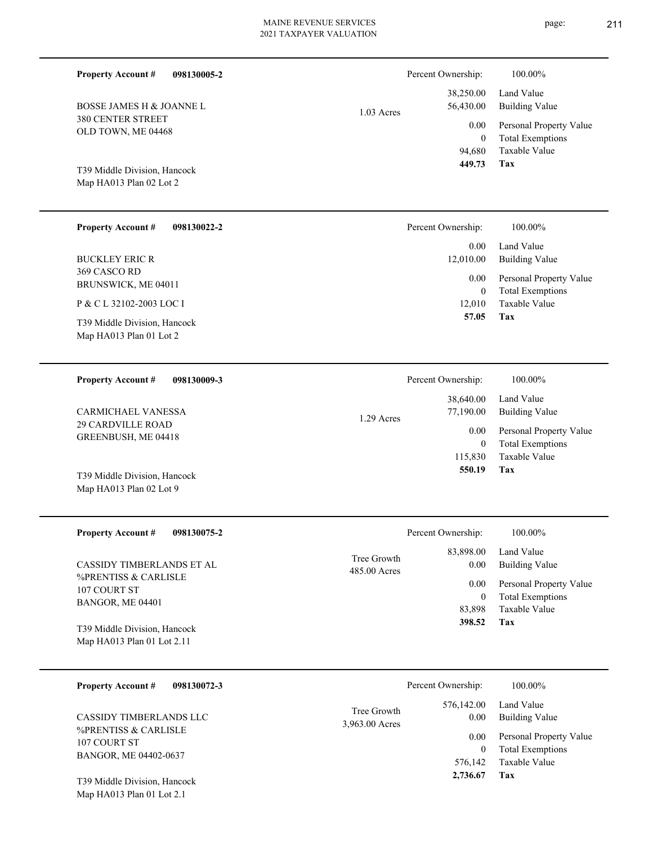| <b>Property Account #</b><br>098130005-2                        |                               | Percent Ownership:                 | 100.00%                                                             |
|-----------------------------------------------------------------|-------------------------------|------------------------------------|---------------------------------------------------------------------|
| BOSSE JAMES H & JOANNE L                                        | $1.03$ Acres                  | 38,250.00<br>56,430.00             | Land Value<br><b>Building Value</b>                                 |
| <b>380 CENTER STREET</b><br>OLD TOWN, ME 04468                  |                               | 0.00<br>$\mathbf{0}$<br>94,680     | Personal Property Value<br><b>Total Exemptions</b><br>Taxable Value |
| T39 Middle Division, Hancock<br>Map HA013 Plan 02 Lot 2         |                               | 449.73                             | <b>Tax</b>                                                          |
| <b>Property Account #</b><br>098130022-2                        |                               | Percent Ownership:                 | 100.00%                                                             |
| <b>BUCKLEY ERIC R</b>                                           |                               | 0.00<br>12,010.00                  | Land Value<br><b>Building Value</b>                                 |
| 369 CASCO RD<br>BRUNSWICK, ME 04011<br>P & C L 32102-2003 LOC I |                               | 0.00<br>$\mathbf{0}$               | Personal Property Value<br><b>Total Exemptions</b><br>Taxable Value |
| T39 Middle Division, Hancock<br>Map HA013 Plan 01 Lot 2         |                               | 12,010<br>57.05                    | Tax                                                                 |
| <b>Property Account #</b><br>098130009-3                        |                               | Percent Ownership:                 | 100.00%                                                             |
| CARMICHAEL VANESSA                                              | 1.29 Acres                    | 38,640.00<br>77,190.00             | Land Value<br><b>Building Value</b>                                 |
| <b>29 CARDVILLE ROAD</b><br>GREENBUSH, ME 04418                 |                               | 0.00<br>$\mathbf{0}$<br>115,830    | Personal Property Value<br><b>Total Exemptions</b><br>Taxable Value |
| T39 Middle Division, Hancock<br>Map HA013 Plan 02 Lot 9         |                               | 550.19                             | Tax                                                                 |
| <b>Property Account #</b><br>098130075-2                        |                               | Percent Ownership:                 | 100.00%                                                             |
| CASSIDY TIMBERLANDS ET AL                                       | Tree Growth<br>485.00 Acres   | 83,898.00<br>0.00                  | Land Value<br><b>Building Value</b>                                 |
| %PRENTISS & CARLISLE<br>107 COURT ST<br>BANGOR, ME 04401        |                               | 0.00<br>$\boldsymbol{0}$<br>83,898 | Personal Property Value<br><b>Total Exemptions</b><br>Taxable Value |
| T39 Middle Division, Hancock<br>Map HA013 Plan 01 Lot 2.11      |                               | 398.52                             | Tax                                                                 |
| <b>Property Account #</b><br>098130072-3                        |                               | Percent Ownership:                 | 100.00%                                                             |
| CASSIDY TIMBERLANDS LLC                                         | Tree Growth<br>3,963.00 Acres | 576,142.00<br>0.00                 | Land Value<br><b>Building Value</b>                                 |
| %PRENTISS & CARLISLE<br>107 COURT ST<br>BANGOR, ME 04402-0637   |                               | 0.00<br>$\overline{0}$             | Personal Property Value<br><b>Total Exemptions</b><br>Taxable Value |
| T39 Middle Division, Hancock                                    |                               | 576,142<br>2,736.67                | Tax                                                                 |

Map HA013 Plan 01 Lot 2.1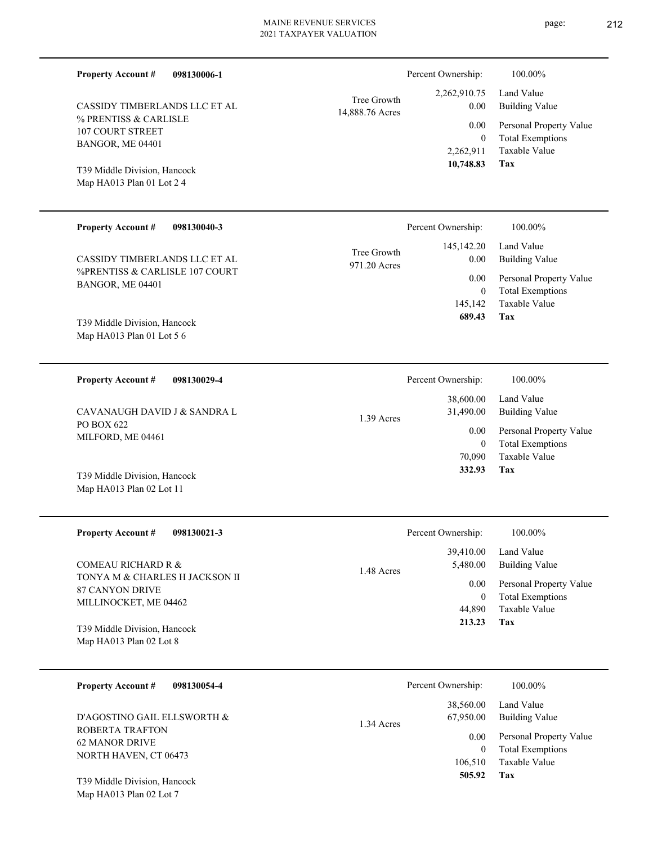| <b>Property Account #</b><br>098130006-1                  |                                | Percent Ownership:                  | 100.00%                                            |
|-----------------------------------------------------------|--------------------------------|-------------------------------------|----------------------------------------------------|
| CASSIDY TIMBERLANDS LLC ET AL                             | Tree Growth<br>14,888.76 Acres | 2,262,910.75<br>0.00                | Land Value<br><b>Building Value</b>                |
| % PRENTISS & CARLISLE<br>107 COURT STREET                 |                                | 0.00<br>$\theta$                    | Personal Property Value<br><b>Total Exemptions</b> |
| BANGOR, ME 04401                                          |                                | 2,262,911                           | <b>Taxable Value</b>                               |
| T39 Middle Division, Hancock<br>Map HA013 Plan 01 Lot 2 4 |                                | 10,748.83                           | Tax                                                |
| <b>Property Account #</b><br>098130040-3                  |                                | Percent Ownership:                  | 100.00%                                            |
| CASSIDY TIMBERLANDS LLC ET AL                             | Tree Growth<br>971.20 Acres    | 145, 142. 20<br>0.00                | Land Value<br><b>Building Value</b>                |
| %PRENTISS & CARLISLE 107 COURT<br>BANGOR, ME 04401        |                                | 0.00                                | Personal Property Value                            |
| T39 Middle Division, Hancock                              |                                | $\overline{0}$<br>145,142<br>689.43 | <b>Total Exemptions</b><br>Taxable Value<br>Tax    |
| Map HA013 Plan 01 Lot 5 6                                 |                                |                                     |                                                    |
| <b>Property Account #</b><br>098130029-4                  |                                | Percent Ownership:                  | 100.00%                                            |
| CAVANAUGH DAVID J & SANDRA L                              | 1.39 Acres                     | 38,600.00<br>31,490.00              | Land Value<br><b>Building Value</b>                |
| PO BOX 622<br>MILFORD, ME 04461                           |                                | 0.00<br>$\overline{0}$              | Personal Property Value<br><b>Total Exemptions</b> |
|                                                           |                                | 70,090<br>332.93                    | <b>Taxable Value</b><br>Tax                        |
| T39 Middle Division, Hancock<br>Map HA013 Plan 02 Lot 11  |                                |                                     |                                                    |
| <b>Property Account #</b><br>098130021-3                  |                                | Percent Ownership:                  | 100.00%                                            |
| <b>COMEAU RICHARD R &amp;</b>                             | 1.48 Acres                     | 39,410.00<br>5,480.00               | Land Value<br><b>Building Value</b>                |
| TONYA M & CHARLES H JACKSON II<br>87 CANYON DRIVE         |                                | 0.00                                | Personal Property Value                            |
| MILLINOCKET, ME 04462                                     |                                | $\mathbf{0}$<br>44,890              | <b>Total Exemptions</b><br>Taxable Value           |
| T39 Middle Division, Hancock<br>Map HA013 Plan 02 Lot 8   |                                | 213.23                              | Tax                                                |
| <b>Property Account #</b><br>098130054-4                  |                                | Percent Ownership:                  | 100.00%                                            |
| D'AGOSTINO GAIL ELLSWORTH &                               |                                | 38,560.00<br>67,950.00              | Land Value<br><b>Building Value</b>                |
| ROBERTA TRAFTON<br><b>62 MANOR DRIVE</b>                  | 1.34 Acres                     | 0.00                                | Personal Property Value                            |
| NORTH HAVEN, CT 06473                                     |                                | $\mathbf{0}$<br>106,510             | <b>Total Exemptions</b><br>Taxable Value           |
| T39 Middle Division, Hancock                              |                                | 505.92                              | Tax                                                |

Map HA013 Plan 02 Lot 7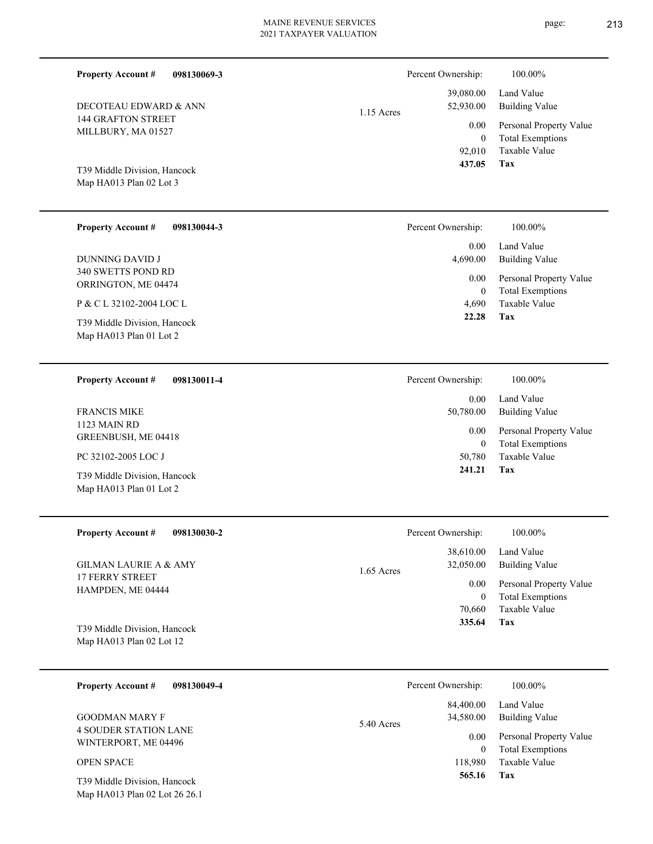| <b>Property Account #</b><br>098130069-3<br>DECOTEAU EDWARD & ANN                   | Percent Ownership:<br>39,080.00<br>52,930.00   | 100.00%<br>Land Value<br><b>Building Value</b>                             |
|-------------------------------------------------------------------------------------|------------------------------------------------|----------------------------------------------------------------------------|
| <b>144 GRAFTON STREET</b><br>MILLBURY, MA 01527                                     | $1.15$ Acres<br>0.00<br>$\mathbf{0}$<br>92,010 | Personal Property Value<br><b>Total Exemptions</b><br>Taxable Value        |
| T39 Middle Division, Hancock<br>Map HA013 Plan 02 Lot 3                             | 437.05                                         | Tax                                                                        |
| <b>Property Account #</b><br>098130044-3                                            | Percent Ownership:                             | 100.00%                                                                    |
| <b>DUNNING DAVID J</b>                                                              | 0.00<br>4,690.00                               | Land Value<br><b>Building Value</b>                                        |
| 340 SWETTS POND RD<br>ORRINGTON, ME 04474                                           | 0.00<br>$\overline{0}$                         | Personal Property Value<br><b>Total Exemptions</b>                         |
| P & C L 32102-2004 LOC L<br>T39 Middle Division, Hancock<br>Map HA013 Plan 01 Lot 2 | 4,690<br>22.28                                 | Taxable Value<br>Tax                                                       |
| <b>Property Account #</b><br>098130011-4                                            | Percent Ownership:                             | 100.00%                                                                    |
| <b>FRANCIS MIKE</b>                                                                 | 0.00<br>50,780.00                              | Land Value<br><b>Building Value</b>                                        |
| 1123 MAIN RD<br>GREENBUSH, ME 04418                                                 | 0.00<br>$\overline{0}$                         | Personal Property Value<br><b>Total Exemptions</b>                         |
| PC 32102-2005 LOC J<br>T39 Middle Division, Hancock                                 | 50,780<br>241.21                               | Taxable Value<br>Tax                                                       |
| Map HA013 Plan 01 Lot 2                                                             |                                                |                                                                            |
| 098130030-2<br><b>Property Account #</b>                                            | Percent Ownership:                             | 100.00%                                                                    |
| <b>GILMAN LAURIE A &amp; AMY</b>                                                    | 38,610.00<br>32,050.00<br>1.65 Acres           | Land Value<br><b>Building Value</b>                                        |
| <b>17 FERRY STREET</b><br>HAMPDEN, ME 04444                                         | 0.00<br>$\overline{0}$<br>70,660<br>335.64     | Personal Property Value<br><b>Total Exemptions</b><br>Taxable Value<br>Tax |
| T39 Middle Division, Hancock<br>Map HA013 Plan 02 Lot 12                            |                                                |                                                                            |
| <b>Property Account #</b><br>098130049-4                                            | Percent Ownership:                             | 100.00%                                                                    |
| <b>GOODMAN MARY F</b>                                                               | 84,400.00<br>34,580.00<br>5.40 Acres           | Land Value<br><b>Building Value</b>                                        |
| <b>4 SOUDER STATION LANE</b><br>WINTERPORT, ME 04496                                | 0.00<br>$\overline{0}$                         | Personal Property Value<br><b>Total Exemptions</b>                         |
| OPEN SPACE<br>T39 Middle Division, Hancock<br>Map HA013 Plan 02 Lot 26 26.1         | 118,980<br>565.16                              | Taxable Value<br>Tax                                                       |
|                                                                                     |                                                |                                                                            |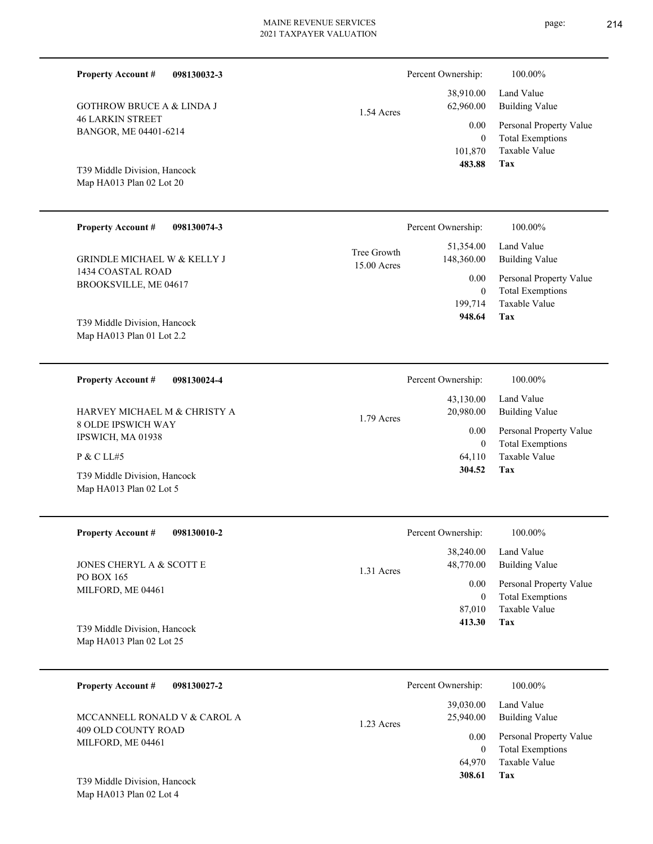| <b>Property Account #</b>                        | 098130032-3 |             | Percent Ownership: | 100.00%                 |
|--------------------------------------------------|-------------|-------------|--------------------|-------------------------|
|                                                  |             |             | 38,910.00          | Land Value              |
| <b>GOTHROW BRUCE A &amp; LINDA J</b>             |             | 1.54 Acres  | 62,960.00          | <b>Building Value</b>   |
| <b>46 LARKIN STREET</b>                          |             |             | 0.00               | Personal Property Value |
| BANGOR, ME 04401-6214                            |             |             | $\theta$           | <b>Total Exemptions</b> |
|                                                  |             |             | 101,870            | Taxable Value           |
| T39 Middle Division, Hancock                     |             |             | 483.88             | Tax                     |
| Map HA013 Plan 02 Lot 20                         |             |             |                    |                         |
|                                                  |             |             |                    |                         |
| <b>Property Account #</b>                        | 098130074-3 |             | Percent Ownership: | 100.00%                 |
|                                                  |             | Tree Growth | 51,354.00          | Land Value              |
| <b>GRINDLE MICHAEL W &amp; KELLY J</b>           |             | 15.00 Acres | 148,360.00         | <b>Building Value</b>   |
| 1434 COASTAL ROAD                                |             |             | 0.00               | Personal Property Value |
| BROOKSVILLE, ME 04617                            |             |             | $\theta$           | <b>Total Exemptions</b> |
|                                                  |             |             | 199,714            | <b>Taxable Value</b>    |
| T39 Middle Division, Hancock                     |             |             | 948.64             | <b>Tax</b>              |
| Map HA013 Plan 01 Lot 2.2                        |             |             |                    |                         |
|                                                  |             |             |                    |                         |
| <b>Property Account #</b>                        | 098130024-4 |             | Percent Ownership: | 100.00%                 |
|                                                  |             |             | 43,130.00          | Land Value              |
| HARVEY MICHAEL M & CHRISTY A                     |             | 1.79 Acres  | 20,980.00          | <b>Building Value</b>   |
| <b>8 OLDE IPSWICH WAY</b><br>IDCUILCHE MAA 01020 |             |             | 0.00               | Personal Property Value |

IPSWICH, MA 01938 P & C LL#5

Map HA013 Plan 02 Lot 5 T39 Middle Division, Hancock

| <b>Property Account #</b> | 098130010-2 |
|---------------------------|-------------|
|                           |             |

PO BOX 165 MILFORD, ME 04461 JONES CHERYL A & SCOTT E

Map HA013 Plan 02 Lot 25 T39 Middle Division, Hancock

| 098130027-2<br><b>Property Account #</b> | Percent Ownership:                   | 100.00%                                            |
|------------------------------------------|--------------------------------------|----------------------------------------------------|
| MCCANNELL RONALD V & CAROL A             | 39,030.00<br>25,940.00<br>1.23 Acres | Land Value<br><b>Building Value</b>                |
| 409 OLD COUNTY ROAD<br>MILFORD, ME 04461 | 0.00<br>$\overline{0}$               | Personal Property Value<br><b>Total Exemptions</b> |
| T39 Middle Division, Hancock             | 64.970<br>308.61                     | Taxable Value<br>Tax                               |

1.31 Acres

Map HA013 Plan 02 Lot 4

Taxable Value Total Exemptions Personal Property Value

Building Value Land Value

**Tax**

**Tax**

 64,110 0

 **304.52**

 87,010 0

0.00

Percent Ownership:  $100.00\%$ 

 38,240.00 48,770.00

 **413.30**

Taxable Value Total Exemptions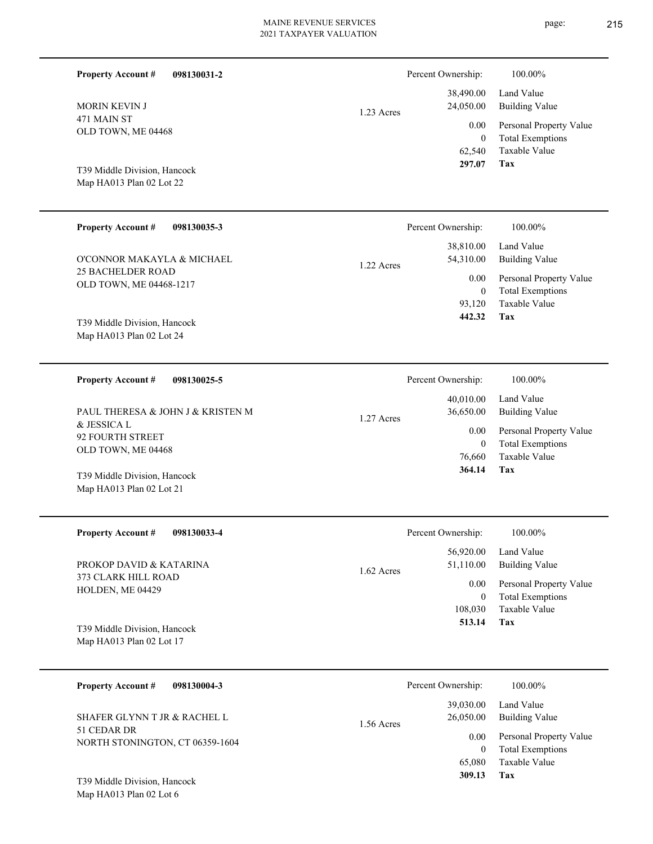| 098130031-2<br><b>Property Account #</b> | Percent Ownership:      | 100.00%                 |
|------------------------------------------|-------------------------|-------------------------|
|                                          | 38,490.00               | Land Value              |
| <b>MORIN KEVIN J</b>                     | 24,050.00<br>1.23 Acres | <b>Building Value</b>   |
| 471 MAIN ST                              | 0.00                    | Personal Property Value |
| OLD TOWN, ME 04468                       | $\mathbf{0}$            | <b>Total Exemptions</b> |
|                                          | 62,540                  | Taxable Value           |
| T39 Middle Division, Hancock             | 297.07                  | Tax                     |
| Map HA013 Plan 02 Lot 22                 |                         |                         |
|                                          |                         |                         |
| <b>Property Account #</b><br>098130035-3 | Percent Ownership:      | 100.00%                 |
|                                          | 38,810.00               | Land Value              |
| O'CONNOR MAKAYLA & MICHAEL               | 54,310.00<br>1.22.1     | Building Value          |

1.22 Acres

1.27 Acres

25 BACHELDER ROAD OLD TOWN, ME 04468-1217 O'CONNOR MAKAYLA & MICHAEL

Map HA013 Plan 02 Lot 24 T39 Middle Division, Hancock

**098130025-5 Property Account #**

& JESSICA L 92 FOURTH STREET OLD TOWN, ME 04468 PAUL THERESA & JOHN J & KRISTEN M

Map HA013 Plan 02 Lot 21 T39 Middle Division, Hancock

**098130033-4 Property Account #**

373 CLARK HILL ROAD HOLDEN, ME 04429 PROKOP DAVID & KATARINA

Map HA013 Plan 02 Lot 17 T39 Middle Division, Hancock

| 098130004-3<br><b>Property Account #</b>                                       | Percent Ownership:                   | 100.00%                                            |
|--------------------------------------------------------------------------------|--------------------------------------|----------------------------------------------------|
| SHAFER GLYNN T JR & RACHEL L<br>51 CEDAR DR<br>NORTH STONINGTON, CT 06359-1604 | 39,030.00<br>26,050.00<br>1.56 Acres | Land Value<br>Building Value                       |
|                                                                                | 0.00<br>0                            | Personal Property Value<br><b>Total Exemptions</b> |
| T39 Middle Division, Hancock                                                   | 65,080<br>309.13                     | Taxable Value<br>Tax                               |

Map HA013 Plan 02 Lot 6

| 364.14                 | Тях                          |
|------------------------|------------------------------|
| 76,660                 | Taxable Value                |
| 0                      | <b>Total Exemptions</b>      |
| 0.00                   | Personal Property Value      |
| 40,010.00<br>36,650.00 | Land Value<br>Building Value |
| Percent Ownership:     | 100.00%                      |

**Tax**

 93,120 0

0.00

 **442.32**

Taxable Value Total Exemptions Personal Property Value

|              | Percent Ownership:             | 100.00%                                                                    |
|--------------|--------------------------------|----------------------------------------------------------------------------|
| $1.62$ Acres | 56,920.00<br>51,110.00         | Land Value<br>Building Value                                               |
|              | 0.00<br>0<br>108,030<br>513.14 | Personal Property Value<br><b>Total Exemptions</b><br>Taxable Value<br>Tax |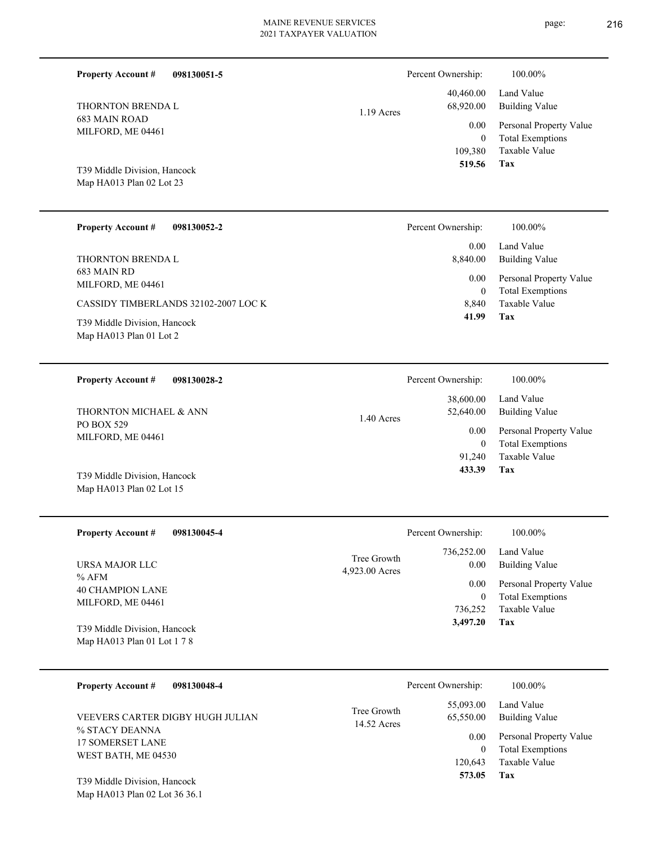| <b>Property Account #</b><br>098130051-5                             |                               | Percent Ownership:                        | 100.00%                                                                    |
|----------------------------------------------------------------------|-------------------------------|-------------------------------------------|----------------------------------------------------------------------------|
| THORNTON BRENDA L                                                    | $1.19$ Acres                  | 40,460.00<br>68,920.00                    | Land Value<br><b>Building Value</b>                                        |
| <b>683 MAIN ROAD</b><br>MILFORD, ME 04461                            |                               | 0.00<br>$\mathbf{0}$<br>109,380<br>519.56 | Personal Property Value<br><b>Total Exemptions</b><br>Taxable Value<br>Tax |
| T39 Middle Division, Hancock<br>Map HA013 Plan 02 Lot 23             |                               |                                           |                                                                            |
| <b>Property Account #</b><br>098130052-2                             |                               | Percent Ownership:                        | 100.00%                                                                    |
| THORNTON BRENDA L                                                    |                               | 0.00<br>8,840.00                          | Land Value<br><b>Building Value</b>                                        |
| 683 MAIN RD<br>MILFORD, ME 04461                                     |                               | 0.00<br>$\mathbf{0}$                      | Personal Property Value<br><b>Total Exemptions</b>                         |
| CASSIDY TIMBERLANDS 32102-2007 LOC K<br>T39 Middle Division, Hancock |                               | 8,840<br>41.99                            | <b>Taxable Value</b><br>Tax                                                |
| Map HA013 Plan 01 Lot 2                                              |                               |                                           |                                                                            |
| <b>Property Account #</b><br>098130028-2                             |                               | Percent Ownership:                        | 100.00%                                                                    |
| THORNTON MICHAEL & ANN                                               | 1.40 Acres                    | 38,600.00<br>52,640.00                    | Land Value<br><b>Building Value</b>                                        |
| PO BOX 529<br>MILFORD, ME 04461                                      |                               | 0.00<br>$\mathbf{0}$<br>91,240            | Personal Property Value<br><b>Total Exemptions</b><br>Taxable Value        |
| T39 Middle Division, Hancock<br>Map HA013 Plan 02 Lot 15             |                               | 433.39                                    | <b>Tax</b>                                                                 |
| <b>Property Account #</b><br>098130045-4                             |                               | Percent Ownership:                        | 100.00%                                                                    |
| URSA MAJOR LLC                                                       | Tree Growth<br>4,923.00 Acres | 736,252.00<br>0.00                        | Land Value<br><b>Building Value</b>                                        |
| % AFM<br><b>40 CHAMPION LANE</b>                                     |                               | 0.00<br>$\mathbf{0}$                      | Personal Property Value<br><b>Total Exemptions</b>                         |
| MILFORD, ME 04461                                                    |                               | 736,252<br>3,497.20                       | Taxable Value<br>Tax                                                       |
| T39 Middle Division, Hancock<br>Map HA013 Plan 01 Lot 1 7 8          |                               |                                           |                                                                            |
| <b>Property Account #</b><br>098130048-4                             |                               | Percent Ownership:                        | 100.00%                                                                    |
| VEEVERS CARTER DIGBY HUGH JULIAN                                     | Tree Growth<br>14.52 Acres    | 55,093.00<br>65,550.00                    | Land Value<br><b>Building Value</b>                                        |
| % STACY DEANNA<br><b>17 SOMERSET LANE</b><br>WEST BATH, ME 04530     |                               | 0.00<br>$\boldsymbol{0}$<br>120,643       | Personal Property Value<br><b>Total Exemptions</b><br>Taxable Value        |
| T39 Middle Division, Hancock<br>Map HA013 Plan 02 Lot 36 36.1        |                               | 573.05                                    | Tax                                                                        |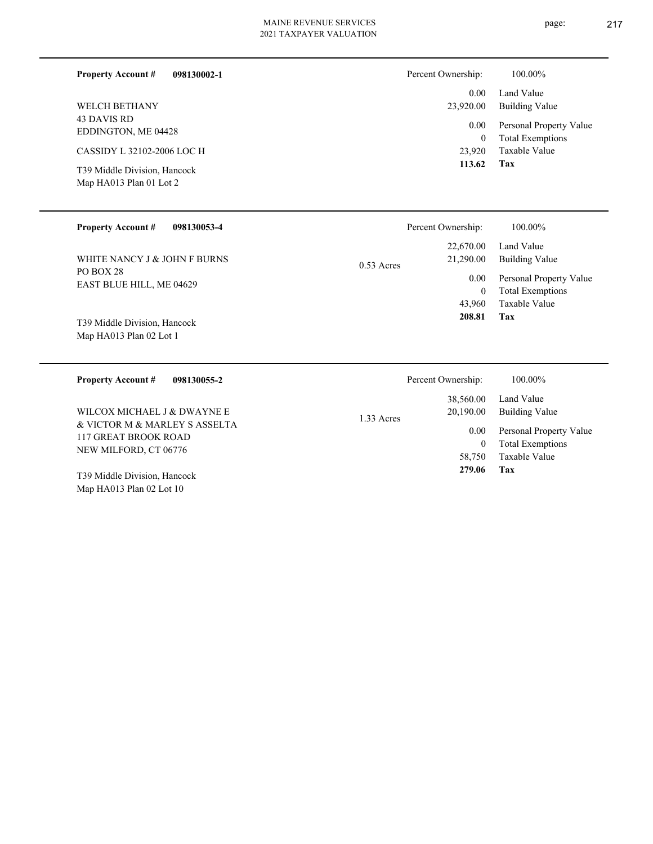**098130002-1 Property Account #**

43 DAVIS RD EDDINGTON, ME 04428 WELCH BETHANY

CASSIDY L 32102-2006 LOC H

Map HA013 Plan 01 Lot 2 T39 Middle Division, Hancock

| Percent Ownership:    | 100.00%                                            |
|-----------------------|----------------------------------------------------|
| $0.00 -$<br>23,920.00 | Land Value<br>Building Value                       |
| $0.00\,$<br>0         | Personal Property Value<br><b>Total Exemptions</b> |
| 23,920                | Taxable Value                                      |
| 113.62                | Tax                                                |

| <b>Property Account #</b><br>098130053-4 |              | Percent Ownership:     | 100.00%                                            |
|------------------------------------------|--------------|------------------------|----------------------------------------------------|
| WHITE NANCY J & JOHN F BURNS             | $0.53$ Acres | 22,670.00<br>21,290.00 | Land Value<br><b>Building Value</b>                |
| PO BOX 28<br>EAST BLUE HILL, ME 04629    |              | 0.00<br>$\theta$       | Personal Property Value<br><b>Total Exemptions</b> |
| T39 Middle Division, Hancock             |              | 43,960<br>208.81       | Taxable Value<br>Tax                               |
| Map HA013 Plan 02 Lot 1                  |              |                        |                                                    |

| 098130055-2<br><b>Property Account #</b>              | Percent Ownership:        | 100.00%                 |
|-------------------------------------------------------|---------------------------|-------------------------|
|                                                       | 38,560.00                 | Land Value              |
| WILCOX MICHAEL J & DWAYNE E                           | 20,190.00<br>$1.33$ Acres | Building Value          |
| & VICTOR M & MARLEY S ASSELTA<br>117 GREAT BROOK ROAD | 0.00                      | Personal Property Value |
| NEW MILFORD, CT 06776                                 |                           | <b>Total Exemptions</b> |
|                                                       | 58,750                    | Taxable Value           |
| T39 Middle Division, Hancock                          | 279.06                    | Tax                     |
| Map HA013 Plan $02$ Lot $10$                          |                           |                         |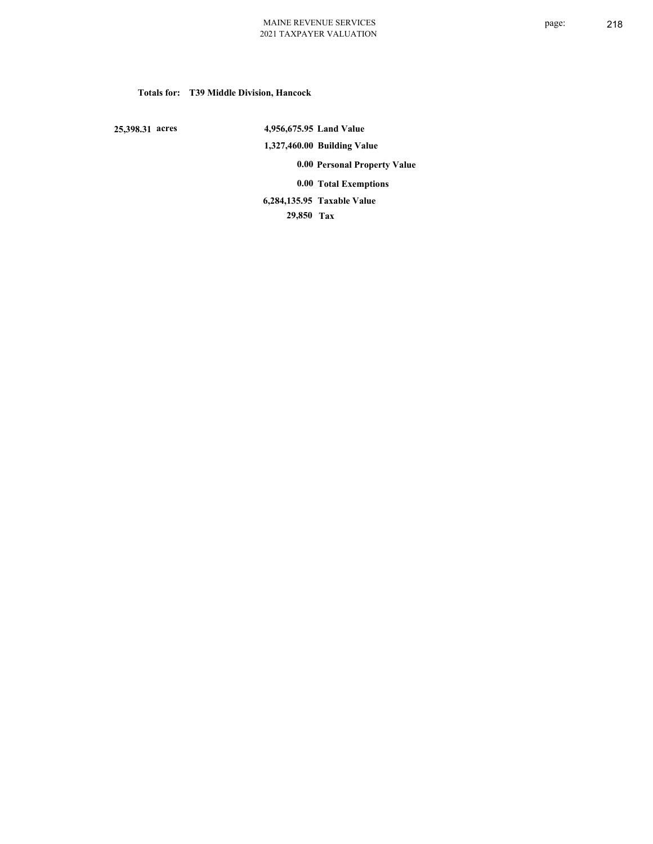## **Totals for: T39 Middle Division, Hancock**

 **25,398.31 acres**

 **4,956,675.95 Land Value 1,327,460.00 Building Value 0.00 Personal Property Value 0.00 Total Exemptions Taxable Value 6,284,135.95**

 **29,850 Tax**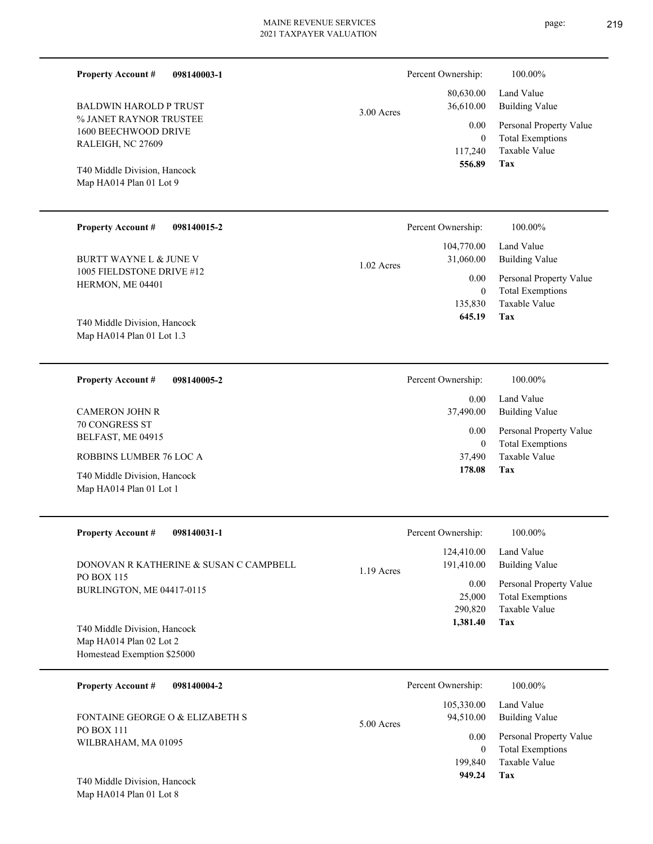page: 219

| 098140003-1<br><b>Property Account #</b>                                                                                                                        |              | Percent Ownership:                                                    | 100.00%                                                                                                           |
|-----------------------------------------------------------------------------------------------------------------------------------------------------------------|--------------|-----------------------------------------------------------------------|-------------------------------------------------------------------------------------------------------------------|
| <b>BALDWIN HAROLD P TRUST</b><br>% JANET RAYNOR TRUSTEE<br>1600 BEECHWOOD DRIVE<br>RALEIGH, NC 27609<br>T40 Middle Division, Hancock<br>Map HA014 Plan 01 Lot 9 | 3.00 Acres   | 80,630.00<br>36,610.00<br>0.00<br>$\overline{0}$<br>117,240<br>556.89 | Land Value<br><b>Building Value</b><br>Personal Property Value<br><b>Total Exemptions</b><br>Taxable Value<br>Tax |
| <b>Property Account #</b><br>098140015-2                                                                                                                        |              | Percent Ownership:                                                    | 100.00%                                                                                                           |
| <b>BURTT WAYNE L &amp; JUNE V</b>                                                                                                                               | $1.02$ Acres | 104,770.00<br>31,060.00                                               | Land Value<br><b>Building Value</b>                                                                               |
| 1005 FIELDSTONE DRIVE #12<br>HERMON, ME 04401<br>T40 Middle Division, Hancock<br>Map HA014 Plan 01 Lot 1.3                                                      |              | 0.00<br>$\mathbf{0}$<br>135,830<br>645.19                             | Personal Property Value<br><b>Total Exemptions</b><br>Taxable Value<br>Tax                                        |
| <b>Property Account #</b><br>098140005-2                                                                                                                        |              | Percent Ownership:                                                    | 100.00%                                                                                                           |
| <b>CAMERON JOHN R</b><br><b>70 CONGRESS ST</b><br>BELFAST, ME 04915<br>ROBBINS LUMBER 76 LOC A<br>T40 Middle Division, Hancock<br>Map HA014 Plan 01 Lot 1       |              | 0.00<br>37,490.00<br>0.00<br>$\mathbf{0}$<br>37,490<br>178.08         | Land Value<br><b>Building Value</b><br>Personal Property Value<br><b>Total Exemptions</b><br>Taxable Value<br>Tax |
| <b>Property Account #</b><br>098140031-1                                                                                                                        |              | Percent Ownership:                                                    | 100.00%                                                                                                           |
| DONOVAN R KATHERINE & SUSAN C CAMPBELL<br>PO BOX 115                                                                                                            | 1.19 Acres   | 124,410.00<br>191,410.00                                              | Land Value<br><b>Building Value</b>                                                                               |
| BURLINGTON, ME 04417-0115<br>T40 Middle Division, Hancock<br>Map HA014 Plan 02 Lot 2<br>Homestead Exemption \$25000                                             |              | 0.00<br>25,000<br>290,820<br>1,381.40                                 | Personal Property Value<br><b>Total Exemptions</b><br>Taxable Value<br>Tax                                        |
| <b>Property Account #</b><br>098140004-2                                                                                                                        |              | Percent Ownership:                                                    | 100.00%                                                                                                           |
| FONTAINE GEORGE O & ELIZABETH S                                                                                                                                 | 5.00 Acres   | 105,330.00<br>94,510.00                                               | Land Value<br><b>Building Value</b>                                                                               |
| <b>PO BOX 111</b><br>WILBRAHAM, MA 01095                                                                                                                        |              | 0.00<br>$\theta$<br>199,840                                           | Personal Property Value<br><b>Total Exemptions</b><br>Taxable Value                                               |
| T40 Middle Division, Hancock<br>Map HA014 Plan 01 Lot 8                                                                                                         |              | 949.24                                                                | Tax                                                                                                               |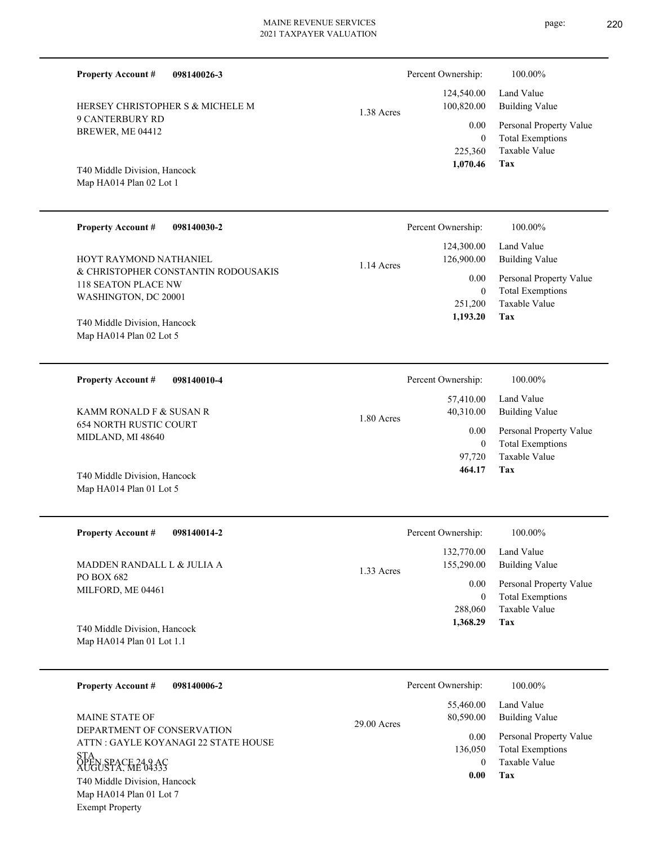9 CANTERBURY RD BREWER, ME 04412 Map HA014 Plan 02 Lot 1 T40 Middle Division, Hancock HERSEY CHRISTOPHER S & MICHELE M 225,360 0  **1,070.46** 124,540.00 100,820.00 0.00 1.38 Acres **098140030-2** & CHRISTOPHER CONSTANTIN RODOUSAKIS 118 SEATON PLACE NW WASHINGTON, DC 20001 **Property Account #** HOYT RAYMOND NATHANIEL 0 124,300.00 126,900.00 0.00 1.14 Acres Percent Ownership:  $100.00\%$ 

Map HA014 Plan 02 Lot 5 T40 Middle Division, Hancock

**Property Account #**

**098140026-3**

**098140010-4** 654 NORTH RUSTIC COURT **Property Account #** KAMM RONALD F & SUSAN R

Map HA014 Plan 01 Lot 5 T40 Middle Division, Hancock

MIDLAND, MI 48640

**098140014-2 Tax** Taxable Value Total Exemptions Personal Property Value Building Value Land Value PO BOX 682 MILFORD, ME 04461 **Property Account #** Map HA014 Plan 01 Lot 1.1 T40 Middle Division, Hancock MADDEN RANDALL L & JULIA A 288,060 0  **1,368.29** 132,770.00 155,290.00 0.00 1.33 Acres Percent Ownership:  $100.00\%$ 

1.80 Acres

**098140006-2 Tax** Taxable Value Total Exemptions Personal Property Value Building Value Land Value DEPARTMENT OF CONSERVATION ATTN : GAYLE KOYANAGI 22 STATE HOUSE STA ÕPËN SPACE 24.9 AC<br>AUGUSTA, ME 04333 **Property Account #** Map HA014 Plan 01 Lot 7 Exempt Property T40 Middle Division, Hancock MAINE STATE OF  $\Omega$  136,050  **0.00** 55,460.00 80,590.00 0.00 29.00 Acres Percent Ownership:  $100.00\%$ 

| 464.17             | 97,720 Taxable Value<br>Tax |
|--------------------|-----------------------------|
| Percent Ownership: | 100.00%                     |
|                    | $122.770.00$ Lead Value     |

0

0.00

Percent Ownership:  $100.00\%$ 

**Tax**

251,200

 **1,193.20**

 57,410.00 40,310.00

Taxable Value Total Exemptions Personal Property Value

Total Exemptions Personal Property Value

Building Value Land Value

Building Value Land Value

| Percent Ownership: | 100.00%                 |
|--------------------|-------------------------|
| 124,540.00         | Land Value              |
| 100,820.00         | <b>Building Value</b>   |
| 0.00               | Personal Property Value |
| 0                  | <b>Total Exemptions</b> |
| 225,360            | Taxable Value           |
| 1,070.46           | Tax                     |
|                    |                         |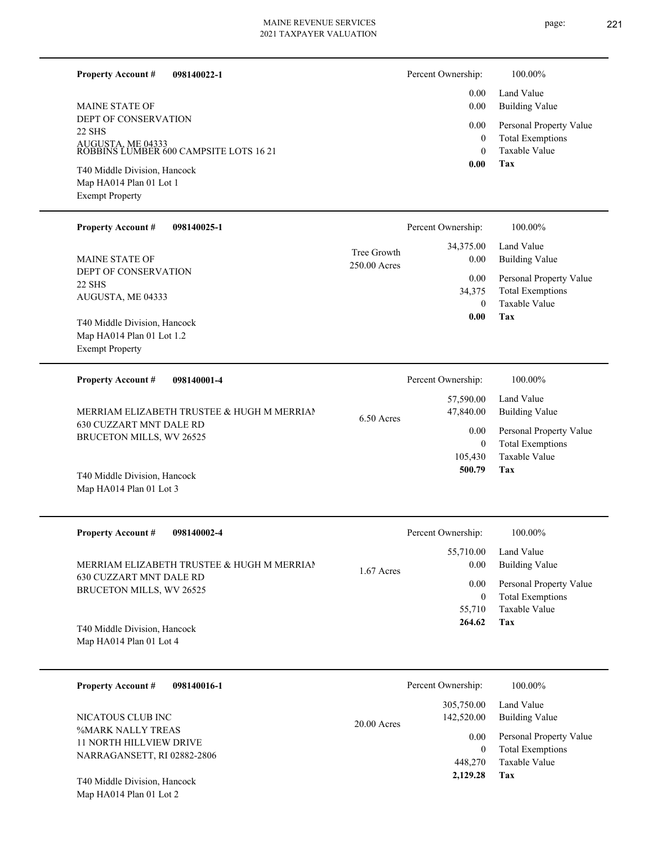page: 221

| <b>Property Account #</b><br>098140022-1                                                      |                             | Percent Ownership:         | 100.00%                                                                    |
|-----------------------------------------------------------------------------------------------|-----------------------------|----------------------------|----------------------------------------------------------------------------|
| <b>MAINE STATE OF</b>                                                                         |                             | 0.00<br>0.00               | Land Value<br><b>Building Value</b>                                        |
| DEPT OF CONSERVATION<br>22 SHS<br>AUGUSTA, ME 04333<br>ROBBINS LUMBER 600 CAMPSITE LOTS 16 21 |                             | 0.00<br>$\boldsymbol{0}$   | Personal Property Value<br><b>Total Exemptions</b>                         |
|                                                                                               |                             | $\theta$<br>0.00           | <b>Taxable Value</b><br>Tax                                                |
| T40 Middle Division, Hancock<br>Map HA014 Plan 01 Lot 1<br><b>Exempt Property</b>             |                             |                            |                                                                            |
| <b>Property Account #</b><br>098140025-1                                                      |                             | Percent Ownership:         | 100.00%                                                                    |
| <b>MAINE STATE OF</b>                                                                         | Tree Growth<br>250.00 Acres | 34,375.00<br>0.00          | Land Value<br><b>Building Value</b>                                        |
| DEPT OF CONSERVATION<br>22 SHS<br>AUGUSTA, ME 04333                                           |                             | 0.00<br>34,375<br>$\theta$ | Personal Property Value<br><b>Total Exemptions</b><br><b>Taxable Value</b> |
| T40 Middle Division, Hancock                                                                  |                             | 0.00                       | Tax                                                                        |
| Map HA014 Plan 01 Lot 1.2<br><b>Exempt Property</b>                                           |                             |                            |                                                                            |
| <b>Property Account #</b><br>098140001-4                                                      |                             | Percent Ownership:         | 100.00%                                                                    |
| MERRIAM ELIZABETH TRUSTEE & HUGH M MERRIAN                                                    | 6.50 Acres                  | 57,590.00<br>47,840.00     | Land Value<br><b>Building Value</b>                                        |
| 630 CUZZART MNT DALE RD<br>BRUCETON MILLS, WV 26525                                           |                             | 0.00<br>$\mathbf{0}$       | Personal Property Value<br><b>Total Exemptions</b>                         |
| T40 Middle Division, Hancock                                                                  |                             | 105,430<br>500.79          | Taxable Value<br>Tax                                                       |
| Map HA014 Plan 01 Lot 3                                                                       |                             |                            |                                                                            |
| <b>Property Account #</b><br>098140002-4                                                      |                             | Percent Ownership:         | 100.00%                                                                    |
| MERRIAM ELIZABETH TRUSTEE & HUGH M MERRIAN                                                    | 1.67 Acres                  | 55,710.00<br>0.00          | Land Value<br><b>Building Value</b>                                        |
| 630 CUZZART MNT DALE RD<br>BRUCETON MILLS, WV 26525                                           |                             | 0.00                       | Personal Property Value                                                    |
|                                                                                               |                             | $\boldsymbol{0}$<br>55,710 | <b>Total Exemptions</b><br>Taxable Value                                   |
| T40 Middle Division, Hancock<br>Map HA014 Plan 01 Lot 4                                       |                             | 264.62                     | Tax                                                                        |
| 098140016-1<br><b>Property Account #</b>                                                      |                             | Percent Ownership:         | 100.00%                                                                    |
|                                                                                               |                             | 305,750.00                 | Land Value                                                                 |
| NICATOUS CLUB INC<br>%MARK NALLY TREAS                                                        | $20.00$ Acres               | 142,520.00<br>0.00         | <b>Building Value</b><br>Personal Property Value                           |
| <b>11 NORTH HILLVIEW DRIVE</b><br>NARRAGANSETT, RI 02882-2806                                 |                             | $\mathbf{0}$               | <b>Total Exemptions</b>                                                    |
| T40 Middle Division, Hancock                                                                  |                             | 448,270<br>2,129.28        | Taxable Value<br>Tax                                                       |
| Map HA014 Plan 01 Lot 2                                                                       |                             |                            |                                                                            |
|                                                                                               |                             |                            |                                                                            |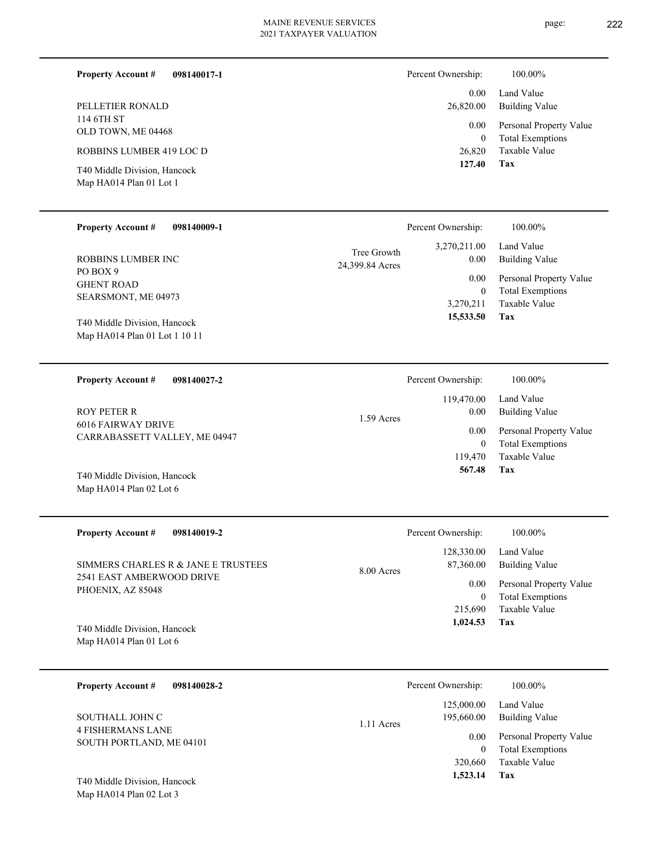| 098140017-1<br><b>Property Account #</b>                | Percent Ownership: | 100.00%                                            |
|---------------------------------------------------------|--------------------|----------------------------------------------------|
|                                                         | 0.00 <sub>1</sub>  | Land Value                                         |
| PELLETIER RONALD                                        | 26,820.00          | Building Value                                     |
| 114 6TH ST<br>OLD TOWN, ME 04468                        | 0.00<br>$\theta$   | Personal Property Value<br><b>Total Exemptions</b> |
| ROBBINS LUMBER 419 LOC D                                | 26,820             | Taxable Value                                      |
| T40 Middle Division, Hancock<br>Map HA014 Plan 01 Lot 1 | 127.40             | Tax                                                |

| <b>Property Account #</b><br>098140009-1 | Percent Ownership:                                     | 100.00%                                 |
|------------------------------------------|--------------------------------------------------------|-----------------------------------------|
| ROBBINS LUMBER INC<br>PO BOX 9           | 3,270,211.00<br>Tree Growth<br>0.00<br>24,399.84 Acres | Land Value<br>Building Value            |
| <b>GHENT ROAD</b>                        | 0.00                                                   | Personal Property Value                 |
| SEARSMONT, ME 04973                      |                                                        | <b>Total Exemptions</b><br>$\mathbf{0}$ |
|                                          | 3,270,211                                              | Taxable Value                           |
| T40 Middle Division, Hancock             | 15,533.50                                              | Tax                                     |
| Map HA014 Plan 01 Lot 1 10 11            |                                                        |                                         |
|                                          |                                                        |                                         |
| <b>Property Account #</b><br>098140027-2 | Percent Ownership:                                     | 100.00%                                 |

|                                                     | 119,470.00           | Land Value              |
|-----------------------------------------------------|----------------------|-------------------------|
| <b>ROY PETER R</b>                                  | 0.00<br>$1.59$ Acres | Building Value          |
| 6016 FAIRWAY DRIVE<br>CARRABASSETT VALLEY, ME 04947 | 0.00                 | Personal Property Value |
|                                                     | 0                    | <b>Total Exemptions</b> |
|                                                     | 119.470              | Taxable Value           |
| T40 Middle Division, Hancock                        | 567.48               | Tax                     |
| Map HA014 Plan 02 Lot $6$                           |                      |                         |

| <b>Property Account #</b><br>098140019-2                                              | Percent Ownership:                    | 100.00%                                            |
|---------------------------------------------------------------------------------------|---------------------------------------|----------------------------------------------------|
| SIMMERS CHARLES R & JANE E TRUSTEES<br>2541 EAST AMBERWOOD DRIVE<br>PHOENIX, AZ 85048 | 128,330.00<br>87,360.00<br>8.00 Acres | Land Value<br>Building Value                       |
|                                                                                       | 0.00<br>$\mathbf{0}$                  | Personal Property Value<br><b>Total Exemptions</b> |
|                                                                                       | 215,690                               | Taxable Value                                      |
| T40 Middle Division, Hancock<br>Map HA014 Plan 01 Lot $6$                             | 1,024.53                              | Tax                                                |

| 098140028-2<br><b>Property Account #</b>    | Percent Ownership:                     | 100.00%                                            |
|---------------------------------------------|----------------------------------------|----------------------------------------------------|
| SOUTHALL JOHN C<br><b>4 FISHERMANS LANE</b> | 125,000.00<br>195,660.00<br>1.11 Acres | Land Value<br>Building Value                       |
| SOUTH PORTLAND, ME 04101                    | 0.00<br>0                              | Personal Property Value<br><b>Total Exemptions</b> |
|                                             | 320,660                                | Taxable Value                                      |
| T40 Middle Division, Hancock                | 1,523.14                               | Tax                                                |

Map HA014 Plan 02 Lot 3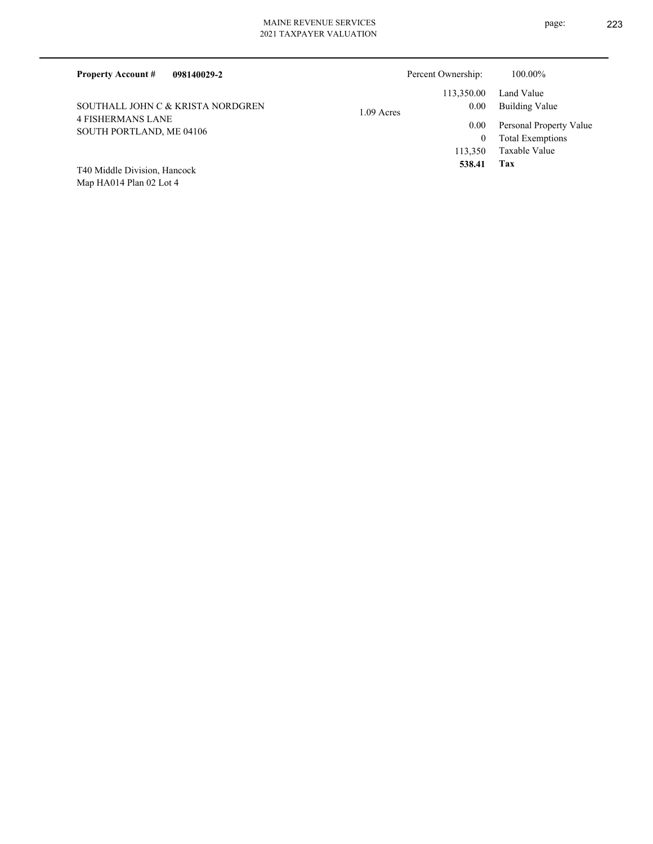| 098140029-2<br><b>Property Account #</b>             |            | Percent Ownership: | 100.00%                 |
|------------------------------------------------------|------------|--------------------|-------------------------|
|                                                      |            | 113,350.00         | Land Value              |
| SOUTHALL JOHN C & KRISTA NORDGREN                    | 1.09 Acres | 0.00               | Building Value          |
| <b>4 FISHERMANS LANE</b><br>SOUTH PORTLAND, ME 04106 |            | 0.00               | Personal Property Value |
|                                                      |            | $\overline{0}$     | <b>Total Exemptions</b> |
|                                                      |            | 113,350            | Taxable Value           |
| T40 Middle Division, Hancock                         |            | 538.41             | Tax                     |

Map HA014 Plan 02 Lot 4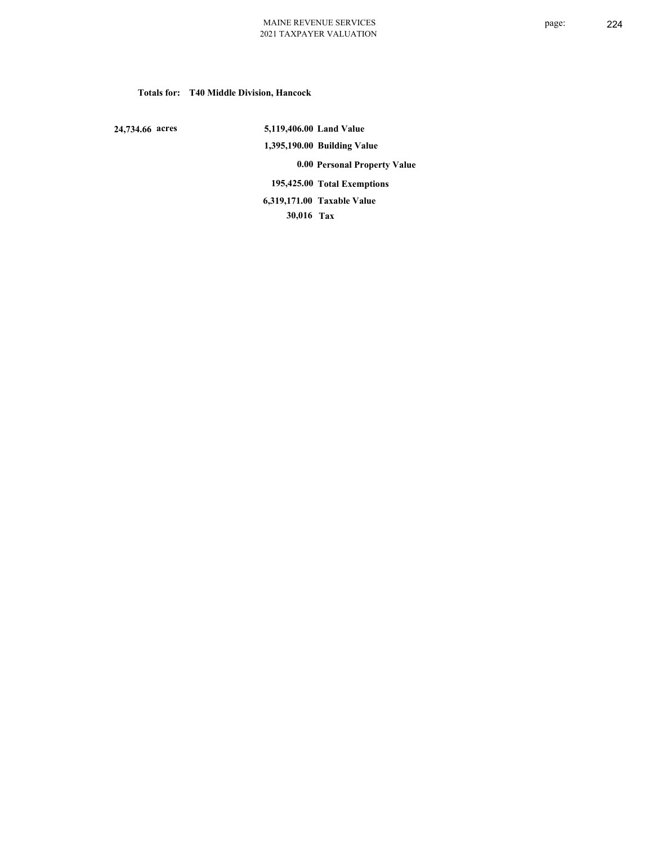## **Totals for: T40 Middle Division, Hancock**

 **24,734.66 acres**

 **5,119,406.00 Land Value 1,395,190.00 Building Value 0.00 Personal Property Value 195,425.00 Total Exemptions 30,016 Tax Taxable Value 6,319,171.00**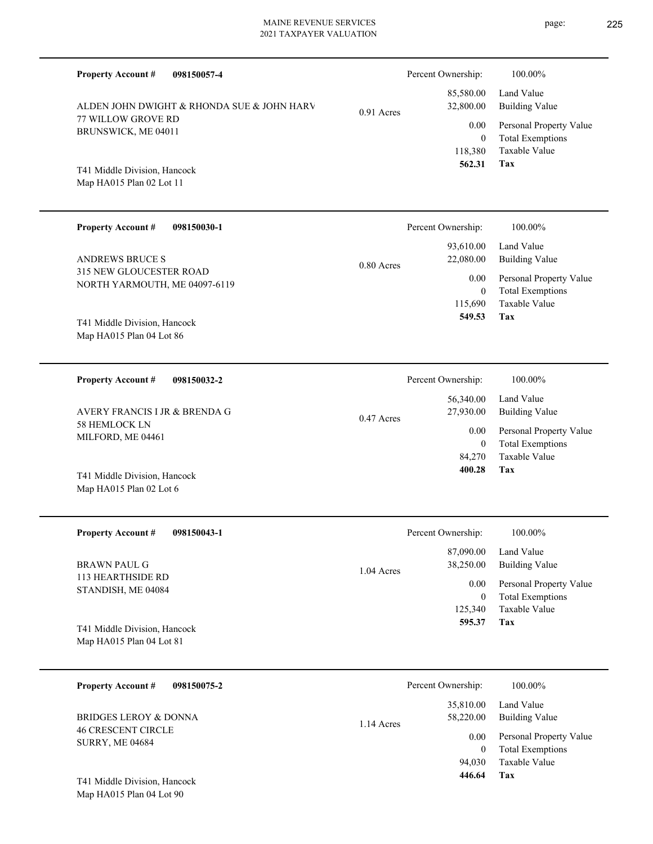| <b>Property Account #</b><br>098150057-4                 |              | Percent Ownership:                | 100.00%                                                             |
|----------------------------------------------------------|--------------|-----------------------------------|---------------------------------------------------------------------|
| ALDEN JOHN DWIGHT & RHONDA SUE & JOHN HARV               | 0.91 Acres   | 85,580.00<br>32,800.00            | Land Value<br><b>Building Value</b>                                 |
| 77 WILLOW GROVE RD<br>BRUNSWICK, ME 04011                |              | 0.00                              | Personal Property Value                                             |
| T41 Middle Division, Hancock<br>Map HA015 Plan 02 Lot 11 |              | $\mathbf{0}$<br>118,380<br>562.31 | <b>Total Exemptions</b><br>Taxable Value<br>Tax                     |
| <b>Property Account #</b><br>098150030-1                 |              | Percent Ownership:                | 100.00%                                                             |
| <b>ANDREWS BRUCE S</b>                                   | $0.80$ Acres | 93,610.00<br>22,080.00            | Land Value<br><b>Building Value</b>                                 |
| 315 NEW GLOUCESTER ROAD<br>NORTH YARMOUTH, ME 04097-6119 |              | 0.00                              | Personal Property Value                                             |
| T41 Middle Division, Hancock<br>Map HA015 Plan 04 Lot 86 |              | $\mathbf{0}$<br>115,690<br>549.53 | <b>Total Exemptions</b><br>Taxable Value<br>Tax                     |
| <b>Property Account #</b><br>098150032-2                 |              | Percent Ownership:                | 100.00%                                                             |
| AVERY FRANCIS I JR & BRENDA G                            | $0.47$ Acres | 56,340.00<br>27,930.00            | Land Value<br><b>Building Value</b>                                 |
| 58 HEMLOCK LN<br>MILFORD, ME 04461                       |              | 0.00<br>$\mathbf{0}$              | Personal Property Value<br><b>Total Exemptions</b>                  |
| T41 Middle Division, Hancock<br>Map HA015 Plan 02 Lot 6  |              | 84,270<br>400.28                  | <b>Taxable Value</b><br>Tax                                         |
| <b>Property Account #</b><br>098150043-1                 |              | Percent Ownership:                | 100.00%                                                             |
| <b>BRAWN PAUL G</b>                                      | 1.04 Acres   | 87,090.00<br>38,250.00            | Land Value<br><b>Building Value</b>                                 |
| 113 HEARTHSIDE RD<br>STANDISH, ME 04084                  |              | 0.00<br>$\boldsymbol{0}$          | Personal Property Value<br><b>Total Exemptions</b>                  |
| T41 Middle Division, Hancock<br>Map HA015 Plan 04 Lot 81 |              | 125,340<br>595.37                 | Taxable Value<br>Tax                                                |
| <b>Property Account #</b><br>098150075-2                 |              | Percent Ownership:                | 100.00%                                                             |
| <b>BRIDGES LEROY &amp; DONNA</b>                         | 1.14 Acres   | 35,810.00<br>58,220.00            | Land Value<br><b>Building Value</b>                                 |
| <b>46 CRESCENT CIRCLE</b><br><b>SURRY, ME 04684</b>      |              | 0.00<br>$\mathbf{0}$<br>94,030    | Personal Property Value<br><b>Total Exemptions</b><br>Taxable Value |
|                                                          |              | 446.64                            | <b>Tax</b>                                                          |

Map HA015 Plan 04 Lot 90 T41 Middle Division, Hancock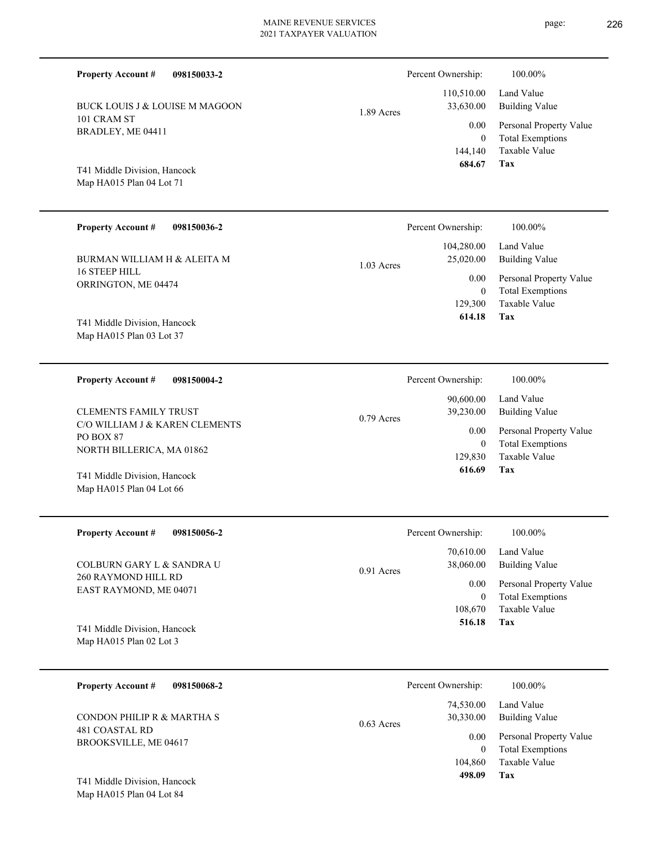| T41 Middle Division, Hancock<br>Map HA015 Plan 04 Lot 71 | 144,1<br>684.         |
|----------------------------------------------------------|-----------------------|
| <b>Property Account #</b><br>098150036-2                 | Percent Ownership     |
|                                                          | 104,280.              |
| BURMAN WILLIAM H & ALEITA M                              | 25,020.<br>1.03 Acres |
| <b>16 STEEP HILL</b>                                     | $\theta$ .            |
| ORRINGTON, ME 04474                                      |                       |
|                                                          | 129,3                 |

0.79 Acres

Map HA015 Plan 03 Lot 37 T41 Middle Division, Hancock

101 CRAM ST BRADLEY, ME 04411

**Property Account #**

**098150004-2 Property Account #**

**098150033-2**

BUCK LOUIS J & LOUISE M MAGOON

C/O WILLIAM J & KAREN CLEMENTS PO BOX 87 NORTH BILLERICA, MA 01862 CLEMENTS FAMILY TRUST

Map HA015 Plan 04 Lot 66 T41 Middle Division, Hancock

**098150056-2** 260 RAYMOND HILL RD EAST RAYMOND, ME 04071 **Property Account #** COLBURN GARY L & SANDRA U  $0.91$ 

Map HA015 Plan 02 Lot 3 T41 Middle Division, Hancock

| 098150068-2<br><b>Property Account #</b> | Percent Ownership:                     | 100.00%                                            |
|------------------------------------------|----------------------------------------|----------------------------------------------------|
| CONDON PHILIP R & MARTHA S               | 74,530.00<br>30,330.00<br>$0.63$ Acres | Land Value<br><b>Building Value</b>                |
| 481 COASTAL RD<br>BROOKSVILLE, ME 04617  | 0.00<br>0                              | Personal Property Value<br><b>Total Exemptions</b> |
| T41 Middle Division, Hancock             | 104,860<br>498.09                      | Taxable Value<br>Tax                               |

Map HA015 Plan 04 Lot 84

|            | Percent Ownership:    | 100.00%                 |
|------------|-----------------------|-------------------------|
|            | 110,510.00 Land Value |                         |
| 1.89 Acres | 33,630.00             | Building Value          |
|            | $0.00\,$              | Personal Property Value |
|            | $\theta$              | <b>Total Exemptions</b> |
|            |                       | 144,140 Taxable Value   |
|            | 684.67                | Tax                     |

| Percent Ownership: | 100.00%                 |
|--------------------|-------------------------|
| 104,280.00         | Land Value              |
| 25,020.00          | Building Value          |
| 0.00 <sub>1</sub>  | Personal Property Value |
| 0                  | <b>Total Exemptions</b> |
| 129,300            | Taxable Value           |
| 614.18             | Tax                     |
|                    |                         |

| Percent Ownership:     | 100.00%                                            |
|------------------------|----------------------------------------------------|
| 90,600.00<br>39,230.00 | Land Value<br><b>Building Value</b>                |
| 0.00<br>0              | Personal Property Value<br><b>Total Exemptions</b> |
| 129,830                | Taxable Value                                      |
| 616.69                 | Tax                                                |

|         | Percent Ownership:             | 100.00%                                                                    |
|---------|--------------------------------|----------------------------------------------------------------------------|
| 1 Acres | 70,610.00<br>38,060.00         | Land Value<br><b>Building Value</b>                                        |
|         | 0.00<br>0<br>108,670<br>516.18 | Personal Property Value<br><b>Total Exemptions</b><br>Taxable Value<br>Tax |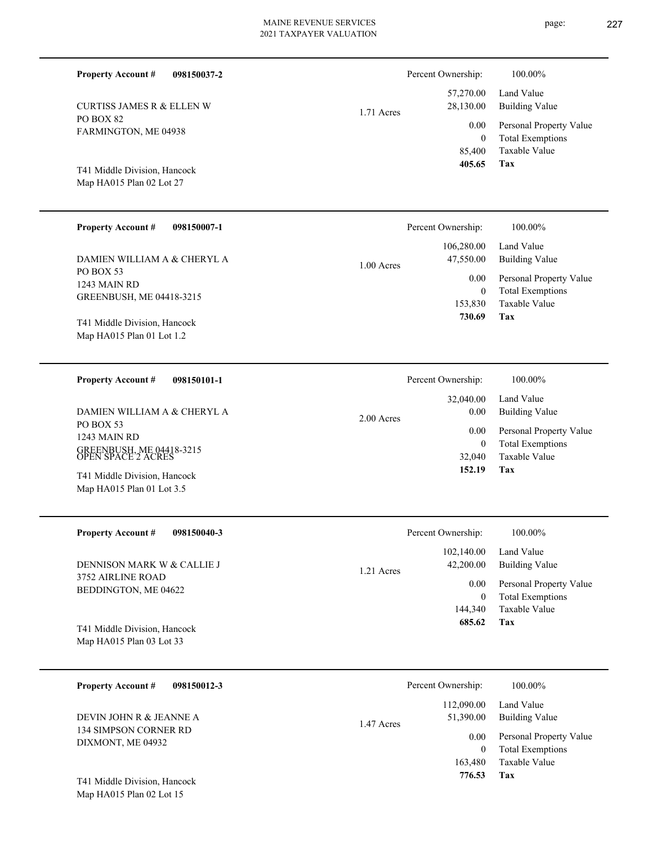**098150037-2**

PO BOX 82

**Property Account #**

FARMINGTON, ME 04938

CURTISS JAMES R & ELLEN W

Map HA015 Plan 02 Lot 27 T41 Middle Division, Hancock

Map HA015 Plan 01 Lot 3.5

 85,400  **405.65**

1.71 Acres

| <b>Property Account #</b><br>098150007-1                     | Percent Ownership:                    | 100.00%                                                             |
|--------------------------------------------------------------|---------------------------------------|---------------------------------------------------------------------|
| DAMIEN WILLIAM A & CHERYL A                                  | 106,280.00<br>47,550.00<br>1.00 Acres | Land Value<br>Building Value                                        |
| PO BOX 53<br>1243 MAIN RD<br><b>GREENBUSH, ME 04418-3215</b> | 0.00<br>$\bf{0}$<br>153,830           | Personal Property Value<br><b>Total Exemptions</b><br>Taxable Value |
| T41 Middle Division, Hancock<br>Map $HA015$ Plan 01 Lot 1.2  | 730.69                                | Tax                                                                 |

| 098150101-1<br><b>Property Account #</b>       | Percent Ownership:   | 100.00%                 |
|------------------------------------------------|----------------------|-------------------------|
|                                                | 32,040.00            | Land Value              |
| DAMIEN WILLIAM A & CHERYL A                    | 0.00<br>$2.00$ Acres | Building Value          |
| PO BOX 53<br>1243 MAIN RD                      | 0.00                 | Personal Property Value |
|                                                | 0                    | <b>Total Exemptions</b> |
| GREENBUSH, ME 04418-3215<br>OPEN SPACE 2 ACRES | 32,040               | Taxable Value           |
| T41 Middle Division, Hancock                   | 152.19               | Tax                     |

| <b>Property Account #</b><br>098150040-3                 | Percent Ownership:                    | 100.00%                                            |
|----------------------------------------------------------|---------------------------------------|----------------------------------------------------|
| DENNISON MARK W & CALLIE J                               | 102,140.00<br>42,200.00<br>1.21 Acres | Land Value<br>Building Value                       |
| 3752 AIRLINE ROAD<br>BEDDINGTON, ME 04622                | 0.00<br>0                             | Personal Property Value<br><b>Total Exemptions</b> |
|                                                          | 144,340                               | Taxable Value                                      |
| T41 Middle Division, Hancock<br>Map HA015 Plan 03 Lot 33 | 685.62                                | Tax                                                |

| 098150012-3<br><b>Property Account #</b>         | Percent Ownership:                    | 100.00%                                            |
|--------------------------------------------------|---------------------------------------|----------------------------------------------------|
| DEVIN JOHN R & JEANNE A<br>134 SIMPSON CORNER RD | 112,090.00<br>51,390.00<br>1.47 Acres | Land Value<br><b>Building Value</b>                |
| DIXMONT, ME 04932                                | 0.00<br>0                             | Personal Property Value<br><b>Total Exemptions</b> |
| T41 Middle Division, Hancock                     | 163,480<br>776.53                     | Taxable Value<br>Tax                               |

Map HA015 Plan 02 Lot 15

page: 227

**Tax**

0

0.00

Percent Ownership:  $100.00\%$ 

 57,270.00 28,130.00

> Taxable Value Total Exemptions Personal Property Value

Building Value Land Value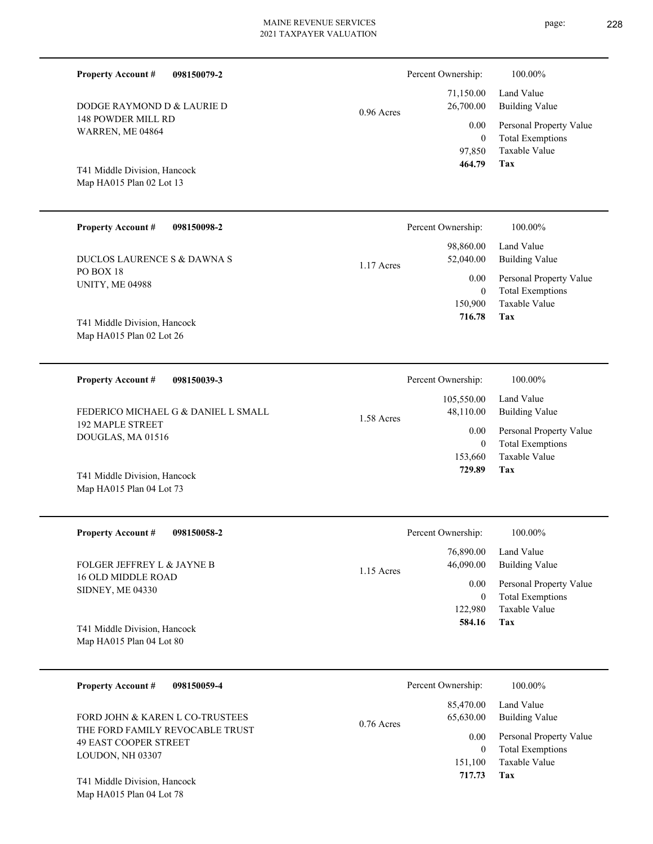| <b>Property Account #</b><br>098150079-2                 |              | Percent Ownership:     |
|----------------------------------------------------------|--------------|------------------------|
| DODGE RAYMOND D & LAURIE D                               | $0.96$ Acres | 71,150.00<br>26,700.00 |
| <b>148 POWDER MILL RD</b><br>WARREN, ME 04864            |              | 0.00<br>$\theta$       |
|                                                          |              | 97,850<br>464.79       |
| T41 Middle Division, Hancock<br>Map HA015 Plan 02 Lot 13 |              |                        |
|                                                          |              |                        |
| <b>Property Account #</b><br>098150098-2                 |              | Percent Ownership:     |
| DUCLOS LAURENCE S & DAWNA S                              |              | 98,860.00<br>52,040.00 |
| PO BOX 18                                                | 1.17 Acres   | 0.00                   |
| <b>UNITY, ME 04988</b>                                   |              | $\theta$<br>150,900    |
| T41 Middle Division, Hancock                             |              | 716.78                 |
| Map HA015 Plan 02 Lot 26                                 |              |                        |
| <b>Property Account #</b><br>098150039-3                 |              | Percent Ownership:     |
| FEDERICO MICHAEL G & DANIEL L SMALL                      |              | 105,550.00             |
| <b>192 MAPLE STREET</b>                                  | 1.58 Acres   | 48,110.00<br>0.00      |
| DOUGLAS, MA 01516                                        |              | $\Omega$               |
|                                                          |              | 153,660                |

Map HA015 Plan 04 Lot 73 T41 Middle Division, Hancock

| <b>Property Account #</b><br>098150058-2      | Percent Ownership:        | 100.00%                 |
|-----------------------------------------------|---------------------------|-------------------------|
|                                               | 76,890.00                 | Land Value              |
| FOLGER JEFFREY L & JAYNE B                    | 46,090.00<br>$1.15$ Acres | Building Value          |
| 16 OLD MIDDLE ROAD<br><b>SIDNEY, ME 04330</b> | 0.00                      | Personal Property Value |
|                                               | $\mathbf{0}$              | <b>Total Exemptions</b> |
|                                               | 122.980                   | Taxable Value           |
| T41 Middle Division, Hancock                  | 584.16                    | Tax                     |
| Map HA015 Plan 04 Lot 80                      |                           |                         |

| <b>Property Account #</b><br>098150059-4                                            | Percent Ownership:                     | 100.00%                                                             |
|-------------------------------------------------------------------------------------|----------------------------------------|---------------------------------------------------------------------|
| FORD JOHN & KAREN L CO-TRUSTEES                                                     | 85,470.00<br>65,630.00<br>$0.76$ Acres | Land Value<br><b>Building Value</b>                                 |
| THE FORD FAMILY REVOCABLE TRUST<br><b>49 EAST COOPER STREET</b><br>LOUDON, NH 03307 | 0.00<br>0<br>151.100                   | Personal Property Value<br><b>Total Exemptions</b><br>Taxable Value |
| T41 Middle Division, Hancock                                                        | 717.73                                 | Tax                                                                 |

Map HA015 Plan 04 Lot 78

**Tax**

**Tax**

**Tax**

 **729.89**

Taxable Value Total Exemptions Personal Property Value

Building Value Land Value

100.00%

Taxable Value Total Exemptions Personal Property Value

Building Value Land Value

100.00%

Taxable Value Total Exemptions Personal Property Value

Building Value Land Value

100.00%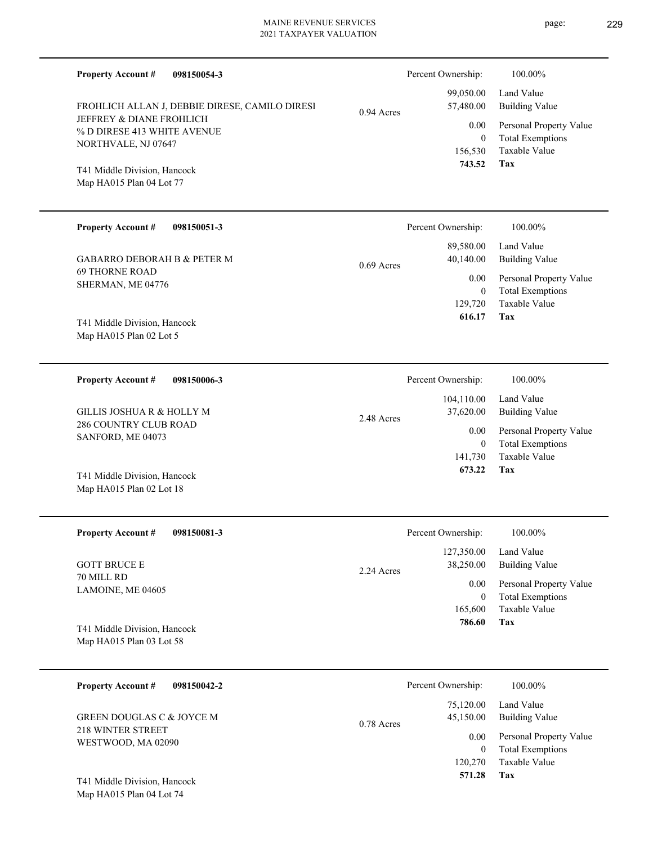| <b>Property Account #</b><br>098150054-3<br>FROHLICH ALLAN J, DEBBIE DIRESE, CAMILO DIRESI<br>JEFFREY & DIANE FROHLICH<br>% D DIRESE 413 WHITE AVENUE<br>NORTHVALE, NJ 07647<br>T41 Middle Division, Hancock<br>Map HA015 Plan 04 Lot 77 | 0.94 Acres   | Percent Ownership:<br>99,050.00<br>57,480.00<br>0.00<br>$\overline{0}$<br>156,530<br>743.52    | 100.00%<br>Land Value<br><b>Building Value</b><br>Personal Property Value<br><b>Total Exemptions</b><br>Taxable Value<br>Tax        |
|------------------------------------------------------------------------------------------------------------------------------------------------------------------------------------------------------------------------------------------|--------------|------------------------------------------------------------------------------------------------|-------------------------------------------------------------------------------------------------------------------------------------|
| <b>Property Account #</b><br>098150051-3<br><b>GABARRO DEBORAH B &amp; PETER M</b><br><b>69 THORNE ROAD</b><br>SHERMAN, ME 04776<br>T41 Middle Division, Hancock<br>Map HA015 Plan 02 Lot 5                                              | $0.69$ Acres | Percent Ownership:<br>89,580.00<br>40,140.00<br>0.00<br>$\overline{0}$<br>129,720<br>616.17    | 100.00%<br>Land Value<br><b>Building Value</b><br>Personal Property Value<br><b>Total Exemptions</b><br>Taxable Value<br>Tax        |
| <b>Property Account #</b><br>098150006-3<br>GILLIS JOSHUA R & HOLLY M<br>286 COUNTRY CLUB ROAD<br>SANFORD, ME 04073<br>T41 Middle Division, Hancock<br>Map HA015 Plan 02 Lot 18                                                          | 2.48 Acres   | Percent Ownership:<br>104,110.00<br>37,620.00<br>0.00<br>$\overline{0}$<br>141,730<br>673.22   | 100.00%<br>Land Value<br><b>Building Value</b><br>Personal Property Value<br><b>Total Exemptions</b><br><b>Taxable Value</b><br>Tax |
| <b>Property Account #</b><br>098150081-3<br><b>GOTT BRUCE E</b><br>70 MILL RD<br>LAMOINE, ME 04605<br>T41 Middle Division, Hancock<br>Map HA015 Plan 03 Lot 58                                                                           | 2.24 Acres   | Percent Ownership:<br>127,350.00<br>38,250.00<br>0.00<br>$\boldsymbol{0}$<br>165,600<br>786.60 | 100.00%<br>Land Value<br><b>Building Value</b><br>Personal Property Value<br><b>Total Exemptions</b><br>Taxable Value<br>Tax        |
| <b>Property Account #</b><br>098150042-2<br><b>GREEN DOUGLAS C &amp; JOYCE M</b><br>218 WINTER STREET<br>WESTWOOD, MA 02090<br>T41 Middle Division, Hancock                                                                              | 0.78 Acres   | Percent Ownership:<br>75,120.00<br>45,150.00<br>0.00<br>$\overline{0}$<br>120,270<br>571.28    | 100.00%<br>Land Value<br><b>Building Value</b><br>Personal Property Value<br><b>Total Exemptions</b><br>Taxable Value<br>Tax        |
|                                                                                                                                                                                                                                          |              |                                                                                                |                                                                                                                                     |

Map HA015 Plan 04 Lot 74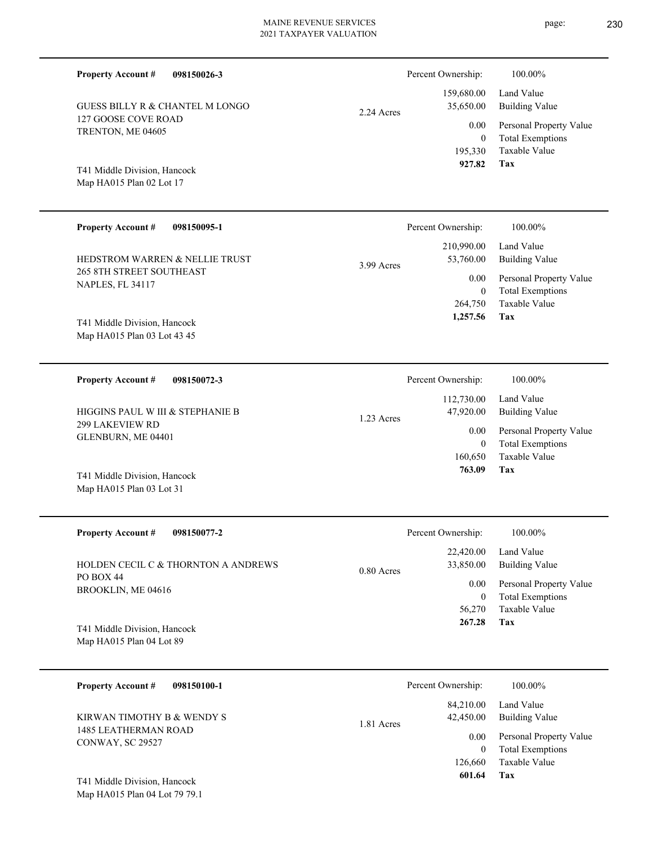| <b>Property Account #</b><br>098150026-3                    |              | Percent Ownership:                           | 100.00%                                                                    |
|-------------------------------------------------------------|--------------|----------------------------------------------|----------------------------------------------------------------------------|
| GUESS BILLY R & CHANTEL M LONGO                             | $2.24$ Acres | 159,680.00<br>35,650.00                      | Land Value<br><b>Building Value</b>                                        |
| 127 GOOSE COVE ROAD<br>TRENTON, ME 04605                    |              | 0.00<br>$\mathbf{0}$<br>195,330              | Personal Property Value<br><b>Total Exemptions</b><br>Taxable Value        |
| T41 Middle Division, Hancock<br>Map HA015 Plan 02 Lot 17    |              | 927.82                                       | Tax                                                                        |
| <b>Property Account #</b><br>098150095-1                    |              | Percent Ownership:                           | 100.00%                                                                    |
| HEDSTROM WARREN & NELLIE TRUST                              |              | 210,990.00<br>53,760.00                      | Land Value<br><b>Building Value</b>                                        |
| <b>265 8TH STREET SOUTHEAST</b><br>NAPLES, FL 34117         | 3.99 Acres   | 0.00<br>$\mathbf{0}$<br>264,750              | Personal Property Value<br><b>Total Exemptions</b><br>Taxable Value        |
| T41 Middle Division, Hancock<br>Map HA015 Plan 03 Lot 43 45 |              | 1,257.56                                     | <b>Tax</b>                                                                 |
| <b>Property Account #</b><br>098150072-3                    |              | Percent Ownership:                           | 100.00%                                                                    |
| HIGGINS PAUL W III & STEPHANIE B                            | $1.23$ Acres | 112,730.00<br>47,920.00                      | Land Value<br><b>Building Value</b>                                        |
| <b>299 LAKEVIEW RD</b><br>GLENBURN, ME 04401                |              | 0.00<br>$\mathbf{0}$<br>160,650<br>763.09    | Personal Property Value<br><b>Total Exemptions</b><br>Taxable Value<br>Tax |
| T41 Middle Division, Hancock<br>Map HA015 Plan 03 Lot 31    |              |                                              |                                                                            |
| <b>Property Account #</b><br>098150077-2                    |              | Percent Ownership:                           | 100.00%                                                                    |
| HOLDEN CECIL C & THORNTON A ANDREWS                         | 0.80 Acres   | 22,420.00<br>33,850.00                       | Land Value<br><b>Building Value</b>                                        |
| PO BOX 44<br>BROOKLIN, ME 04616                             |              | 0.00<br>$\boldsymbol{0}$<br>56,270<br>267.28 | Personal Property Value<br><b>Total Exemptions</b><br>Taxable Value<br>Tax |
| T41 Middle Division, Hancock<br>Map HA015 Plan 04 Lot 89    |              |                                              |                                                                            |

| 098150100-1<br><b>Property Account #</b> | Percent Ownership:                   | 100.00%                             |
|------------------------------------------|--------------------------------------|-------------------------------------|
| KIRWAN TIMOTHY B & WENDY S               | 84,210.00<br>42,450.00<br>1.81 Acres | Land Value<br><b>Building Value</b> |
| 1485 LEATHERMAN ROAD<br>CONWAY, SC 29527 | 0.00                                 | Personal Property Value             |
|                                          | $\theta$                             | <b>Total Exemptions</b>             |
|                                          | 126,660                              | Taxable Value                       |
| T41 Middle Division, Hancock             | 601.64                               | Tax                                 |

Map HA015 Plan 04 Lot 79 79.1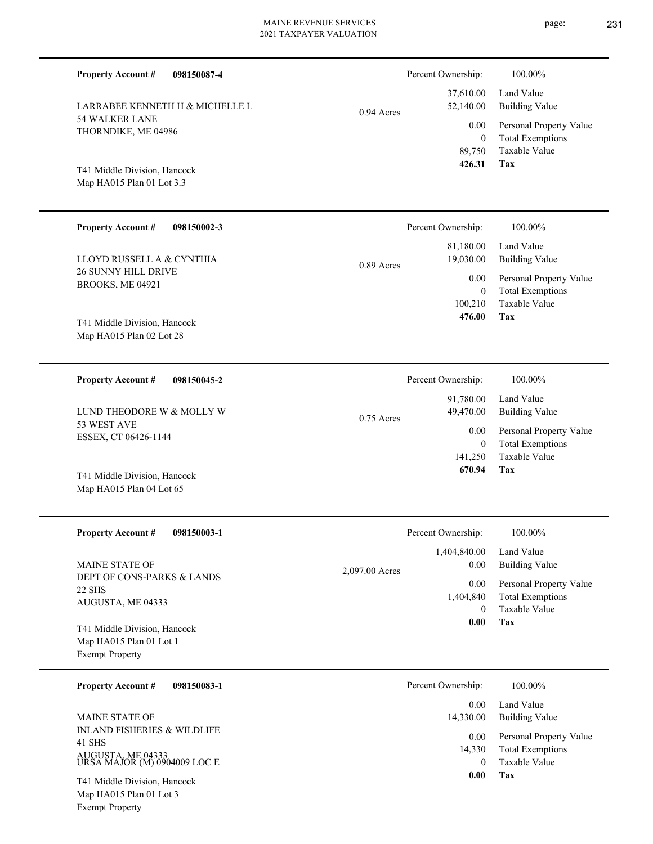| <b>Property Account #</b><br>098150087-4                                          |                | Percent Ownership:<br>37,610.00                             | 100.00%<br>Land Value                                               |
|-----------------------------------------------------------------------------------|----------------|-------------------------------------------------------------|---------------------------------------------------------------------|
| LARRABEE KENNETH H & MICHELLE L                                                   | $0.94$ Acres   | 52,140.00                                                   | <b>Building Value</b>                                               |
| <b>54 WALKER LANE</b><br>THORNDIKE, ME 04986                                      |                | 0.00<br>$\overline{0}$<br>89,750                            | Personal Property Value<br><b>Total Exemptions</b><br>Taxable Value |
| T41 Middle Division, Hancock<br>Map HA015 Plan 01 Lot 3.3                         |                | 426.31                                                      | Tax                                                                 |
| <b>Property Account #</b><br>098150002-3                                          |                | Percent Ownership:                                          | 100.00%                                                             |
| LLOYD RUSSELL A & CYNTHIA                                                         | $0.89$ Acres   | 81,180.00<br>19,030.00                                      | Land Value<br><b>Building Value</b>                                 |
| 26 SUNNY HILL DRIVE<br>BROOKS, ME 04921                                           |                | 0.00<br>$\overline{0}$                                      | Personal Property Value<br><b>Total Exemptions</b>                  |
| T41 Middle Division, Hancock<br>Map HA015 Plan 02 Lot 28                          |                | 100,210<br>476.00                                           | Taxable Value<br>Tax                                                |
| <b>Property Account #</b><br>098150045-2                                          |                | Percent Ownership:                                          | 100.00%                                                             |
| LUND THEODORE W & MOLLY W                                                         | $0.75$ Acres   | 91,780.00<br>49,470.00<br>0.00<br>$\overline{0}$<br>141,250 | Land Value<br><b>Building Value</b>                                 |
| 53 WEST AVE<br>ESSEX, CT 06426-1144                                               |                |                                                             | Personal Property Value<br><b>Total Exemptions</b><br>Taxable Value |
| T41 Middle Division, Hancock<br>Map HA015 Plan 04 Lot 65                          |                | 670.94                                                      | Tax                                                                 |
| <b>Property Account #</b><br>098150003-1                                          |                | Percent Ownership:                                          | 100.00%                                                             |
| <b>MAINE STATE OF</b>                                                             | 2,097.00 Acres | 1,404,840.00<br>0.00                                        | Land Value<br><b>Building Value</b>                                 |
| DEPT OF CONS-PARKS & LANDS<br><b>22 SHS</b><br>AUGUSTA, ME 04333                  |                | 0.00<br>1,404,840<br>$\overline{0}$                         | Personal Property Value<br><b>Total Exemptions</b><br>Taxable Value |
| T41 Middle Division, Hancock<br>Map HA015 Plan 01 Lot 1<br><b>Exempt Property</b> |                | $\boldsymbol{0.00}$                                         | Tax                                                                 |
| 098150083-1<br><b>Property Account #</b>                                          |                | Percent Ownership:                                          | 100.00%                                                             |
| MAINE STATE OF                                                                    |                | 0.00<br>14,330.00<br>0.00<br>14,330<br>$\mathbf{0}$<br>0.00 | Land Value<br><b>Building Value</b>                                 |
| <b>INLAND FISHERIES &amp; WILDLIFE</b><br>41 SHS                                  |                |                                                             | Personal Property Value<br><b>Total Exemptions</b>                  |
| AUGUSTA, ME 04333<br>URSA MAJOR (M) 0904009 LOC E                                 |                |                                                             | Taxable Value<br>Tax                                                |
| T41 Middle Division, Hancock<br>Map HA015 Plan 01 Lot 3                           |                |                                                             |                                                                     |

Exempt Property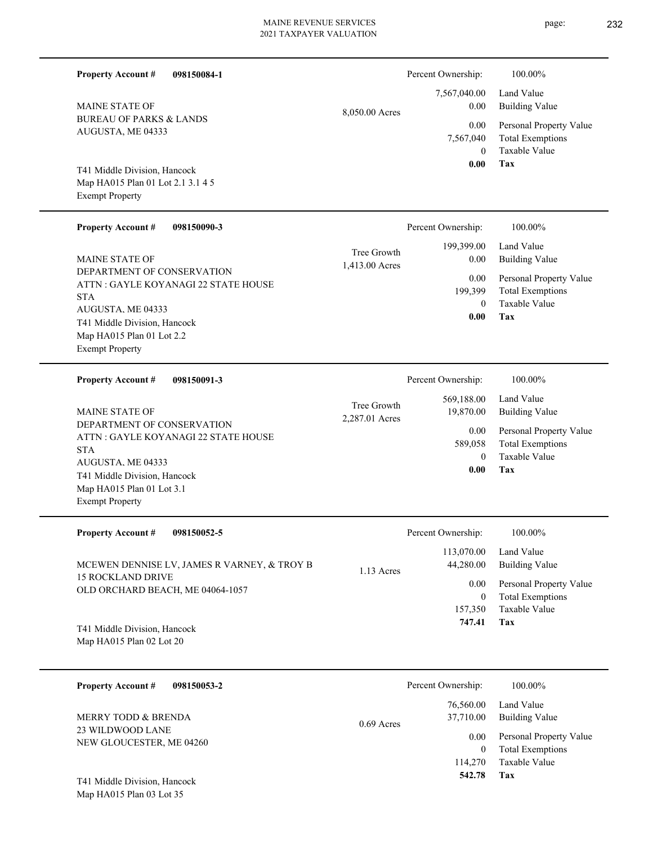page: 232

| 098150084-1<br><b>Property Account #</b>                                                                                                                                                     |                               | Percent Ownership:<br>7,567,040.00          | 100.00%<br>Land Value                                                      |
|----------------------------------------------------------------------------------------------------------------------------------------------------------------------------------------------|-------------------------------|---------------------------------------------|----------------------------------------------------------------------------|
| <b>MAINE STATE OF</b><br><b>BUREAU OF PARKS &amp; LANDS</b>                                                                                                                                  | 8,050.00 Acres                | 0.00                                        | <b>Building Value</b>                                                      |
| AUGUSTA, ME 04333                                                                                                                                                                            |                               | 0.00<br>7,567,040<br>$\overline{0}$         | Personal Property Value<br><b>Total Exemptions</b><br>Taxable Value        |
| T41 Middle Division, Hancock<br>Map HA015 Plan 01 Lot 2.1 3.1 4 5<br><b>Exempt Property</b>                                                                                                  |                               | 0.00                                        | Tax                                                                        |
| <b>Property Account #</b><br>098150090-3                                                                                                                                                     |                               | Percent Ownership:                          | 100.00%                                                                    |
| <b>MAINE STATE OF</b>                                                                                                                                                                        | Tree Growth<br>1,413.00 Acres | 199,399.00<br>0.00                          | Land Value<br><b>Building Value</b>                                        |
| DEPARTMENT OF CONSERVATION<br>ATTN: GAYLE KOYANAGI 22 STATE HOUSE<br><b>STA</b>                                                                                                              |                               | 0.00<br>199,399<br>$\mathbf{0}$             | Personal Property Value<br><b>Total Exemptions</b><br><b>Taxable Value</b> |
| AUGUSTA, ME 04333<br>T41 Middle Division, Hancock<br>Map HA015 Plan 01 Lot 2.2<br><b>Exempt Property</b>                                                                                     |                               | 0.00                                        | Tax                                                                        |
| <b>Property Account #</b><br>098150091-3                                                                                                                                                     |                               | Percent Ownership:                          | 100.00%                                                                    |
| <b>MAINE STATE OF</b>                                                                                                                                                                        | Tree Growth<br>2,287.01 Acres | 569,188.00<br>19,870.00                     | Land Value<br><b>Building Value</b>                                        |
| DEPARTMENT OF CONSERVATION<br>ATTN : GAYLE KOYANAGI 22 STATE HOUSE<br><b>STA</b><br>AUGUSTA, ME 04333<br>T41 Middle Division, Hancock<br>Map HA015 Plan 01 Lot 3.1<br><b>Exempt Property</b> |                               | 0.00<br>589,058<br>$\mathbf{0}$<br>0.00     | Personal Property Value<br><b>Total Exemptions</b><br>Taxable Value<br>Tax |
| <b>Property Account #</b><br>098150052-5                                                                                                                                                     |                               | Percent Ownership:                          | 100.00%                                                                    |
| MCEWEN DENNISE LV, JAMES R VARNEY, & TROY B                                                                                                                                                  | 1.13 Acres                    | 113,070.00<br>44,280.00                     | Land Value<br><b>Building Value</b>                                        |
| <b>15 ROCKLAND DRIVE</b><br>OLD ORCHARD BEACH, ME 04064-1057<br>T41 Middle Division, Hancock                                                                                                 |                               | 0.00<br>$\overline{0}$<br>157,350<br>747.41 | Personal Property Value<br><b>Total Exemptions</b><br>Taxable Value<br>Tax |
| Map HA015 Plan 02 Lot 20                                                                                                                                                                     |                               |                                             |                                                                            |
| <b>Property Account #</b><br>098150053-2                                                                                                                                                     |                               | Percent Ownership:                          | 100.00%                                                                    |
| MERRY TODD & BRENDA                                                                                                                                                                          | $0.69$ Acres                  | 76,560.00<br>37,710.00                      | Land Value<br><b>Building Value</b>                                        |
| 23 WILDWOOD LANE<br>NEW GLOUCESTER, ME 04260<br>T41 Middle Division, Hancock                                                                                                                 |                               | 0.00<br>$\mathbf{0}$<br>114,270<br>542.78   | Personal Property Value<br><b>Total Exemptions</b><br>Taxable Value<br>Tax |
| Map HA015 Plan 03 Lot 35                                                                                                                                                                     |                               |                                             |                                                                            |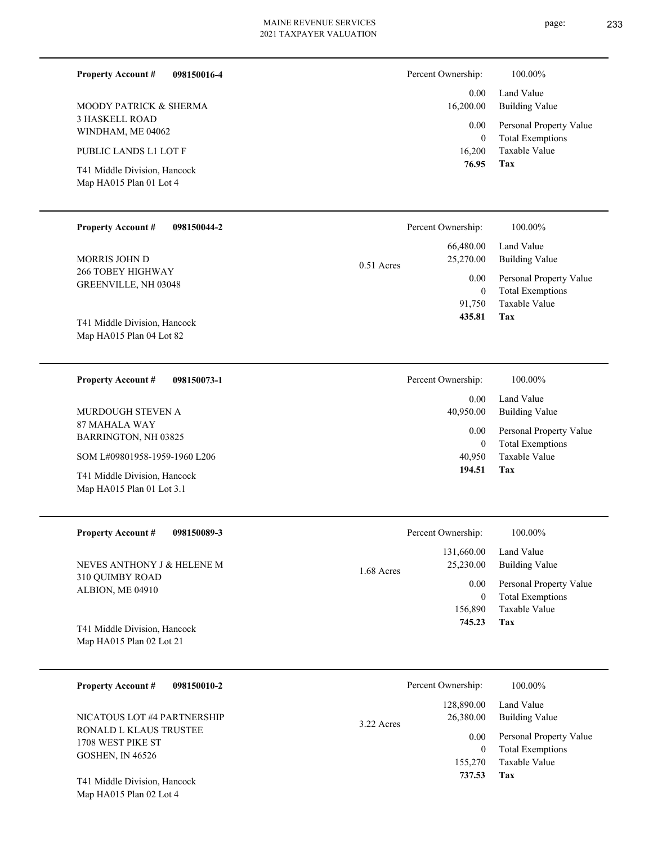| Percent Ownership:                       | 100.00%                                                                         |
|------------------------------------------|---------------------------------------------------------------------------------|
| 0.00<br>16,200.00                        | Land Value<br><b>Building Value</b>                                             |
| 0.00                                     | Personal Property Value                                                         |
| 16,200                                   | <b>Total Exemptions</b><br>Taxable Value                                        |
|                                          | <b>Tax</b>                                                                      |
| Percent Ownership:                       | 100.00%                                                                         |
| 66,480.00<br>25,270.00                   | Land Value<br><b>Building Value</b>                                             |
| 0.00<br>$\boldsymbol{0}$                 | Personal Property Value<br><b>Total Exemptions</b><br>Taxable Value             |
| 435.81                                   | Tax                                                                             |
| Percent Ownership:                       | 100.00%                                                                         |
| 0.00<br>40,950.00                        | Land Value<br><b>Building Value</b>                                             |
| 0.00                                     | Personal Property Value                                                         |
| 40,950                                   | <b>Total Exemptions</b><br>Taxable Value                                        |
|                                          | Tax                                                                             |
| Percent Ownership:                       | 100.00%                                                                         |
| 131,660.00<br>25,230.00                  | Land Value<br><b>Building Value</b>                                             |
| 0.00<br>$\bf{0}$<br>156,890              | Personal Property Value<br><b>Total Exemptions</b><br>Taxable Value<br>Tax      |
|                                          |                                                                                 |
| Percent Ownership:                       | 100.00%                                                                         |
| 128,890.00<br>26,380.00                  | Land Value<br><b>Building Value</b>                                             |
| 0.00                                     | Personal Property Value<br><b>Total Exemptions</b>                              |
| 155,270<br>737.53                        | Taxable Value<br>Tax                                                            |
|                                          |                                                                                 |
|                                          |                                                                                 |
| $0.51$ Acres<br>1.68 Acres<br>3.22 Acres | $\mathbf{0}$<br>76.95<br>91,750<br>$\mathbf{0}$<br>194.51<br>745.23<br>$\bf{0}$ |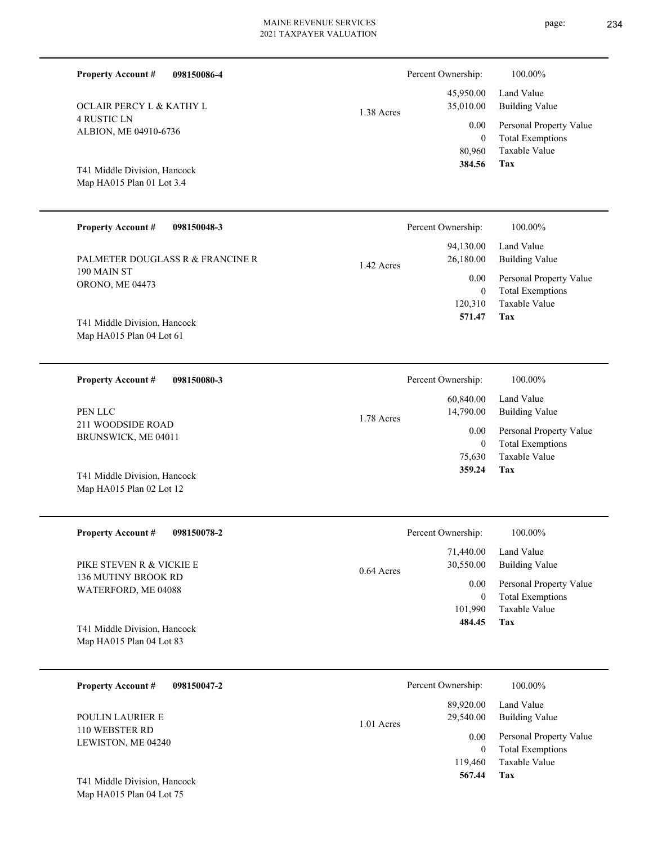| <b>Property Account #</b><br>098150086-4                  |              | Percent Ownership:<br>45,950.00              | 100.00%<br>Land Value                                                      |
|-----------------------------------------------------------|--------------|----------------------------------------------|----------------------------------------------------------------------------|
| <b>OCLAIR PERCY L &amp; KATHY L</b>                       | 1.38 Acres   | 35,010.00                                    | <b>Building Value</b>                                                      |
| <b>4 RUSTIC LN</b><br>ALBION, ME 04910-6736               |              | 0.00<br>$\boldsymbol{0}$<br>80,960<br>384.56 | Personal Property Value<br><b>Total Exemptions</b><br>Taxable Value<br>Tax |
| T41 Middle Division, Hancock<br>Map HA015 Plan 01 Lot 3.4 |              |                                              |                                                                            |
| <b>Property Account #</b><br>098150048-3                  |              | Percent Ownership:                           | 100.00%                                                                    |
| PALMETER DOUGLASS R & FRANCINE R                          | 1.42 Acres   | 94,130.00<br>26,180.00                       | Land Value<br><b>Building Value</b>                                        |
| 190 MAIN ST<br>ORONO, ME 04473                            |              | 0.00<br>$\boldsymbol{0}$                     | Personal Property Value<br><b>Total Exemptions</b>                         |
| T41 Middle Division, Hancock<br>Map HA015 Plan 04 Lot 61  |              | 120,310<br>571.47                            | Taxable Value<br>Tax                                                       |
| <b>Property Account #</b><br>098150080-3                  |              | Percent Ownership:                           | 100.00%                                                                    |
| PEN LLC                                                   | 1.78 Acres   | 60,840.00<br>14,790.00                       | Land Value<br><b>Building Value</b>                                        |
| 211 WOODSIDE ROAD<br>BRUNSWICK, ME 04011                  |              | 0.00<br>$\mathbf{0}$                         | Personal Property Value<br><b>Total Exemptions</b><br>Taxable Value        |
| T41 Middle Division, Hancock<br>Map HA015 Plan 02 Lot 12  |              | 75,630<br>359.24                             | Tax                                                                        |
| <b>Property Account #</b><br>098150078-2                  |              | Percent Ownership:                           | 100.00%                                                                    |
| PIKE STEVEN R & VICKIE E                                  | $0.64$ Acres | 71,440.00<br>30,550.00                       | Land Value<br><b>Building Value</b>                                        |
| 136 MUTINY BROOK RD<br>WATERFORD, ME 04088                |              | 0.00<br>$\mathbf{0}$<br>101,990              | Personal Property Value<br><b>Total Exemptions</b><br>Taxable Value        |
| T41 Middle Division, Hancock<br>Map HA015 Plan 04 Lot 83  |              | 484.45                                       | Tax                                                                        |
| <b>Property Account #</b><br>098150047-2                  |              | Percent Ownership:                           | 100.00%                                                                    |
| POULIN LAURIER E                                          | 1.01 Acres   | 89,920.00<br>29,540.00                       | Land Value<br><b>Building Value</b>                                        |
| 110 WEBSTER RD                                            |              | 0.00                                         | $D_{\text{source}} = 1, D_{\text{source}} = 1, N = 1, $                    |

LEWISTON, ME 04240

**Tax**

 119,460 0

 **567.44**

Taxable Value Total Exemptions 0.00 Personal Property Value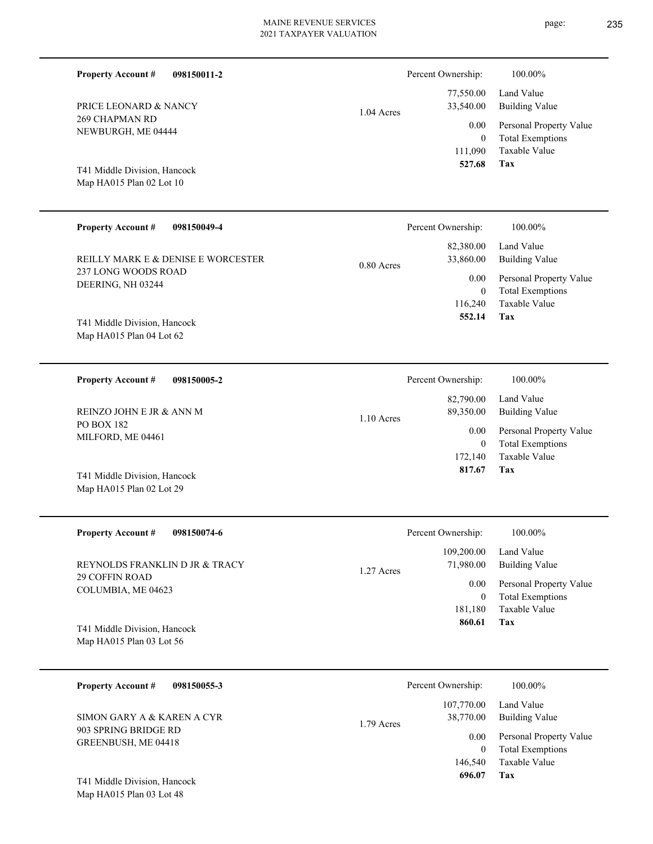| <b>Property Account #</b>                                | 098150011-2                        |                        | Percent Ownership:                  | 100.00%                                                                    |
|----------------------------------------------------------|------------------------------------|------------------------|-------------------------------------|----------------------------------------------------------------------------|
| PRICE LEONARD & NANCY                                    | 1.04 Acres                         | 77,550.00<br>33,540.00 | Land Value<br><b>Building Value</b> |                                                                            |
| <b>269 CHAPMAN RD</b><br>NEWBURGH, ME 04444              |                                    |                        | 0.00<br>$\mathbf{0}$<br>111,090     | Personal Property Value<br><b>Total Exemptions</b><br><b>Taxable Value</b> |
| T41 Middle Division, Hancock<br>Map HA015 Plan 02 Lot 10 |                                    |                        | 527.68                              | Tax                                                                        |
| <b>Property Account #</b>                                | 098150049-4                        |                        | Percent Ownership:                  | 100.00%                                                                    |
|                                                          | REILLY MARK E & DENISE E WORCESTER | $0.80$ Acres           | 82,380.00<br>33,860.00              | Land Value<br><b>Building Value</b>                                        |
| 237 LONG WOODS ROAD<br>DEERING, NH 03244                 |                                    |                        | 0.00<br>$\theta$                    | Personal Property Value<br><b>Total Exemptions</b>                         |
| T41 Middle Division, Hancock<br>Map HA015 Plan 04 Lot 62 |                                    |                        | 116,240<br>552.14                   | Taxable Value<br>Tax                                                       |
| <b>Property Account #</b>                                | 098150005-2                        |                        | Percent Ownership:                  | 100.00%                                                                    |
| REINZO JOHN E JR & ANN M                                 |                                    | $1.10$ Acres           | 82,790.00<br>89,350.00              | Land Value<br><b>Building Value</b>                                        |
| <b>PO BOX 182</b><br>MILFORD, ME 04461                   |                                    |                        | 0.00<br>$\mathbf{0}$<br>172,140     | Personal Property Value<br><b>Total Exemptions</b><br>Taxable Value        |
|                                                          |                                    |                        | 817.67                              | Tax                                                                        |

| T41 Middle Division, Hancock |
|------------------------------|
| Map HA015 Plan 02 Lot 29     |

| <b>Property Account #</b><br>098150074-6         | Percent Ownership:      | 100.00%                 |
|--------------------------------------------------|-------------------------|-------------------------|
|                                                  | 109,200.00              | Land Value              |
| REYNOLDS FRANKLIN D JR & TRACY<br>29 COFFIN ROAD | 71,980.00<br>1.27 Acres | <b>Building Value</b>   |
|                                                  | 0.00                    | Personal Property Value |
| COLUMBIA, ME 04623                               | 0                       | <b>Total Exemptions</b> |
|                                                  | 181,180                 | Taxable Value           |
| T41 Middle Division, Hancock                     | 860.61                  | Tax                     |
| Map HA015 Plan 03 Lot 56                         |                         |                         |
|                                                  |                         |                         |
|                                                  |                         |                         |

| 098150055-3<br><b>Property Account #</b>    | Percent Ownership:      | 100.00%                 |
|---------------------------------------------|-------------------------|-------------------------|
|                                             | 107,770.00              | Land Value              |
| SIMON GARY A & KAREN A CYR                  | 38,770.00<br>1.79 Acres | Building Value          |
| 903 SPRING BRIDGE RD<br>GREENBUSH, ME 04418 | 0.00                    | Personal Property Value |
|                                             |                         | <b>Total Exemptions</b> |
|                                             | 146,540                 | Taxable Value           |
| T41 Middle Division, Hancock                | 696.07                  | Tax                     |
| Map HA015 Plan 03 Lot 48                    |                         |                         |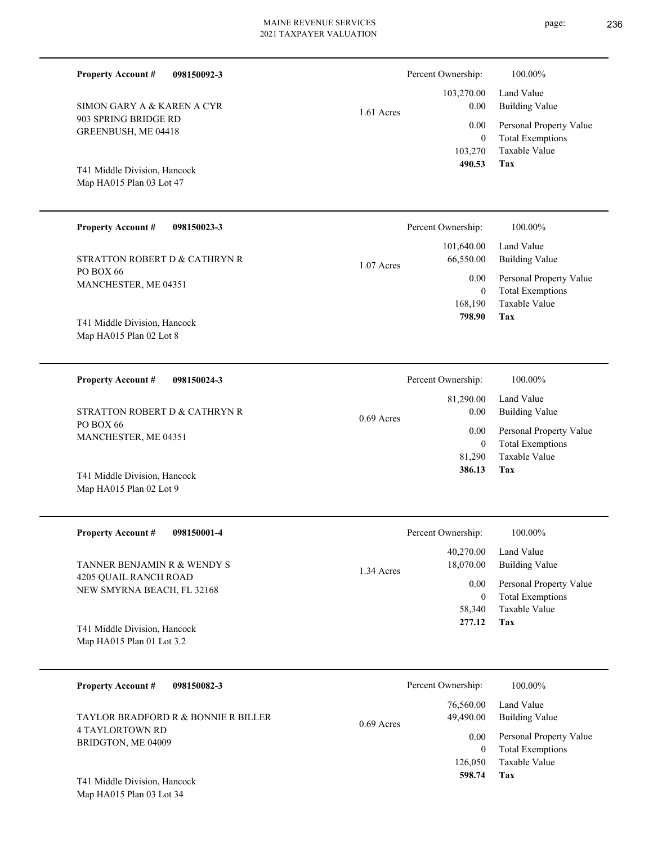**098150092-3**

**Property Account #**

| SIMON GARY A & KAREN A CYR<br>903 SPRING BRIDGE RD<br>GREENBUSH, ME 04418<br>T41 Middle Division, Hancock<br>Map HA015 Plan 03 Lot 47 | $1.61$ Acres<br>103,270<br>490.53                  | 0.00<br><b>Building Value</b><br>0.00<br>Personal Property Value<br><b>Total Exemptions</b><br>$\theta$<br>Taxable Value<br>Tax                     |
|---------------------------------------------------------------------------------------------------------------------------------------|----------------------------------------------------|-----------------------------------------------------------------------------------------------------------------------------------------------------|
| <b>Property Account #</b><br>098150023-3                                                                                              | Percent Ownership:                                 | 100.00%                                                                                                                                             |
| STRATTON ROBERT D & CATHRYN R<br>PO BOX 66<br>MANCHESTER, ME 04351<br>T41 Middle Division, Hancock<br>Map HA015 Plan 02 Lot 8         | 101,640.00<br>66,550.00<br>$1.07$ Acres<br>168,190 | Land Value<br><b>Building Value</b><br>0.00<br>Personal Property Value<br><b>Total Exemptions</b><br>$\mathbf{0}$<br>Taxable Value<br>Tax<br>798.90 |
| <b>Property Account #</b><br>098150024-3<br>STRATTON ROBERT D & CATHRYN R                                                             | Percent Ownership:<br>81,290.00                    | 100.00%<br>Land Value<br>0.00<br><b>Building Value</b>                                                                                              |
| <b>PO BOX 66</b>                                                                                                                      | $0.69$ Acres                                       | $0.00 \quad \mathbf{D} \qquad 1.0 \qquad 1.371$                                                                                                     |

Map HA015 Plan 02 Lot 9 T41 Middle Division, Hancock

MANCHESTER, ME 04351

| <b>Property Account #</b><br>098150001-4            | Percent Ownership:                   | 100.00%                                            |
|-----------------------------------------------------|--------------------------------------|----------------------------------------------------|
| TANNER BENJAMIN R & WENDY S                         | 40.270.00<br>18,070.00<br>1.34 Acres | Land Value<br>Building Value                       |
| 4205 OUAIL RANCH ROAD<br>NEW SMYRNA BEACH, FL 32168 | 0.00                                 | Personal Property Value<br><b>Total Exemptions</b> |
|                                                     | 58,340                               | Taxable Value                                      |
| T41 Middle Division, Hancock                        | 277.12                               | Tax                                                |
| Map HA015 Plan 01 Lot $3.2$                         |                                      |                                                    |

| <b>Property Account #</b><br>098150082-3                          | Percent Ownership:                     | 100.00%                                            |
|-------------------------------------------------------------------|----------------------------------------|----------------------------------------------------|
| <b>TAYLOR BRADFORD R &amp; BONNIE R BILLER</b><br>4 TAYLORTOWN RD | 76,560.00<br>49,490.00<br>$0.69$ Acres | Land Value<br><b>Building Value</b>                |
| BRIDGTON, ME 04009                                                | 0.00                                   | Personal Property Value<br><b>Total Exemptions</b> |
| T41 Middle Division, Hancock                                      | 126,050<br>598.74                      | Taxable Value<br>Tax                               |

Map HA015 Plan 03 Lot 34



**Tax** Taxable Value Total Exemptions Personal Property Value Building Value 81,290 0  **386.13** 0.00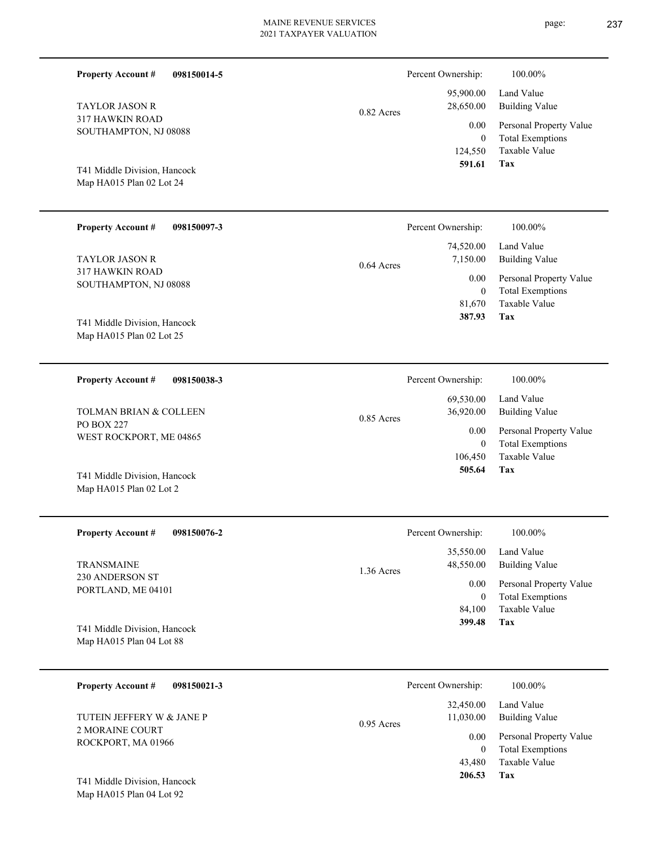page: 237

| <b>Property Account #</b><br>098150014-5                              | Percent Ownership: |                                            | 100.00%                                                                    |
|-----------------------------------------------------------------------|--------------------|--------------------------------------------|----------------------------------------------------------------------------|
| <b>TAYLOR JASON R</b>                                                 | 0.82 Acres         | 95,900.00<br>28,650.00                     | Land Value<br><b>Building Value</b>                                        |
| 317 HAWKIN ROAD<br>SOUTHAMPTON, NJ 08088                              |                    | 0.00<br>$\mathbf{0}$<br>124,550            | Personal Property Value<br><b>Total Exemptions</b><br>Taxable Value        |
| T41 Middle Division, Hancock<br>Map HA015 Plan 02 Lot 24              |                    | 591.61                                     | Tax                                                                        |
| <b>Property Account #</b><br>098150097-3                              | Percent Ownership: |                                            | 100.00%                                                                    |
| <b>TAYLOR JASON R</b>                                                 | 0.64 Acres         | 74,520.00<br>7,150.00                      | Land Value<br><b>Building Value</b>                                        |
| 317 HAWKIN ROAD<br>SOUTHAMPTON, NJ 08088                              |                    | 0.00<br>$\mathbf{0}$<br>81,670             | Personal Property Value<br><b>Total Exemptions</b><br>Taxable Value        |
| T41 Middle Division, Hancock<br>Map HA015 Plan 02 Lot 25              |                    | 387.93                                     | Tax                                                                        |
| <b>Property Account #</b><br>098150038-3                              | Percent Ownership: |                                            | 100.00%                                                                    |
| <b>TOLMAN BRIAN &amp; COLLEEN</b>                                     | $0.85$ Acres       | 69,530.00<br>36,920.00                     | Land Value<br><b>Building Value</b>                                        |
| <b>PO BOX 227</b><br>WEST ROCKPORT, ME 04865                          |                    | 0.00<br>$\mathbf{0}$                       | Personal Property Value<br><b>Total Exemptions</b>                         |
| T41 Middle Division, Hancock<br>Map HA015 Plan 02 Lot 2               |                    | 106,450<br>505.64                          | Taxable Value<br>Tax                                                       |
| <b>Property Account #</b><br>098150076-2                              |                    | Percent Ownership:                         | 100.00%                                                                    |
| <b>TRANSMAINE</b>                                                     | 1.36 Acres         | 35,550.00<br>48,550.00                     | Land Value<br><b>Building Value</b>                                        |
| 230 ANDERSON ST<br>PORTLAND, ME 04101                                 |                    | 0.00<br>$\overline{0}$                     | Personal Property Value<br><b>Total Exemptions</b>                         |
| T41 Middle Division, Hancock<br>Map HA015 Plan 04 Lot 88              |                    | 84,100<br>399.48                           | Taxable Value<br>Tax                                                       |
| <b>Property Account #</b><br>098150021-3                              | Percent Ownership: |                                            | 100.00%                                                                    |
| TUTEIN JEFFERY W & JANE P                                             | $0.95$ Acres       | 32,450.00<br>11,030.00                     | Land Value<br><b>Building Value</b>                                        |
| 2 MORAINE COURT<br>ROCKPORT, MA 01966<br>T41 Middle Division, Hancock |                    | 0.00<br>$\overline{0}$<br>43,480<br>206.53 | Personal Property Value<br><b>Total Exemptions</b><br>Taxable Value<br>Tax |
| Map HA015 Plan 04 Lot 92                                              |                    |                                            |                                                                            |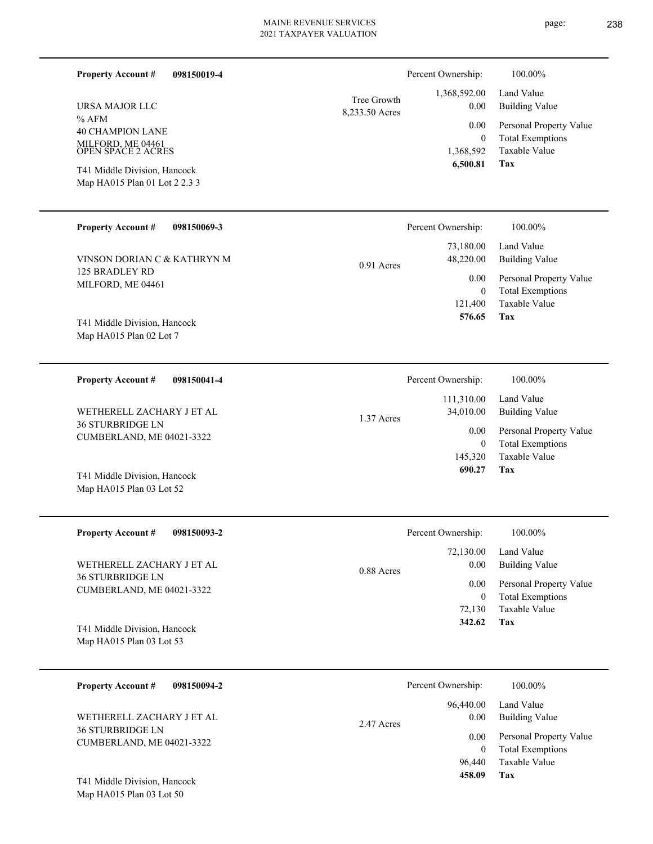| page |  |
|------|--|
|      |  |

page: 238

| <b>Property Account #</b><br>098150019-4                      |                               | Percent Ownership:               | 100.00%                                                             |
|---------------------------------------------------------------|-------------------------------|----------------------------------|---------------------------------------------------------------------|
| URSA MAJOR LLC                                                | Tree Growth<br>8,233.50 Acres | 1,368,592.00<br>0.00             | Land Value<br><b>Building Value</b>                                 |
| % AFM<br><b>40 CHAMPION LANE</b>                              |                               | $0.00\,$<br>$\overline{0}$       | Personal Property Value<br><b>Total Exemptions</b>                  |
| MILFORD, ME 04461<br>OPEN SPACE 2 ACRES                       |                               | 1,368,592<br>6,500.81            | Taxable Value<br>Tax                                                |
| T41 Middle Division, Hancock<br>Map HA015 Plan 01 Lot 2 2.3 3 |                               |                                  |                                                                     |
| <b>Property Account #</b><br>098150069-3                      |                               | Percent Ownership:               | 100.00%                                                             |
| VINSON DORIAN C & KATHRYN M                                   | $0.91$ Acres                  | 73,180.00<br>48,220.00           | Land Value<br><b>Building Value</b>                                 |
| 125 BRADLEY RD<br>MILFORD, ME 04461                           |                               | 0.00<br>$\overline{0}$           | Personal Property Value<br><b>Total Exemptions</b>                  |
|                                                               |                               | 121,400                          | Taxable Value                                                       |
| T41 Middle Division, Hancock<br>Map HA015 Plan 02 Lot 7       |                               | 576.65                           | Tax                                                                 |
| <b>Property Account #</b><br>098150041-4                      |                               | Percent Ownership:               | 100.00%                                                             |
| WETHERELL ZACHARY J ET AL                                     |                               | 111,310.00<br>34,010.00          | Land Value<br><b>Building Value</b>                                 |
| <b>36 STURBRIDGE LN</b><br>CUMBERLAND, ME 04021-3322          | 1.37 Acres                    | 0.00<br>$\overline{0}$           | Personal Property Value<br><b>Total Exemptions</b>                  |
| T41 Middle Division, Hancock<br>Map HA015 Plan 03 Lot 52      |                               | 145,320<br>690.27                | <b>Taxable Value</b><br>Tax                                         |
| <b>Property Account #</b><br>098150093-2                      |                               | Percent Ownership:               | 100.00%                                                             |
| WETHERELL ZACHARY J ET AL                                     | $0.88$ Acres                  | 72,130.00<br>0.00                | Land Value<br><b>Building Value</b>                                 |
| <b>36 STURBRIDGE LN</b><br>CUMBERLAND, ME 04021-3322          |                               | 0.00<br>$\overline{0}$<br>72,130 | Personal Property Value<br><b>Total Exemptions</b><br>Taxable Value |
| T41 Middle Division, Hancock<br>Map HA015 Plan 03 Lot 53      |                               | 342.62                           | Tax                                                                 |
| <b>Property Account #</b><br>098150094-2                      |                               | Percent Ownership:               | 100.00%                                                             |
| WETHERELL ZACHARY J ET AL                                     | 2.47 Acres                    | 96,440.00<br>0.00                | Land Value<br><b>Building Value</b>                                 |
| <b>36 STURBRIDGE LN</b><br>CUMBERLAND, ME 04021-3322          |                               | 0.00<br>$\overline{0}$<br>96,440 | Personal Property Value<br><b>Total Exemptions</b><br>Taxable Value |
| T41 Middle Division, Hancock                                  |                               | 458.09                           | Tax                                                                 |

Map HA015 Plan 03 Lot 50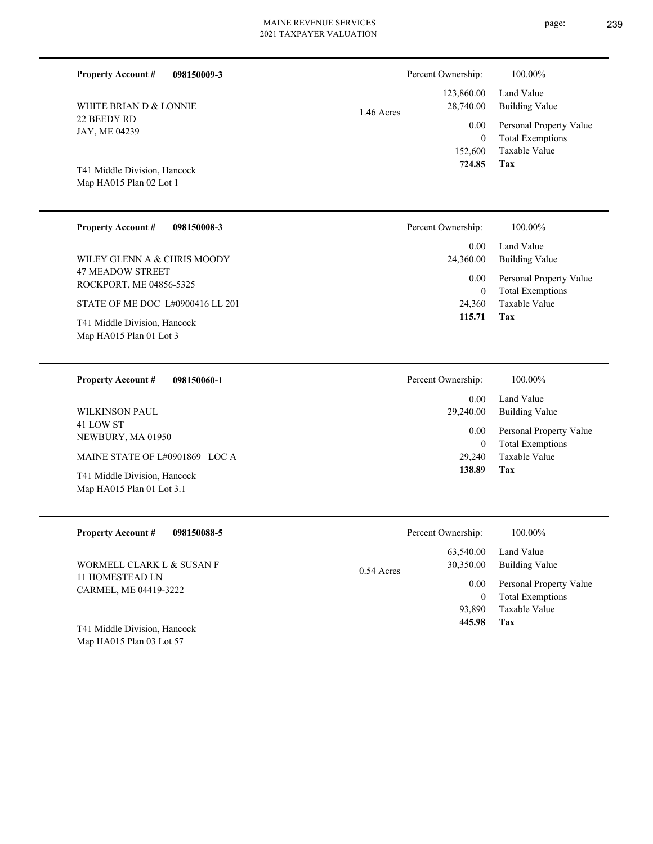| 098150009-3<br><b>Property Account #</b><br>WHITE BRIAN D & LONNIE<br>22 BEEDY RD<br>JAY, ME 04239<br>T41 Middle Division, Hancock<br>Map HA015 Plan 02 Lot 1 | Percent Ownership:<br>123,860.00<br>28,740.00<br>1.46 Acres<br>0.00<br>152,600<br>724.85 | 100.00%<br>Land Value<br><b>Building Value</b><br>Personal Property Value<br><b>Total Exemptions</b><br>$\boldsymbol{0}$<br>Taxable Value<br><b>Tax</b> |
|---------------------------------------------------------------------------------------------------------------------------------------------------------------|------------------------------------------------------------------------------------------|---------------------------------------------------------------------------------------------------------------------------------------------------------|
| <b>Property Account #</b><br>098150008-3                                                                                                                      | Percent Ownership:                                                                       | 100.00%                                                                                                                                                 |
| WILEY GLENN A & CHRIS MOODY                                                                                                                                   | 0.00<br>24,360.00                                                                        | Land Value<br><b>Building Value</b>                                                                                                                     |
| <b>47 MEADOW STREET</b><br>ROCKPORT, ME 04856-5325                                                                                                            | 0.00                                                                                     | Personal Property Value<br><b>Total Exemptions</b><br>$\mathbf{0}$                                                                                      |
| STATE OF ME DOC L#0900416 LL 201                                                                                                                              | 24,360                                                                                   | Taxable Value                                                                                                                                           |
| T41 Middle Division, Hancock<br>Map HA015 Plan 01 Lot 3                                                                                                       | 115.71                                                                                   | <b>Tax</b>                                                                                                                                              |
| 098150060-1<br><b>Property Account #</b>                                                                                                                      | Percent Ownership:                                                                       | 100.00%                                                                                                                                                 |
| <b>WILKINSON PAUL</b>                                                                                                                                         | 0.00<br>29,240.00                                                                        | Land Value<br><b>Building Value</b>                                                                                                                     |
| 41 LOW ST<br>NEWBURY, MA 01950                                                                                                                                | 0.00                                                                                     | Personal Property Value<br><b>Total Exemptions</b><br>$\boldsymbol{0}$                                                                                  |
| MAINE STATE OF L#0901869 LOC A                                                                                                                                | 29,240                                                                                   | <b>Taxable Value</b>                                                                                                                                    |
| T41 Middle Division, Hancock<br>Map HA015 Plan 01 Lot 3.1                                                                                                     | 138.89                                                                                   | Tax                                                                                                                                                     |
| <b>Property Account #</b><br>098150088-5                                                                                                                      | Percent Ownership:                                                                       | 100.00%                                                                                                                                                 |
|                                                                                                                                                               | 63,540.00                                                                                | Land Value                                                                                                                                              |
| WORMELL CLARK L & SUSAN F<br>$11.110 \text{ MPQCD}$ $\lambda$ D. L.M.                                                                                         | 30,350.00<br>$0.54$ Acres                                                                | <b>Building Value</b>                                                                                                                                   |

11 HOMESTEAD LN CARMEL, ME 04419-3222

Map HA015 Plan 03 Lot 57 T41 Middle Division, Hancock **Tax**

 93,890 0

 **445.98**

Taxable Value Total Exemptions 0.00 Personal Property Value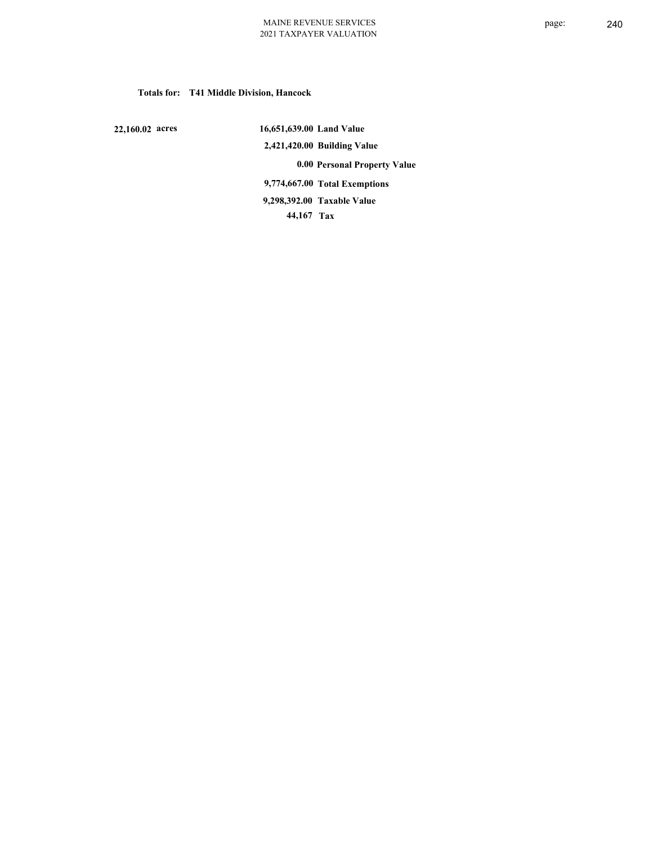## **Totals for: T41 Middle Division, Hancock**

 **22,160.02 acres**

 **16,651,639.00 Land Value 2,421,420.00 Building Value 0.00 Personal Property Value 9,774,667.00 Total Exemptions 44,167 Tax Taxable Value 9,298,392.00**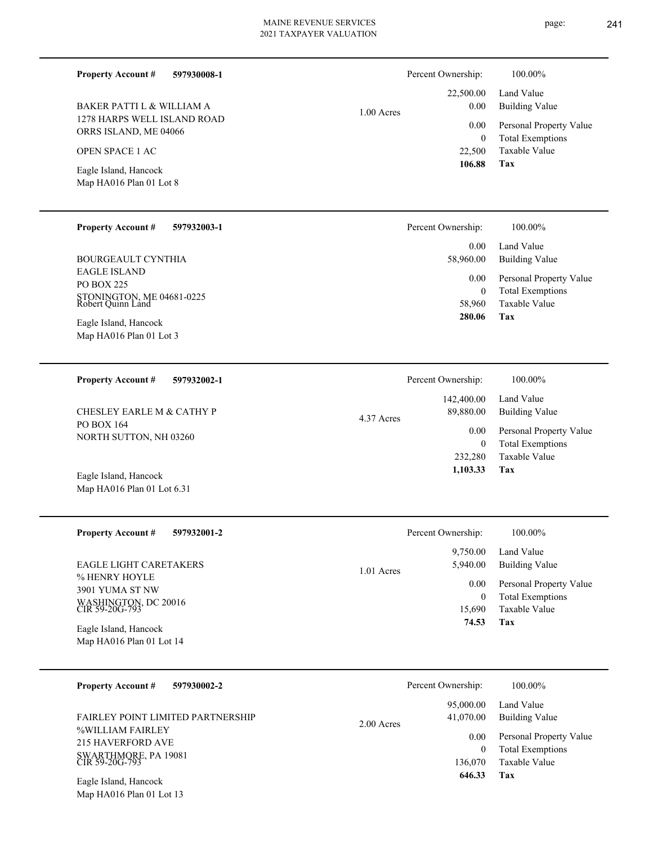**597930008-1**

1278 HARPS WELL ISLAND ROAD

BAKER PATTI L & WILLIAM A

ORRS ISLAND, ME 04066

Eagle Island, Hancock OPEN SPACE 1 AC

**Property Account #**

|              | Percent Ownership: | 100.00%                 |
|--------------|--------------------|-------------------------|
|              |                    | 22,500.00 Land Value    |
| $1.00$ Acres | 0.00               | <b>Building Value</b>   |
|              | 0.00               | Personal Property Value |
|              | 0                  | <b>Total Exemptions</b> |
|              | 22,500             | Taxable Value           |
|              | 106.88             | Tax                     |

**Tax**

 136,070  $\boldsymbol{0}$ 

0.00

 **646.33**

Taxable Value Total Exemptions Personal Property Value

| Map HA016 Plan 01 Lot 8                                                                    |              |                                     |                                                                                          |
|--------------------------------------------------------------------------------------------|--------------|-------------------------------------|------------------------------------------------------------------------------------------|
| <b>Property Account #</b><br>597932003-1                                                   |              | Percent Ownership:                  | 100.00%                                                                                  |
| <b>BOURGEAULT CYNTHIA</b>                                                                  |              | 0.00<br>58,960.00                   | Land Value<br><b>Building Value</b>                                                      |
| <b>EAGLE ISLAND</b><br><b>PO BOX 225</b><br>STONINGTON, ME 04681-0225<br>Robert Quinn Land |              | 0.00<br>$\mathbf{0}$<br>58,960      | Personal Property Value<br><b>Total Exemptions</b><br><b>Taxable Value</b><br><b>Tax</b> |
| Eagle Island, Hancock<br>Map HA016 Plan 01 Lot 3                                           |              | 280.06                              |                                                                                          |
| <b>Property Account #</b><br>597932002-1                                                   |              | Percent Ownership:                  | 100.00%                                                                                  |
| <b>CHESLEY EARLE M &amp; CATHY P</b>                                                       | 4.37 Acres   | 142,400.00<br>89,880.00             | Land Value<br><b>Building Value</b>                                                      |
| PO BOX 164<br>NORTH SUTTON, NH 03260                                                       |              | 0.00<br>$\boldsymbol{0}$<br>232,280 | Personal Property Value<br><b>Total Exemptions</b><br>Taxable Value                      |
| Eagle Island, Hancock<br>Map HA016 Plan 01 Lot 6.31                                        |              | 1,103.33                            | Tax                                                                                      |
| <b>Property Account #</b><br>597932001-2                                                   |              | Percent Ownership:                  | 100.00%                                                                                  |
| <b>EAGLE LIGHT CARETAKERS</b>                                                              | $1.01$ Acres | 9,750.00<br>5,940.00                | Land Value<br><b>Building Value</b>                                                      |
| % HENRY HOYLE<br>3901 YUMA ST NW<br>WASHINGTON, DC 20016<br>CIR 59-20G-793                 |              | 0.00<br>$\mathbf{0}$<br>15,690      | Personal Property Value<br><b>Total Exemptions</b><br>Taxable Value                      |
| Eagle Island, Hancock<br>Map HA016 Plan 01 Lot 14                                          |              | 74.53                               | Tax                                                                                      |
| <b>Property Account #</b><br>597930002-2                                                   |              | Percent Ownership:                  | 100.00%                                                                                  |
| <b>FAIRLEY POINT LIMITED PARTNERSHIP</b>                                                   | 2.00 Acres   | 95,000.00<br>41,070.00              | Land Value<br><b>Building Value</b>                                                      |

%WILLIAM FAIRLEY 215 HAVERFORD AVE SWARTHMORE, PA 19081 CIR 59-20G-793

Map HA016 Plan 01 Lot 13 Eagle Island, Hancock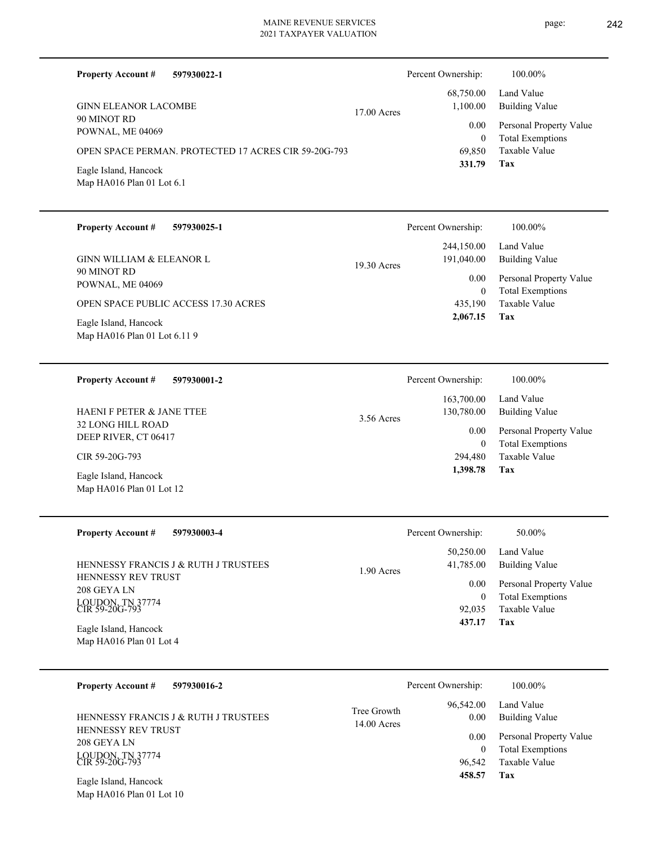| page: | 242 |
|-------|-----|
|       |     |

| <b>Property Account #</b><br>597930022-1              |                            | Percent Ownership:         | 100.00%                                            |
|-------------------------------------------------------|----------------------------|----------------------------|----------------------------------------------------|
| <b>GINN ELEANOR LACOMBE</b>                           | 17.00 Acres                | 68,750.00<br>1,100.00      | Land Value<br><b>Building Value</b>                |
| 90 MINOT RD<br>POWNAL, ME 04069                       |                            | $0.00\,$<br>$\overline{0}$ | Personal Property Value<br><b>Total Exemptions</b> |
| OPEN SPACE PERMAN. PROTECTED 17 ACRES CIR 59-20G-793  |                            | 69,850<br>331.79           | Taxable Value<br>Tax                               |
| Eagle Island, Hancock<br>Map HA016 Plan 01 Lot 6.1    |                            |                            |                                                    |
| <b>Property Account #</b><br>597930025-1              |                            | Percent Ownership:         | 100.00%                                            |
| GINN WILLIAM & ELEANOR L                              | 19.30 Acres                | 244,150.00<br>191,040.00   | Land Value<br><b>Building Value</b>                |
| 90 MINOT RD<br>POWNAL, ME 04069                       |                            | 0.00<br>$\overline{0}$     | Personal Property Value<br><b>Total Exemptions</b> |
| OPEN SPACE PUBLIC ACCESS 17.30 ACRES                  |                            | 435,190<br>2,067.15        | Taxable Value<br>Tax                               |
| Eagle Island, Hancock<br>Map HA016 Plan 01 Lot 6.11 9 |                            |                            |                                                    |
| <b>Property Account #</b><br>597930001-2              |                            | Percent Ownership:         | 100.00%                                            |
| <b>HAENIF PETER &amp; JANE TTEE</b>                   | 3.56 Acres                 | 163,700.00<br>130,780.00   | Land Value<br><b>Building Value</b>                |
| 32 LONG HILL ROAD<br>DEEP RIVER, CT 06417             |                            | 0.00<br>$\overline{0}$     | Personal Property Value<br><b>Total Exemptions</b> |
| CIR 59-20G-793                                        |                            | 294,480<br>1,398.78        | <b>Taxable Value</b><br>Tax                        |
| Eagle Island, Hancock<br>Map HA016 Plan 01 Lot 12     |                            |                            |                                                    |
| <b>Property Account #</b><br>597930003-4              |                            | Percent Ownership:         | 50.00%                                             |
| HENNESSY FRANCIS J & RUTH J TRUSTEES                  | 1.90 Acres                 | 50,250.00<br>41,785.00     | Land Value<br><b>Building Value</b>                |
| HENNESSY REV TRUST<br>208 GEYA LN                     |                            | 0.00<br>$\boldsymbol{0}$   | Personal Property Value<br><b>Total Exemptions</b> |
| LOUDON, TN 37774<br>CIR 59-20G-793                    |                            | 92,035<br>437.17           | Taxable Value<br>Tax                               |
| Eagle Island, Hancock<br>Map HA016 Plan 01 Lot 4      |                            |                            |                                                    |
| <b>Property Account #</b><br>597930016-2              |                            | Percent Ownership:         | 100.00%                                            |
| HENNESSY FRANCIS J & RUTH J TRUSTEES                  | Tree Growth<br>14.00 Acres | 96,542.00<br>0.00          | Land Value<br><b>Building Value</b>                |
| HENNESSY REV TRUST<br>208 GEYA LN                     |                            | 0.00<br>$\boldsymbol{0}$   | Personal Property Value<br><b>Total Exemptions</b> |
| LOUDON, TN 37774<br>CIR 59-20G-793                    |                            | 96,542<br>458.57           | Taxable Value<br>Tax                               |
| Easta Island, Hanagale                                |                            |                            |                                                    |

Map HA016 Plan 01 Lot 10 Eagle Island, Hancock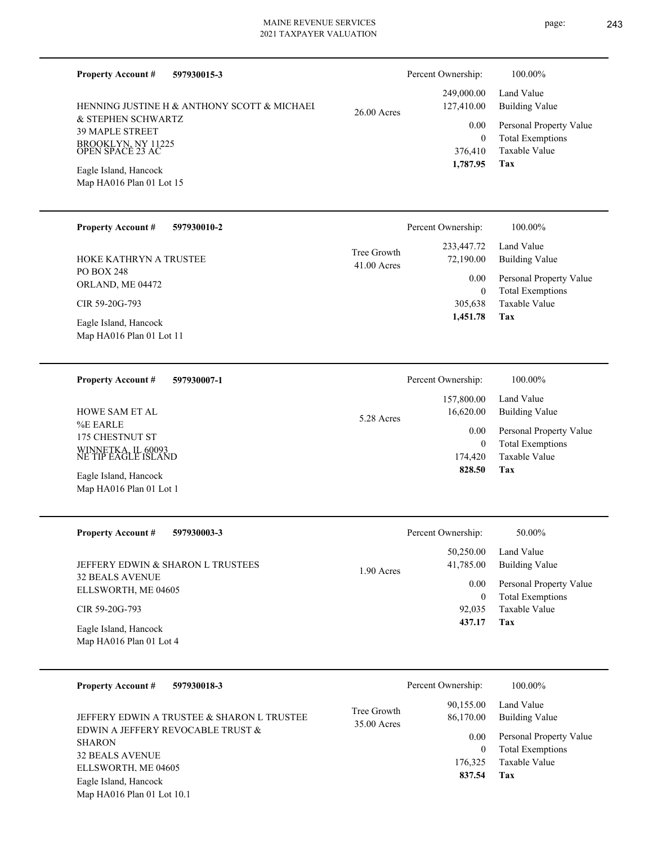| <b>Property Account #</b><br>597930015-3                         |                            | Percent Ownership:       | 100.00%                                            |
|------------------------------------------------------------------|----------------------------|--------------------------|----------------------------------------------------|
| HENNING JUSTINE H & ANTHONY SCOTT & MICHAEI                      | $26.00$ Acres              | 249,000.00<br>127,410.00 | Land Value<br><b>Building Value</b>                |
| & STEPHEN SCHWARTZ                                               |                            | 0.00                     | Personal Property Value                            |
| <b>39 MAPLE STREET</b><br>BROOKLYN, NY 11225<br>OPEN SPACE 23 AC |                            | $\mathbf{0}$             | <b>Total Exemptions</b>                            |
|                                                                  |                            | 376,410<br>1,787.95      | <b>Taxable Value</b><br>Tax                        |
| Eagle Island, Hancock<br>Map HA016 Plan 01 Lot 15                |                            |                          |                                                    |
|                                                                  |                            |                          |                                                    |
| <b>Property Account #</b><br>597930010-2                         |                            | Percent Ownership:       | 100.00%                                            |
| HOKE KATHRYN A TRUSTEE                                           | Tree Growth<br>41.00 Acres | 233,447.72<br>72,190.00  | Land Value<br><b>Building Value</b>                |
| <b>PO BOX 248</b><br>ORLAND, ME 04472                            |                            | 0.00                     | Personal Property Value                            |
| CIR 59-20G-793                                                   |                            | $\mathbf{0}$<br>305,638  | <b>Total Exemptions</b><br><b>Taxable Value</b>    |
|                                                                  |                            | 1,451.78                 | Tax                                                |
| Eagle Island, Hancock<br>Map HA016 Plan 01 Lot 11                |                            |                          |                                                    |
|                                                                  |                            |                          |                                                    |
| <b>Property Account #</b><br>597930007-1                         |                            | Percent Ownership:       | 100.00%                                            |
|                                                                  |                            | 157,800.00<br>16,620.00  | Land Value                                         |
| <b>HOWE SAM ET AL</b><br>%E EARLE                                | 5.28 Acres                 |                          | <b>Building Value</b>                              |
| 175 CHESTNUT ST                                                  |                            | 0.00<br>$\overline{0}$   | Personal Property Value<br><b>Total Exemptions</b> |
| WINNETKA, IL 60093<br>NE TIP EAGLE ISLAND                        |                            | 174,420                  | <b>Taxable Value</b>                               |
| Eagle Island, Hancock                                            |                            | 828.50                   | Tax                                                |
| Map HA016 Plan 01 Lot 1                                          |                            |                          |                                                    |
| <b>Property Account #</b><br>597930003-3                         |                            | Percent Ownership:       | 50.00%                                             |
|                                                                  |                            | 50,250.00                | Land Value                                         |
| JEFFERY EDWIN & SHARON L TRUSTEES                                | 1.90 Acres                 | 41,785.00                | <b>Building Value</b>                              |
| <b>32 BEALS AVENUE</b>                                           |                            | 0.00                     | Personal Property Value                            |
| ELLSWORTH, ME 04605                                              |                            | $\mathbf{0}$             | <b>Total Exemptions</b>                            |
| CIR 59-20G-793                                                   |                            | 92,035<br>437.17         | Taxable Value<br>Tax                               |
| Eagle Island, Hancock<br>Map HA016 Plan 01 Lot 4                 |                            |                          |                                                    |
| <b>Property Account #</b><br>597930018-3                         |                            | Percent Ownership:       | 100.00%                                            |
|                                                                  | Tree Growth<br>35.00 Acres | 90,155.00                | Land Value                                         |
| JEFFERY EDWIN A TRUSTEE & SHARON L TRUSTEE                       |                            | 86,170.00                | <b>Building Value</b>                              |
| EDWIN A JEFFERY REVOCABLE TRUST &<br><b>SHARON</b>               |                            | 0.00                     | Personal Property Value                            |
| 32 BEALS AVENUE                                                  |                            | $\mathbf{0}$             | <b>Total Exemptions</b>                            |

ELLSWORTH, ME 04605

Map HA016 Plan 01 Lot 10.1 Eagle Island, Hancock

**Tax 837.54**

176,325 Taxable Value

page: 243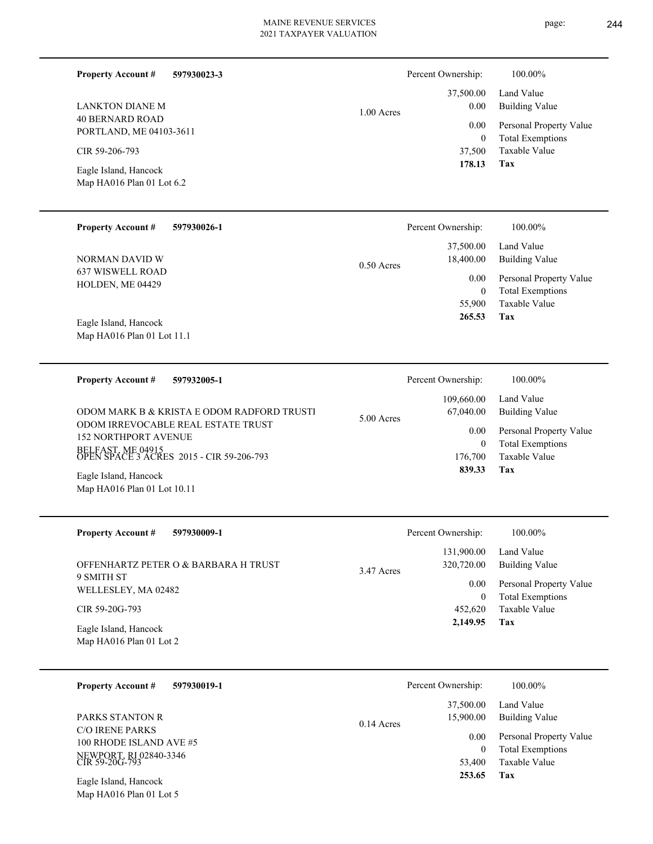**597930023-3**

**Property Account #**

Percent Ownership:  $100.00\%$ 

| LANKTON DIANE M                                                                                                                                                                                                                                                                      | 1.00 Acres   | 37,500.00                                                                                         | Land Value                                                                                                                   |
|--------------------------------------------------------------------------------------------------------------------------------------------------------------------------------------------------------------------------------------------------------------------------------------|--------------|---------------------------------------------------------------------------------------------------|------------------------------------------------------------------------------------------------------------------------------|
| <b>40 BERNARD ROAD</b>                                                                                                                                                                                                                                                               |              | 0.00                                                                                              | <b>Building Value</b>                                                                                                        |
| PORTLAND, ME 04103-3611                                                                                                                                                                                                                                                              |              | 0.00                                                                                              | Personal Property Value                                                                                                      |
| CIR 59-206-793                                                                                                                                                                                                                                                                       |              | $\boldsymbol{0}$                                                                                  | <b>Total Exemptions</b>                                                                                                      |
| Eagle Island, Hancock                                                                                                                                                                                                                                                                |              | 37,500                                                                                            | Taxable Value                                                                                                                |
| Map HA016 Plan 01 Lot 6.2                                                                                                                                                                                                                                                            |              | 178.13                                                                                            | Tax                                                                                                                          |
| <b>Property Account #</b>                                                                                                                                                                                                                                                            | $0.50$ Acres | Percent Ownership:                                                                                | 100.00%                                                                                                                      |
| 597930026-1                                                                                                                                                                                                                                                                          |              | 37,500.00                                                                                         | Land Value                                                                                                                   |
| NORMAN DAVID W                                                                                                                                                                                                                                                                       |              | 18,400.00                                                                                         | <b>Building Value</b>                                                                                                        |
| <b>637 WISWELL ROAD</b>                                                                                                                                                                                                                                                              |              | 0.00                                                                                              | Personal Property Value                                                                                                      |
| HOLDEN, ME 04429                                                                                                                                                                                                                                                                     |              | $\boldsymbol{0}$                                                                                  | <b>Total Exemptions</b>                                                                                                      |
| Eagle Island, Hancock                                                                                                                                                                                                                                                                |              | 55,900                                                                                            | Taxable Value                                                                                                                |
| Map HA016 Plan 01 Lot 11.1                                                                                                                                                                                                                                                           |              | 265.53                                                                                            | Tax                                                                                                                          |
| <b>Property Account #</b><br>597932005-1<br>ODOM MARK B & KRISTA E ODOM RADFORD TRUSTI<br>ODOM IRREVOCABLE REAL ESTATE TRUST<br><b>152 NORTHPORT AVENUE</b><br>BELFAST, ME 04915<br>OPEN SPACE 3 ACRES 2015 - CIR 59-206-793<br>Eagle Island, Hancock<br>Map HA016 Plan 01 Lot 10.11 | 5.00 Acres   | Percent Ownership:<br>109,660.00<br>67,040.00<br>0.00<br>$\boldsymbol{0}$<br>176,700<br>839.33    | 100.00%<br>Land Value<br><b>Building Value</b><br>Personal Property Value<br><b>Total Exemptions</b><br>Taxable Value<br>Tax |
| <b>Property Account #</b><br>597930009-1<br>OFFENHARTZ PETER O & BARBARA H TRUST<br>9 SMITH ST<br>WELLESLEY, MA 02482<br>CIR 59-20G-793<br>Eagle Island, Hancock<br>Map HA016 Plan 01 Lot 2                                                                                          | 3.47 Acres   | Percent Ownership:<br>131,900.00<br>320,720.00<br>0.00<br>$\boldsymbol{0}$<br>452,620<br>2,149.95 | 100.00%<br>Land Value<br><b>Building Value</b><br>Personal Property Value<br><b>Total Exemptions</b><br>Taxable Value<br>Tax |
| <b>Property Account #</b>                                                                                                                                                                                                                                                            | 0.14 Acres   | Percent Ownership:                                                                                | 100.00%                                                                                                                      |
| 597930019-1                                                                                                                                                                                                                                                                          |              | 37,500.00                                                                                         | Land Value                                                                                                                   |
| PARKS STANTON R                                                                                                                                                                                                                                                                      |              | 15,900.00                                                                                         | <b>Building Value</b>                                                                                                        |
| <b>C/O IRENE PARKS</b>                                                                                                                                                                                                                                                               |              | 0.00                                                                                              | Personal Property Value                                                                                                      |
| 100 RHODE ISLAND AVE #5                                                                                                                                                                                                                                                              |              | $\mathbf{0}$                                                                                      | <b>Total Exemptions</b>                                                                                                      |
| NEWPORT, RI 02840-3346<br>CIR 59-20G-793                                                                                                                                                                                                                                             |              | 53,400                                                                                            | Taxable Value                                                                                                                |
| Eagle Island, Hancock                                                                                                                                                                                                                                                                |              | 253.65                                                                                            | Tax                                                                                                                          |

# Map HA016 Plan 01 Lot 5

÷.

 $\overline{\phantom{0}}$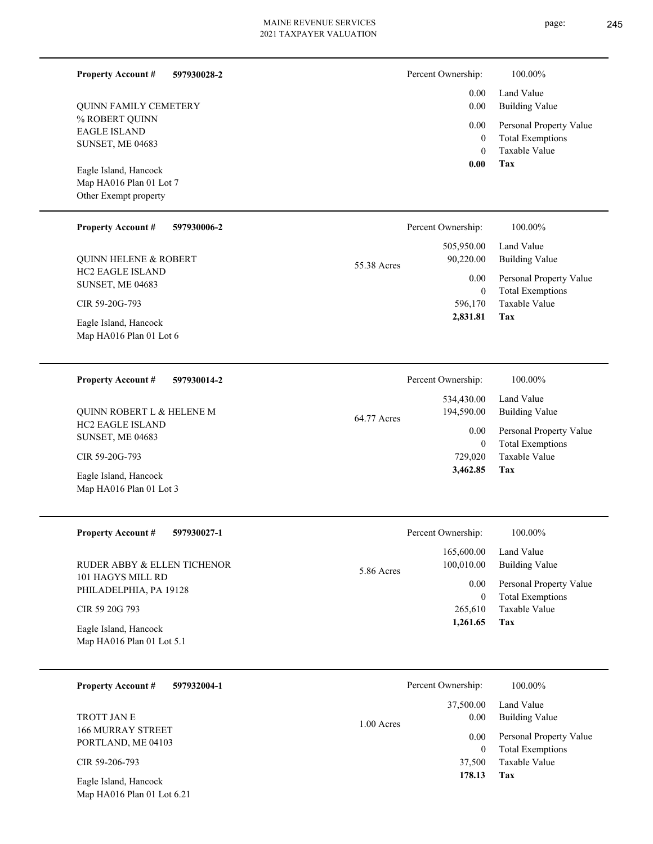**597930028-2**

% ROBERT QUINN EAGLE ISLAND SUNSET, ME 04683 QUINN FAMILY CEMETERY

**Property Account #**

Map HA016 Plan 01 Lot 7 Other Exempt property Eagle Island, Hancock

#### **597930006-2 Property Account #**

HC2 EAGLE ISLAND SUNSET, ME 04683 QUINN HELENE & ROBERT

CIR 59-20G-793

Map HA016 Plan 01 Lot 6 Eagle Island, Hancock

#### **597930014-2 Property Account #**

HC2 EAGLE ISLAND SUNSET, ME 04683 QUINN ROBERT L & HELENE M

CIR 59-20G-793

Map HA016 Plan 01 Lot 3 Eagle Island, Hancock

#### **597930027-1 Property Account #**

101 HAGYS MILL RD PHILADELPHIA, PA 19128 RUDER ABBY & ELLEN TICHENOR

#### CIR 59 20G 793

Map HA016 Plan 01 Lot 5.1 Eagle Island, Hancock

#### **597932004-1 Property Account #**

166 MURRAY STREET PORTLAND, ME 04103 TROTT JAN E

CIR 59-206-793

Map HA016 Plan 01 Lot 6.21 Eagle Island, Hancock

| Percent Ownership: | 100.00%                                                 |
|--------------------|---------------------------------------------------------|
|                    | 0.00 Land Value<br>0.00 Building Value                  |
| $\overline{0}$     | 0.00 Personal Property Value<br><b>Total Exemptions</b> |

Taxable Value 0

#### **Tax 0.00**

|             | Percent Ownership: | 100.00%                 |
|-------------|--------------------|-------------------------|
|             | 505,950.00         | Land Value              |
| 55.38 Acres | 90,220.00          | Building Value          |
|             | 0.00               | Personal Property Value |
|             | $\bf{0}$           | <b>Total Exemptions</b> |
|             | 596,170            | Taxable Value           |
|             | 2,831.81           | Tax                     |

| Percent Ownership: | 100.00%                 |
|--------------------|-------------------------|
| 534,430.00         | Land Value              |
| 194,590.00         | Building Value          |
| 0.00               | Personal Property Value |
| $\theta$           | <b>Total Exemptions</b> |
| 729,020            | Taxable Value           |
|                    | Tax                     |
|                    | 3,462.85                |

|            | Percent Ownership: | 100.00%                 |
|------------|--------------------|-------------------------|
|            | 165,600.00         | Land Value              |
| 5.86 Acres | 100,010.00         | Building Value          |
|            | 0.00               | Personal Property Value |
|            | 0                  | <b>Total Exemptions</b> |
|            | 265,610            | Taxable Value           |
|            | 1,261.65           | Tax                     |
|            |                    |                         |

|              | Percent Ownership: | 100.00%                 |
|--------------|--------------------|-------------------------|
|              | 37,500.00          | Land Value              |
| $1.00$ Acres | 0.00               | Building Value          |
|              | 0.00               | Personal Property Value |
|              | $\Omega$           | <b>Total Exemptions</b> |
|              | 37,500             | Taxable Value           |
|              | 178.13             | Tax                     |
|              |                    |                         |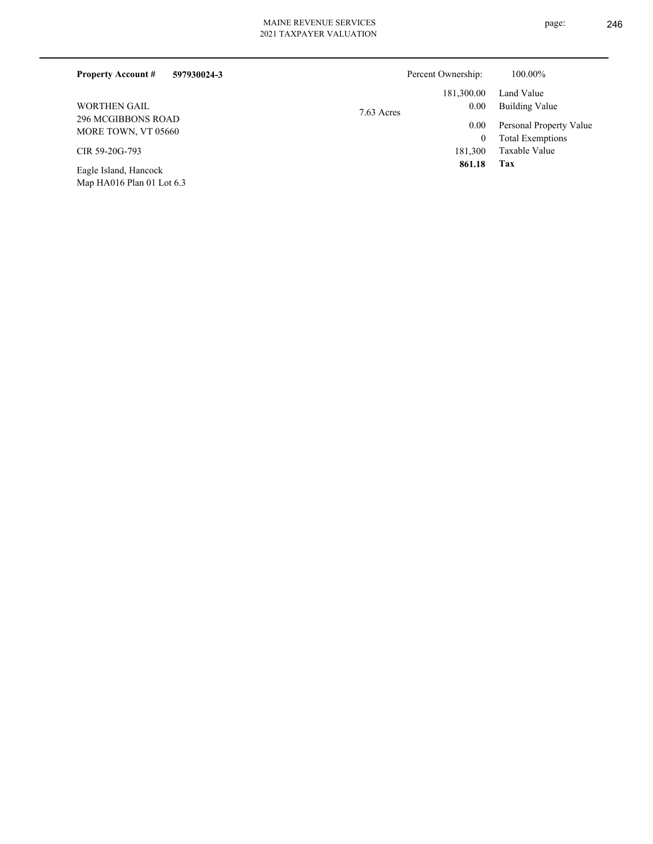| <b>Property Account #</b><br>597930024-3                                | Percent Ownership:   | 100.00%                 |
|-------------------------------------------------------------------------|----------------------|-------------------------|
|                                                                         | 181,300.00           | Land Value              |
| <b>WORTHEN GAIL</b><br><b>296 MCGIBBONS ROAD</b><br>MORE TOWN, VT 05660 | 0.00<br>$7.63$ Acres | Building Value          |
|                                                                         | 0.00                 | Personal Property Value |
|                                                                         | $\theta$             | <b>Total Exemptions</b> |
| CIR 59-20G-793                                                          | 181,300              | Taxable Value           |
| <b>PIIII</b>                                                            | 861.18               | Tax                     |

Map HA016 Plan 01 Lot 6.3 Eagle Island, Hancock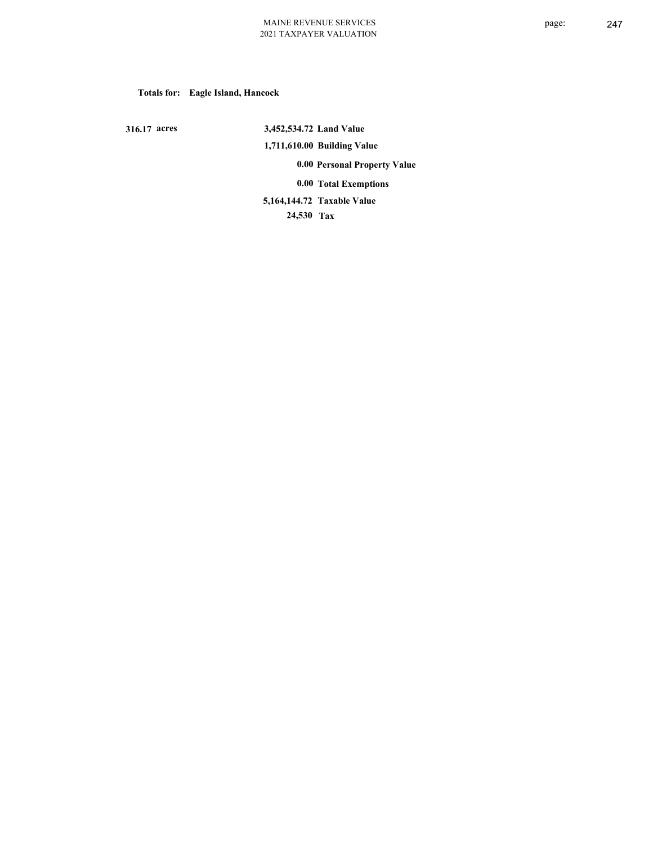## **Totals for: Eagle Island, Hancock**

 **316.17 acres**

 **3,452,534.72 Land Value 1,711,610.00 Building Value 0.00 Personal Property Value 0.00 Total Exemptions 24,530 Tax Taxable Value 5,164,144.72**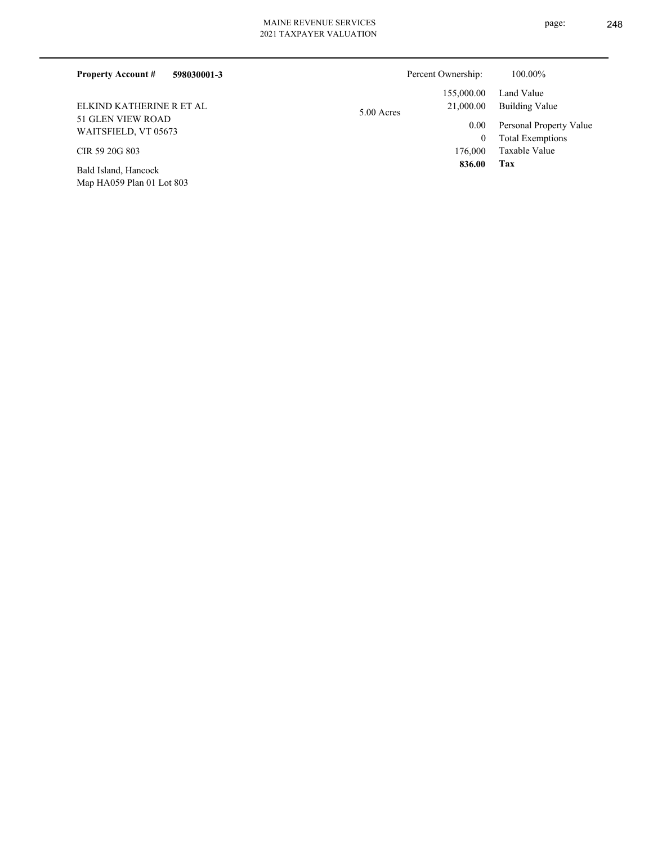| <b>Property Account #</b><br>598030001-3  | Percent Ownership:      | 100.00%                      |
|-------------------------------------------|-------------------------|------------------------------|
|                                           | 155,000.00              | Land Value                   |
| ELKIND KATHERINE R ET AL                  | 21,000.00<br>5.00 Acres | Building Value               |
| 51 GLEN VIEW ROAD<br>WAITSFIELD, VT 05673 | 0.00                    | Personal Property Value      |
|                                           |                         | <b>Total Exemptions</b><br>0 |
| CIR 59 20G 803                            | 176,000                 | Taxable Value                |
| Bald Island, Hancock                      | 836.00                  | Tax                          |

Map HA059 Plan 01 Lot 803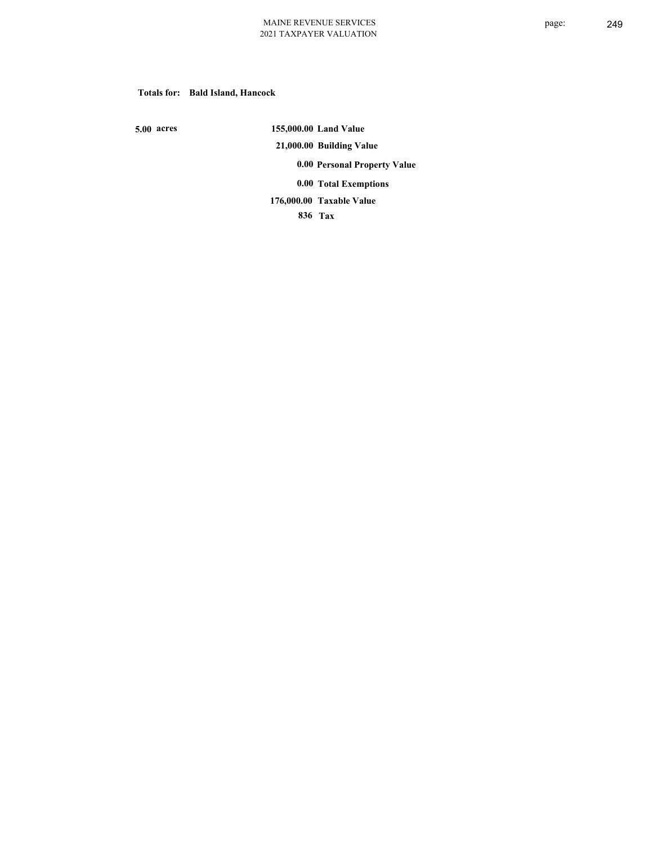## **Totals for: Bald Island, Hancock**

 **5.00 acres**

 **155,000.00 Land Value 21,000.00 Building Value 0.00 Personal Property Value 0.00 Total Exemptions Taxable Value 176,000.00**

 **836 Tax**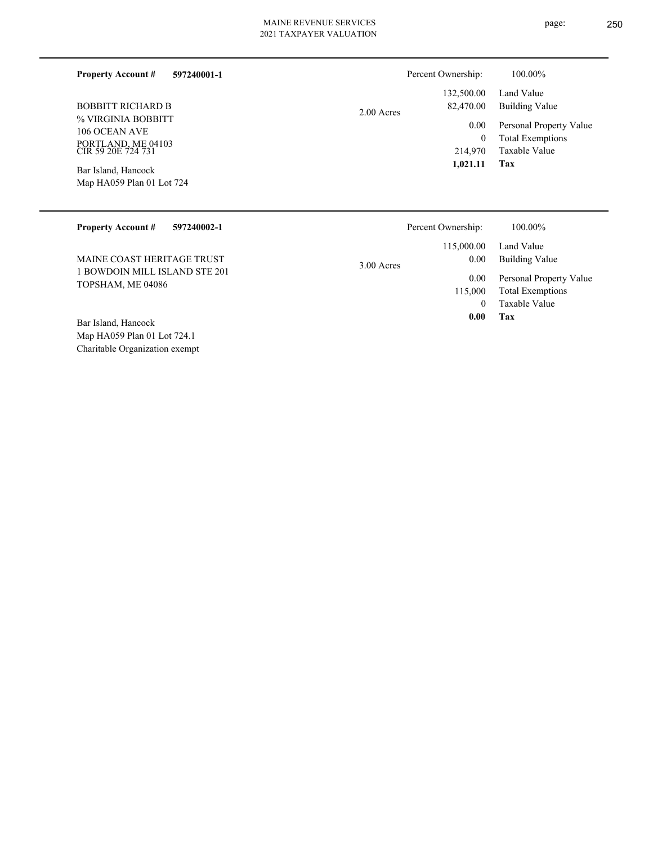**597240001-1**

| BOBBITT RICHARD B                        |
|------------------------------------------|
| % VIRGINIA BOBBITT                       |
| 106 OCEAN AVE                            |
| PORTLAND, ME 04103<br>CIR 59 20E 724 731 |

**Property Account #**

Map HA059 Plan 01 Lot 724 Bar Island, Hancock

2.00 Acres

| Percent Ownership: | 100.00%                 |
|--------------------|-------------------------|
| 132,500.00         | Land Value              |
| 82,470.00          | Building Value          |
| 0.00               | Personal Property Value |
| 0                  | <b>Total Exemptions</b> |
| 214,970            | Taxable Value           |
| 1,021.11           | Tax                     |

| Percent Ownership:                 | 100.00%                                            |
|------------------------------------|----------------------------------------------------|
| 115,000.00<br>0.00<br>$3.00$ Acres | Land Value<br>Building Value                       |
| 115,000                            | Personal Property Value<br><b>Total Exemptions</b> |
| 0                                  | Taxable Value                                      |
| 0.00                               | Tax                                                |
|                                    | 0.00                                               |

Charitable Organization exempt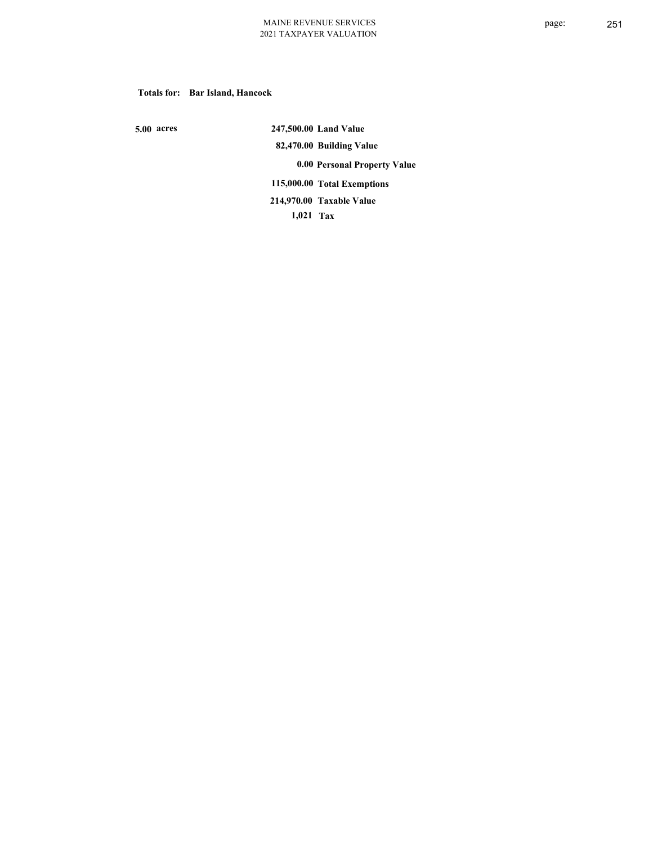**Totals for: Bar Island, Hancock**

 **5.00 acres**

 **247,500.00 Land Value 82,470.00 Building Value 0.00 Personal Property Value 115,000.00 Total Exemptions 1,021 Tax Taxable Value 214,970.00**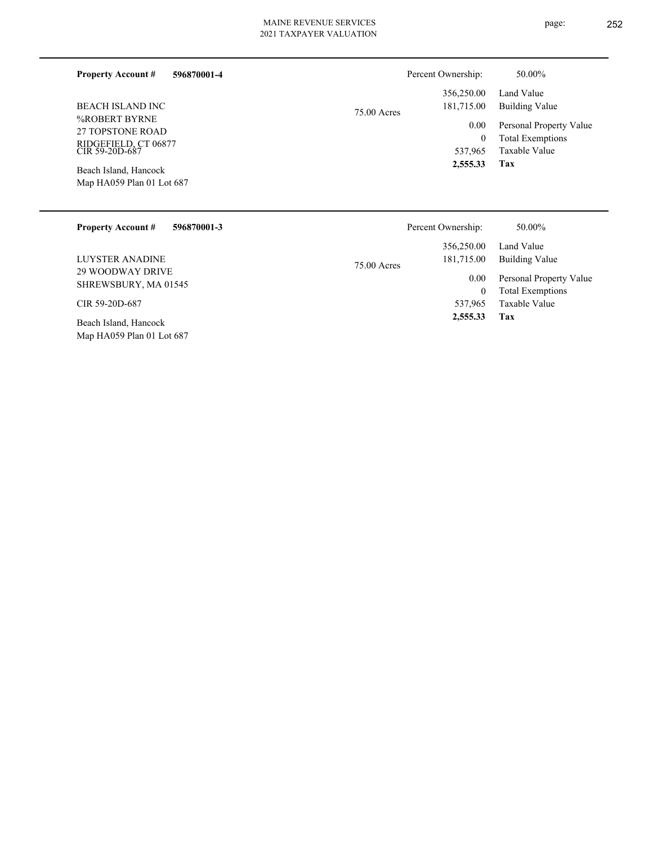| <b>Property Account #</b><br>596870001-4                                    |               | Percent Ownership: | 50.00%                  |
|-----------------------------------------------------------------------------|---------------|--------------------|-------------------------|
|                                                                             |               | 356,250.00         | Land Value              |
| BEACH ISLAND INC                                                            | $75.00$ Acres | 181,715.00         | Building Value          |
| %ROBERT BYRNE<br>27 TOPSTONE ROAD<br>RIDGEFIELD, CT 06877<br>CIR 59-20D-687 |               | 0.00               | Personal Property Value |
|                                                                             |               | $\mathbf{0}$       | <b>Total Exemptions</b> |
|                                                                             |               | 537,965            | Taxable Value           |
| Beach Island, Hancock                                                       |               | 2,555.33           | Tax                     |
| Map HA059 Plan 01 Lot 687                                                   |               |                    |                         |
|                                                                             |               |                    |                         |

| <b>Property Account #</b><br>596870001-3           | Percent Ownership:          | 50.00%                  |
|----------------------------------------------------|-----------------------------|-------------------------|
|                                                    | 356,250.00                  | Land Value              |
| LUYSTER ANADINE                                    | 181,715.00<br>$75.00$ Acres | Building Value          |
| 29 WOODWAY DRIVE                                   | 0.00                        | Personal Property Value |
| SHREWSBURY, MA 01545                               | $\mathbf{0}$                | <b>Total Exemptions</b> |
| CIR 59-20D-687                                     | 537,965                     | Taxable Value           |
| Beach Island, Hancock<br>Map HA059 Plan 01 Lot 687 | 2,555.33                    | Tax                     |

## page: 252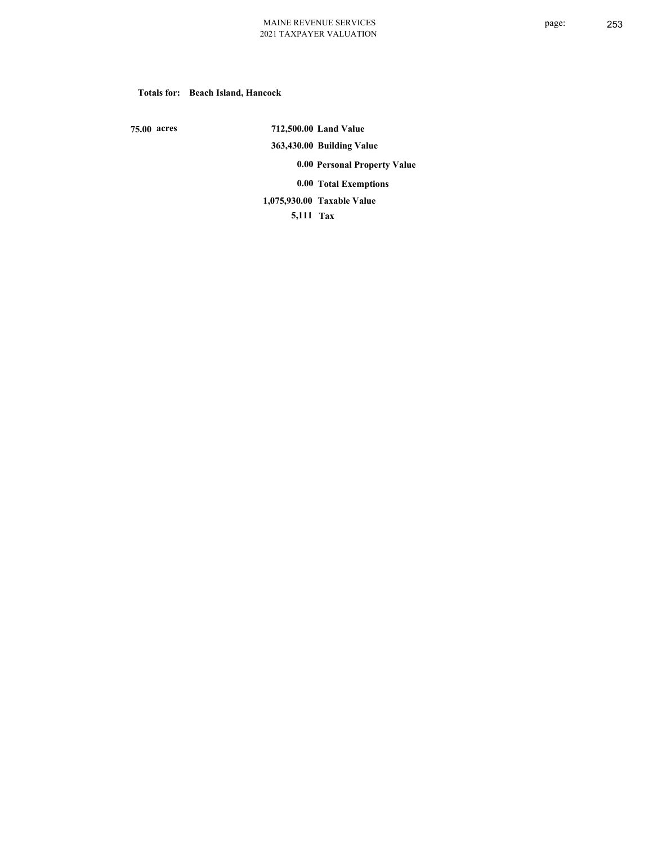## **Totals for: Beach Island, Hancock**

 **75.00 acres**

 **712,500.00 Land Value 363,430.00 Building Value 0.00 Personal Property Value 0.00 Total Exemptions Taxable Value 1,075,930.00**

 **5,111 Tax**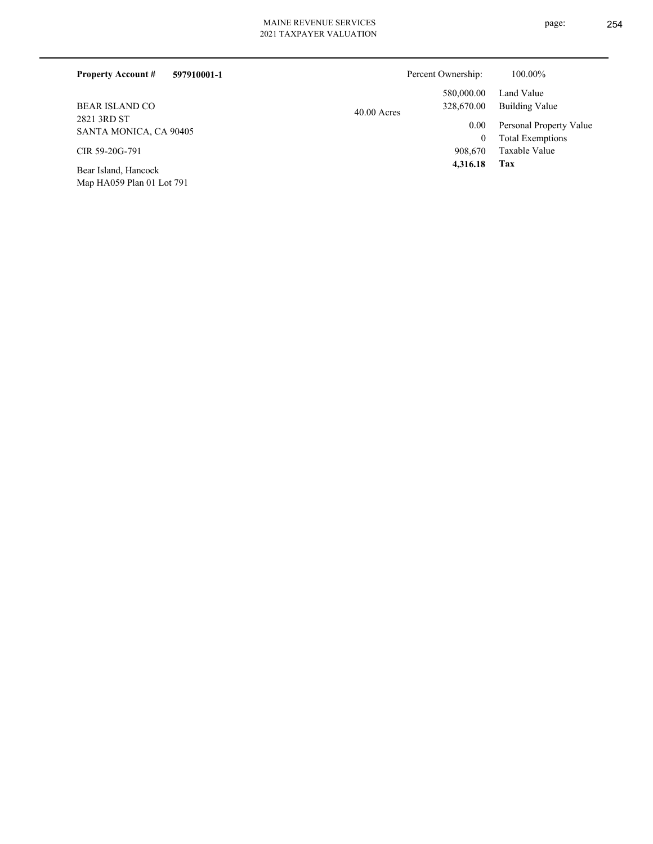| 597910001-1<br><b>Property Account #</b> | Percent Ownership:          | 100.00%                                     |
|------------------------------------------|-----------------------------|---------------------------------------------|
|                                          | 580,000.00                  | Land Value                                  |
| <b>BEAR ISLAND CO</b>                    | 328,670.00<br>$40.00$ Acres | Building Value                              |
| 2821 3RD ST<br>SANTA MONICA, CA 90405    | 0.00<br>$\mathbf{0}$        | Personal Property Value<br>Total Exemptions |
| CIR 59-20G-791                           | 908,670                     | Taxable Value                               |
| Bear Island, Hancock                     | 4,316.18                    | Tax                                         |
| Map HA059 Plan 01 Lot 791                |                             |                                             |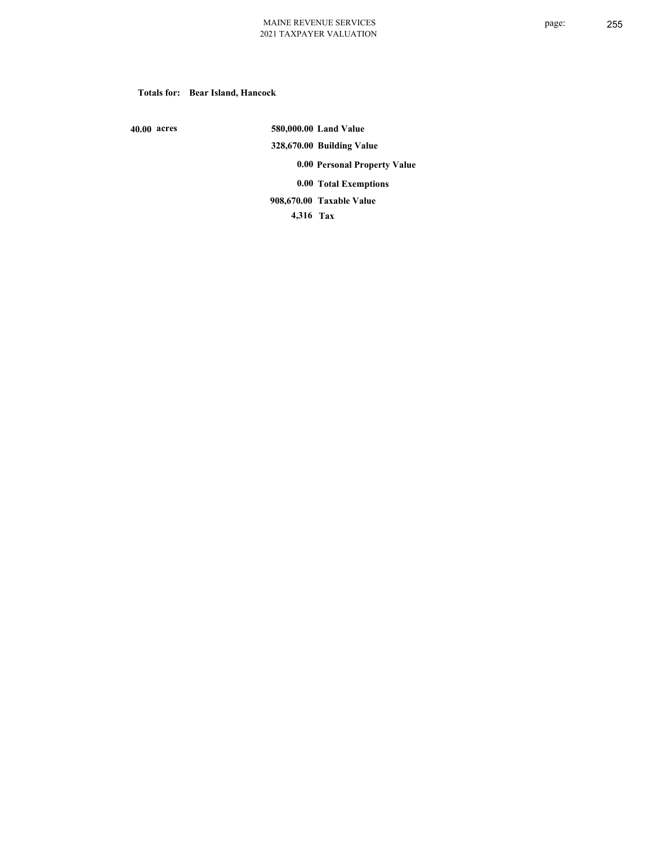## **Totals for: Bear Island, Hancock**

 **40.00 acres**

 **580,000.00 Land Value 328,670.00 Building Value 0.00 Personal Property Value 0.00 Total Exemptions Taxable Value 908,670.00**

 **4,316 Tax**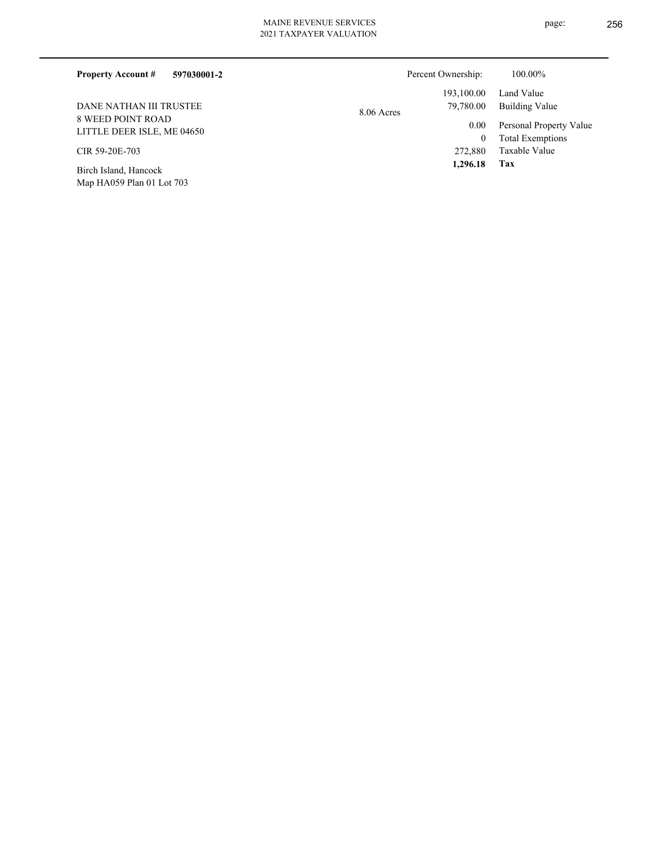| <b>Property Account #</b><br>597030001-2               | Percent Ownership:      | 100.00%                                  |
|--------------------------------------------------------|-------------------------|------------------------------------------|
|                                                        | 193,100.00              | Land Value                               |
| DANE NATHAN III TRUSTEE                                | 79,780.00<br>8.06 Acres | Building Value                           |
| <b>8 WEED POINT ROAD</b><br>LITTLE DEER ISLE, ME 04650 | 0.00                    | Personal Property Value                  |
| CIR 59-20E-703                                         | 0<br>272,880            | <b>Total Exemptions</b><br>Taxable Value |
| Birch Island, Hancock                                  | 1.296.18                | Tax                                      |

Map HA059 Plan 01 Lot 703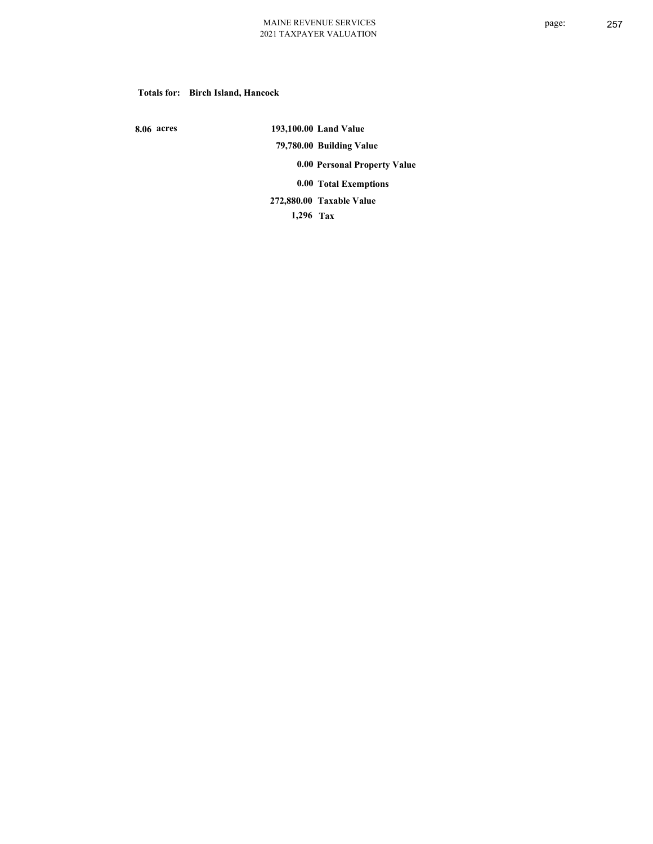## **Totals for: Birch Island, Hancock**

 **8.06 acres**

 **193,100.00 Land Value 79,780.00 Building Value 0.00 Personal Property Value 0.00 Total Exemptions Taxable Value 272,880.00**

 **1,296 Tax**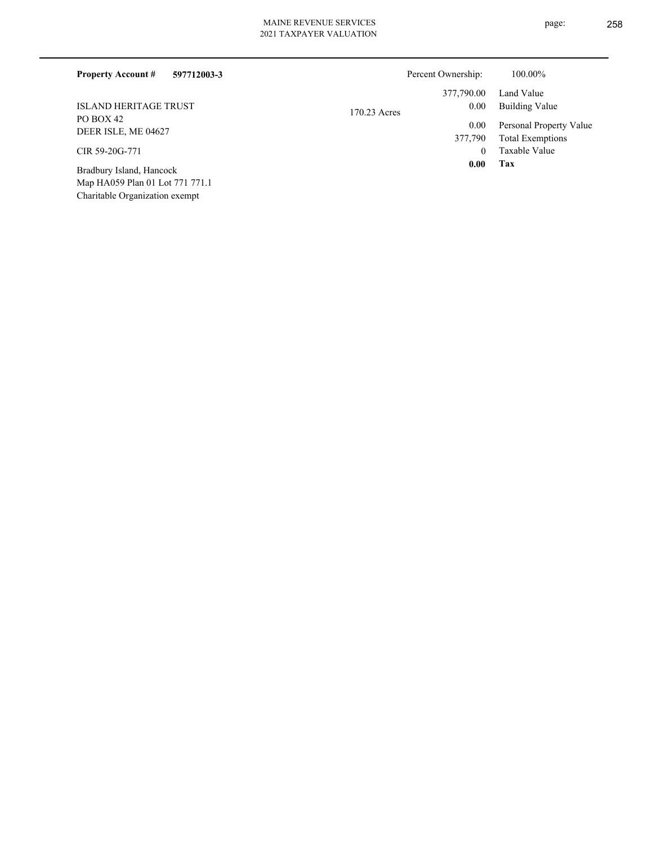| <b>Property Account #</b><br>597712003-3 | Percent Ownership: | 100.00%                         |
|------------------------------------------|--------------------|---------------------------------|
|                                          | 377,790.00         | Land Value                      |
| <b>ISLAND HERITAGE TRUST</b>             | 170.23 Acres       | Building Value<br>0.00          |
| PO BOX 42<br>DEER ISLE, ME 04627         |                    | Personal Property Value<br>0.00 |
|                                          | 377,790            | <b>Total Exemptions</b>         |
| CIR 59-20G-771                           |                    | Taxable Value<br>$\Omega$       |
| Bradbury Island, Hancock                 |                    | 0.00<br>Tax                     |
| Map HA059 Plan 01 Lot 771 771.1          |                    |                                 |

Charitable Organization exempt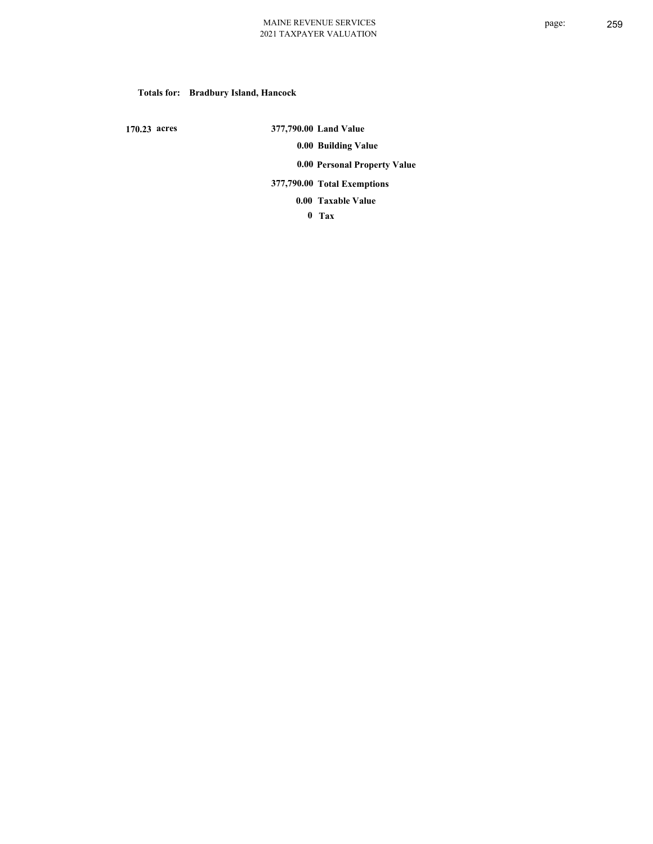# **Totals for: Bradbury Island, Hancock**

 **170.23 acres**

 **377,790.00 Land Value 0.00 Building Value 0.00 Personal Property Value 377,790.00 Total Exemptions**

**Taxable Value 0.00**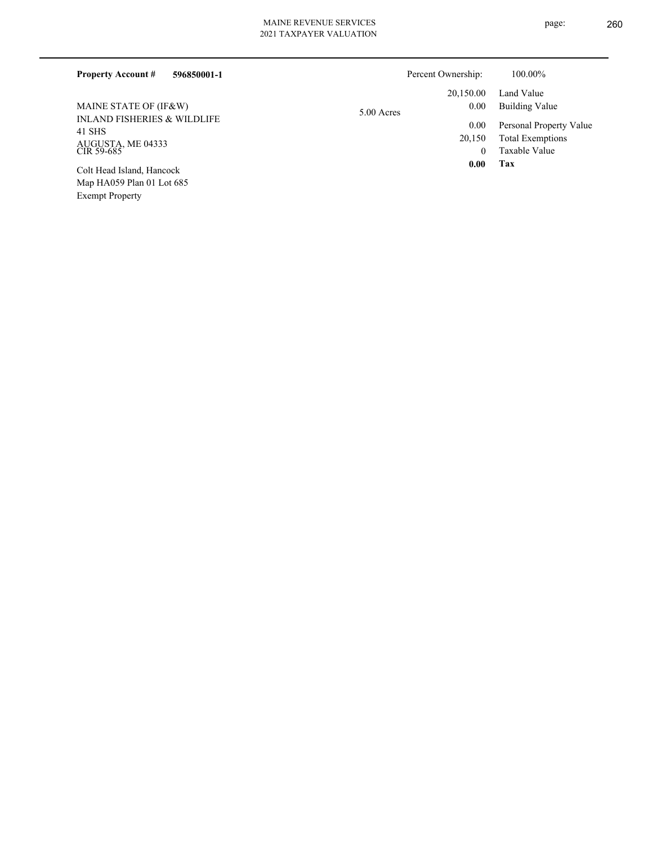| 596850001-1<br><b>Property Account #</b>                        | Percent Ownership:              | 100.00%                                                             |
|-----------------------------------------------------------------|---------------------------------|---------------------------------------------------------------------|
| MAINE STATE OF (IF&W)<br><b>INLAND FISHERIES &amp; WILDLIFE</b> | 20,150.00<br>0.00<br>5.00 Acres | Land Value<br>Building Value                                        |
| 41 SHS<br>AUGUSTA, ME 04333<br>CIR 59-685                       | 0.00<br>20,150<br>$\theta$      | Personal Property Value<br><b>Total Exemptions</b><br>Taxable Value |
| Colt Head Island, Hancock<br>Map HA059 Plan 01 Lot 685          | 0.00                            | Tax                                                                 |

Exempt Property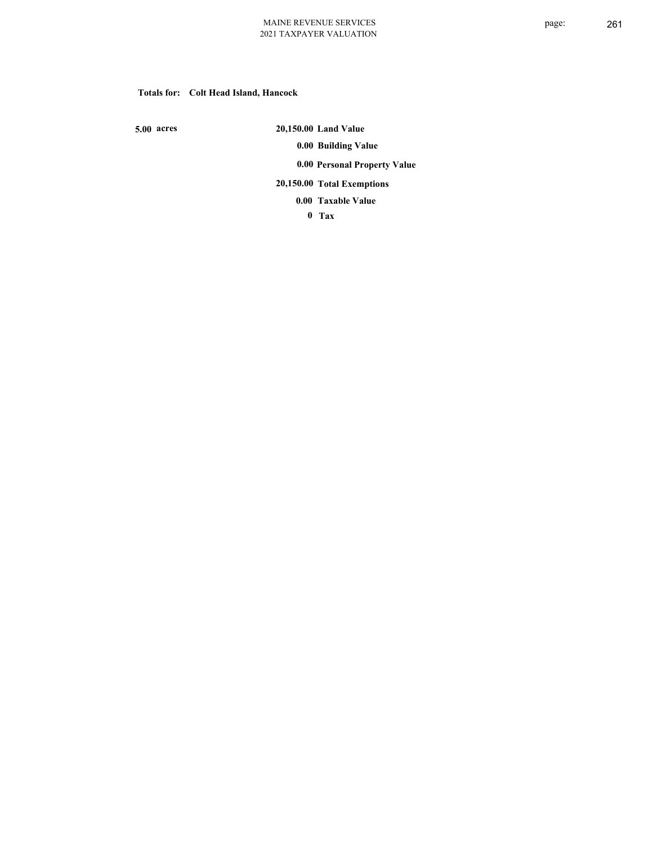## **Totals for: Colt Head Island, Hancock**

 **5.00 acres**

 **20,150.00 Land Value 0.00 Building Value 0.00 Personal Property Value 20,150.00 Total Exemptions Taxable Value 0.00**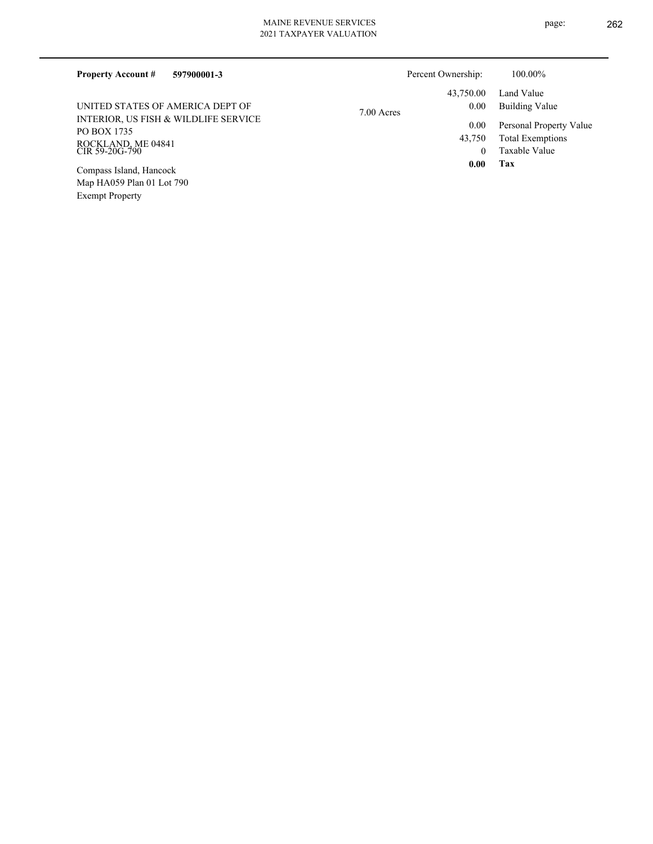| <b>Property Account #</b><br>597900001-3                                                    |            | Percent Ownership:  | 100.00%                                                             |
|---------------------------------------------------------------------------------------------|------------|---------------------|---------------------------------------------------------------------|
|                                                                                             |            | 43.750.00           | Land Value                                                          |
| UNITED STATES OF AMERICA DEPT OF                                                            | 7.00 Acres | 0.00                | Building Value                                                      |
| INTERIOR, US FISH & WILDLIFE SERVICE<br>PO BOX 1735<br>ROCKLAND, ME 04841<br>CIR 59-20G-790 |            | 0.00<br>43,750<br>0 | Personal Property Value<br><b>Total Exemptions</b><br>Taxable Value |
| Compass Island, Hancock                                                                     |            | 0.00                | Tax                                                                 |
| Map HA059 Plan 01 Lot 790                                                                   |            |                     |                                                                     |

Exempt Property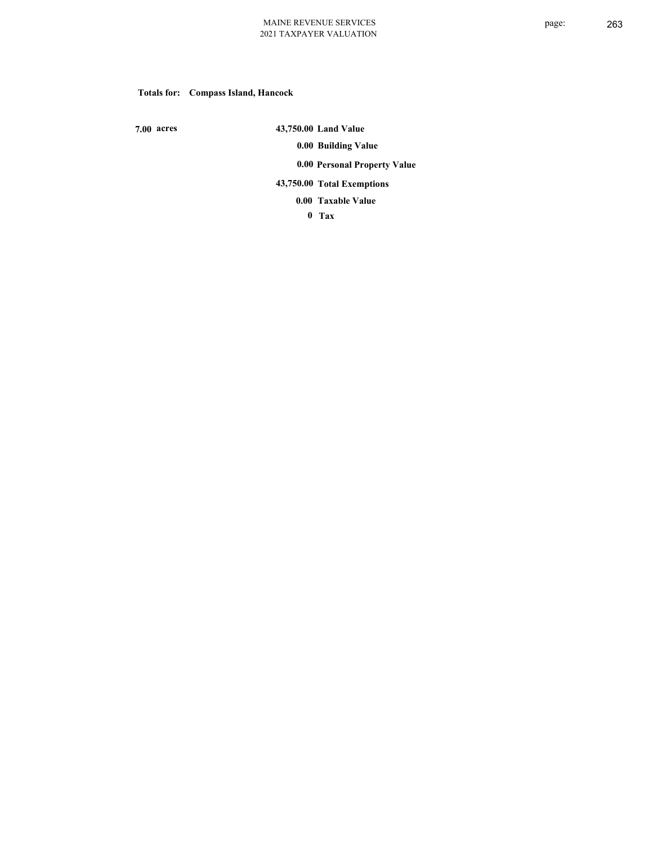# **Totals for: Compass Island, Hancock**

 **7.00 acres**

 **43,750.00 Land Value 0.00 Building Value 0.00 Personal Property Value 43,750.00 Total Exemptions Taxable Value 0.00**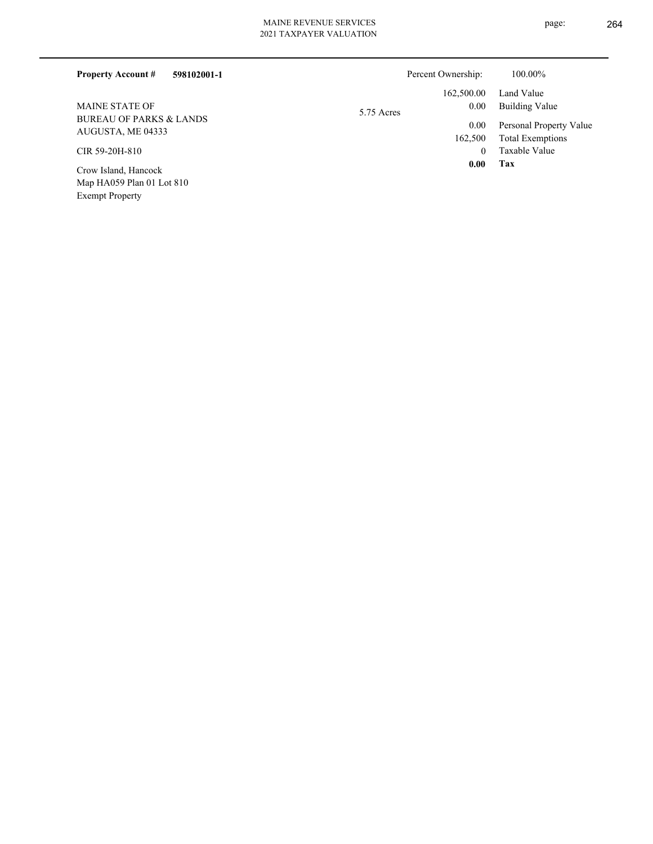| 598102001-1<br><b>Property Account #</b> | Percent Ownership: | 100.00%                 |
|------------------------------------------|--------------------|-------------------------|
|                                          | 162,500.00         | Land Value              |
| <b>MAINE STATE OF</b>                    | 0.00<br>5.75 Acres | Building Value          |
| <b>BUREAU OF PARKS &amp; LANDS</b>       | 0.00               | Personal Property Value |
| AUGUSTA, ME 04333                        | 162,500            | <b>Total Exemptions</b> |
| CIR 59-20H-810                           | $\theta$           | Taxable Value           |
| Crow Island, Hancock                     | 0.00               | Tax                     |
| Map HA059 Plan 01 Lot 810                |                    |                         |
| <b>Exempt Property</b>                   |                    |                         |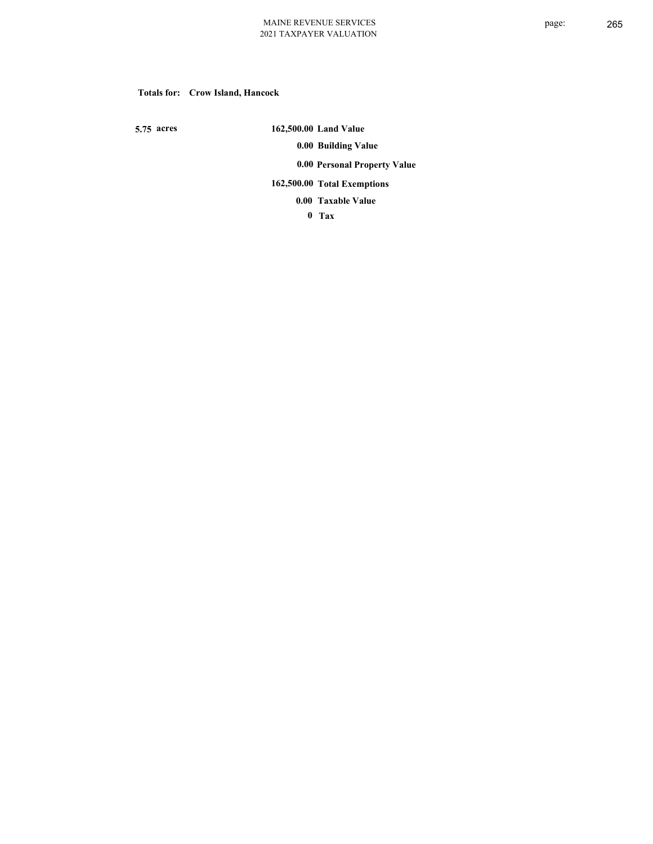## **Totals for: Crow Island, Hancock**

 **5.75 acres**

 **162,500.00 Land Value 0.00 Building Value 0.00 Personal Property Value 162,500.00 Total Exemptions Taxable Value 0.00**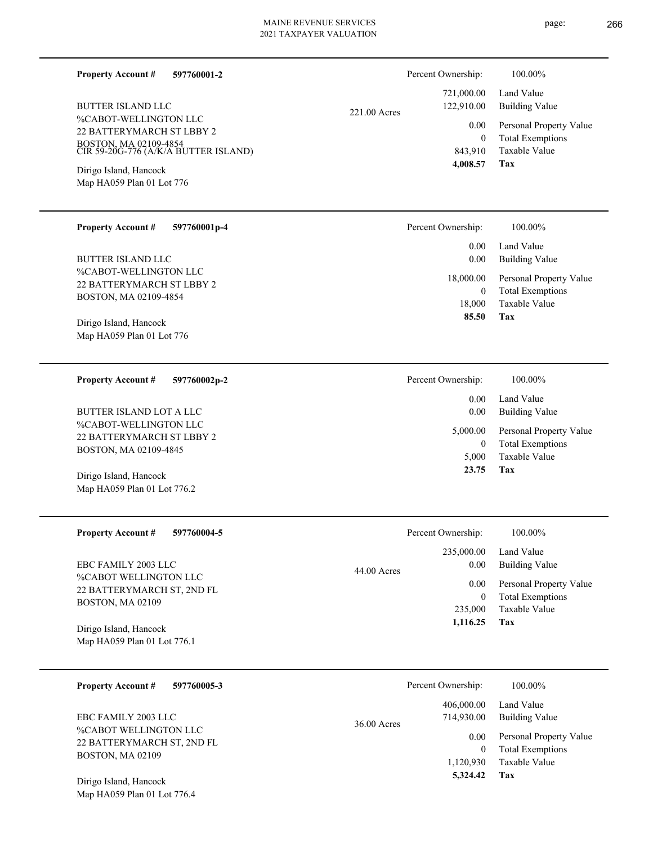| <b>Property Account #</b><br>597760001-2<br><b>BUTTER ISLAND LLC</b><br>%CABOT-WELLINGTON LLC<br>22 BATTERYMARCH ST LBBY 2<br>BOSTON, MA 02109-4854<br>CIR 59-20G-776 (A/K/A BUTTER ISLAND)<br>Dirigo Island, Hancock<br>Map HA059 Plan 01 Lot 776 | Percent Ownership:<br>721,000.00<br>122,910.00<br>221.00 Acres<br>0.00<br>$\mathbf{0}$<br>843,910<br>4,008.57      | 100.00%<br>Land Value<br><b>Building Value</b><br>Personal Property Value<br><b>Total Exemptions</b><br>Taxable Value<br>Tax |
|----------------------------------------------------------------------------------------------------------------------------------------------------------------------------------------------------------------------------------------------------|--------------------------------------------------------------------------------------------------------------------|------------------------------------------------------------------------------------------------------------------------------|
| <b>Property Account #</b><br>597760001p-4<br><b>BUTTER ISLAND LLC</b><br>%CABOT-WELLINGTON LLC<br>22 BATTERYMARCH ST LBBY 2<br>BOSTON, MA 02109-4854<br>Dirigo Island, Hancock<br>Map HA059 Plan 01 Lot 776                                        | Percent Ownership:<br>0.00<br>0.00<br>18,000.00<br>$\overline{0}$<br>18,000<br>85.50                               | 100.00%<br>Land Value<br><b>Building Value</b><br>Personal Property Value<br><b>Total Exemptions</b><br>Taxable Value<br>Tax |
| <b>Property Account #</b><br>597760002p-2<br>BUTTER ISLAND LOT A LLC<br>%CABOT-WELLINGTON LLC<br><b>22 BATTERYMARCH ST LBBY 2</b><br>BOSTON, MA 02109-4845<br>Dirigo Island, Hancock<br>Map HA059 Plan 01 Lot 776.2                                | Percent Ownership:<br>0.00<br>0.00<br>5,000.00<br>$\overline{0}$<br>5,000<br>23.75                                 | 100.00%<br>Land Value<br><b>Building Value</b><br>Personal Property Value<br><b>Total Exemptions</b><br>Taxable Value<br>Tax |
| <b>Property Account #</b><br>597760004-5<br>EBC FAMILY 2003 LLC<br>%CABOT WELLINGTON LLC<br>22 BATTERYMARCH ST, 2ND FL<br><b>BOSTON, MA 02109</b><br>Dirigo Island, Hancock<br>Map HA059 Plan 01 Lot 776.1                                         | Percent Ownership:<br>235,000.00<br>0.00<br>44.00 Acres<br>0.00<br>$\overline{0}$<br>235,000<br>1,116.25           | 100.00%<br>Land Value<br><b>Building Value</b><br>Personal Property Value<br><b>Total Exemptions</b><br>Taxable Value<br>Tax |
| <b>Property Account #</b><br>597760005-3<br>EBC FAMILY 2003 LLC<br>%CABOT WELLINGTON LLC<br>22 BATTERYMARCH ST, 2ND FL<br>BOSTON, MA 02109<br>Dirigo Island, Hancock<br>Map HA059 Plan 01 Lot 776.4                                                | Percent Ownership:<br>406,000.00<br>714,930.00<br>$36.00$ Acres<br>0.00<br>$\overline{0}$<br>1,120,930<br>5,324.42 | 100.00%<br>Land Value<br><b>Building Value</b><br>Personal Property Value<br><b>Total Exemptions</b><br>Taxable Value<br>Tax |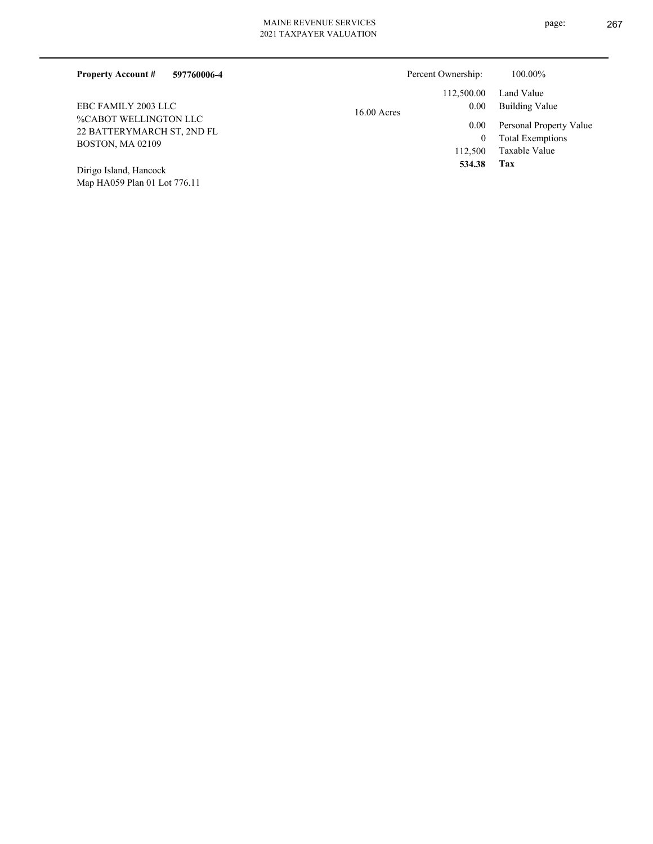Map HA059 Plan 01 Lot 776.11

| 597760006-4<br><b>Property Account #</b>                                       | Percent Ownership:                  | 100.00%                                                             |
|--------------------------------------------------------------------------------|-------------------------------------|---------------------------------------------------------------------|
| EBC FAMILY 2003 LLC                                                            | 112,500.00<br>0.00<br>$16.00$ Acres | Land Value<br>Building Value                                        |
| %CABOT WELLINGTON LLC<br>22 BATTERYMARCH ST, 2ND FL<br><b>BOSTON, MA 02109</b> | 0.00<br>$\bf{0}$<br>112,500         | Personal Property Value<br><b>Total Exemptions</b><br>Taxable Value |
| Dirigo Island, Hancock                                                         | 534.38                              | Tax                                                                 |

page: 267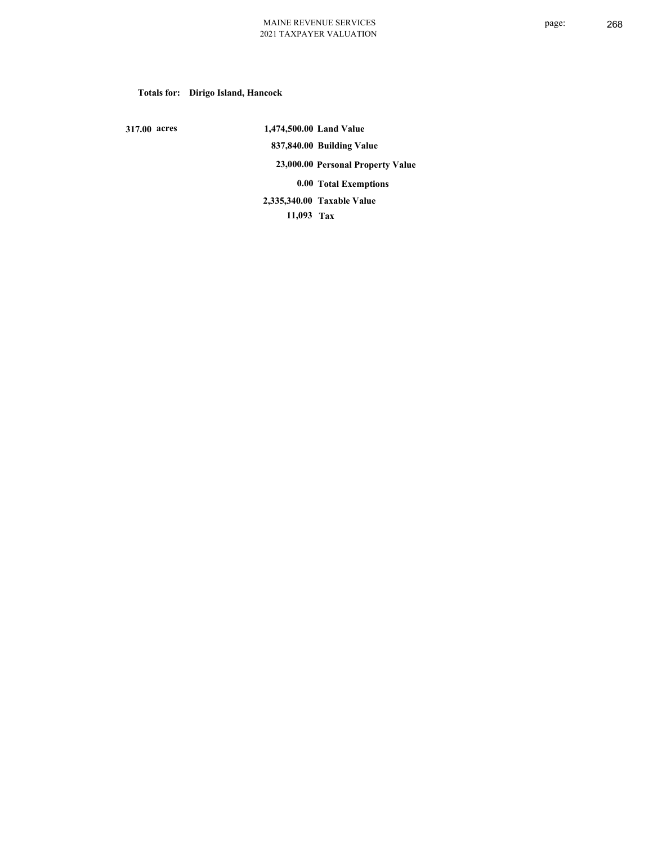# **Totals for: Dirigo Island, Hancock**

 **317.00 acres**

 **1,474,500.00 Land Value 837,840.00 Building Value 23,000.00 Personal Property Value 0.00 Total Exemptions 11,093 Tax Taxable Value 2,335,340.00**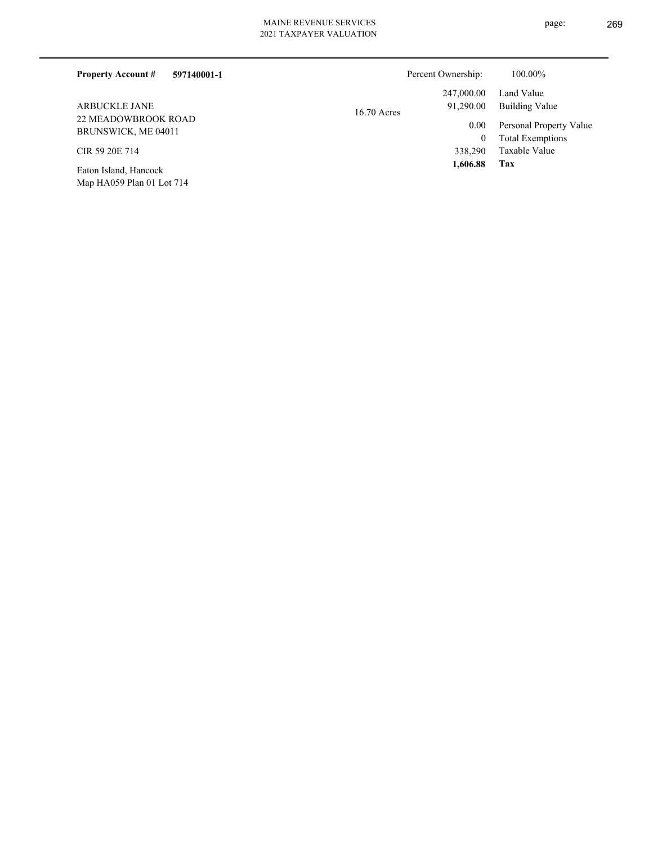| 597140001-1<br><b>Property Account #</b>                                                                                                                                                                                                                       |               | Percent Ownership: | 100.00%                 |
|----------------------------------------------------------------------------------------------------------------------------------------------------------------------------------------------------------------------------------------------------------------|---------------|--------------------|-------------------------|
|                                                                                                                                                                                                                                                                |               | 247,000.00         | Land Value              |
| <b>ARBUCKLE JANE</b>                                                                                                                                                                                                                                           | $16.70$ Acres | 91,290.00          | Building Value          |
| <b>22 MEADOWBROOK ROAD</b><br>BRUNSWICK, ME 04011                                                                                                                                                                                                              |               | 0.00               | Personal Property Value |
|                                                                                                                                                                                                                                                                |               | 0                  | <b>Total Exemptions</b> |
| CIR 59 20E 714                                                                                                                                                                                                                                                 |               | 338,290            | Taxable Value           |
| $T_{1}$ $T_{1}$ $T_{1}$ $T_{1}$ $T_{1}$ $T_{1}$ $T_{1}$ $T_{1}$ $T_{1}$ $T_{1}$ $T_{1}$ $T_{1}$ $T_{1}$ $T_{1}$ $T_{1}$ $T_{1}$ $T_{1}$ $T_{1}$ $T_{1}$ $T_{1}$ $T_{1}$ $T_{1}$ $T_{1}$ $T_{1}$ $T_{1}$ $T_{1}$ $T_{1}$ $T_{1}$ $T_{1}$ $T_{1}$ $T_{1}$ $T_{1$ |               | 1,606.88           | Tax                     |

Map HA059 Plan 01 Lot 714 Eaton Island, Hancock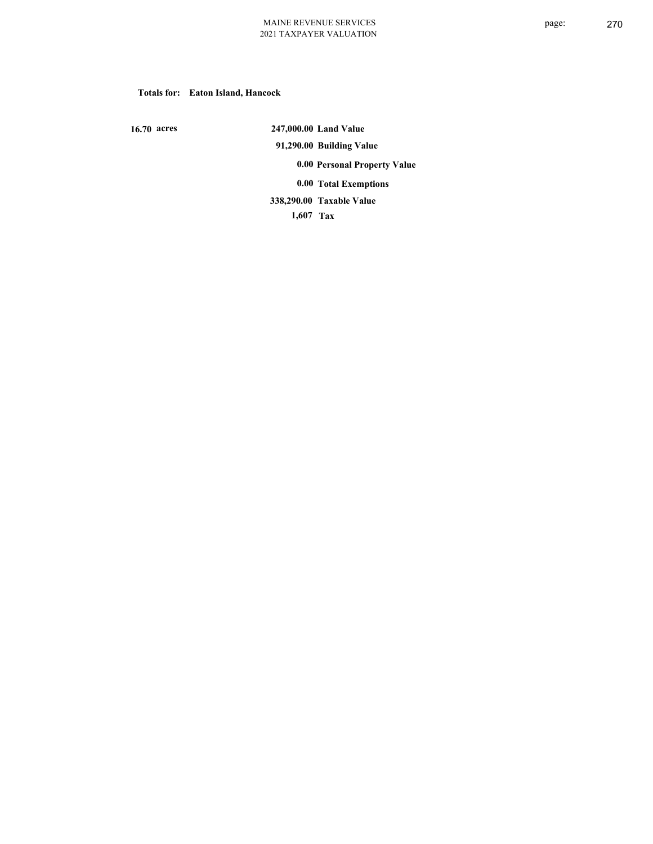## **Totals for: Eaton Island, Hancock**

 **16.70 acres**

 **247,000.00 Land Value 91,290.00 Building Value 0.00 Personal Property Value 0.00 Total Exemptions Taxable Value 338,290.00**

 **1,607 Tax**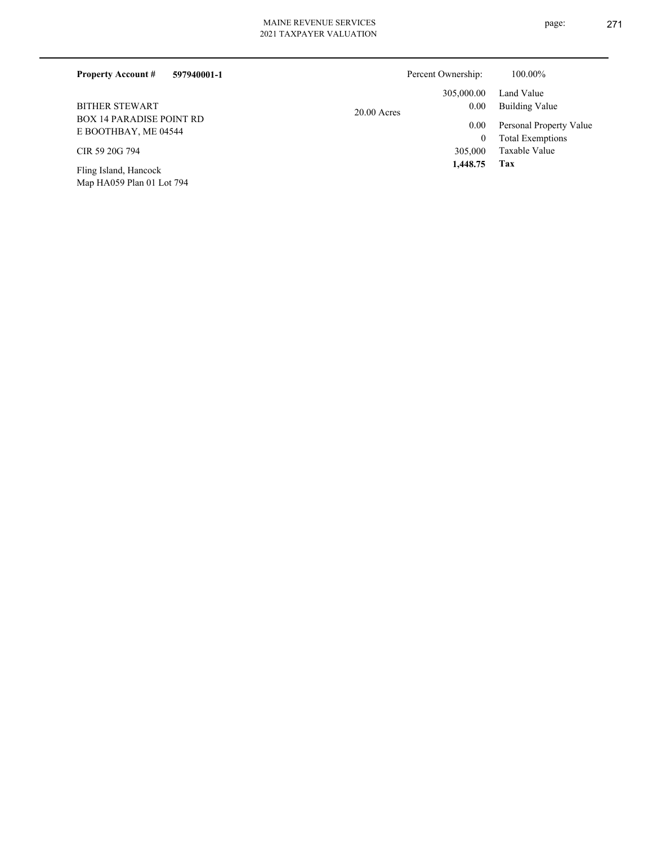Map HA059 Plan 01 Lot 794

| <b>Property Account #</b><br>597940001-1                |               | Percent Ownership: | 100.00%                 |
|---------------------------------------------------------|---------------|--------------------|-------------------------|
|                                                         |               | 305,000.00         | Land Value              |
| <b>BITHER STEWART</b>                                   | $20.00$ Acres | 0.00               | Building Value          |
| <b>BOX 14 PARADISE POINT RD</b><br>E BOOTHBAY, ME 04544 |               | 0.00               | Personal Property Value |
|                                                         |               | 0                  | <b>Total Exemptions</b> |
| CIR 59 20G 794                                          |               | 305,000            | Taxable Value           |
| Fling Island, Hancock                                   |               | 1.448.75           | Tax                     |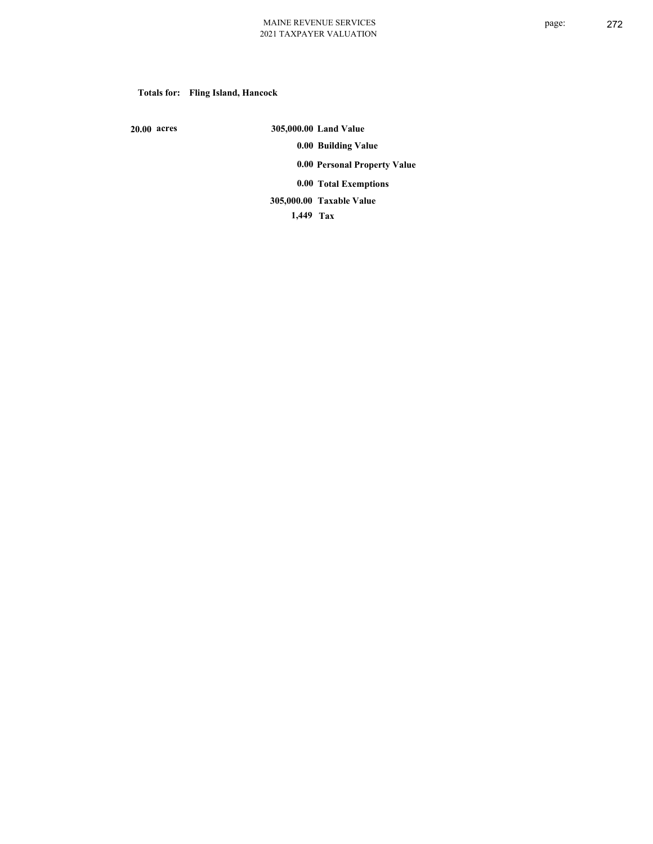# **Totals for: Fling Island, Hancock**

 **20.00 acres**

 **305,000.00 Land Value 0.00 Building Value 0.00 Personal Property Value 0.00 Total Exemptions Taxable Value 305,000.00**

 **1,449 Tax**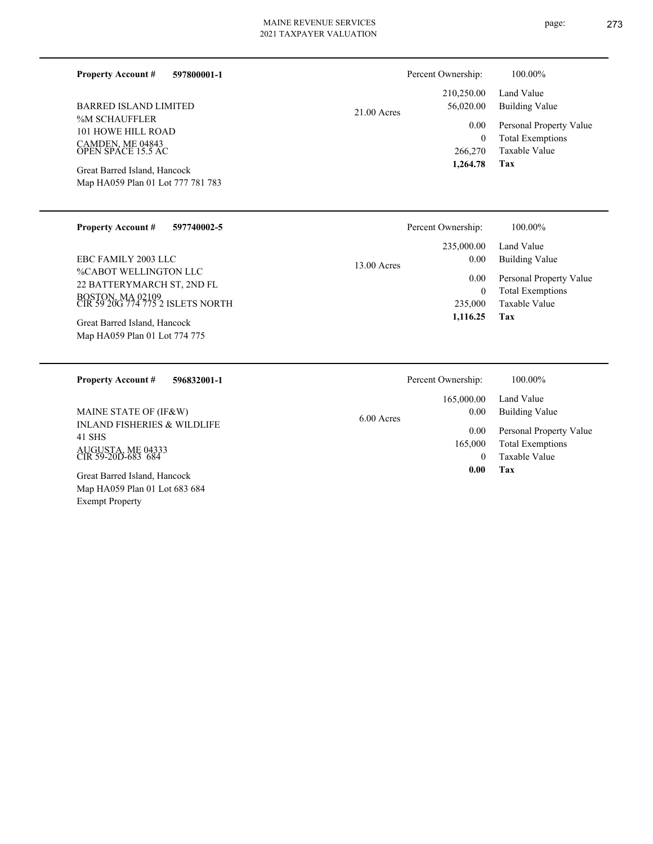**597800001-1**

%M SCHAUFFLER 101 HOWE HILL ROAD CAMDEN, ME 04843 OPEN SPACE 15.5 AC BARRED ISLAND LIMITED

**Property Account #**

Map HA059 Plan 01 Lot 777 781 783 Great Barred Island, Hancock

### **597740002-5 Property Account #**

%CABOT WELLINGTON LLC 22 BATTERYMARCH ST, 2ND FL BOSTON, MA 02109 CIR 59 20G 774 775 2 ISLETS NORTH EBC FAMILY 2003 LLC

Map HA059 Plan 01 Lot 774 775 Great Barred Island, Hancock

Exempt Property

21.00 Acres

Total Exemptions Personal Property Value Building Value Land Value 0 210,250.00 56,020.00 0.00 Percent Ownership:  $100.00\%$ 

Taxable Value 266,270

**Tax 1,264.78**

|               | Percent Ownership: | 100.00%                 |
|---------------|--------------------|-------------------------|
|               | 235,000.00         | Land Value              |
| $13.00$ Acres | 0.00               | <b>Building Value</b>   |
|               | 0.00               | Personal Property Value |
|               | 0                  | <b>Total Exemptions</b> |
|               | 235,000            | Taxable Value           |
|               | 1,116.25           | Tax                     |

| 596832001-1<br><b>Property Account #</b>                        | Percent Ownership:                 | 100.00%                      |
|-----------------------------------------------------------------|------------------------------------|------------------------------|
| MAINE STATE OF (IF&W)<br><b>INLAND FISHERIES &amp; WILDLIFE</b> | 165,000.00<br>0.00<br>$6.00$ Acres | Land Value<br>Building Value |
| 41 SHS                                                          | 0.00                               | Personal Property Value      |
|                                                                 | 165,000                            | <b>Total Exemptions</b>      |
| AUGUSTA, ME 04333<br>CIR 59-20D-683 684                         |                                    | Taxable Value                |
| Great Barred Island, Hancock<br>Map HA059 Plan 01 Lot 683 684   | 0.00                               | Tax                          |

page: 273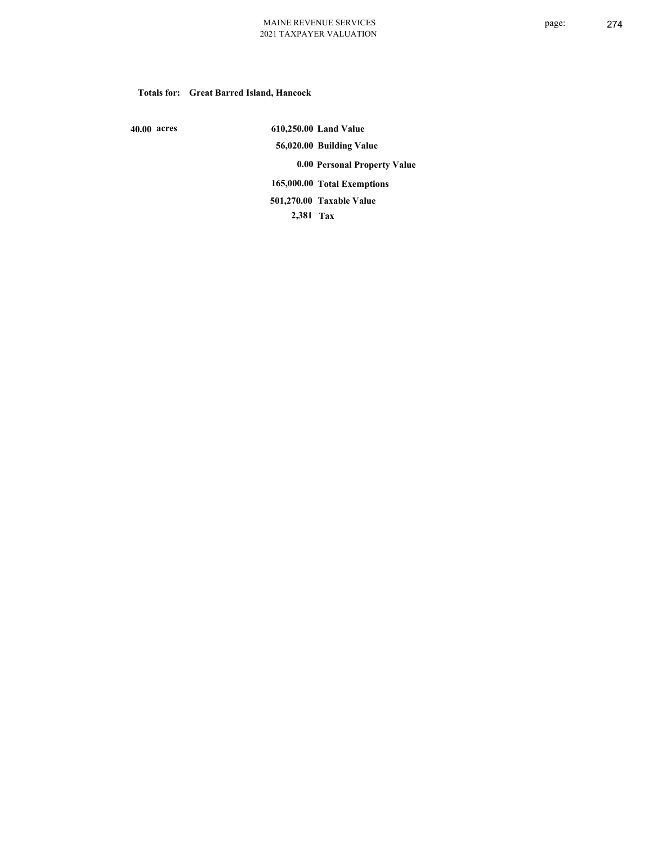## **Totals for: Great Barred Island, Hancock**

 **40.00 acres**

 **610,250.00 Land Value 56,020.00 Building Value 0.00 Personal Property Value 165,000.00 Total Exemptions 2,381 Tax Taxable Value 501,270.00**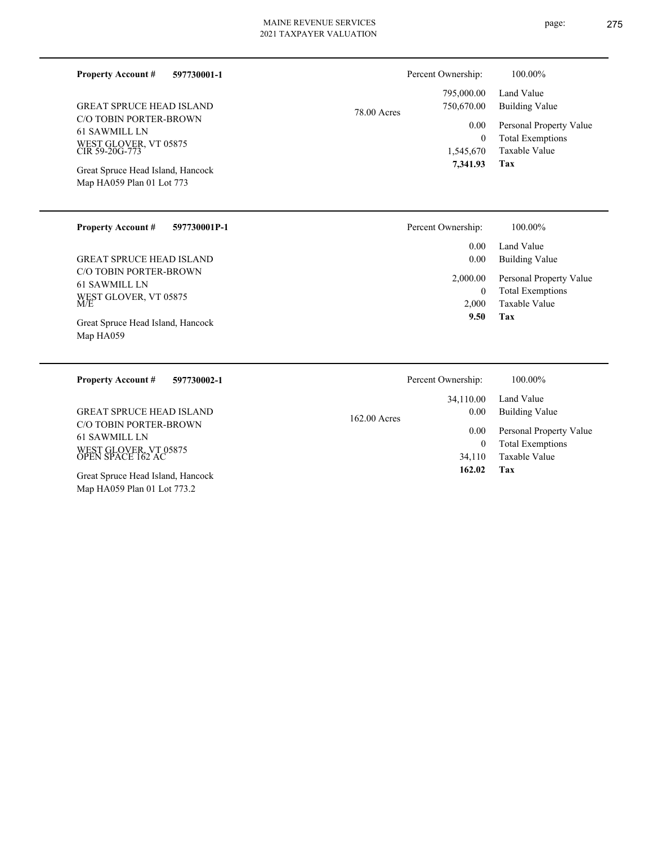| <b>Property Account #</b> | 597730001-1 |
|---------------------------|-------------|
|                           |             |

C/O TOBIN PORTER-BROWN 61 SAWMILL LN WEST GLOVER, VT 05875 CIR 59-20G-773 GREAT SPRUCE HEAD ISLAND

Map HA059 Plan 01 Lot 773 Great Spruce Head Island, Hancock

| <b>Property Account #</b> | 597730001P-1 |
|---------------------------|--------------|
|                           |              |

C/O TOBIN PORTER-BROWN 61 SAWMILL LN WEST GLOVER, VT 05875 M/E GREAT SPRUCE HEAD ISLAND

Map HA059 Great Spruce Head Island, Hancock

Map HA059 Plan 01 Lot 773.2

| 78.00 Acres |  |
|-------------|--|

| 750,670.00   | 795,000.00 Land Value<br>Building Value                 |
|--------------|---------------------------------------------------------|
| $\Omega$     | 0.00 Personal Property Value<br><b>Total Exemptions</b> |
|              | 1,545,670 Taxable Value                                 |
| 7,341.93 Tax |                                                         |

Percent Ownership:  $100.00\%$ 

| Percent Ownership:   | 100.00%                                            |
|----------------------|----------------------------------------------------|
| $0.00 -$<br>$0.00\,$ | Land Value<br>Building Value                       |
| 2,000.00<br>$^{(1)}$ | Personal Property Value<br><b>Total Exemptions</b> |
| 2,000                | Taxable Value                                      |
| 9.50                 | Tax                                                |

| 597730002-1<br><b>Property Account #</b>                                              | Percent Ownership:                  | 100.00%                                                             |
|---------------------------------------------------------------------------------------|-------------------------------------|---------------------------------------------------------------------|
| <b>GREAT SPRUCE HEAD ISLAND</b>                                                       | 34,110.00<br>0.00<br>$162.00$ Acres | Land Value<br>Building Value                                        |
| C/O TOBIN PORTER-BROWN<br>61 SAWMILL LN<br>WEST GLOVER, VT 05875<br>OPEN SPACE 162 AC | 0.00<br>34,110                      | Personal Property Value<br><b>Total Exemptions</b><br>Taxable Value |
| Great Spruce Head Island, Hancock                                                     | 162.02                              | Tax                                                                 |

page: 275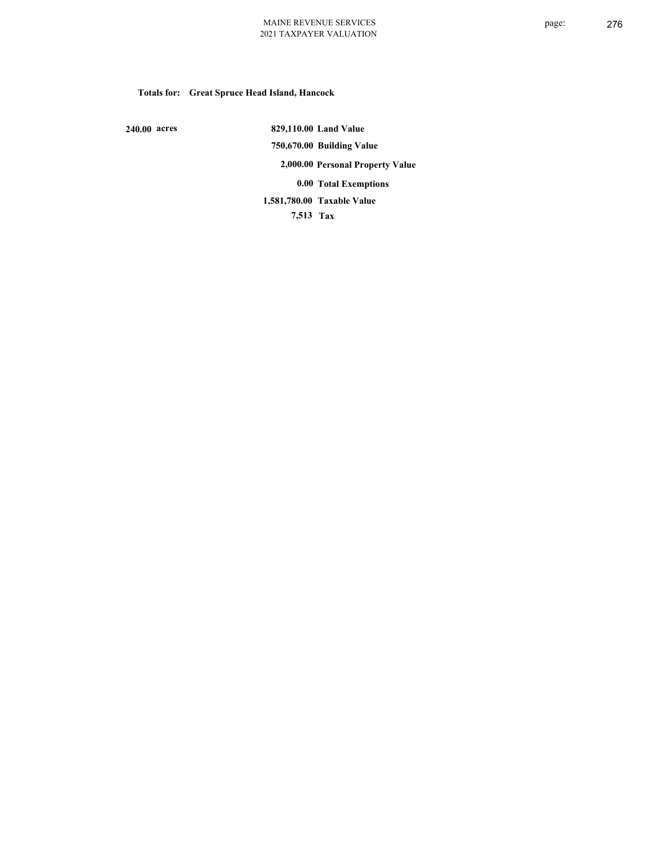# **Totals for: Great Spruce Head Island, Hancock**

 **240.00 acres**

 **829,110.00 Land Value 750,670.00 Building Value 2,000.00 Personal Property Value 0.00 Total Exemptions Taxable Value 1,581,780.00**

 **7,513 Tax**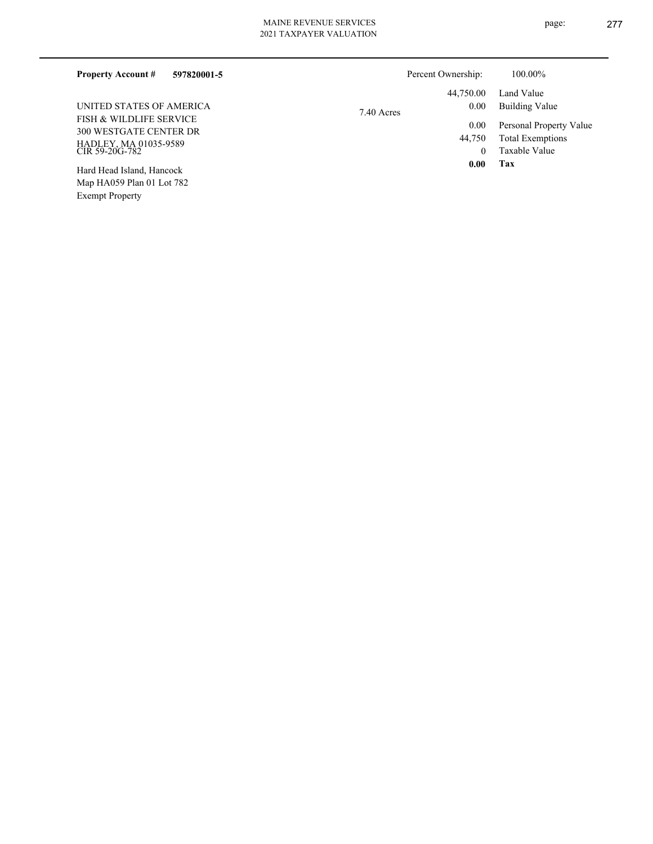| <b>Property Account #</b><br>597820001-5                                                            |            | Percent Ownership: | 100.00%                                                             |
|-----------------------------------------------------------------------------------------------------|------------|--------------------|---------------------------------------------------------------------|
|                                                                                                     |            | 44,750.00          | Land Value                                                          |
| UNITED STATES OF AMERICA                                                                            | 7.40 Acres | 0.00               | Building Value                                                      |
| FISH & WILDLIFE SERVICE<br><b>300 WESTGATE CENTER DR</b><br>HADLEY, MA 01035-9589<br>CIR 59-20G-782 |            | 0.00<br>44,750     | Personal Property Value<br><b>Total Exemptions</b><br>Taxable Value |
| Hard Head Island, Hancock<br>Map HA059 Plan 01 Lot 782                                              |            | 0.00               | Tax                                                                 |

Exempt Property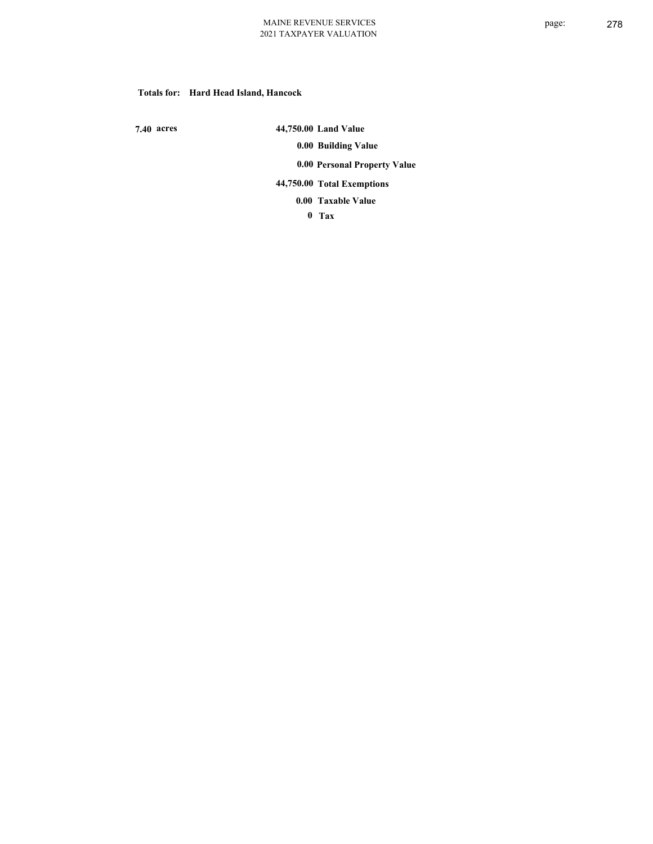## **Totals for: Hard Head Island, Hancock**

 **7.40 acres**

 **44,750.00 Land Value 0.00 Building Value 0.00 Personal Property Value 44,750.00 Total Exemptions Taxable Value 0.00**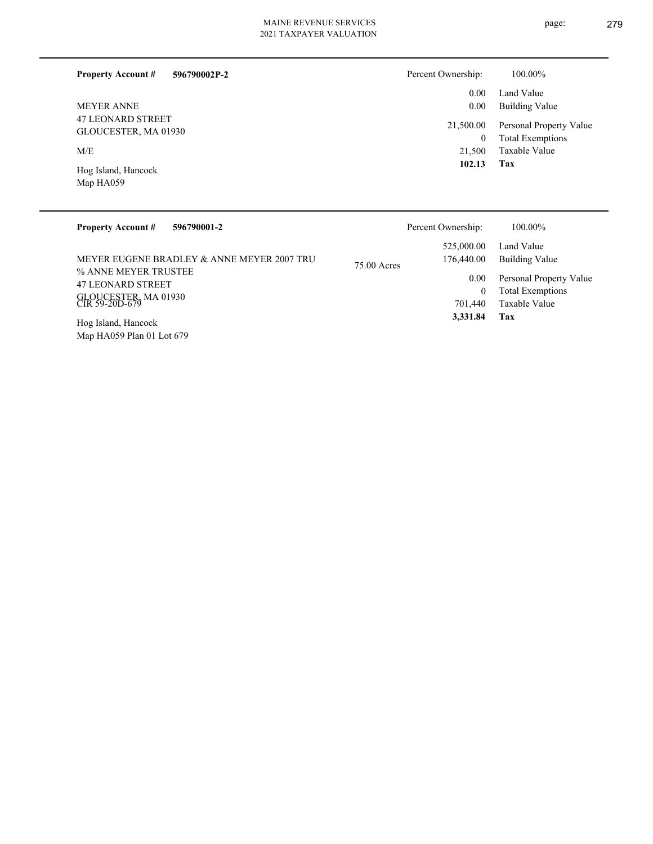| <b>Property Account #</b><br>596790002P-2        | Percent Ownership:    | 100.00%                                            |
|--------------------------------------------------|-----------------------|----------------------------------------------------|
|                                                  | 0.00                  | Land Value                                         |
| <b>MEYER ANNE</b>                                | $0.00\,$              | Building Value                                     |
| <b>47 LEONARD STREET</b><br>GLOUCESTER, MA 01930 | 21,500.00<br>$\bf{0}$ | Personal Property Value<br><b>Total Exemptions</b> |
| M/E                                              | 21.500                | Taxable Value                                      |
| Hog Island, Hancock<br>Map HA059                 | 102.13                | Tax                                                |

| <b>Property Account #</b><br>596790001-2                           | Percent Ownership:                        | $100.00\%$                                         |
|--------------------------------------------------------------------|-------------------------------------------|----------------------------------------------------|
| MEYER EUGENE BRADLEY & ANNE MEYER 2007 TRU<br>% ANNE MEYER TRUSTEE | 525,000.00<br>176,440.00<br>$75.00$ Acres | Land Value<br>Building Value                       |
| <b>47 LEONARD STREET</b>                                           | 0.00<br>0                                 | Personal Property Value<br><b>Total Exemptions</b> |
| GLOUCESTER, MA 01930<br>CIR 59-20D-679                             | 701,440                                   | Taxable Value                                      |
| Hog Island, Hancock<br>Map HA059 Plan 01 Lot 679                   | 3,331.84                                  | Tax                                                |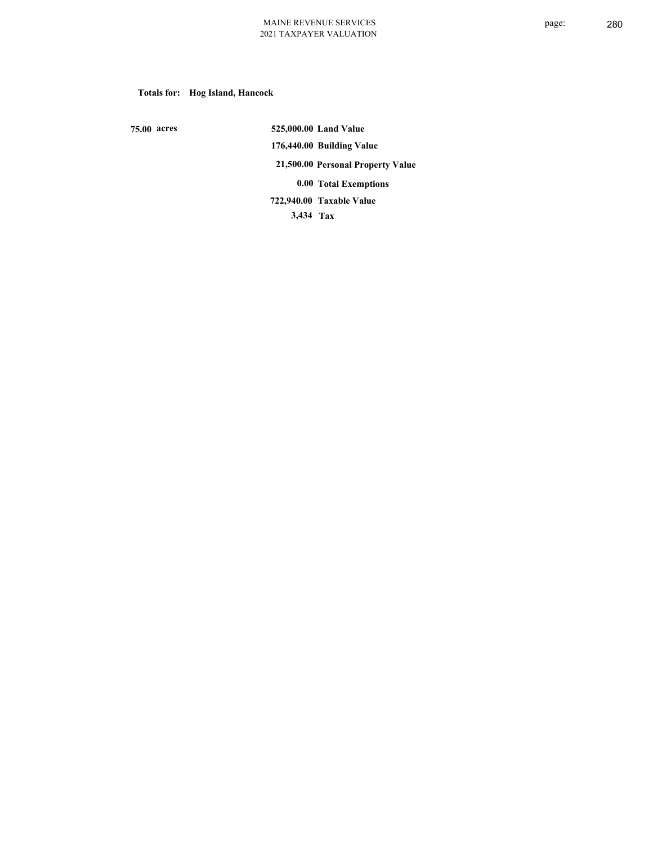# **Totals for: Hog Island, Hancock**

 **75.00 acres**

 **525,000.00 Land Value 176,440.00 Building Value 21,500.00 Personal Property Value 0.00 Total Exemptions 3,434 Tax Taxable Value 722,940.00**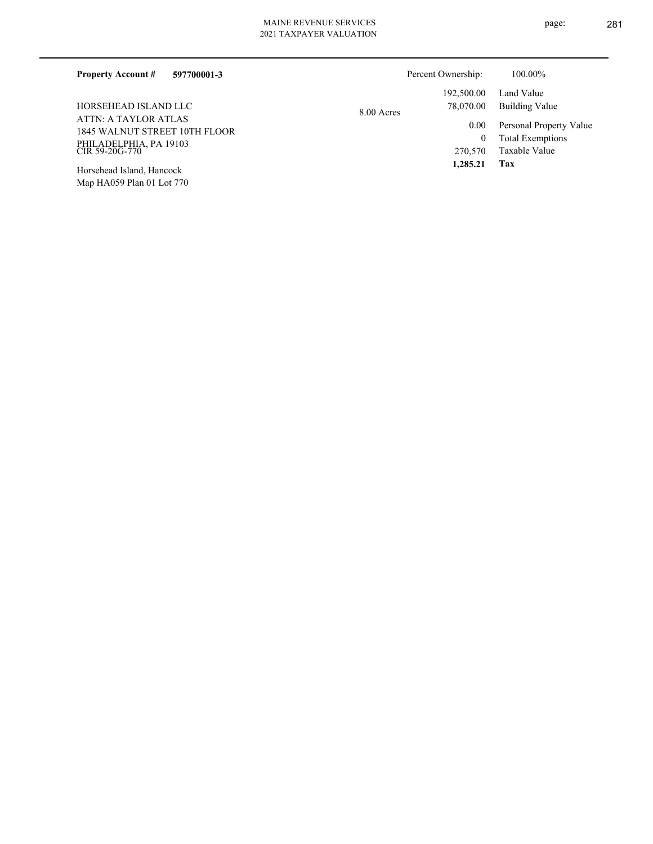| 597700001-3<br><b>Property Account #</b>              |            | Percent Ownership: | 100.00%                 |
|-------------------------------------------------------|------------|--------------------|-------------------------|
|                                                       |            | 192,500.00         | Land Value              |
| HORSEHEAD ISLAND LLC                                  | 8.00 Acres | 78,070.00          | Building Value          |
| ATTN: A TAYLOR ATLAS<br>1845 WALNUT STREET 10TH FLOOR |            | 0.00               | Personal Property Value |
|                                                       |            |                    | <b>Total Exemptions</b> |
| PHILADELPHIA, PA 19103<br>CIR 59-20G-770              |            | 270,570            | Taxable Value           |
|                                                       |            | 1,285.21           | Tax                     |

Map HA059 Plan 01 Lot 770 Horsehead Island, Hancock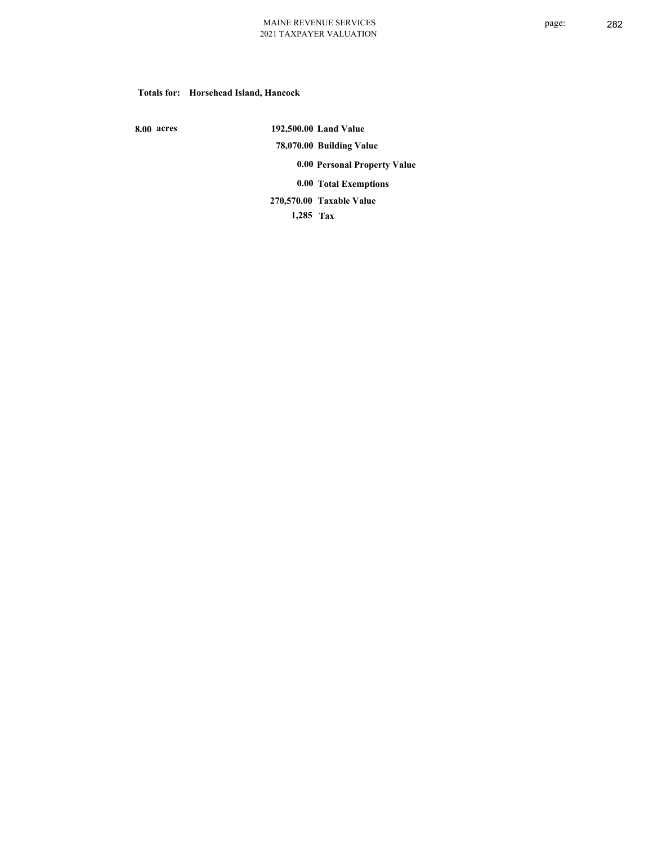### **Totals for: Horsehead Island, Hancock**

 **8.00 acres**

 **192,500.00 Land Value 78,070.00 Building Value 0.00 Personal Property Value 0.00 Total Exemptions Taxable Value 270,570.00**

 **1,285 Tax**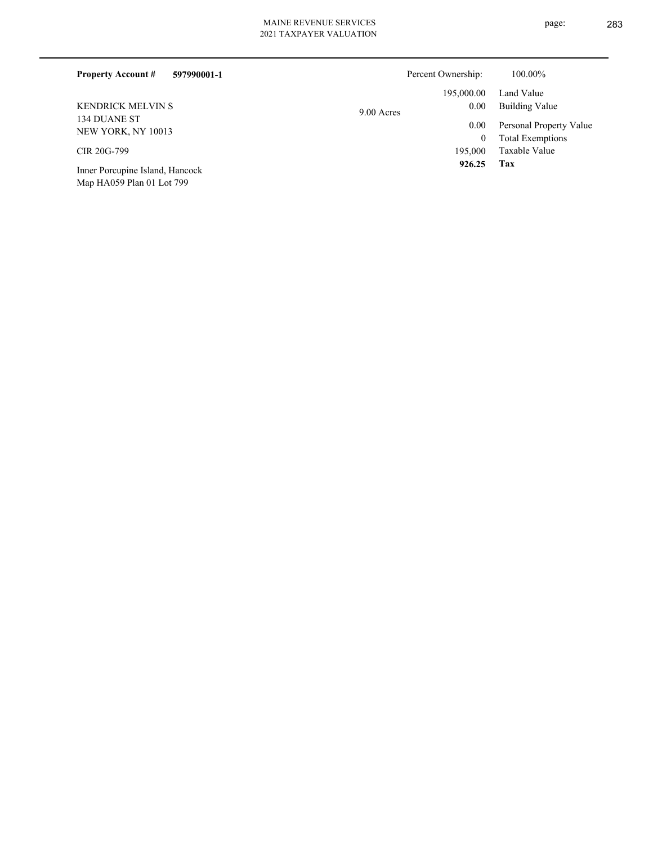Map HA059 Plan 01 Lot 799

| 597990001-1<br><b>Property Account #</b> |            | Percent Ownership: | 100.00%                 |
|------------------------------------------|------------|--------------------|-------------------------|
|                                          |            | 195,000.00         | Land Value              |
| <b>KENDRICK MELVIN S</b>                 | 9.00 Acres | 0.00               | Building Value          |
| 134 DUANE ST<br>NEW YORK, NY 10013       |            | 0.00               | Personal Property Value |
|                                          |            | $\theta$           | <b>Total Exemptions</b> |
| CIR 20G-799                              |            | 195,000            | Taxable Value           |
| Inner Porcupine Island, Hancock          |            | 926.25             | Tax                     |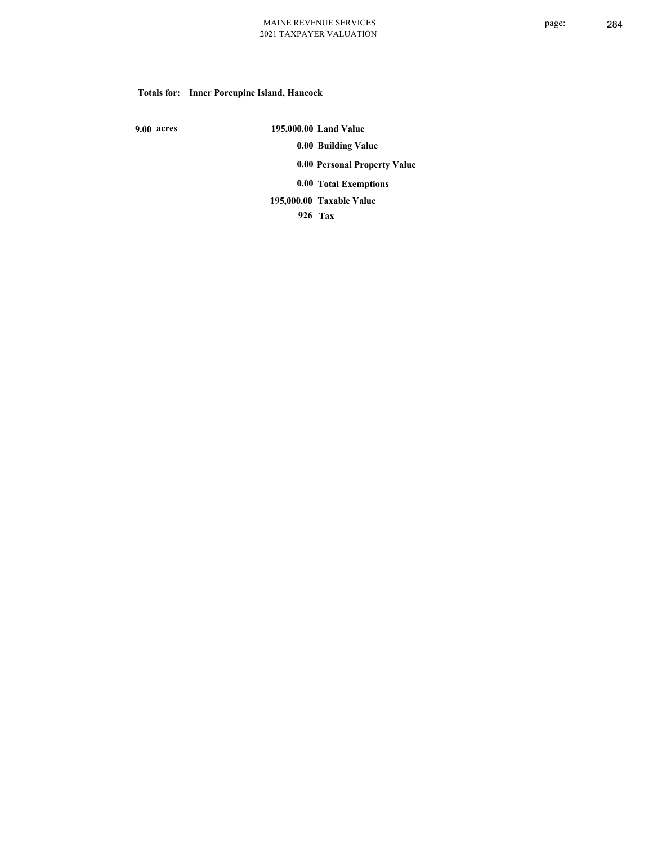# **Totals for: Inner Porcupine Island, Hancock**

 **9.00 acres**

 **195,000.00 Land Value 0.00 Building Value 0.00 Personal Property Value 0.00 Total Exemptions Taxable Value 195,000.00**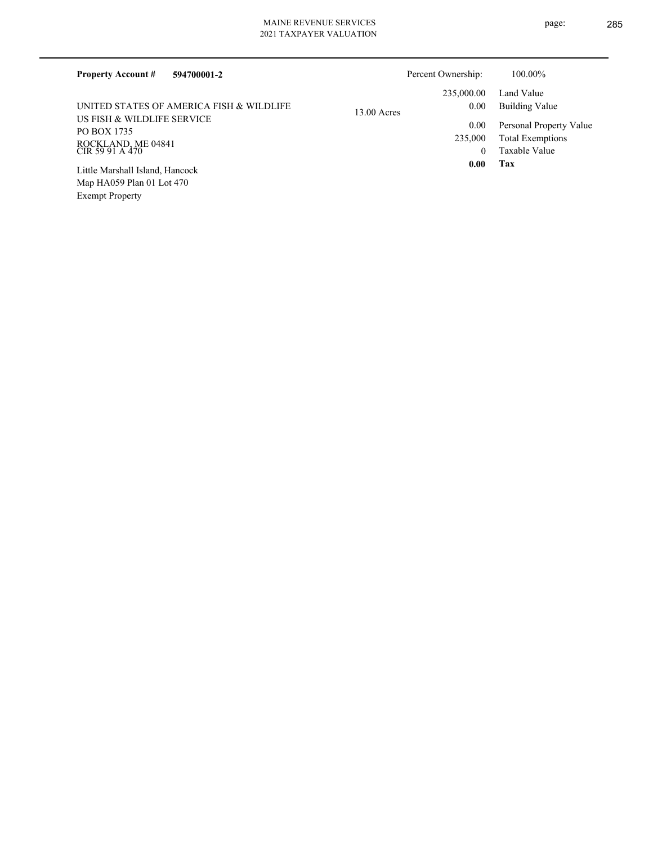| <b>Property Account #</b><br>594700001-2                                           |               | Percent Ownership: | 100.00%                 |
|------------------------------------------------------------------------------------|---------------|--------------------|-------------------------|
|                                                                                    |               | 235,000.00         | Land Value              |
| UNITED STATES OF AMERICA FISH & WILDLIFE                                           | $13.00$ Acres | 0.00               | <b>Building Value</b>   |
| US FISH & WILDLIFE SERVICE<br>PO BOX 1735<br>ROCKLAND, ME 04841<br>CIR 59 91 A 470 |               | $0.00\,$           | Personal Property Value |
|                                                                                    |               | 235,000            | <b>Total Exemptions</b> |
|                                                                                    |               | $\theta$           | Taxable Value           |
| Little Marshall Island, Hancock                                                    |               | 0.00               | Tax                     |
| Map HA059 Plan 01 Lot 470                                                          |               |                    |                         |
| <b>Exempt Property</b>                                                             |               |                    |                         |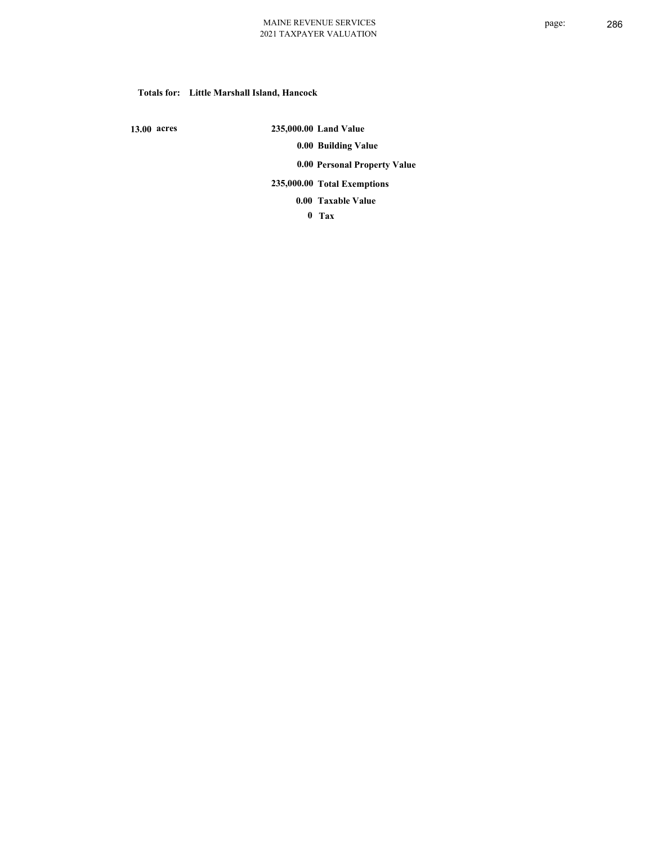### **Totals for: Little Marshall Island, Hancock**

 **13.00 acres**

 **235,000.00 Land Value 0.00 Building Value 0.00 Personal Property Value 235,000.00 Total Exemptions**

**Taxable Value 0.00**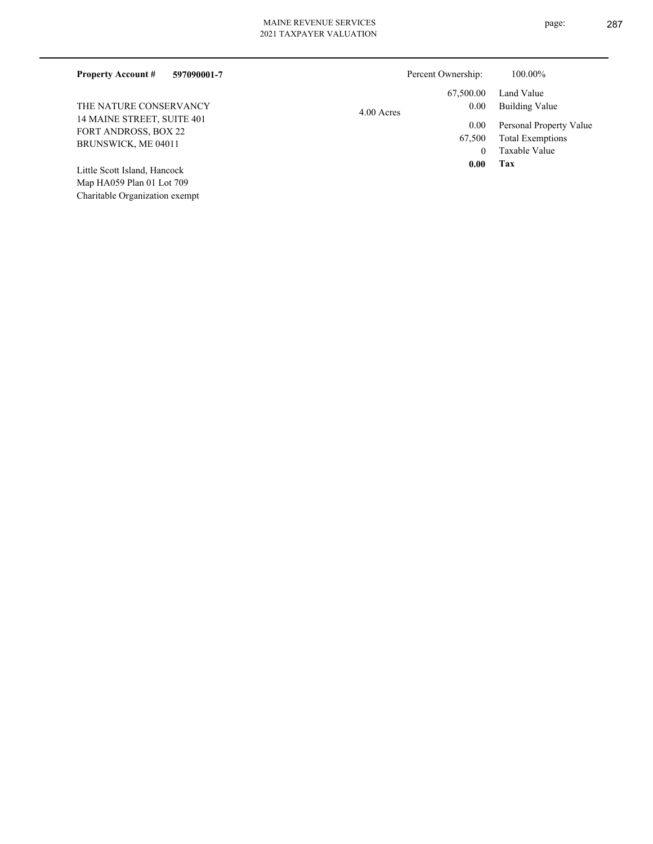| 597090001-7<br><b>Property Account #</b>                                         | Percent Ownership:             | 100.00%                                                             |
|----------------------------------------------------------------------------------|--------------------------------|---------------------------------------------------------------------|
|                                                                                  | 67,500.00                      | Land Value                                                          |
| THE NATURE CONSERVANCY                                                           | 0.00<br>$4.00$ Acres           | Building Value                                                      |
| 14 MAINE STREET, SUITE 401<br><b>FORT ANDROSS, BOX 22</b><br>BRUNSWICK, ME 04011 | 0.00<br>67,500<br>$\mathbf{0}$ | Personal Property Value<br><b>Total Exemptions</b><br>Taxable Value |
| Little Scott Island, Hancock<br>Map HA059 Plan 01 Lot 709                        | 0.00                           | Tax                                                                 |

Charitable Organization exempt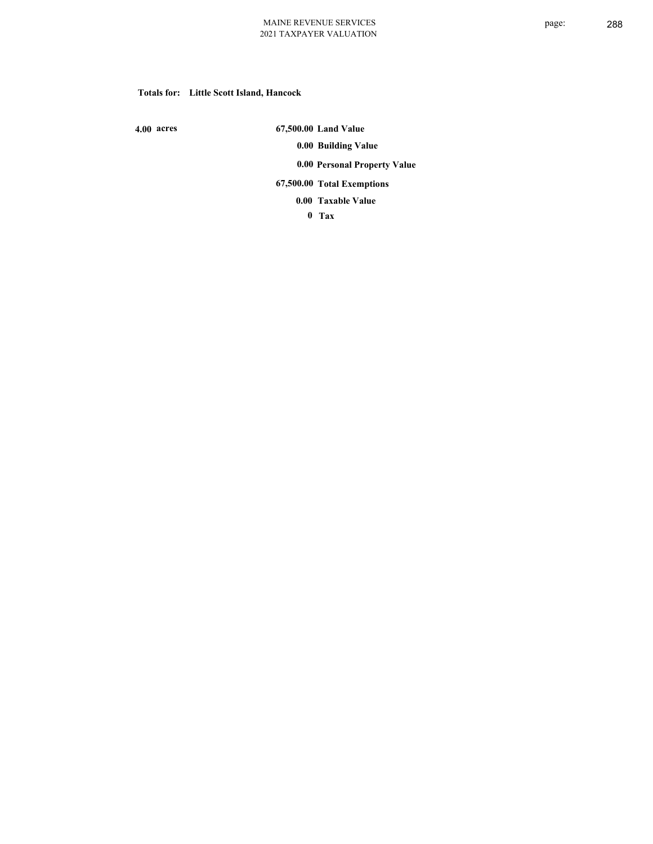## **Totals for: Little Scott Island, Hancock**

 **4.00 acres**

 **67,500.00 Land Value 0.00 Building Value 0.00 Personal Property Value 67,500.00 Total Exemptions**

**Taxable Value 0.00**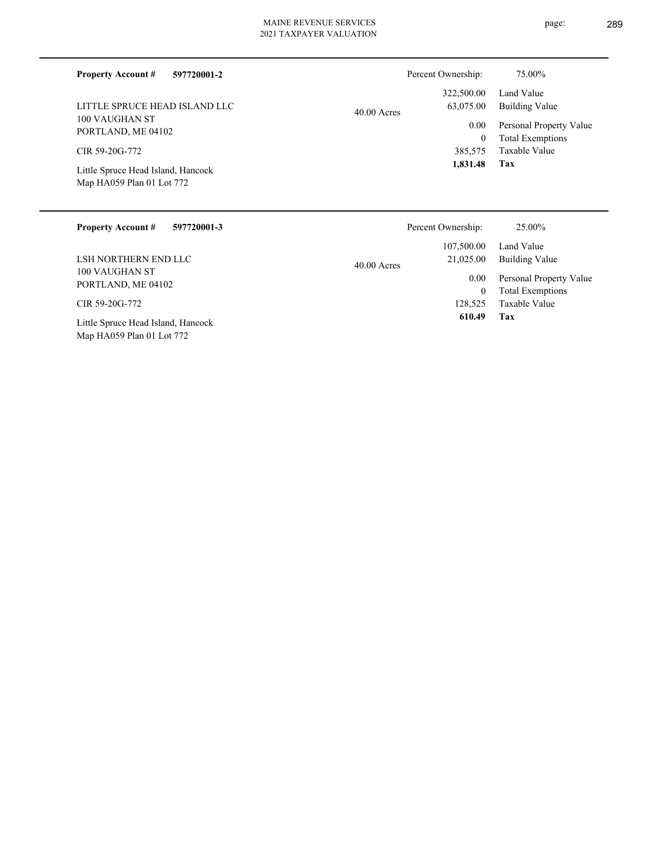| <b>Property Account #</b> | 597720001-2 |  |
|---------------------------|-------------|--|

100 VAUGHAN ST PORTLAND, ME 04102 LITTLE SPRUCE HEAD ISLAND LLC

CIR 59-20G-772

Map HA059 Plan 01 Lot 772 Little Spruce Head Island, Hancock

# 40.00 Acres

| 322,500.00<br>63,075.00 | Land Value<br><b>Building Value</b> |
|-------------------------|-------------------------------------|
| $0.00\,$                | Personal Property Value             |
| 0                       | <b>Total Exemptions</b>             |
| 385,575                 | Taxable Value                       |
| 1,831.48                | Tax                                 |

Percent Ownership:  $75.00\%$ 

| <b>Property Account #</b><br>597720001-3                        | Percent Ownership:                       | 25.00%                                             |
|-----------------------------------------------------------------|------------------------------------------|----------------------------------------------------|
| LSH NORTHERN END LLC                                            | 107,500.00<br>21,025.00<br>$40.00$ Acres | Land Value<br>Building Value                       |
| 100 VAUGHAN ST<br>PORTLAND, ME 04102                            | 0.00<br>$\mathbf{0}$                     | Personal Property Value<br><b>Total Exemptions</b> |
| CIR 59-20G-772                                                  | 128.525                                  | Taxable Value                                      |
| Little Spruce Head Island, Hancock<br>Map HA059 Plan 01 Lot 772 | 610.49                                   | Tax                                                |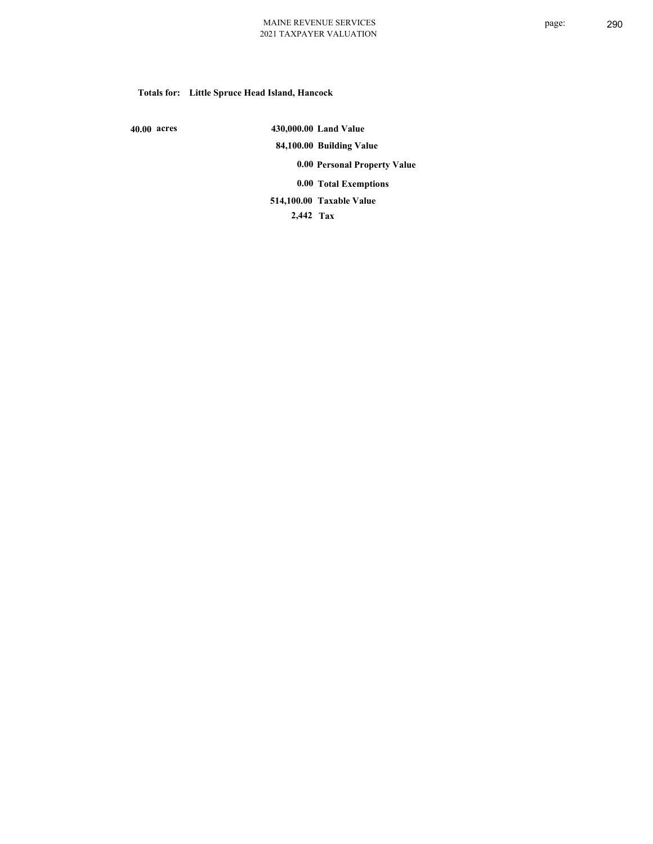# **Totals for: Little Spruce Head Island, Hancock**

 **40.00 acres**

 **430,000.00 Land Value 84,100.00 Building Value 0.00 Personal Property Value 0.00 Total Exemptions Taxable Value 514,100.00**

 **2,442 Tax**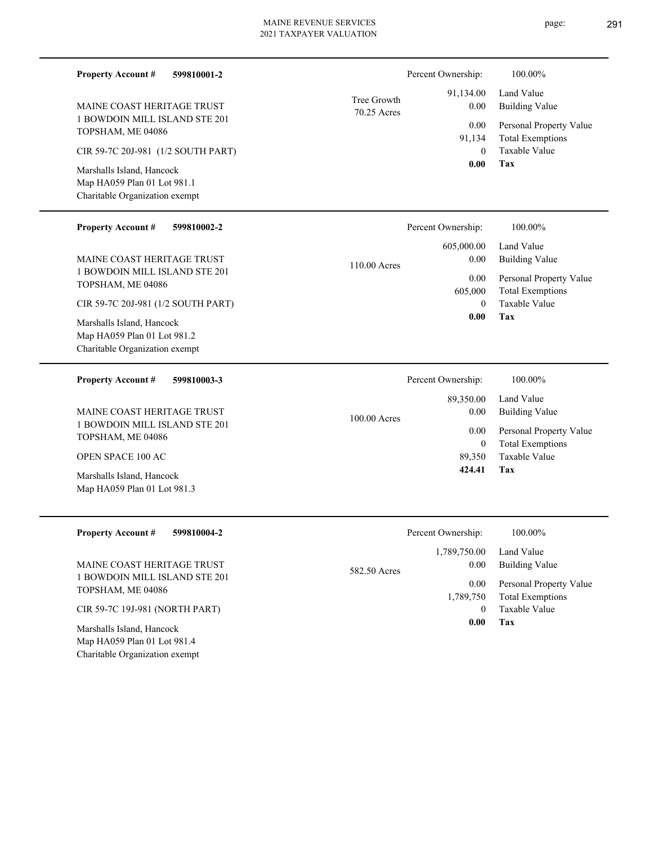| <b>Property Account #</b>                                                                                                                                                                                            | 599810001-2 |                            | Percent Ownership:                                        | 100.00%                                                                                                                  |
|----------------------------------------------------------------------------------------------------------------------------------------------------------------------------------------------------------------------|-------------|----------------------------|-----------------------------------------------------------|--------------------------------------------------------------------------------------------------------------------------|
| MAINE COAST HERITAGE TRUST                                                                                                                                                                                           |             | Tree Growth<br>70.25 Acres | 91,134.00<br>0.00                                         | Land Value<br><b>Building Value</b>                                                                                      |
| 1 BOWDOIN MILL ISLAND STE 201<br>TOPSHAM, ME 04086                                                                                                                                                                   |             |                            | 0.00<br>91,134<br>$\theta$                                | Personal Property Value<br><b>Total Exemptions</b><br>Taxable Value                                                      |
| CIR 59-7C 20J-981 (1/2 SOUTH PART)<br>Marshalls Island, Hancock<br>Map HA059 Plan 01 Lot 981.1<br>Charitable Organization exempt                                                                                     |             |                            | 0.00                                                      | Tax                                                                                                                      |
| <b>Property Account #</b>                                                                                                                                                                                            | 599810002-2 |                            | Percent Ownership:                                        | 100.00%                                                                                                                  |
| MAINE COAST HERITAGE TRUST<br>1 BOWDOIN MILL ISLAND STE 201<br>TOPSHAM, ME 04086<br>CIR 59-7C 20J-981 (1/2 SOUTH PART)<br>Marshalls Island, Hancock<br>Map HA059 Plan 01 Lot 981.2<br>Charitable Organization exempt |             | 110.00 Acres               | 605,000.00<br>0.00<br>0.00<br>605,000<br>$\Omega$<br>0.00 | Land Value<br><b>Building Value</b><br>Personal Property Value<br><b>Total Exemptions</b><br><b>Taxable Value</b><br>Tax |
| <b>Property Account #</b>                                                                                                                                                                                            | 599810003-3 |                            | Percent Ownership:                                        | 100.00%                                                                                                                  |
| MAINE COAST HERITAGE TRUST<br>1 BOWDOIN MILL ISLAND STE 201                                                                                                                                                          |             | 100.00 Acres               | 89,350.00<br>0.00                                         | Land Value<br><b>Building Value</b>                                                                                      |
| TOPSHAM, ME 04086                                                                                                                                                                                                    |             |                            | 0.00<br>$\mathbf{0}$                                      | Personal Property Value<br><b>Total Exemptions</b>                                                                       |
| <b>OPEN SPACE 100 AC</b>                                                                                                                                                                                             |             |                            | 89.350                                                    | Taxable Value                                                                                                            |

Map HA059 Plan 01 Lot 981.3 Marshalls Island, Hancock

Charitable Organization exempt

| <b>Property Account #</b><br>599810004-2                 | Percent Ownership:   | 100.00%                 |
|----------------------------------------------------------|----------------------|-------------------------|
|                                                          | 1,789,750.00         | Land Value              |
| MAINE COAST HERITAGE TRUST                               | 0.00<br>582.50 Acres | <b>Building Value</b>   |
| 1 BOWDOIN MILL ISLAND STE 201<br>TOPSHAM, ME 04086       | 0.00                 | Personal Property Value |
|                                                          | 1,789,750            | <b>Total Exemptions</b> |
| CIR 59-7C 19J-981 (NORTH PART)                           |                      | Taxable Value           |
| Marshalls Island, Hancock<br>Map HA059 Plan 01 Lot 981.4 | 0.00                 | Tax                     |

**Tax**

 **424.41**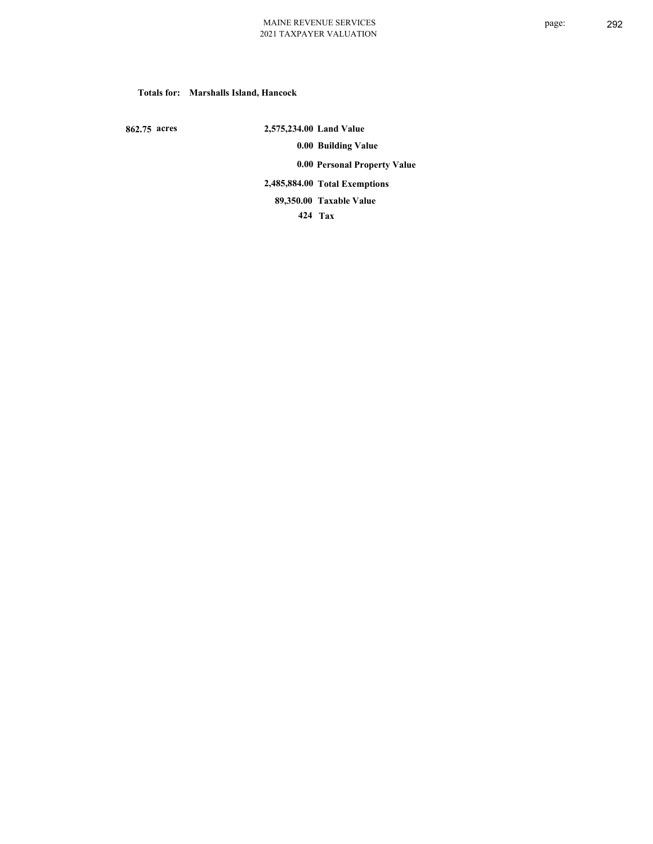#### **Totals for: Marshalls Island, Hancock**

 **862.75 acres**

 **2,575,234.00 Land Value 0.00 Building Value 0.00 Personal Property Value 2,485,884.00 Total Exemptions Taxable Value 89,350.00**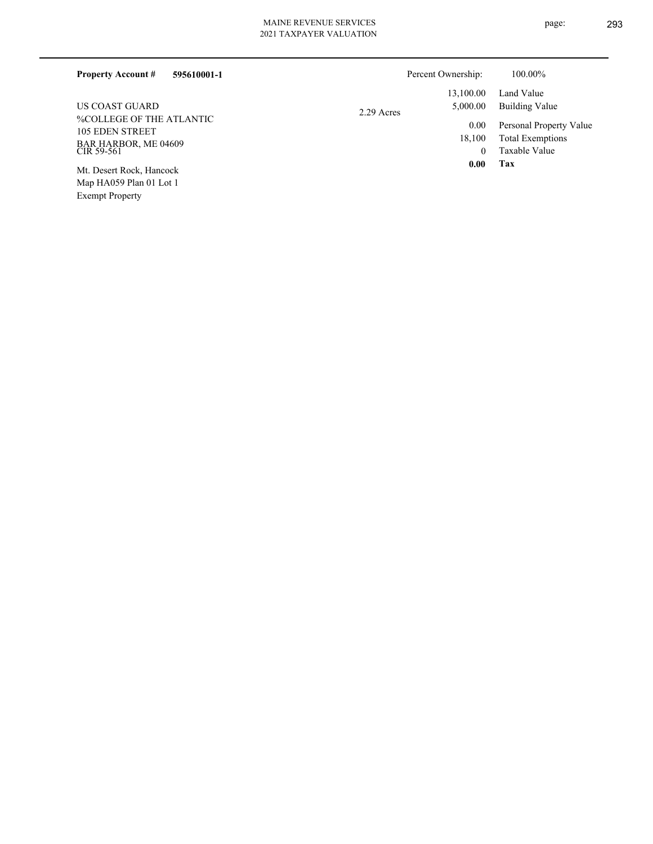Exempt Property

| 595610001-1<br><b>Property Account #</b>                                                 |            | Percent Ownership:         | 100.00%                                                      |
|------------------------------------------------------------------------------------------|------------|----------------------------|--------------------------------------------------------------|
|                                                                                          |            | 13,100.00                  | Land Value                                                   |
| US COAST GUARD                                                                           | 2.29 Acres | 5,000.00                   | Building Value                                               |
| <b>%COLLEGE OF THE ATLANTIC</b><br>105 EDEN STREET<br>BAR HARBOR, ME 04609<br>CIR 59-561 |            | 0.00<br>18,100<br>$\theta$ | Personal Property Value<br>Total Exemptions<br>Taxable Value |
| Mt. Desert Rock, Hancock<br>Map HA059 Plan 01 Lot 1                                      |            | 0.00                       | Tax                                                          |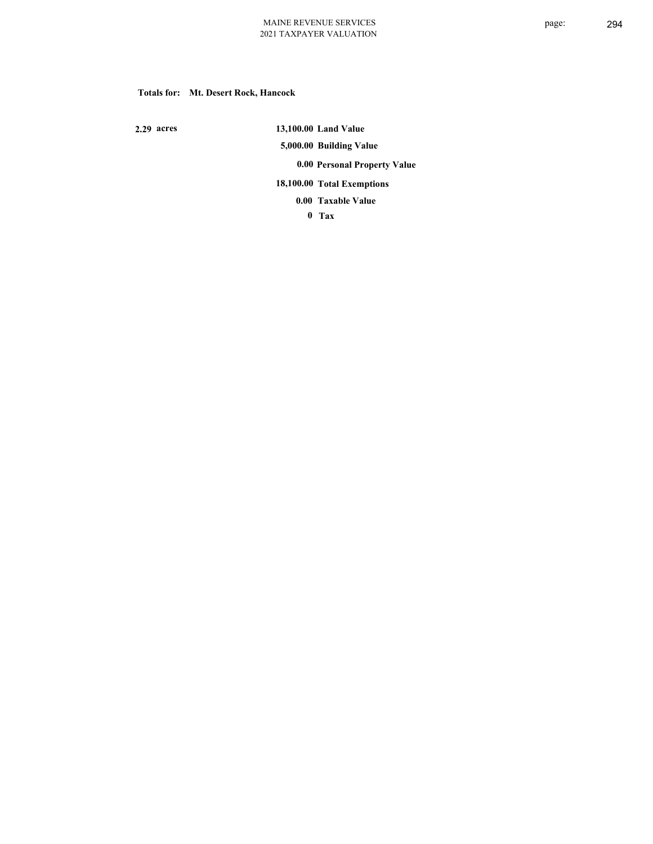#### **Totals for: Mt. Desert Rock, Hancock**

 **2.29 acres**

 **13,100.00 Land Value 5,000.00 Building Value 0.00 Personal Property Value 18,100.00 Total Exemptions**

**Taxable Value 0.00**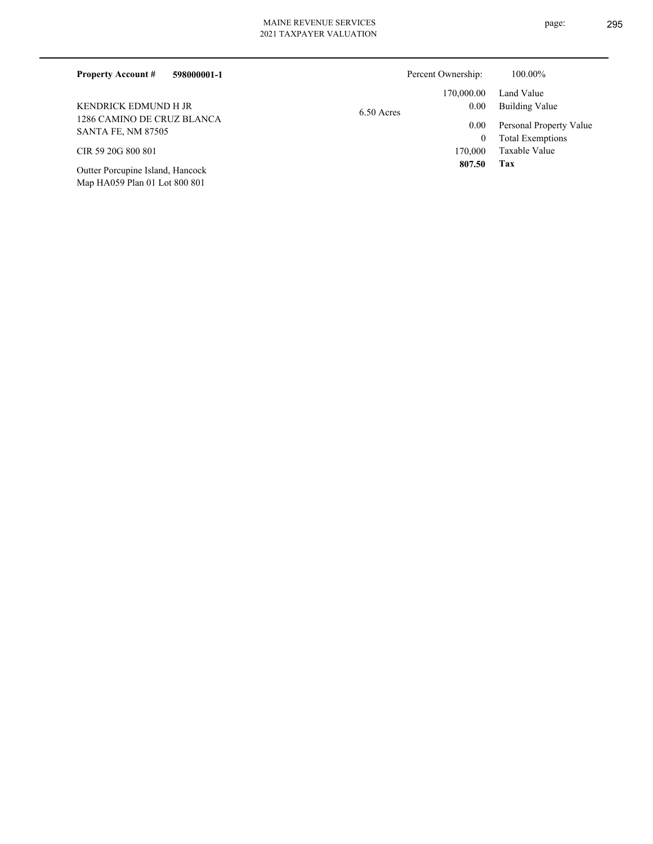|  | 021 TAXPAYER VALUATION |  |
|--|------------------------|--|

| <b>Property Account #</b><br>598000001-1                | Percent Ownership:   | 100.00%                 |
|---------------------------------------------------------|----------------------|-------------------------|
|                                                         | 170,000.00           | Land Value              |
| KENDRICK EDMUND H JR                                    | 0.00<br>$6.50$ Acres | Building Value          |
| 1286 CAMINO DE CRUZ BLANCA<br><b>SANTA FE, NM 87505</b> | 0.00                 | Personal Property Value |
|                                                         | $\overline{0}$       | <b>Total Exemptions</b> |
| CIR 59 20G 800 801                                      | 170,000              | Taxable Value           |
| Outter Porcupine Island, Hancock                        | 807.50               | Tax                     |

Map HA059 Plan 01 Lot 800 801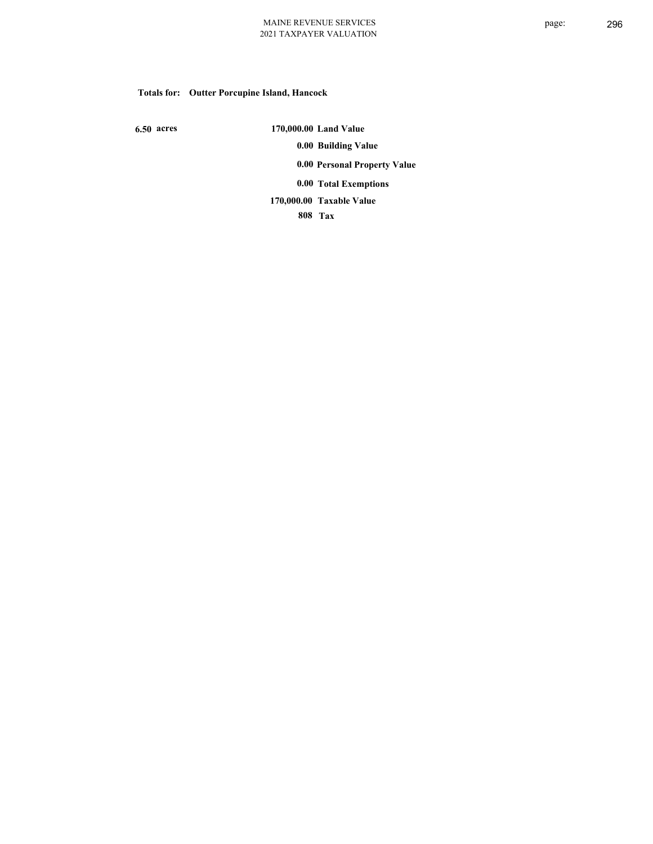# **Totals for: Outter Porcupine Island, Hancock**

 **6.50 acres**

 **170,000.00 Land Value 0.00 Building Value 0.00 Personal Property Value 0.00 Total Exemptions Taxable Value 170,000.00**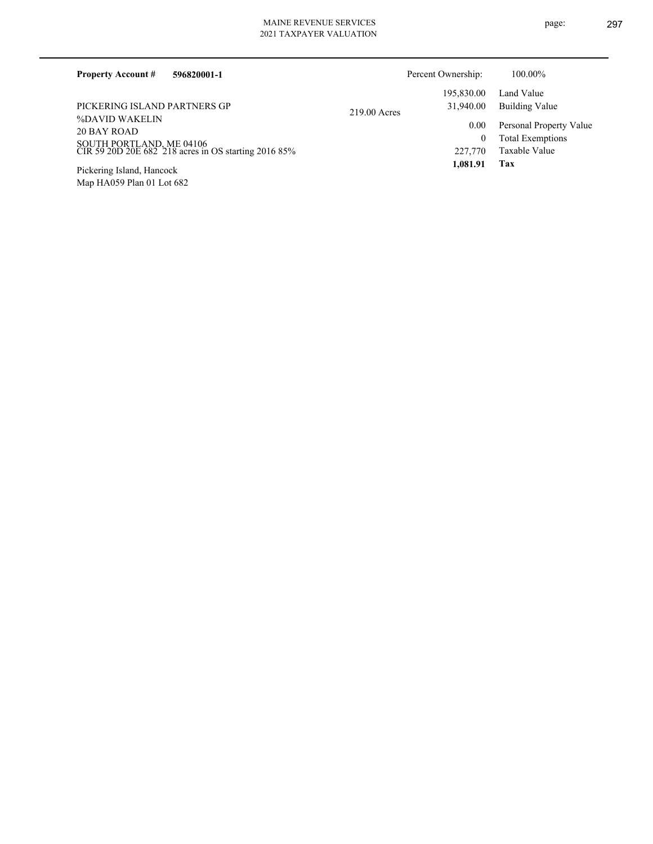| 2021 TAXPAYER VALUATION |  |
|-------------------------|--|
|                         |  |

| <b>Property Account #</b><br>596820001-1                                                                          |              | Percent Ownership:   | 100.00%                                                             |
|-------------------------------------------------------------------------------------------------------------------|--------------|----------------------|---------------------------------------------------------------------|
|                                                                                                                   |              | 195,830.00           | Land Value                                                          |
| PICKERING ISLAND PARTNERS GP                                                                                      | 219.00 Acres | 31,940.00            | Building Value                                                      |
| %DAVID WAKELIN<br>20 BAY ROAD<br>SOUTH PORTLAND, ME 04106<br>CIR 59 20D 20E 682 218 acres in OS starting 2016 85% |              | 0.00<br>0<br>227,770 | Personal Property Value<br><b>Total Exemptions</b><br>Taxable Value |
| Pickering Island, Hancock                                                                                         |              | 1.081.91             | Tax                                                                 |

Map HA059 Plan 01 Lot 682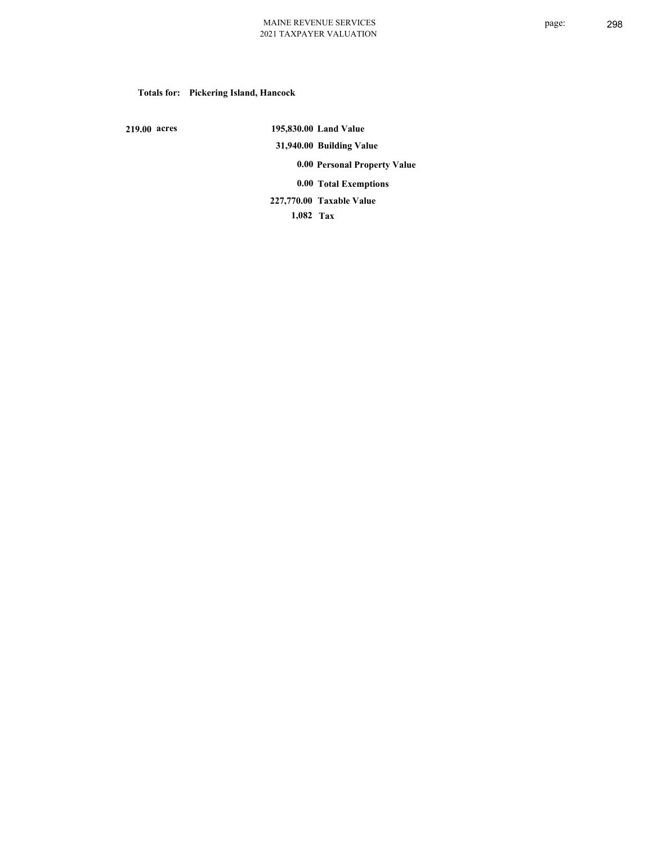# **Totals for: Pickering Island, Hancock**

 **219.00 acres**

 **195,830.00 Land Value 31,940.00 Building Value 0.00 Personal Property Value 0.00 Total Exemptions Taxable Value 227,770.00**

 **1,082 Tax**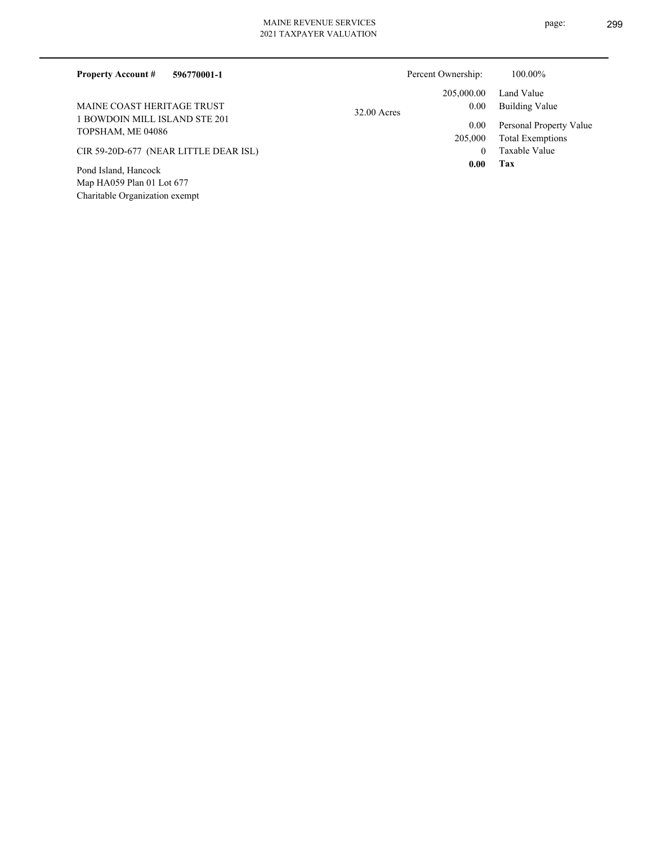Charitable Organization exempt

| <b>Property Account #</b><br>596770001-1           |             | Percent Ownership: | 100.00%                 |
|----------------------------------------------------|-------------|--------------------|-------------------------|
|                                                    |             | 205,000.00         | Land Value              |
| MAINE COAST HERITAGE TRUST                         | 32.00 Acres | 0.00               | Building Value          |
| 1 BOWDOIN MILL ISLAND STE 201<br>TOPSHAM, ME 04086 |             | 0.00               | Personal Property Value |
|                                                    |             | 205,000            | <b>Total Exemptions</b> |
| CIR 59-20D-677 (NEAR LITTLE DEAR ISL)              |             | $\theta$           | Taxable Value           |
| Pond Island, Hancock                               |             | 0.00               | Tax                     |
| Map HA059 Plan 01 Lot 677                          |             |                    |                         |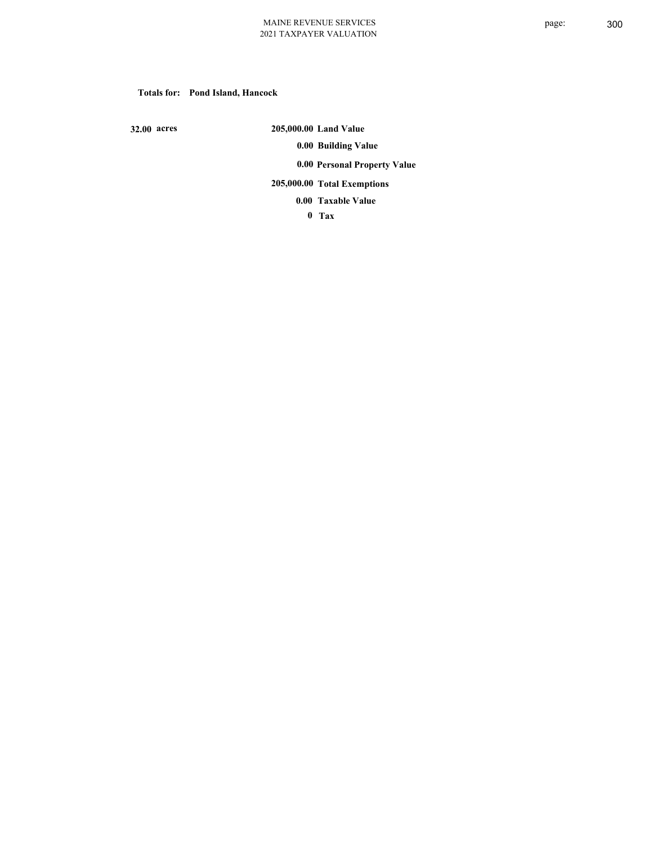#### **Totals for: Pond Island, Hancock**

 **32.00 acres**

 **205,000.00 Land Value 0.00 Building Value 0.00 Personal Property Value 205,000.00 Total Exemptions Taxable Value 0.00**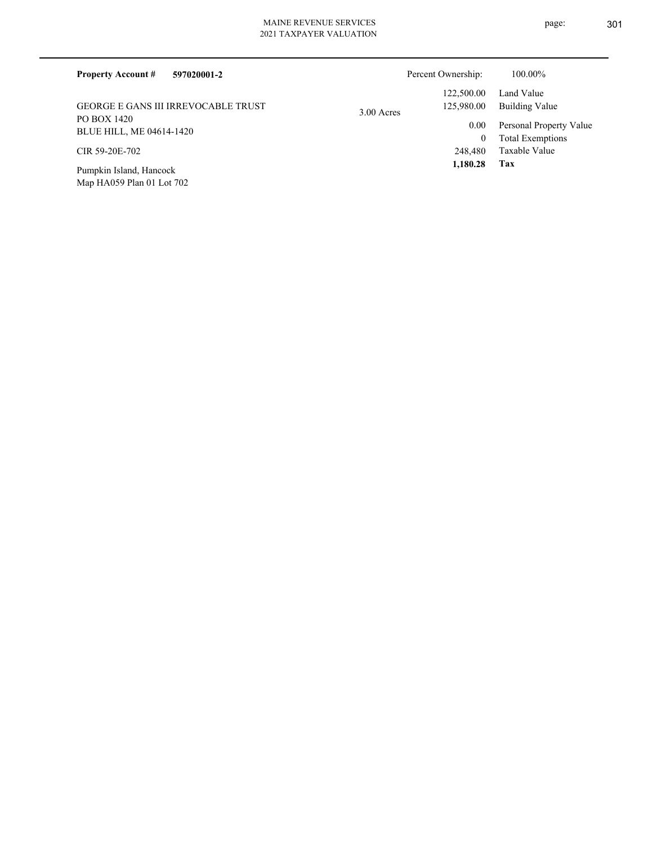| 597020001-2<br><b>Property Account #</b>             | Percent Ownership:         | 100.00%                             |
|------------------------------------------------------|----------------------------|-------------------------------------|
|                                                      | 122,500.00                 | Land Value                          |
| <b>GEORGE E GANS III IRREVOCABLE TRUST</b>           | 125,980.00<br>$3.00$ Acres | Building Value                      |
| PO BOX 1420<br>BLUE HILL, ME 04614-1420              |                            | Personal Property Value<br>0.00     |
|                                                      |                            | <b>Total Exemptions</b><br>$\bf{0}$ |
| CIR 59-20E-702                                       |                            | Taxable Value<br>248,480            |
| Pumpkin Island, Hancock<br>Map HA059 Plan 01 Lot 702 |                            | 1,180.28<br>Tax                     |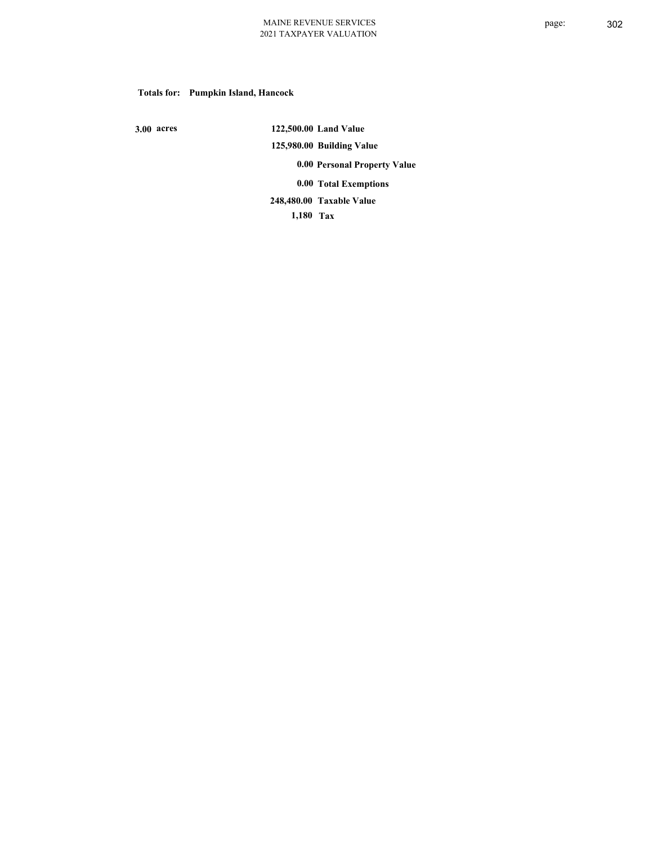# **Totals for: Pumpkin Island, Hancock**

 **3.00 acres**

 **122,500.00 Land Value 125,980.00 Building Value 0.00 Personal Property Value 0.00 Total Exemptions Taxable Value 248,480.00**

 **1,180 Tax**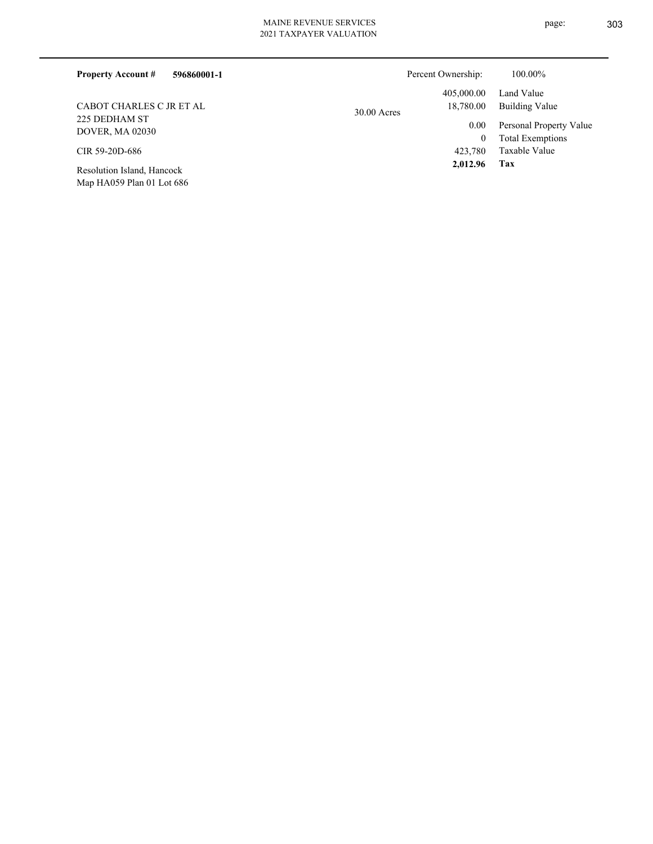# MAINE REVENUE SERVICES 2021 TAXPAY

| VENUE SEK VIUES |  |
|-----------------|--|
| YER VALUATION   |  |

| 596860001-1<br><b>Property Account #</b> | Percent Ownership:         | 100.00%                 |
|------------------------------------------|----------------------------|-------------------------|
|                                          | 405,000.00                 | Land Value              |
| CABOT CHARLES C JR ET AL                 | 18,780.00<br>$30.00$ Acres | Building Value          |
| 225 DEDHAM ST<br><b>DOVER, MA 02030</b>  | $0.00\,$                   | Personal Property Value |
|                                          | 0                          | <b>Total Exemptions</b> |
| CIR 59-20D-686                           | 423,780                    | Taxable Value           |
| Resolution Island, Hancock               | 2,012.96                   | Tax                     |

Map HA059 Plan 01 Lot 686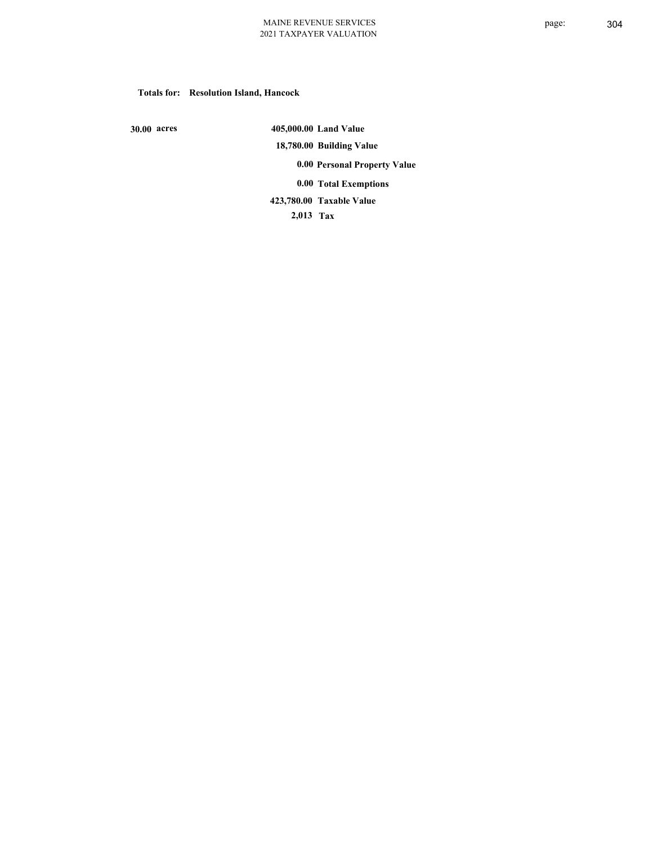#### **Totals for: Resolution Island, Hancock**

 **30.00 acres**

 **405,000.00 Land Value 18,780.00 Building Value 0.00 Personal Property Value 0.00 Total Exemptions Taxable Value 423,780.00**

 **2,013 Tax**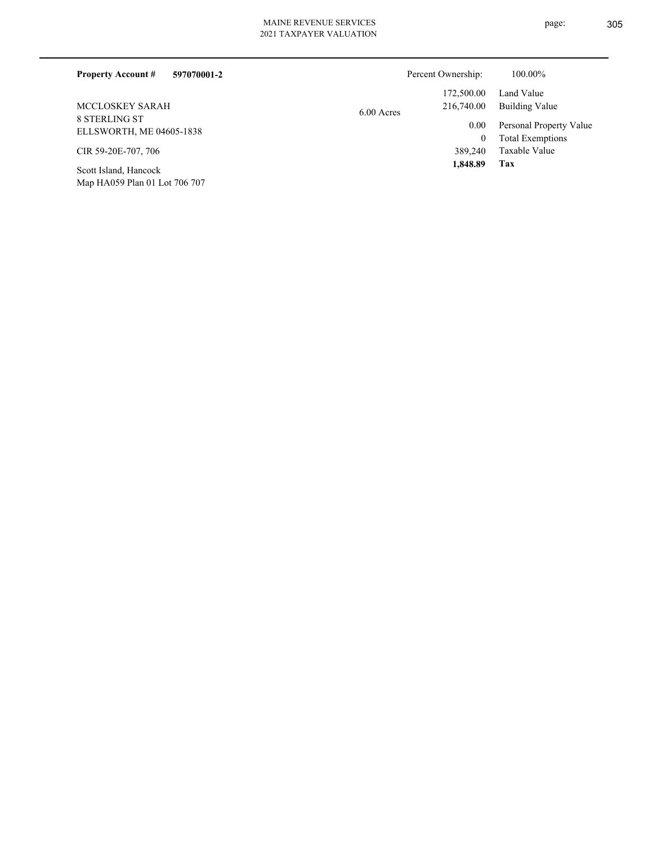| <b>Property Account #</b><br>597070001-2  | Percent Ownership: |            | 100.00%                 |
|-------------------------------------------|--------------------|------------|-------------------------|
|                                           |                    | 172,500.00 | Land Value              |
| MCCLOSKEY SARAH                           | $6.00$ Acres       | 216,740.00 | Building Value          |
| 8 STERLING ST<br>ELLSWORTH, ME 04605-1838 |                    | 0.00       | Personal Property Value |
|                                           |                    | 0          | <b>Total Exemptions</b> |
| CIR 59-20E-707, 706                       |                    | 389.240    | Taxable Value           |
| $0.14$ Teles de Henrich La                |                    | 1.848.89   | Tax                     |

Map HA059 Plan 01 Lot 706 707 Scott Island, Hancock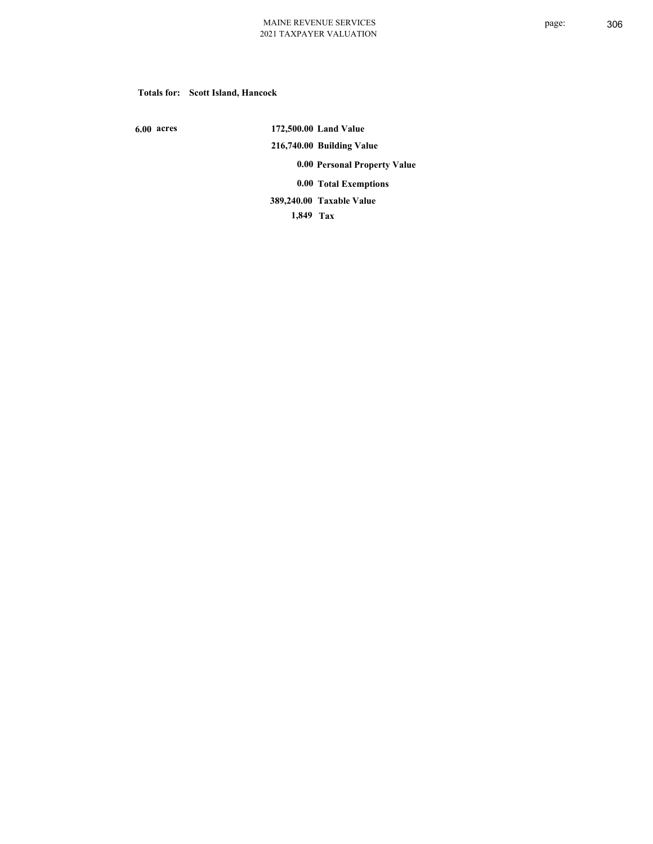#### **Totals for: Scott Island, Hancock**

 **6.00 acres**

 **172,500.00 Land Value 216,740.00 Building Value 0.00 Personal Property Value 0.00 Total Exemptions Taxable Value 389,240.00**

 **1,849 Tax**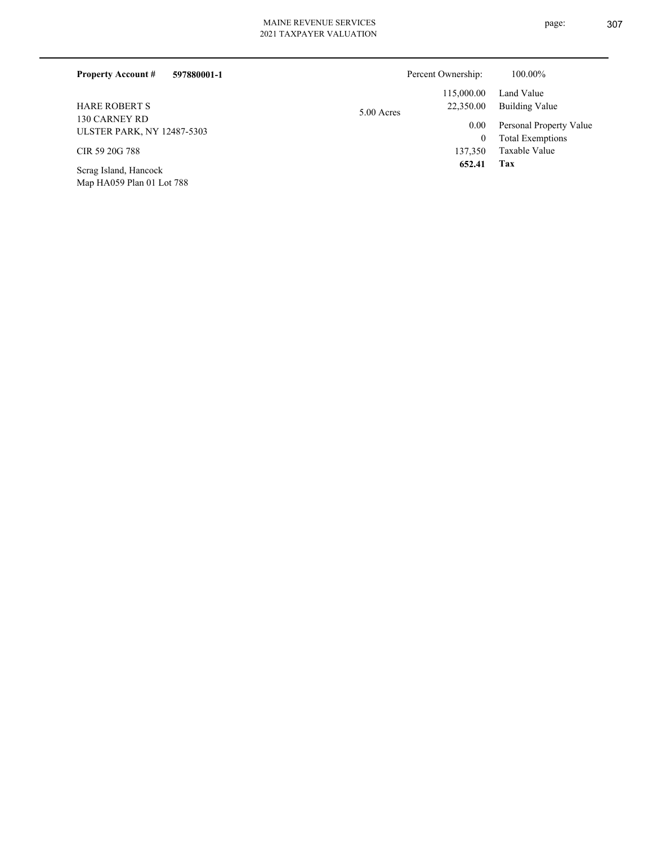| 2021 TAXPAYER VALUATION |  |  |
|-------------------------|--|--|
|                         |  |  |
|                         |  |  |

| 597880001-1<br><b>Property Account #</b>           |            | Percent Ownership:   | 100.00%                                            |
|----------------------------------------------------|------------|----------------------|----------------------------------------------------|
|                                                    |            | 115,000.00           | Land Value                                         |
| <b>HARE ROBERT S</b>                               | 5.00 Acres | 22,350.00            | Building Value                                     |
| 130 CARNEY RD<br><b>ULSTER PARK, NY 12487-5303</b> |            | 0.00<br>$\mathbf{0}$ | Personal Property Value<br><b>Total Exemptions</b> |
| CIR 59 20G 788                                     |            | 137,350              | Taxable Value                                      |
| Scrag Island, Hancock<br>Map HA059 Plan 01 Lot 788 |            | 652.41               | Tax                                                |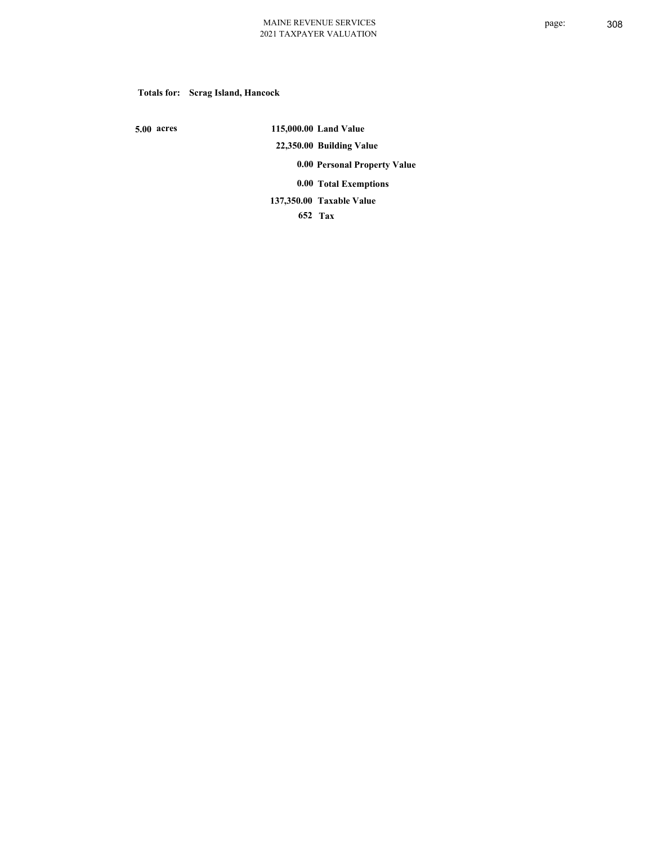# **Totals for: Scrag Island, Hancock**

 **5.00 acres**

 **115,000.00 Land Value 22,350.00 Building Value 0.00 Personal Property Value 0.00 Total Exemptions Taxable Value 137,350.00**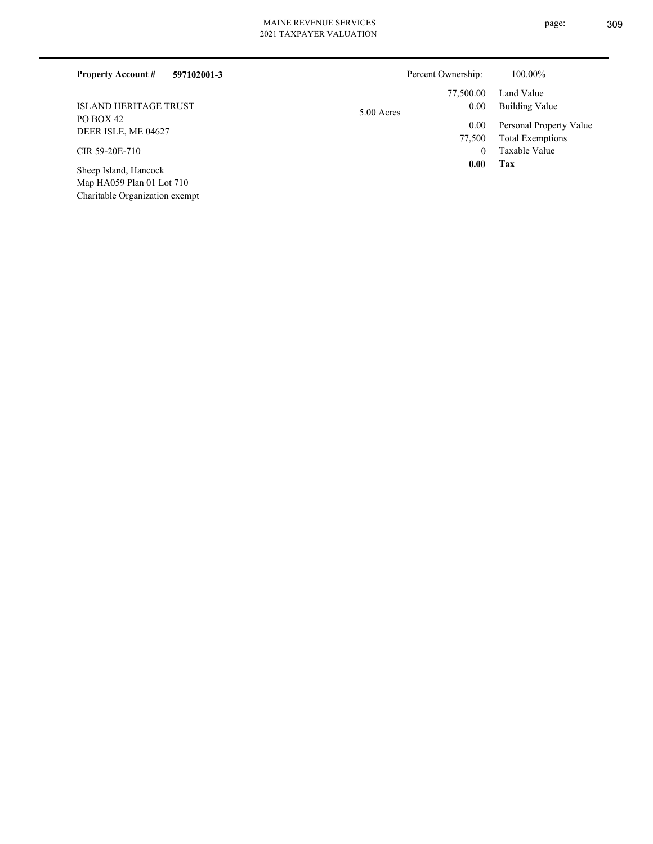|  |  |  | 021 TAXPAYER VALUATION |  |
|--|--|--|------------------------|--|

| <b>Property Account #</b><br>597102001-3 |            | Percent Ownership: | 100.00%                 |
|------------------------------------------|------------|--------------------|-------------------------|
|                                          |            | 77,500.00          | Land Value              |
| <b>ISLAND HERITAGE TRUST</b>             | 5.00 Acres | 0.00               | Building Value          |
| PO BOX 42                                |            | 0.00               | Personal Property Value |
| DEER ISLE, ME 04627                      |            | 77,500             | <b>Total Exemptions</b> |
| CIR 59-20E-710                           |            | $\theta$           | Taxable Value           |
| Sheep Island, Hancock                    |            | 0.00               | Tax                     |

Map HA059 Plan 01 Lot 710 Charitable Organization exempt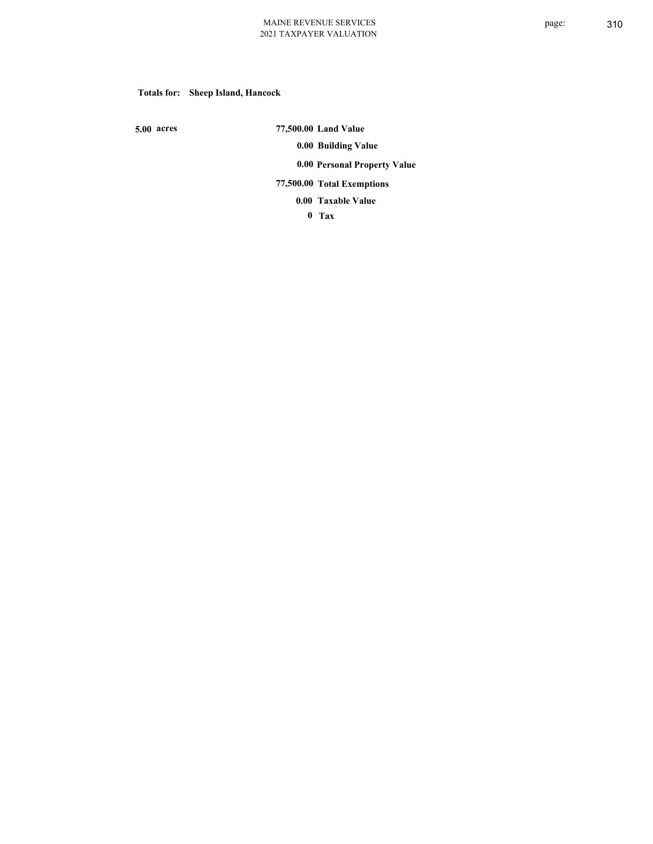# **Totals for: Sheep Island, Hancock**

 **5.00 acres**

 **77,500.00 Land Value 0.00 Building Value 0.00 Personal Property Value 77,500.00 Total Exemptions**

**Taxable Value 0.00**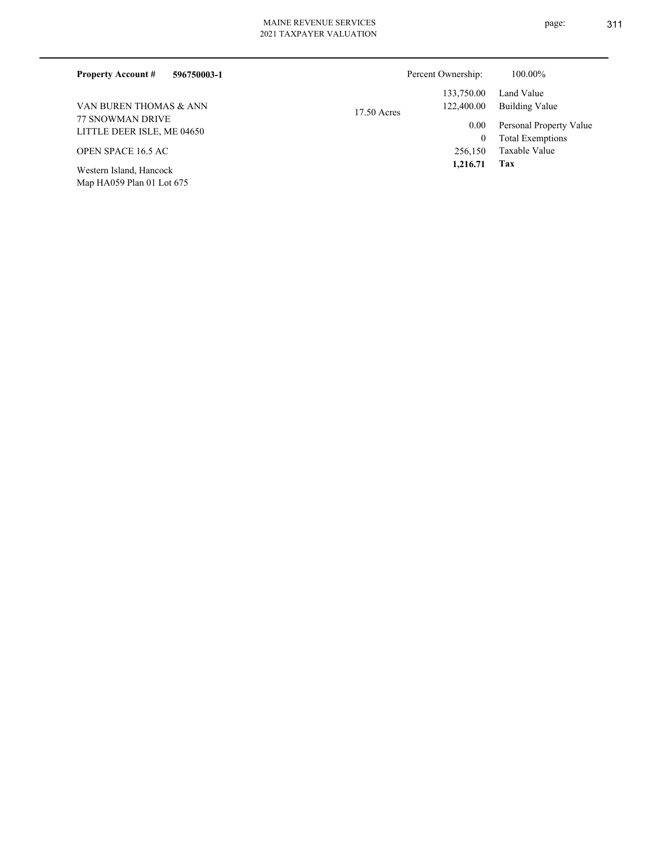| 596750003-1<br><b>Property Account #</b>             |               | Percent Ownership: | 100.00%                                            |
|------------------------------------------------------|---------------|--------------------|----------------------------------------------------|
|                                                      |               | 133,750.00         | Land Value                                         |
| VAN BUREN THOMAS & ANN                               | $17.50$ Acres | 122,400.00         | <b>Building Value</b>                              |
| 77 SNOWMAN DRIVE<br>LITTLE DEER ISLE, ME 04650       |               | 0.00<br>0          | Personal Property Value<br><b>Total Exemptions</b> |
| OPEN SPACE 16.5 AC                                   |               | 256,150            | Taxable Value                                      |
| Western Island, Hancock<br>Map HA059 Plan 01 Lot 675 |               | 1,216.71           | Tax                                                |